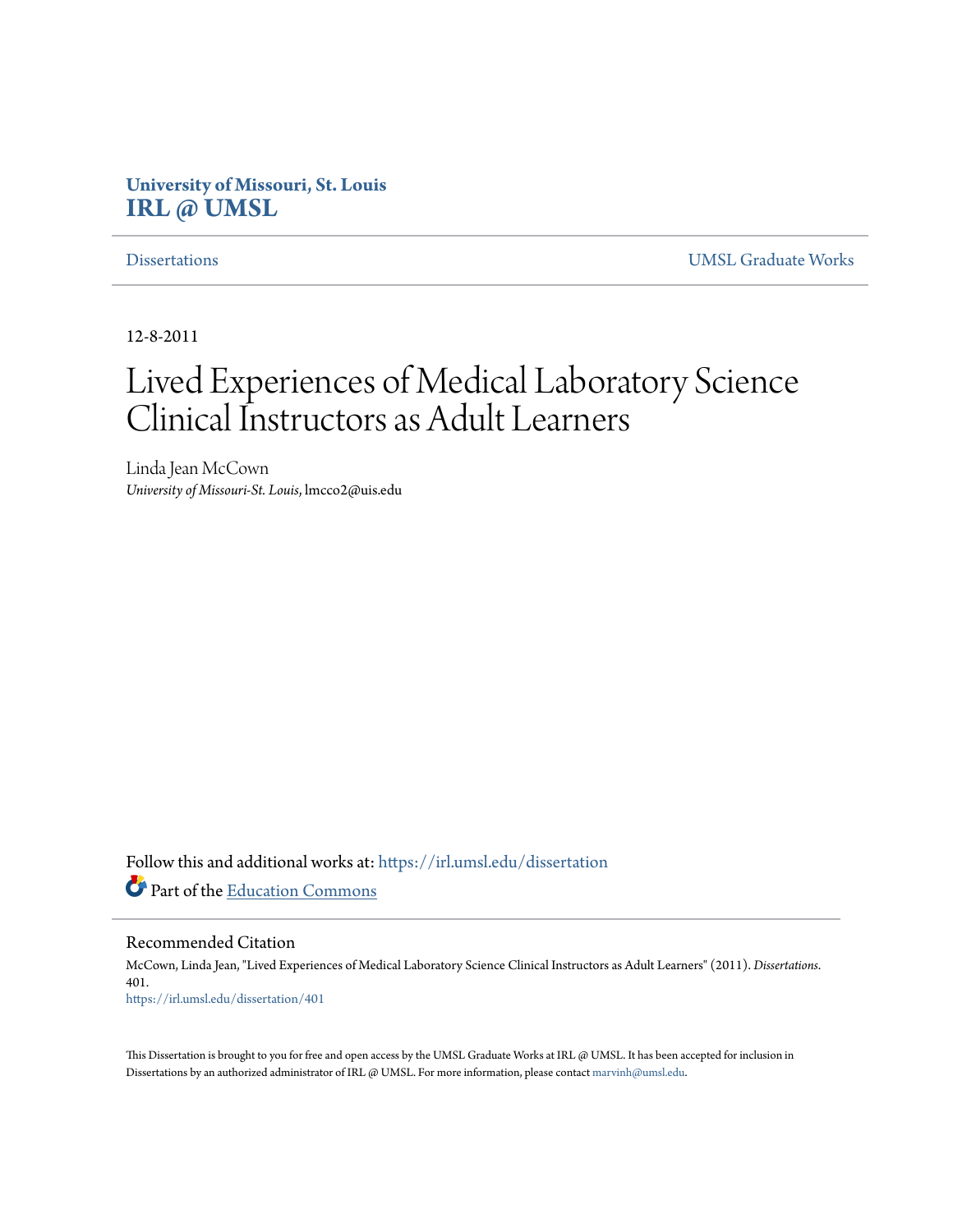# **University of Missouri, St. Louis [IRL @ UMSL](https://irl.umsl.edu?utm_source=irl.umsl.edu%2Fdissertation%2F401&utm_medium=PDF&utm_campaign=PDFCoverPages)**

[Dissertations](https://irl.umsl.edu/dissertation?utm_source=irl.umsl.edu%2Fdissertation%2F401&utm_medium=PDF&utm_campaign=PDFCoverPages) [UMSL Graduate Works](https://irl.umsl.edu/grad?utm_source=irl.umsl.edu%2Fdissertation%2F401&utm_medium=PDF&utm_campaign=PDFCoverPages)

12-8-2011

# Lived Experiences of Medical Laboratory Science Clinical Instructors as Adult Learners

Linda Jean McCown *University of Missouri-St. Louis*, lmcco2@uis.edu

Follow this and additional works at: [https://irl.umsl.edu/dissertation](https://irl.umsl.edu/dissertation?utm_source=irl.umsl.edu%2Fdissertation%2F401&utm_medium=PDF&utm_campaign=PDFCoverPages) Part of the [Education Commons](http://network.bepress.com/hgg/discipline/784?utm_source=irl.umsl.edu%2Fdissertation%2F401&utm_medium=PDF&utm_campaign=PDFCoverPages)

Recommended Citation

McCown, Linda Jean, "Lived Experiences of Medical Laboratory Science Clinical Instructors as Adult Learners" (2011). *Dissertations*. 401. [https://irl.umsl.edu/dissertation/401](https://irl.umsl.edu/dissertation/401?utm_source=irl.umsl.edu%2Fdissertation%2F401&utm_medium=PDF&utm_campaign=PDFCoverPages)

This Dissertation is brought to you for free and open access by the UMSL Graduate Works at IRL @ UMSL. It has been accepted for inclusion in Dissertations by an authorized administrator of IRL @ UMSL. For more information, please contact [marvinh@umsl.edu](mailto:marvinh@umsl.edu).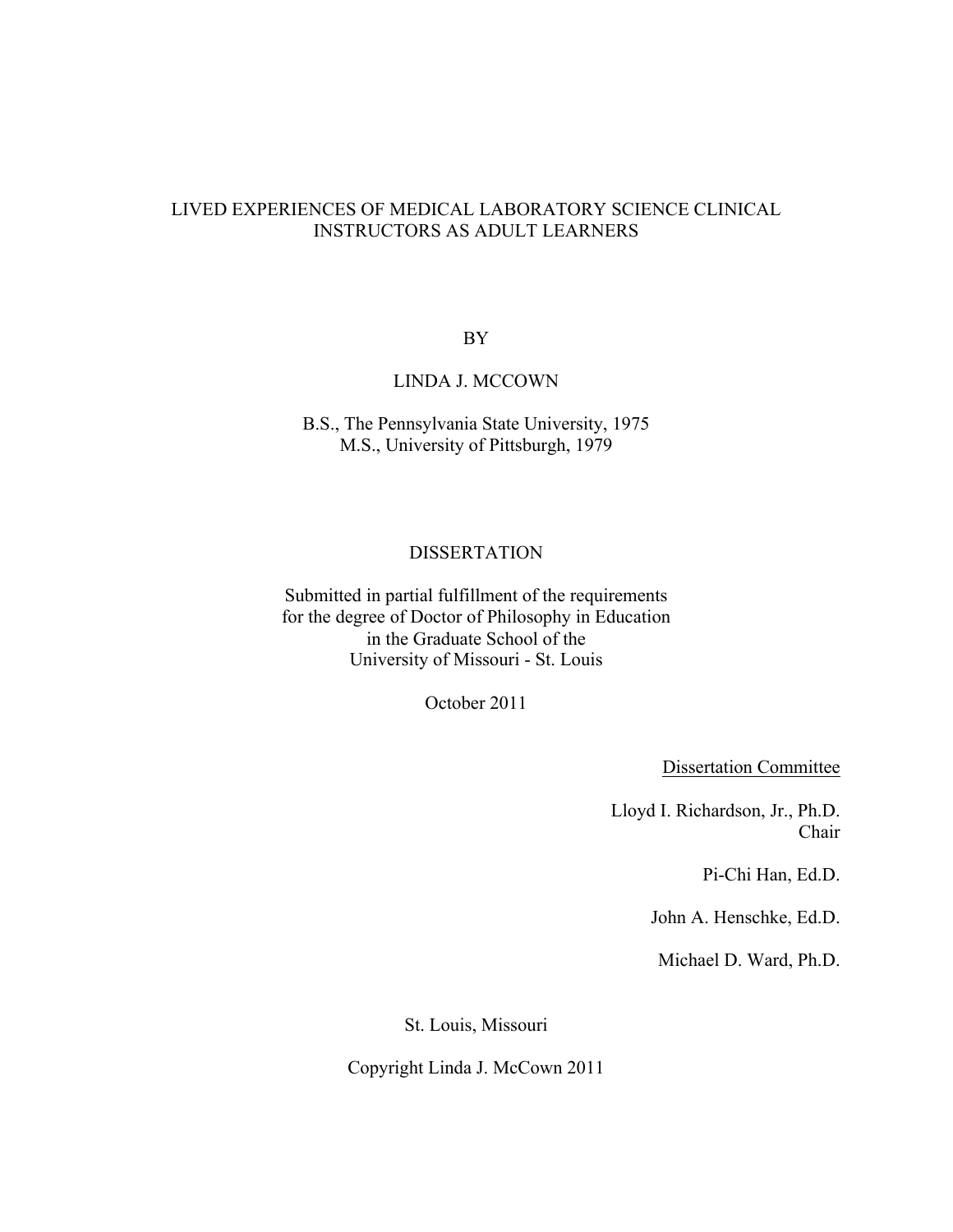### LIVED EXPERIENCES OF MEDICAL LABORATORY SCIENCE CLINICAL INSTRUCTORS AS ADULT LEARNERS

BY

### LINDA J. MCCOWN

B.S., The Pennsylvania State University, 1975 M.S., University of Pittsburgh, 1979

#### DISSERTATION

Submitted in partial fulfillment of the requirements for the degree of Doctor of Philosophy in Education in the Graduate School of the University of Missouri - St. Louis

October 2011

Dissertation Committee

Lloyd I. Richardson, Jr., Ph.D. Chair

Pi-Chi Han, Ed.D.

John A. Henschke, Ed.D.

Michael D. Ward, Ph.D.

St. Louis, Missouri

Copyright Linda J. McCown 2011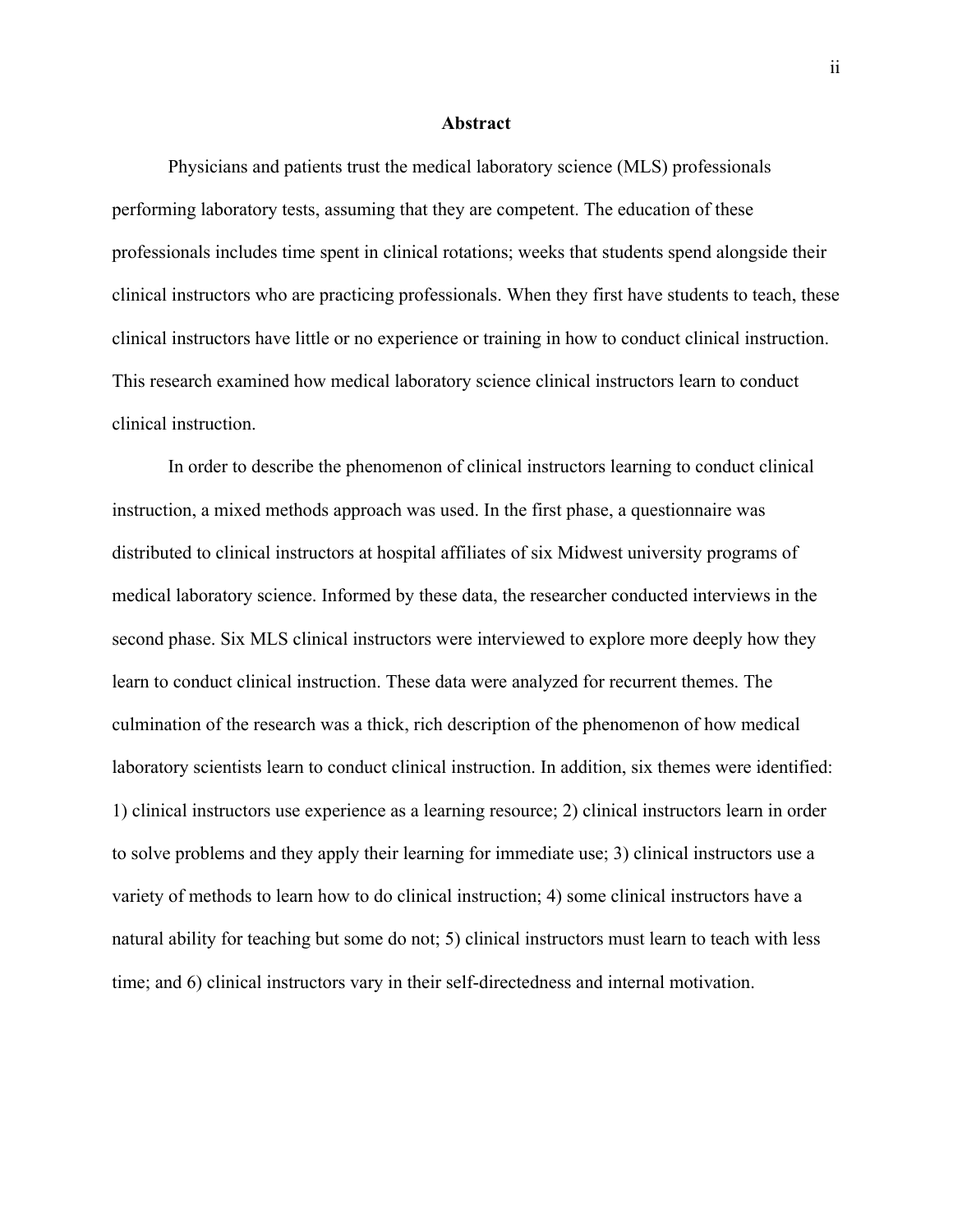#### **Abstract**

Physicians and patients trust the medical laboratory science (MLS) professionals performing laboratory tests, assuming that they are competent. The education of these professionals includes time spent in clinical rotations; weeks that students spend alongside their clinical instructors who are practicing professionals. When they first have students to teach, these clinical instructors have little or no experience or training in how to conduct clinical instruction. This research examined how medical laboratory science clinical instructors learn to conduct clinical instruction.

In order to describe the phenomenon of clinical instructors learning to conduct clinical instruction, a mixed methods approach was used. In the first phase, a questionnaire was distributed to clinical instructors at hospital affiliates of six Midwest university programs of medical laboratory science. Informed by these data, the researcher conducted interviews in the second phase. Six MLS clinical instructors were interviewed to explore more deeply how they learn to conduct clinical instruction. These data were analyzed for recurrent themes. The culmination of the research was a thick, rich description of the phenomenon of how medical laboratory scientists learn to conduct clinical instruction. In addition, six themes were identified: 1) clinical instructors use experience as a learning resource; 2) clinical instructors learn in order to solve problems and they apply their learning for immediate use; 3) clinical instructors use a variety of methods to learn how to do clinical instruction; 4) some clinical instructors have a natural ability for teaching but some do not; 5) clinical instructors must learn to teach with less time; and 6) clinical instructors vary in their self-directedness and internal motivation.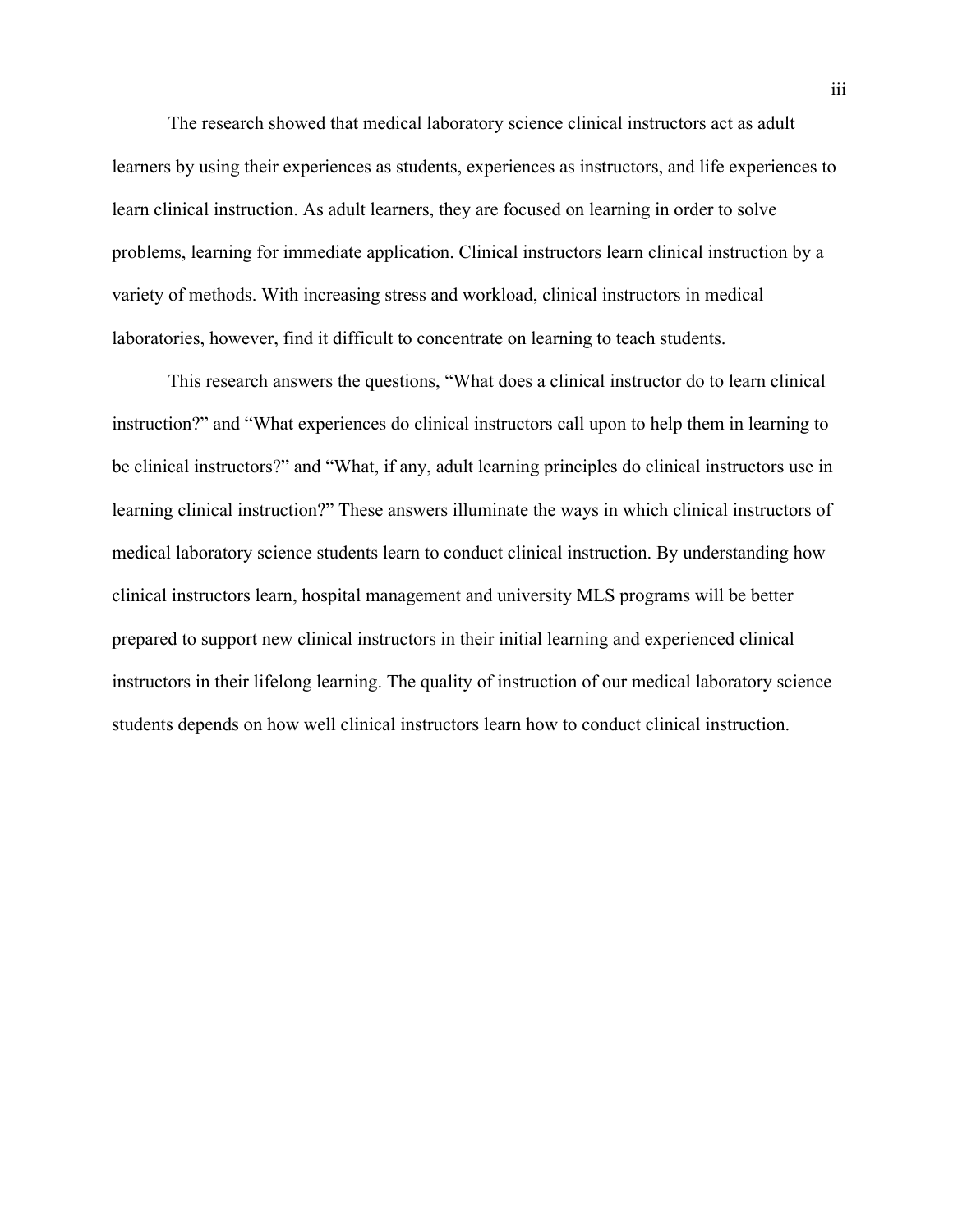The research showed that medical laboratory science clinical instructors act as adult learners by using their experiences as students, experiences as instructors, and life experiences to learn clinical instruction. As adult learners, they are focused on learning in order to solve problems, learning for immediate application. Clinical instructors learn clinical instruction by a variety of methods. With increasing stress and workload, clinical instructors in medical laboratories, however, find it difficult to concentrate on learning to teach students.

This research answers the questions, "What does a clinical instructor do to learn clinical instruction?" and "What experiences do clinical instructors call upon to help them in learning to be clinical instructors?" and "What, if any, adult learning principles do clinical instructors use in learning clinical instruction?" These answers illuminate the ways in which clinical instructors of medical laboratory science students learn to conduct clinical instruction. By understanding how clinical instructors learn, hospital management and university MLS programs will be better prepared to support new clinical instructors in their initial learning and experienced clinical instructors in their lifelong learning. The quality of instruction of our medical laboratory science students depends on how well clinical instructors learn how to conduct clinical instruction.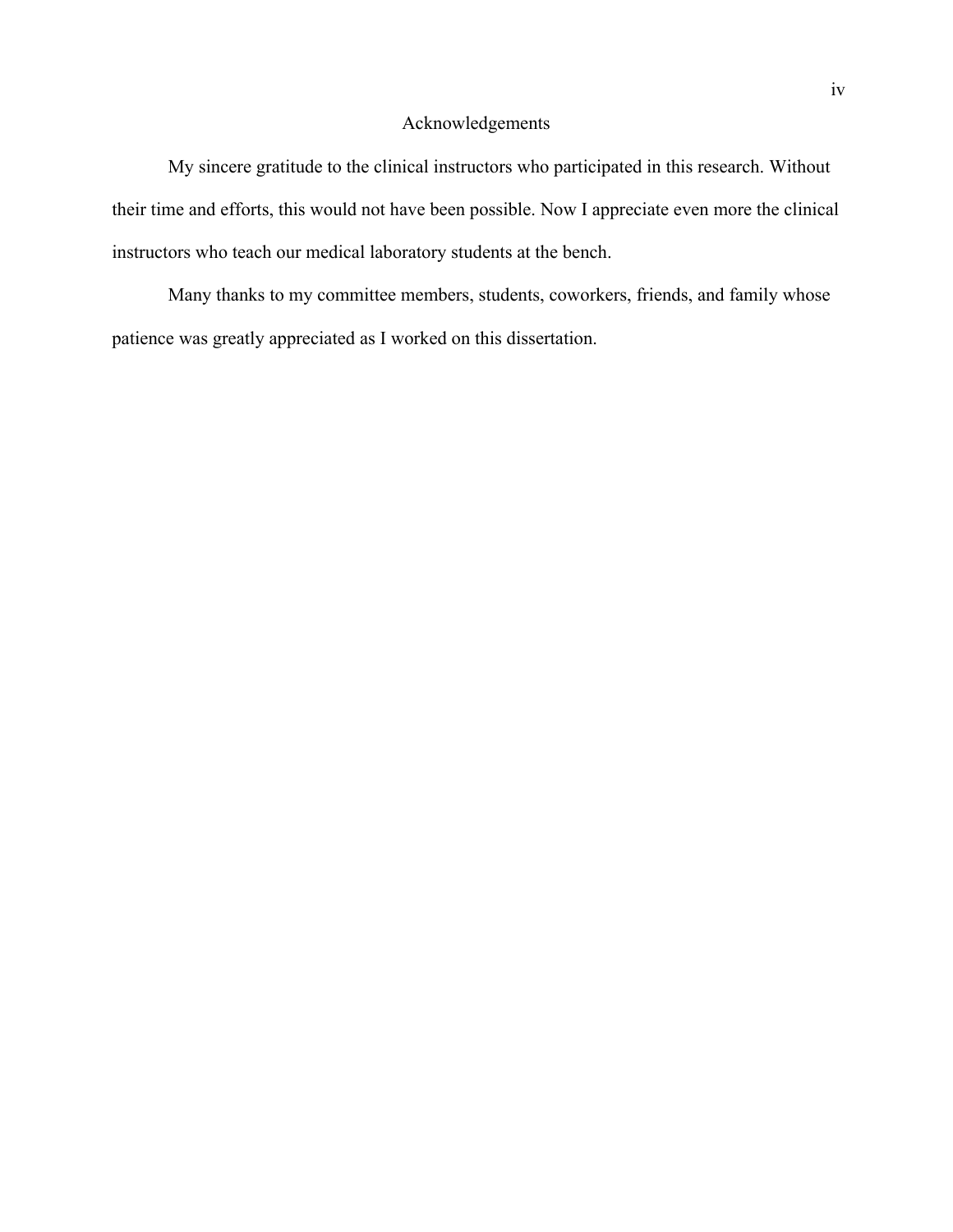### Acknowledgements

My sincere gratitude to the clinical instructors who participated in this research. Without their time and efforts, this would not have been possible. Now I appreciate even more the clinical instructors who teach our medical laboratory students at the bench.

Many thanks to my committee members, students, coworkers, friends, and family whose patience was greatly appreciated as I worked on this dissertation.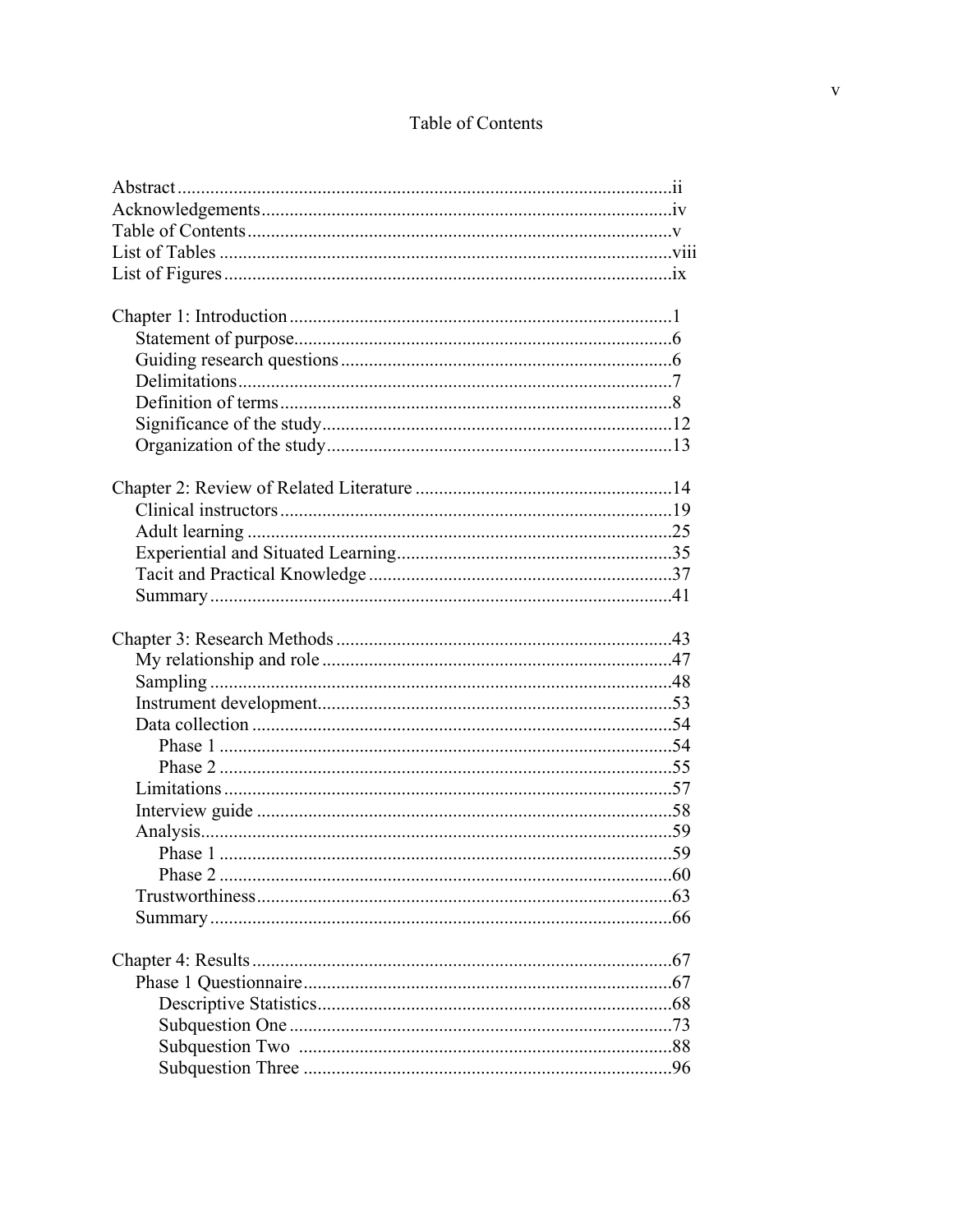# Table of Contents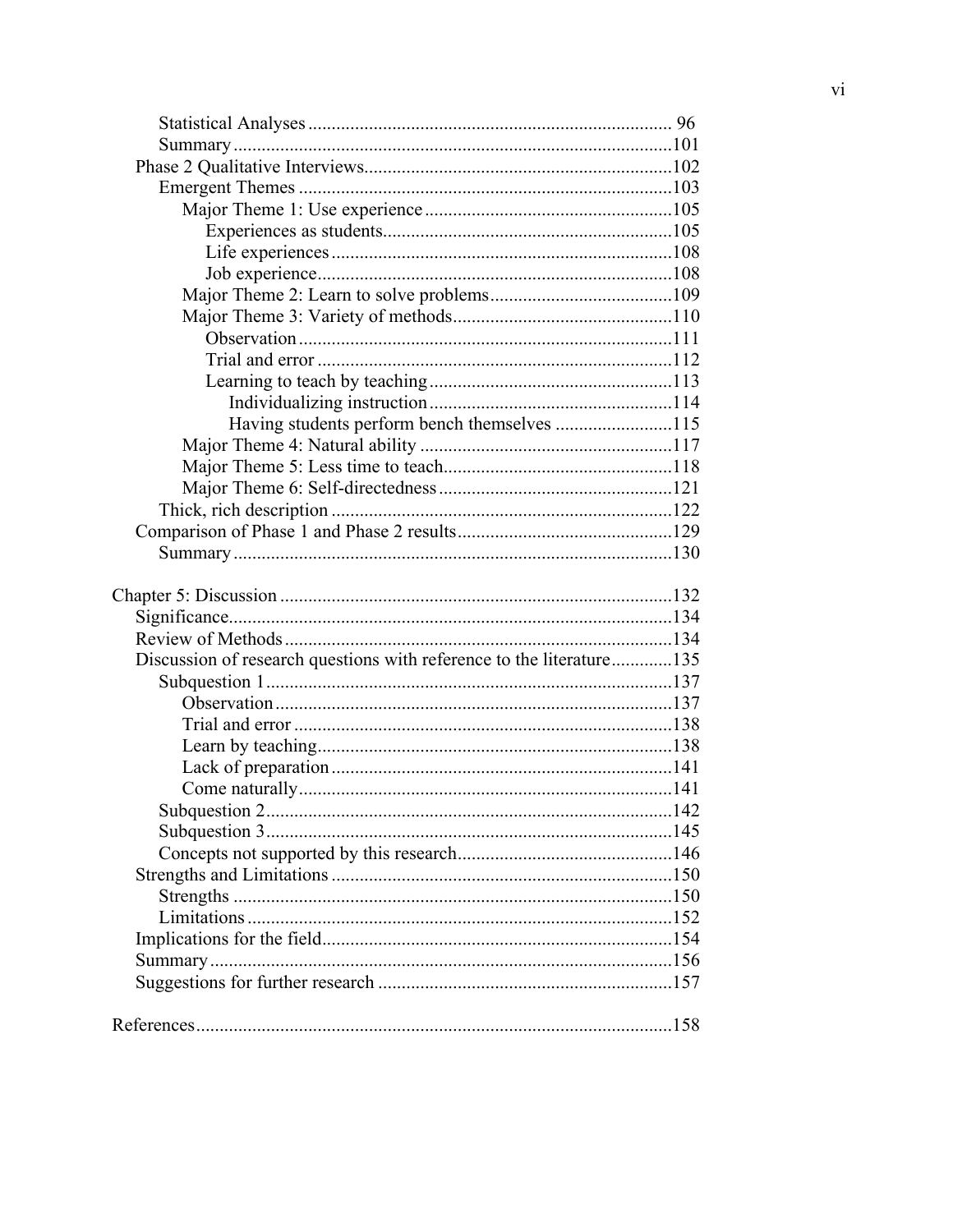| Having students perform bench themselves 115                         |  |
|----------------------------------------------------------------------|--|
|                                                                      |  |
|                                                                      |  |
|                                                                      |  |
|                                                                      |  |
|                                                                      |  |
|                                                                      |  |
|                                                                      |  |
|                                                                      |  |
|                                                                      |  |
|                                                                      |  |
| Discussion of research questions with reference to the literature135 |  |
|                                                                      |  |
|                                                                      |  |
|                                                                      |  |
|                                                                      |  |
|                                                                      |  |
|                                                                      |  |
|                                                                      |  |
|                                                                      |  |
|                                                                      |  |
|                                                                      |  |
|                                                                      |  |
|                                                                      |  |
|                                                                      |  |
|                                                                      |  |
|                                                                      |  |
|                                                                      |  |
|                                                                      |  |
|                                                                      |  |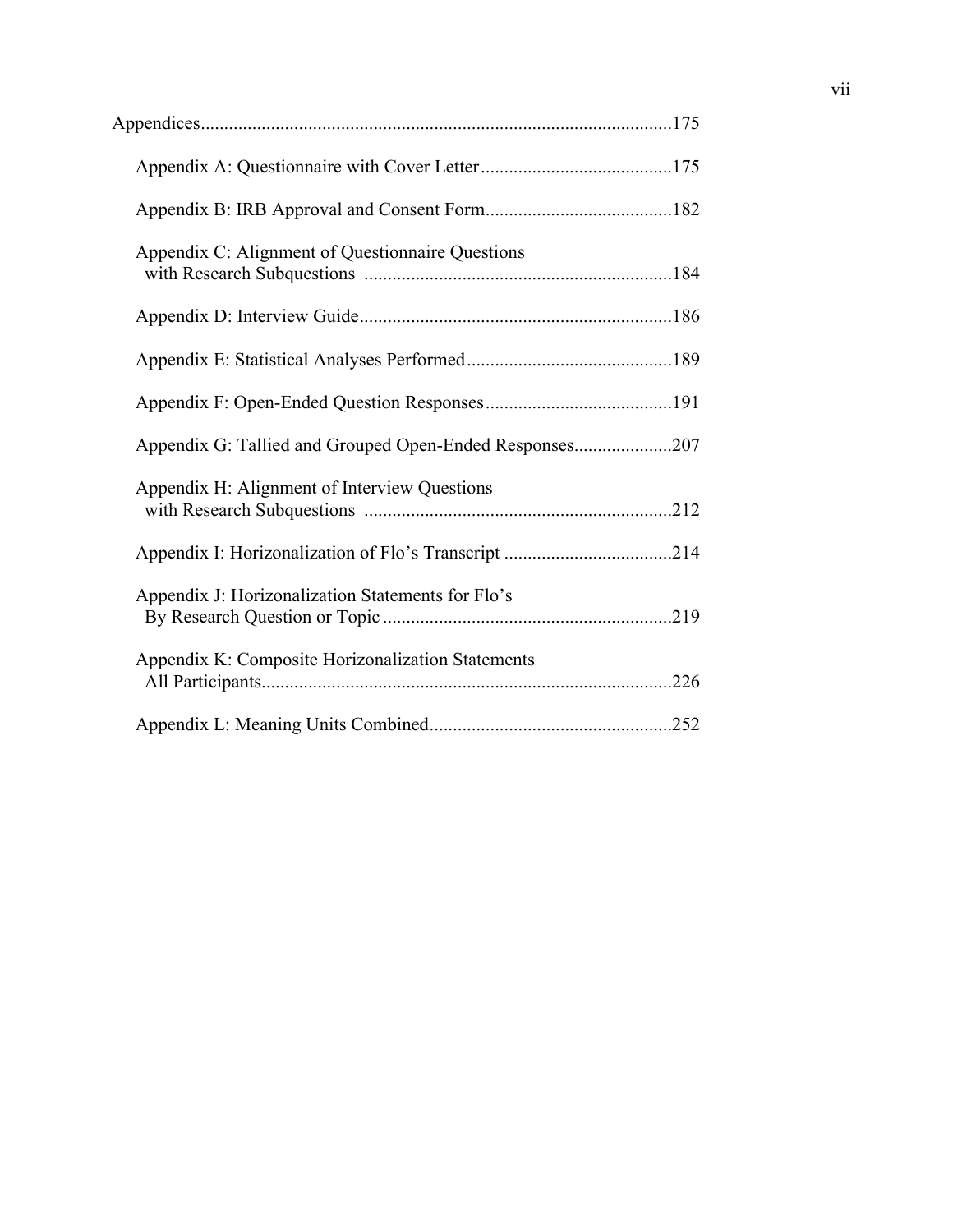| Appendix C: Alignment of Questionnaire Questions        |  |
|---------------------------------------------------------|--|
|                                                         |  |
|                                                         |  |
|                                                         |  |
| Appendix G: Tallied and Grouped Open-Ended Responses207 |  |
| Appendix H: Alignment of Interview Questions            |  |
|                                                         |  |
| Appendix J: Horizonalization Statements for Flo's       |  |
| Appendix K: Composite Horizonalization Statements       |  |
|                                                         |  |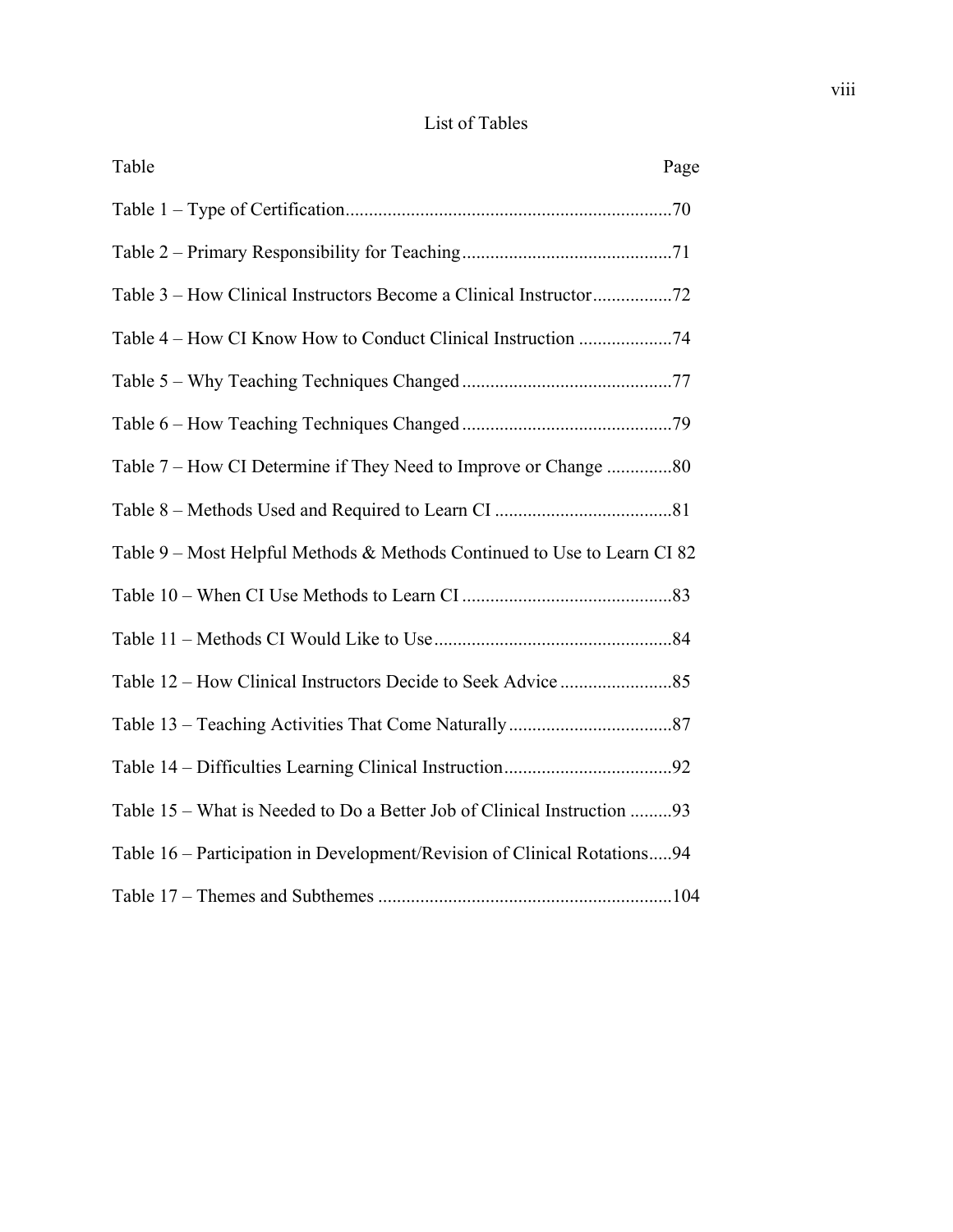## List of Tables

| Table                                                                    | Page |
|--------------------------------------------------------------------------|------|
|                                                                          |      |
|                                                                          |      |
| Table 3 – How Clinical Instructors Become a Clinical Instructor72        |      |
| Table 4 – How CI Know How to Conduct Clinical Instruction 74             |      |
|                                                                          |      |
|                                                                          |      |
| Table 7 – How CI Determine if They Need to Improve or Change 80          |      |
|                                                                          |      |
| Table 9 – Most Helpful Methods & Methods Continued to Use to Learn CI 82 |      |
|                                                                          |      |
|                                                                          |      |
|                                                                          |      |
|                                                                          |      |
|                                                                          |      |
| Table 15 – What is Needed to Do a Better Job of Clinical Instruction 93  |      |
| Table 16 – Participation in Development/Revision of Clinical Rotations94 |      |
|                                                                          |      |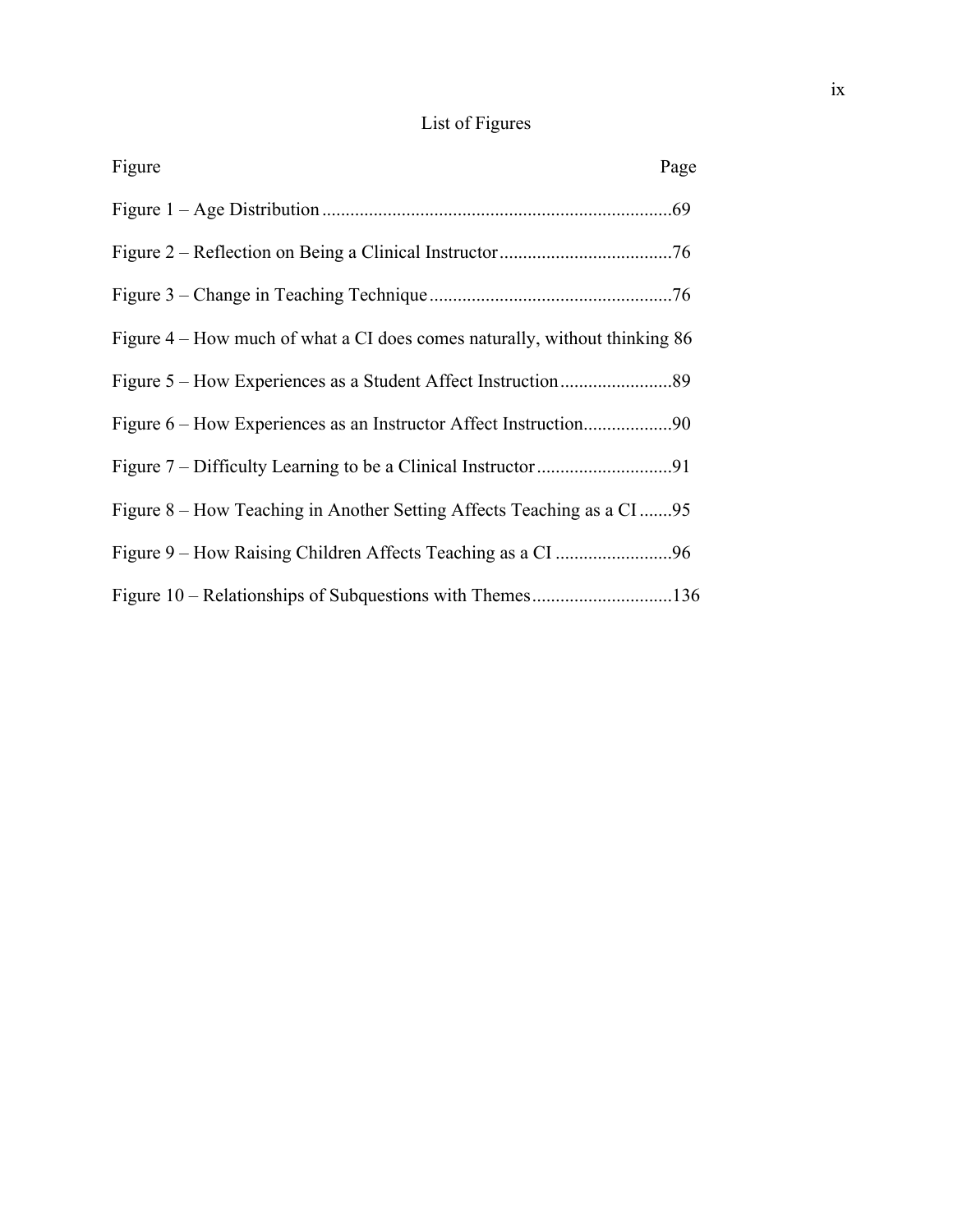# List of Figures

| Figure                                                                     | Page |
|----------------------------------------------------------------------------|------|
|                                                                            |      |
|                                                                            |      |
|                                                                            |      |
| Figure 4 – How much of what a CI does comes naturally, without thinking 86 |      |
|                                                                            |      |
|                                                                            |      |
|                                                                            |      |
| Figure 8 – How Teaching in Another Setting Affects Teaching as a CI95      |      |
|                                                                            |      |
|                                                                            |      |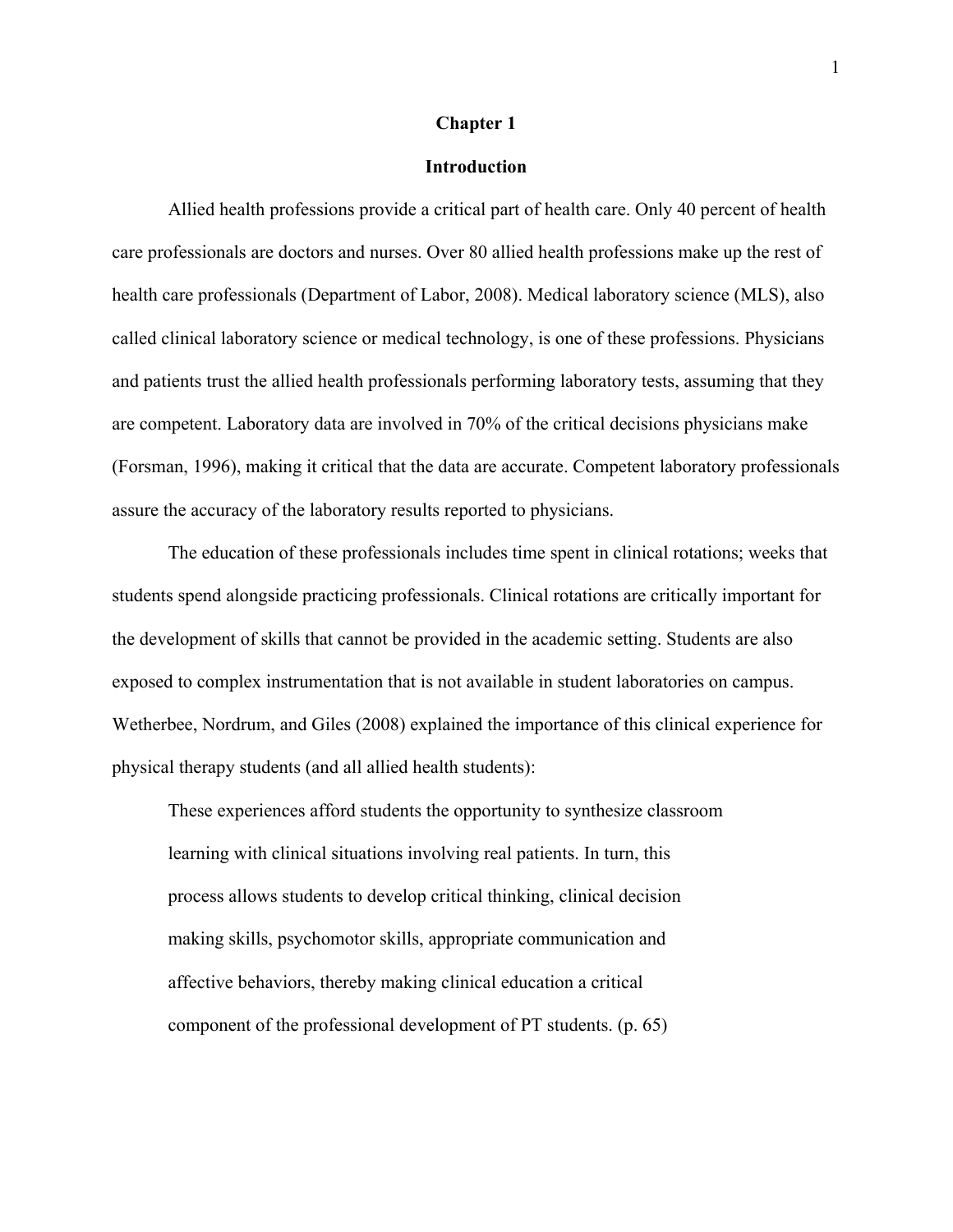#### **Chapter 1**

#### **Introduction**

 Allied health professions provide a critical part of health care. Only 40 percent of health care professionals are doctors and nurses. Over 80 allied health professions make up the rest of health care professionals (Department of Labor, 2008). Medical laboratory science (MLS), also called clinical laboratory science or medical technology, is one of these professions. Physicians and patients trust the allied health professionals performing laboratory tests, assuming that they are competent. Laboratory data are involved in 70% of the critical decisions physicians make (Forsman, 1996), making it critical that the data are accurate. Competent laboratory professionals assure the accuracy of the laboratory results reported to physicians.

The education of these professionals includes time spent in clinical rotations; weeks that students spend alongside practicing professionals. Clinical rotations are critically important for the development of skills that cannot be provided in the academic setting. Students are also exposed to complex instrumentation that is not available in student laboratories on campus. Wetherbee, Nordrum, and Giles (2008) explained the importance of this clinical experience for physical therapy students (and all allied health students):

These experiences afford students the opportunity to synthesize classroom learning with clinical situations involving real patients. In turn, this process allows students to develop critical thinking, clinical decision making skills, psychomotor skills, appropriate communication and affective behaviors, thereby making clinical education a critical component of the professional development of PT students. (p. 65)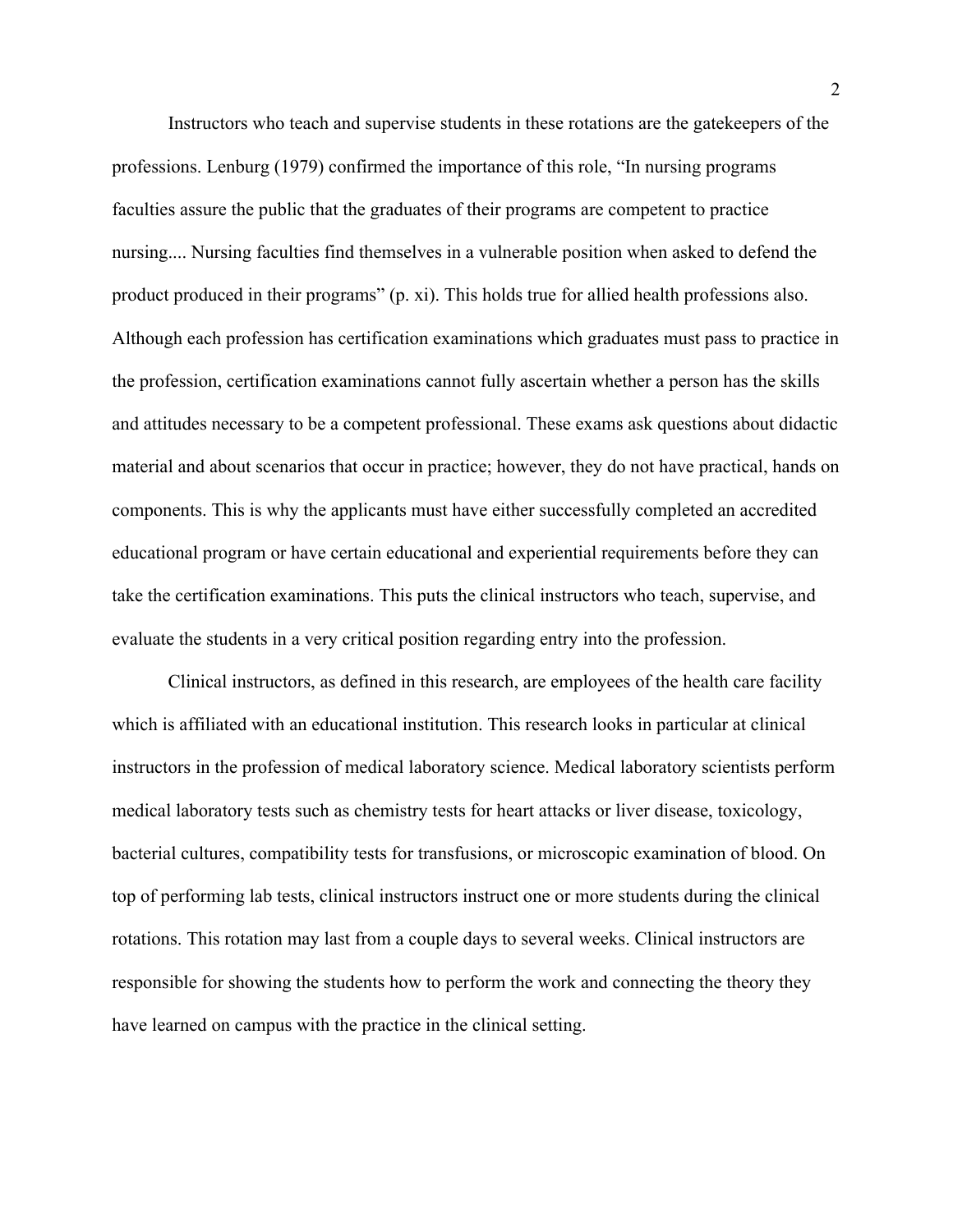Instructors who teach and supervise students in these rotations are the gatekeepers of the professions. Lenburg (1979) confirmed the importance of this role, "In nursing programs faculties assure the public that the graduates of their programs are competent to practice nursing.... Nursing faculties find themselves in a vulnerable position when asked to defend the product produced in their programs" (p. xi). This holds true for allied health professions also. Although each profession has certification examinations which graduates must pass to practice in the profession, certification examinations cannot fully ascertain whether a person has the skills and attitudes necessary to be a competent professional. These exams ask questions about didactic material and about scenarios that occur in practice; however, they do not have practical, hands on components. This is why the applicants must have either successfully completed an accredited educational program or have certain educational and experiential requirements before they can take the certification examinations. This puts the clinical instructors who teach, supervise, and evaluate the students in a very critical position regarding entry into the profession.

Clinical instructors, as defined in this research, are employees of the health care facility which is affiliated with an educational institution. This research looks in particular at clinical instructors in the profession of medical laboratory science. Medical laboratory scientists perform medical laboratory tests such as chemistry tests for heart attacks or liver disease, toxicology, bacterial cultures, compatibility tests for transfusions, or microscopic examination of blood. On top of performing lab tests, clinical instructors instruct one or more students during the clinical rotations. This rotation may last from a couple days to several weeks. Clinical instructors are responsible for showing the students how to perform the work and connecting the theory they have learned on campus with the practice in the clinical setting.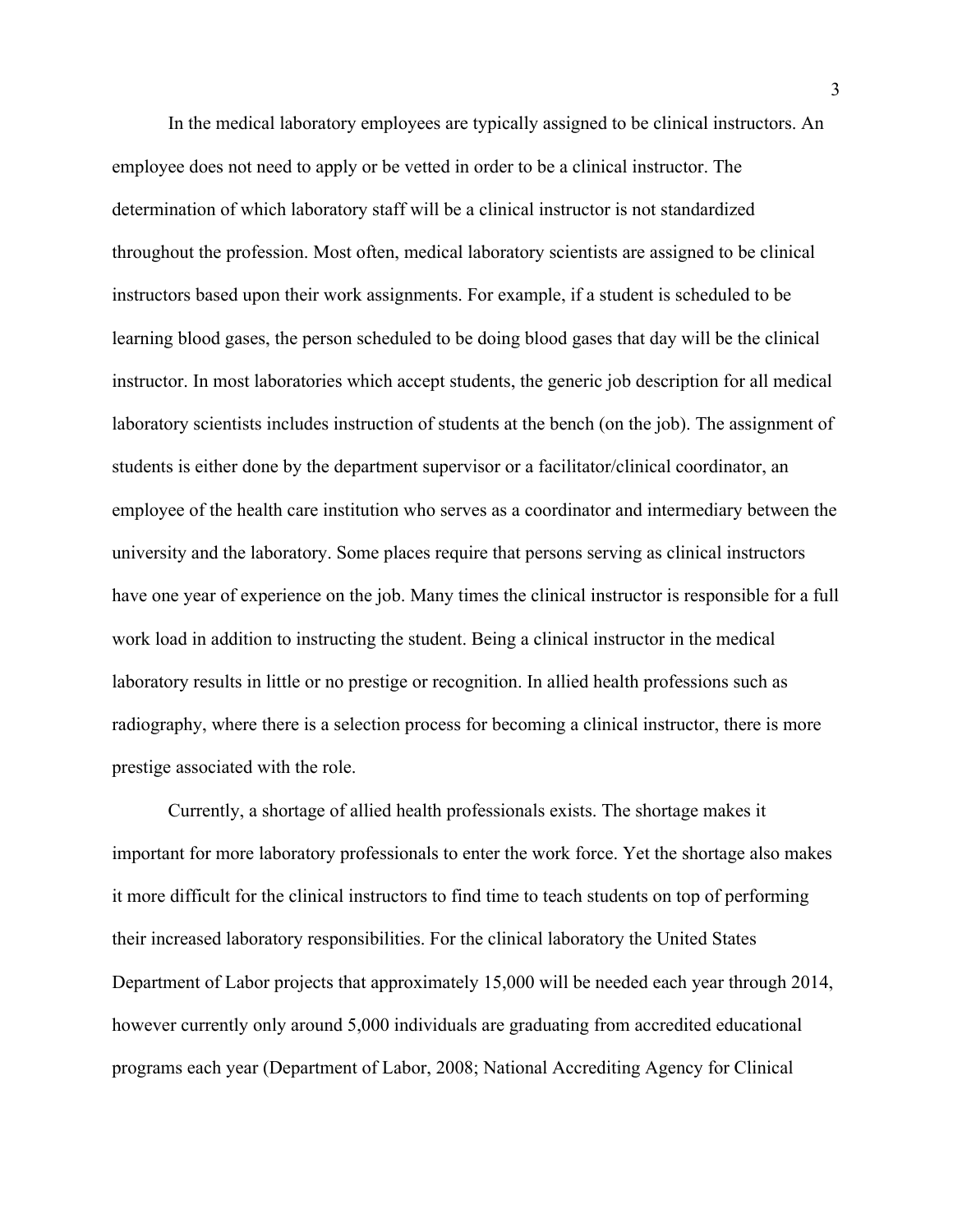In the medical laboratory employees are typically assigned to be clinical instructors. An employee does not need to apply or be vetted in order to be a clinical instructor. The determination of which laboratory staff will be a clinical instructor is not standardized throughout the profession. Most often, medical laboratory scientists are assigned to be clinical instructors based upon their work assignments. For example, if a student is scheduled to be learning blood gases, the person scheduled to be doing blood gases that day will be the clinical instructor. In most laboratories which accept students, the generic job description for all medical laboratory scientists includes instruction of students at the bench (on the job). The assignment of students is either done by the department supervisor or a facilitator/clinical coordinator, an employee of the health care institution who serves as a coordinator and intermediary between the university and the laboratory. Some places require that persons serving as clinical instructors have one year of experience on the job. Many times the clinical instructor is responsible for a full work load in addition to instructing the student. Being a clinical instructor in the medical laboratory results in little or no prestige or recognition. In allied health professions such as radiography, where there is a selection process for becoming a clinical instructor, there is more prestige associated with the role.

Currently, a shortage of allied health professionals exists. The shortage makes it important for more laboratory professionals to enter the work force. Yet the shortage also makes it more difficult for the clinical instructors to find time to teach students on top of performing their increased laboratory responsibilities. For the clinical laboratory the United States Department of Labor projects that approximately 15,000 will be needed each year through 2014, however currently only around 5,000 individuals are graduating from accredited educational programs each year (Department of Labor, 2008; National Accrediting Agency for Clinical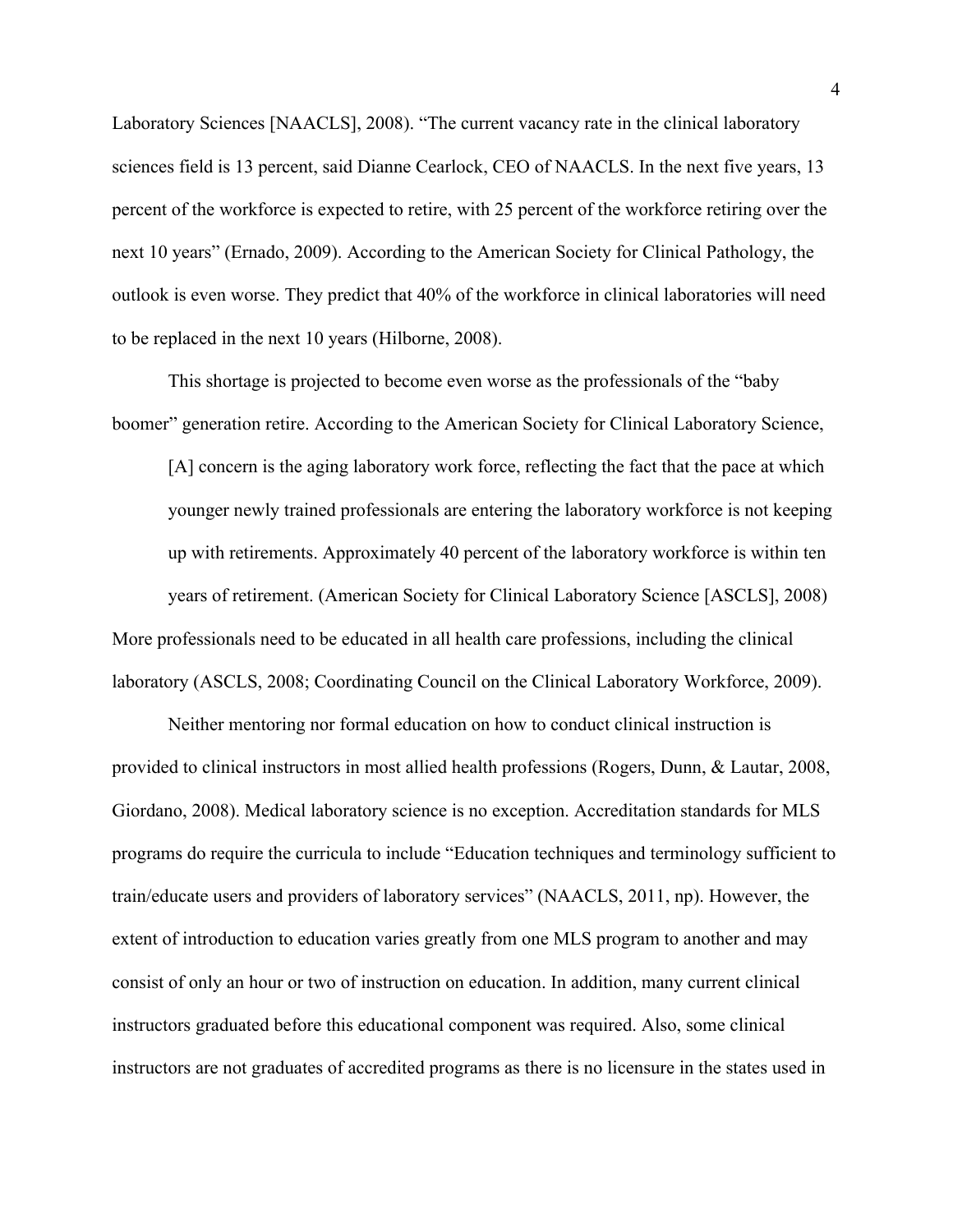Laboratory Sciences [NAACLS], 2008). "The current vacancy rate in the clinical laboratory sciences field is 13 percent, said Dianne Cearlock, CEO of NAACLS. In the next five years, 13 percent of the workforce is expected to retire, with 25 percent of the workforce retiring over the next 10 years" (Ernado, 2009). According to the American Society for Clinical Pathology, the outlook is even worse. They predict that 40% of the workforce in clinical laboratories will need to be replaced in the next 10 years (Hilborne, 2008).

 This shortage is projected to become even worse as the professionals of the "baby boomer" generation retire. According to the American Society for Clinical Laboratory Science,

[A] concern is the aging laboratory work force, reflecting the fact that the pace at which younger newly trained professionals are entering the laboratory workforce is not keeping up with retirements. Approximately 40 percent of the laboratory workforce is within ten years of retirement. (American Society for Clinical Laboratory Science [ASCLS], 2008) More professionals need to be educated in all health care professions, including the clinical laboratory (ASCLS, 2008; Coordinating Council on the Clinical Laboratory Workforce, 2009).

 Neither mentoring nor formal education on how to conduct clinical instruction is provided to clinical instructors in most allied health professions (Rogers, Dunn, & Lautar, 2008, Giordano, 2008). Medical laboratory science is no exception. Accreditation standards for MLS programs do require the curricula to include "Education techniques and terminology sufficient to train/educate users and providers of laboratory services" (NAACLS, 2011, np). However, the extent of introduction to education varies greatly from one MLS program to another and may consist of only an hour or two of instruction on education. In addition, many current clinical instructors graduated before this educational component was required. Also, some clinical instructors are not graduates of accredited programs as there is no licensure in the states used in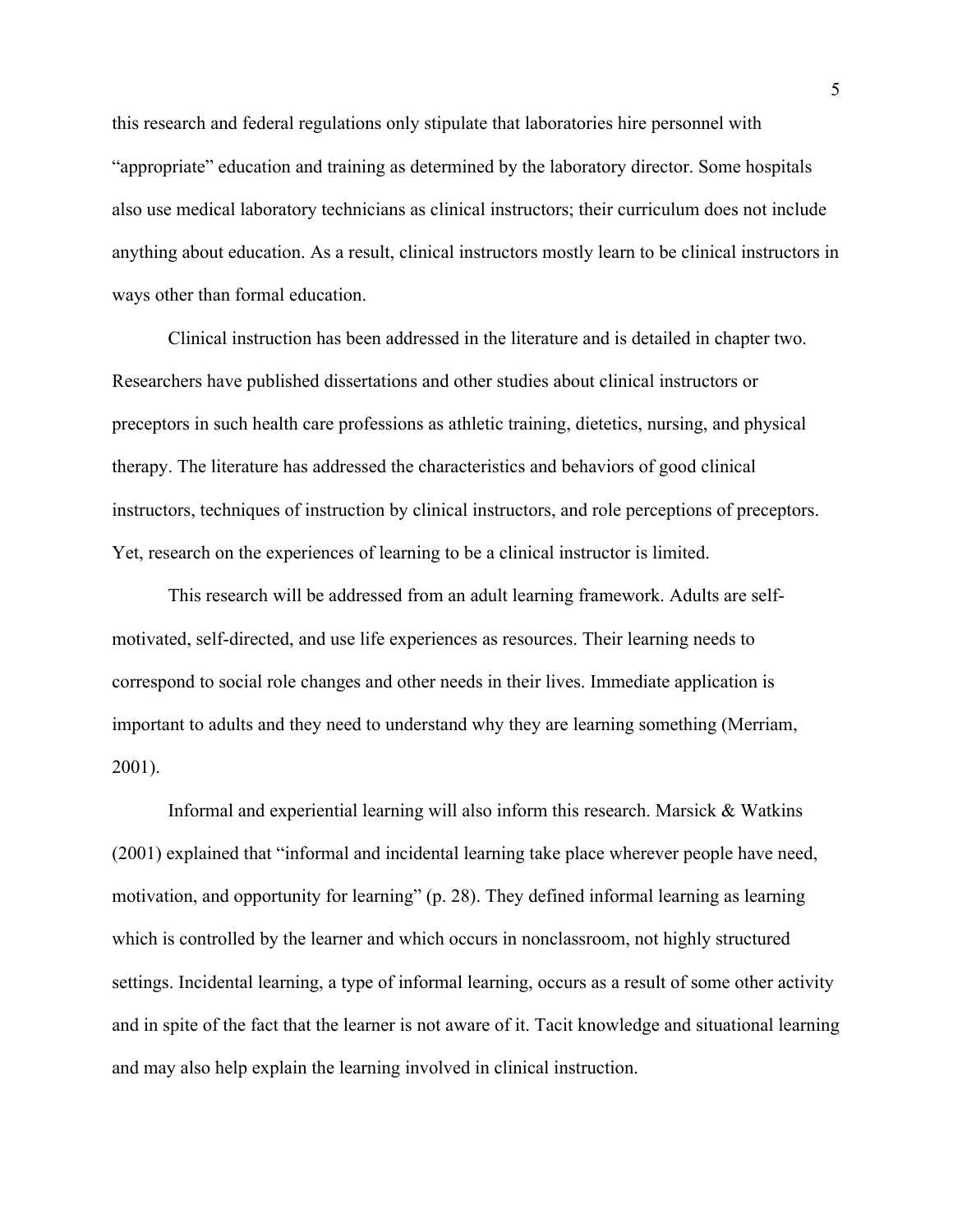this research and federal regulations only stipulate that laboratories hire personnel with "appropriate" education and training as determined by the laboratory director. Some hospitals also use medical laboratory technicians as clinical instructors; their curriculum does not include anything about education. As a result, clinical instructors mostly learn to be clinical instructors in ways other than formal education.

 Clinical instruction has been addressed in the literature and is detailed in chapter two. Researchers have published dissertations and other studies about clinical instructors or preceptors in such health care professions as athletic training, dietetics, nursing, and physical therapy. The literature has addressed the characteristics and behaviors of good clinical instructors, techniques of instruction by clinical instructors, and role perceptions of preceptors. Yet, research on the experiences of learning to be a clinical instructor is limited.

 This research will be addressed from an adult learning framework. Adults are selfmotivated, self-directed, and use life experiences as resources. Their learning needs to correspond to social role changes and other needs in their lives. Immediate application is important to adults and they need to understand why they are learning something (Merriam, 2001).

 Informal and experiential learning will also inform this research. Marsick & Watkins (2001) explained that "informal and incidental learning take place wherever people have need, motivation, and opportunity for learning" (p. 28). They defined informal learning as learning which is controlled by the learner and which occurs in nonclassroom, not highly structured settings. Incidental learning, a type of informal learning, occurs as a result of some other activity and in spite of the fact that the learner is not aware of it. Tacit knowledge and situational learning and may also help explain the learning involved in clinical instruction.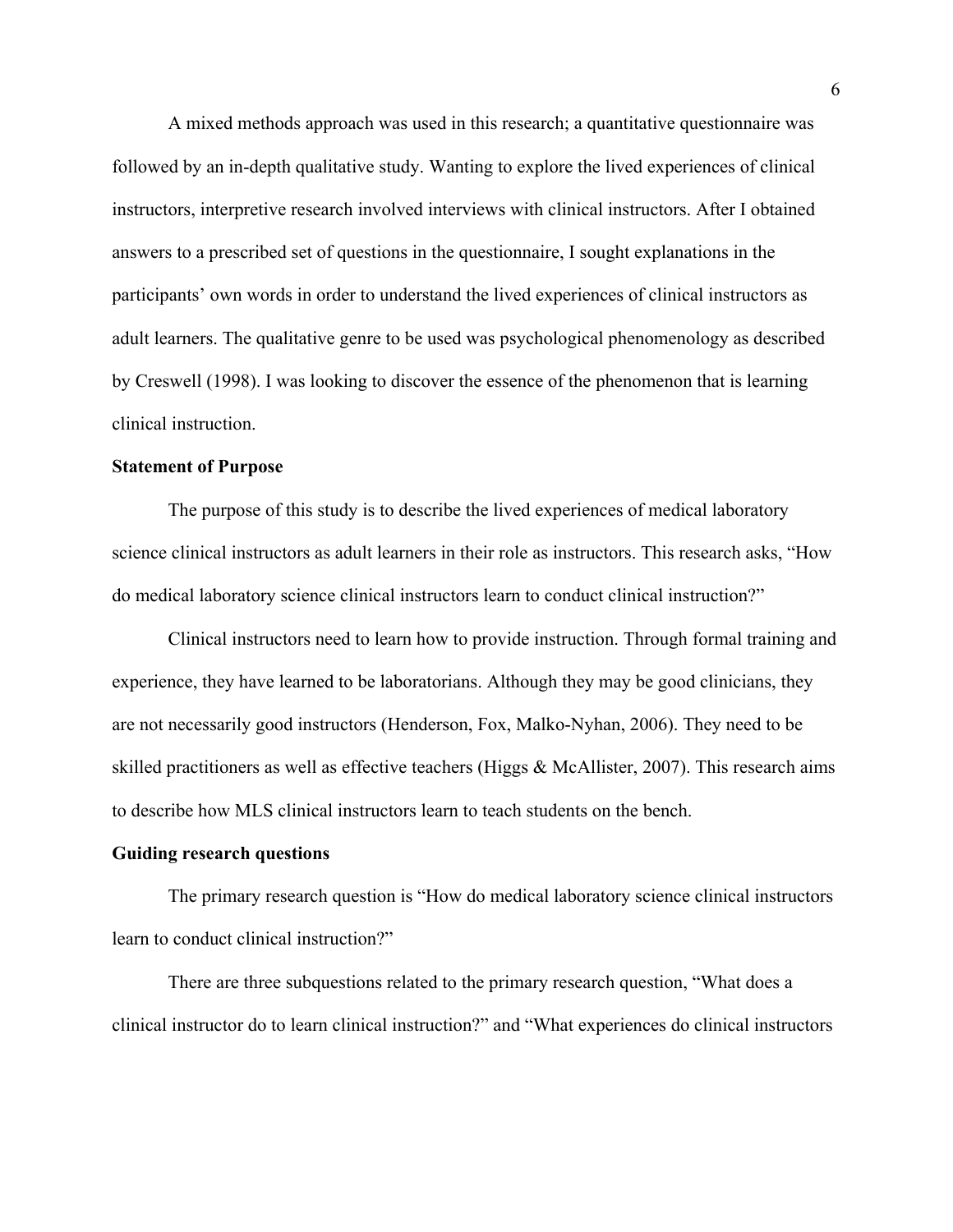A mixed methods approach was used in this research; a quantitative questionnaire was followed by an in-depth qualitative study. Wanting to explore the lived experiences of clinical instructors, interpretive research involved interviews with clinical instructors. After I obtained answers to a prescribed set of questions in the questionnaire, I sought explanations in the participants' own words in order to understand the lived experiences of clinical instructors as adult learners. The qualitative genre to be used was psychological phenomenology as described by Creswell (1998). I was looking to discover the essence of the phenomenon that is learning clinical instruction.

#### **Statement of Purpose**

 The purpose of this study is to describe the lived experiences of medical laboratory science clinical instructors as adult learners in their role as instructors. This research asks, "How do medical laboratory science clinical instructors learn to conduct clinical instruction?"

 Clinical instructors need to learn how to provide instruction. Through formal training and experience, they have learned to be laboratorians. Although they may be good clinicians, they are not necessarily good instructors (Henderson, Fox, Malko-Nyhan, 2006). They need to be skilled practitioners as well as effective teachers (Higgs  $&$  McAllister, 2007). This research aims to describe how MLS clinical instructors learn to teach students on the bench.

#### **Guiding research questions**

 The primary research question is "How do medical laboratory science clinical instructors learn to conduct clinical instruction?"

 There are three subquestions related to the primary research question, "What does a clinical instructor do to learn clinical instruction?" and "What experiences do clinical instructors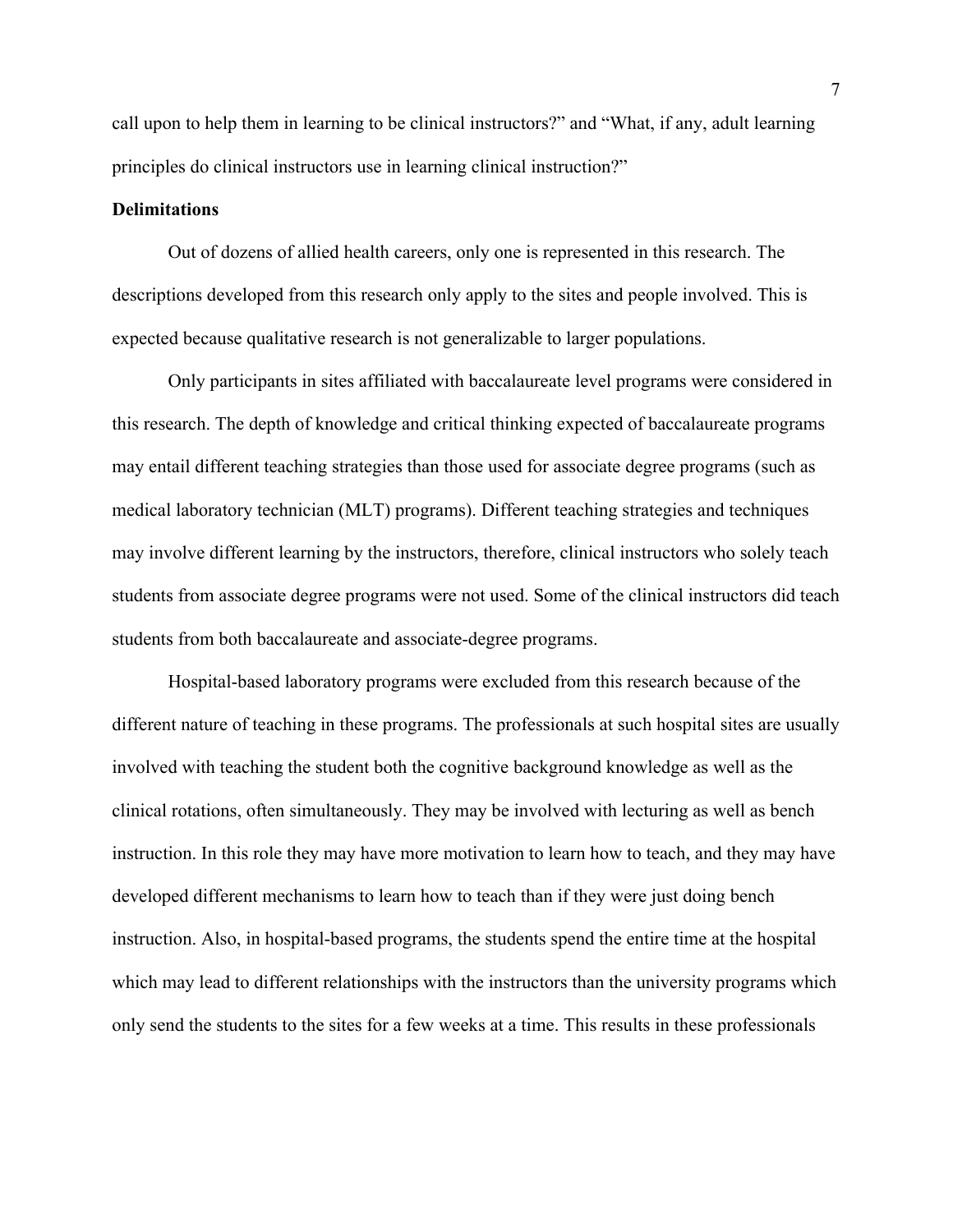call upon to help them in learning to be clinical instructors?" and "What, if any, adult learning principles do clinical instructors use in learning clinical instruction?"

#### **Delimitations**

 Out of dozens of allied health careers, only one is represented in this research. The descriptions developed from this research only apply to the sites and people involved. This is expected because qualitative research is not generalizable to larger populations.

 Only participants in sites affiliated with baccalaureate level programs were considered in this research. The depth of knowledge and critical thinking expected of baccalaureate programs may entail different teaching strategies than those used for associate degree programs (such as medical laboratory technician (MLT) programs). Different teaching strategies and techniques may involve different learning by the instructors, therefore, clinical instructors who solely teach students from associate degree programs were not used. Some of the clinical instructors did teach students from both baccalaureate and associate-degree programs.

 Hospital-based laboratory programs were excluded from this research because of the different nature of teaching in these programs. The professionals at such hospital sites are usually involved with teaching the student both the cognitive background knowledge as well as the clinical rotations, often simultaneously. They may be involved with lecturing as well as bench instruction. In this role they may have more motivation to learn how to teach, and they may have developed different mechanisms to learn how to teach than if they were just doing bench instruction. Also, in hospital-based programs, the students spend the entire time at the hospital which may lead to different relationships with the instructors than the university programs which only send the students to the sites for a few weeks at a time. This results in these professionals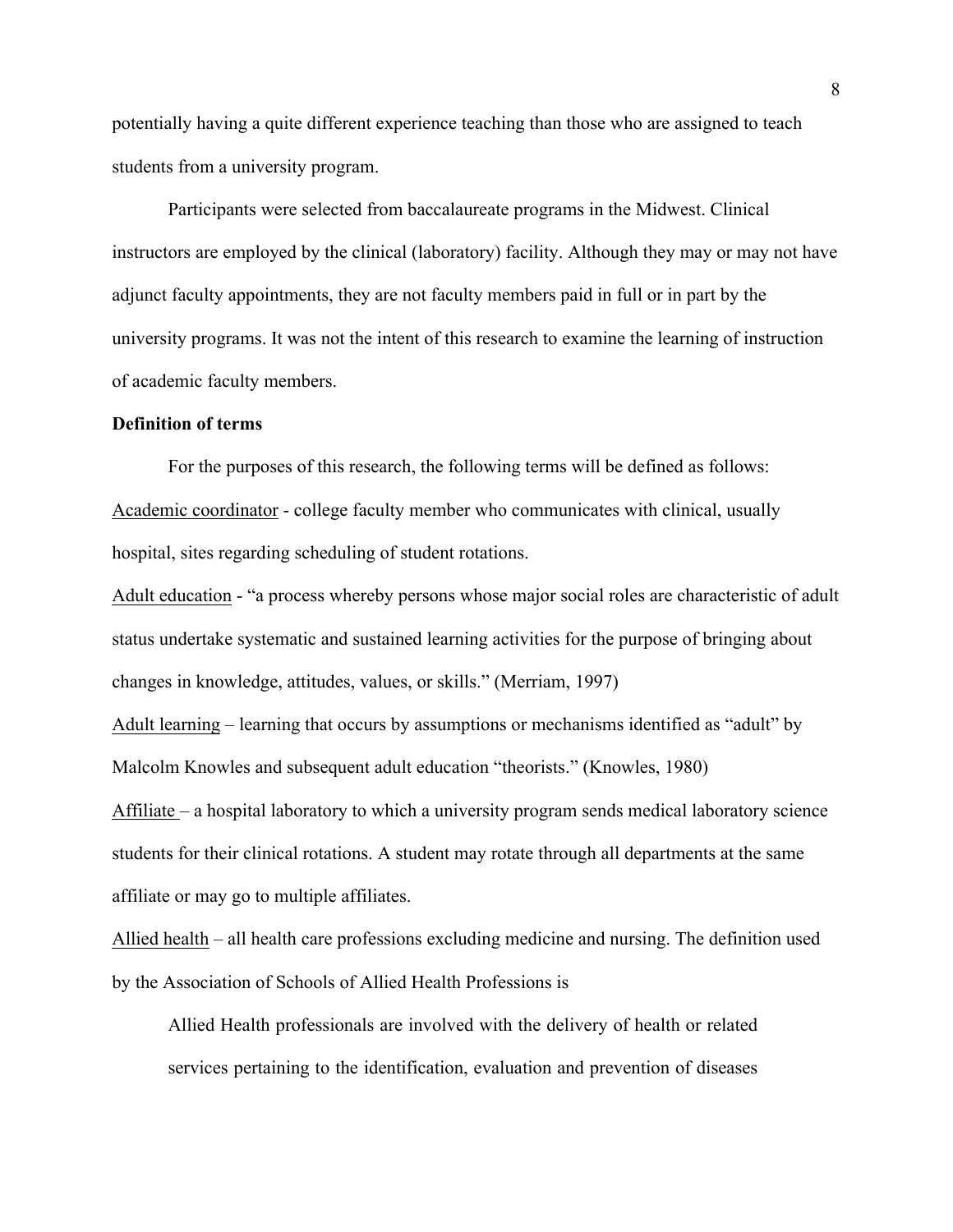potentially having a quite different experience teaching than those who are assigned to teach students from a university program.

Participants were selected from baccalaureate programs in the Midwest. Clinical instructors are employed by the clinical (laboratory) facility. Although they may or may not have adjunct faculty appointments, they are not faculty members paid in full or in part by the university programs. It was not the intent of this research to examine the learning of instruction of academic faculty members.

#### **Definition of terms**

 For the purposes of this research, the following terms will be defined as follows: Academic coordinator - college faculty member who communicates with clinical, usually hospital, sites regarding scheduling of student rotations.

Adult education - "a process whereby persons whose major social roles are characteristic of adult status undertake systematic and sustained learning activities for the purpose of bringing about changes in knowledge, attitudes, values, or skills." (Merriam, 1997)

Adult learning – learning that occurs by assumptions or mechanisms identified as "adult" by Malcolm Knowles and subsequent adult education "theorists." (Knowles, 1980)

Affiliate – a hospital laboratory to which a university program sends medical laboratory science students for their clinical rotations. A student may rotate through all departments at the same affiliate or may go to multiple affiliates.

Allied health – all health care professions excluding medicine and nursing. The definition used by the Association of Schools of Allied Health Professions is

Allied Health professionals are involved with the delivery of health or related services pertaining to the identification, evaluation and prevention of diseases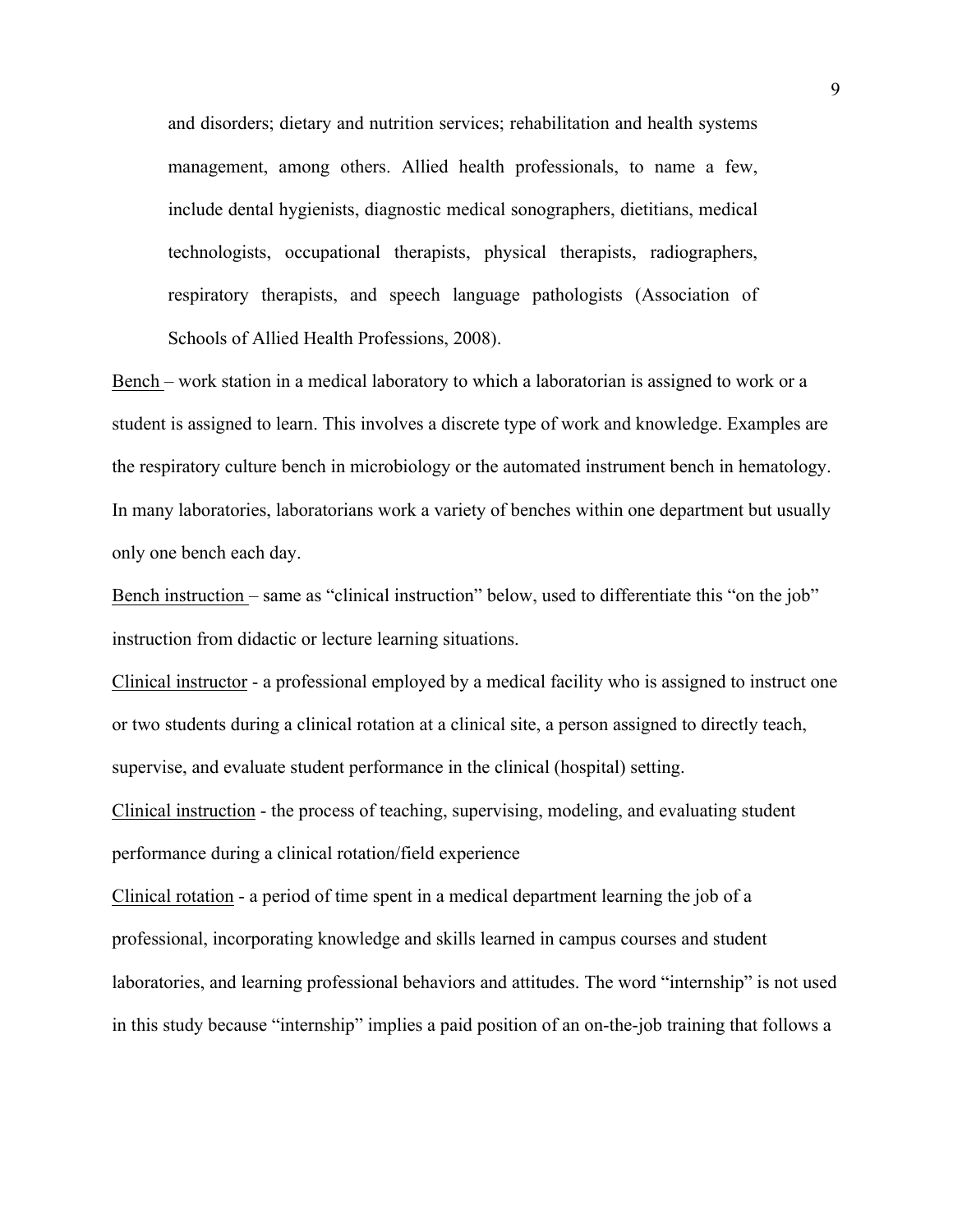and disorders; dietary and nutrition services; rehabilitation and health systems management, among others. Allied health professionals, to name a few, include dental hygienists, diagnostic medical sonographers, dietitians, medical technologists, occupational therapists, physical therapists, radiographers, respiratory therapists, and speech language pathologists (Association of Schools of Allied Health Professions, 2008).

Bench – work station in a medical laboratory to which a laboratorian is assigned to work or a student is assigned to learn. This involves a discrete type of work and knowledge. Examples are the respiratory culture bench in microbiology or the automated instrument bench in hematology. In many laboratories, laboratorians work a variety of benches within one department but usually only one bench each day.

Bench instruction – same as "clinical instruction" below, used to differentiate this "on the job" instruction from didactic or lecture learning situations.

Clinical instructor - a professional employed by a medical facility who is assigned to instruct one or two students during a clinical rotation at a clinical site, a person assigned to directly teach, supervise, and evaluate student performance in the clinical (hospital) setting.

Clinical instruction - the process of teaching, supervising, modeling, and evaluating student performance during a clinical rotation/field experience

Clinical rotation - a period of time spent in a medical department learning the job of a professional, incorporating knowledge and skills learned in campus courses and student laboratories, and learning professional behaviors and attitudes. The word "internship" is not used in this study because "internship" implies a paid position of an on-the-job training that follows a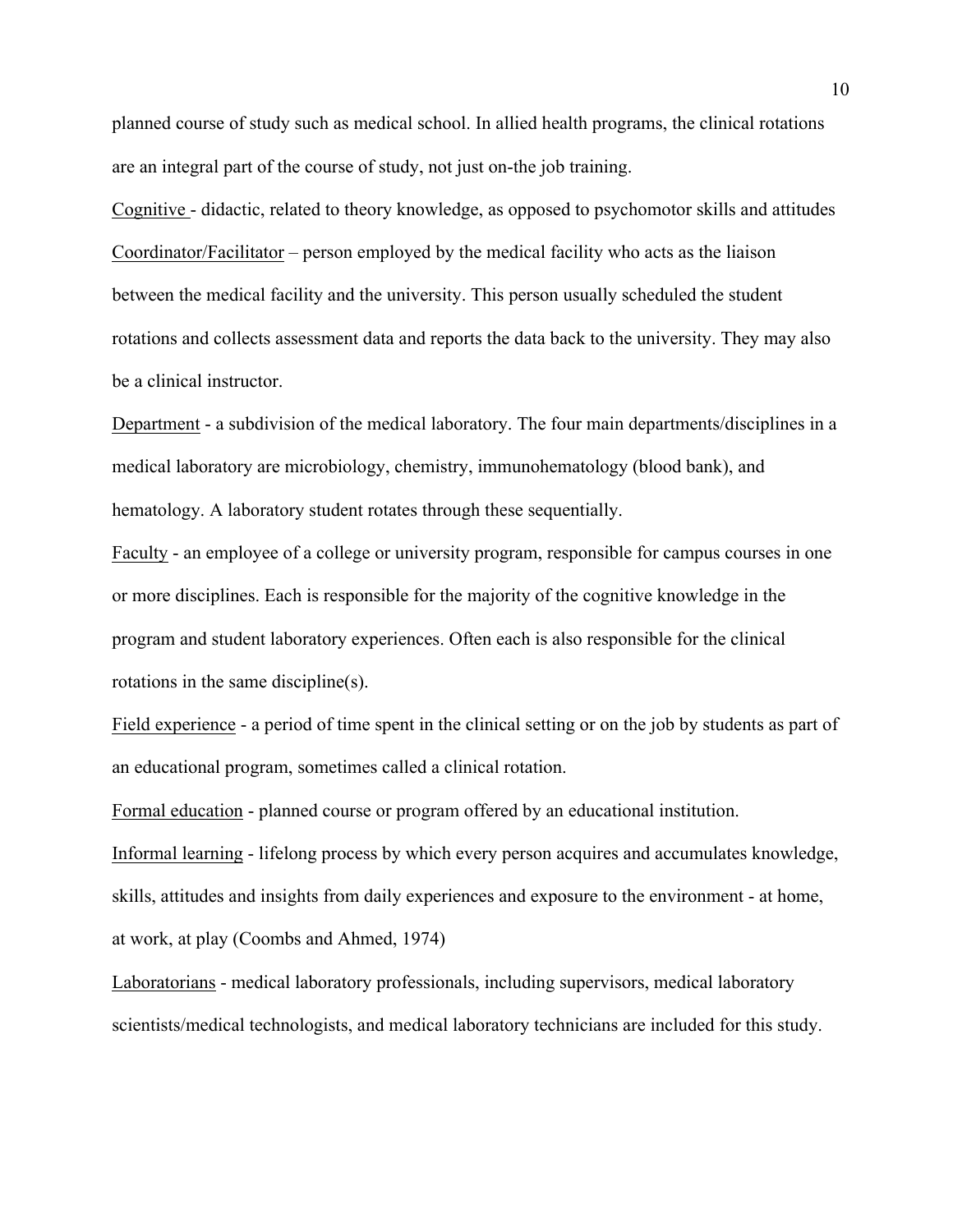planned course of study such as medical school. In allied health programs, the clinical rotations are an integral part of the course of study, not just on-the job training.

Cognitive - didactic, related to theory knowledge, as opposed to psychomotor skills and attitudes Coordinator/Facilitator – person employed by the medical facility who acts as the liaison between the medical facility and the university. This person usually scheduled the student rotations and collects assessment data and reports the data back to the university. They may also be a clinical instructor.

Department - a subdivision of the medical laboratory. The four main departments/disciplines in a medical laboratory are microbiology, chemistry, immunohematology (blood bank), and hematology. A laboratory student rotates through these sequentially.

Faculty - an employee of a college or university program, responsible for campus courses in one or more disciplines. Each is responsible for the majority of the cognitive knowledge in the program and student laboratory experiences. Often each is also responsible for the clinical rotations in the same discipline(s).

Field experience - a period of time spent in the clinical setting or on the job by students as part of an educational program, sometimes called a clinical rotation.

Formal education - planned course or program offered by an educational institution.

Informal learning - lifelong process by which every person acquires and accumulates knowledge, skills, attitudes and insights from daily experiences and exposure to the environment - at home, at work, at play (Coombs and Ahmed, 1974)

Laboratorians - medical laboratory professionals, including supervisors, medical laboratory scientists/medical technologists, and medical laboratory technicians are included for this study.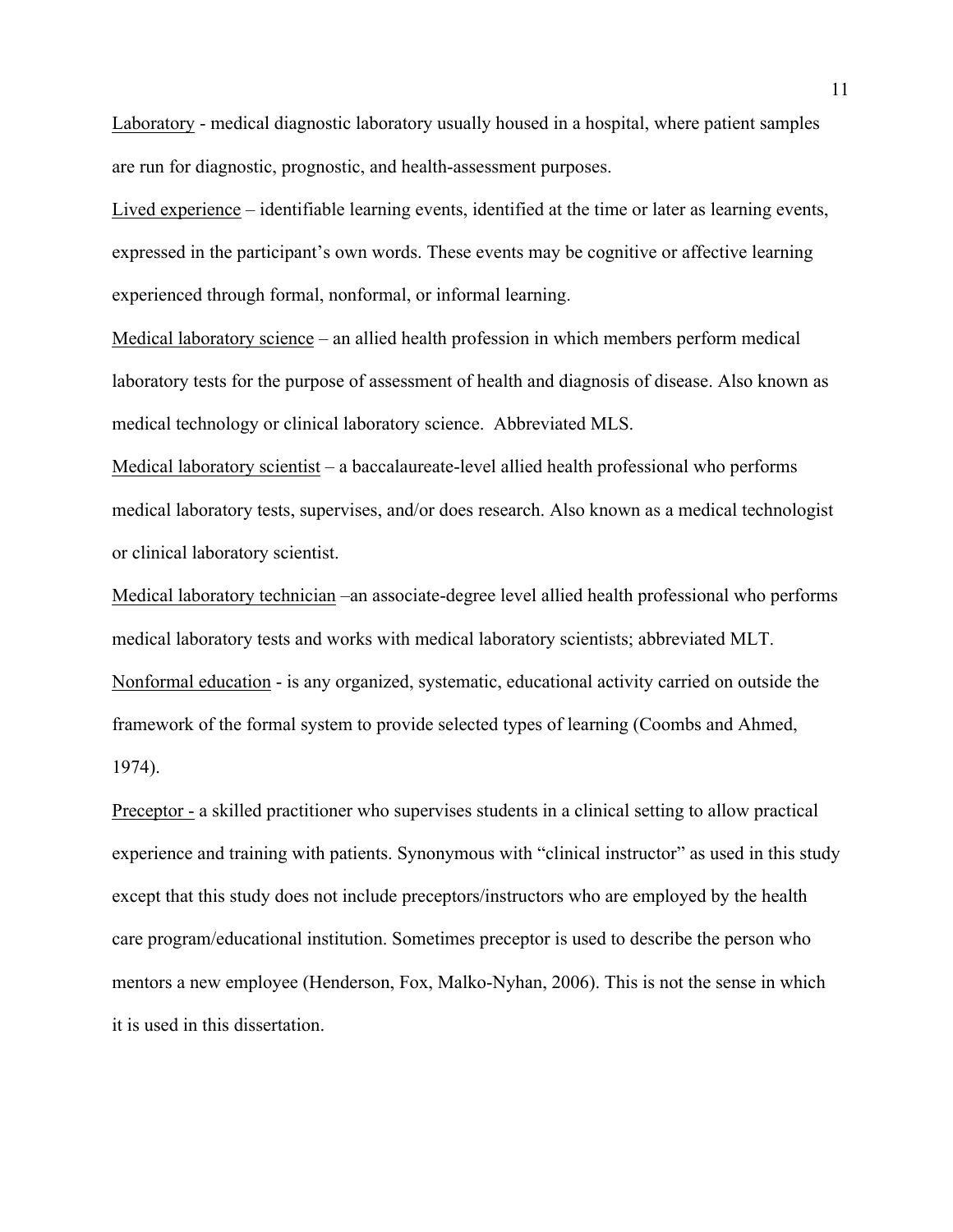Laboratory - medical diagnostic laboratory usually housed in a hospital, where patient samples are run for diagnostic, prognostic, and health-assessment purposes.

Lived experience – identifiable learning events, identified at the time or later as learning events, expressed in the participant's own words. These events may be cognitive or affective learning experienced through formal, nonformal, or informal learning.

Medical laboratory science – an allied health profession in which members perform medical laboratory tests for the purpose of assessment of health and diagnosis of disease. Also known as medical technology or clinical laboratory science. Abbreviated MLS.

Medical laboratory scientist – a baccalaureate-level allied health professional who performs medical laboratory tests, supervises, and/or does research. Also known as a medical technologist or clinical laboratory scientist.

Medical laboratory technician –an associate-degree level allied health professional who performs medical laboratory tests and works with medical laboratory scientists; abbreviated MLT. Nonformal education - is any organized, systematic, educational activity carried on outside the framework of the formal system to provide selected types of learning (Coombs and Ahmed, 1974).

Preceptor - a skilled practitioner who supervises students in a clinical setting to allow practical experience and training with patients. Synonymous with "clinical instructor" as used in this study except that this study does not include preceptors/instructors who are employed by the health care program/educational institution. Sometimes preceptor is used to describe the person who mentors a new employee (Henderson, Fox, Malko-Nyhan, 2006). This is not the sense in which it is used in this dissertation.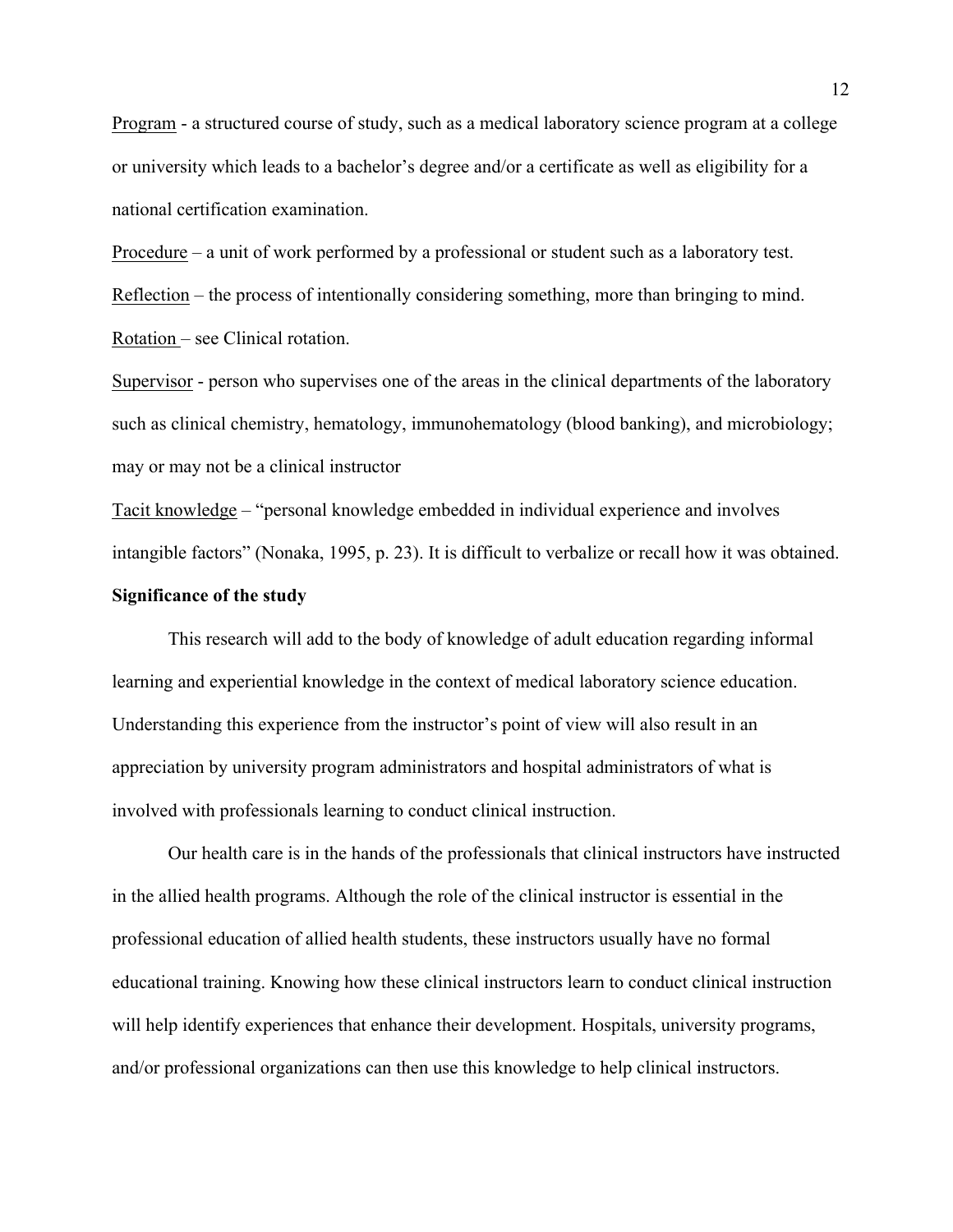Program - a structured course of study, such as a medical laboratory science program at a college or university which leads to a bachelor's degree and/or a certificate as well as eligibility for a national certification examination.

Procedure – a unit of work performed by a professional or student such as a laboratory test. Reflection – the process of intentionally considering something, more than bringing to mind. Rotation – see Clinical rotation.

Supervisor - person who supervises one of the areas in the clinical departments of the laboratory such as clinical chemistry, hematology, immunohematology (blood banking), and microbiology; may or may not be a clinical instructor

Tacit knowledge – "personal knowledge embedded in individual experience and involves intangible factors" (Nonaka, 1995, p. 23). It is difficult to verbalize or recall how it was obtained. **Significance of the study** 

 This research will add to the body of knowledge of adult education regarding informal learning and experiential knowledge in the context of medical laboratory science education. Understanding this experience from the instructor's point of view will also result in an appreciation by university program administrators and hospital administrators of what is involved with professionals learning to conduct clinical instruction.

 Our health care is in the hands of the professionals that clinical instructors have instructed in the allied health programs. Although the role of the clinical instructor is essential in the professional education of allied health students, these instructors usually have no formal educational training. Knowing how these clinical instructors learn to conduct clinical instruction will help identify experiences that enhance their development. Hospitals, university programs, and/or professional organizations can then use this knowledge to help clinical instructors.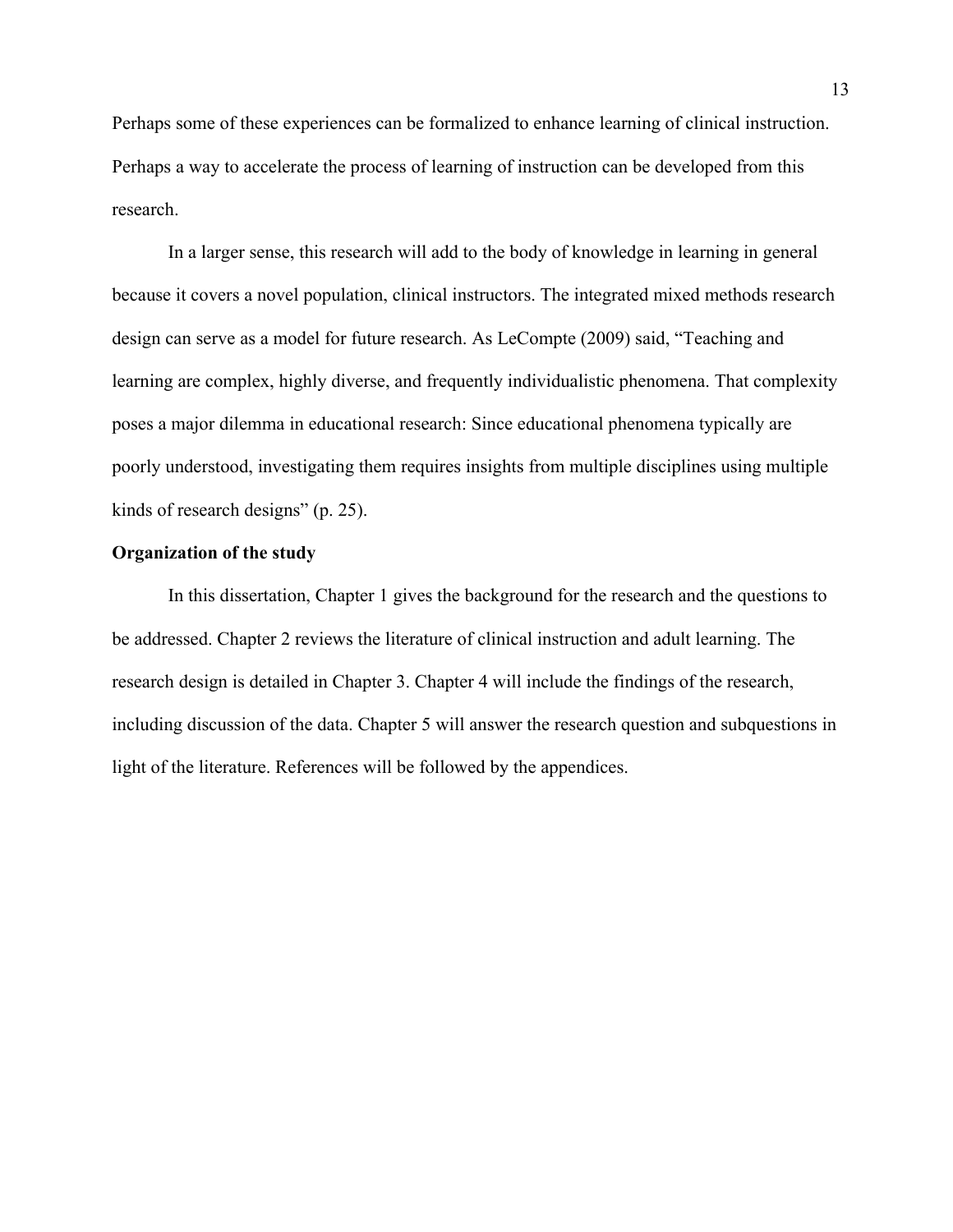Perhaps some of these experiences can be formalized to enhance learning of clinical instruction. Perhaps a way to accelerate the process of learning of instruction can be developed from this research.

 In a larger sense, this research will add to the body of knowledge in learning in general because it covers a novel population, clinical instructors. The integrated mixed methods research design can serve as a model for future research. As LeCompte (2009) said, "Teaching and learning are complex, highly diverse, and frequently individualistic phenomena. That complexity poses a major dilemma in educational research: Since educational phenomena typically are poorly understood, investigating them requires insights from multiple disciplines using multiple kinds of research designs" (p. 25).

#### **Organization of the study**

 In this dissertation, Chapter 1 gives the background for the research and the questions to be addressed. Chapter 2 reviews the literature of clinical instruction and adult learning. The research design is detailed in Chapter 3. Chapter 4 will include the findings of the research, including discussion of the data. Chapter 5 will answer the research question and subquestions in light of the literature. References will be followed by the appendices.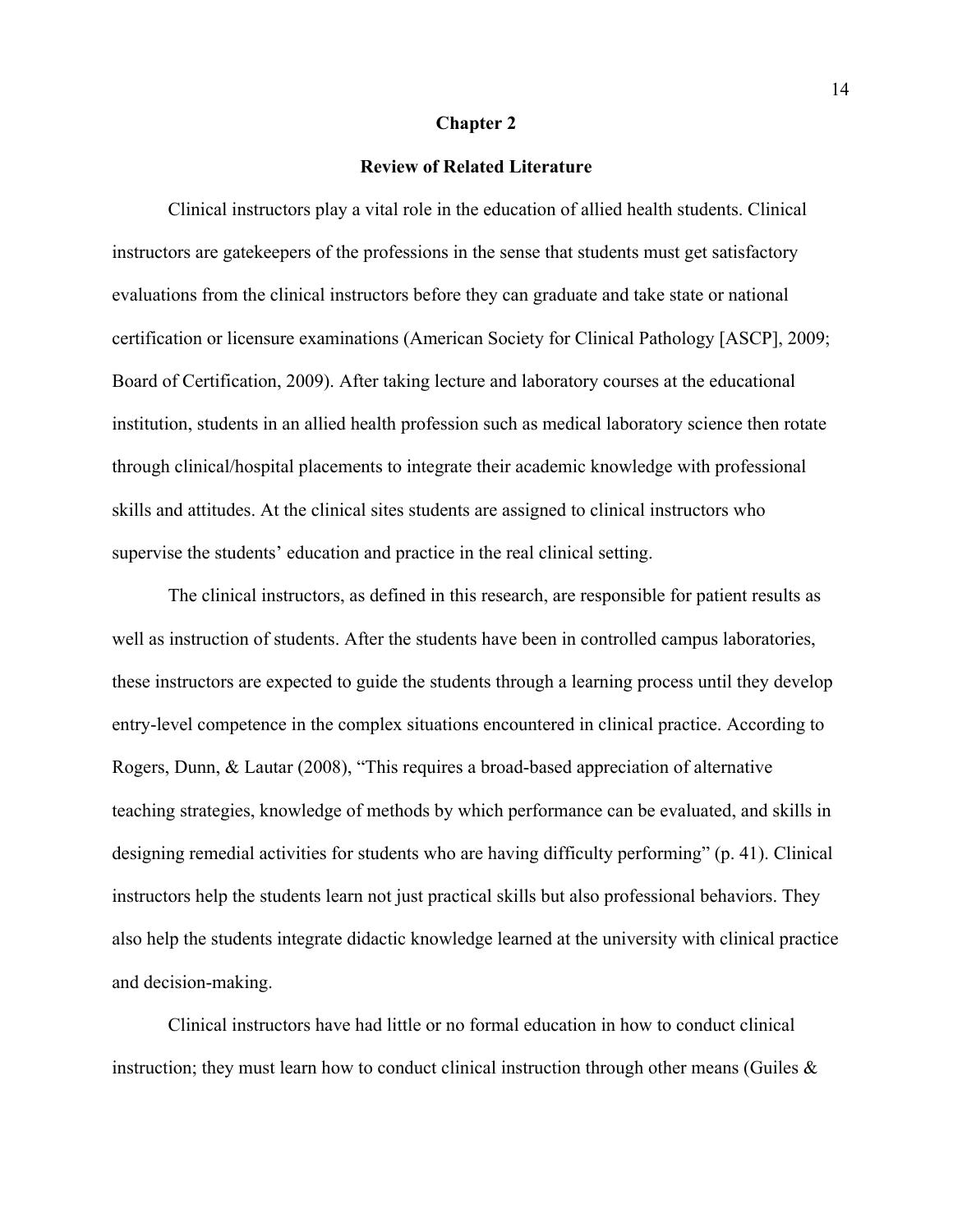#### **Chapter 2**

#### **Review of Related Literature**

 Clinical instructors play a vital role in the education of allied health students. Clinical instructors are gatekeepers of the professions in the sense that students must get satisfactory evaluations from the clinical instructors before they can graduate and take state or national certification or licensure examinations (American Society for Clinical Pathology [ASCP], 2009; Board of Certification, 2009). After taking lecture and laboratory courses at the educational institution, students in an allied health profession such as medical laboratory science then rotate through clinical/hospital placements to integrate their academic knowledge with professional skills and attitudes. At the clinical sites students are assigned to clinical instructors who supervise the students' education and practice in the real clinical setting.

 The clinical instructors, as defined in this research, are responsible for patient results as well as instruction of students. After the students have been in controlled campus laboratories, these instructors are expected to guide the students through a learning process until they develop entry-level competence in the complex situations encountered in clinical practice. According to Rogers, Dunn, & Lautar (2008), "This requires a broad-based appreciation of alternative teaching strategies, knowledge of methods by which performance can be evaluated, and skills in designing remedial activities for students who are having difficulty performing" (p. 41). Clinical instructors help the students learn not just practical skills but also professional behaviors. They also help the students integrate didactic knowledge learned at the university with clinical practice and decision-making.

 Clinical instructors have had little or no formal education in how to conduct clinical instruction; they must learn how to conduct clinical instruction through other means (Guiles  $\&$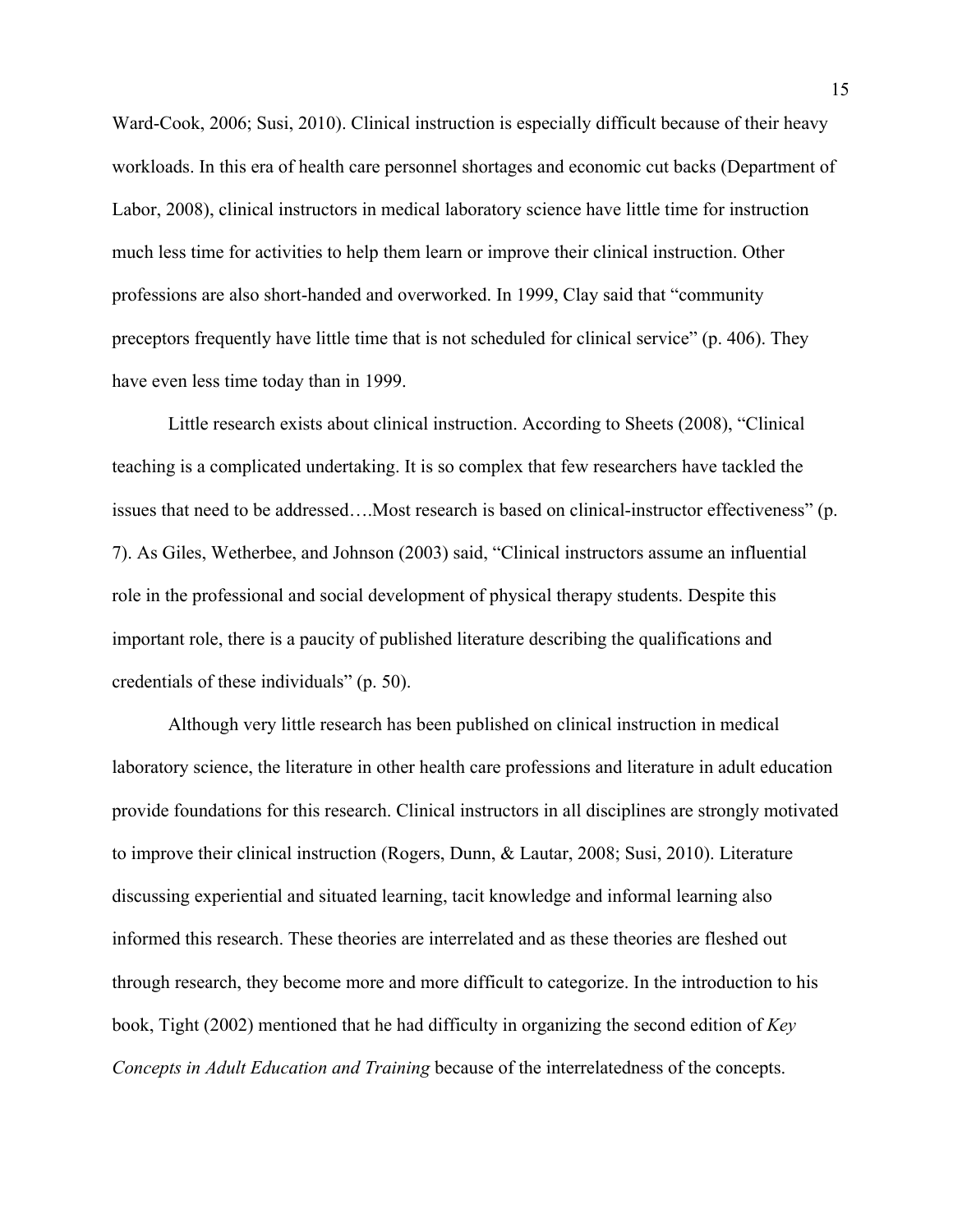Ward-Cook, 2006; Susi, 2010). Clinical instruction is especially difficult because of their heavy workloads. In this era of health care personnel shortages and economic cut backs (Department of Labor, 2008), clinical instructors in medical laboratory science have little time for instruction much less time for activities to help them learn or improve their clinical instruction. Other professions are also short-handed and overworked. In 1999, Clay said that "community preceptors frequently have little time that is not scheduled for clinical service" (p. 406). They have even less time today than in 1999.

 Little research exists about clinical instruction. According to Sheets (2008), "Clinical teaching is a complicated undertaking. It is so complex that few researchers have tackled the issues that need to be addressed….Most research is based on clinical-instructor effectiveness" (p. 7). As Giles, Wetherbee, and Johnson (2003) said, "Clinical instructors assume an influential role in the professional and social development of physical therapy students. Despite this important role, there is a paucity of published literature describing the qualifications and credentials of these individuals" (p. 50).

 Although very little research has been published on clinical instruction in medical laboratory science, the literature in other health care professions and literature in adult education provide foundations for this research. Clinical instructors in all disciplines are strongly motivated to improve their clinical instruction (Rogers, Dunn, & Lautar, 2008; Susi, 2010). Literature discussing experiential and situated learning, tacit knowledge and informal learning also informed this research. These theories are interrelated and as these theories are fleshed out through research, they become more and more difficult to categorize. In the introduction to his book, Tight (2002) mentioned that he had difficulty in organizing the second edition of *Key Concepts in Adult Education and Training* because of the interrelatedness of the concepts.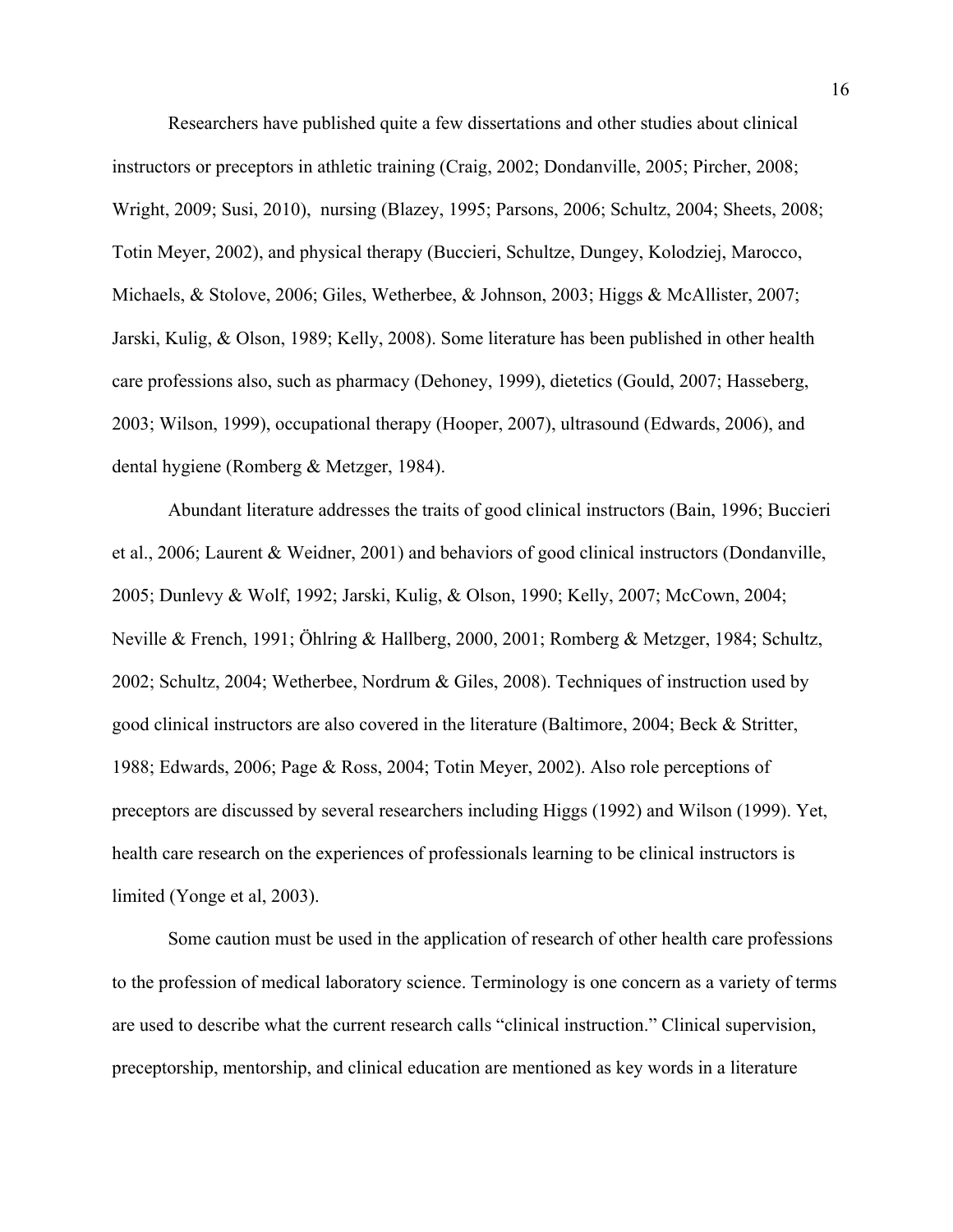Researchers have published quite a few dissertations and other studies about clinical instructors or preceptors in athletic training (Craig, 2002; Dondanville, 2005; Pircher, 2008; Wright, 2009; Susi, 2010), nursing (Blazey, 1995; Parsons, 2006; Schultz, 2004; Sheets, 2008; Totin Meyer, 2002), and physical therapy (Buccieri, Schultze, Dungey, Kolodziej, Marocco, Michaels, & Stolove, 2006; Giles, Wetherbee, & Johnson, 2003; Higgs & McAllister, 2007; Jarski, Kulig, & Olson, 1989; Kelly, 2008). Some literature has been published in other health care professions also, such as pharmacy (Dehoney, 1999), dietetics (Gould, 2007; Hasseberg, 2003; Wilson, 1999), occupational therapy (Hooper, 2007), ultrasound (Edwards, 2006), and dental hygiene (Romberg & Metzger, 1984).

 Abundant literature addresses the traits of good clinical instructors (Bain, 1996; Buccieri et al., 2006; Laurent & Weidner, 2001) and behaviors of good clinical instructors (Dondanville, 2005; Dunlevy & Wolf, 1992; Jarski, Kulig, & Olson, 1990; Kelly, 2007; McCown, 2004; Neville & French, 1991; Öhlring & Hallberg, 2000, 2001; Romberg & Metzger, 1984; Schultz, 2002; Schultz, 2004; Wetherbee, Nordrum & Giles, 2008). Techniques of instruction used by good clinical instructors are also covered in the literature (Baltimore, 2004; Beck & Stritter, 1988; Edwards, 2006; Page & Ross, 2004; Totin Meyer, 2002). Also role perceptions of preceptors are discussed by several researchers including Higgs (1992) and Wilson (1999). Yet, health care research on the experiences of professionals learning to be clinical instructors is limited (Yonge et al, 2003).

 Some caution must be used in the application of research of other health care professions to the profession of medical laboratory science. Terminology is one concern as a variety of terms are used to describe what the current research calls "clinical instruction." Clinical supervision, preceptorship, mentorship, and clinical education are mentioned as key words in a literature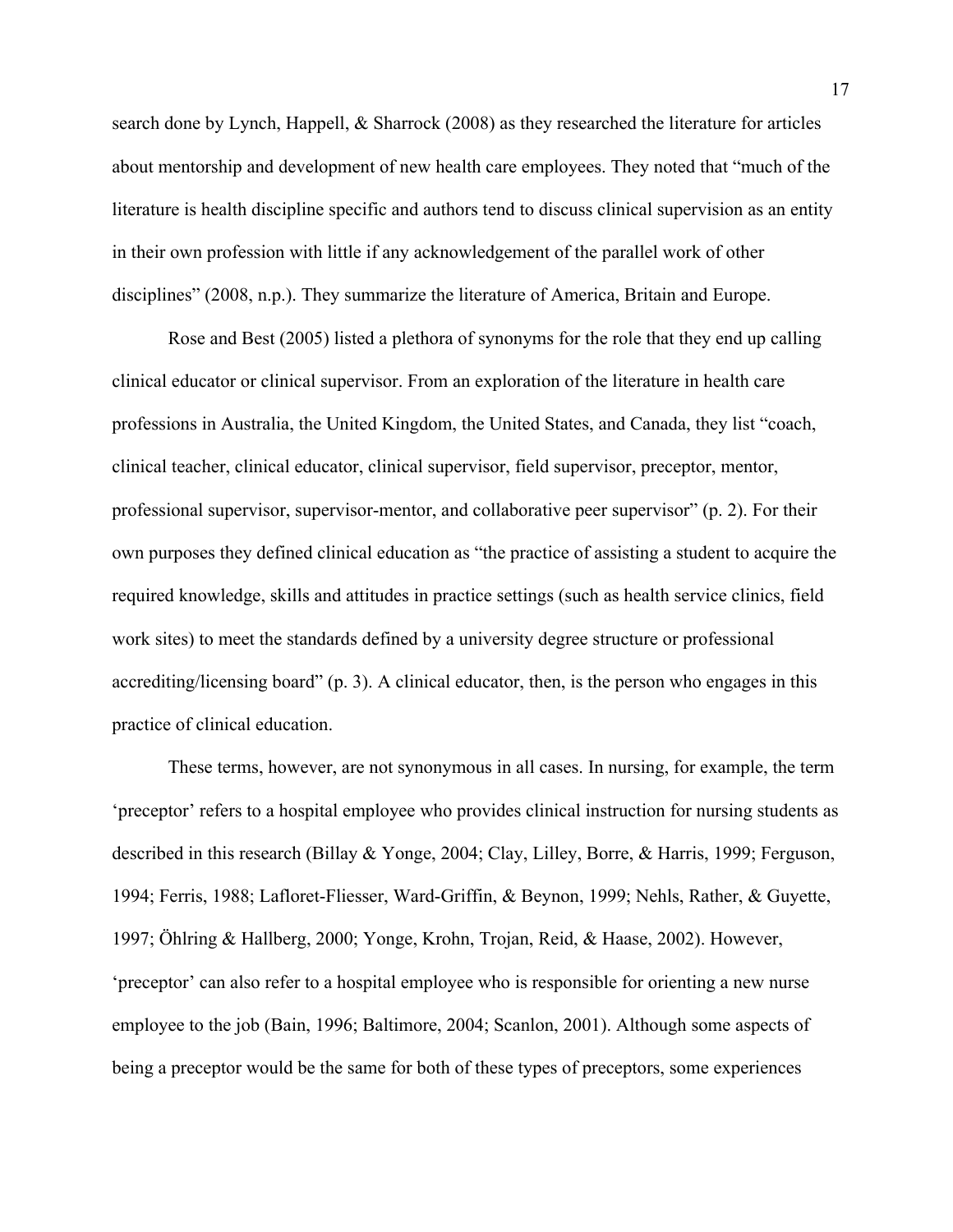search done by Lynch, Happell, & Sharrock (2008) as they researched the literature for articles about mentorship and development of new health care employees. They noted that "much of the literature is health discipline specific and authors tend to discuss clinical supervision as an entity in their own profession with little if any acknowledgement of the parallel work of other disciplines" (2008, n.p.). They summarize the literature of America, Britain and Europe.

 Rose and Best (2005) listed a plethora of synonyms for the role that they end up calling clinical educator or clinical supervisor. From an exploration of the literature in health care professions in Australia, the United Kingdom, the United States, and Canada, they list "coach, clinical teacher, clinical educator, clinical supervisor, field supervisor, preceptor, mentor, professional supervisor, supervisor-mentor, and collaborative peer supervisor" (p. 2). For their own purposes they defined clinical education as "the practice of assisting a student to acquire the required knowledge, skills and attitudes in practice settings (such as health service clinics, field work sites) to meet the standards defined by a university degree structure or professional accrediting/licensing board" (p. 3). A clinical educator, then, is the person who engages in this practice of clinical education.

 These terms, however, are not synonymous in all cases. In nursing, for example, the term 'preceptor' refers to a hospital employee who provides clinical instruction for nursing students as described in this research (Billay & Yonge, 2004; Clay, Lilley, Borre, & Harris, 1999; Ferguson, 1994; Ferris, 1988; Lafloret-Fliesser, Ward-Griffin, & Beynon, 1999; Nehls, Rather, & Guyette, 1997; Öhlring & Hallberg, 2000; Yonge, Krohn, Trojan, Reid, & Haase, 2002). However, 'preceptor' can also refer to a hospital employee who is responsible for orienting a new nurse employee to the job (Bain, 1996; Baltimore, 2004; Scanlon, 2001). Although some aspects of being a preceptor would be the same for both of these types of preceptors, some experiences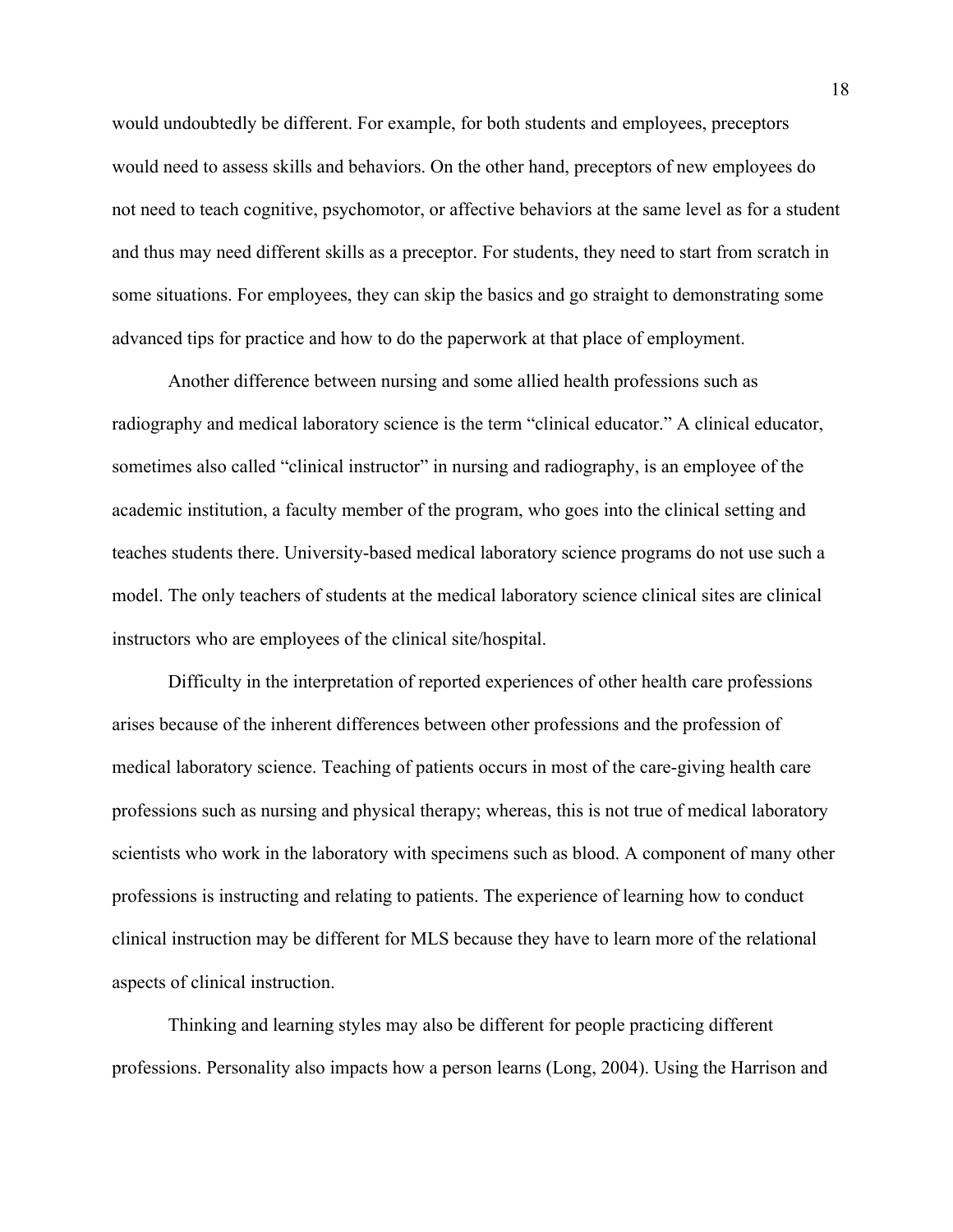would undoubtedly be different. For example, for both students and employees, preceptors would need to assess skills and behaviors. On the other hand, preceptors of new employees do not need to teach cognitive, psychomotor, or affective behaviors at the same level as for a student and thus may need different skills as a preceptor. For students, they need to start from scratch in some situations. For employees, they can skip the basics and go straight to demonstrating some advanced tips for practice and how to do the paperwork at that place of employment.

 Another difference between nursing and some allied health professions such as radiography and medical laboratory science is the term "clinical educator." A clinical educator, sometimes also called "clinical instructor" in nursing and radiography, is an employee of the academic institution, a faculty member of the program, who goes into the clinical setting and teaches students there. University-based medical laboratory science programs do not use such a model. The only teachers of students at the medical laboratory science clinical sites are clinical instructors who are employees of the clinical site/hospital.

Difficulty in the interpretation of reported experiences of other health care professions arises because of the inherent differences between other professions and the profession of medical laboratory science. Teaching of patients occurs in most of the care-giving health care professions such as nursing and physical therapy; whereas, this is not true of medical laboratory scientists who work in the laboratory with specimens such as blood. A component of many other professions is instructing and relating to patients. The experience of learning how to conduct clinical instruction may be different for MLS because they have to learn more of the relational aspects of clinical instruction.

Thinking and learning styles may also be different for people practicing different professions. Personality also impacts how a person learns (Long, 2004). Using the Harrison and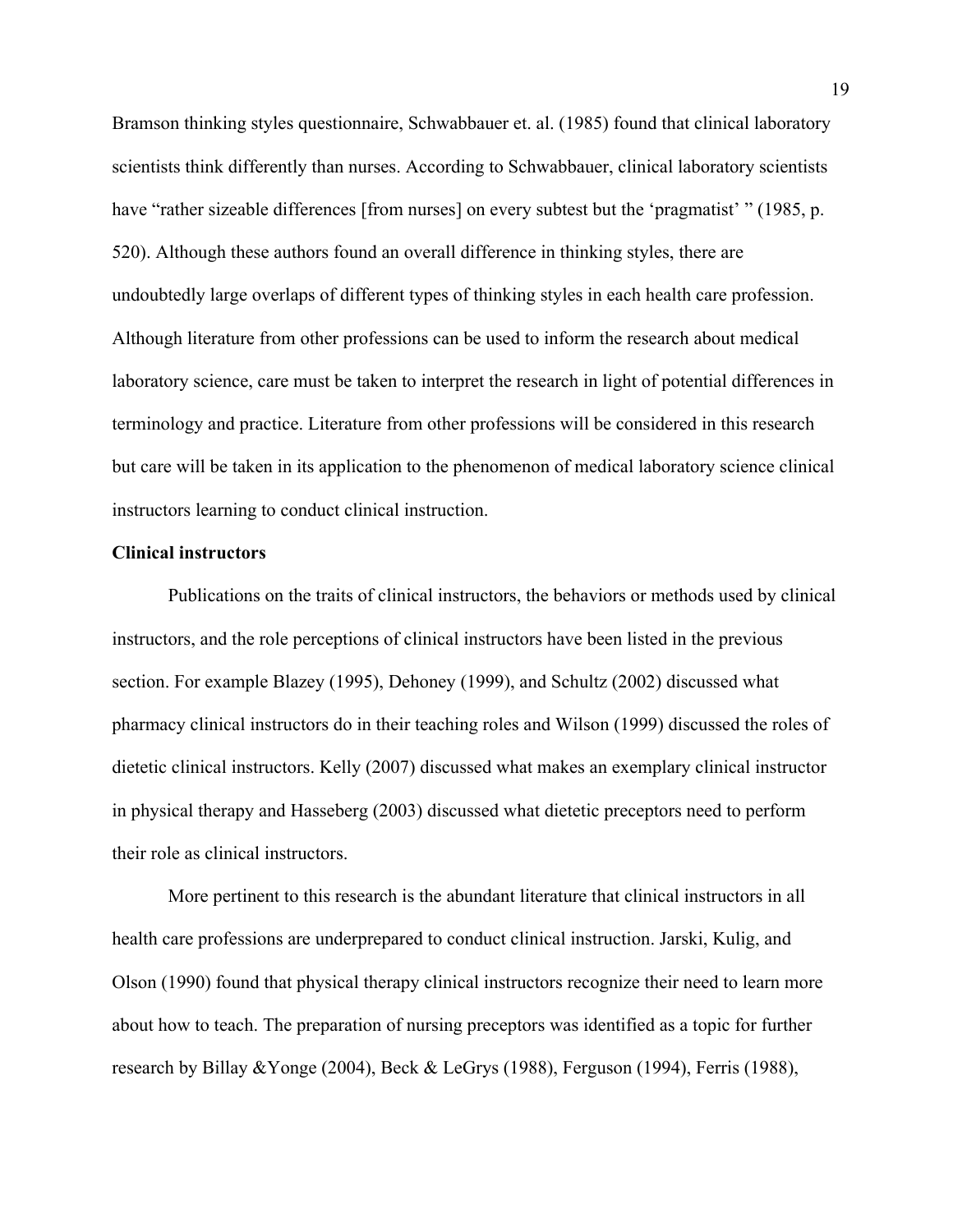Bramson thinking styles questionnaire, Schwabbauer et. al. (1985) found that clinical laboratory scientists think differently than nurses. According to Schwabbauer, clinical laboratory scientists have "rather sizeable differences [from nurses] on every subtest but the 'pragmatist' " (1985, p. 520). Although these authors found an overall difference in thinking styles, there are undoubtedly large overlaps of different types of thinking styles in each health care profession. Although literature from other professions can be used to inform the research about medical laboratory science, care must be taken to interpret the research in light of potential differences in terminology and practice. Literature from other professions will be considered in this research but care will be taken in its application to the phenomenon of medical laboratory science clinical instructors learning to conduct clinical instruction.

#### **Clinical instructors**

 Publications on the traits of clinical instructors, the behaviors or methods used by clinical instructors, and the role perceptions of clinical instructors have been listed in the previous section. For example Blazey (1995), Dehoney (1999), and Schultz (2002) discussed what pharmacy clinical instructors do in their teaching roles and Wilson (1999) discussed the roles of dietetic clinical instructors. Kelly (2007) discussed what makes an exemplary clinical instructor in physical therapy and Hasseberg (2003) discussed what dietetic preceptors need to perform their role as clinical instructors.

 More pertinent to this research is the abundant literature that clinical instructors in all health care professions are underprepared to conduct clinical instruction. Jarski, Kulig, and Olson (1990) found that physical therapy clinical instructors recognize their need to learn more about how to teach. The preparation of nursing preceptors was identified as a topic for further research by Billay &Yonge (2004), Beck & LeGrys (1988), Ferguson (1994), Ferris (1988),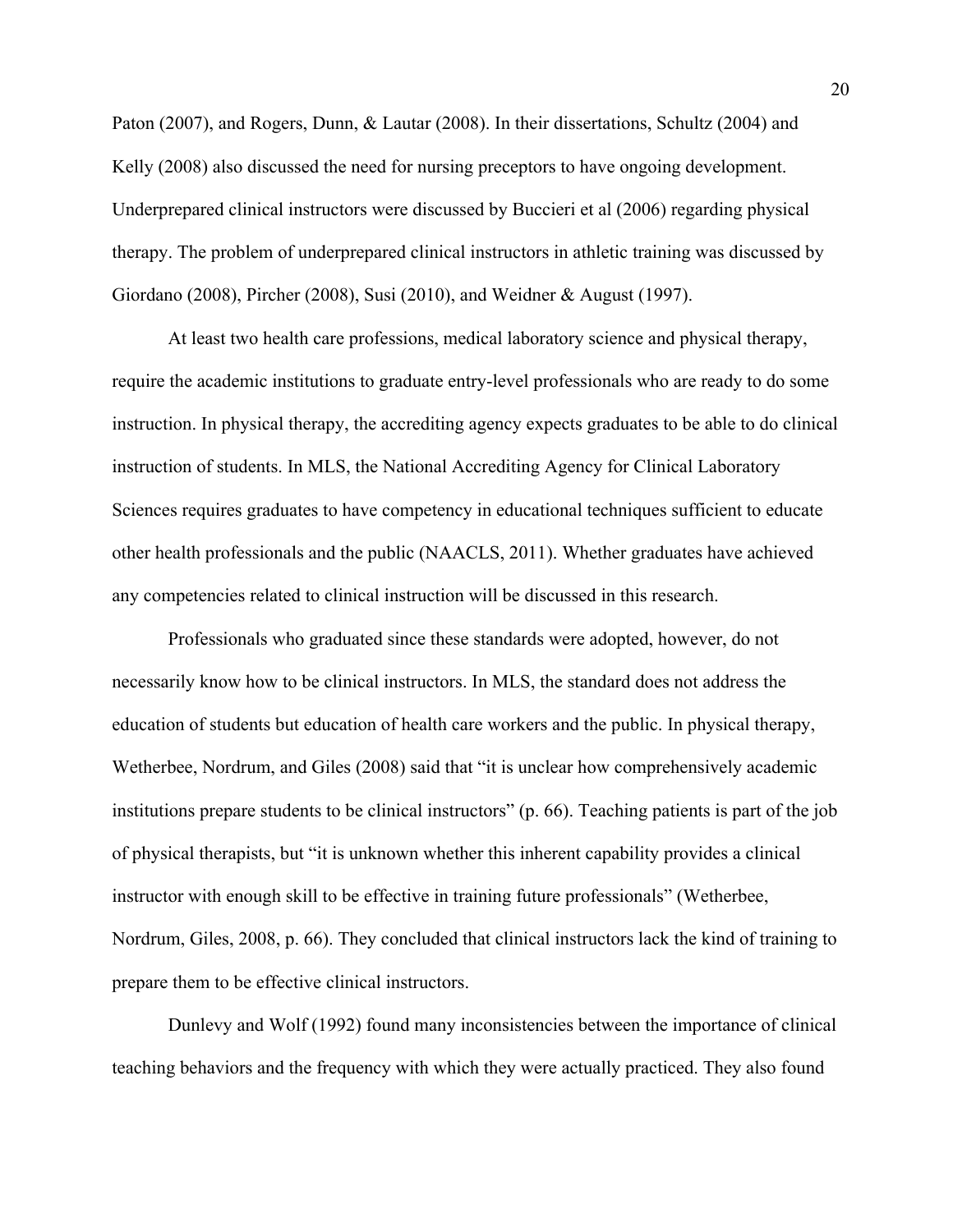Paton (2007), and Rogers, Dunn, & Lautar (2008). In their dissertations, Schultz (2004) and Kelly (2008) also discussed the need for nursing preceptors to have ongoing development. Underprepared clinical instructors were discussed by Buccieri et al (2006) regarding physical therapy. The problem of underprepared clinical instructors in athletic training was discussed by Giordano (2008), Pircher (2008), Susi (2010), and Weidner & August (1997).

 At least two health care professions, medical laboratory science and physical therapy, require the academic institutions to graduate entry-level professionals who are ready to do some instruction. In physical therapy, the accrediting agency expects graduates to be able to do clinical instruction of students. In MLS, the National Accrediting Agency for Clinical Laboratory Sciences requires graduates to have competency in educational techniques sufficient to educate other health professionals and the public (NAACLS, 2011). Whether graduates have achieved any competencies related to clinical instruction will be discussed in this research.

 Professionals who graduated since these standards were adopted, however, do not necessarily know how to be clinical instructors. In MLS, the standard does not address the education of students but education of health care workers and the public. In physical therapy, Wetherbee, Nordrum, and Giles (2008) said that "it is unclear how comprehensively academic institutions prepare students to be clinical instructors" (p. 66). Teaching patients is part of the job of physical therapists, but "it is unknown whether this inherent capability provides a clinical instructor with enough skill to be effective in training future professionals" (Wetherbee, Nordrum, Giles, 2008, p. 66). They concluded that clinical instructors lack the kind of training to prepare them to be effective clinical instructors.

 Dunlevy and Wolf (1992) found many inconsistencies between the importance of clinical teaching behaviors and the frequency with which they were actually practiced. They also found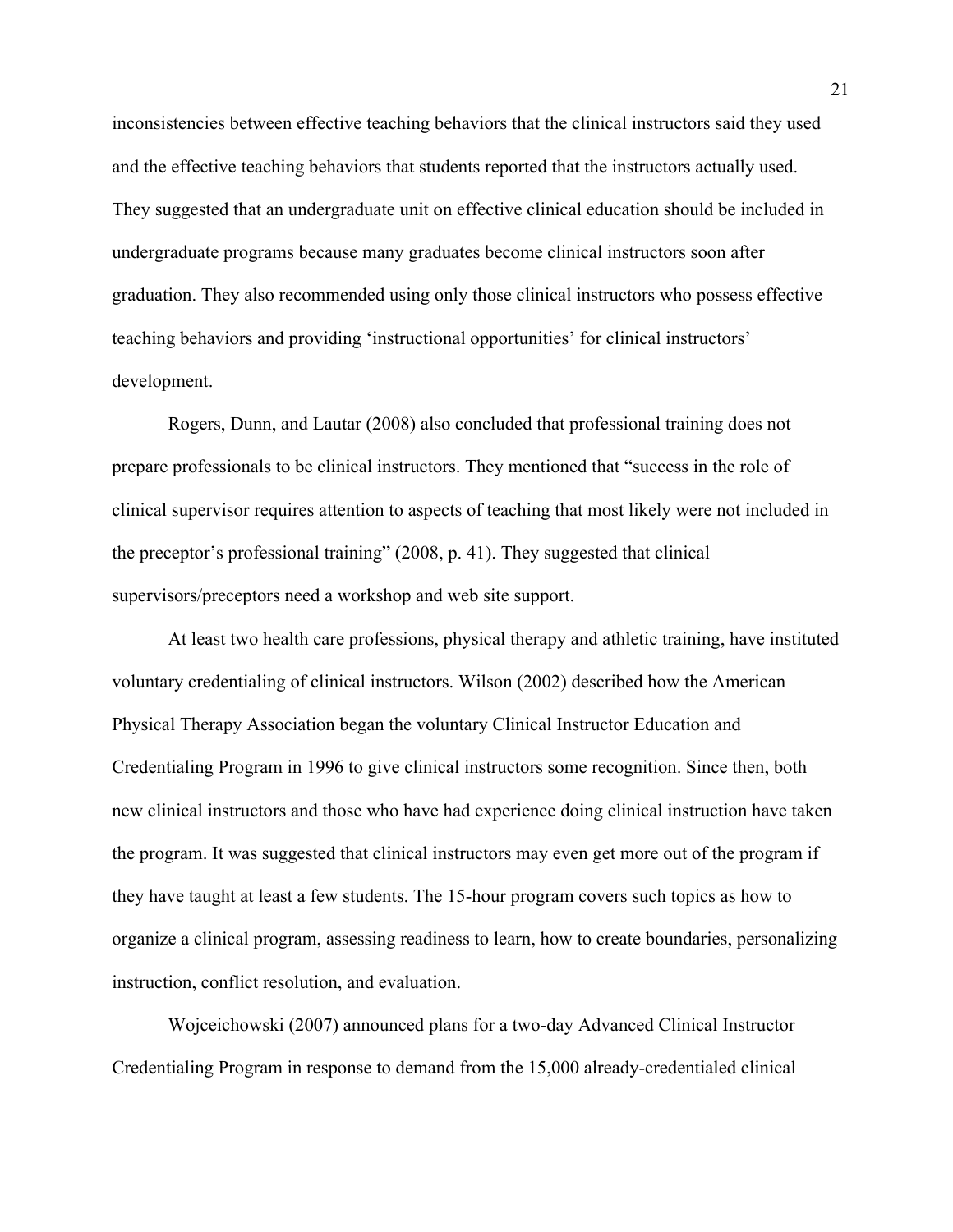inconsistencies between effective teaching behaviors that the clinical instructors said they used and the effective teaching behaviors that students reported that the instructors actually used. They suggested that an undergraduate unit on effective clinical education should be included in undergraduate programs because many graduates become clinical instructors soon after graduation. They also recommended using only those clinical instructors who possess effective teaching behaviors and providing 'instructional opportunities' for clinical instructors' development.

 Rogers, Dunn, and Lautar (2008) also concluded that professional training does not prepare professionals to be clinical instructors. They mentioned that "success in the role of clinical supervisor requires attention to aspects of teaching that most likely were not included in the preceptor's professional training" (2008, p. 41). They suggested that clinical supervisors/preceptors need a workshop and web site support.

 At least two health care professions, physical therapy and athletic training, have instituted voluntary credentialing of clinical instructors. Wilson (2002) described how the American Physical Therapy Association began the voluntary Clinical Instructor Education and Credentialing Program in 1996 to give clinical instructors some recognition. Since then, both new clinical instructors and those who have had experience doing clinical instruction have taken the program. It was suggested that clinical instructors may even get more out of the program if they have taught at least a few students. The 15-hour program covers such topics as how to organize a clinical program, assessing readiness to learn, how to create boundaries, personalizing instruction, conflict resolution, and evaluation.

 Wojceichowski (2007) announced plans for a two-day Advanced Clinical Instructor Credentialing Program in response to demand from the 15,000 already-credentialed clinical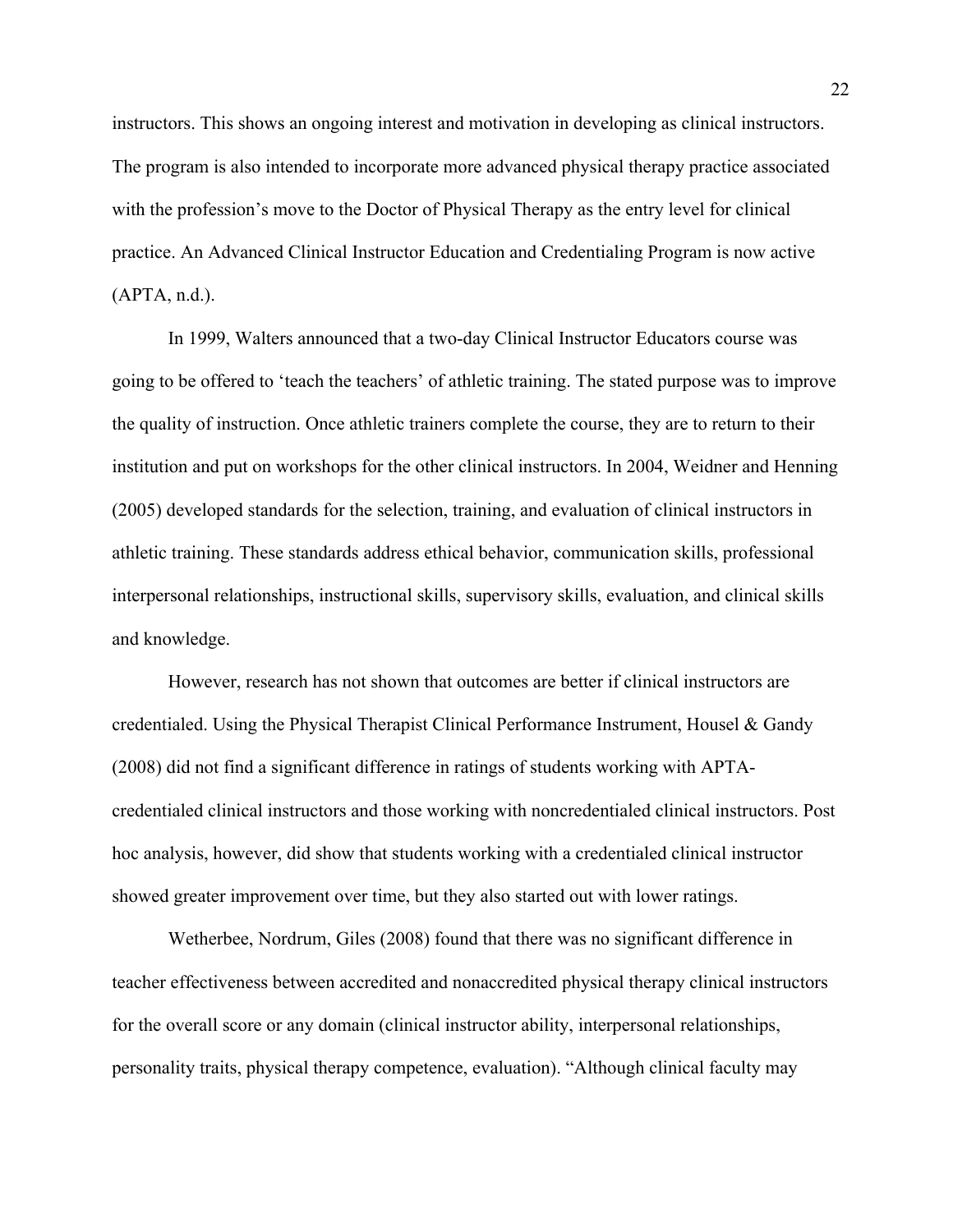instructors. This shows an ongoing interest and motivation in developing as clinical instructors. The program is also intended to incorporate more advanced physical therapy practice associated with the profession's move to the Doctor of Physical Therapy as the entry level for clinical practice. An Advanced Clinical Instructor Education and Credentialing Program is now active (APTA, n.d.).

 In 1999, Walters announced that a two-day Clinical Instructor Educators course was going to be offered to 'teach the teachers' of athletic training. The stated purpose was to improve the quality of instruction. Once athletic trainers complete the course, they are to return to their institution and put on workshops for the other clinical instructors. In 2004, Weidner and Henning (2005) developed standards for the selection, training, and evaluation of clinical instructors in athletic training. These standards address ethical behavior, communication skills, professional interpersonal relationships, instructional skills, supervisory skills, evaluation, and clinical skills and knowledge.

 However, research has not shown that outcomes are better if clinical instructors are credentialed. Using the Physical Therapist Clinical Performance Instrument, Housel & Gandy (2008) did not find a significant difference in ratings of students working with APTAcredentialed clinical instructors and those working with noncredentialed clinical instructors. Post hoc analysis, however, did show that students working with a credentialed clinical instructor showed greater improvement over time, but they also started out with lower ratings.

 Wetherbee, Nordrum, Giles (2008) found that there was no significant difference in teacher effectiveness between accredited and nonaccredited physical therapy clinical instructors for the overall score or any domain (clinical instructor ability, interpersonal relationships, personality traits, physical therapy competence, evaluation). "Although clinical faculty may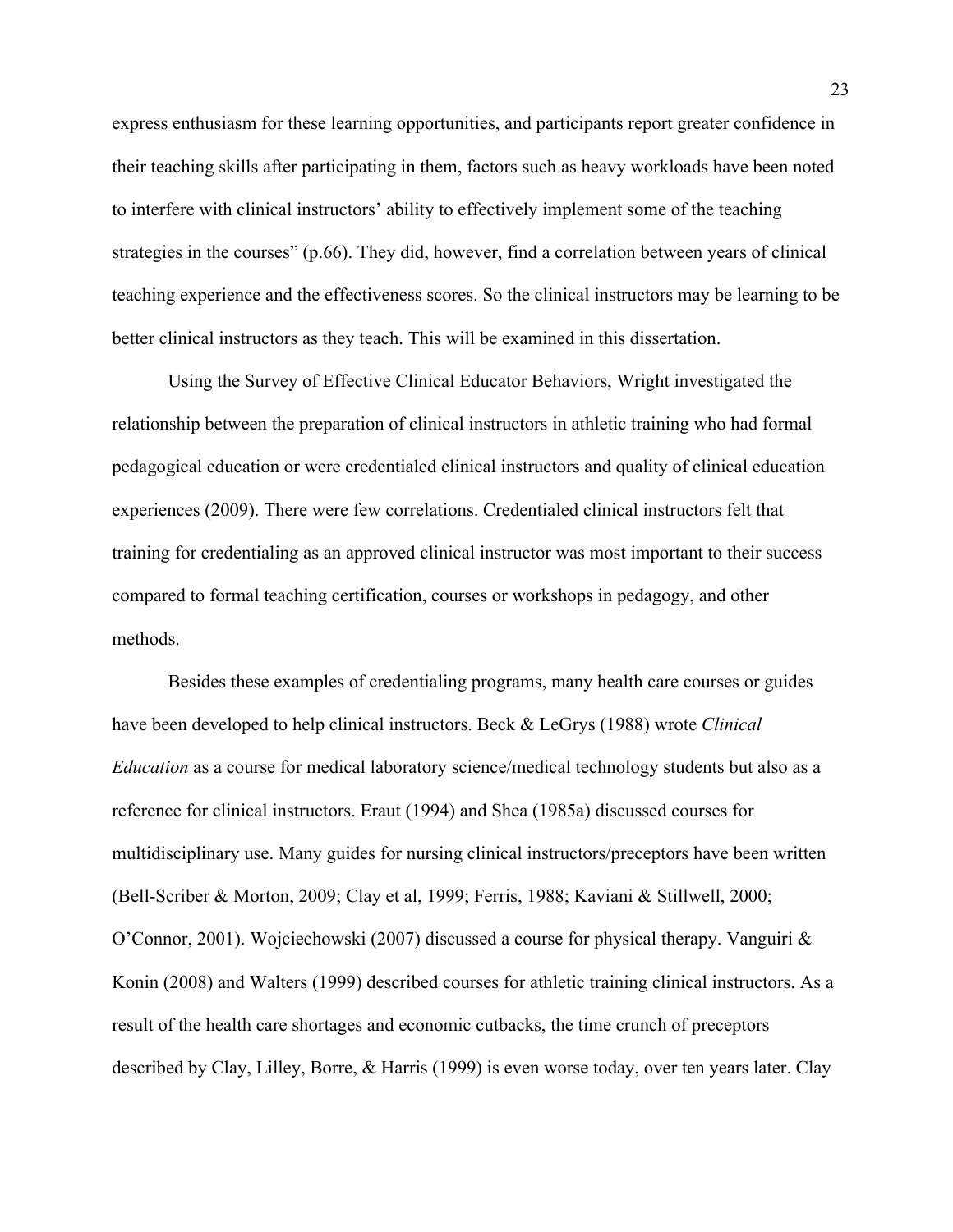express enthusiasm for these learning opportunities, and participants report greater confidence in their teaching skills after participating in them, factors such as heavy workloads have been noted to interfere with clinical instructors' ability to effectively implement some of the teaching strategies in the courses" (p.66). They did, however, find a correlation between years of clinical teaching experience and the effectiveness scores. So the clinical instructors may be learning to be better clinical instructors as they teach. This will be examined in this dissertation.

 Using the Survey of Effective Clinical Educator Behaviors, Wright investigated the relationship between the preparation of clinical instructors in athletic training who had formal pedagogical education or were credentialed clinical instructors and quality of clinical education experiences (2009). There were few correlations. Credentialed clinical instructors felt that training for credentialing as an approved clinical instructor was most important to their success compared to formal teaching certification, courses or workshops in pedagogy, and other methods.

 Besides these examples of credentialing programs, many health care courses or guides have been developed to help clinical instructors. Beck & LeGrys (1988) wrote *Clinical Education* as a course for medical laboratory science/medical technology students but also as a reference for clinical instructors. Eraut (1994) and Shea (1985a) discussed courses for multidisciplinary use. Many guides for nursing clinical instructors/preceptors have been written (Bell-Scriber & Morton, 2009; Clay et al, 1999; Ferris, 1988; Kaviani & Stillwell, 2000; O'Connor, 2001). Wojciechowski (2007) discussed a course for physical therapy. Vanguiri & Konin (2008) and Walters (1999) described courses for athletic training clinical instructors. As a result of the health care shortages and economic cutbacks, the time crunch of preceptors described by Clay, Lilley, Borre, & Harris (1999) is even worse today, over ten years later. Clay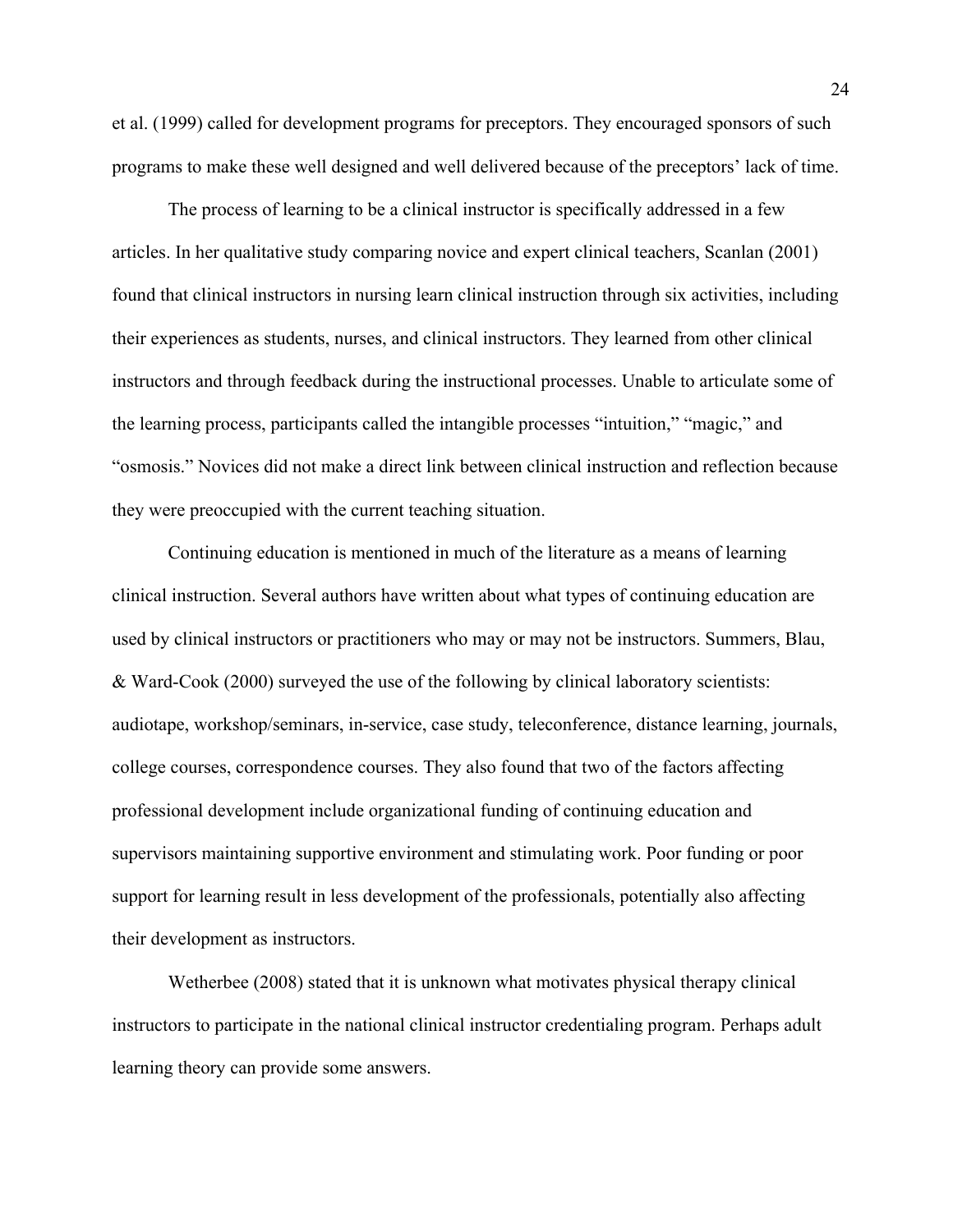et al. (1999) called for development programs for preceptors. They encouraged sponsors of such programs to make these well designed and well delivered because of the preceptors' lack of time.

 The process of learning to be a clinical instructor is specifically addressed in a few articles. In her qualitative study comparing novice and expert clinical teachers, Scanlan (2001) found that clinical instructors in nursing learn clinical instruction through six activities, including their experiences as students, nurses, and clinical instructors. They learned from other clinical instructors and through feedback during the instructional processes. Unable to articulate some of the learning process, participants called the intangible processes "intuition," "magic," and "osmosis." Novices did not make a direct link between clinical instruction and reflection because they were preoccupied with the current teaching situation.

Continuing education is mentioned in much of the literature as a means of learning clinical instruction. Several authors have written about what types of continuing education are used by clinical instructors or practitioners who may or may not be instructors. Summers, Blau, & Ward-Cook (2000) surveyed the use of the following by clinical laboratory scientists: audiotape, workshop/seminars, in-service, case study, teleconference, distance learning, journals, college courses, correspondence courses. They also found that two of the factors affecting professional development include organizational funding of continuing education and supervisors maintaining supportive environment and stimulating work. Poor funding or poor support for learning result in less development of the professionals, potentially also affecting their development as instructors.

Wetherbee (2008) stated that it is unknown what motivates physical therapy clinical instructors to participate in the national clinical instructor credentialing program. Perhaps adult learning theory can provide some answers.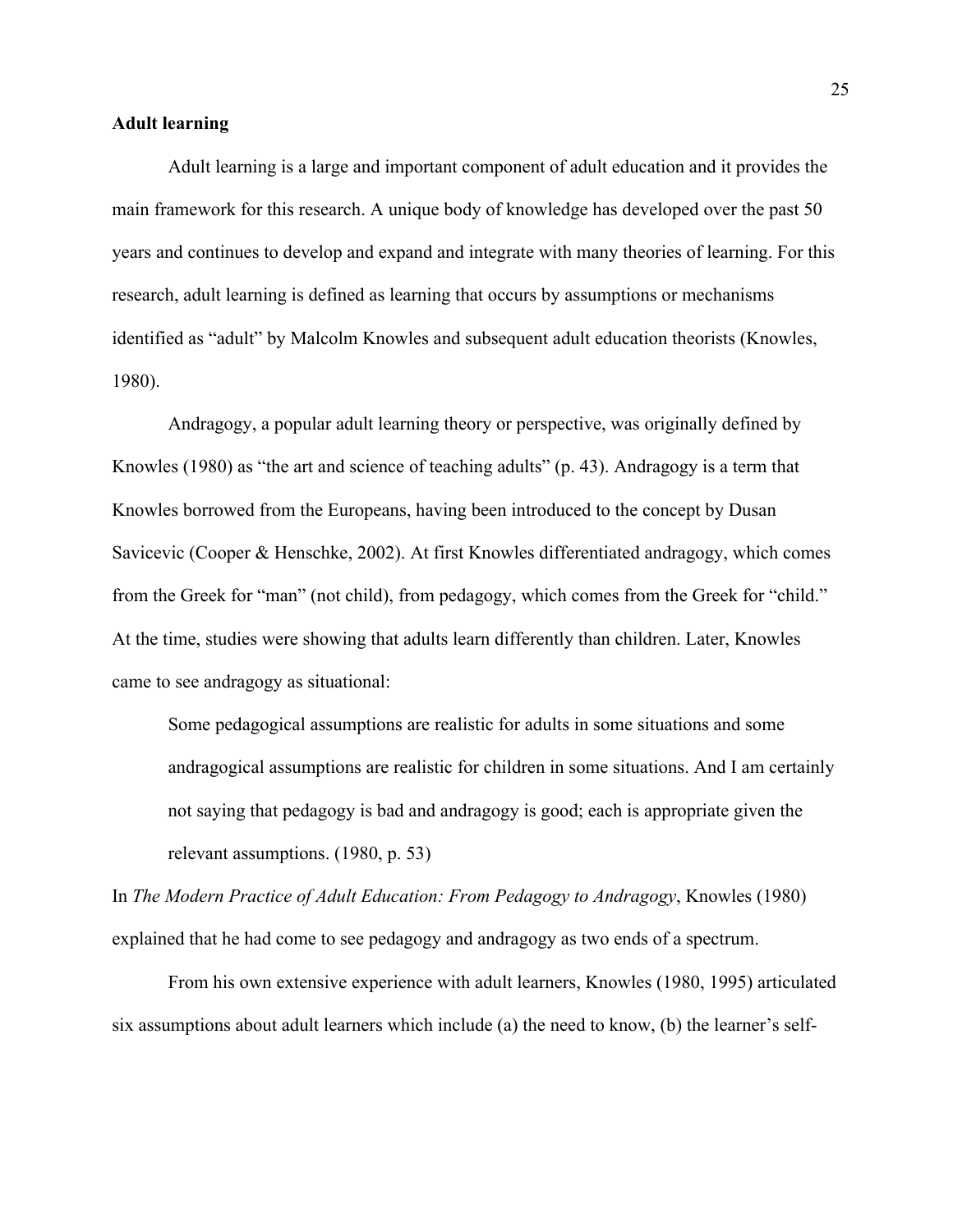#### **Adult learning**

 Adult learning is a large and important component of adult education and it provides the main framework for this research. A unique body of knowledge has developed over the past 50 years and continues to develop and expand and integrate with many theories of learning. For this research, adult learning is defined as learning that occurs by assumptions or mechanisms identified as "adult" by Malcolm Knowles and subsequent adult education theorists (Knowles, 1980).

 Andragogy, a popular adult learning theory or perspective, was originally defined by Knowles (1980) as "the art and science of teaching adults" (p. 43). Andragogy is a term that Knowles borrowed from the Europeans, having been introduced to the concept by Dusan Savicevic (Cooper & Henschke, 2002). At first Knowles differentiated andragogy, which comes from the Greek for "man" (not child), from pedagogy, which comes from the Greek for "child." At the time, studies were showing that adults learn differently than children. Later, Knowles came to see andragogy as situational:

Some pedagogical assumptions are realistic for adults in some situations and some andragogical assumptions are realistic for children in some situations. And I am certainly not saying that pedagogy is bad and andragogy is good; each is appropriate given the relevant assumptions. (1980, p. 53)

In *The Modern Practice of Adult Education: From Pedagogy to Andragogy*, Knowles (1980) explained that he had come to see pedagogy and andragogy as two ends of a spectrum.

 From his own extensive experience with adult learners, Knowles (1980, 1995) articulated six assumptions about adult learners which include (a) the need to know, (b) the learner's self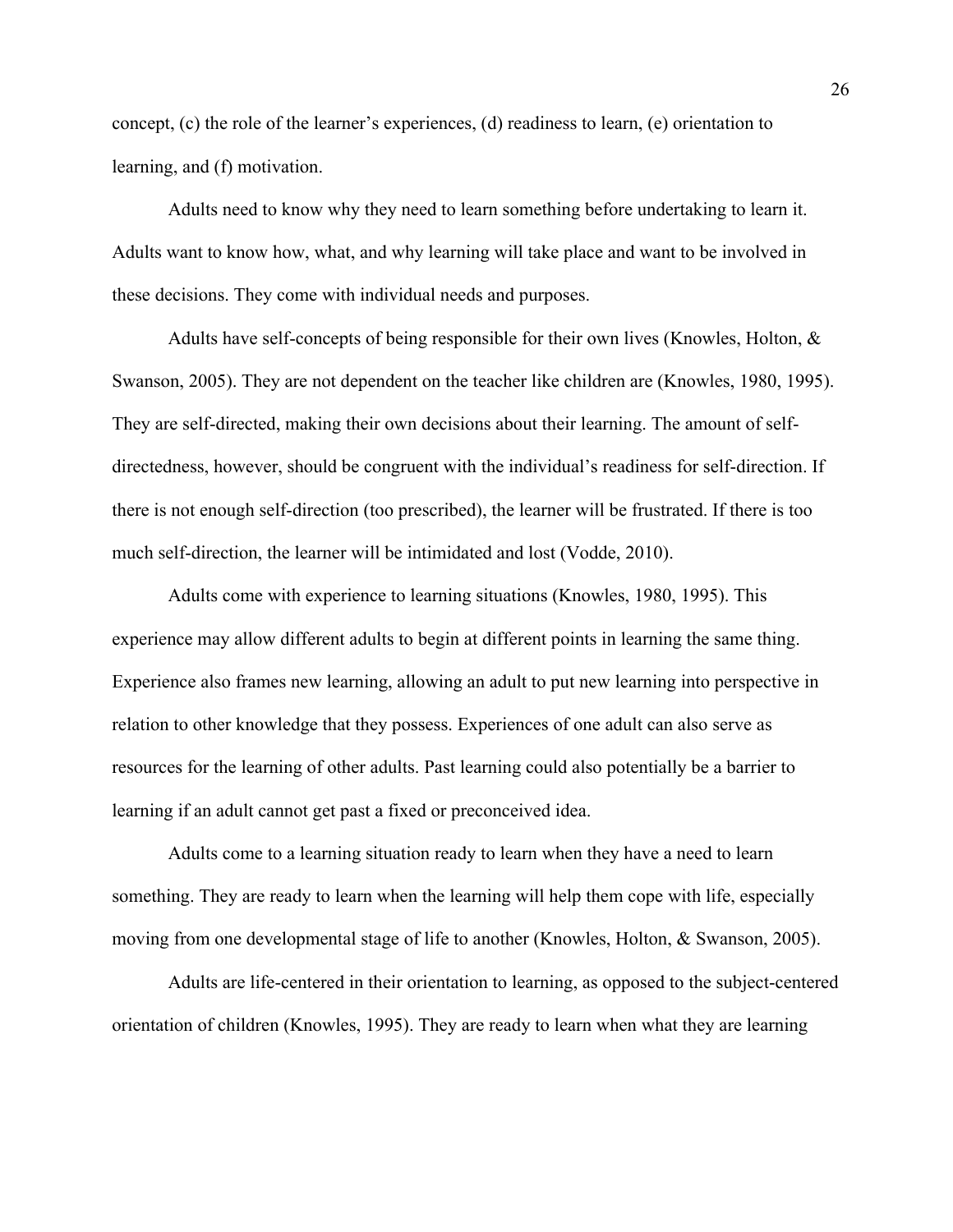concept, (c) the role of the learner's experiences, (d) readiness to learn, (e) orientation to learning, and (f) motivation.

 Adults need to know why they need to learn something before undertaking to learn it. Adults want to know how, what, and why learning will take place and want to be involved in these decisions. They come with individual needs and purposes.

 Adults have self-concepts of being responsible for their own lives (Knowles, Holton, & Swanson, 2005). They are not dependent on the teacher like children are (Knowles, 1980, 1995). They are self-directed, making their own decisions about their learning. The amount of selfdirectedness, however, should be congruent with the individual's readiness for self-direction. If there is not enough self-direction (too prescribed), the learner will be frustrated. If there is too much self-direction, the learner will be intimidated and lost (Vodde, 2010).

 Adults come with experience to learning situations (Knowles, 1980, 1995). This experience may allow different adults to begin at different points in learning the same thing. Experience also frames new learning, allowing an adult to put new learning into perspective in relation to other knowledge that they possess. Experiences of one adult can also serve as resources for the learning of other adults. Past learning could also potentially be a barrier to learning if an adult cannot get past a fixed or preconceived idea.

Adults come to a learning situation ready to learn when they have a need to learn something. They are ready to learn when the learning will help them cope with life, especially moving from one developmental stage of life to another (Knowles, Holton, & Swanson, 2005).

Adults are life-centered in their orientation to learning, as opposed to the subject-centered orientation of children (Knowles, 1995). They are ready to learn when what they are learning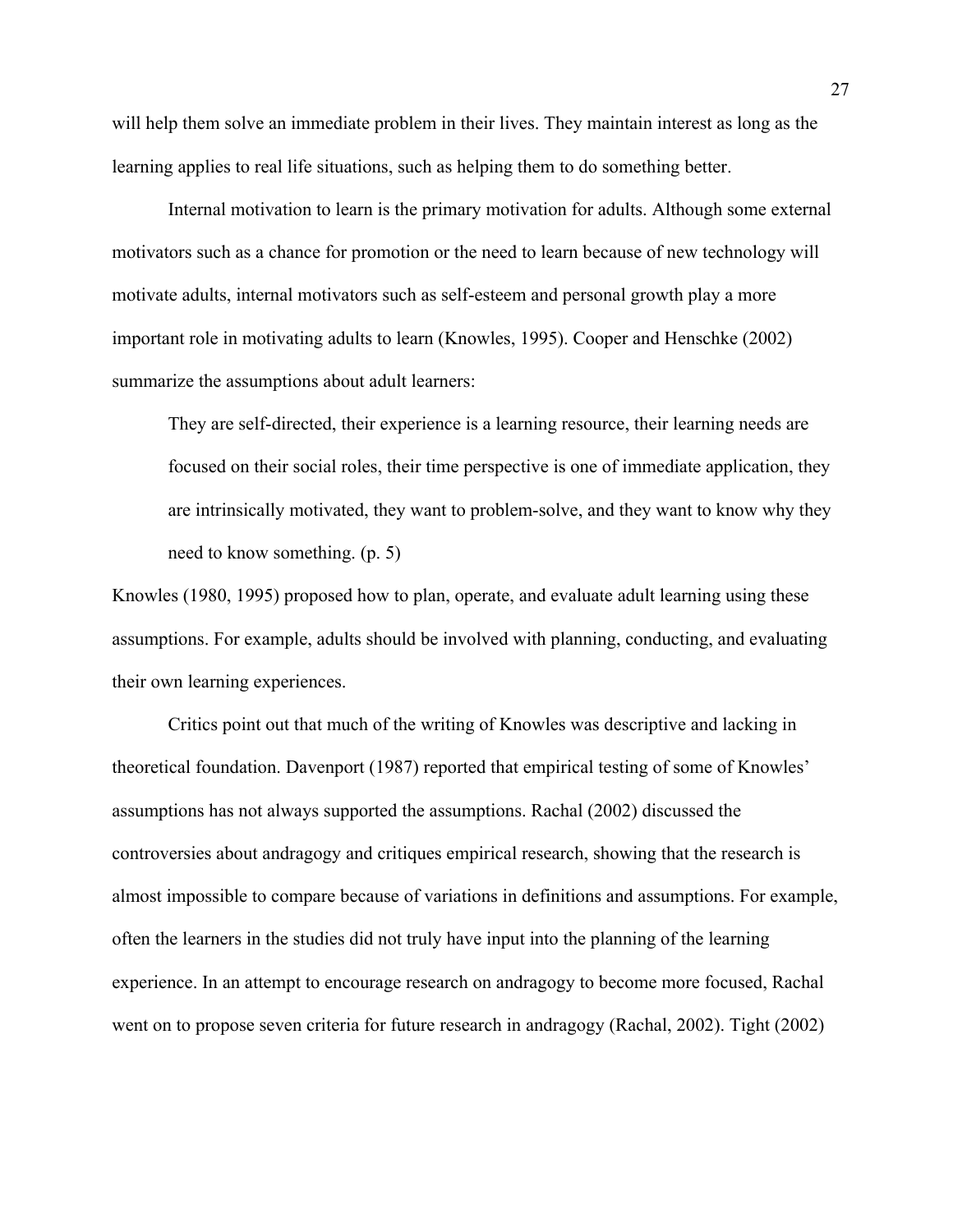will help them solve an immediate problem in their lives. They maintain interest as long as the learning applies to real life situations, such as helping them to do something better.

Internal motivation to learn is the primary motivation for adults. Although some external motivators such as a chance for promotion or the need to learn because of new technology will motivate adults, internal motivators such as self-esteem and personal growth play a more important role in motivating adults to learn (Knowles, 1995). Cooper and Henschke (2002) summarize the assumptions about adult learners:

They are self-directed, their experience is a learning resource, their learning needs are focused on their social roles, their time perspective is one of immediate application, they are intrinsically motivated, they want to problem-solve, and they want to know why they need to know something. (p. 5)

Knowles (1980, 1995) proposed how to plan, operate, and evaluate adult learning using these assumptions. For example, adults should be involved with planning, conducting, and evaluating their own learning experiences.

 Critics point out that much of the writing of Knowles was descriptive and lacking in theoretical foundation. Davenport (1987) reported that empirical testing of some of Knowles' assumptions has not always supported the assumptions. Rachal (2002) discussed the controversies about andragogy and critiques empirical research, showing that the research is almost impossible to compare because of variations in definitions and assumptions. For example, often the learners in the studies did not truly have input into the planning of the learning experience. In an attempt to encourage research on andragogy to become more focused, Rachal went on to propose seven criteria for future research in andragogy (Rachal, 2002). Tight (2002)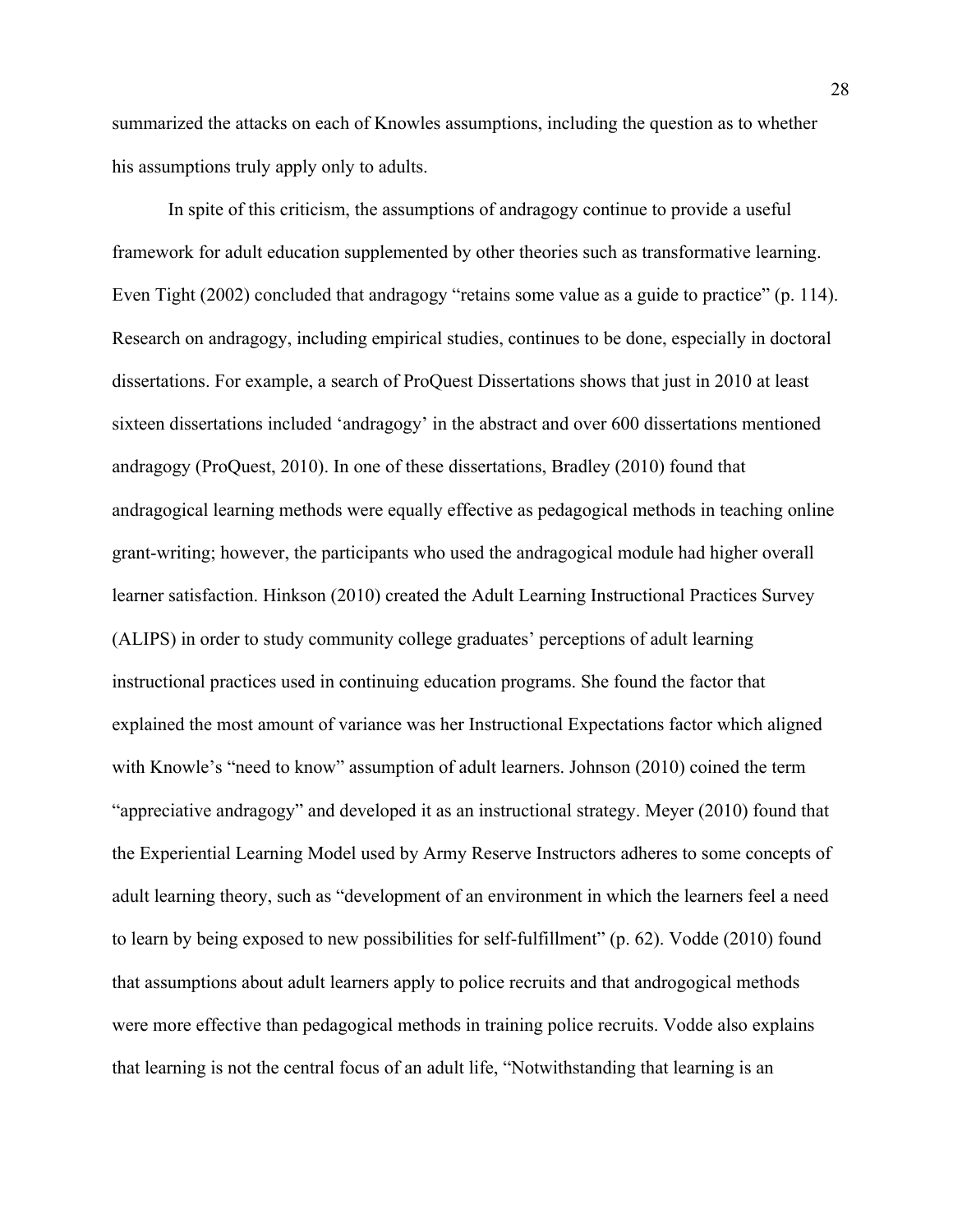summarized the attacks on each of Knowles assumptions, including the question as to whether his assumptions truly apply only to adults.

 In spite of this criticism, the assumptions of andragogy continue to provide a useful framework for adult education supplemented by other theories such as transformative learning. Even Tight (2002) concluded that andragogy "retains some value as a guide to practice" (p. 114). Research on andragogy, including empirical studies, continues to be done, especially in doctoral dissertations. For example, a search of ProQuest Dissertations shows that just in 2010 at least sixteen dissertations included 'andragogy' in the abstract and over 600 dissertations mentioned andragogy (ProQuest, 2010). In one of these dissertations, Bradley (2010) found that andragogical learning methods were equally effective as pedagogical methods in teaching online grant-writing; however, the participants who used the andragogical module had higher overall learner satisfaction. Hinkson (2010) created the Adult Learning Instructional Practices Survey (ALIPS) in order to study community college graduates' perceptions of adult learning instructional practices used in continuing education programs. She found the factor that explained the most amount of variance was her Instructional Expectations factor which aligned with Knowle's "need to know" assumption of adult learners. Johnson (2010) coined the term "appreciative andragogy" and developed it as an instructional strategy. Meyer (2010) found that the Experiential Learning Model used by Army Reserve Instructors adheres to some concepts of adult learning theory, such as "development of an environment in which the learners feel a need to learn by being exposed to new possibilities for self-fulfillment" (p. 62). Vodde (2010) found that assumptions about adult learners apply to police recruits and that androgogical methods were more effective than pedagogical methods in training police recruits. Vodde also explains that learning is not the central focus of an adult life, "Notwithstanding that learning is an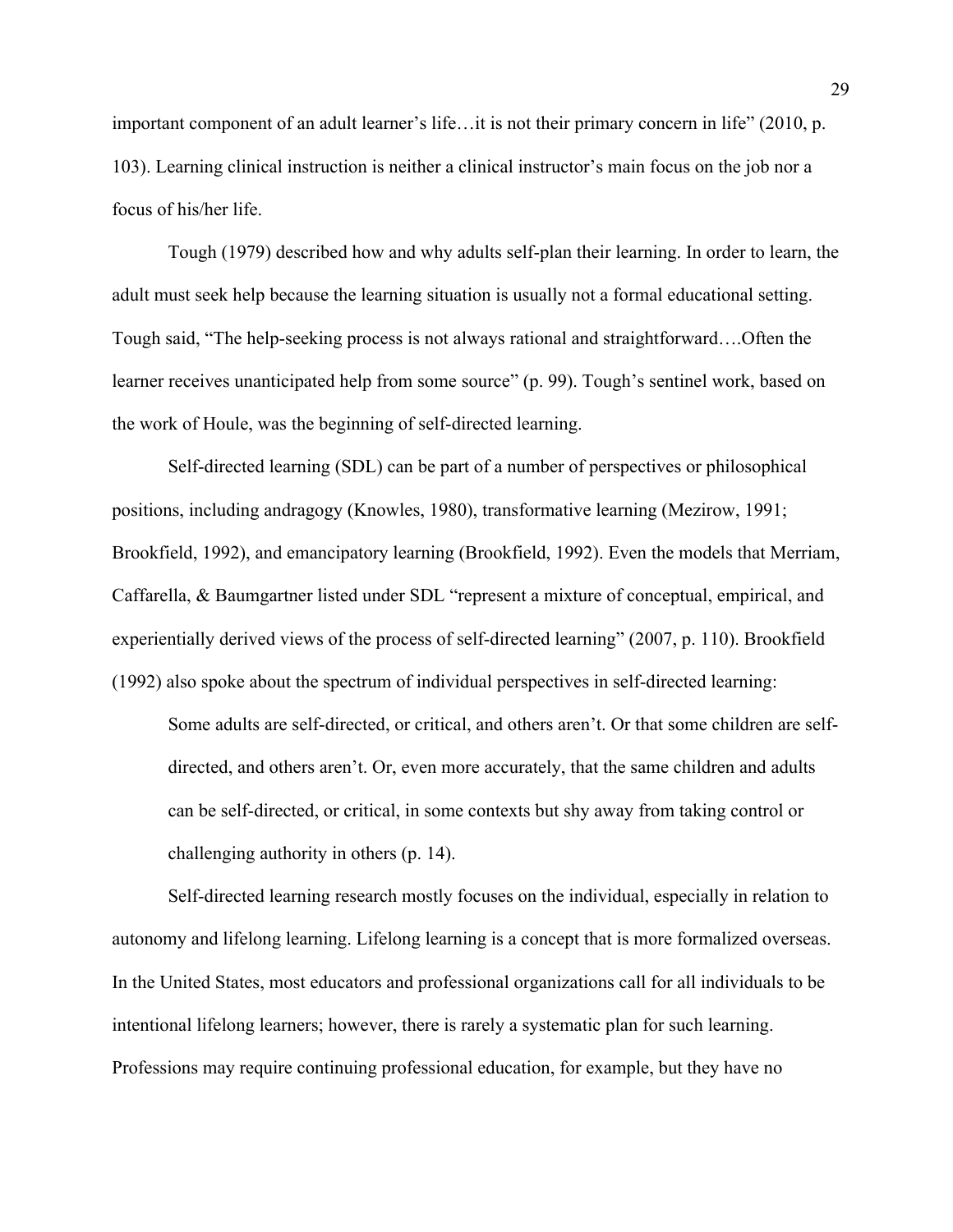important component of an adult learner's life…it is not their primary concern in life" (2010, p. 103). Learning clinical instruction is neither a clinical instructor's main focus on the job nor a focus of his/her life.

 Tough (1979) described how and why adults self-plan their learning. In order to learn, the adult must seek help because the learning situation is usually not a formal educational setting. Tough said, "The help-seeking process is not always rational and straightforward….Often the learner receives unanticipated help from some source" (p. 99). Tough's sentinel work, based on the work of Houle, was the beginning of self-directed learning.

 Self-directed learning (SDL) can be part of a number of perspectives or philosophical positions, including andragogy (Knowles, 1980), transformative learning (Mezirow, 1991; Brookfield, 1992), and emancipatory learning (Brookfield, 1992). Even the models that Merriam, Caffarella, & Baumgartner listed under SDL "represent a mixture of conceptual, empirical, and experientially derived views of the process of self-directed learning" (2007, p. 110). Brookfield (1992) also spoke about the spectrum of individual perspectives in self-directed learning:

Some adults are self-directed, or critical, and others aren't. Or that some children are selfdirected, and others aren't. Or, even more accurately, that the same children and adults can be self-directed, or critical, in some contexts but shy away from taking control or challenging authority in others (p. 14).

 Self-directed learning research mostly focuses on the individual, especially in relation to autonomy and lifelong learning. Lifelong learning is a concept that is more formalized overseas. In the United States, most educators and professional organizations call for all individuals to be intentional lifelong learners; however, there is rarely a systematic plan for such learning. Professions may require continuing professional education, for example, but they have no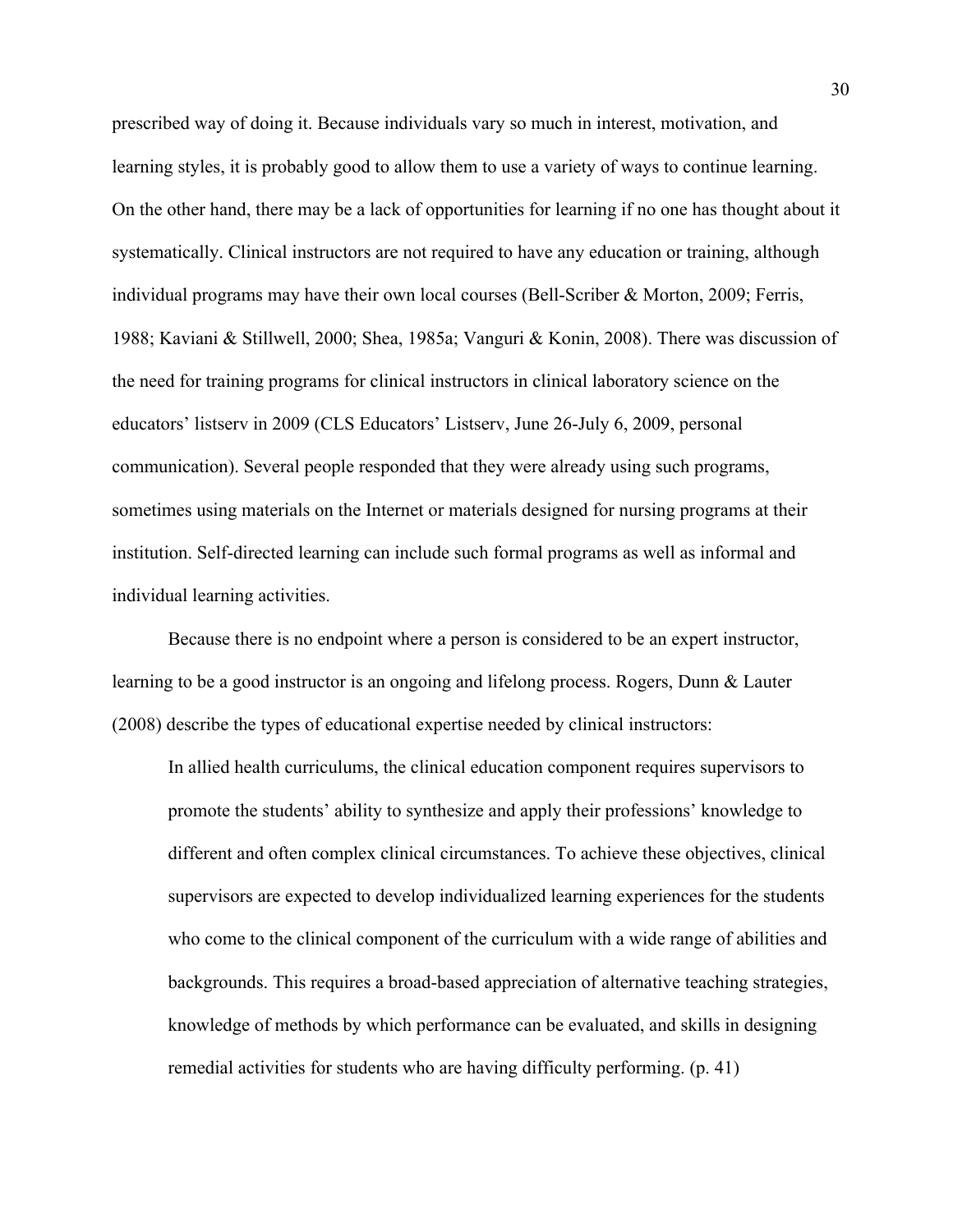prescribed way of doing it. Because individuals vary so much in interest, motivation, and learning styles, it is probably good to allow them to use a variety of ways to continue learning. On the other hand, there may be a lack of opportunities for learning if no one has thought about it systematically. Clinical instructors are not required to have any education or training, although individual programs may have their own local courses (Bell-Scriber & Morton, 2009; Ferris, 1988; Kaviani & Stillwell, 2000; Shea, 1985a; Vanguri & Konin, 2008). There was discussion of the need for training programs for clinical instructors in clinical laboratory science on the educators' listserv in 2009 (CLS Educators' Listserv, June 26-July 6, 2009, personal communication). Several people responded that they were already using such programs, sometimes using materials on the Internet or materials designed for nursing programs at their institution. Self-directed learning can include such formal programs as well as informal and individual learning activities.

Because there is no endpoint where a person is considered to be an expert instructor, learning to be a good instructor is an ongoing and lifelong process. Rogers, Dunn & Lauter (2008) describe the types of educational expertise needed by clinical instructors:

In allied health curriculums, the clinical education component requires supervisors to promote the students' ability to synthesize and apply their professions' knowledge to different and often complex clinical circumstances. To achieve these objectives, clinical supervisors are expected to develop individualized learning experiences for the students who come to the clinical component of the curriculum with a wide range of abilities and backgrounds. This requires a broad-based appreciation of alternative teaching strategies, knowledge of methods by which performance can be evaluated, and skills in designing remedial activities for students who are having difficulty performing. (p. 41)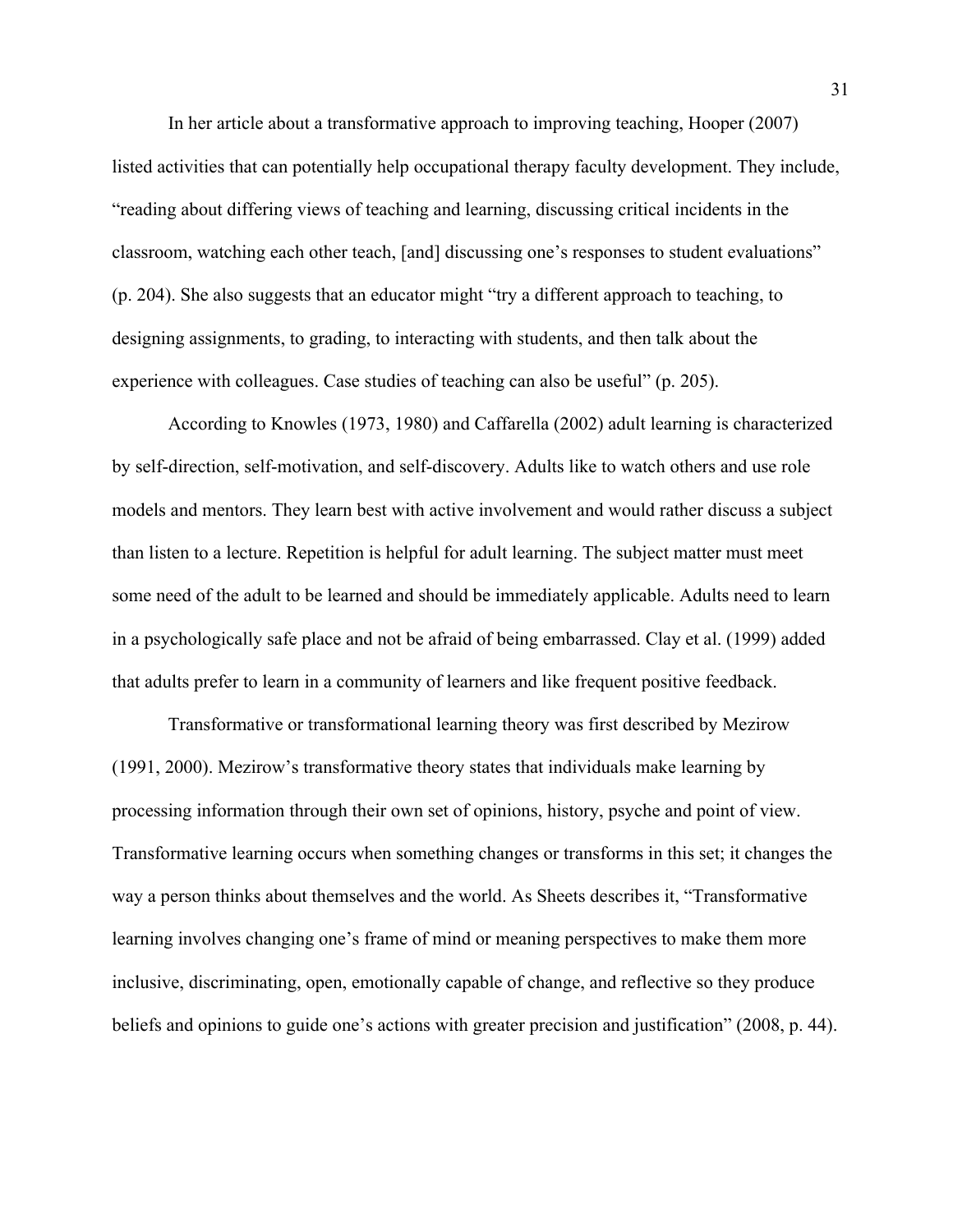In her article about a transformative approach to improving teaching, Hooper (2007) listed activities that can potentially help occupational therapy faculty development. They include, "reading about differing views of teaching and learning, discussing critical incidents in the classroom, watching each other teach, [and] discussing one's responses to student evaluations" (p. 204). She also suggests that an educator might "try a different approach to teaching, to designing assignments, to grading, to interacting with students, and then talk about the experience with colleagues. Case studies of teaching can also be useful" (p. 205).

 According to Knowles (1973, 1980) and Caffarella (2002) adult learning is characterized by self-direction, self-motivation, and self-discovery. Adults like to watch others and use role models and mentors. They learn best with active involvement and would rather discuss a subject than listen to a lecture. Repetition is helpful for adult learning. The subject matter must meet some need of the adult to be learned and should be immediately applicable. Adults need to learn in a psychologically safe place and not be afraid of being embarrassed. Clay et al. (1999) added that adults prefer to learn in a community of learners and like frequent positive feedback.

 Transformative or transformational learning theory was first described by Mezirow (1991, 2000). Mezirow's transformative theory states that individuals make learning by processing information through their own set of opinions, history, psyche and point of view. Transformative learning occurs when something changes or transforms in this set; it changes the way a person thinks about themselves and the world. As Sheets describes it, "Transformative learning involves changing one's frame of mind or meaning perspectives to make them more inclusive, discriminating, open, emotionally capable of change, and reflective so they produce beliefs and opinions to guide one's actions with greater precision and justification" (2008, p. 44).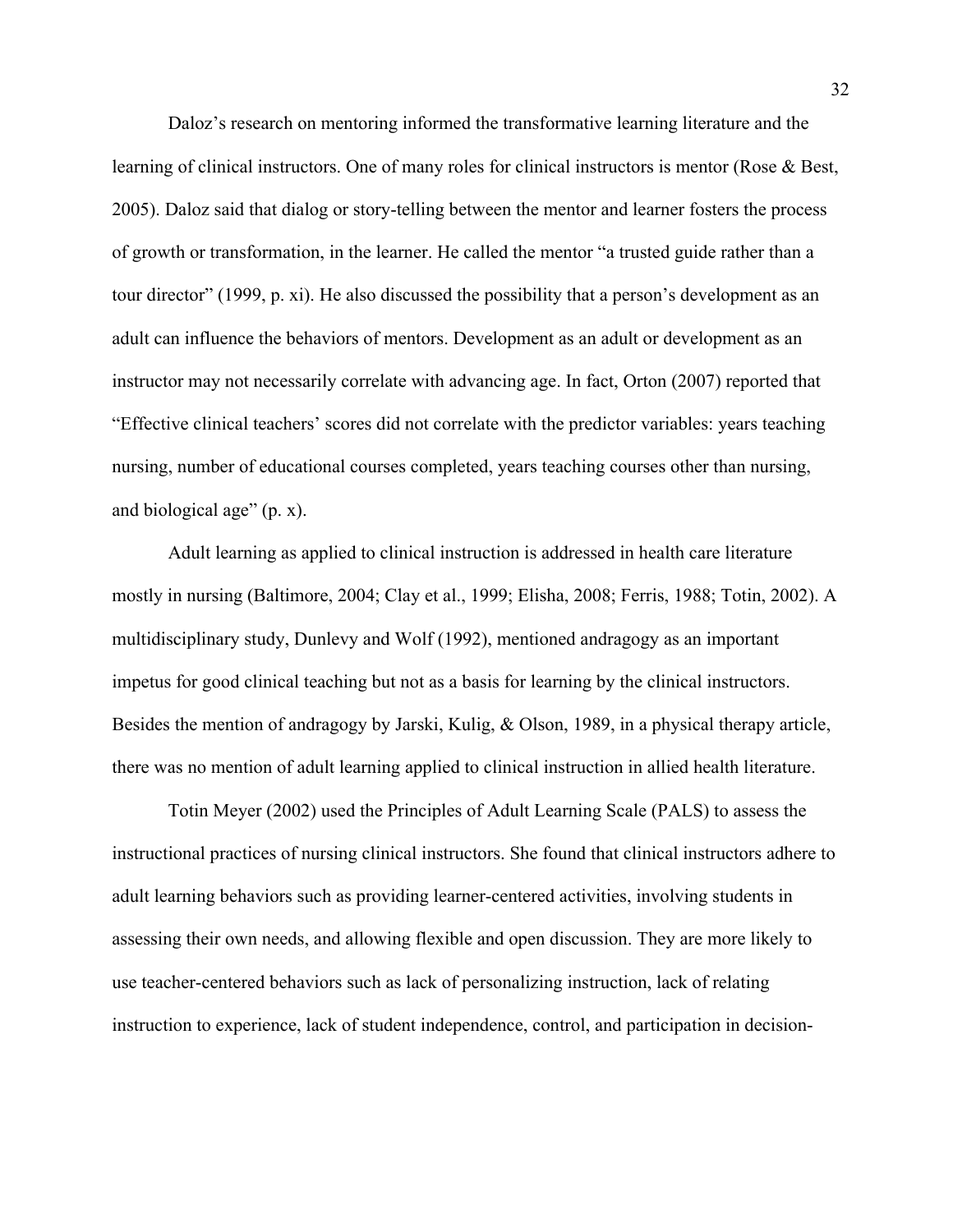Daloz's research on mentoring informed the transformative learning literature and the learning of clinical instructors. One of many roles for clinical instructors is mentor (Rose & Best, 2005). Daloz said that dialog or story-telling between the mentor and learner fosters the process of growth or transformation, in the learner. He called the mentor "a trusted guide rather than a tour director" (1999, p. xi). He also discussed the possibility that a person's development as an adult can influence the behaviors of mentors. Development as an adult or development as an instructor may not necessarily correlate with advancing age. In fact, Orton (2007) reported that "Effective clinical teachers' scores did not correlate with the predictor variables: years teaching nursing, number of educational courses completed, years teaching courses other than nursing, and biological age" (p. x).

 Adult learning as applied to clinical instruction is addressed in health care literature mostly in nursing (Baltimore, 2004; Clay et al., 1999; Elisha, 2008; Ferris, 1988; Totin, 2002). A multidisciplinary study, Dunlevy and Wolf (1992), mentioned andragogy as an important impetus for good clinical teaching but not as a basis for learning by the clinical instructors. Besides the mention of andragogy by Jarski, Kulig, & Olson, 1989, in a physical therapy article, there was no mention of adult learning applied to clinical instruction in allied health literature.

 Totin Meyer (2002) used the Principles of Adult Learning Scale (PALS) to assess the instructional practices of nursing clinical instructors. She found that clinical instructors adhere to adult learning behaviors such as providing learner-centered activities, involving students in assessing their own needs, and allowing flexible and open discussion. They are more likely to use teacher-centered behaviors such as lack of personalizing instruction, lack of relating instruction to experience, lack of student independence, control, and participation in decision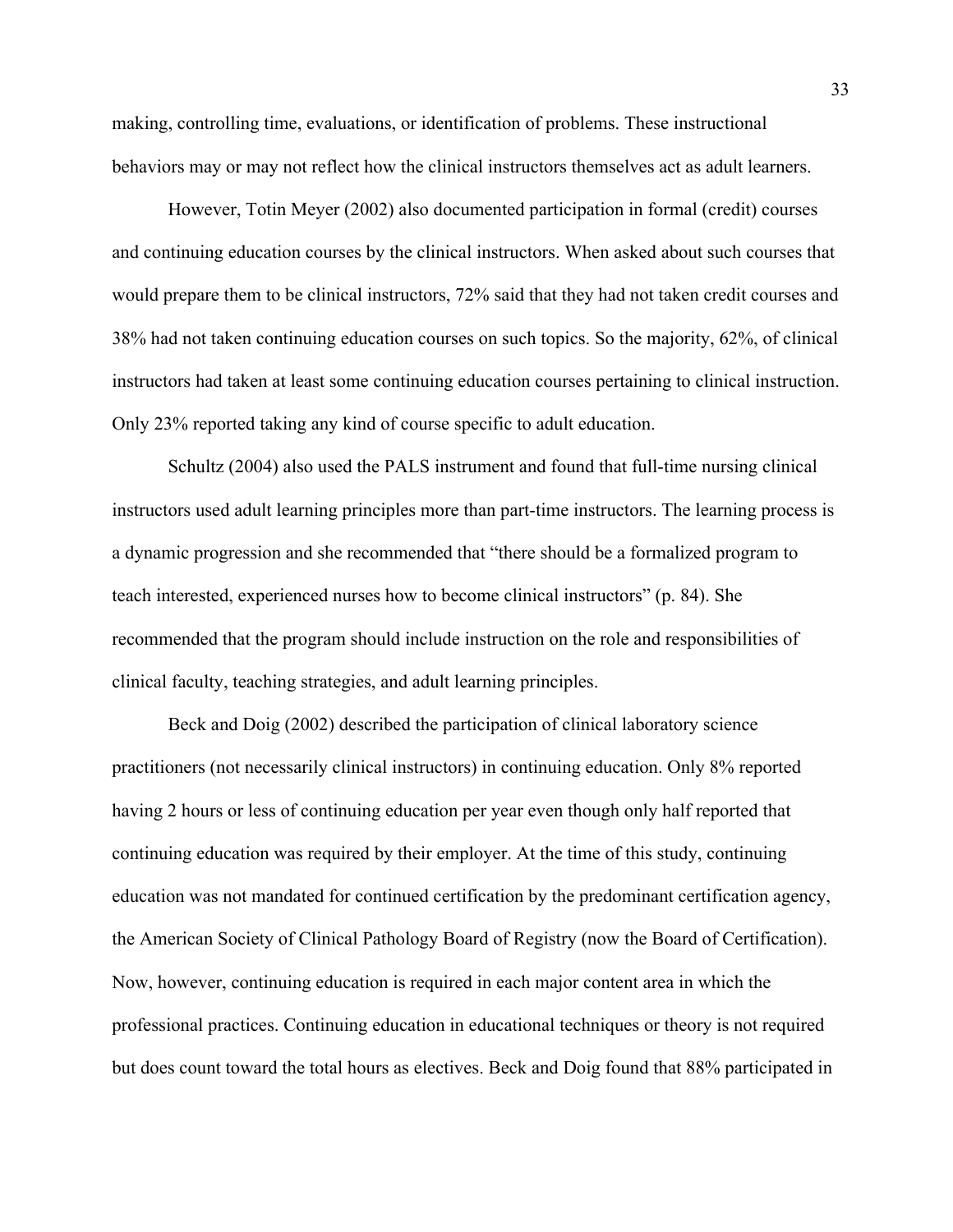making, controlling time, evaluations, or identification of problems. These instructional behaviors may or may not reflect how the clinical instructors themselves act as adult learners.

 However, Totin Meyer (2002) also documented participation in formal (credit) courses and continuing education courses by the clinical instructors. When asked about such courses that would prepare them to be clinical instructors, 72% said that they had not taken credit courses and 38% had not taken continuing education courses on such topics. So the majority, 62%, of clinical instructors had taken at least some continuing education courses pertaining to clinical instruction. Only 23% reported taking any kind of course specific to adult education.

 Schultz (2004) also used the PALS instrument and found that full-time nursing clinical instructors used adult learning principles more than part-time instructors. The learning process is a dynamic progression and she recommended that "there should be a formalized program to teach interested, experienced nurses how to become clinical instructors" (p. 84). She recommended that the program should include instruction on the role and responsibilities of clinical faculty, teaching strategies, and adult learning principles.

 Beck and Doig (2002) described the participation of clinical laboratory science practitioners (not necessarily clinical instructors) in continuing education. Only 8% reported having 2 hours or less of continuing education per year even though only half reported that continuing education was required by their employer. At the time of this study, continuing education was not mandated for continued certification by the predominant certification agency, the American Society of Clinical Pathology Board of Registry (now the Board of Certification). Now, however, continuing education is required in each major content area in which the professional practices. Continuing education in educational techniques or theory is not required but does count toward the total hours as electives. Beck and Doig found that 88% participated in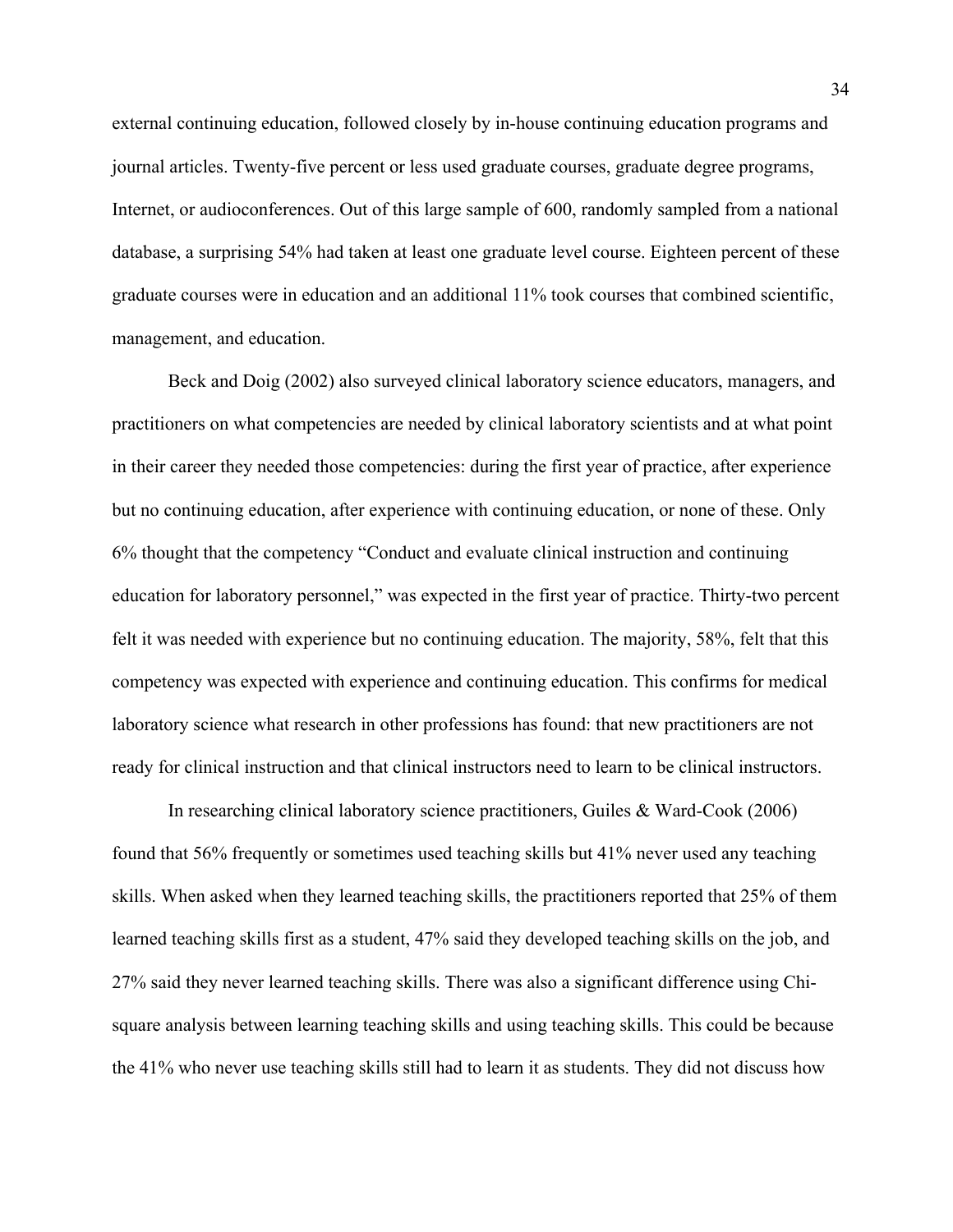external continuing education, followed closely by in-house continuing education programs and journal articles. Twenty-five percent or less used graduate courses, graduate degree programs, Internet, or audioconferences. Out of this large sample of 600, randomly sampled from a national database, a surprising 54% had taken at least one graduate level course. Eighteen percent of these graduate courses were in education and an additional 11% took courses that combined scientific, management, and education.

 Beck and Doig (2002) also surveyed clinical laboratory science educators, managers, and practitioners on what competencies are needed by clinical laboratory scientists and at what point in their career they needed those competencies: during the first year of practice, after experience but no continuing education, after experience with continuing education, or none of these. Only 6% thought that the competency "Conduct and evaluate clinical instruction and continuing education for laboratory personnel," was expected in the first year of practice. Thirty-two percent felt it was needed with experience but no continuing education. The majority, 58%, felt that this competency was expected with experience and continuing education. This confirms for medical laboratory science what research in other professions has found: that new practitioners are not ready for clinical instruction and that clinical instructors need to learn to be clinical instructors.

 In researching clinical laboratory science practitioners, Guiles & Ward-Cook (2006) found that 56% frequently or sometimes used teaching skills but 41% never used any teaching skills. When asked when they learned teaching skills, the practitioners reported that 25% of them learned teaching skills first as a student, 47% said they developed teaching skills on the job, and 27% said they never learned teaching skills. There was also a significant difference using Chisquare analysis between learning teaching skills and using teaching skills. This could be because the 41% who never use teaching skills still had to learn it as students. They did not discuss how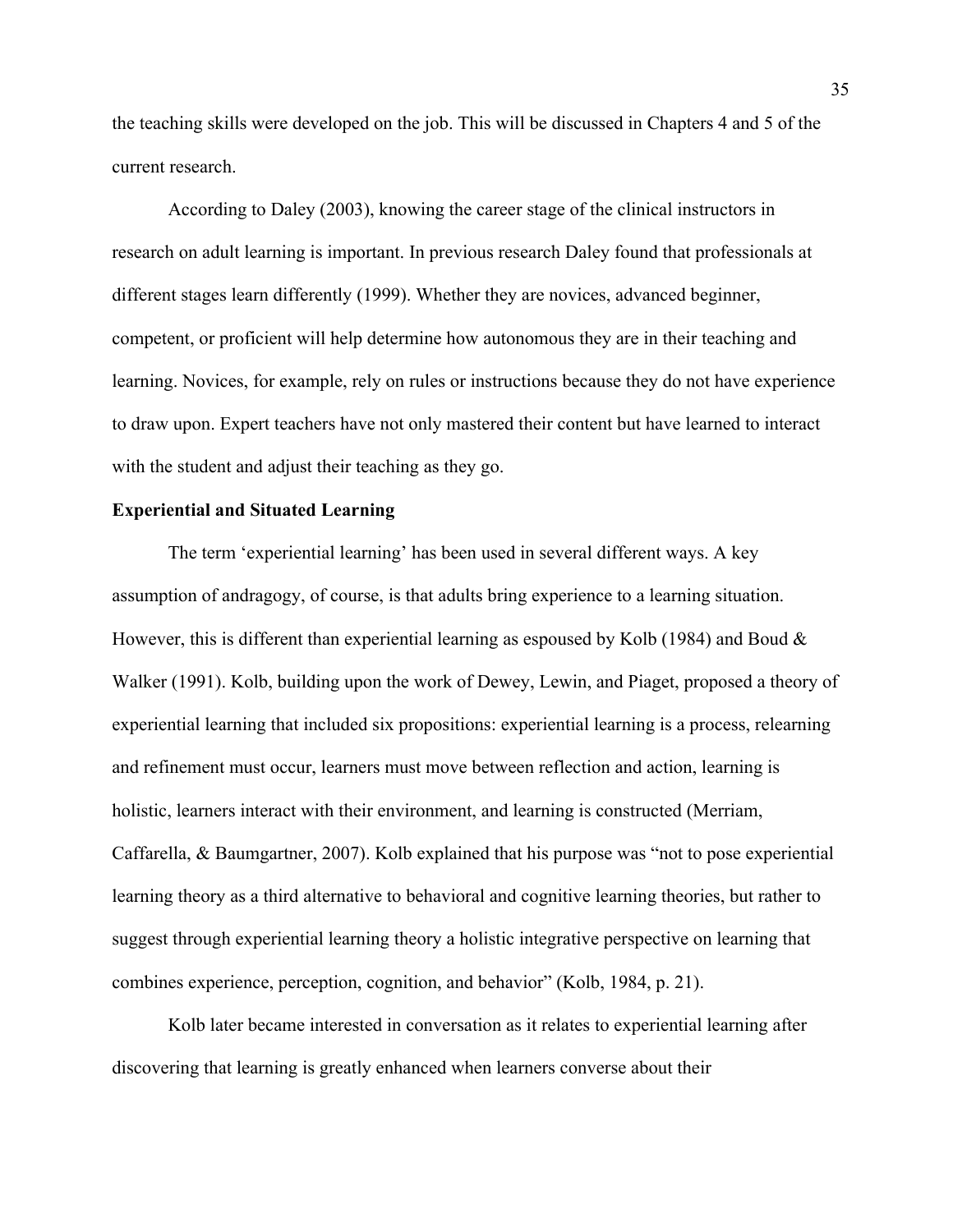the teaching skills were developed on the job. This will be discussed in Chapters 4 and 5 of the current research.

 According to Daley (2003), knowing the career stage of the clinical instructors in research on adult learning is important. In previous research Daley found that professionals at different stages learn differently (1999). Whether they are novices, advanced beginner, competent, or proficient will help determine how autonomous they are in their teaching and learning. Novices, for example, rely on rules or instructions because they do not have experience to draw upon. Expert teachers have not only mastered their content but have learned to interact with the student and adjust their teaching as they go.

# **Experiential and Situated Learning**

 The term 'experiential learning' has been used in several different ways. A key assumption of andragogy, of course, is that adults bring experience to a learning situation. However, this is different than experiential learning as espoused by Kolb (1984) and Boud  $\&$ Walker (1991). Kolb, building upon the work of Dewey, Lewin, and Piaget, proposed a theory of experiential learning that included six propositions: experiential learning is a process, relearning and refinement must occur, learners must move between reflection and action, learning is holistic, learners interact with their environment, and learning is constructed (Merriam, Caffarella, & Baumgartner, 2007). Kolb explained that his purpose was "not to pose experiential learning theory as a third alternative to behavioral and cognitive learning theories, but rather to suggest through experiential learning theory a holistic integrative perspective on learning that combines experience, perception, cognition, and behavior" (Kolb, 1984, p. 21).

 Kolb later became interested in conversation as it relates to experiential learning after discovering that learning is greatly enhanced when learners converse about their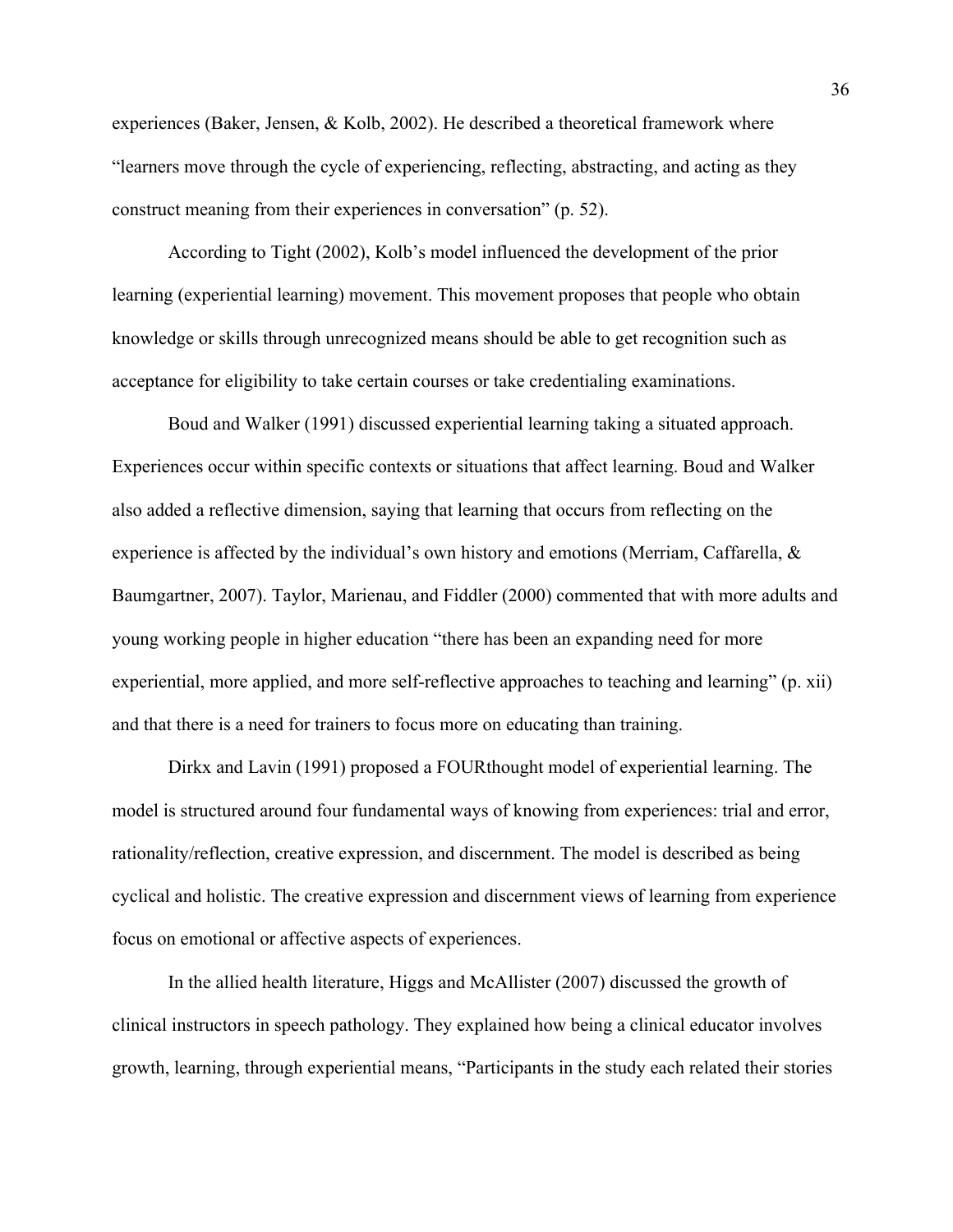experiences (Baker, Jensen, & Kolb, 2002). He described a theoretical framework where "learners move through the cycle of experiencing, reflecting, abstracting, and acting as they construct meaning from their experiences in conversation" (p. 52).

 According to Tight (2002), Kolb's model influenced the development of the prior learning (experiential learning) movement. This movement proposes that people who obtain knowledge or skills through unrecognized means should be able to get recognition such as acceptance for eligibility to take certain courses or take credentialing examinations.

 Boud and Walker (1991) discussed experiential learning taking a situated approach. Experiences occur within specific contexts or situations that affect learning. Boud and Walker also added a reflective dimension, saying that learning that occurs from reflecting on the experience is affected by the individual's own history and emotions (Merriam, Caffarella, & Baumgartner, 2007). Taylor, Marienau, and Fiddler (2000) commented that with more adults and young working people in higher education "there has been an expanding need for more experiential, more applied, and more self-reflective approaches to teaching and learning" (p. xii) and that there is a need for trainers to focus more on educating than training.

 Dirkx and Lavin (1991) proposed a FOURthought model of experiential learning. The model is structured around four fundamental ways of knowing from experiences: trial and error, rationality/reflection, creative expression, and discernment. The model is described as being cyclical and holistic. The creative expression and discernment views of learning from experience focus on emotional or affective aspects of experiences.

 In the allied health literature, Higgs and McAllister (2007) discussed the growth of clinical instructors in speech pathology. They explained how being a clinical educator involves growth, learning, through experiential means, "Participants in the study each related their stories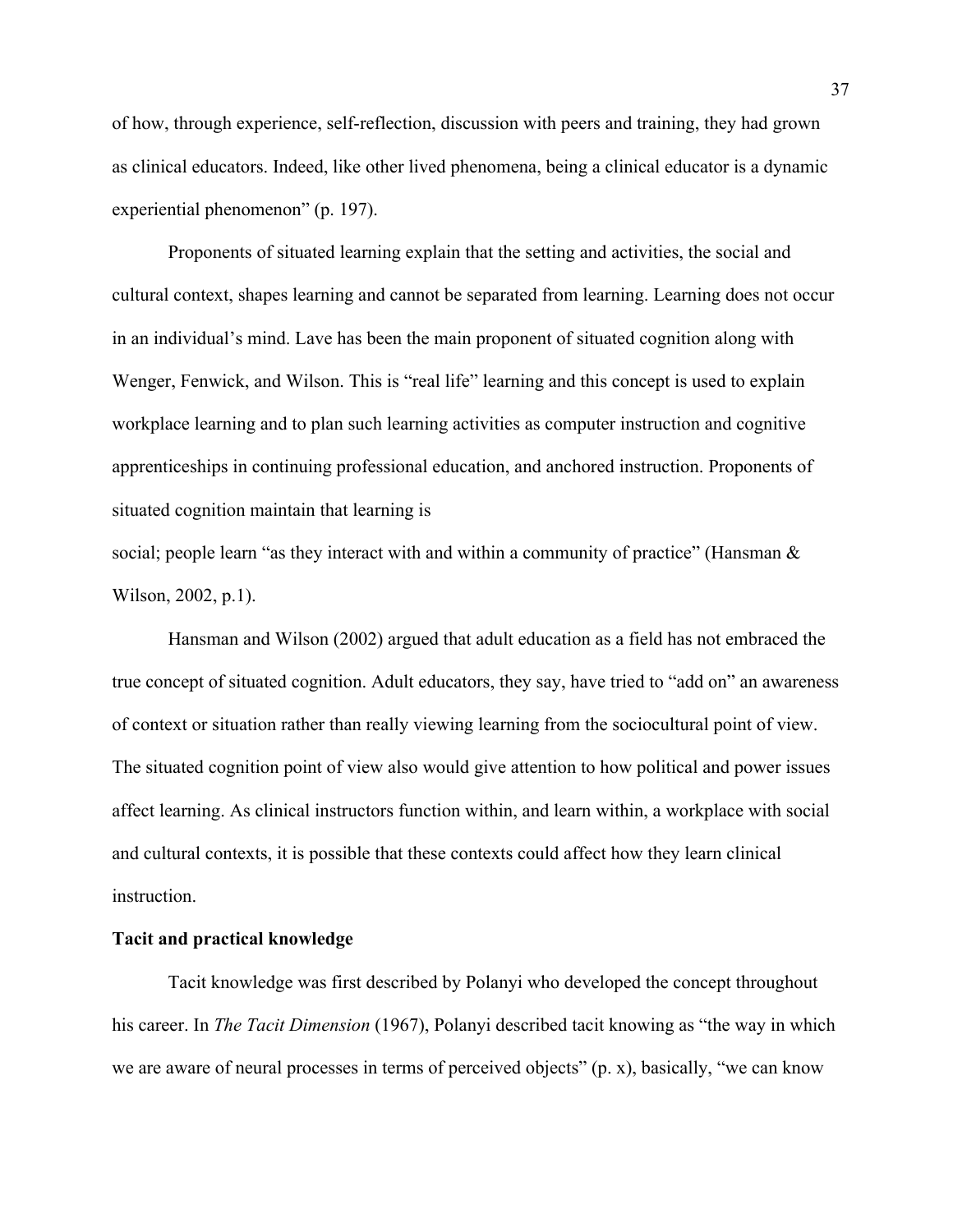of how, through experience, self-reflection, discussion with peers and training, they had grown as clinical educators. Indeed, like other lived phenomena, being a clinical educator is a dynamic experiential phenomenon" (p. 197).

 Proponents of situated learning explain that the setting and activities, the social and cultural context, shapes learning and cannot be separated from learning. Learning does not occur in an individual's mind. Lave has been the main proponent of situated cognition along with Wenger, Fenwick, and Wilson. This is "real life" learning and this concept is used to explain workplace learning and to plan such learning activities as computer instruction and cognitive apprenticeships in continuing professional education, and anchored instruction. Proponents of situated cognition maintain that learning is

social; people learn "as they interact with and within a community of practice" (Hansman  $\&$ Wilson, 2002, p.1).

 Hansman and Wilson (2002) argued that adult education as a field has not embraced the true concept of situated cognition. Adult educators, they say, have tried to "add on" an awareness of context or situation rather than really viewing learning from the sociocultural point of view. The situated cognition point of view also would give attention to how political and power issues affect learning. As clinical instructors function within, and learn within, a workplace with social and cultural contexts, it is possible that these contexts could affect how they learn clinical instruction.

# **Tacit and practical knowledge**

Tacit knowledge was first described by Polanyi who developed the concept throughout his career. In *The Tacit Dimension* (1967), Polanyi described tacit knowing as "the way in which we are aware of neural processes in terms of perceived objects" (p. x), basically, "we can know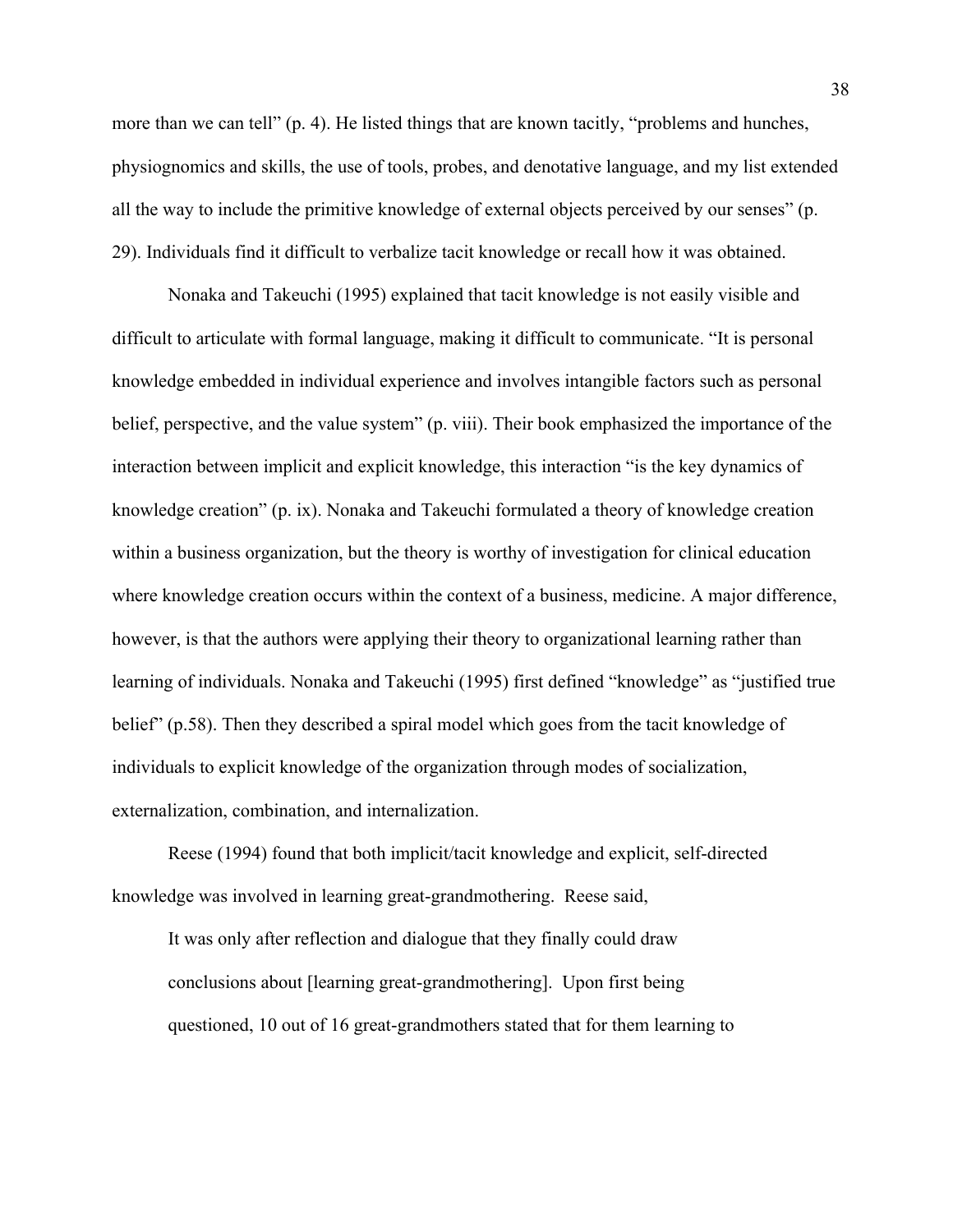more than we can tell" (p. 4). He listed things that are known tacitly, "problems and hunches, physiognomics and skills, the use of tools, probes, and denotative language, and my list extended all the way to include the primitive knowledge of external objects perceived by our senses" (p. 29). Individuals find it difficult to verbalize tacit knowledge or recall how it was obtained.

 Nonaka and Takeuchi (1995) explained that tacit knowledge is not easily visible and difficult to articulate with formal language, making it difficult to communicate. "It is personal knowledge embedded in individual experience and involves intangible factors such as personal belief, perspective, and the value system" (p. viii). Their book emphasized the importance of the interaction between implicit and explicit knowledge, this interaction "is the key dynamics of knowledge creation" (p. ix). Nonaka and Takeuchi formulated a theory of knowledge creation within a business organization, but the theory is worthy of investigation for clinical education where knowledge creation occurs within the context of a business, medicine. A major difference, however, is that the authors were applying their theory to organizational learning rather than learning of individuals. Nonaka and Takeuchi (1995) first defined "knowledge" as "justified true belief" (p.58). Then they described a spiral model which goes from the tacit knowledge of individuals to explicit knowledge of the organization through modes of socialization, externalization, combination, and internalization.

 Reese (1994) found that both implicit/tacit knowledge and explicit, self-directed knowledge was involved in learning great-grandmothering. Reese said,

It was only after reflection and dialogue that they finally could draw conclusions about [learning great-grandmothering]. Upon first being questioned, 10 out of 16 great-grandmothers stated that for them learning to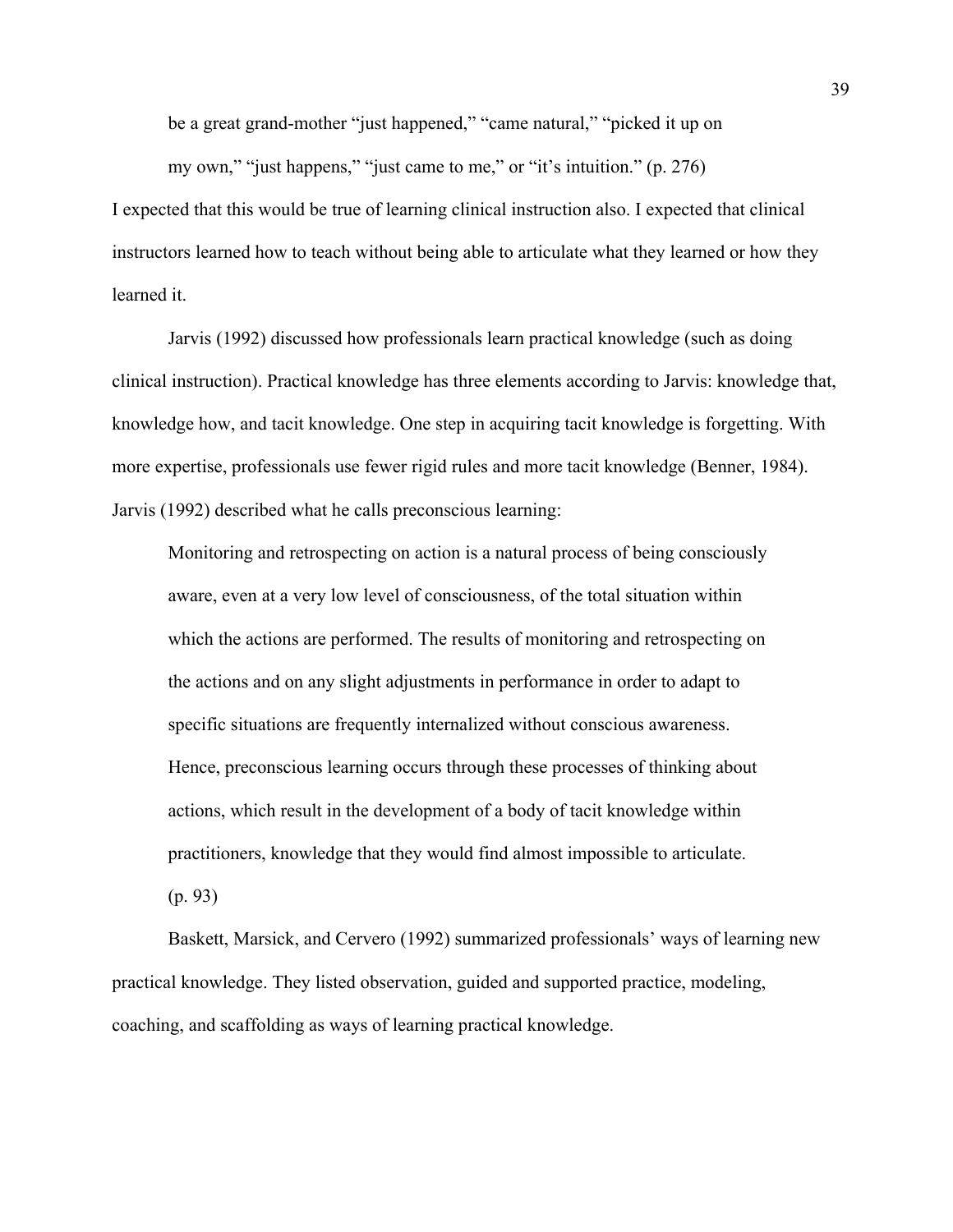be a great grand-mother "just happened," "came natural," "picked it up on

my own," "just happens," "just came to me," or "it's intuition." (p. 276)

I expected that this would be true of learning clinical instruction also. I expected that clinical instructors learned how to teach without being able to articulate what they learned or how they learned it.

 Jarvis (1992) discussed how professionals learn practical knowledge (such as doing clinical instruction). Practical knowledge has three elements according to Jarvis: knowledge that, knowledge how, and tacit knowledge. One step in acquiring tacit knowledge is forgetting. With more expertise, professionals use fewer rigid rules and more tacit knowledge (Benner, 1984). Jarvis (1992) described what he calls preconscious learning:

 Monitoring and retrospecting on action is a natural process of being consciously aware, even at a very low level of consciousness, of the total situation within which the actions are performed. The results of monitoring and retrospecting on the actions and on any slight adjustments in performance in order to adapt to specific situations are frequently internalized without conscious awareness. Hence, preconscious learning occurs through these processes of thinking about actions, which result in the development of a body of tacit knowledge within practitioners, knowledge that they would find almost impossible to articulate. (p. 93)

 Baskett, Marsick, and Cervero (1992) summarized professionals' ways of learning new practical knowledge. They listed observation, guided and supported practice, modeling, coaching, and scaffolding as ways of learning practical knowledge.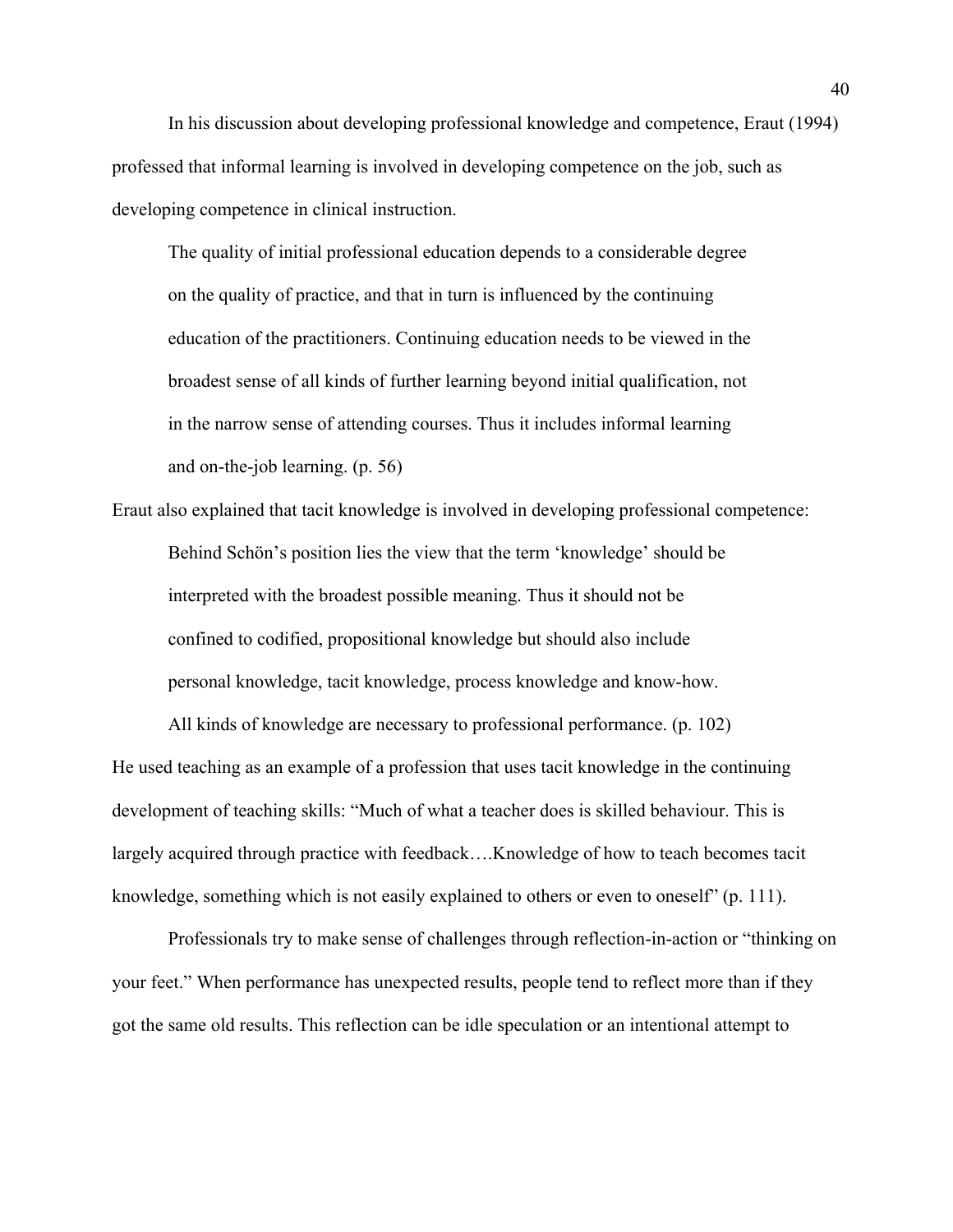In his discussion about developing professional knowledge and competence, Eraut (1994) professed that informal learning is involved in developing competence on the job, such as developing competence in clinical instruction.

The quality of initial professional education depends to a considerable degree on the quality of practice, and that in turn is influenced by the continuing education of the practitioners. Continuing education needs to be viewed in the broadest sense of all kinds of further learning beyond initial qualification, not in the narrow sense of attending courses. Thus it includes informal learning and on-the-job learning. (p. 56)

Eraut also explained that tacit knowledge is involved in developing professional competence: Behind Schön's position lies the view that the term 'knowledge' should be interpreted with the broadest possible meaning. Thus it should not be confined to codified, propositional knowledge but should also include personal knowledge, tacit knowledge, process knowledge and know-how.

All kinds of knowledge are necessary to professional performance. (p. 102) He used teaching as an example of a profession that uses tacit knowledge in the continuing development of teaching skills: "Much of what a teacher does is skilled behaviour. This is largely acquired through practice with feedback….Knowledge of how to teach becomes tacit knowledge, something which is not easily explained to others or even to oneself" (p. 111).

 Professionals try to make sense of challenges through reflection-in-action or "thinking on your feet." When performance has unexpected results, people tend to reflect more than if they got the same old results. This reflection can be idle speculation or an intentional attempt to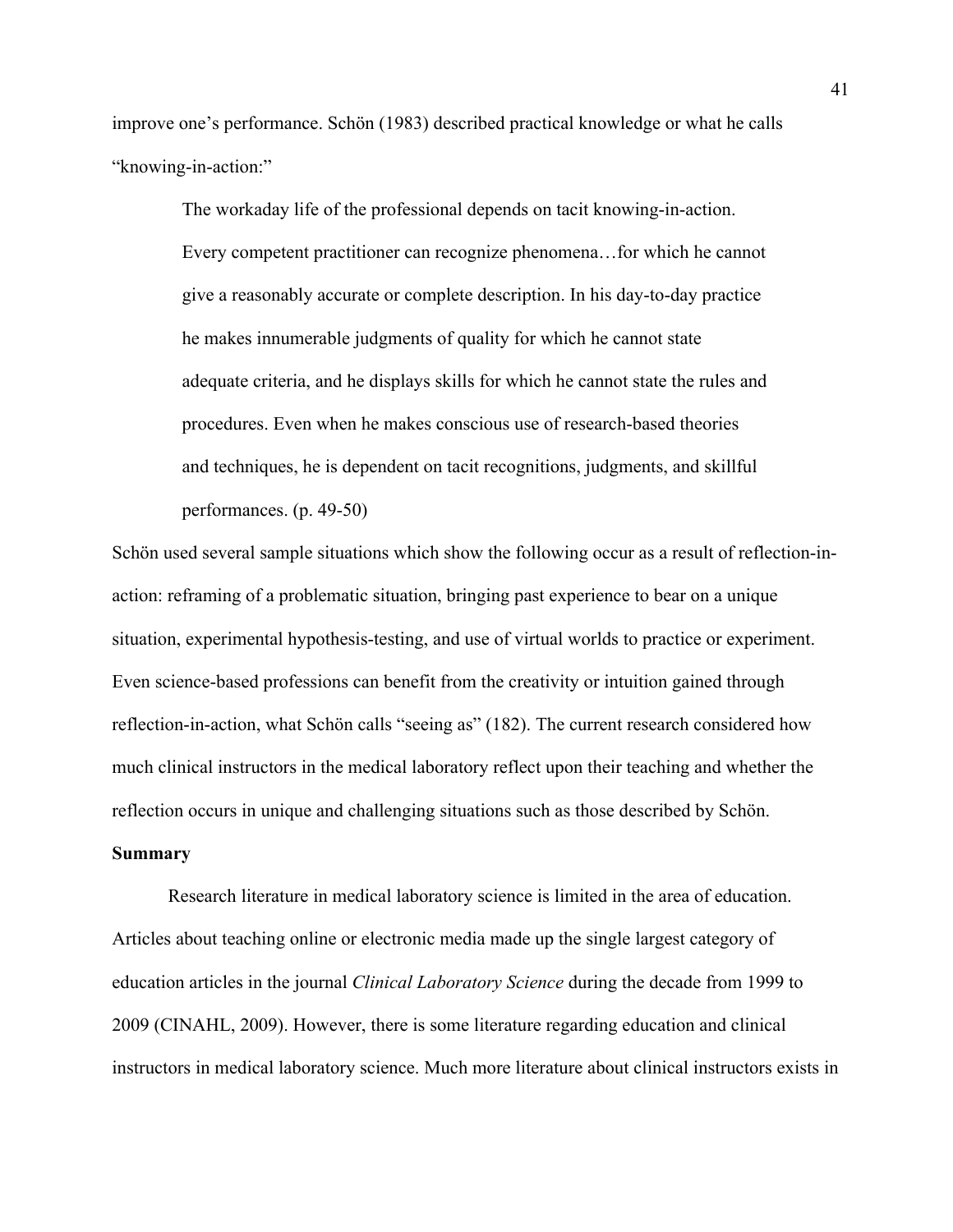improve one's performance. Schön (1983) described practical knowledge or what he calls "knowing-in-action:"

> The workaday life of the professional depends on tacit knowing-in-action. Every competent practitioner can recognize phenomena…for which he cannot give a reasonably accurate or complete description. In his day-to-day practice he makes innumerable judgments of quality for which he cannot state adequate criteria, and he displays skills for which he cannot state the rules and procedures. Even when he makes conscious use of research-based theories and techniques, he is dependent on tacit recognitions, judgments, and skillful performances. (p. 49-50)

Schön used several sample situations which show the following occur as a result of reflection-inaction: reframing of a problematic situation, bringing past experience to bear on a unique situation, experimental hypothesis-testing, and use of virtual worlds to practice or experiment. Even science-based professions can benefit from the creativity or intuition gained through reflection-in-action, what Schön calls "seeing as" (182). The current research considered how much clinical instructors in the medical laboratory reflect upon their teaching and whether the reflection occurs in unique and challenging situations such as those described by Schön.

### **Summary**

 Research literature in medical laboratory science is limited in the area of education. Articles about teaching online or electronic media made up the single largest category of education articles in the journal *Clinical Laboratory Science* during the decade from 1999 to 2009 (CINAHL, 2009). However, there is some literature regarding education and clinical instructors in medical laboratory science. Much more literature about clinical instructors exists in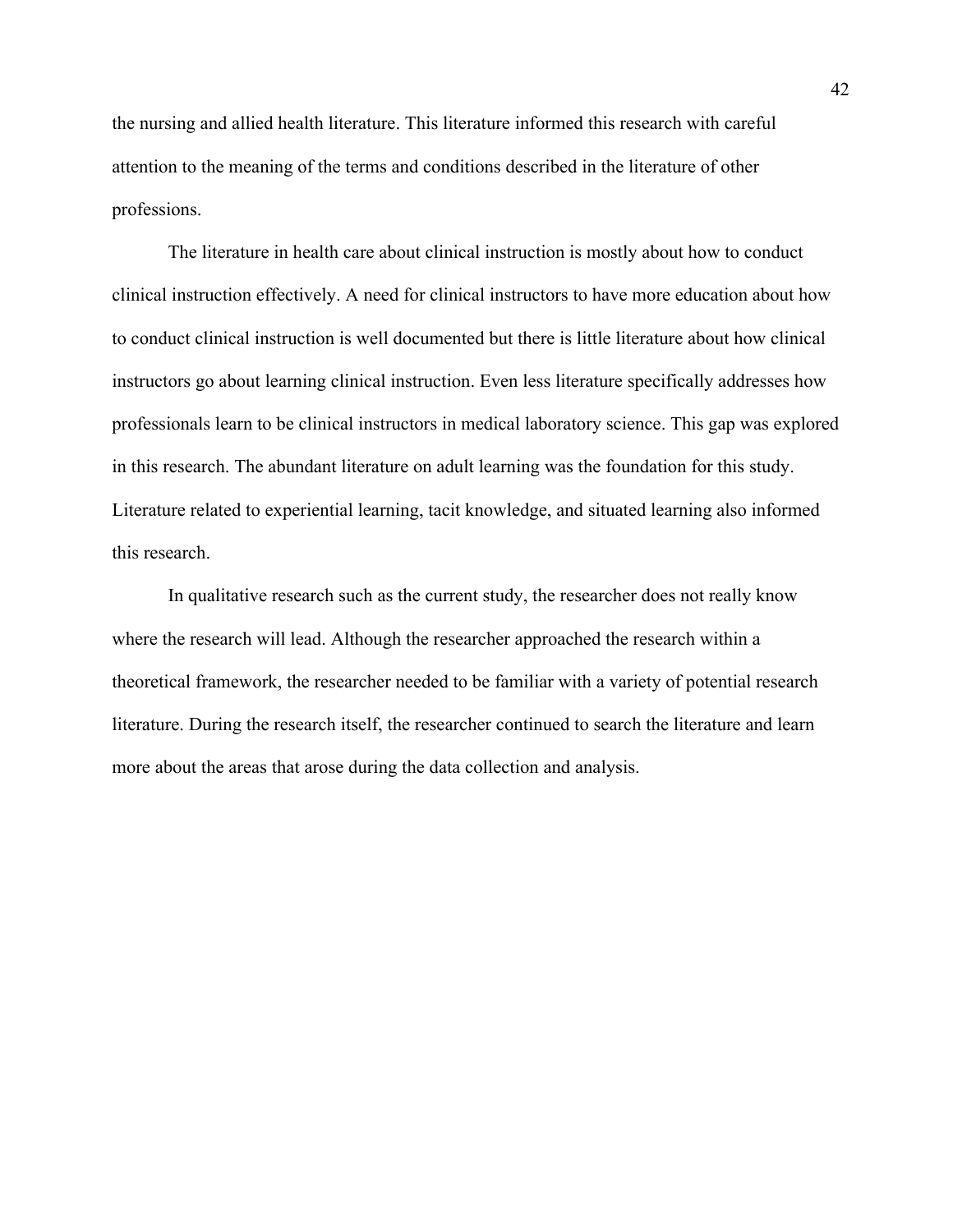the nursing and allied health literature. This literature informed this research with careful attention to the meaning of the terms and conditions described in the literature of other professions.

The literature in health care about clinical instruction is mostly about how to conduct clinical instruction effectively. A need for clinical instructors to have more education about how to conduct clinical instruction is well documented but there is little literature about how clinical instructors go about learning clinical instruction. Even less literature specifically addresses how professionals learn to be clinical instructors in medical laboratory science. This gap was explored in this research. The abundant literature on adult learning was the foundation for this study. Literature related to experiential learning, tacit knowledge, and situated learning also informed this research.

In qualitative research such as the current study, the researcher does not really know where the research will lead. Although the researcher approached the research within a theoretical framework, the researcher needed to be familiar with a variety of potential research literature. During the research itself, the researcher continued to search the literature and learn more about the areas that arose during the data collection and analysis.

42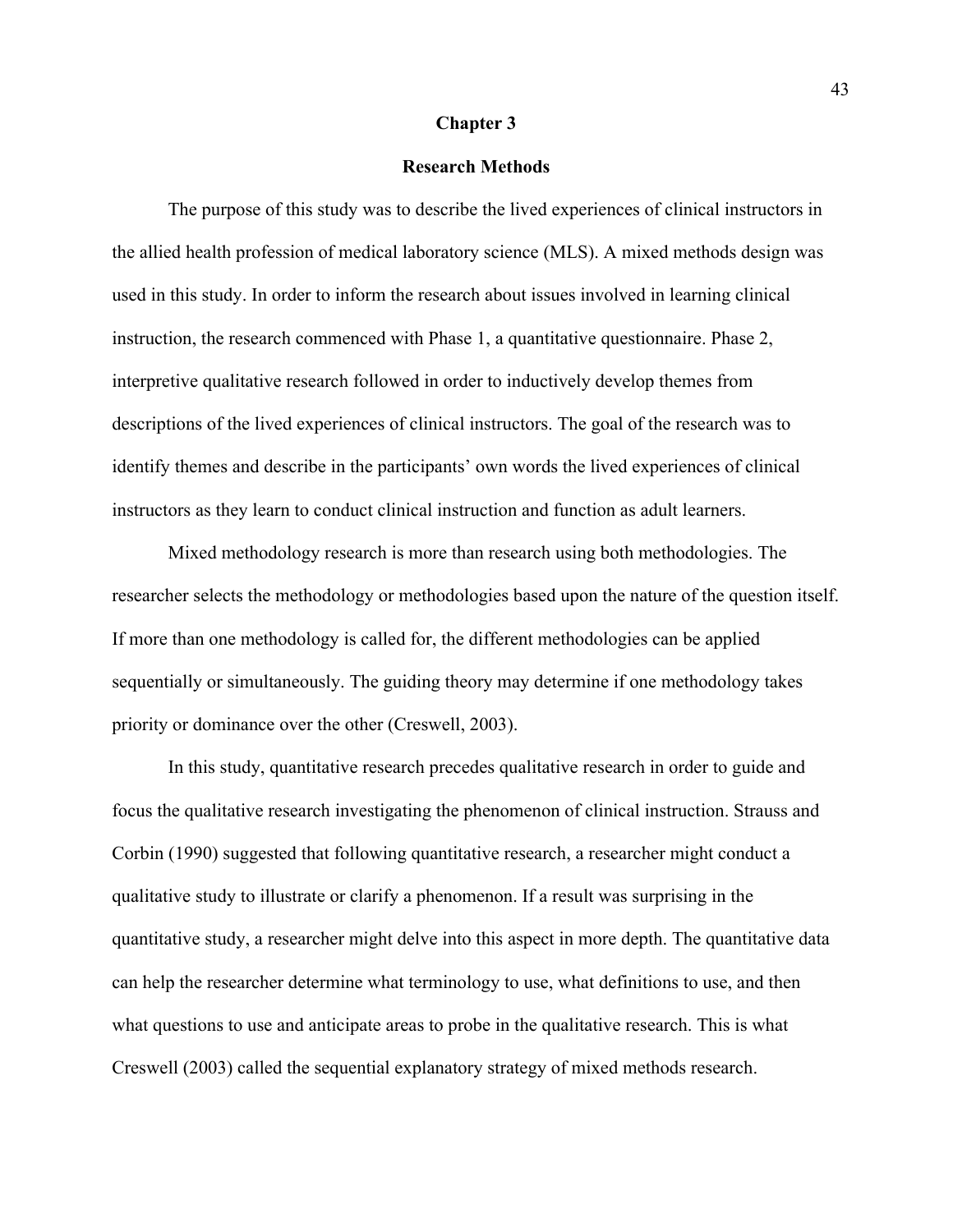### **Chapter 3**

# **Research Methods**

 The purpose of this study was to describe the lived experiences of clinical instructors in the allied health profession of medical laboratory science (MLS). A mixed methods design was used in this study. In order to inform the research about issues involved in learning clinical instruction, the research commenced with Phase 1, a quantitative questionnaire. Phase 2, interpretive qualitative research followed in order to inductively develop themes from descriptions of the lived experiences of clinical instructors. The goal of the research was to identify themes and describe in the participants' own words the lived experiences of clinical instructors as they learn to conduct clinical instruction and function as adult learners.

 Mixed methodology research is more than research using both methodologies. The researcher selects the methodology or methodologies based upon the nature of the question itself. If more than one methodology is called for, the different methodologies can be applied sequentially or simultaneously. The guiding theory may determine if one methodology takes priority or dominance over the other (Creswell, 2003).

 In this study, quantitative research precedes qualitative research in order to guide and focus the qualitative research investigating the phenomenon of clinical instruction. Strauss and Corbin (1990) suggested that following quantitative research, a researcher might conduct a qualitative study to illustrate or clarify a phenomenon. If a result was surprising in the quantitative study, a researcher might delve into this aspect in more depth. The quantitative data can help the researcher determine what terminology to use, what definitions to use, and then what questions to use and anticipate areas to probe in the qualitative research. This is what Creswell (2003) called the sequential explanatory strategy of mixed methods research.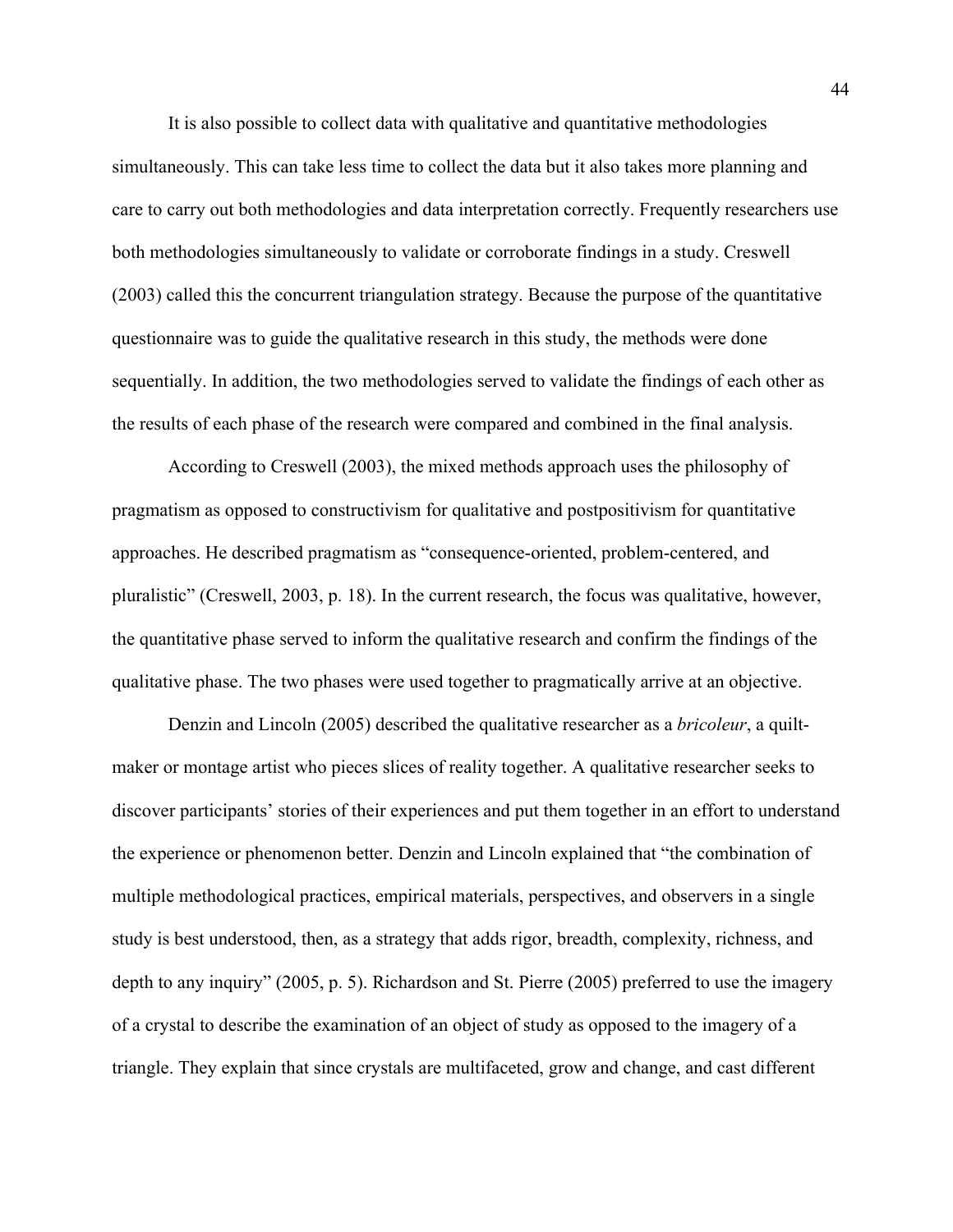It is also possible to collect data with qualitative and quantitative methodologies simultaneously. This can take less time to collect the data but it also takes more planning and care to carry out both methodologies and data interpretation correctly. Frequently researchers use both methodologies simultaneously to validate or corroborate findings in a study. Creswell (2003) called this the concurrent triangulation strategy. Because the purpose of the quantitative questionnaire was to guide the qualitative research in this study, the methods were done sequentially. In addition, the two methodologies served to validate the findings of each other as the results of each phase of the research were compared and combined in the final analysis.

According to Creswell (2003), the mixed methods approach uses the philosophy of pragmatism as opposed to constructivism for qualitative and postpositivism for quantitative approaches. He described pragmatism as "consequence-oriented, problem-centered, and pluralistic" (Creswell, 2003, p. 18). In the current research, the focus was qualitative, however, the quantitative phase served to inform the qualitative research and confirm the findings of the qualitative phase. The two phases were used together to pragmatically arrive at an objective.

 Denzin and Lincoln (2005) described the qualitative researcher as a *bricoleur*, a quiltmaker or montage artist who pieces slices of reality together. A qualitative researcher seeks to discover participants' stories of their experiences and put them together in an effort to understand the experience or phenomenon better. Denzin and Lincoln explained that "the combination of multiple methodological practices, empirical materials, perspectives, and observers in a single study is best understood, then, as a strategy that adds rigor, breadth, complexity, richness, and depth to any inquiry" (2005, p. 5). Richardson and St. Pierre (2005) preferred to use the imagery of a crystal to describe the examination of an object of study as opposed to the imagery of a triangle. They explain that since crystals are multifaceted, grow and change, and cast different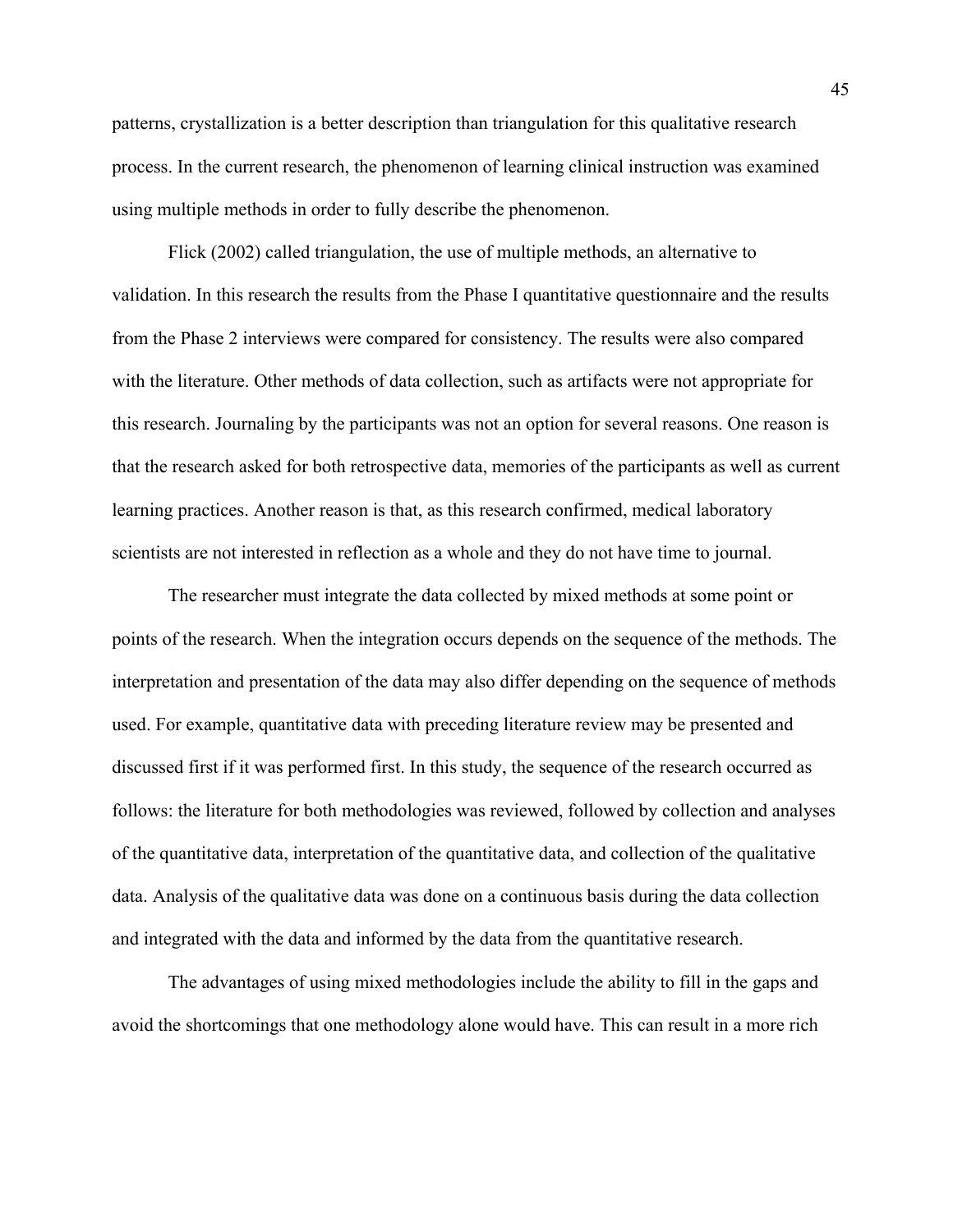patterns, crystallization is a better description than triangulation for this qualitative research process. In the current research, the phenomenon of learning clinical instruction was examined using multiple methods in order to fully describe the phenomenon.

 Flick (2002) called triangulation, the use of multiple methods, an alternative to validation. In this research the results from the Phase I quantitative questionnaire and the results from the Phase 2 interviews were compared for consistency. The results were also compared with the literature. Other methods of data collection, such as artifacts were not appropriate for this research. Journaling by the participants was not an option for several reasons. One reason is that the research asked for both retrospective data, memories of the participants as well as current learning practices. Another reason is that, as this research confirmed, medical laboratory scientists are not interested in reflection as a whole and they do not have time to journal.

The researcher must integrate the data collected by mixed methods at some point or points of the research. When the integration occurs depends on the sequence of the methods. The interpretation and presentation of the data may also differ depending on the sequence of methods used. For example, quantitative data with preceding literature review may be presented and discussed first if it was performed first. In this study, the sequence of the research occurred as follows: the literature for both methodologies was reviewed, followed by collection and analyses of the quantitative data, interpretation of the quantitative data, and collection of the qualitative data. Analysis of the qualitative data was done on a continuous basis during the data collection and integrated with the data and informed by the data from the quantitative research.

 The advantages of using mixed methodologies include the ability to fill in the gaps and avoid the shortcomings that one methodology alone would have. This can result in a more rich

45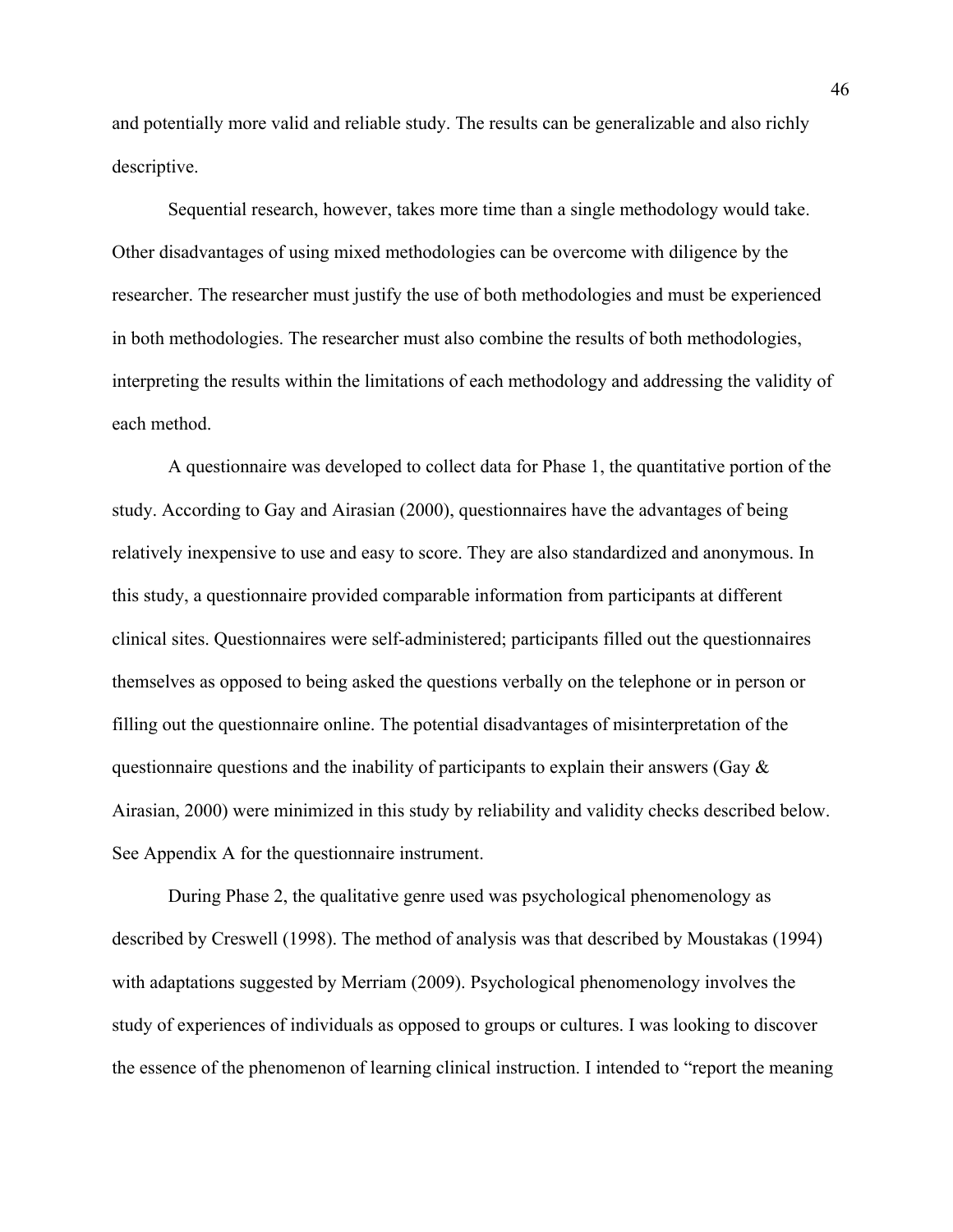and potentially more valid and reliable study. The results can be generalizable and also richly descriptive.

 Sequential research, however, takes more time than a single methodology would take. Other disadvantages of using mixed methodologies can be overcome with diligence by the researcher. The researcher must justify the use of both methodologies and must be experienced in both methodologies. The researcher must also combine the results of both methodologies, interpreting the results within the limitations of each methodology and addressing the validity of each method.

A questionnaire was developed to collect data for Phase 1, the quantitative portion of the study. According to Gay and Airasian (2000), questionnaires have the advantages of being relatively inexpensive to use and easy to score. They are also standardized and anonymous. In this study, a questionnaire provided comparable information from participants at different clinical sites. Questionnaires were self-administered; participants filled out the questionnaires themselves as opposed to being asked the questions verbally on the telephone or in person or filling out the questionnaire online. The potential disadvantages of misinterpretation of the questionnaire questions and the inability of participants to explain their answers (Gay & Airasian, 2000) were minimized in this study by reliability and validity checks described below. See Appendix A for the questionnaire instrument.

 During Phase 2, the qualitative genre used was psychological phenomenology as described by Creswell (1998). The method of analysis was that described by Moustakas (1994) with adaptations suggested by Merriam (2009). Psychological phenomenology involves the study of experiences of individuals as opposed to groups or cultures. I was looking to discover the essence of the phenomenon of learning clinical instruction. I intended to "report the meaning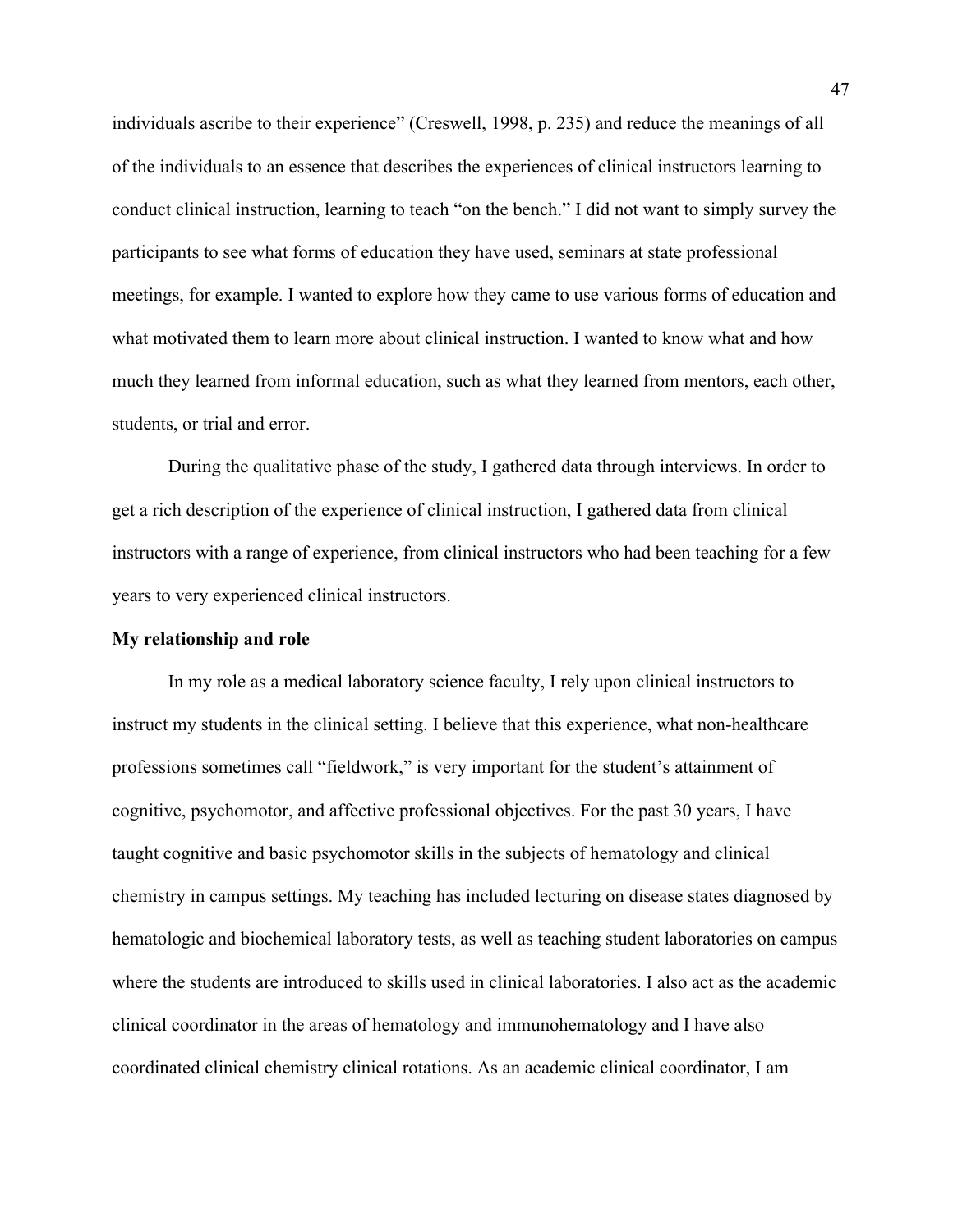individuals ascribe to their experience" (Creswell, 1998, p. 235) and reduce the meanings of all of the individuals to an essence that describes the experiences of clinical instructors learning to conduct clinical instruction, learning to teach "on the bench." I did not want to simply survey the participants to see what forms of education they have used, seminars at state professional meetings, for example. I wanted to explore how they came to use various forms of education and what motivated them to learn more about clinical instruction. I wanted to know what and how much they learned from informal education, such as what they learned from mentors, each other, students, or trial and error.

 During the qualitative phase of the study, I gathered data through interviews. In order to get a rich description of the experience of clinical instruction, I gathered data from clinical instructors with a range of experience, from clinical instructors who had been teaching for a few years to very experienced clinical instructors.

## **My relationship and role**

 In my role as a medical laboratory science faculty, I rely upon clinical instructors to instruct my students in the clinical setting. I believe that this experience, what non-healthcare professions sometimes call "fieldwork," is very important for the student's attainment of cognitive, psychomotor, and affective professional objectives. For the past 30 years, I have taught cognitive and basic psychomotor skills in the subjects of hematology and clinical chemistry in campus settings. My teaching has included lecturing on disease states diagnosed by hematologic and biochemical laboratory tests, as well as teaching student laboratories on campus where the students are introduced to skills used in clinical laboratories. I also act as the academic clinical coordinator in the areas of hematology and immunohematology and I have also coordinated clinical chemistry clinical rotations. As an academic clinical coordinator, I am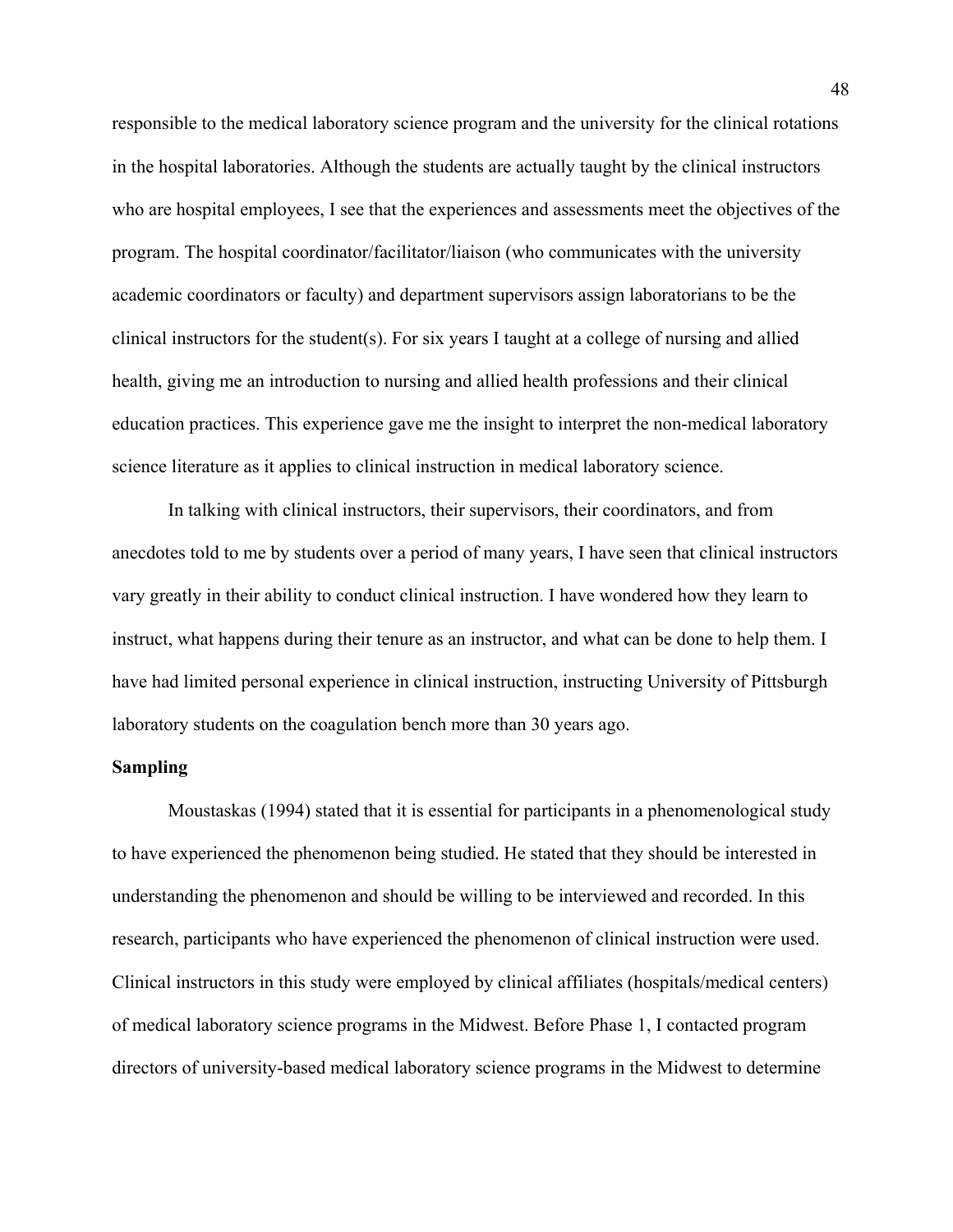responsible to the medical laboratory science program and the university for the clinical rotations in the hospital laboratories. Although the students are actually taught by the clinical instructors who are hospital employees, I see that the experiences and assessments meet the objectives of the program. The hospital coordinator/facilitator/liaison (who communicates with the university academic coordinators or faculty) and department supervisors assign laboratorians to be the clinical instructors for the student(s). For six years I taught at a college of nursing and allied health, giving me an introduction to nursing and allied health professions and their clinical education practices. This experience gave me the insight to interpret the non-medical laboratory science literature as it applies to clinical instruction in medical laboratory science.

 In talking with clinical instructors, their supervisors, their coordinators, and from anecdotes told to me by students over a period of many years, I have seen that clinical instructors vary greatly in their ability to conduct clinical instruction. I have wondered how they learn to instruct, what happens during their tenure as an instructor, and what can be done to help them. I have had limited personal experience in clinical instruction, instructing University of Pittsburgh laboratory students on the coagulation bench more than 30 years ago.

## **Sampling**

 Moustaskas (1994) stated that it is essential for participants in a phenomenological study to have experienced the phenomenon being studied. He stated that they should be interested in understanding the phenomenon and should be willing to be interviewed and recorded. In this research, participants who have experienced the phenomenon of clinical instruction were used. Clinical instructors in this study were employed by clinical affiliates (hospitals/medical centers) of medical laboratory science programs in the Midwest. Before Phase 1, I contacted program directors of university-based medical laboratory science programs in the Midwest to determine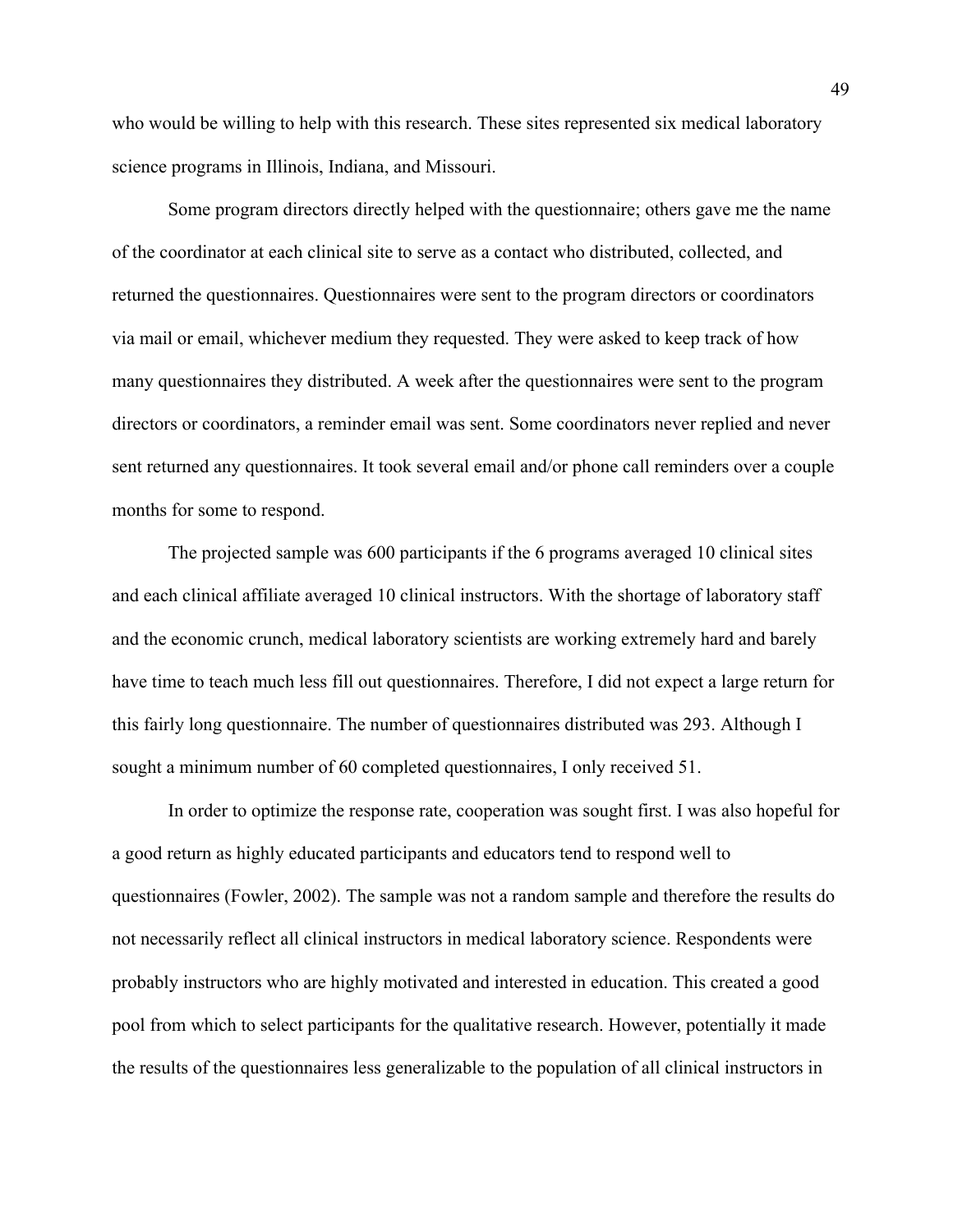who would be willing to help with this research. These sites represented six medical laboratory science programs in Illinois, Indiana, and Missouri.

 Some program directors directly helped with the questionnaire; others gave me the name of the coordinator at each clinical site to serve as a contact who distributed, collected, and returned the questionnaires. Questionnaires were sent to the program directors or coordinators via mail or email, whichever medium they requested. They were asked to keep track of how many questionnaires they distributed. A week after the questionnaires were sent to the program directors or coordinators, a reminder email was sent. Some coordinators never replied and never sent returned any questionnaires. It took several email and/or phone call reminders over a couple months for some to respond.

The projected sample was 600 participants if the 6 programs averaged 10 clinical sites and each clinical affiliate averaged 10 clinical instructors. With the shortage of laboratory staff and the economic crunch, medical laboratory scientists are working extremely hard and barely have time to teach much less fill out questionnaires. Therefore, I did not expect a large return for this fairly long questionnaire. The number of questionnaires distributed was 293. Although I sought a minimum number of 60 completed questionnaires, I only received 51.

In order to optimize the response rate, cooperation was sought first. I was also hopeful for a good return as highly educated participants and educators tend to respond well to questionnaires (Fowler, 2002). The sample was not a random sample and therefore the results do not necessarily reflect all clinical instructors in medical laboratory science. Respondents were probably instructors who are highly motivated and interested in education. This created a good pool from which to select participants for the qualitative research. However, potentially it made the results of the questionnaires less generalizable to the population of all clinical instructors in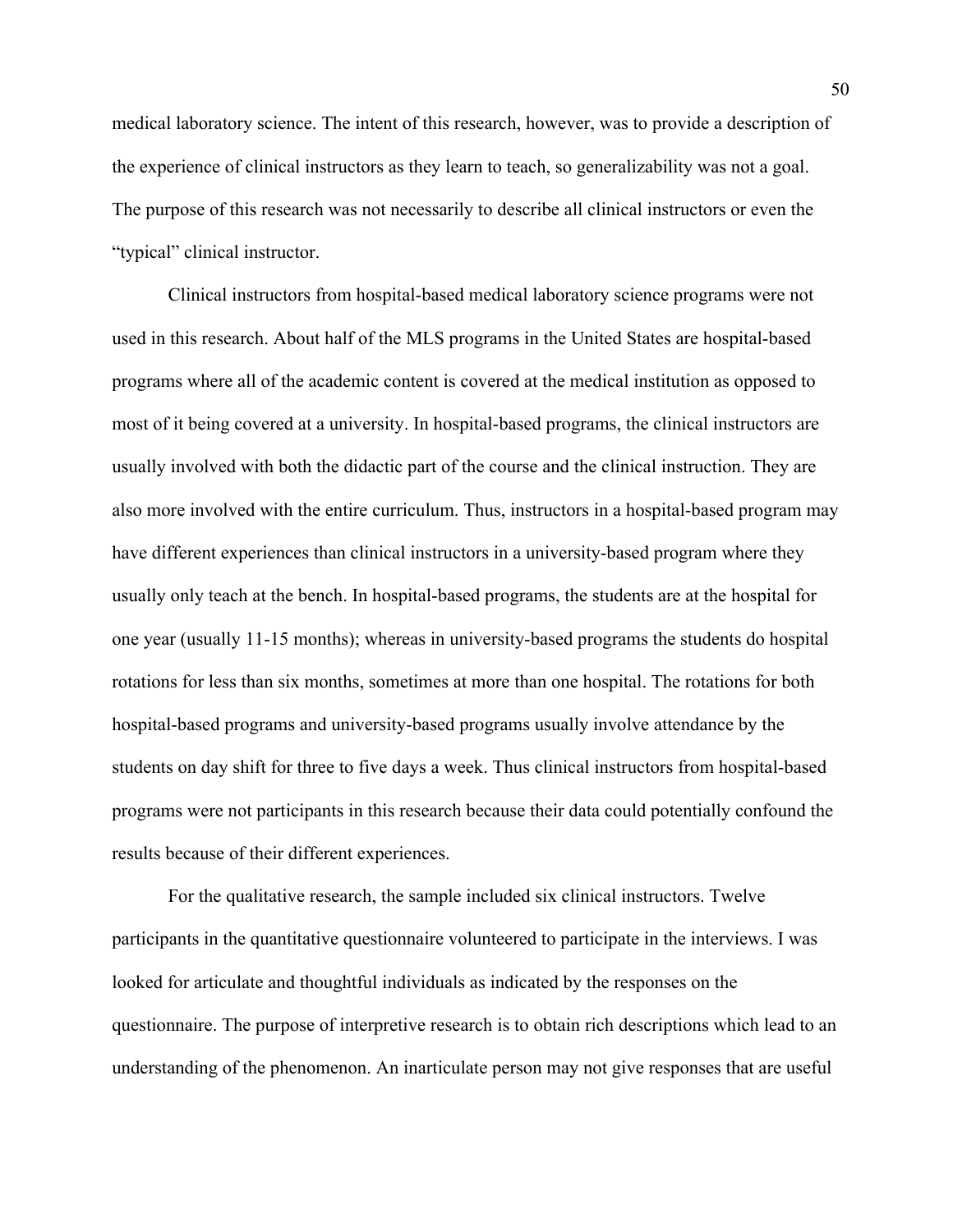medical laboratory science. The intent of this research, however, was to provide a description of the experience of clinical instructors as they learn to teach, so generalizability was not a goal. The purpose of this research was not necessarily to describe all clinical instructors or even the "typical" clinical instructor.

 Clinical instructors from hospital-based medical laboratory science programs were not used in this research. About half of the MLS programs in the United States are hospital-based programs where all of the academic content is covered at the medical institution as opposed to most of it being covered at a university. In hospital-based programs, the clinical instructors are usually involved with both the didactic part of the course and the clinical instruction. They are also more involved with the entire curriculum. Thus, instructors in a hospital-based program may have different experiences than clinical instructors in a university-based program where they usually only teach at the bench. In hospital-based programs, the students are at the hospital for one year (usually 11-15 months); whereas in university-based programs the students do hospital rotations for less than six months, sometimes at more than one hospital. The rotations for both hospital-based programs and university-based programs usually involve attendance by the students on day shift for three to five days a week. Thus clinical instructors from hospital-based programs were not participants in this research because their data could potentially confound the results because of their different experiences.

For the qualitative research, the sample included six clinical instructors. Twelve participants in the quantitative questionnaire volunteered to participate in the interviews. I was looked for articulate and thoughtful individuals as indicated by the responses on the questionnaire. The purpose of interpretive research is to obtain rich descriptions which lead to an understanding of the phenomenon. An inarticulate person may not give responses that are useful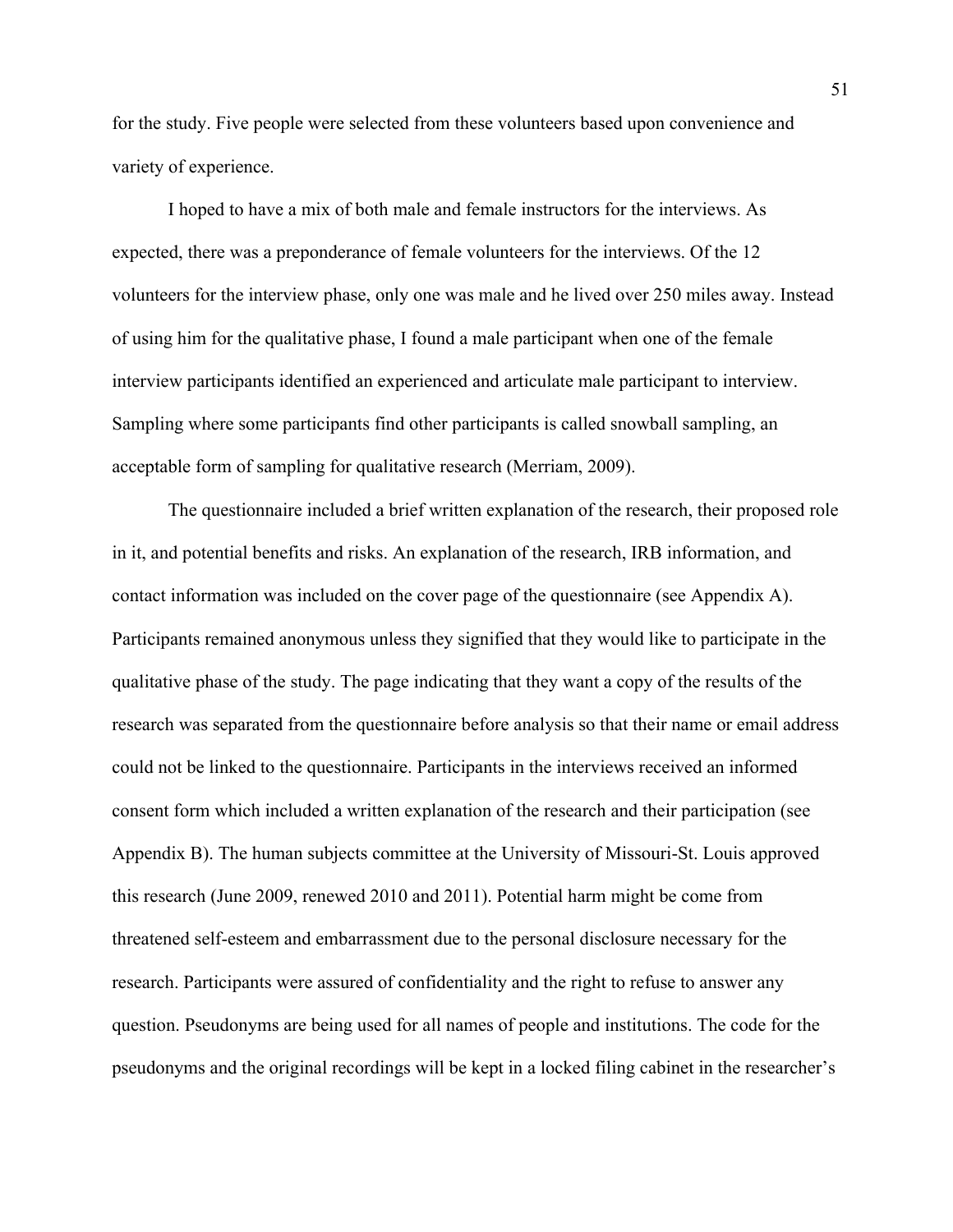for the study. Five people were selected from these volunteers based upon convenience and variety of experience.

 I hoped to have a mix of both male and female instructors for the interviews. As expected, there was a preponderance of female volunteers for the interviews. Of the 12 volunteers for the interview phase, only one was male and he lived over 250 miles away. Instead of using him for the qualitative phase, I found a male participant when one of the female interview participants identified an experienced and articulate male participant to interview. Sampling where some participants find other participants is called snowball sampling, an acceptable form of sampling for qualitative research (Merriam, 2009).

 The questionnaire included a brief written explanation of the research, their proposed role in it, and potential benefits and risks. An explanation of the research, IRB information, and contact information was included on the cover page of the questionnaire (see Appendix A). Participants remained anonymous unless they signified that they would like to participate in the qualitative phase of the study. The page indicating that they want a copy of the results of the research was separated from the questionnaire before analysis so that their name or email address could not be linked to the questionnaire. Participants in the interviews received an informed consent form which included a written explanation of the research and their participation (see Appendix B). The human subjects committee at the University of Missouri-St. Louis approved this research (June 2009, renewed 2010 and 2011). Potential harm might be come from threatened self-esteem and embarrassment due to the personal disclosure necessary for the research. Participants were assured of confidentiality and the right to refuse to answer any question. Pseudonyms are being used for all names of people and institutions. The code for the pseudonyms and the original recordings will be kept in a locked filing cabinet in the researcher's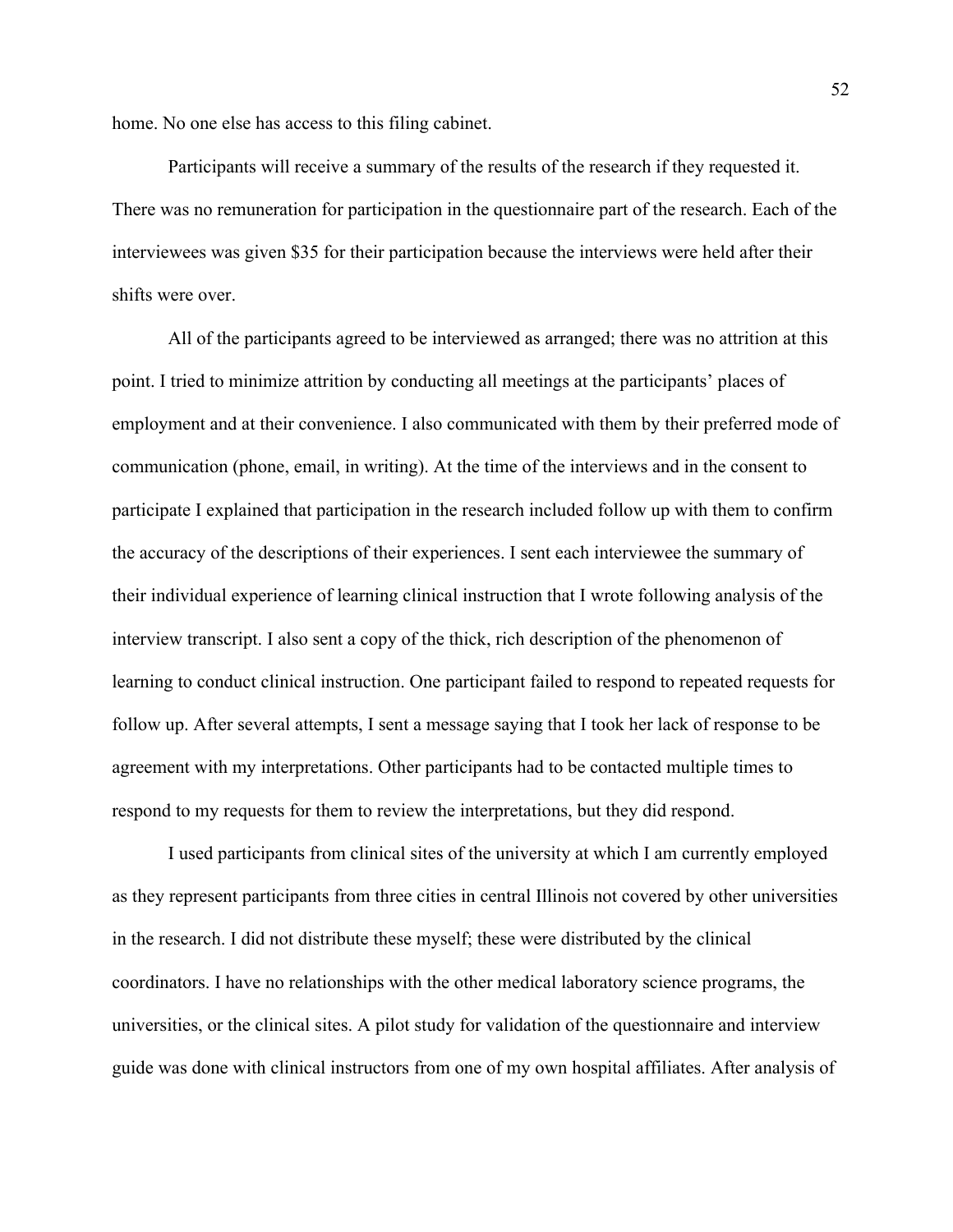home. No one else has access to this filing cabinet.

 Participants will receive a summary of the results of the research if they requested it. There was no remuneration for participation in the questionnaire part of the research. Each of the interviewees was given \$35 for their participation because the interviews were held after their shifts were over.

 All of the participants agreed to be interviewed as arranged; there was no attrition at this point. I tried to minimize attrition by conducting all meetings at the participants' places of employment and at their convenience. I also communicated with them by their preferred mode of communication (phone, email, in writing). At the time of the interviews and in the consent to participate I explained that participation in the research included follow up with them to confirm the accuracy of the descriptions of their experiences. I sent each interviewee the summary of their individual experience of learning clinical instruction that I wrote following analysis of the interview transcript. I also sent a copy of the thick, rich description of the phenomenon of learning to conduct clinical instruction. One participant failed to respond to repeated requests for follow up. After several attempts, I sent a message saying that I took her lack of response to be agreement with my interpretations. Other participants had to be contacted multiple times to respond to my requests for them to review the interpretations, but they did respond.

 I used participants from clinical sites of the university at which I am currently employed as they represent participants from three cities in central Illinois not covered by other universities in the research. I did not distribute these myself; these were distributed by the clinical coordinators. I have no relationships with the other medical laboratory science programs, the universities, or the clinical sites. A pilot study for validation of the questionnaire and interview guide was done with clinical instructors from one of my own hospital affiliates. After analysis of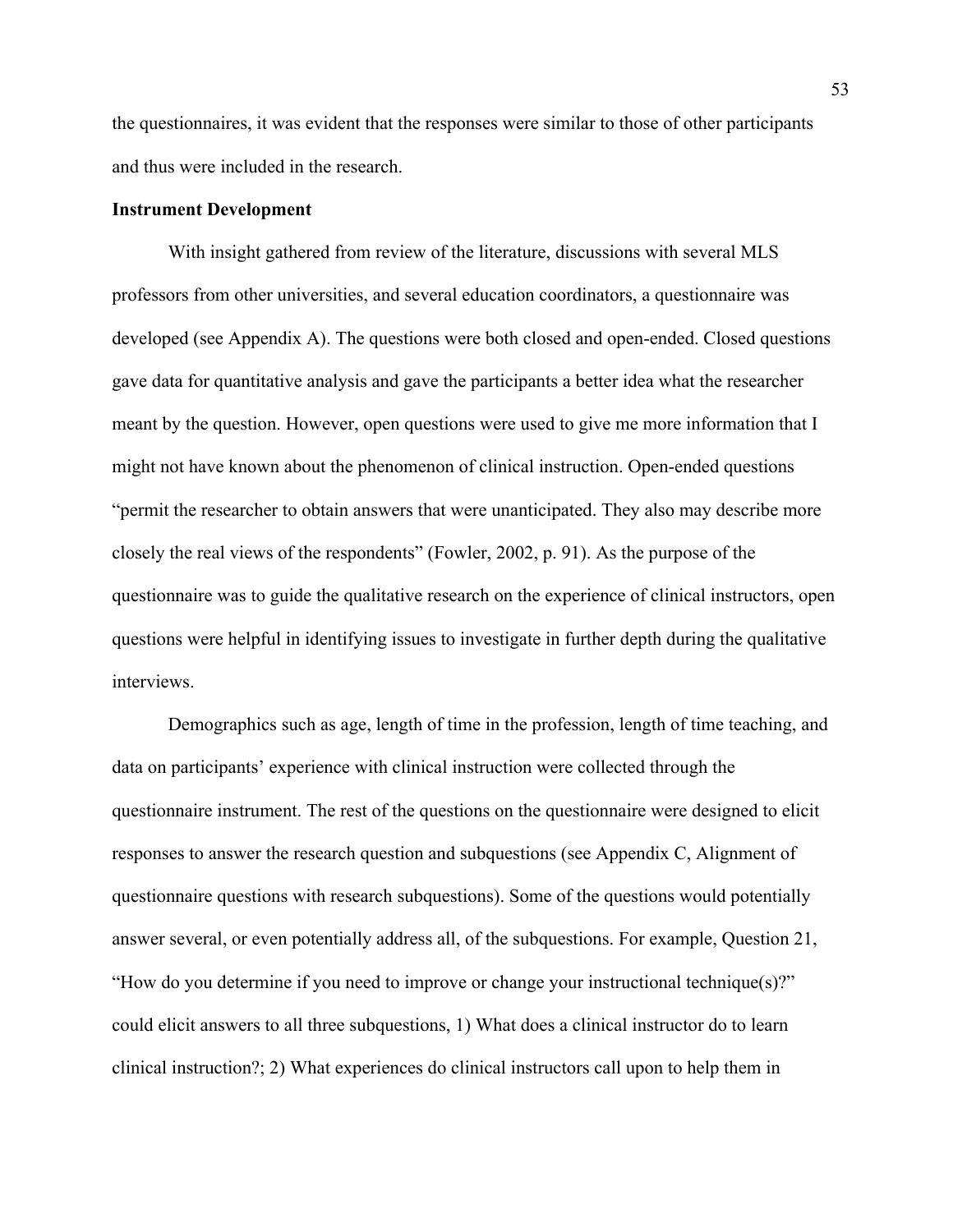the questionnaires, it was evident that the responses were similar to those of other participants and thus were included in the research.

## **Instrument Development**

With insight gathered from review of the literature, discussions with several MLS professors from other universities, and several education coordinators, a questionnaire was developed (see Appendix A). The questions were both closed and open-ended. Closed questions gave data for quantitative analysis and gave the participants a better idea what the researcher meant by the question. However, open questions were used to give me more information that I might not have known about the phenomenon of clinical instruction. Open-ended questions "permit the researcher to obtain answers that were unanticipated. They also may describe more closely the real views of the respondents" (Fowler, 2002, p. 91). As the purpose of the questionnaire was to guide the qualitative research on the experience of clinical instructors, open questions were helpful in identifying issues to investigate in further depth during the qualitative interviews.

Demographics such as age, length of time in the profession, length of time teaching, and data on participants' experience with clinical instruction were collected through the questionnaire instrument. The rest of the questions on the questionnaire were designed to elicit responses to answer the research question and subquestions (see Appendix C, Alignment of questionnaire questions with research subquestions). Some of the questions would potentially answer several, or even potentially address all, of the subquestions. For example, Question 21, "How do you determine if you need to improve or change your instructional technique(s)?" could elicit answers to all three subquestions, 1) What does a clinical instructor do to learn clinical instruction?; 2) What experiences do clinical instructors call upon to help them in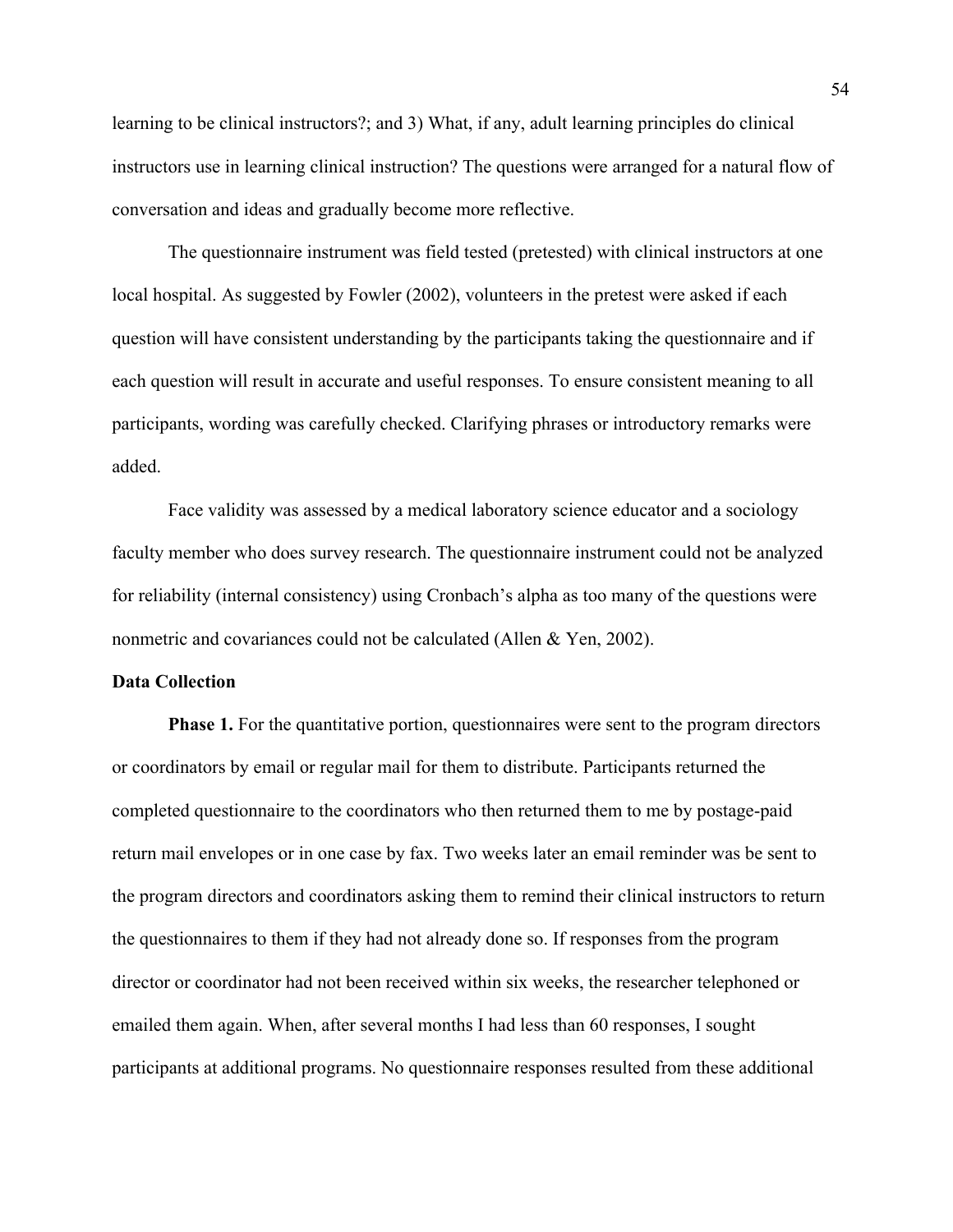learning to be clinical instructors?; and 3) What, if any, adult learning principles do clinical instructors use in learning clinical instruction? The questions were arranged for a natural flow of conversation and ideas and gradually become more reflective.

The questionnaire instrument was field tested (pretested) with clinical instructors at one local hospital. As suggested by Fowler (2002), volunteers in the pretest were asked if each question will have consistent understanding by the participants taking the questionnaire and if each question will result in accurate and useful responses. To ensure consistent meaning to all participants, wording was carefully checked. Clarifying phrases or introductory remarks were added.

 Face validity was assessed by a medical laboratory science educator and a sociology faculty member who does survey research. The questionnaire instrument could not be analyzed for reliability (internal consistency) using Cronbach's alpha as too many of the questions were nonmetric and covariances could not be calculated (Allen & Yen, 2002).

## **Data Collection**

**Phase 1.** For the quantitative portion, questionnaires were sent to the program directors or coordinators by email or regular mail for them to distribute. Participants returned the completed questionnaire to the coordinators who then returned them to me by postage-paid return mail envelopes or in one case by fax. Two weeks later an email reminder was be sent to the program directors and coordinators asking them to remind their clinical instructors to return the questionnaires to them if they had not already done so. If responses from the program director or coordinator had not been received within six weeks, the researcher telephoned or emailed them again. When, after several months I had less than 60 responses, I sought participants at additional programs. No questionnaire responses resulted from these additional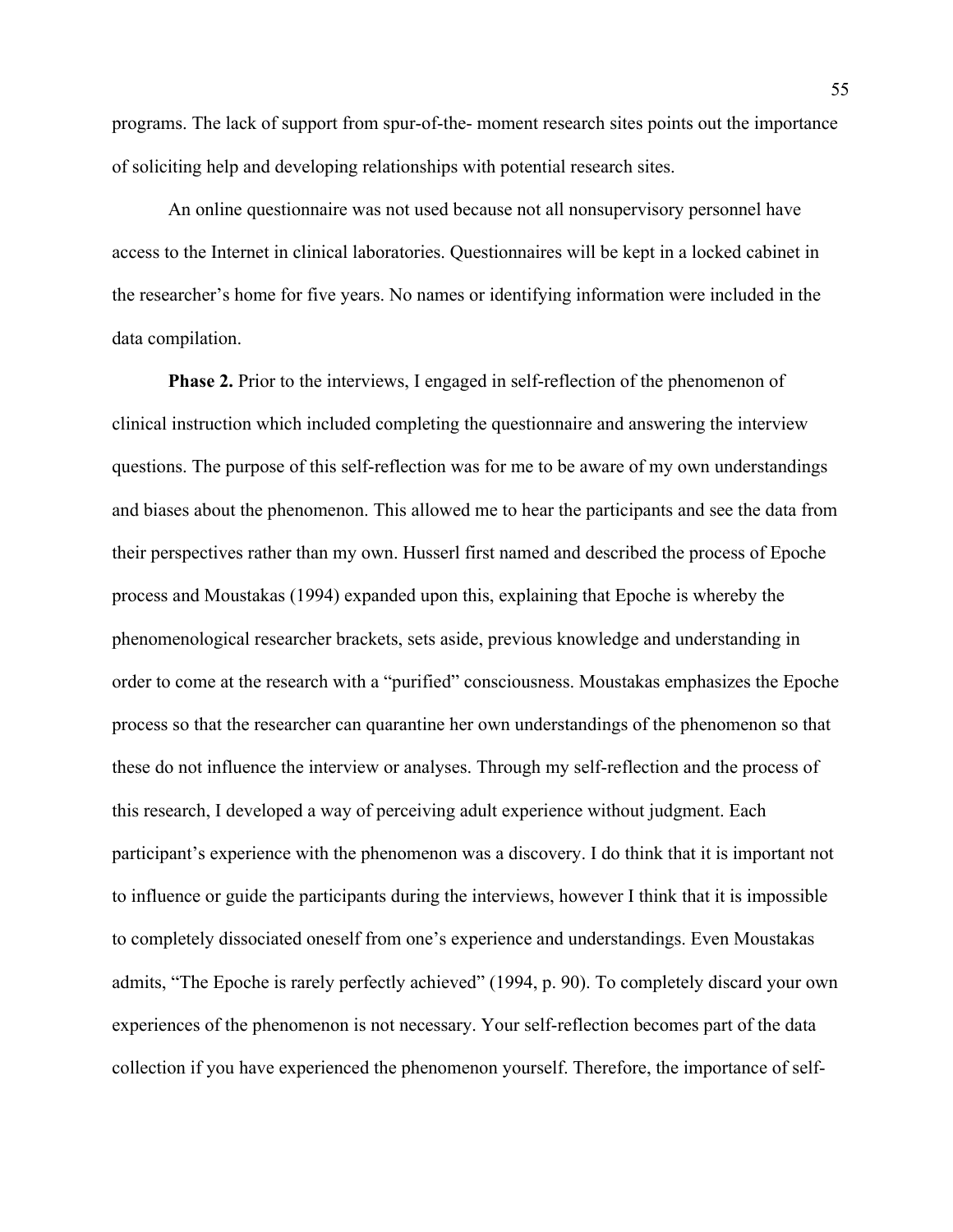programs. The lack of support from spur-of-the- moment research sites points out the importance of soliciting help and developing relationships with potential research sites.

An online questionnaire was not used because not all nonsupervisory personnel have access to the Internet in clinical laboratories. Questionnaires will be kept in a locked cabinet in the researcher's home for five years. No names or identifying information were included in the data compilation.

**Phase 2.** Prior to the interviews, I engaged in self-reflection of the phenomenon of clinical instruction which included completing the questionnaire and answering the interview questions. The purpose of this self-reflection was for me to be aware of my own understandings and biases about the phenomenon. This allowed me to hear the participants and see the data from their perspectives rather than my own. Husserl first named and described the process of Epoche process and Moustakas (1994) expanded upon this, explaining that Epoche is whereby the phenomenological researcher brackets, sets aside, previous knowledge and understanding in order to come at the research with a "purified" consciousness. Moustakas emphasizes the Epoche process so that the researcher can quarantine her own understandings of the phenomenon so that these do not influence the interview or analyses. Through my self-reflection and the process of this research, I developed a way of perceiving adult experience without judgment. Each participant's experience with the phenomenon was a discovery. I do think that it is important not to influence or guide the participants during the interviews, however I think that it is impossible to completely dissociated oneself from one's experience and understandings. Even Moustakas admits, "The Epoche is rarely perfectly achieved" (1994, p. 90). To completely discard your own experiences of the phenomenon is not necessary. Your self-reflection becomes part of the data collection if you have experienced the phenomenon yourself. Therefore, the importance of self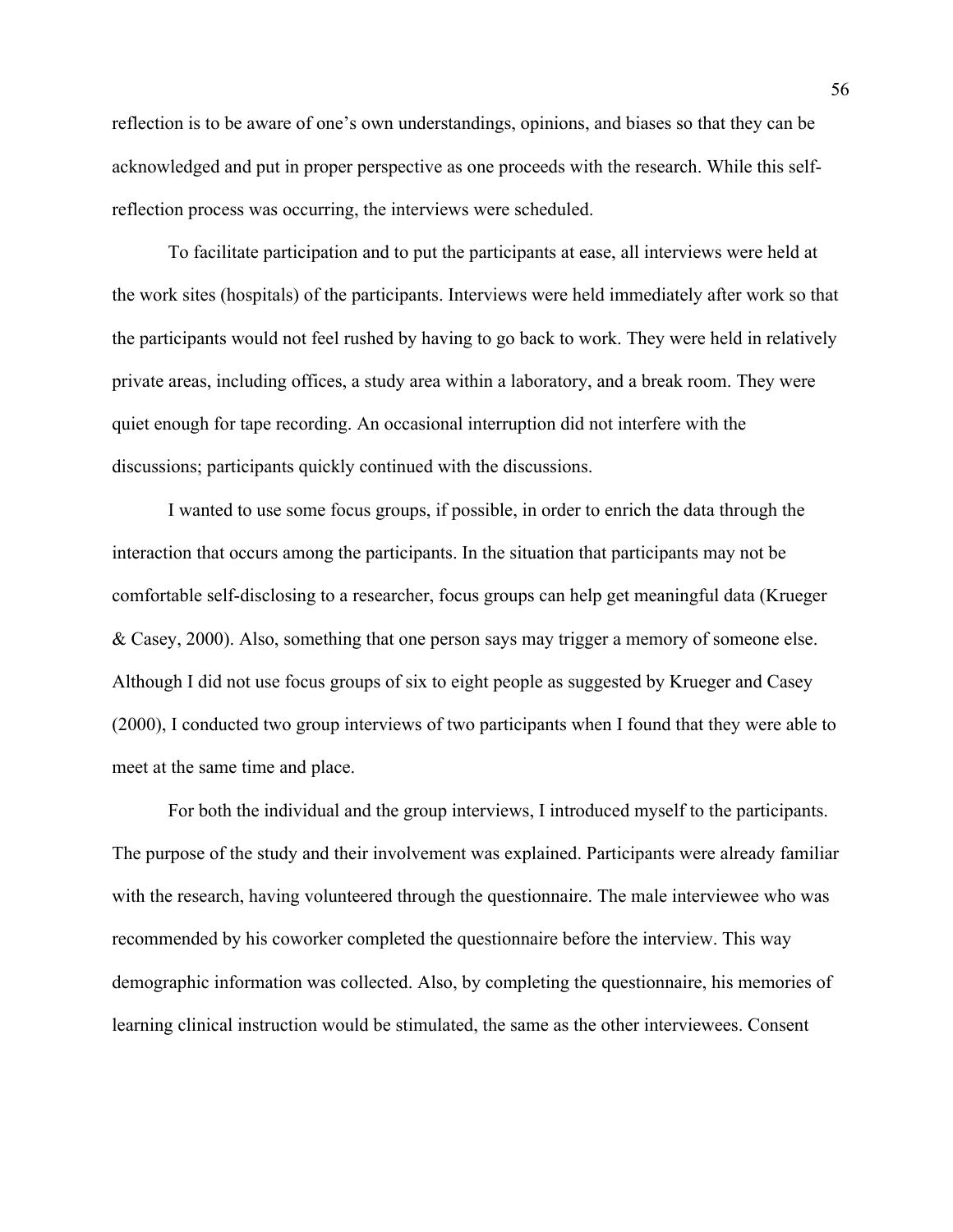reflection is to be aware of one's own understandings, opinions, and biases so that they can be acknowledged and put in proper perspective as one proceeds with the research. While this selfreflection process was occurring, the interviews were scheduled.

To facilitate participation and to put the participants at ease, all interviews were held at the work sites (hospitals) of the participants. Interviews were held immediately after work so that the participants would not feel rushed by having to go back to work. They were held in relatively private areas, including offices, a study area within a laboratory, and a break room. They were quiet enough for tape recording. An occasional interruption did not interfere with the discussions; participants quickly continued with the discussions.

 I wanted to use some focus groups, if possible, in order to enrich the data through the interaction that occurs among the participants. In the situation that participants may not be comfortable self-disclosing to a researcher, focus groups can help get meaningful data (Krueger & Casey, 2000). Also, something that one person says may trigger a memory of someone else. Although I did not use focus groups of six to eight people as suggested by Krueger and Casey (2000), I conducted two group interviews of two participants when I found that they were able to meet at the same time and place.

For both the individual and the group interviews, I introduced myself to the participants. The purpose of the study and their involvement was explained. Participants were already familiar with the research, having volunteered through the questionnaire. The male interviewee who was recommended by his coworker completed the questionnaire before the interview. This way demographic information was collected. Also, by completing the questionnaire, his memories of learning clinical instruction would be stimulated, the same as the other interviewees. Consent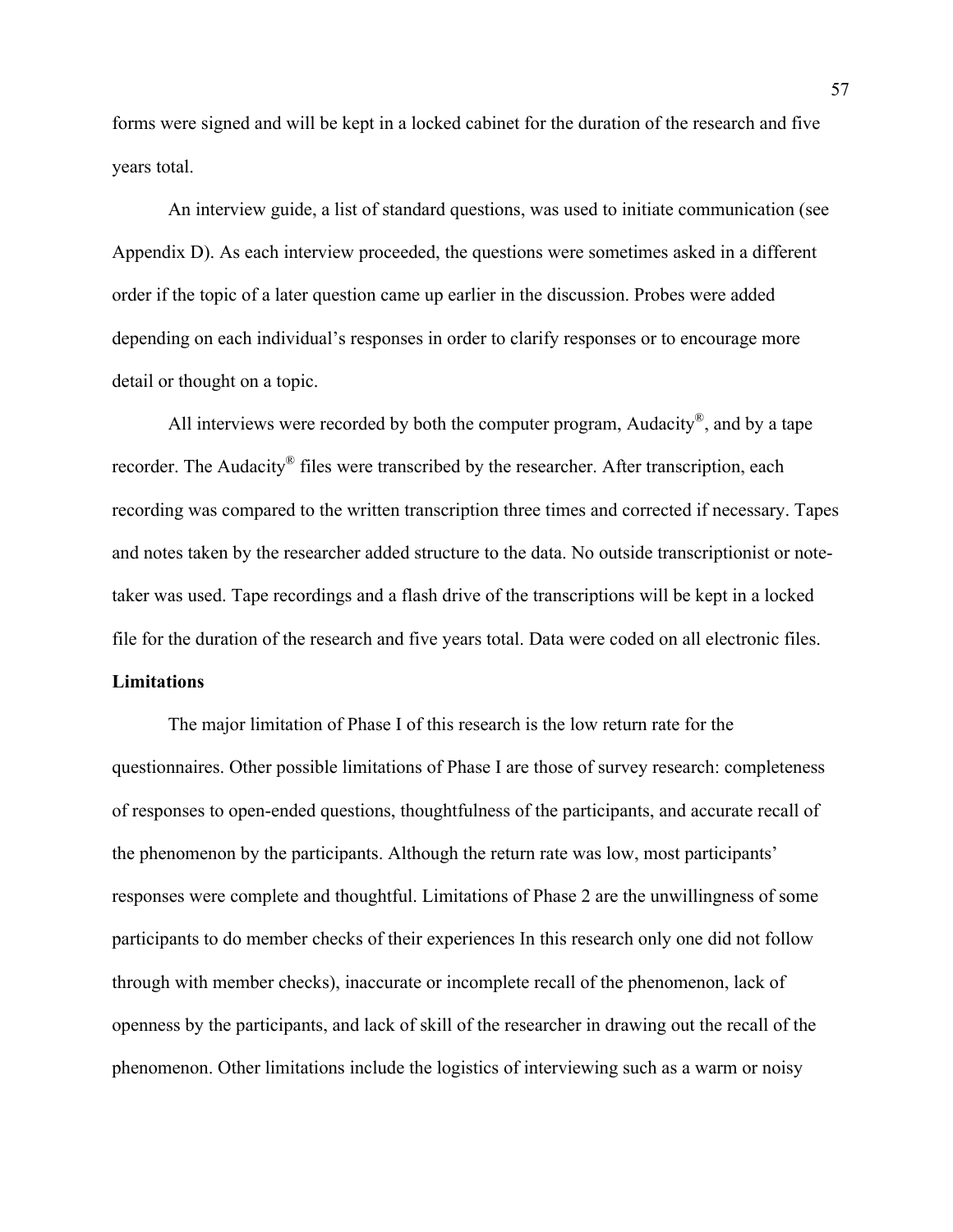forms were signed and will be kept in a locked cabinet for the duration of the research and five years total.

 An interview guide, a list of standard questions, was used to initiate communication (see Appendix D). As each interview proceeded, the questions were sometimes asked in a different order if the topic of a later question came up earlier in the discussion. Probes were added depending on each individual's responses in order to clarify responses or to encourage more detail or thought on a topic.

All interviews were recorded by both the computer program, Audacity<sup>®</sup>, and by a tape recorder. The Audacity<sup>®</sup> files were transcribed by the researcher. After transcription, each recording was compared to the written transcription three times and corrected if necessary. Tapes and notes taken by the researcher added structure to the data. No outside transcriptionist or notetaker was used. Tape recordings and a flash drive of the transcriptions will be kept in a locked file for the duration of the research and five years total. Data were coded on all electronic files.

# **Limitations**

 The major limitation of Phase I of this research is the low return rate for the questionnaires. Other possible limitations of Phase I are those of survey research: completeness of responses to open-ended questions, thoughtfulness of the participants, and accurate recall of the phenomenon by the participants. Although the return rate was low, most participants' responses were complete and thoughtful. Limitations of Phase 2 are the unwillingness of some participants to do member checks of their experiences In this research only one did not follow through with member checks), inaccurate or incomplete recall of the phenomenon, lack of openness by the participants, and lack of skill of the researcher in drawing out the recall of the phenomenon. Other limitations include the logistics of interviewing such as a warm or noisy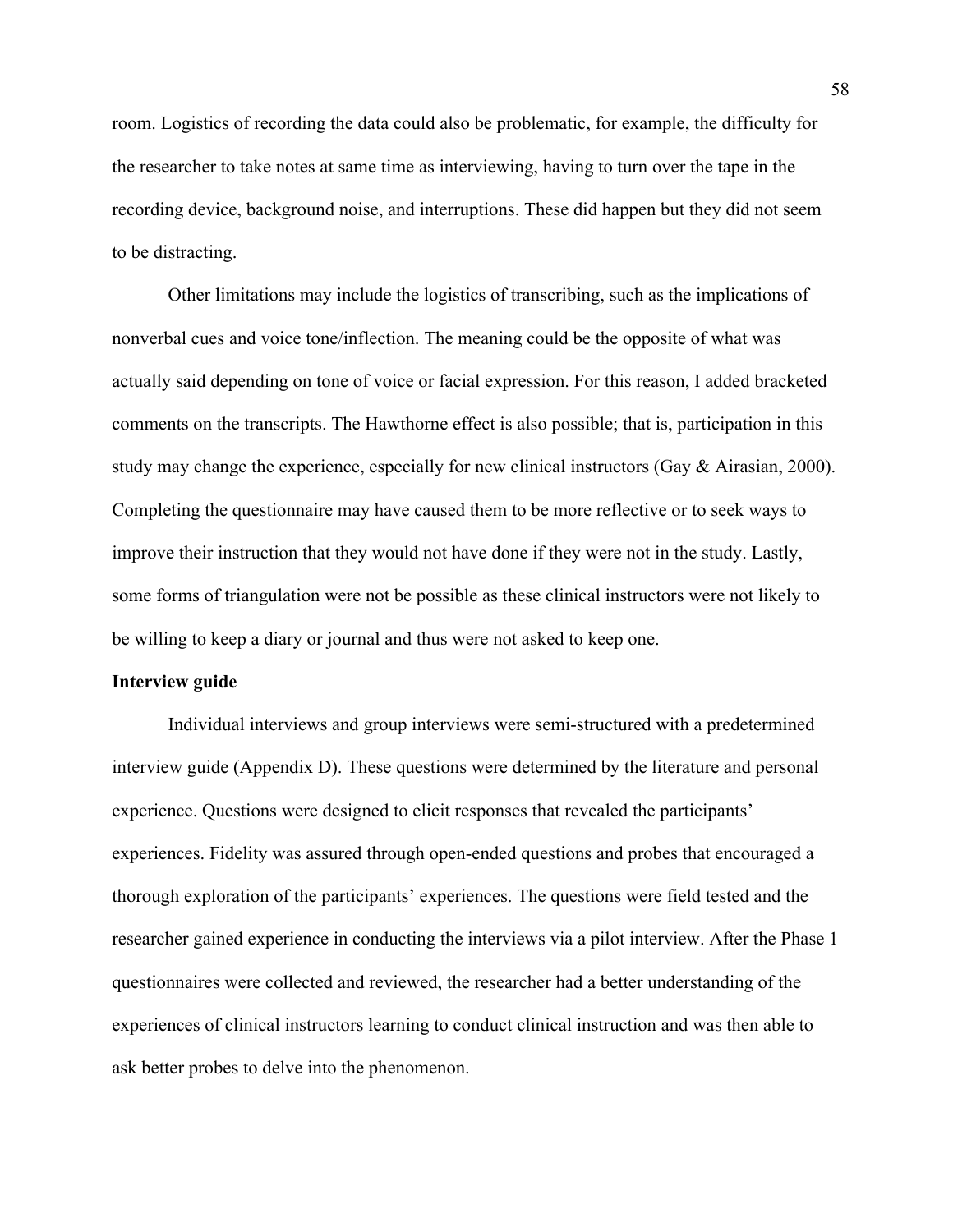room. Logistics of recording the data could also be problematic, for example, the difficulty for the researcher to take notes at same time as interviewing, having to turn over the tape in the recording device, background noise, and interruptions. These did happen but they did not seem to be distracting.

 Other limitations may include the logistics of transcribing, such as the implications of nonverbal cues and voice tone/inflection. The meaning could be the opposite of what was actually said depending on tone of voice or facial expression. For this reason, I added bracketed comments on the transcripts. The Hawthorne effect is also possible; that is, participation in this study may change the experience, especially for new clinical instructors (Gay & Airasian, 2000). Completing the questionnaire may have caused them to be more reflective or to seek ways to improve their instruction that they would not have done if they were not in the study. Lastly, some forms of triangulation were not be possible as these clinical instructors were not likely to be willing to keep a diary or journal and thus were not asked to keep one.

### **Interview guide**

 Individual interviews and group interviews were semi-structured with a predetermined interview guide (Appendix D). These questions were determined by the literature and personal experience. Questions were designed to elicit responses that revealed the participants' experiences. Fidelity was assured through open-ended questions and probes that encouraged a thorough exploration of the participants' experiences. The questions were field tested and the researcher gained experience in conducting the interviews via a pilot interview. After the Phase 1 questionnaires were collected and reviewed, the researcher had a better understanding of the experiences of clinical instructors learning to conduct clinical instruction and was then able to ask better probes to delve into the phenomenon.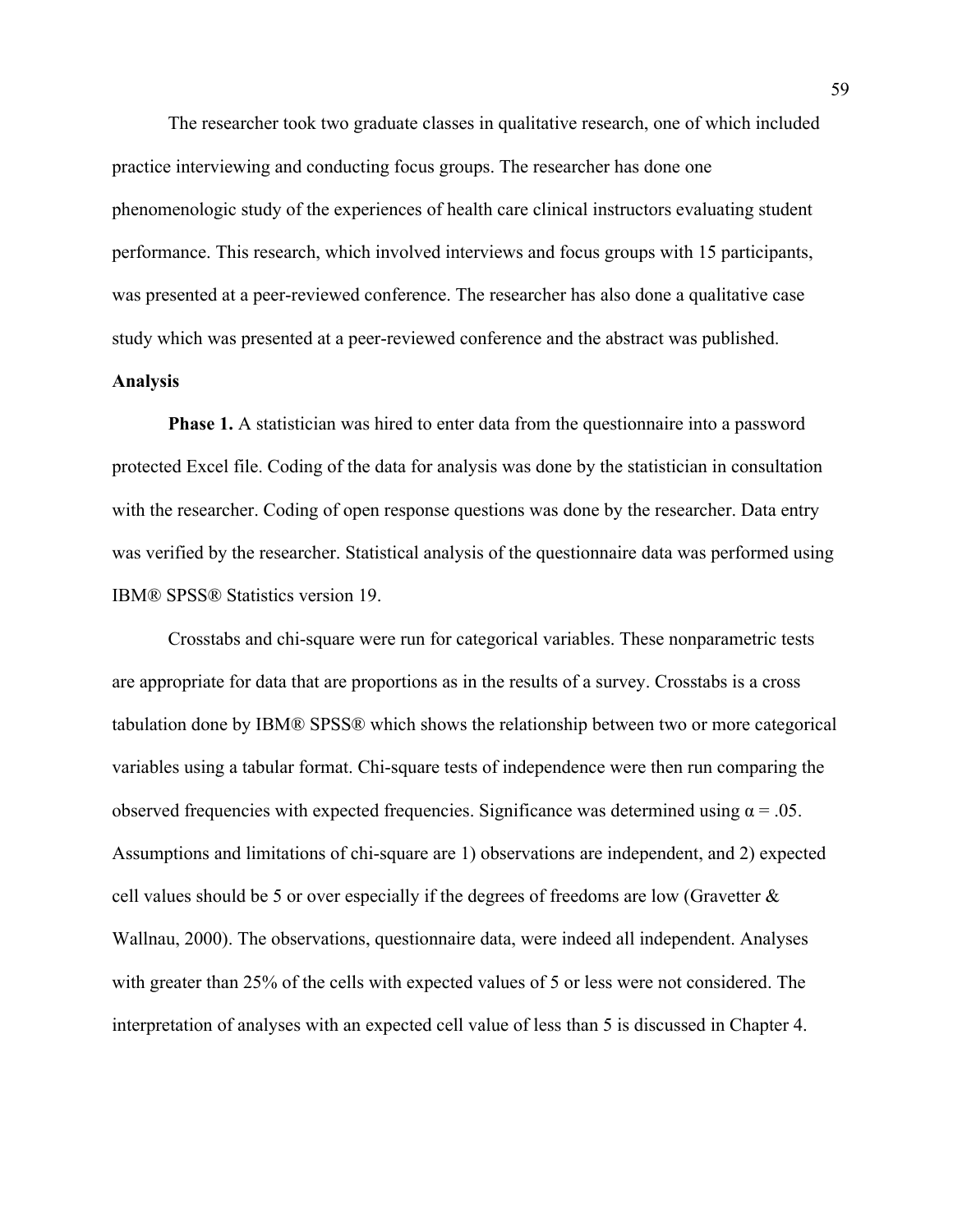The researcher took two graduate classes in qualitative research, one of which included practice interviewing and conducting focus groups. The researcher has done one phenomenologic study of the experiences of health care clinical instructors evaluating student performance. This research, which involved interviews and focus groups with 15 participants, was presented at a peer-reviewed conference. The researcher has also done a qualitative case study which was presented at a peer-reviewed conference and the abstract was published.

## **Analysis**

**Phase 1.** A statistician was hired to enter data from the questionnaire into a password protected Excel file. Coding of the data for analysis was done by the statistician in consultation with the researcher. Coding of open response questions was done by the researcher. Data entry was verified by the researcher. Statistical analysis of the questionnaire data was performed using IBM® SPSS® Statistics version 19.

Crosstabs and chi-square were run for categorical variables. These nonparametric tests are appropriate for data that are proportions as in the results of a survey. Crosstabs is a cross tabulation done by IBM® SPSS® which shows the relationship between two or more categorical variables using a tabular format. Chi-square tests of independence were then run comparing the observed frequencies with expected frequencies. Significance was determined using  $\alpha = .05$ . Assumptions and limitations of chi-square are 1) observations are independent, and 2) expected cell values should be 5 or over especially if the degrees of freedoms are low (Gravetter  $\&$ Wallnau, 2000). The observations, questionnaire data, were indeed all independent. Analyses with greater than 25% of the cells with expected values of 5 or less were not considered. The interpretation of analyses with an expected cell value of less than 5 is discussed in Chapter 4.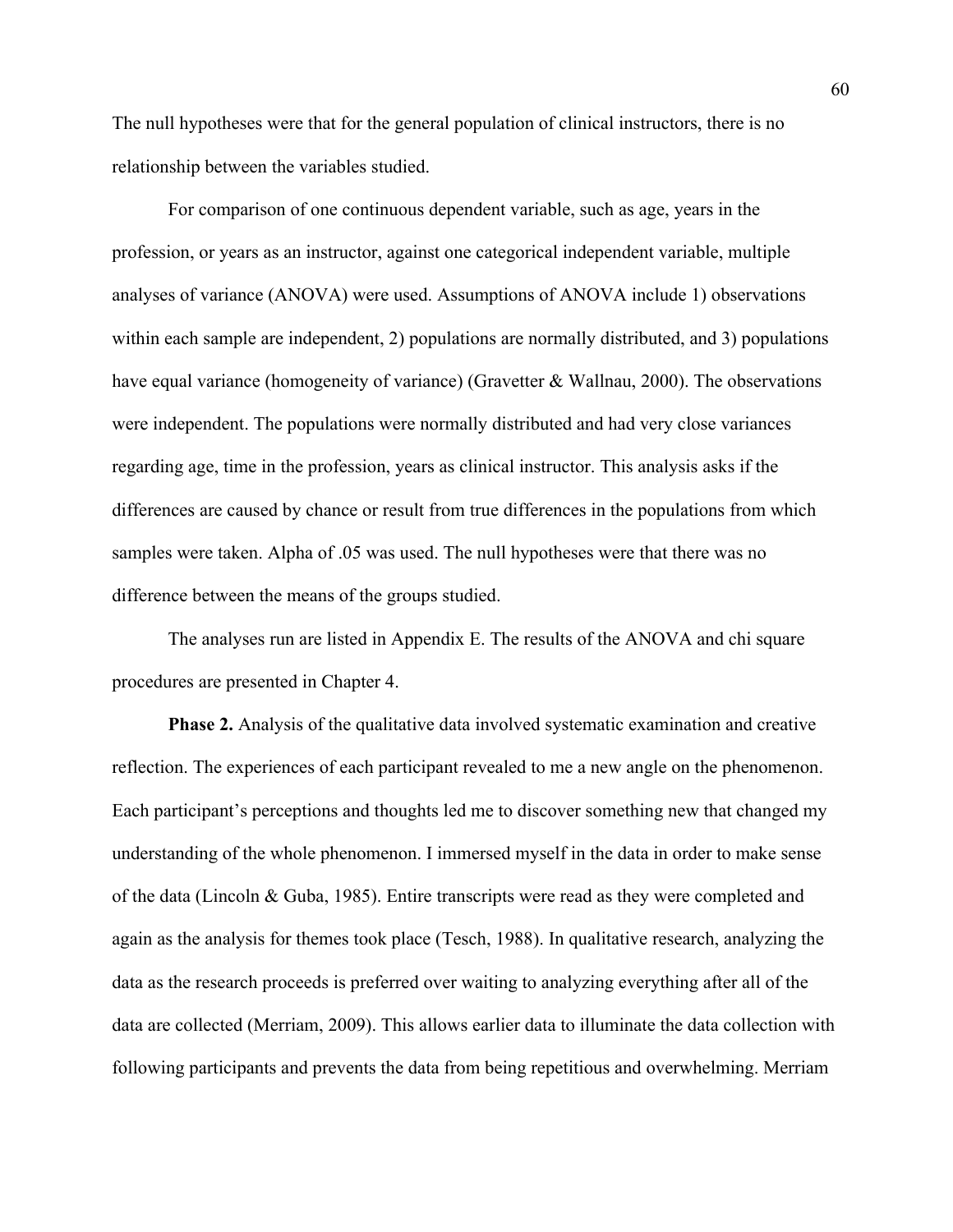The null hypotheses were that for the general population of clinical instructors, there is no relationship between the variables studied.

For comparison of one continuous dependent variable, such as age, years in the profession, or years as an instructor, against one categorical independent variable, multiple analyses of variance (ANOVA) were used. Assumptions of ANOVA include 1) observations within each sample are independent, 2) populations are normally distributed, and 3) populations have equal variance (homogeneity of variance) (Gravetter & Wallnau, 2000). The observations were independent. The populations were normally distributed and had very close variances regarding age, time in the profession, years as clinical instructor. This analysis asks if the differences are caused by chance or result from true differences in the populations from which samples were taken. Alpha of .05 was used. The null hypotheses were that there was no difference between the means of the groups studied.

 The analyses run are listed in Appendix E. The results of the ANOVA and chi square procedures are presented in Chapter 4.

**Phase 2.** Analysis of the qualitative data involved systematic examination and creative reflection. The experiences of each participant revealed to me a new angle on the phenomenon. Each participant's perceptions and thoughts led me to discover something new that changed my understanding of the whole phenomenon. I immersed myself in the data in order to make sense of the data (Lincoln & Guba, 1985). Entire transcripts were read as they were completed and again as the analysis for themes took place (Tesch, 1988). In qualitative research, analyzing the data as the research proceeds is preferred over waiting to analyzing everything after all of the data are collected (Merriam, 2009). This allows earlier data to illuminate the data collection with following participants and prevents the data from being repetitious and overwhelming. Merriam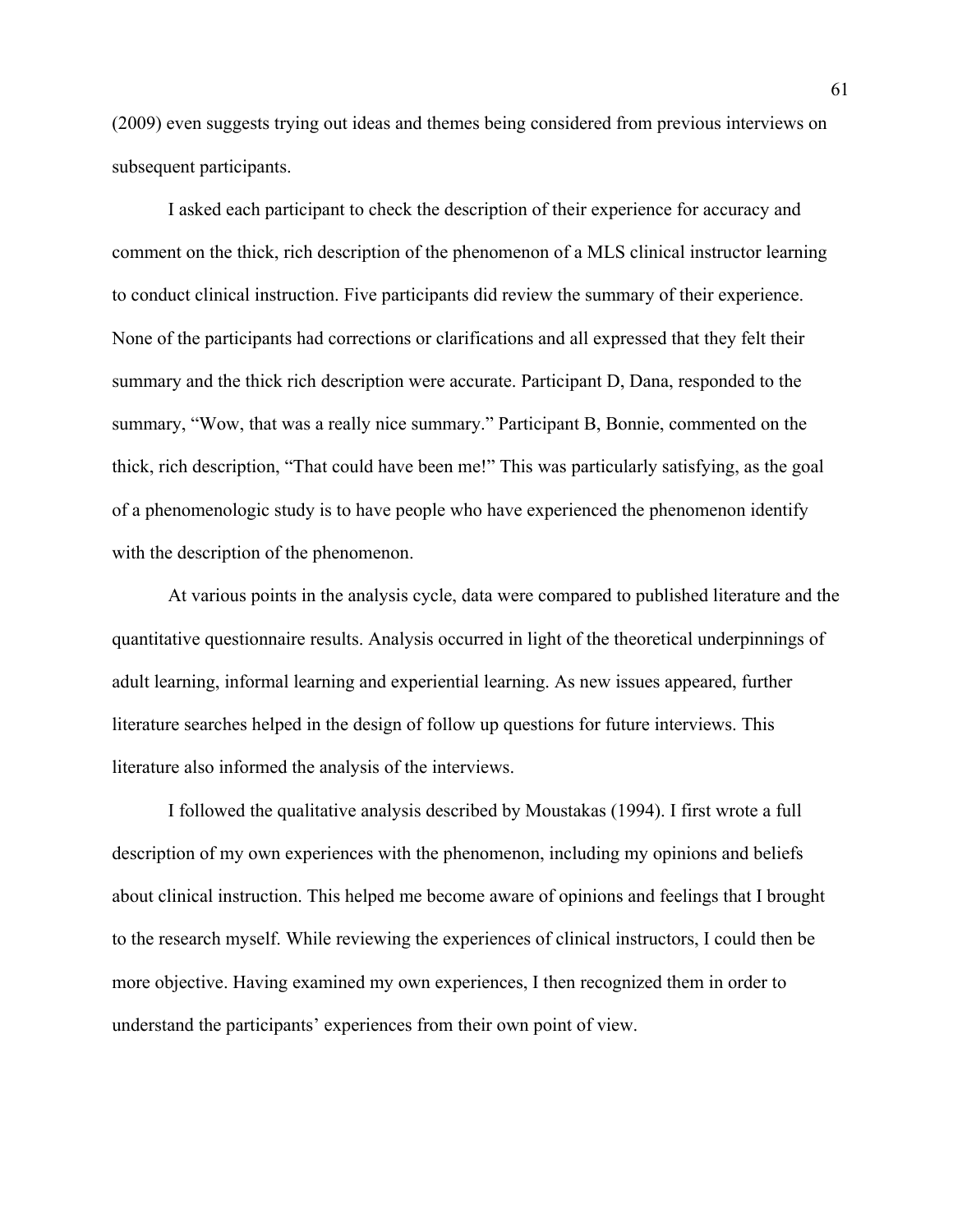(2009) even suggests trying out ideas and themes being considered from previous interviews on subsequent participants.

I asked each participant to check the description of their experience for accuracy and comment on the thick, rich description of the phenomenon of a MLS clinical instructor learning to conduct clinical instruction. Five participants did review the summary of their experience. None of the participants had corrections or clarifications and all expressed that they felt their summary and the thick rich description were accurate. Participant D, Dana, responded to the summary, "Wow, that was a really nice summary." Participant B, Bonnie, commented on the thick, rich description, "That could have been me!" This was particularly satisfying, as the goal of a phenomenologic study is to have people who have experienced the phenomenon identify with the description of the phenomenon.

 At various points in the analysis cycle, data were compared to published literature and the quantitative questionnaire results. Analysis occurred in light of the theoretical underpinnings of adult learning, informal learning and experiential learning. As new issues appeared, further literature searches helped in the design of follow up questions for future interviews. This literature also informed the analysis of the interviews.

 I followed the qualitative analysis described by Moustakas (1994). I first wrote a full description of my own experiences with the phenomenon, including my opinions and beliefs about clinical instruction. This helped me become aware of opinions and feelings that I brought to the research myself. While reviewing the experiences of clinical instructors, I could then be more objective. Having examined my own experiences, I then recognized them in order to understand the participants' experiences from their own point of view.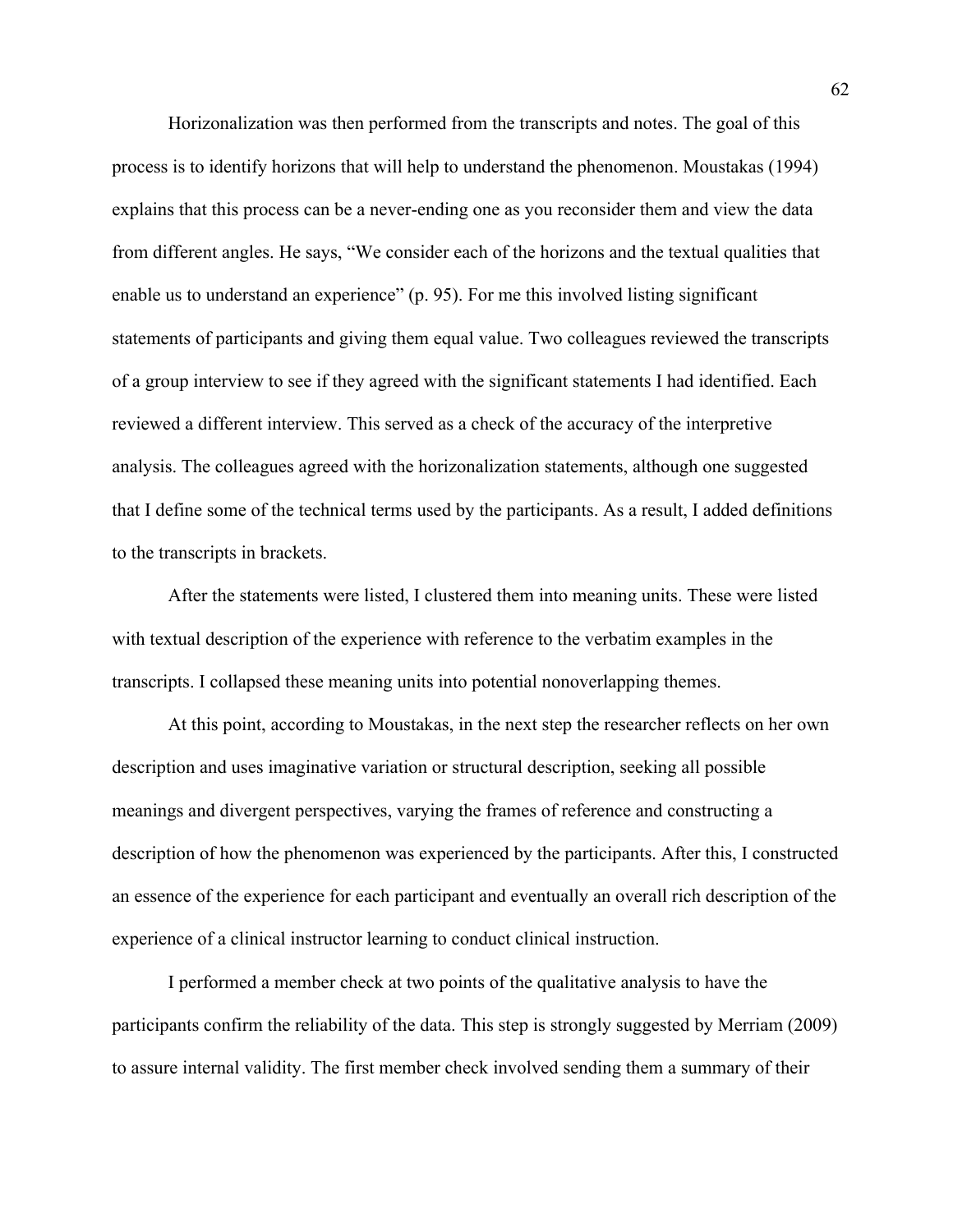Horizonalization was then performed from the transcripts and notes. The goal of this process is to identify horizons that will help to understand the phenomenon. Moustakas (1994) explains that this process can be a never-ending one as you reconsider them and view the data from different angles. He says, "We consider each of the horizons and the textual qualities that enable us to understand an experience" (p. 95). For me this involved listing significant statements of participants and giving them equal value. Two colleagues reviewed the transcripts of a group interview to see if they agreed with the significant statements I had identified. Each reviewed a different interview. This served as a check of the accuracy of the interpretive analysis. The colleagues agreed with the horizonalization statements, although one suggested that I define some of the technical terms used by the participants. As a result, I added definitions to the transcripts in brackets.

 After the statements were listed, I clustered them into meaning units. These were listed with textual description of the experience with reference to the verbatim examples in the transcripts. I collapsed these meaning units into potential nonoverlapping themes.

 At this point, according to Moustakas, in the next step the researcher reflects on her own description and uses imaginative variation or structural description, seeking all possible meanings and divergent perspectives, varying the frames of reference and constructing a description of how the phenomenon was experienced by the participants. After this, I constructed an essence of the experience for each participant and eventually an overall rich description of the experience of a clinical instructor learning to conduct clinical instruction.

I performed a member check at two points of the qualitative analysis to have the participants confirm the reliability of the data. This step is strongly suggested by Merriam (2009) to assure internal validity. The first member check involved sending them a summary of their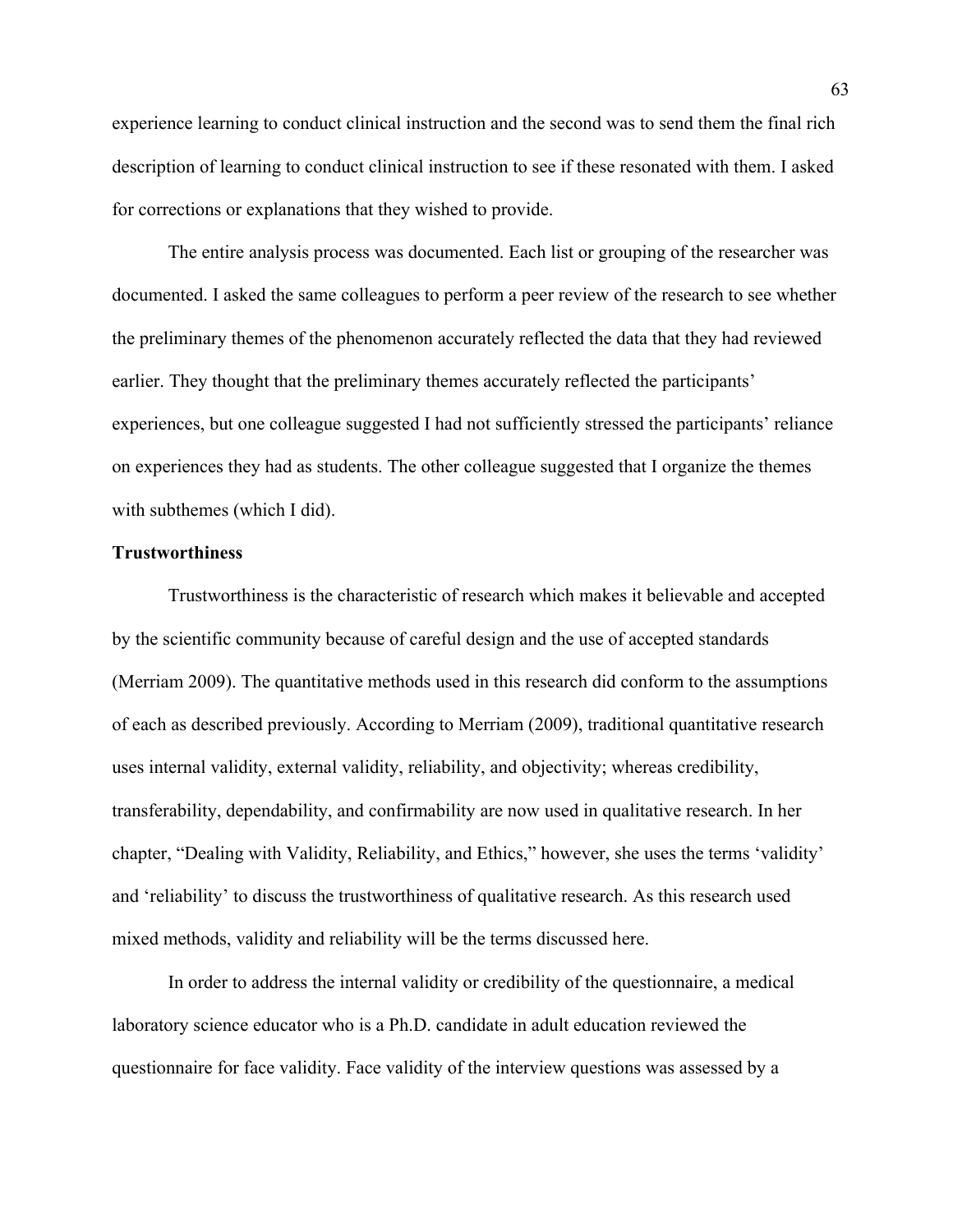experience learning to conduct clinical instruction and the second was to send them the final rich description of learning to conduct clinical instruction to see if these resonated with them. I asked for corrections or explanations that they wished to provide.

 The entire analysis process was documented. Each list or grouping of the researcher was documented. I asked the same colleagues to perform a peer review of the research to see whether the preliminary themes of the phenomenon accurately reflected the data that they had reviewed earlier. They thought that the preliminary themes accurately reflected the participants' experiences, but one colleague suggested I had not sufficiently stressed the participants' reliance on experiences they had as students. The other colleague suggested that I organize the themes with subthemes (which I did).

#### **Trustworthiness**

 Trustworthiness is the characteristic of research which makes it believable and accepted by the scientific community because of careful design and the use of accepted standards (Merriam 2009). The quantitative methods used in this research did conform to the assumptions of each as described previously. According to Merriam (2009), traditional quantitative research uses internal validity, external validity, reliability, and objectivity; whereas credibility, transferability, dependability, and confirmability are now used in qualitative research. In her chapter, "Dealing with Validity, Reliability, and Ethics," however, she uses the terms 'validity' and 'reliability' to discuss the trustworthiness of qualitative research. As this research used mixed methods, validity and reliability will be the terms discussed here.

In order to address the internal validity or credibility of the questionnaire, a medical laboratory science educator who is a Ph.D. candidate in adult education reviewed the questionnaire for face validity. Face validity of the interview questions was assessed by a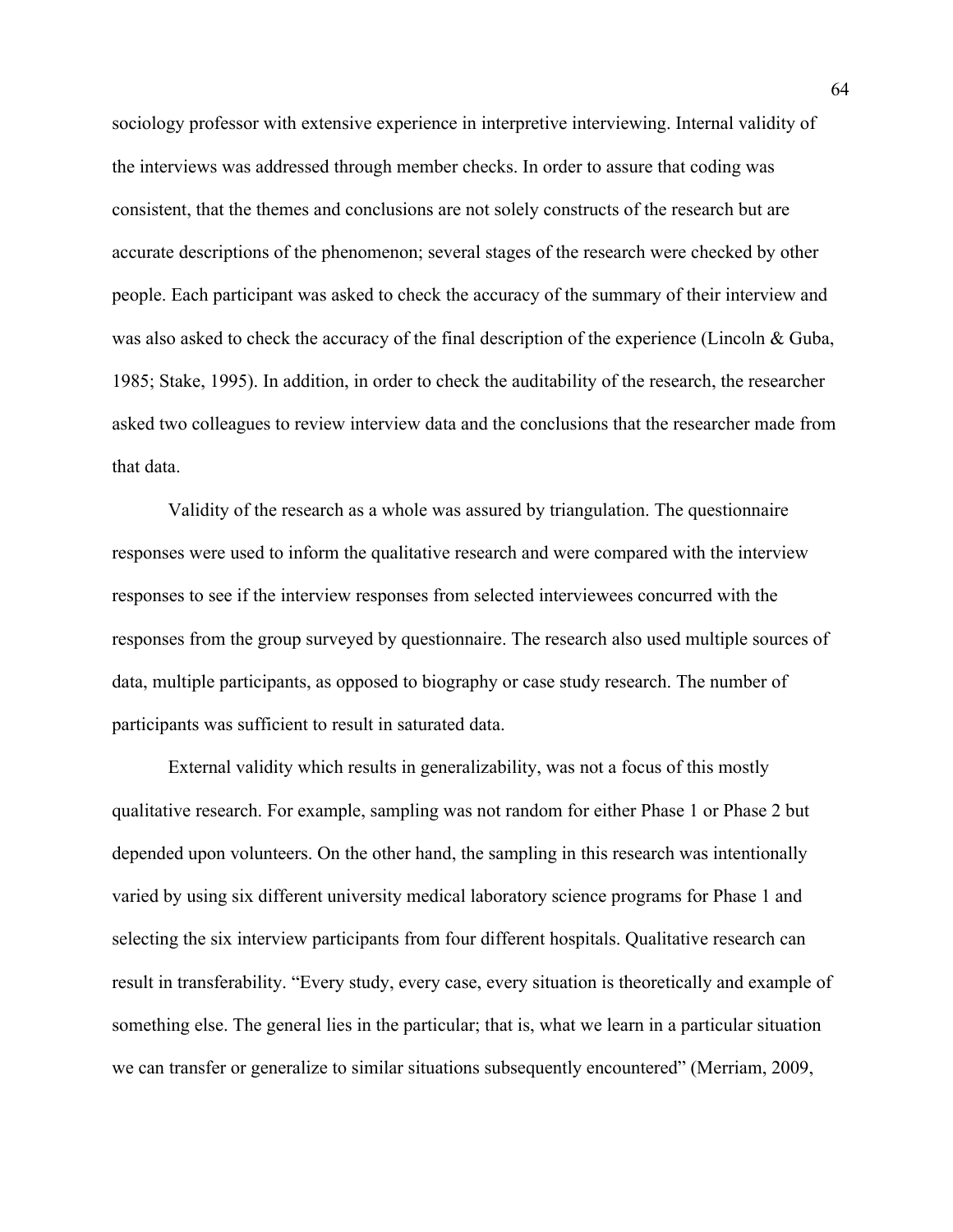sociology professor with extensive experience in interpretive interviewing. Internal validity of the interviews was addressed through member checks. In order to assure that coding was consistent, that the themes and conclusions are not solely constructs of the research but are accurate descriptions of the phenomenon; several stages of the research were checked by other people. Each participant was asked to check the accuracy of the summary of their interview and was also asked to check the accuracy of the final description of the experience (Lincoln & Guba, 1985; Stake, 1995). In addition, in order to check the auditability of the research, the researcher asked two colleagues to review interview data and the conclusions that the researcher made from that data.

Validity of the research as a whole was assured by triangulation. The questionnaire responses were used to inform the qualitative research and were compared with the interview responses to see if the interview responses from selected interviewees concurred with the responses from the group surveyed by questionnaire. The research also used multiple sources of data, multiple participants, as opposed to biography or case study research. The number of participants was sufficient to result in saturated data.

External validity which results in generalizability, was not a focus of this mostly qualitative research. For example, sampling was not random for either Phase 1 or Phase 2 but depended upon volunteers. On the other hand, the sampling in this research was intentionally varied by using six different university medical laboratory science programs for Phase 1 and selecting the six interview participants from four different hospitals. Qualitative research can result in transferability. "Every study, every case, every situation is theoretically and example of something else. The general lies in the particular; that is, what we learn in a particular situation we can transfer or generalize to similar situations subsequently encountered" (Merriam, 2009,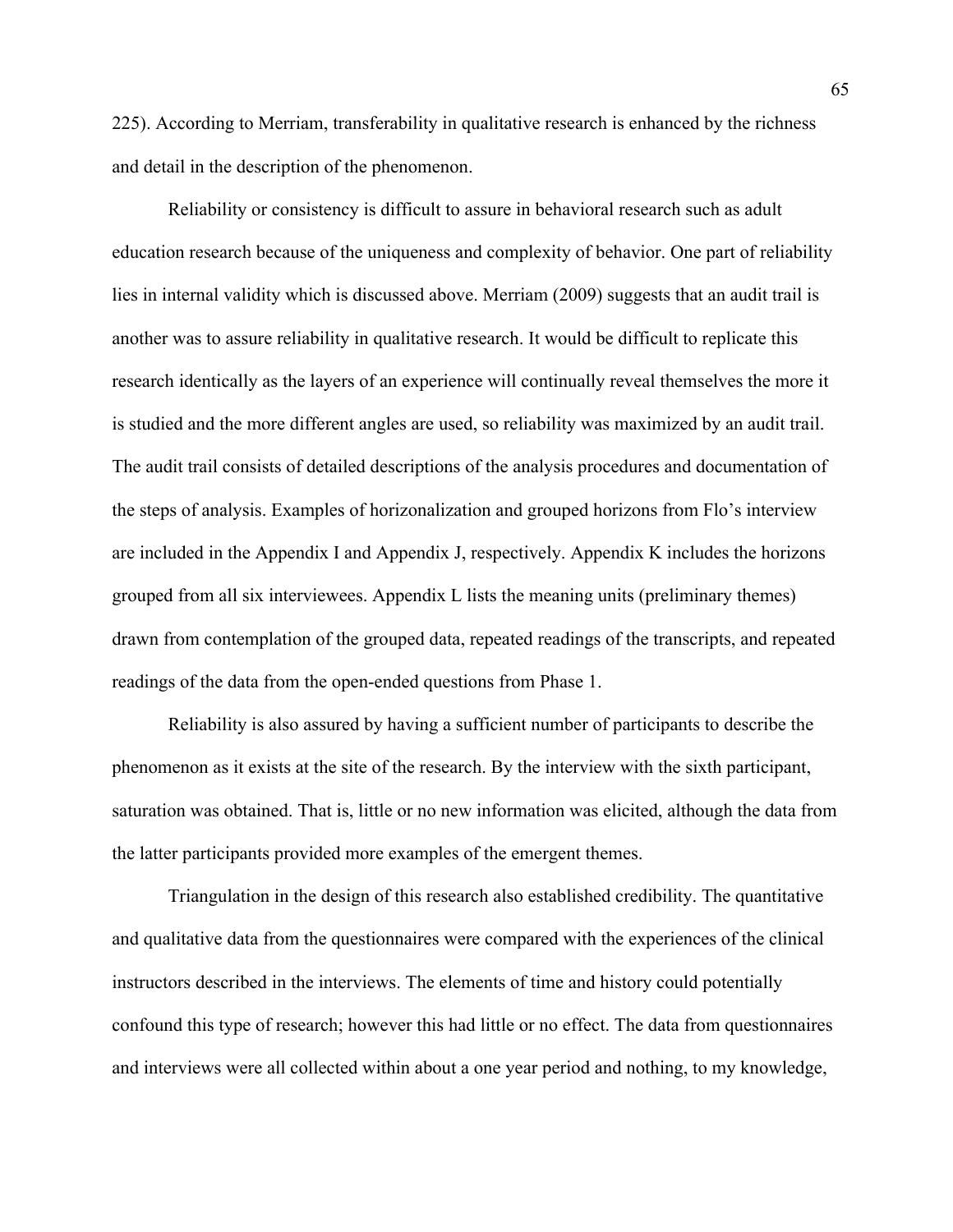225). According to Merriam, transferability in qualitative research is enhanced by the richness and detail in the description of the phenomenon.

 Reliability or consistency is difficult to assure in behavioral research such as adult education research because of the uniqueness and complexity of behavior. One part of reliability lies in internal validity which is discussed above. Merriam (2009) suggests that an audit trail is another was to assure reliability in qualitative research. It would be difficult to replicate this research identically as the layers of an experience will continually reveal themselves the more it is studied and the more different angles are used, so reliability was maximized by an audit trail. The audit trail consists of detailed descriptions of the analysis procedures and documentation of the steps of analysis. Examples of horizonalization and grouped horizons from Flo's interview are included in the Appendix I and Appendix J, respectively. Appendix K includes the horizons grouped from all six interviewees. Appendix L lists the meaning units (preliminary themes) drawn from contemplation of the grouped data, repeated readings of the transcripts, and repeated readings of the data from the open-ended questions from Phase 1.

Reliability is also assured by having a sufficient number of participants to describe the phenomenon as it exists at the site of the research. By the interview with the sixth participant, saturation was obtained. That is, little or no new information was elicited, although the data from the latter participants provided more examples of the emergent themes.

Triangulation in the design of this research also established credibility. The quantitative and qualitative data from the questionnaires were compared with the experiences of the clinical instructors described in the interviews. The elements of time and history could potentially confound this type of research; however this had little or no effect. The data from questionnaires and interviews were all collected within about a one year period and nothing, to my knowledge,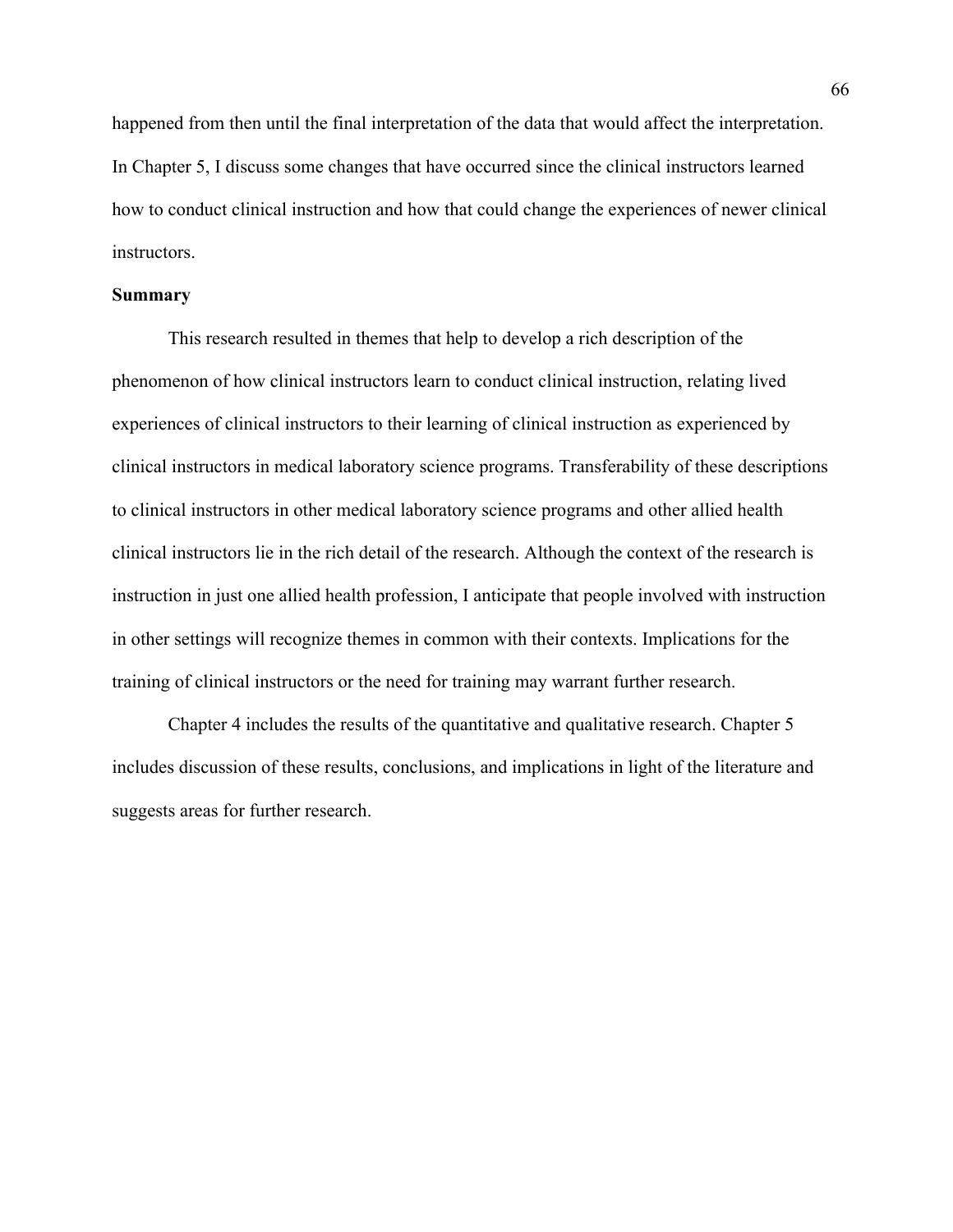happened from then until the final interpretation of the data that would affect the interpretation. In Chapter 5, I discuss some changes that have occurred since the clinical instructors learned how to conduct clinical instruction and how that could change the experiences of newer clinical instructors.

#### **Summary**

 This research resulted in themes that help to develop a rich description of the phenomenon of how clinical instructors learn to conduct clinical instruction, relating lived experiences of clinical instructors to their learning of clinical instruction as experienced by clinical instructors in medical laboratory science programs. Transferability of these descriptions to clinical instructors in other medical laboratory science programs and other allied health clinical instructors lie in the rich detail of the research. Although the context of the research is instruction in just one allied health profession, I anticipate that people involved with instruction in other settings will recognize themes in common with their contexts. Implications for the training of clinical instructors or the need for training may warrant further research.

 Chapter 4 includes the results of the quantitative and qualitative research. Chapter 5 includes discussion of these results, conclusions, and implications in light of the literature and suggests areas for further research.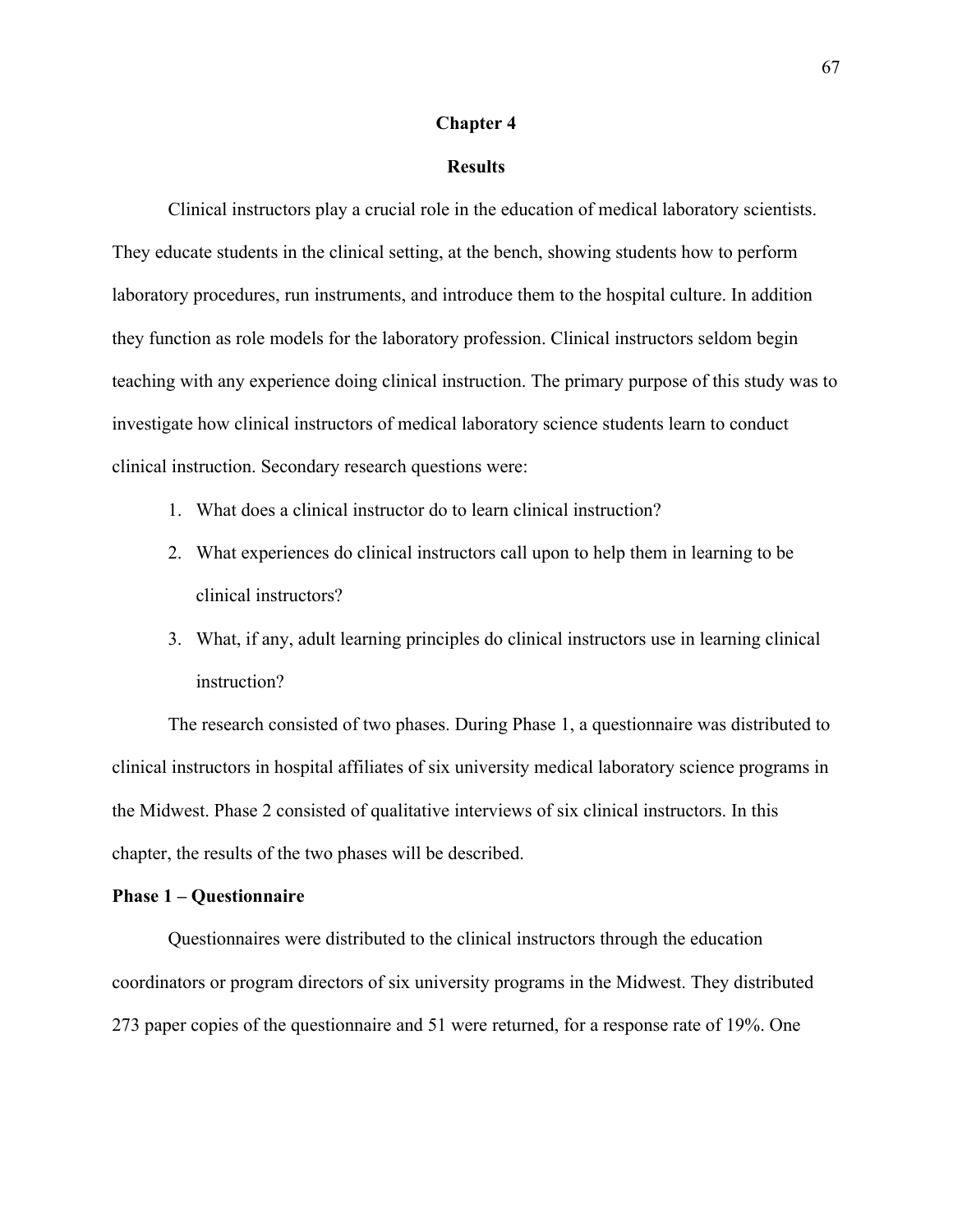#### **Chapter 4**

#### **Results**

Clinical instructors play a crucial role in the education of medical laboratory scientists. They educate students in the clinical setting, at the bench, showing students how to perform laboratory procedures, run instruments, and introduce them to the hospital culture. In addition they function as role models for the laboratory profession. Clinical instructors seldom begin teaching with any experience doing clinical instruction. The primary purpose of this study was to investigate how clinical instructors of medical laboratory science students learn to conduct clinical instruction. Secondary research questions were:

- 1. What does a clinical instructor do to learn clinical instruction?
- 2. What experiences do clinical instructors call upon to help them in learning to be clinical instructors?
- 3. What, if any, adult learning principles do clinical instructors use in learning clinical instruction?

The research consisted of two phases. During Phase 1, a questionnaire was distributed to clinical instructors in hospital affiliates of six university medical laboratory science programs in the Midwest. Phase 2 consisted of qualitative interviews of six clinical instructors. In this chapter, the results of the two phases will be described.

#### **Phase 1 – Questionnaire**

Questionnaires were distributed to the clinical instructors through the education coordinators or program directors of six university programs in the Midwest. They distributed 273 paper copies of the questionnaire and 51 were returned, for a response rate of 19%. One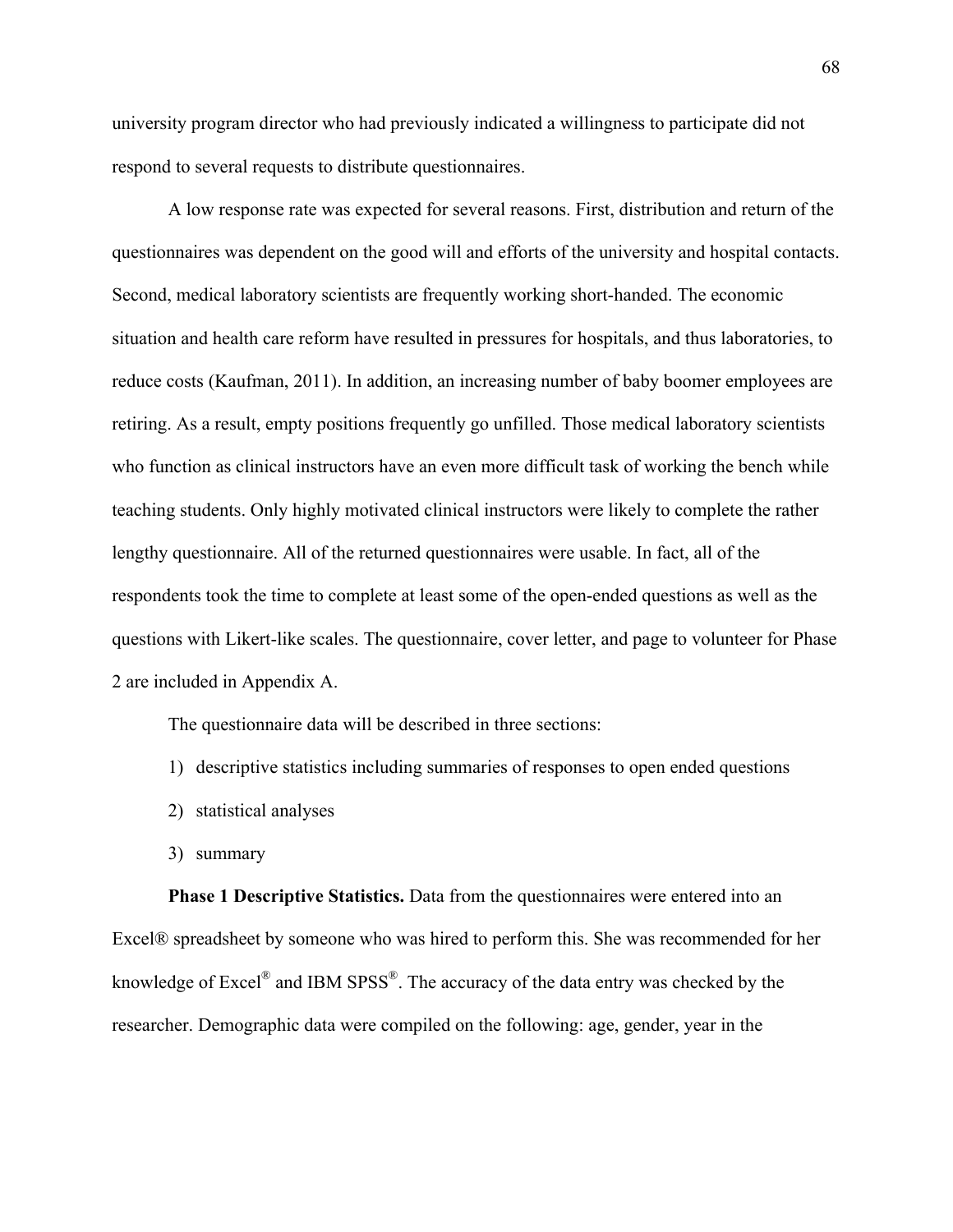university program director who had previously indicated a willingness to participate did not respond to several requests to distribute questionnaires.

A low response rate was expected for several reasons. First, distribution and return of the questionnaires was dependent on the good will and efforts of the university and hospital contacts. Second, medical laboratory scientists are frequently working short-handed. The economic situation and health care reform have resulted in pressures for hospitals, and thus laboratories, to reduce costs (Kaufman, 2011). In addition, an increasing number of baby boomer employees are retiring. As a result, empty positions frequently go unfilled. Those medical laboratory scientists who function as clinical instructors have an even more difficult task of working the bench while teaching students. Only highly motivated clinical instructors were likely to complete the rather lengthy questionnaire. All of the returned questionnaires were usable. In fact, all of the respondents took the time to complete at least some of the open-ended questions as well as the questions with Likert-like scales. The questionnaire, cover letter, and page to volunteer for Phase 2 are included in Appendix A.

The questionnaire data will be described in three sections:

- 1) descriptive statistics including summaries of responses to open ended questions
- 2) statistical analyses
- 3) summary

**Phase 1 Descriptive Statistics.** Data from the questionnaires were entered into an Excel® spreadsheet by someone who was hired to perform this. She was recommended for her knowledge of Excel<sup>®</sup> and IBM SPSS<sup>®</sup>. The accuracy of the data entry was checked by the researcher. Demographic data were compiled on the following: age, gender, year in the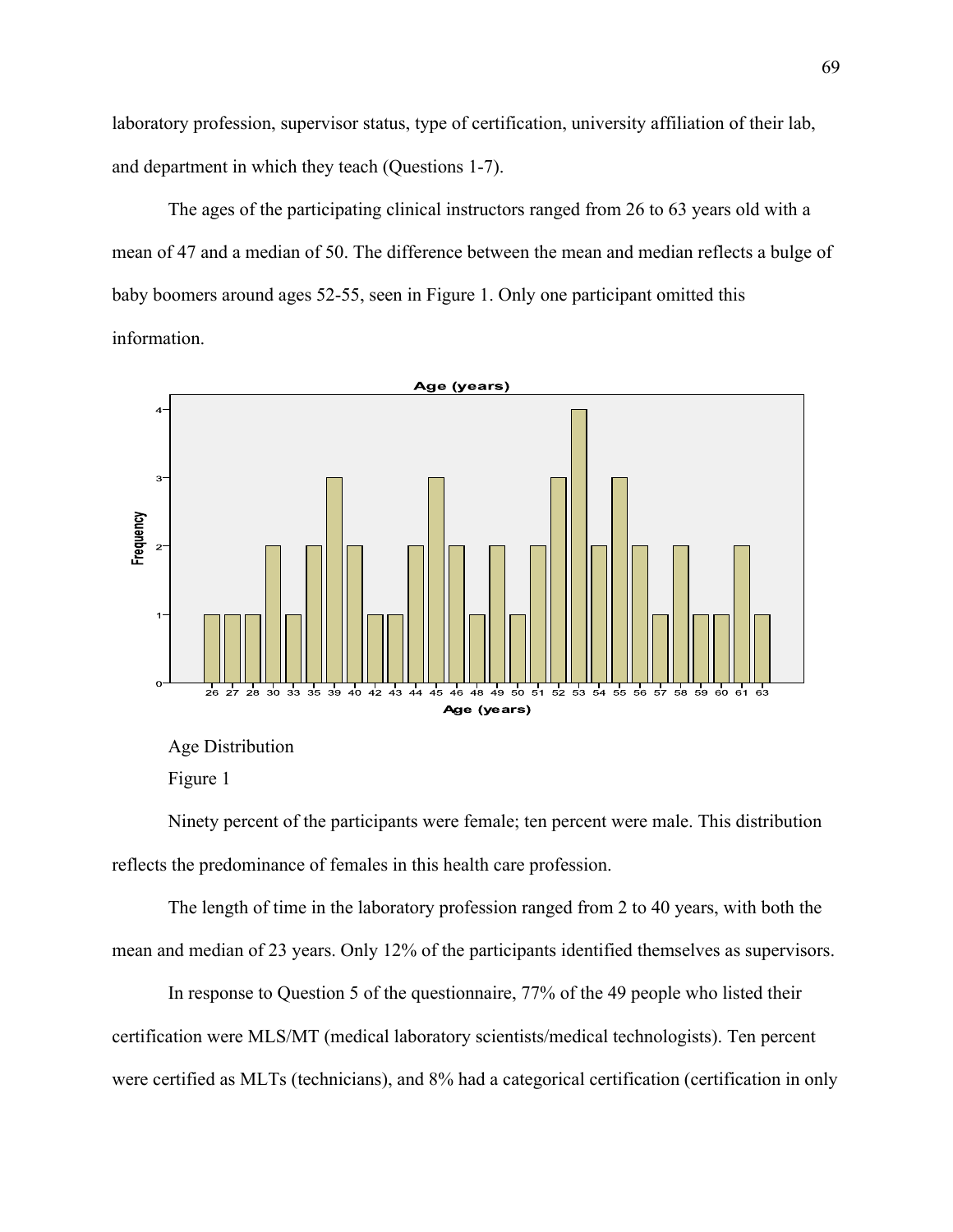laboratory profession, supervisor status, type of certification, university affiliation of their lab, and department in which they teach (Questions 1-7).

The ages of the participating clinical instructors ranged from 26 to 63 years old with a mean of 47 and a median of 50. The difference between the mean and median reflects a bulge of baby boomers around ages 52-55, seen in Figure 1. Only one participant omitted this information.



Age Distribution

Figure 1

Ninety percent of the participants were female; ten percent were male. This distribution reflects the predominance of females in this health care profession.

The length of time in the laboratory profession ranged from 2 to 40 years, with both the mean and median of 23 years. Only 12% of the participants identified themselves as supervisors.

In response to Question 5 of the questionnaire, 77% of the 49 people who listed their certification were MLS/MT (medical laboratory scientists/medical technologists). Ten percent were certified as MLTs (technicians), and 8% had a categorical certification (certification in only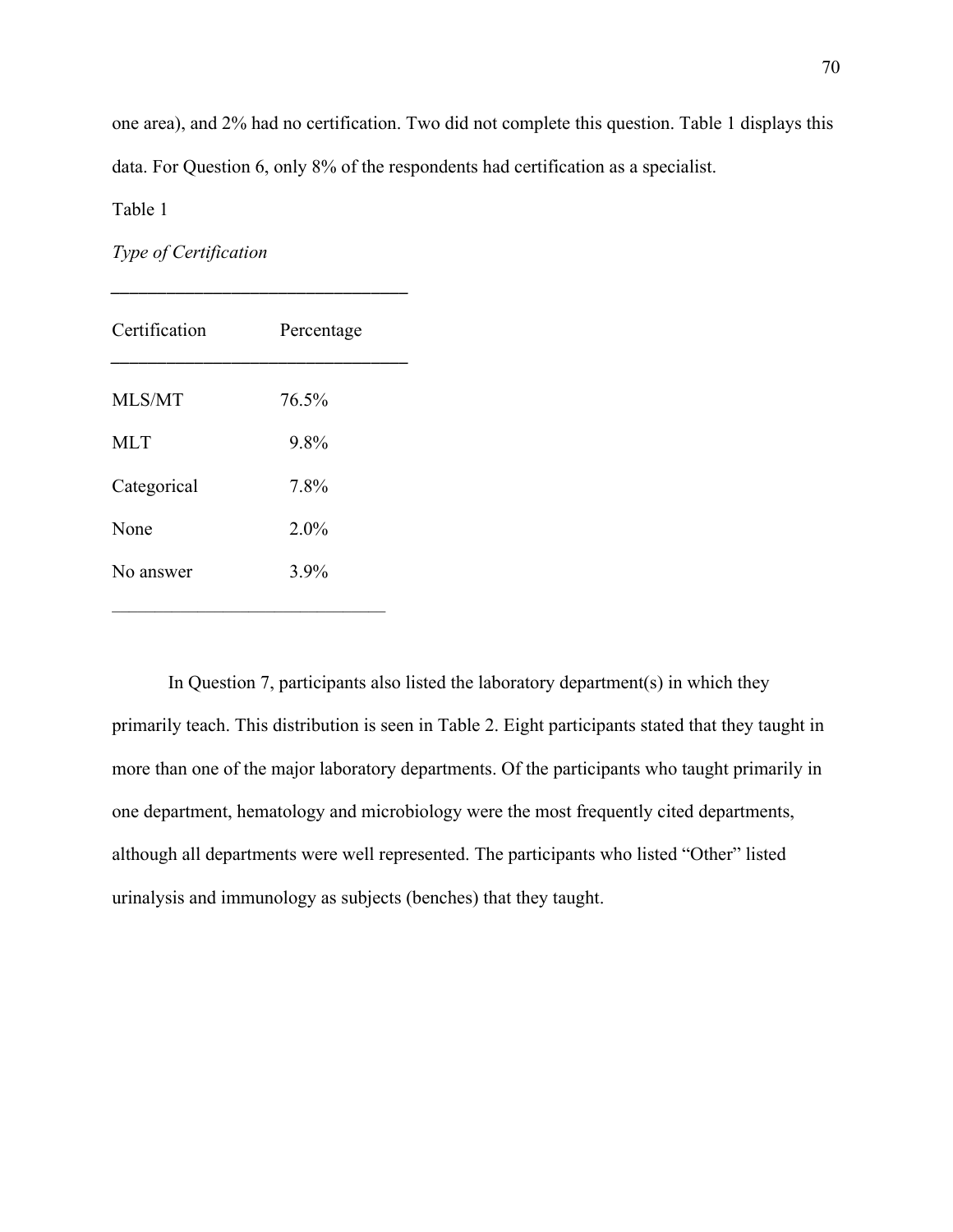one area), and 2% had no certification. Two did not complete this question. Table 1 displays this data. For Question 6, only 8% of the respondents had certification as a specialist.

Table 1

*Type of Certification* 

| Certification | Percentage |  |
|---------------|------------|--|
| MLS/MT        | 76.5%      |  |
| <b>MLT</b>    | 9.8%       |  |
| Categorical   | 7.8%       |  |
| None          | 2.0%       |  |
| No answer     | 3.9%       |  |

*\_\_\_\_\_\_\_\_\_\_\_\_\_\_\_\_\_\_\_\_\_\_\_\_\_\_\_\_\_\_\_\_*

In Question 7, participants also listed the laboratory department(s) in which they primarily teach. This distribution is seen in Table 2. Eight participants stated that they taught in more than one of the major laboratory departments. Of the participants who taught primarily in one department, hematology and microbiology were the most frequently cited departments, although all departments were well represented. The participants who listed "Other" listed urinalysis and immunology as subjects (benches) that they taught.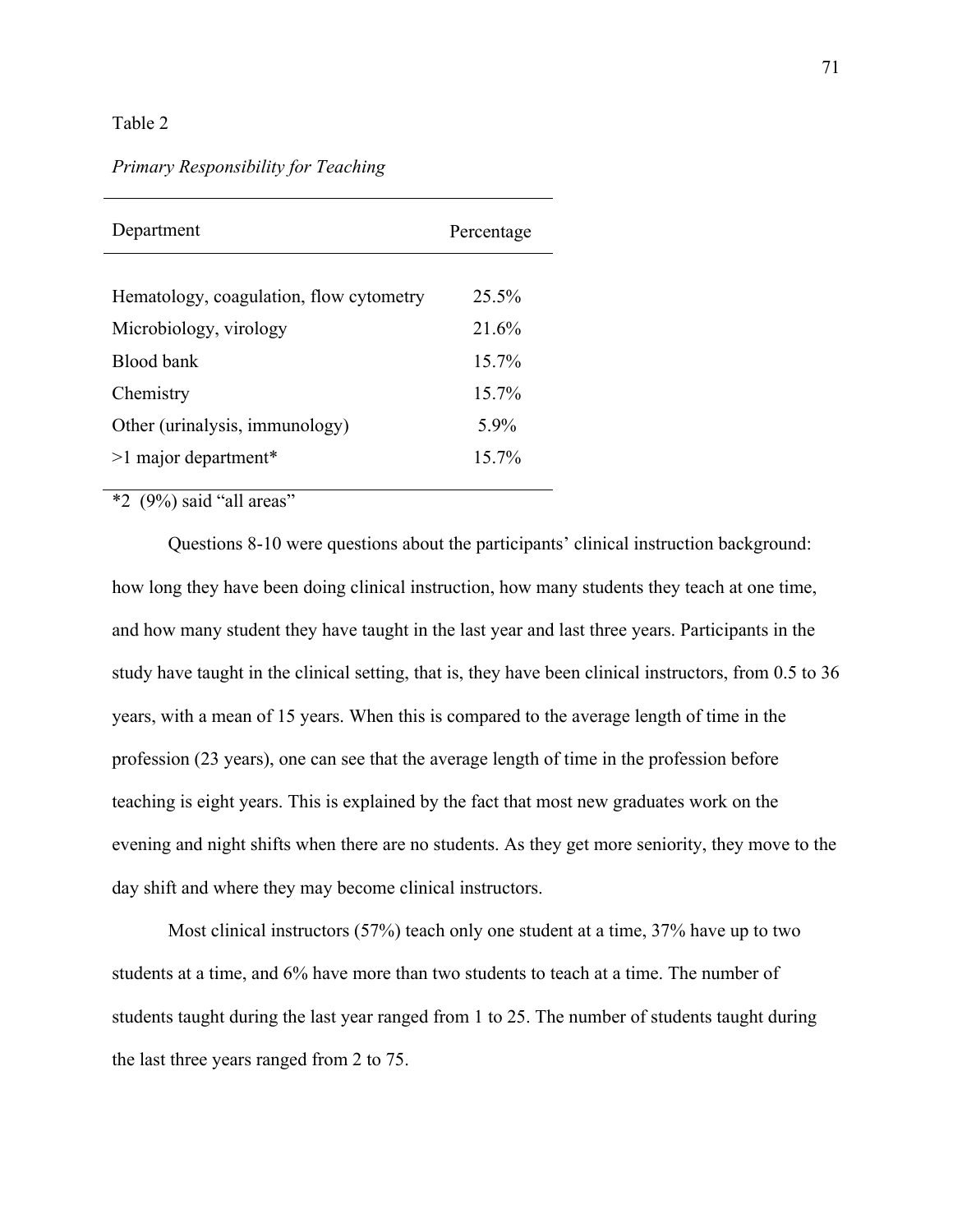#### Table 2

#### *Primary Responsibility for Teaching*

 $*2$  (9%) said "all areas"

Questions 8-10 were questions about the participants' clinical instruction background: how long they have been doing clinical instruction, how many students they teach at one time, and how many student they have taught in the last year and last three years. Participants in the study have taught in the clinical setting, that is, they have been clinical instructors, from 0.5 to 36 years, with a mean of 15 years. When this is compared to the average length of time in the profession (23 years), one can see that the average length of time in the profession before teaching is eight years. This is explained by the fact that most new graduates work on the evening and night shifts when there are no students. As they get more seniority, they move to the day shift and where they may become clinical instructors.

Most clinical instructors (57%) teach only one student at a time, 37% have up to two students at a time, and 6% have more than two students to teach at a time. The number of students taught during the last year ranged from 1 to 25. The number of students taught during the last three years ranged from 2 to 75.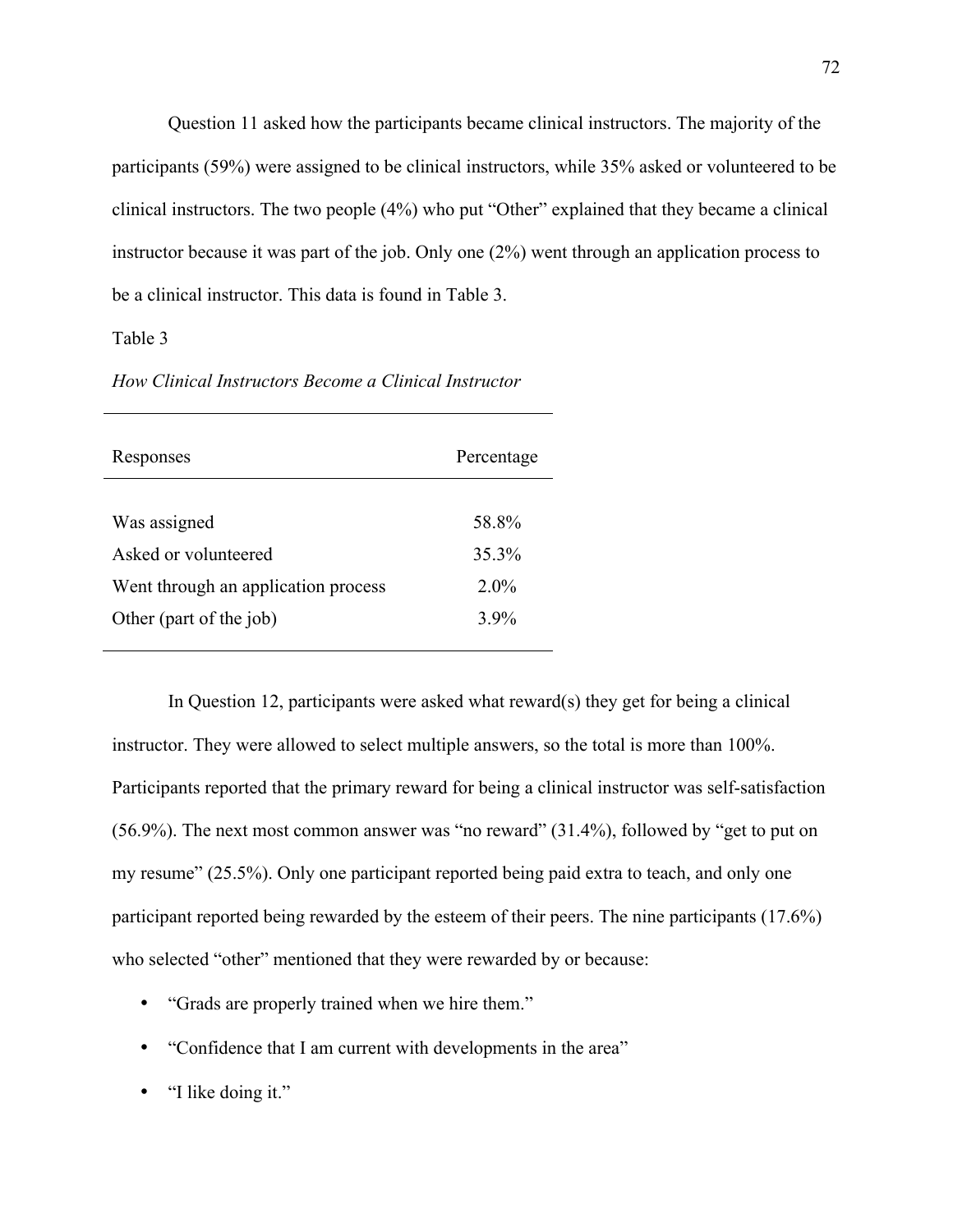Question 11 asked how the participants became clinical instructors. The majority of the participants (59%) were assigned to be clinical instructors, while 35% asked or volunteered to be clinical instructors. The two people (4%) who put "Other" explained that they became a clinical instructor because it was part of the job. Only one (2%) went through an application process to be a clinical instructor. This data is found in Table 3.

Table 3

| Responses                           | Percentage |
|-------------------------------------|------------|
|                                     |            |
| Was assigned                        | 58.8%      |
| Asked or volunteered                | 35.3%      |
| Went through an application process | $2.0\%$    |
| Other (part of the job)             | $3.9\%$    |
|                                     |            |

*How Clinical Instructors Become a Clinical Instructor* 

In Question 12, participants were asked what reward(s) they get for being a clinical instructor. They were allowed to select multiple answers, so the total is more than 100%. Participants reported that the primary reward for being a clinical instructor was self-satisfaction (56.9%). The next most common answer was "no reward" (31.4%), followed by "get to put on my resume" (25.5%). Only one participant reported being paid extra to teach, and only one participant reported being rewarded by the esteem of their peers. The nine participants (17.6%) who selected "other" mentioned that they were rewarded by or because:

- "Grads are properly trained when we hire them."
- "Confidence that I am current with developments in the area"
- "I like doing it."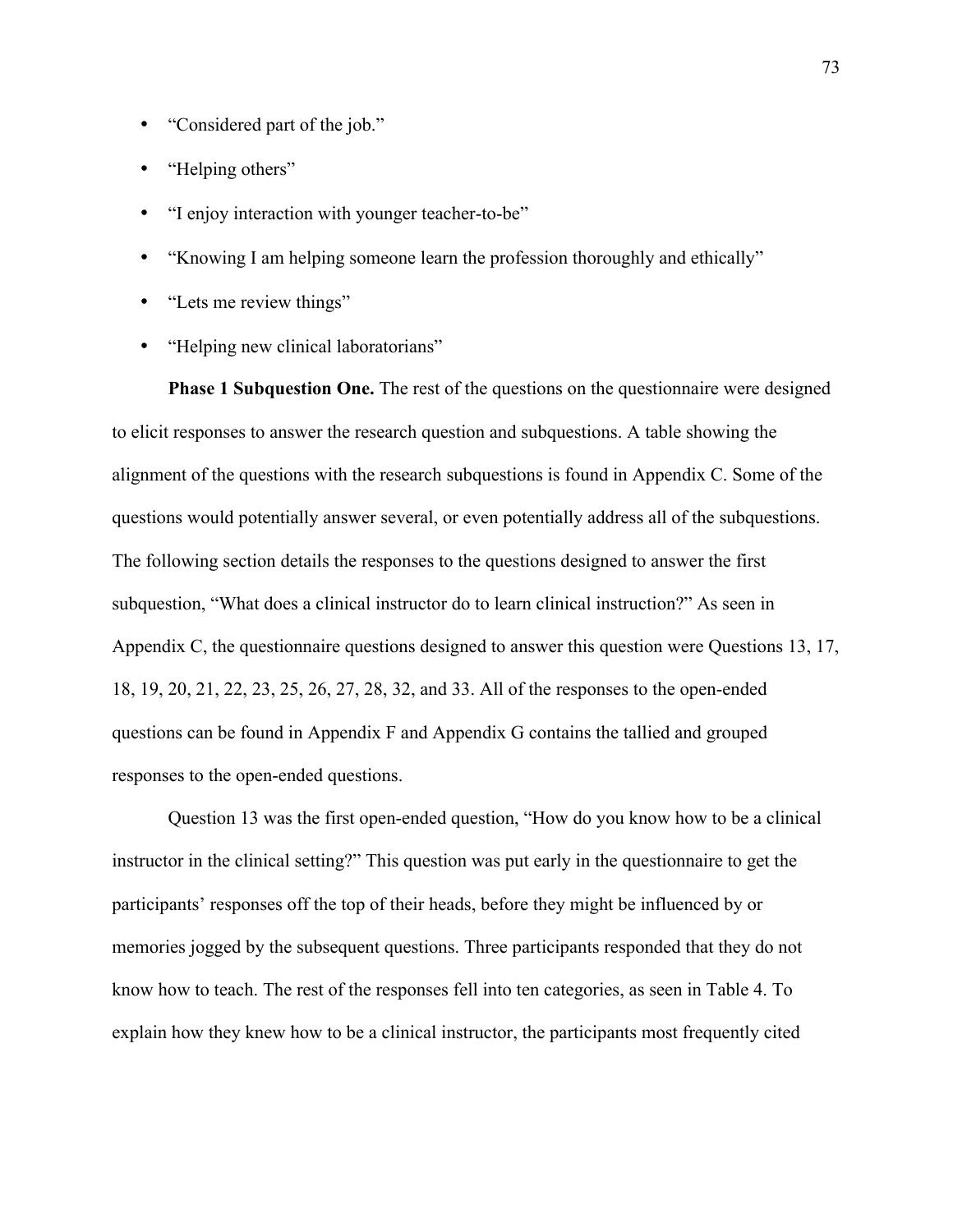- "Considered part of the job."
- "Helping others"
- "I enjoy interaction with younger teacher-to-be"
- "Knowing I am helping someone learn the profession thoroughly and ethically"
- "Lets me review things"
- "Helping new clinical laboratorians"

**Phase 1 Subquestion One.** The rest of the questions on the questionnaire were designed to elicit responses to answer the research question and subquestions. A table showing the alignment of the questions with the research subquestions is found in Appendix C. Some of the questions would potentially answer several, or even potentially address all of the subquestions. The following section details the responses to the questions designed to answer the first subquestion, "What does a clinical instructor do to learn clinical instruction?" As seen in Appendix C, the questionnaire questions designed to answer this question were Questions 13, 17, 18, 19, 20, 21, 22, 23, 25, 26, 27, 28, 32, and 33. All of the responses to the open-ended questions can be found in Appendix F and Appendix G contains the tallied and grouped responses to the open-ended questions.

Question 13 was the first open-ended question, "How do you know how to be a clinical instructor in the clinical setting?" This question was put early in the questionnaire to get the participants' responses off the top of their heads, before they might be influenced by or memories jogged by the subsequent questions. Three participants responded that they do not know how to teach. The rest of the responses fell into ten categories, as seen in Table 4. To explain how they knew how to be a clinical instructor, the participants most frequently cited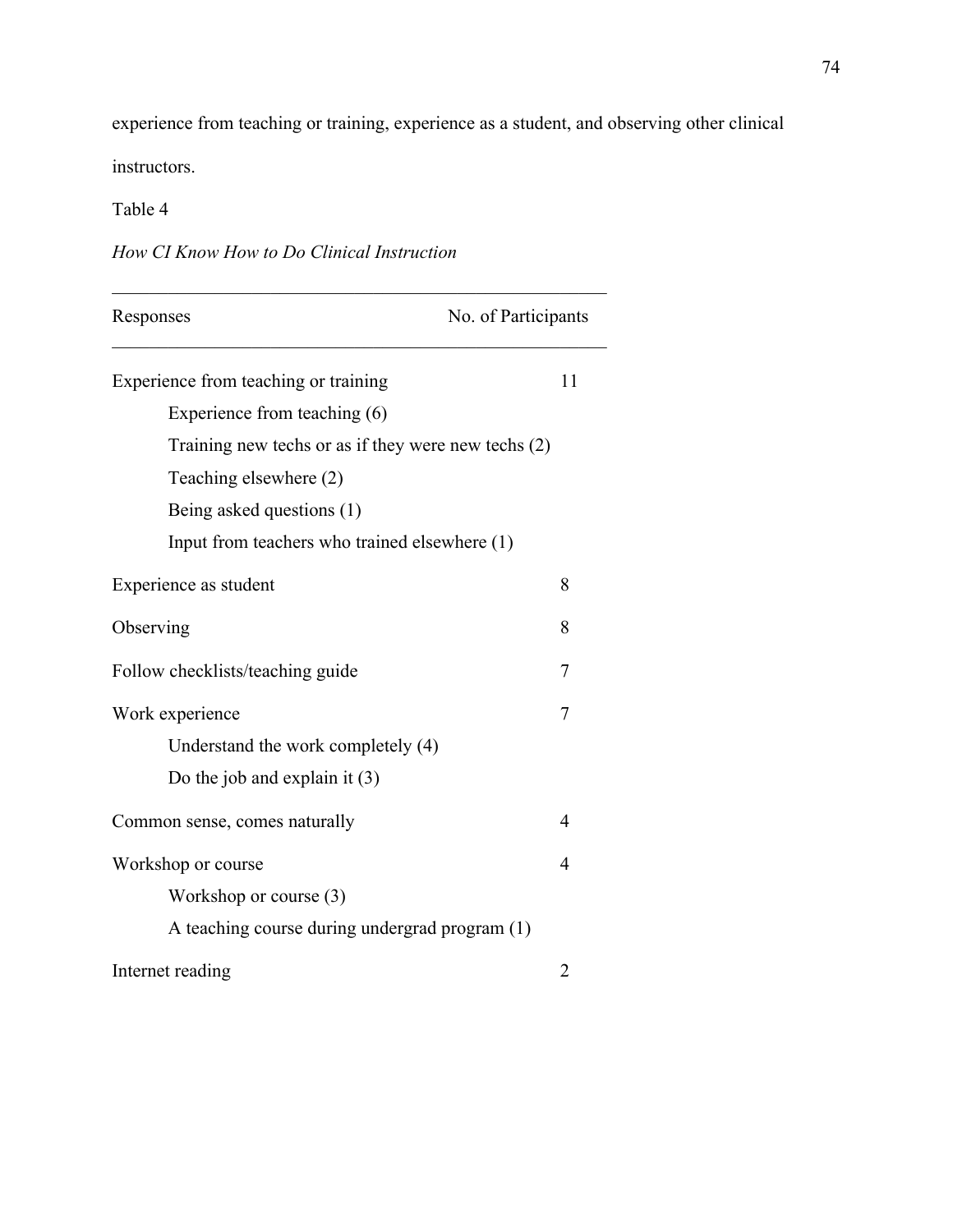experience from teaching or training, experience as a student, and observing other clinical instructors.

## Table 4

|  |  | How CI Know How to Do Clinical Instruction |
|--|--|--------------------------------------------|
|  |  |                                            |

| No. of Participants<br>Responses                    |                          |
|-----------------------------------------------------|--------------------------|
| Experience from teaching or training                | 11                       |
| Experience from teaching (6)                        |                          |
| Training new techs or as if they were new techs (2) |                          |
| Teaching elsewhere (2)                              |                          |
| Being asked questions (1)                           |                          |
| Input from teachers who trained elsewhere (1)       |                          |
| Experience as student                               | 8                        |
| Observing                                           | 8                        |
| Follow checklists/teaching guide                    | 7                        |
| Work experience                                     | 7                        |
| Understand the work completely (4)                  |                          |
| Do the job and explain it $(3)$                     |                          |
| Common sense, comes naturally                       | $\overline{4}$           |
| Workshop or course                                  | $\overline{\mathcal{A}}$ |
| Workshop or course $(3)$                            |                          |
| A teaching course during undergrad program (1)      |                          |
| Internet reading                                    | 2                        |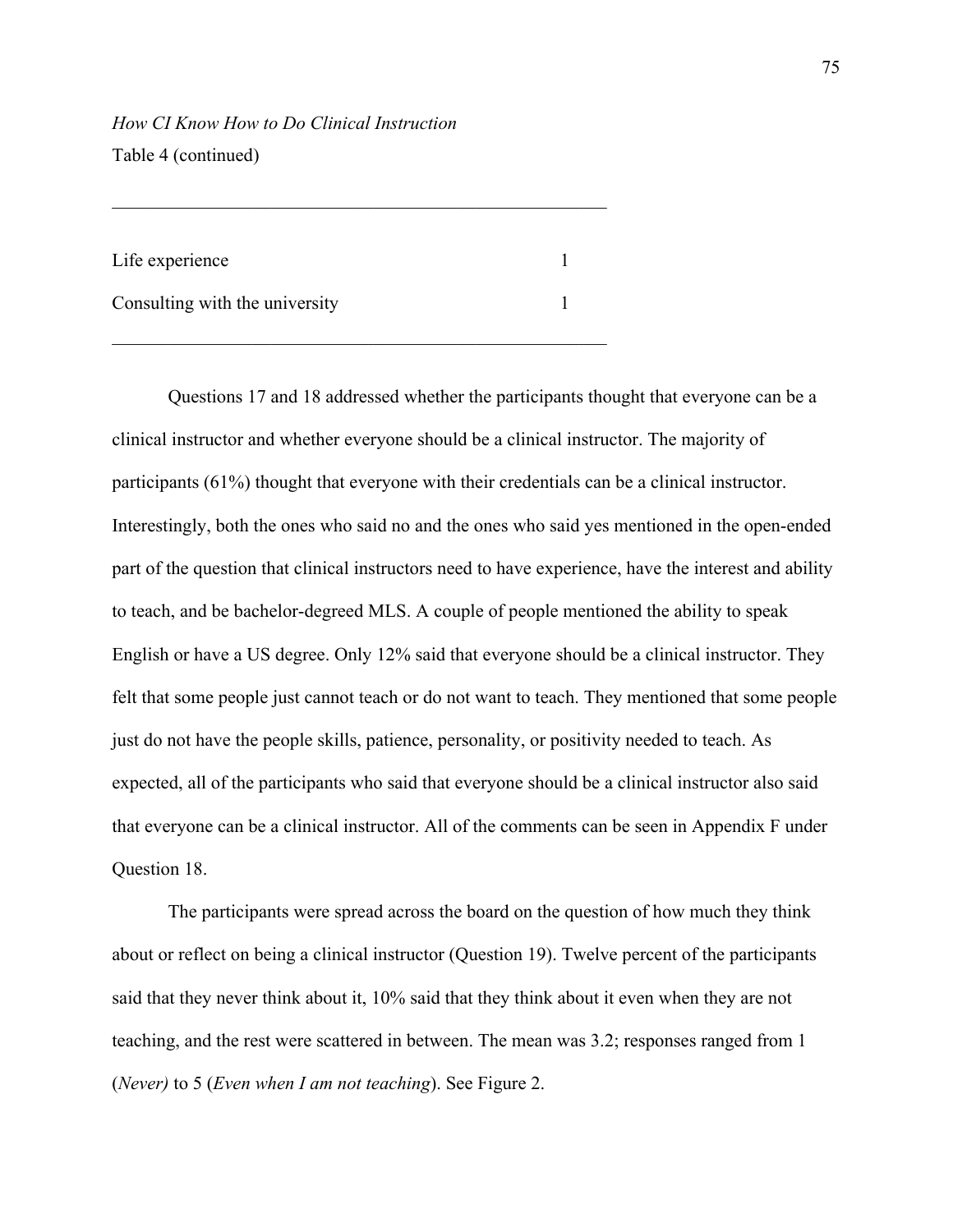*How CI Know How to Do Clinical Instruction*  Table 4 (continued)

| Life experience                |  |
|--------------------------------|--|
| Consulting with the university |  |

\_\_\_\_\_\_\_\_\_\_\_\_\_\_\_\_\_\_\_\_\_\_\_\_\_\_\_\_\_\_\_\_\_\_\_\_\_\_\_\_\_\_\_\_\_\_\_\_\_\_\_\_\_

Questions 17 and 18 addressed whether the participants thought that everyone can be a clinical instructor and whether everyone should be a clinical instructor. The majority of participants (61%) thought that everyone with their credentials can be a clinical instructor. Interestingly, both the ones who said no and the ones who said yes mentioned in the open-ended part of the question that clinical instructors need to have experience, have the interest and ability to teach, and be bachelor-degreed MLS. A couple of people mentioned the ability to speak English or have a US degree. Only 12% said that everyone should be a clinical instructor. They felt that some people just cannot teach or do not want to teach. They mentioned that some people just do not have the people skills, patience, personality, or positivity needed to teach. As expected, all of the participants who said that everyone should be a clinical instructor also said that everyone can be a clinical instructor. All of the comments can be seen in Appendix F under Question 18.

 The participants were spread across the board on the question of how much they think about or reflect on being a clinical instructor (Question 19). Twelve percent of the participants said that they never think about it, 10% said that they think about it even when they are not teaching, and the rest were scattered in between. The mean was 3.2; responses ranged from 1 (*Never)* to 5 (*Even when I am not teaching*). See Figure 2.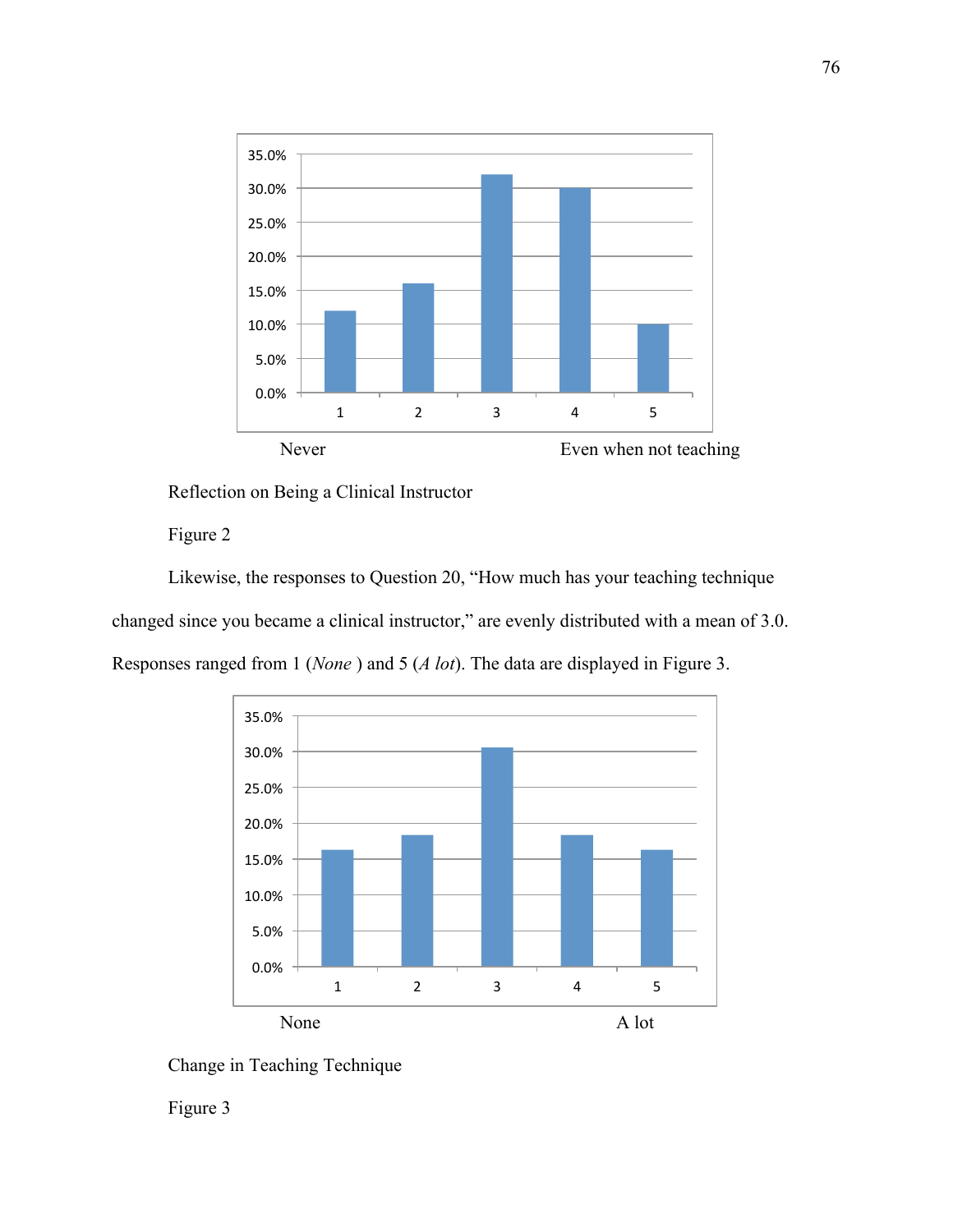

### Reflection on Being a Clinical Instructor

### Figure 2

Likewise, the responses to Question 20, "How much has your teaching technique changed since you became a clinical instructor," are evenly distributed with a mean of 3.0. Responses ranged from 1 (*None* ) and 5 (*A lot*). The data are displayed in Figure 3.



Change in Teaching Technique

Figure 3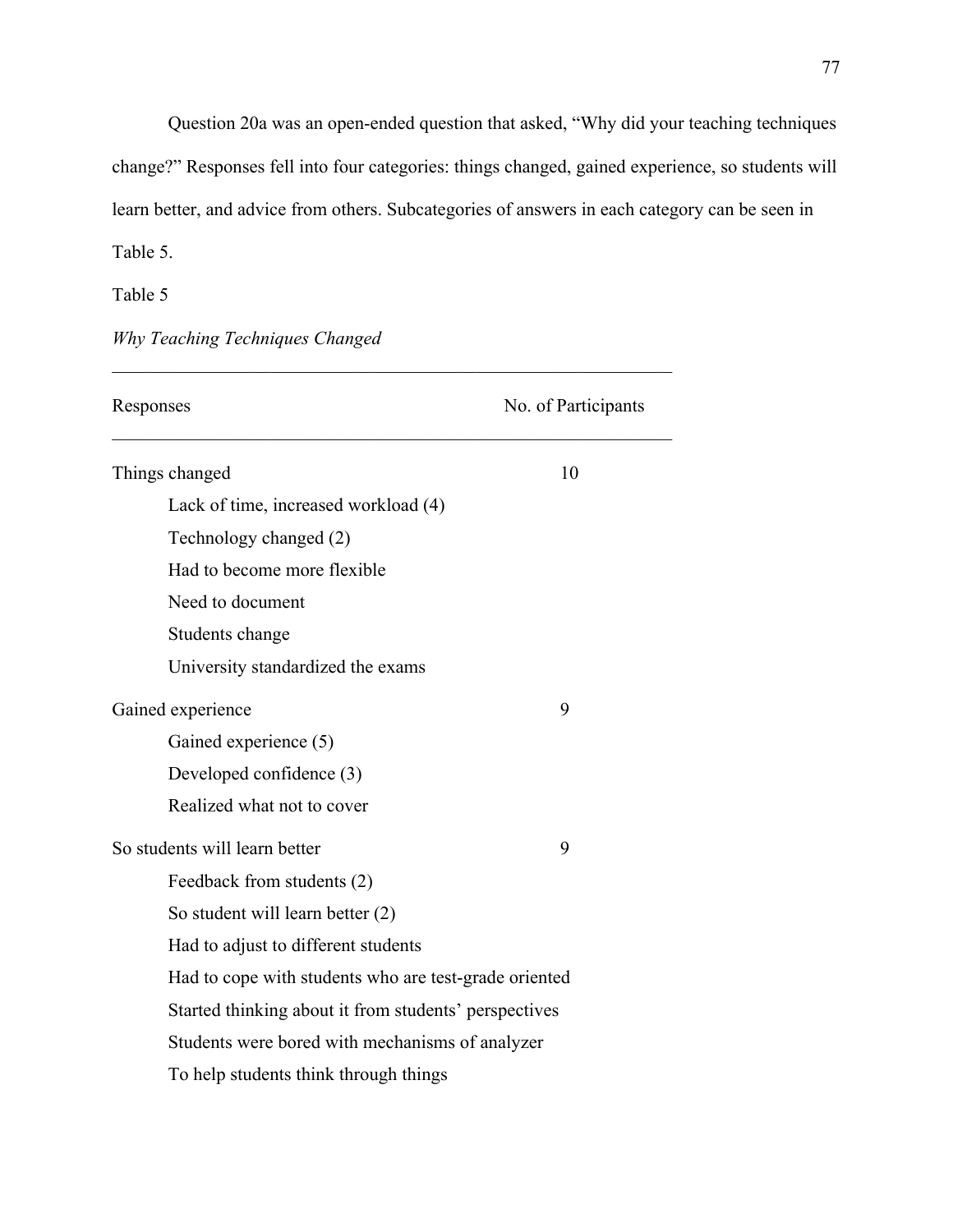Question 20a was an open-ended question that asked, "Why did your teaching techniques change?" Responses fell into four categories: things changed, gained experience, so students will learn better, and advice from others. Subcategories of answers in each category can be seen in Table 5.

Table 5

*Why Teaching Techniques Changed* 

| Responses                                             | No. of Participants |  |
|-------------------------------------------------------|---------------------|--|
| Things changed                                        | 10                  |  |
| Lack of time, increased workload (4)                  |                     |  |
| Technology changed (2)                                |                     |  |
| Had to become more flexible                           |                     |  |
| Need to document                                      |                     |  |
| Students change                                       |                     |  |
| University standardized the exams                     |                     |  |
| Gained experience                                     | 9                   |  |
| Gained experience (5)                                 |                     |  |
| Developed confidence (3)                              |                     |  |
| Realized what not to cover                            |                     |  |
| So students will learn better                         | 9                   |  |
| Feedback from students (2)                            |                     |  |
| So student will learn better (2)                      |                     |  |
| Had to adjust to different students                   |                     |  |
| Had to cope with students who are test-grade oriented |                     |  |
| Started thinking about it from students' perspectives |                     |  |
| Students were bored with mechanisms of analyzer       |                     |  |
| To help students think through things                 |                     |  |

*\_\_\_\_\_\_\_\_\_\_\_\_\_\_\_\_\_\_\_\_\_\_\_\_\_\_\_\_\_\_\_\_\_\_\_\_\_\_\_\_\_\_\_\_\_\_\_\_\_\_\_\_\_\_\_\_\_\_\_\_*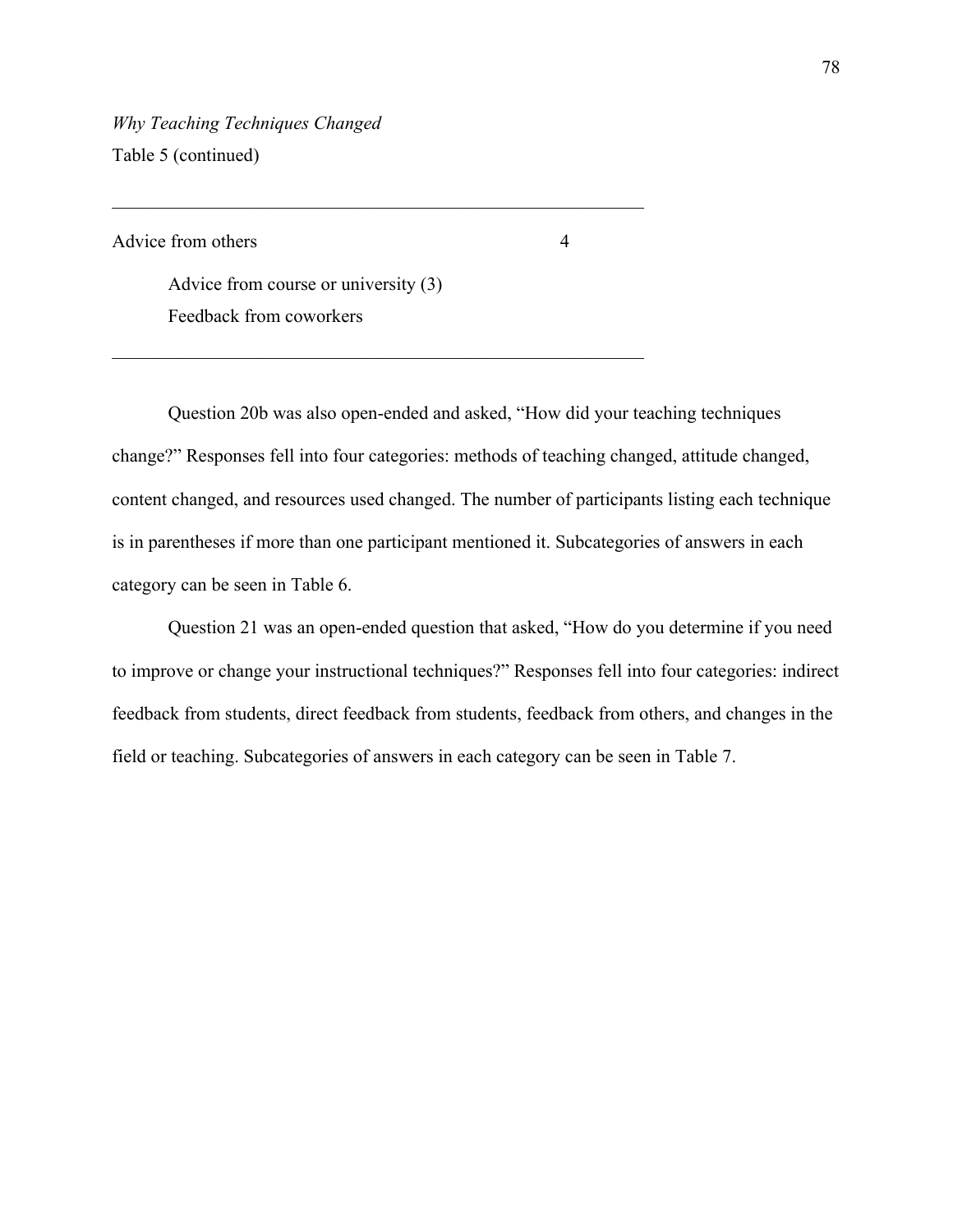*Why Teaching Techniques Changed*  Table 5 (continued)

Advice from others 4

Advice from course or university (3) Feedback from coworkers

\_\_\_\_\_\_\_\_\_\_\_\_\_\_\_\_\_\_\_\_\_\_\_\_\_\_\_\_\_\_\_\_\_\_\_\_\_\_\_\_\_\_\_\_\_\_\_\_\_\_\_\_\_\_\_\_\_

\_\_\_\_\_\_\_\_\_\_\_\_\_\_\_\_\_\_\_\_\_\_\_\_\_\_\_\_\_\_\_\_\_\_\_\_\_\_\_\_\_\_\_\_\_\_\_\_\_\_\_\_\_\_\_\_\_

Question 20b was also open-ended and asked, "How did your teaching techniques change?" Responses fell into four categories: methods of teaching changed, attitude changed, content changed, and resources used changed. The number of participants listing each technique is in parentheses if more than one participant mentioned it. Subcategories of answers in each category can be seen in Table 6.

Question 21 was an open-ended question that asked, "How do you determine if you need to improve or change your instructional techniques?" Responses fell into four categories: indirect feedback from students, direct feedback from students, feedback from others, and changes in the field or teaching. Subcategories of answers in each category can be seen in Table 7.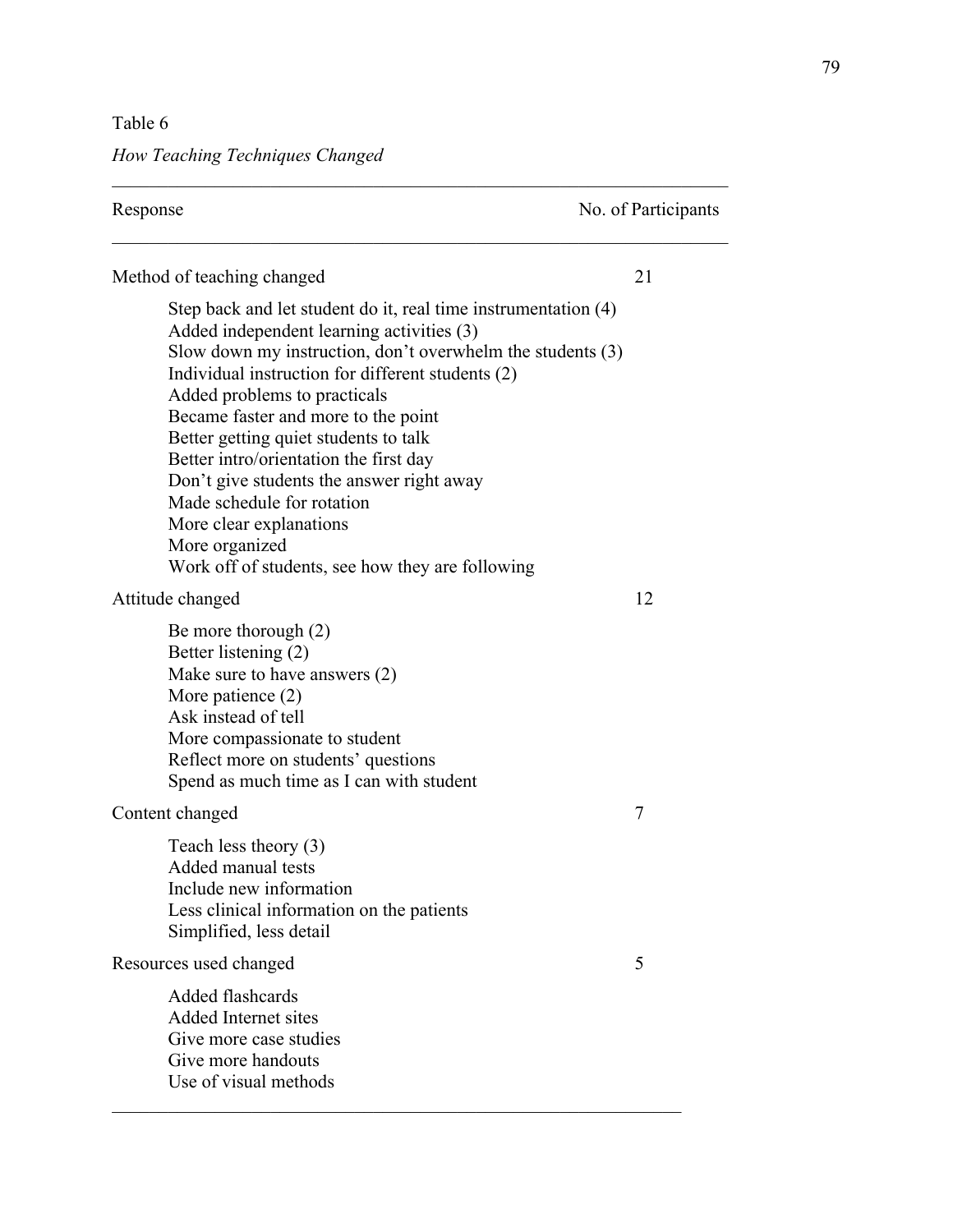Table 6

*How Teaching Techniques Changed* 

| Response                                                                                                                                                                                                                                                                                                                                                                                                                                                                                                                                                             | No. of Participants |
|----------------------------------------------------------------------------------------------------------------------------------------------------------------------------------------------------------------------------------------------------------------------------------------------------------------------------------------------------------------------------------------------------------------------------------------------------------------------------------------------------------------------------------------------------------------------|---------------------|
| Method of teaching changed                                                                                                                                                                                                                                                                                                                                                                                                                                                                                                                                           | 21                  |
| Step back and let student do it, real time instrumentation (4)<br>Added independent learning activities (3)<br>Slow down my instruction, don't overwhelm the students (3)<br>Individual instruction for different students (2)<br>Added problems to practicals<br>Became faster and more to the point<br>Better getting quiet students to talk<br>Better intro/orientation the first day<br>Don't give students the answer right away<br>Made schedule for rotation<br>More clear explanations<br>More organized<br>Work off of students, see how they are following |                     |
| Attitude changed                                                                                                                                                                                                                                                                                                                                                                                                                                                                                                                                                     | 12                  |
| Be more thorough $(2)$<br>Better listening (2)<br>Make sure to have answers (2)<br>More patience $(2)$<br>Ask instead of tell<br>More compassionate to student<br>Reflect more on students' questions<br>Spend as much time as I can with student                                                                                                                                                                                                                                                                                                                    |                     |
| Content changed                                                                                                                                                                                                                                                                                                                                                                                                                                                                                                                                                      | 7                   |
| Teach less theory (3)<br>Added manual tests<br>Include new information<br>Less clinical information on the patients<br>Simplified, less detail                                                                                                                                                                                                                                                                                                                                                                                                                       |                     |
| Resources used changed                                                                                                                                                                                                                                                                                                                                                                                                                                                                                                                                               | 5                   |
| Added flashcards<br>Added Internet sites<br>Give more case studies<br>Give more handouts<br>Use of visual methods                                                                                                                                                                                                                                                                                                                                                                                                                                                    |                     |

*\_\_\_\_\_\_\_\_\_\_\_\_\_\_\_\_\_\_\_\_\_\_\_\_\_\_\_\_\_\_\_\_\_\_\_\_\_\_\_\_\_\_\_\_\_\_\_\_\_\_\_\_\_\_\_\_\_\_\_\_\_\_\_\_\_\_*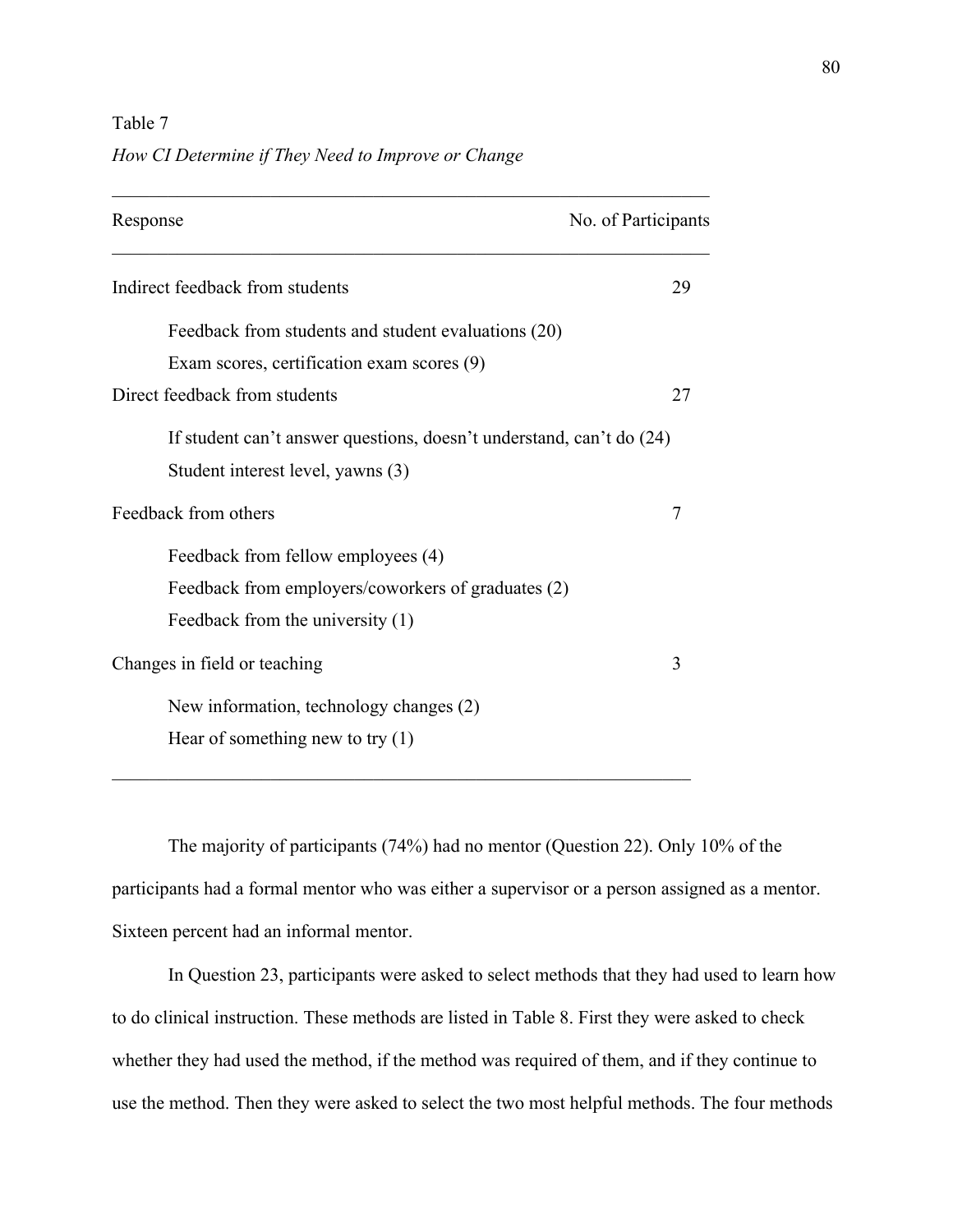#### Table 7

#### *How CI Determine if They Need to Improve or Change*

| Response                                                             | No. of Participants |
|----------------------------------------------------------------------|---------------------|
| Indirect feedback from students                                      | 29                  |
| Feedback from students and student evaluations (20)                  |                     |
| Exam scores, certification exam scores (9)                           |                     |
| Direct feedback from students                                        | 27                  |
| If student can't answer questions, doesn't understand, can't do (24) |                     |
| Student interest level, yawns (3)                                    |                     |
| Feedback from others                                                 | 7                   |
| Feedback from fellow employees (4)                                   |                     |
| Feedback from employers/coworkers of graduates (2)                   |                     |
| Feedback from the university (1)                                     |                     |
| Changes in field or teaching                                         | 3                   |
| New information, technology changes (2)                              |                     |
| Hear of something new to try $(1)$                                   |                     |

\_\_\_\_\_\_\_\_\_\_\_\_\_\_\_\_\_\_\_\_\_\_\_\_\_\_\_\_\_\_\_\_\_\_\_\_\_\_\_\_\_\_\_\_\_\_\_\_\_\_\_\_\_\_\_\_\_\_\_\_\_\_

The majority of participants (74%) had no mentor (Question 22). Only 10% of the participants had a formal mentor who was either a supervisor or a person assigned as a mentor. Sixteen percent had an informal mentor.

 In Question 23, participants were asked to select methods that they had used to learn how to do clinical instruction. These methods are listed in Table 8. First they were asked to check whether they had used the method, if the method was required of them, and if they continue to use the method. Then they were asked to select the two most helpful methods. The four methods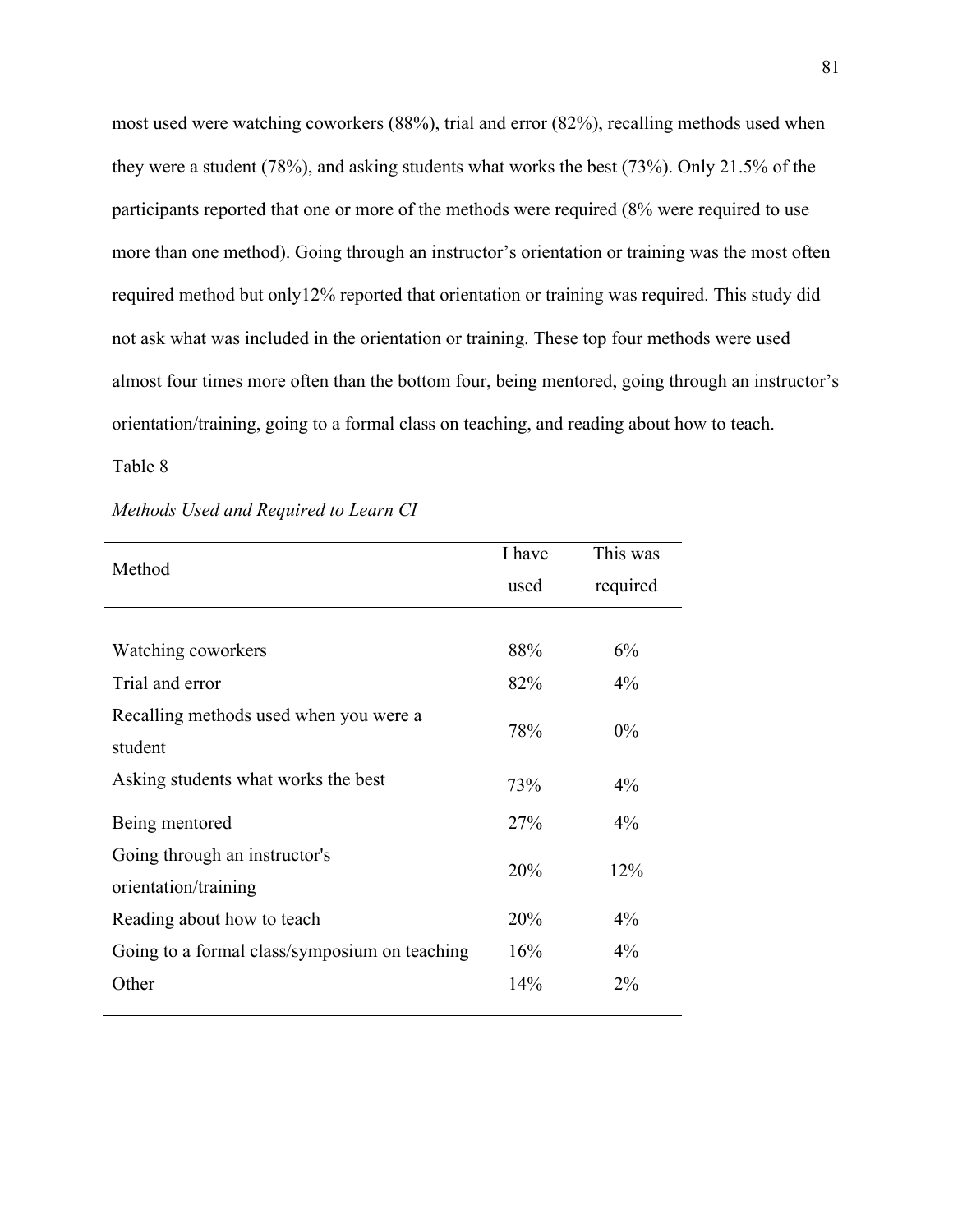most used were watching coworkers (88%), trial and error (82%), recalling methods used when they were a student (78%), and asking students what works the best (73%). Only 21.5% of the participants reported that one or more of the methods were required (8% were required to use more than one method). Going through an instructor's orientation or training was the most often required method but only12% reported that orientation or training was required. This study did not ask what was included in the orientation or training. These top four methods were used almost four times more often than the bottom four, being mentored, going through an instructor's orientation/training, going to a formal class on teaching, and reading about how to teach.

#### Table 8

|                                                       | I have | This was |
|-------------------------------------------------------|--------|----------|
| Method                                                | used   | required |
|                                                       |        |          |
| Watching coworkers                                    | 88%    | 6%       |
| Trial and error                                       | 82%    | $4\%$    |
| Recalling methods used when you were a<br>student     | 78%    | $0\%$    |
| Asking students what works the best                   | 73%    | $4\%$    |
| Being mentored                                        | 27%    | $4\%$    |
| Going through an instructor's<br>orientation/training | 20%    | 12%      |
| Reading about how to teach                            | 20%    | $4\%$    |
| Going to a formal class/symposium on teaching         | 16%    | $4\%$    |
| Other                                                 | 14%    | 2%       |

#### *Methods Used and Required to Learn CI*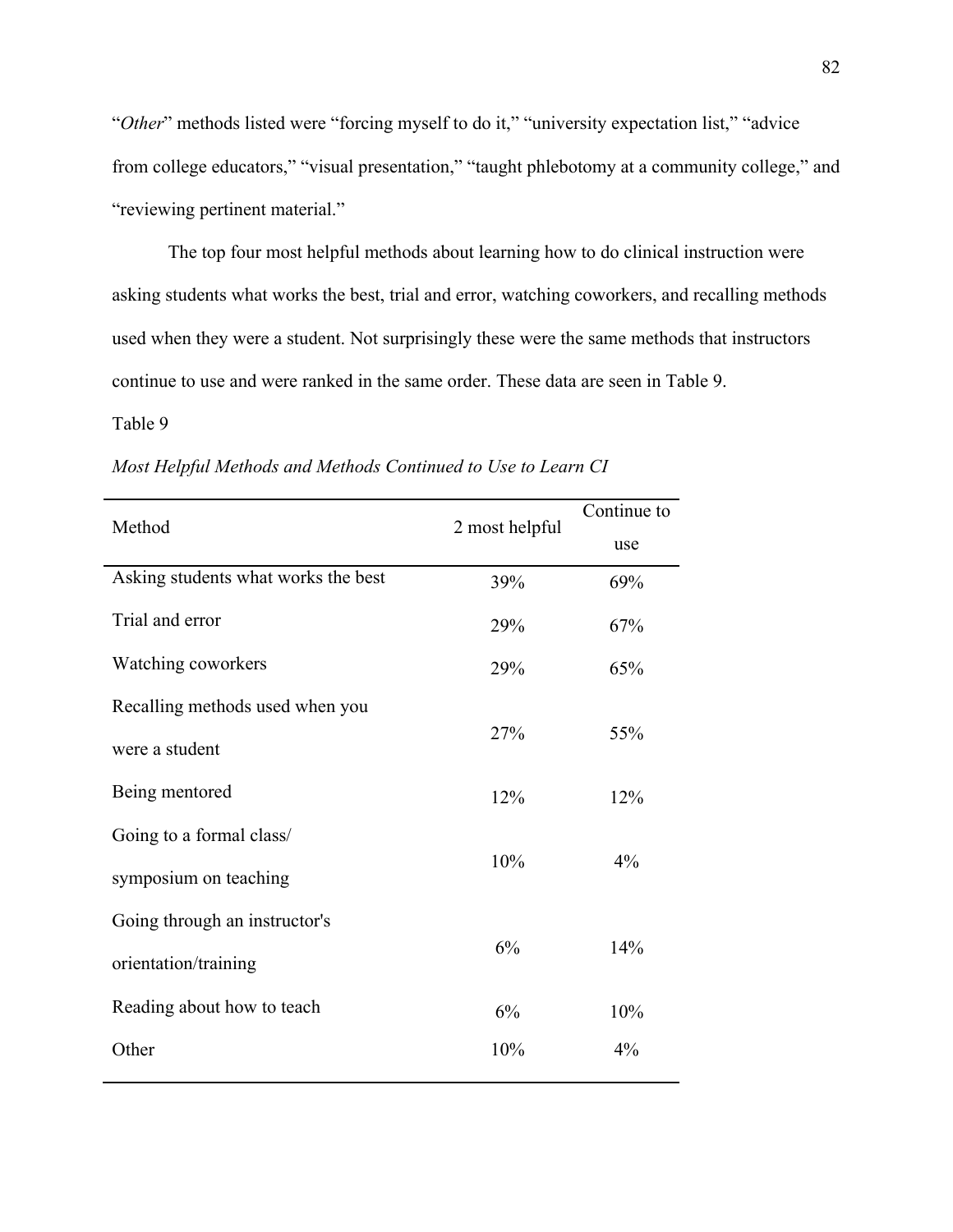"*Other*" methods listed were "forcing myself to do it," "university expectation list," "advice from college educators," "visual presentation," "taught phlebotomy at a community college," and "reviewing pertinent material."

The top four most helpful methods about learning how to do clinical instruction were asking students what works the best, trial and error, watching coworkers, and recalling methods used when they were a student. Not surprisingly these were the same methods that instructors continue to use and were ranked in the same order. These data are seen in Table 9.

#### Table 9

| Method                              | 2 most helpful | Continue to |
|-------------------------------------|----------------|-------------|
|                                     |                | use         |
| Asking students what works the best | 39%            | 69%         |
| Trial and error                     | 29%            | 67%         |
| Watching coworkers                  | 29%            | 65%         |
| Recalling methods used when you     |                |             |
| were a student                      | 27%            | 55%         |
| Being mentored                      | 12%            | 12%         |
| Going to a formal class/            |                |             |
| symposium on teaching               | 10%            | 4%          |
| Going through an instructor's       |                |             |
| orientation/training                | 6%             | 14%         |
| Reading about how to teach          | 6%             | 10%         |
| Other                               | 10%            | 4%          |

*Most Helpful Methods and Methods Continued to Use to Learn CI*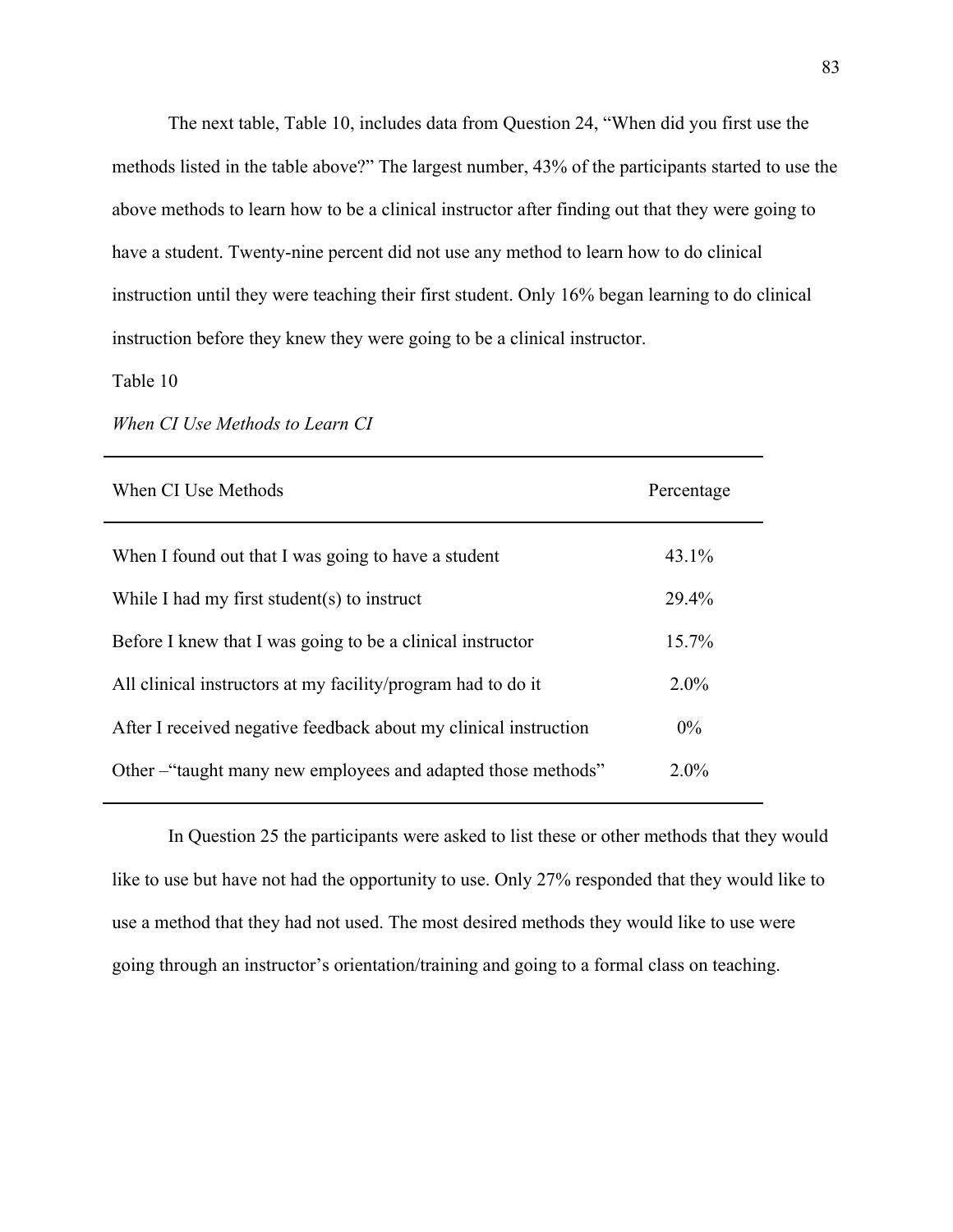The next table, Table 10, includes data from Question 24, "When did you first use the methods listed in the table above?" The largest number, 43% of the participants started to use the above methods to learn how to be a clinical instructor after finding out that they were going to have a student. Twenty-nine percent did not use any method to learn how to do clinical instruction until they were teaching their first student. Only 16% began learning to do clinical instruction before they knew they were going to be a clinical instructor.

#### Table 10

| Percentage |
|------------|
| 43.1%      |
| 29.4%      |
| $15.7\%$   |
| $2.0\%$    |
| $0\%$      |
| $2.0\%$    |
|            |

*When CI Use Methods to Learn CI* 

In Question 25 the participants were asked to list these or other methods that they would like to use but have not had the opportunity to use. Only 27% responded that they would like to use a method that they had not used. The most desired methods they would like to use were going through an instructor's orientation/training and going to a formal class on teaching.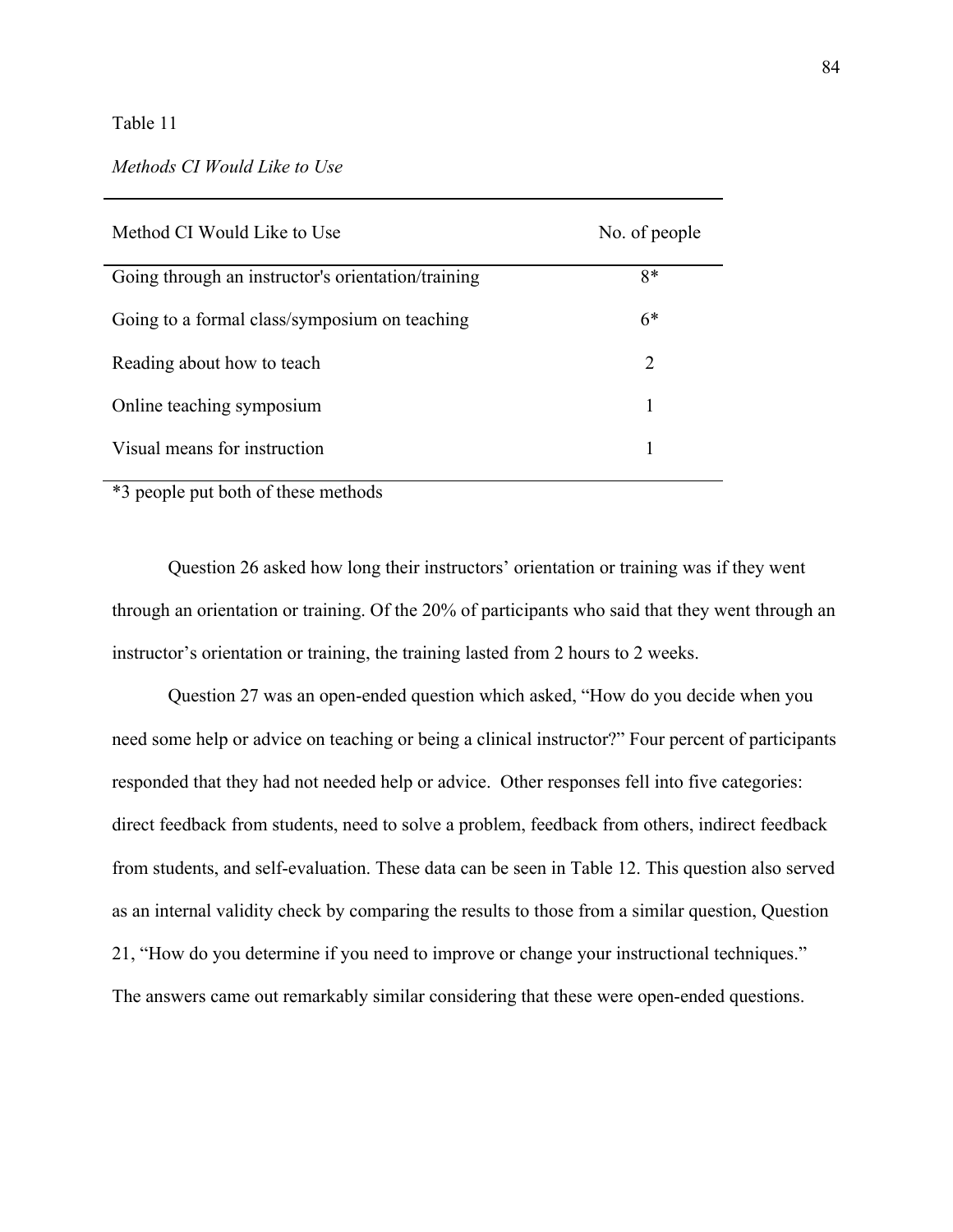#### Table 11

### *Methods CI Would Like to Use*

| Method CI Would Like to Use                        | No. of people |
|----------------------------------------------------|---------------|
| Going through an instructor's orientation/training | $8*$          |
| Going to a formal class/symposium on teaching      | $6*$          |
| Reading about how to teach                         | 2             |
| Online teaching symposium                          |               |
| Visual means for instruction                       |               |

\*3 people put both of these methods

 Question 26 asked how long their instructors' orientation or training was if they went through an orientation or training. Of the 20% of participants who said that they went through an instructor's orientation or training, the training lasted from 2 hours to 2 weeks.

 Question 27 was an open-ended question which asked, "How do you decide when you need some help or advice on teaching or being a clinical instructor?" Four percent of participants responded that they had not needed help or advice. Other responses fell into five categories: direct feedback from students, need to solve a problem, feedback from others, indirect feedback from students, and self-evaluation. These data can be seen in Table 12. This question also served as an internal validity check by comparing the results to those from a similar question, Question 21, "How do you determine if you need to improve or change your instructional techniques." The answers came out remarkably similar considering that these were open-ended questions.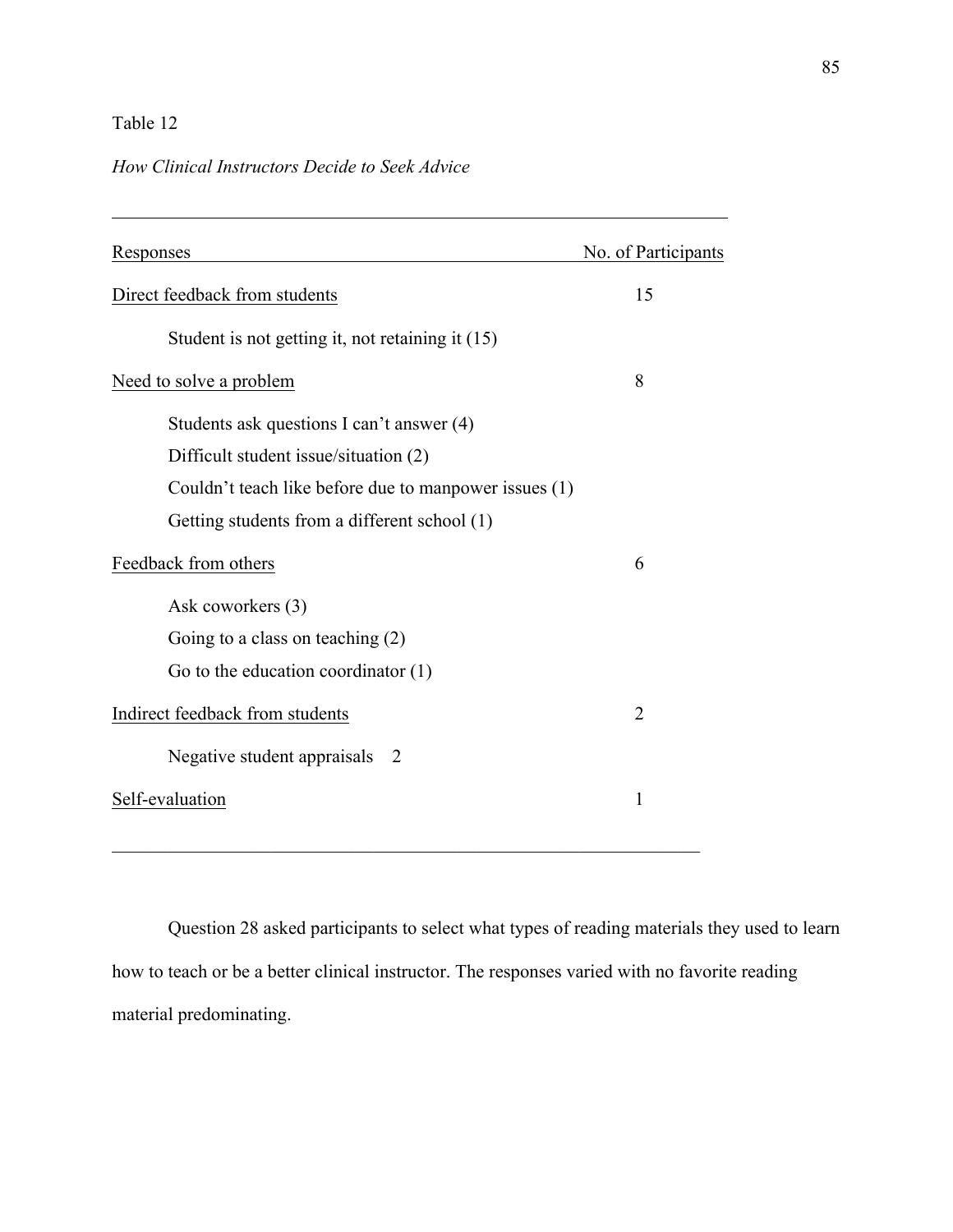## Table 12

 $\overline{a}$ 

### *How Clinical Instructors Decide to Seek Advice*

| Responses                                             | No. of Participants |
|-------------------------------------------------------|---------------------|
| Direct feedback from students                         | 15                  |
| Student is not getting it, not retaining it (15)      |                     |
| Need to solve a problem                               | 8                   |
| Students ask questions I can't answer (4)             |                     |
| Difficult student issue/situation (2)                 |                     |
| Couldn't teach like before due to manpower issues (1) |                     |
| Getting students from a different school (1)          |                     |
| Feedback from others                                  | 6                   |
| Ask coworkers (3)                                     |                     |
| Going to a class on teaching $(2)$                    |                     |
| Go to the education coordinator $(1)$                 |                     |
| Indirect feedback from students                       | $\overline{2}$      |
| Negative student appraisals 2                         |                     |
| Self-evaluation                                       | 1                   |
|                                                       |                     |

Question 28 asked participants to select what types of reading materials they used to learn how to teach or be a better clinical instructor. The responses varied with no favorite reading material predominating.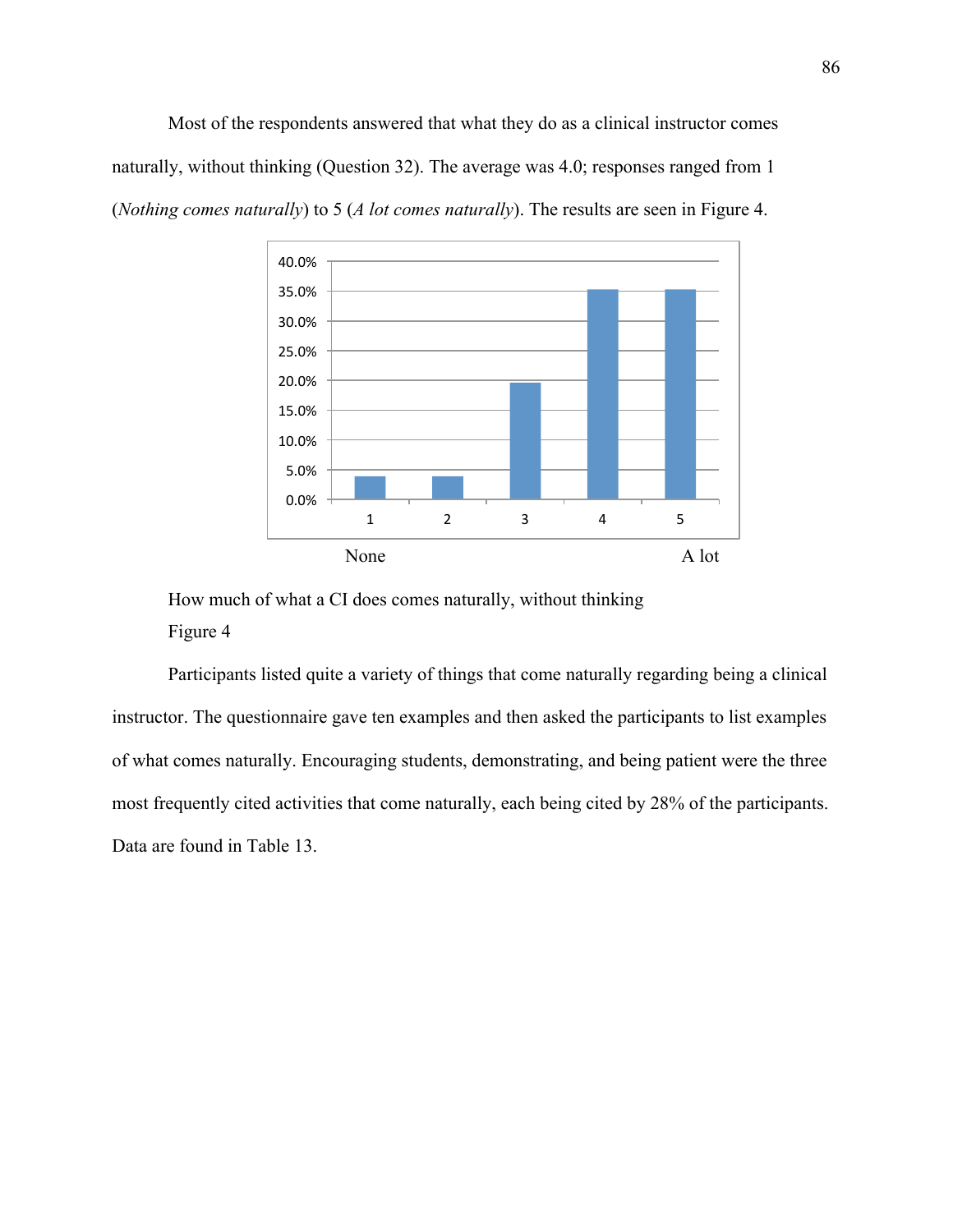Most of the respondents answered that what they do as a clinical instructor comes naturally, without thinking (Question 32). The average was 4.0; responses ranged from 1 (*Nothing comes naturally*) to 5 (*A lot comes naturally*). The results are seen in Figure 4.



How much of what a CI does comes naturally, without thinking Figure 4

Participants listed quite a variety of things that come naturally regarding being a clinical instructor. The questionnaire gave ten examples and then asked the participants to list examples of what comes naturally. Encouraging students, demonstrating, and being patient were the three most frequently cited activities that come naturally, each being cited by 28% of the participants. Data are found in Table 13.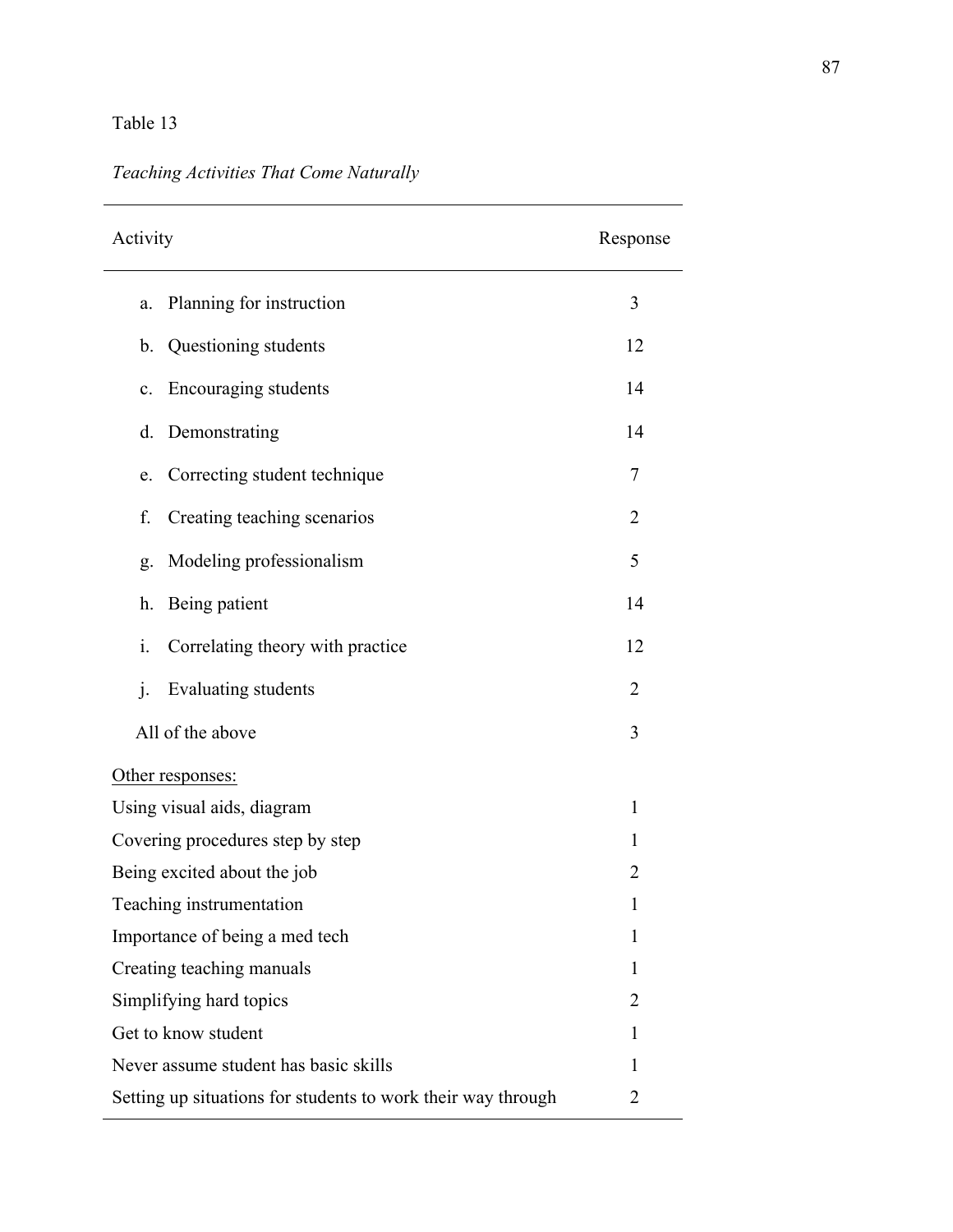## Table 13

# *Teaching Activities That Come Naturally*

| Activity                                                     | Response       |
|--------------------------------------------------------------|----------------|
| Planning for instruction<br>a.                               | 3              |
| Questioning students<br>b.                                   | 12             |
| Encouraging students<br>c.                                   | 14             |
| Demonstrating<br>d.                                          | 14             |
| Correcting student technique<br>e.                           | 7              |
| f.<br>Creating teaching scenarios                            | $\overline{2}$ |
| Modeling professionalism<br>g.                               | 5              |
| Being patient<br>h.                                          | 14             |
| i.<br>Correlating theory with practice                       | 12             |
| $\mathbf{i}$ .<br>Evaluating students                        | 2              |
| All of the above                                             | 3              |
| Other responses:                                             |                |
| Using visual aids, diagram<br>1                              |                |
| Covering procedures step by step                             | 1              |
| Being excited about the job                                  | $\overline{2}$ |
| Teaching instrumentation                                     | 1              |
| Importance of being a med tech                               | 1              |
| Creating teaching manuals                                    | 1              |
| Simplifying hard topics                                      | 2              |
| Get to know student                                          | 1              |
| Never assume student has basic skills                        | 1              |
| Setting up situations for students to work their way through | $\overline{2}$ |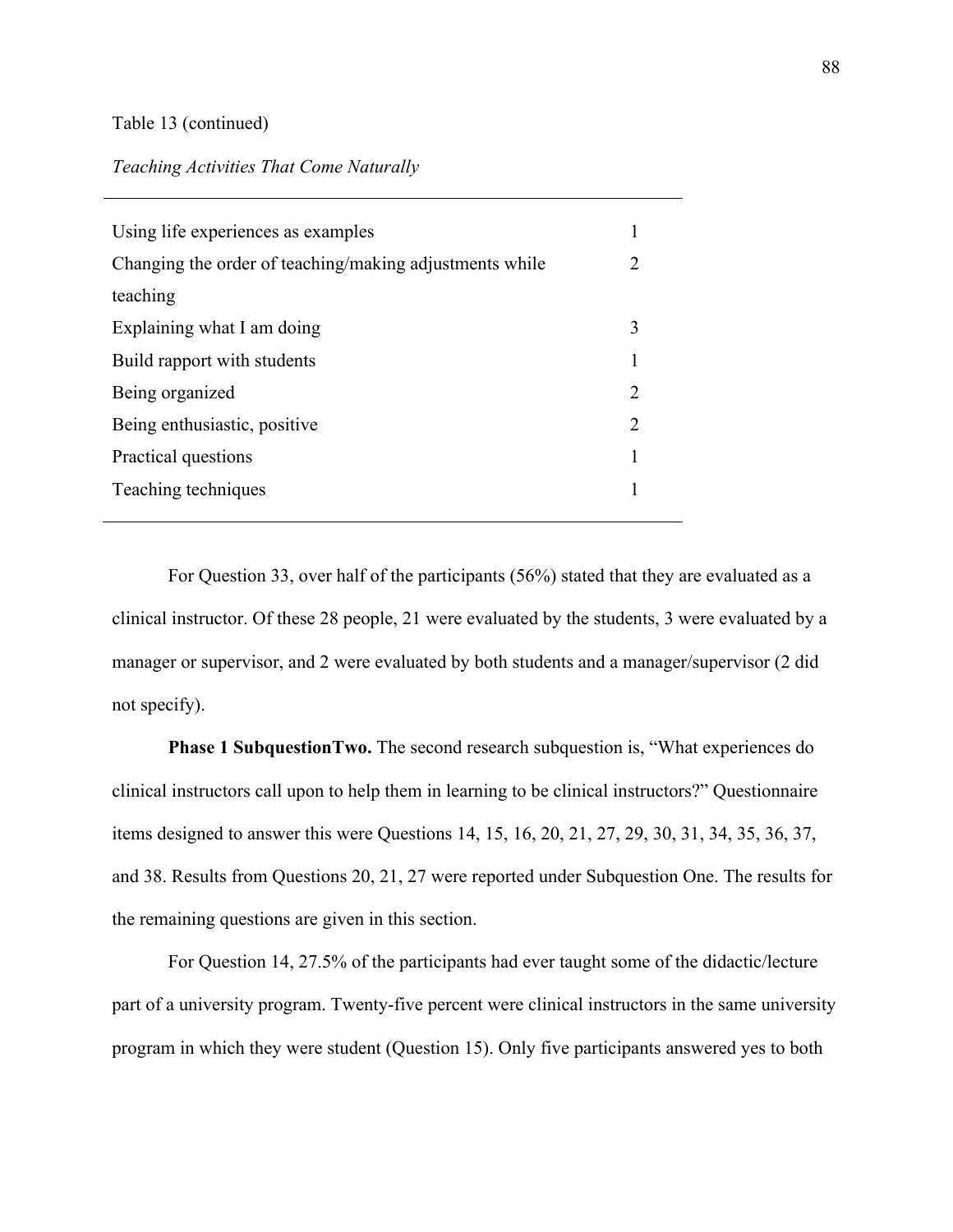#### Table 13 (continued)

#### *Teaching Activities That Come Naturally*

| Using life experiences as examples                      |                       |
|---------------------------------------------------------|-----------------------|
| Changing the order of teaching/making adjustments while | $\mathcal{D}_{\cdot}$ |
| teaching                                                |                       |
| Explaining what I am doing                              | 3                     |
| Build rapport with students                             | 1                     |
| Being organized                                         | 2                     |
| Being enthusiastic, positive                            | 2                     |
| Practical questions                                     | 1                     |
| Teaching techniques                                     |                       |
|                                                         |                       |

For Question 33, over half of the participants (56%) stated that they are evaluated as a clinical instructor. Of these 28 people, 21 were evaluated by the students, 3 were evaluated by a manager or supervisor, and 2 were evaluated by both students and a manager/supervisor (2 did not specify).

**Phase 1 SubquestionTwo.** The second research subquestion is, "What experiences do clinical instructors call upon to help them in learning to be clinical instructors?" Questionnaire items designed to answer this were Questions 14, 15, 16, 20, 21, 27, 29, 30, 31, 34, 35, 36, 37, and 38. Results from Questions 20, 21, 27 were reported under Subquestion One. The results for the remaining questions are given in this section.

For Question 14, 27.5% of the participants had ever taught some of the didactic/lecture part of a university program. Twenty-five percent were clinical instructors in the same university program in which they were student (Question 15). Only five participants answered yes to both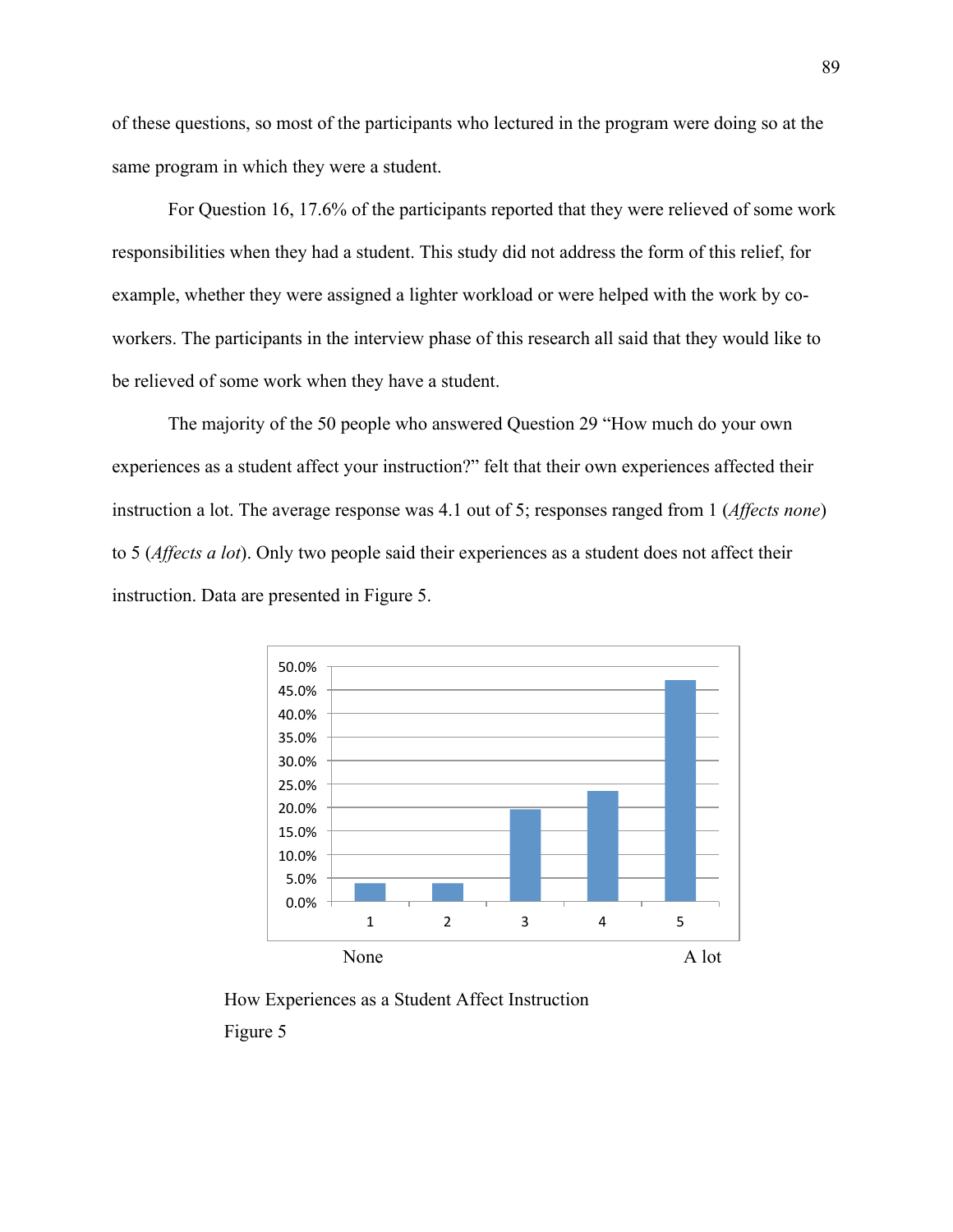of these questions, so most of the participants who lectured in the program were doing so at the same program in which they were a student.

For Question 16, 17.6% of the participants reported that they were relieved of some work responsibilities when they had a student. This study did not address the form of this relief, for example, whether they were assigned a lighter workload or were helped with the work by coworkers. The participants in the interview phase of this research all said that they would like to be relieved of some work when they have a student.

The majority of the 50 people who answered Question 29 "How much do your own experiences as a student affect your instruction?" felt that their own experiences affected their instruction a lot. The average response was 4.1 out of 5; responses ranged from 1 (*Affects none*) to 5 (*Affects a lot*). Only two people said their experiences as a student does not affect their instruction. Data are presented in Figure 5.



How Experiences as a Student Affect Instruction Figure 5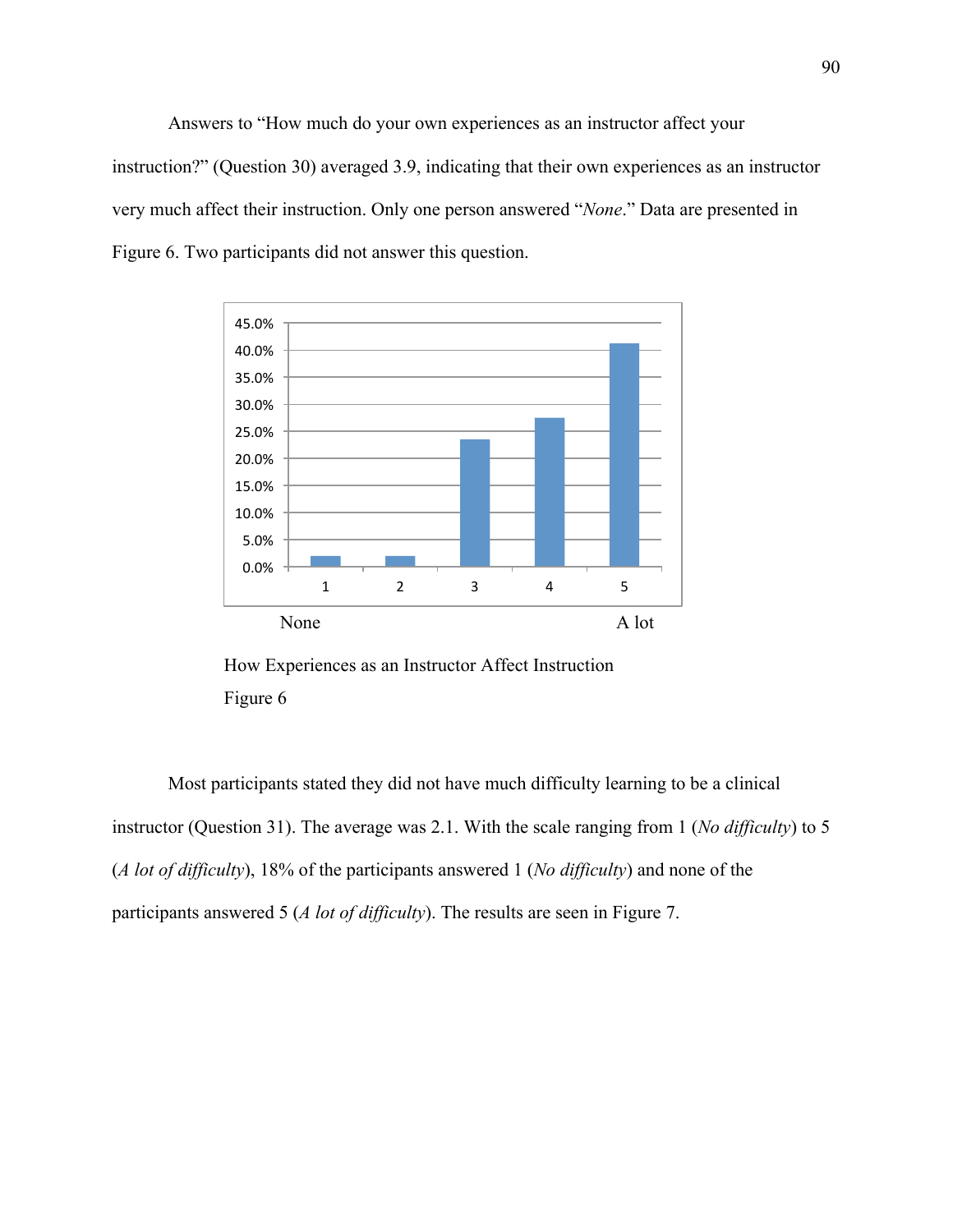Answers to "How much do your own experiences as an instructor affect your instruction?" (Question 30) averaged 3.9, indicating that their own experiences as an instructor very much affect their instruction. Only one person answered "*None*." Data are presented in Figure 6. Two participants did not answer this question.



How Experiences as an Instructor Affect Instruction Figure 6

Most participants stated they did not have much difficulty learning to be a clinical instructor (Question 31). The average was 2.1. With the scale ranging from 1 (*No difficulty*) to 5 (*A lot of difficulty*), 18% of the participants answered 1 (*No difficulty*) and none of the participants answered 5 (*A lot of difficulty*). The results are seen in Figure 7.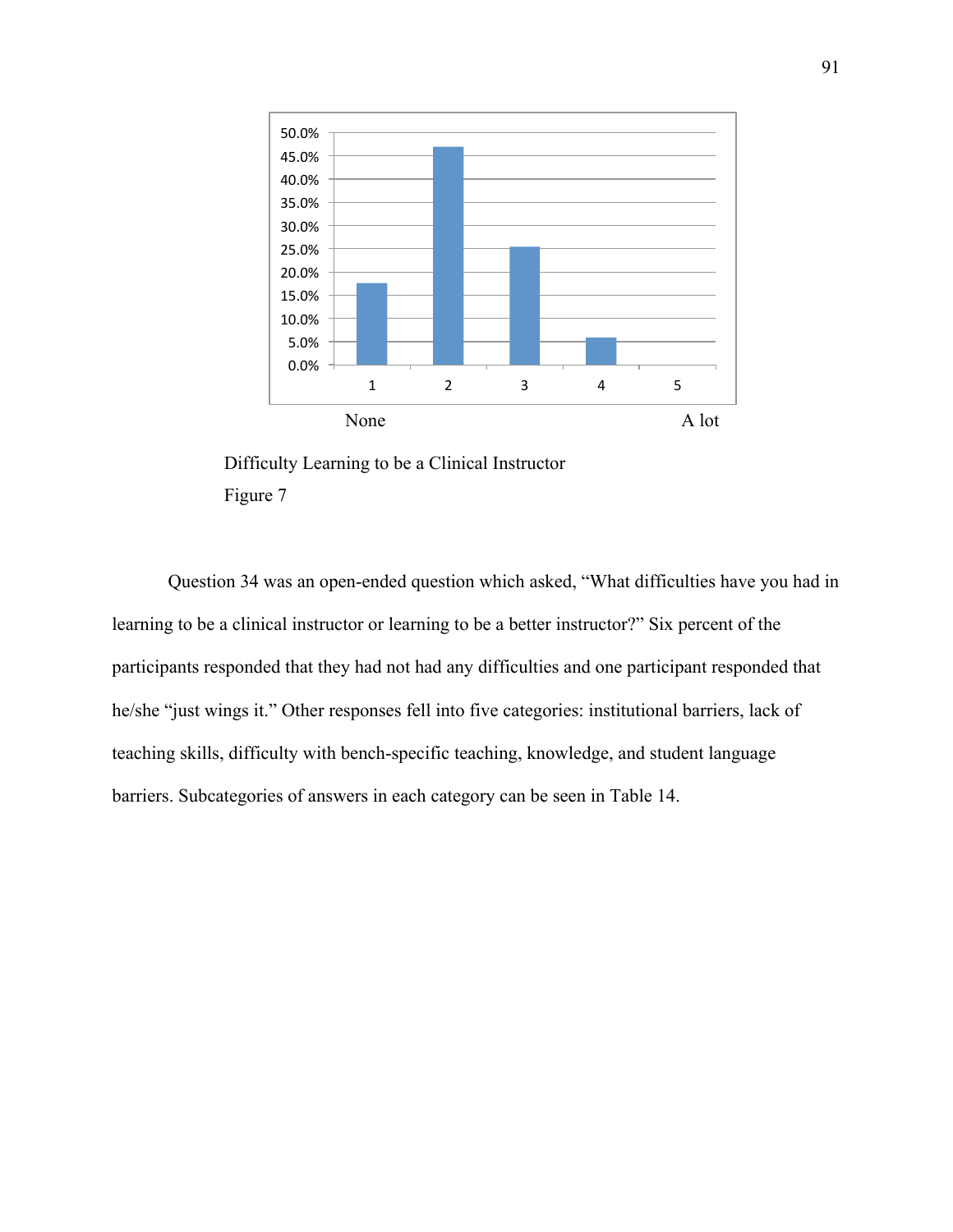

Difficulty Learning to be a Clinical Instructor Figure 7

Question 34 was an open-ended question which asked, "What difficulties have you had in learning to be a clinical instructor or learning to be a better instructor?" Six percent of the participants responded that they had not had any difficulties and one participant responded that he/she "just wings it." Other responses fell into five categories: institutional barriers, lack of teaching skills, difficulty with bench-specific teaching, knowledge, and student language barriers. Subcategories of answers in each category can be seen in Table 14.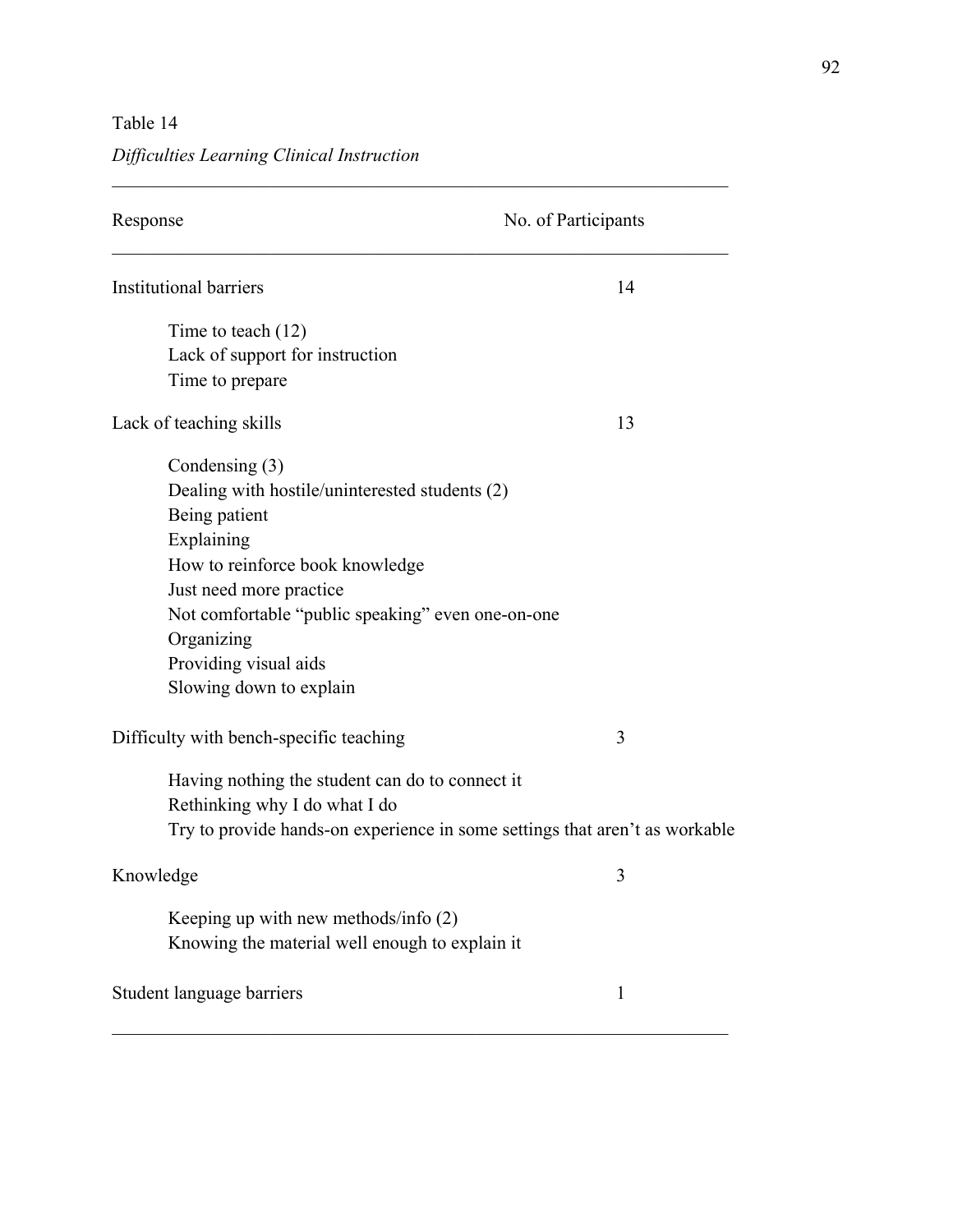Table 14

## *Difficulties Learning Clinical Instruction*

| Response                                                                    | No. of Participants |
|-----------------------------------------------------------------------------|---------------------|
| <b>Institutional barriers</b>                                               | 14                  |
| Time to teach $(12)$                                                        |                     |
| Lack of support for instruction                                             |                     |
| Time to prepare                                                             |                     |
| Lack of teaching skills                                                     | 13                  |
| Condensing (3)                                                              |                     |
| Dealing with hostile/uninterested students (2)                              |                     |
| Being patient                                                               |                     |
| Explaining                                                                  |                     |
| How to reinforce book knowledge                                             |                     |
| Just need more practice                                                     |                     |
| Not comfortable "public speaking" even one-on-one                           |                     |
| Organizing                                                                  |                     |
| Providing visual aids                                                       |                     |
| Slowing down to explain                                                     |                     |
| Difficulty with bench-specific teaching                                     | 3                   |
| Having nothing the student can do to connect it                             |                     |
| Rethinking why I do what I do                                               |                     |
| Try to provide hands-on experience in some settings that aren't as workable |                     |
| Knowledge                                                                   | 3                   |
| Keeping up with new methods/info (2)                                        |                     |
| Knowing the material well enough to explain it                              |                     |
| Student language barriers                                                   | $\mathbf{1}$        |

 $\mathcal{L}_\text{G} = \{ \mathcal{L}_\text{G} \mid \mathcal{L}_\text{G} \text{ and } \mathcal{L}_\text{G} \text{ and } \mathcal{L}_\text{G} \text{ and } \mathcal{L}_\text{G} \text{ and } \mathcal{L}_\text{G} \text{ and } \mathcal{L}_\text{G} \text{ and } \mathcal{L}_\text{G} \text{ and } \mathcal{L}_\text{G} \text{ and } \mathcal{L}_\text{G} \text{ and } \mathcal{L}_\text{G} \text{ and } \mathcal{L}_\text{G} \text{ and } \mathcal{L}_\text{G} \text{ and } \$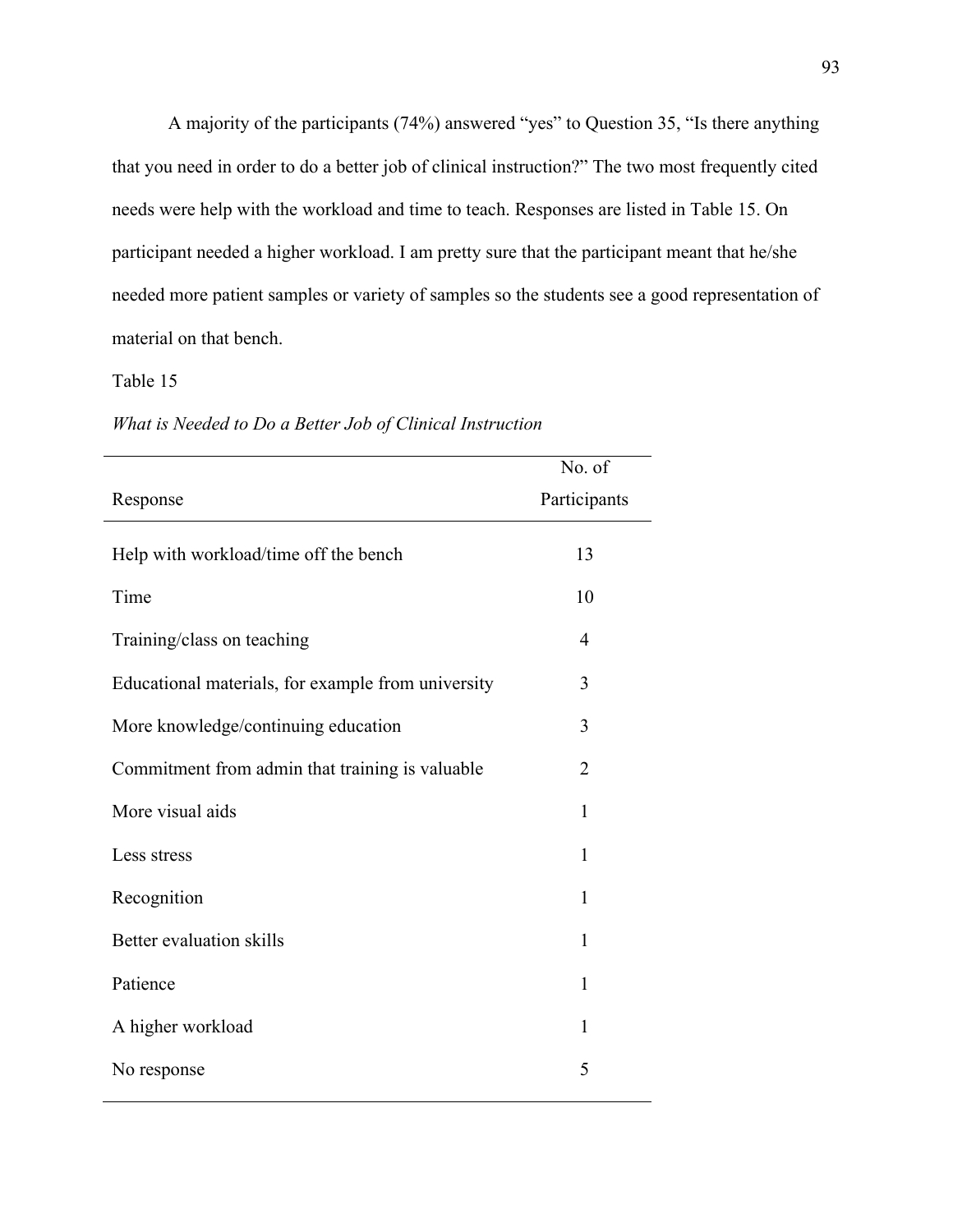A majority of the participants (74%) answered "yes" to Question 35, "Is there anything that you need in order to do a better job of clinical instruction?" The two most frequently cited needs were help with the workload and time to teach. Responses are listed in Table 15. On participant needed a higher workload. I am pretty sure that the participant meant that he/she needed more patient samples or variety of samples so the students see a good representation of material on that bench.

#### Table 15

|                                                    | No. of         |
|----------------------------------------------------|----------------|
| Response                                           | Participants   |
|                                                    |                |
| Help with workload/time off the bench              | 13             |
| Time                                               | 10             |
| Training/class on teaching                         | $\overline{4}$ |
| Educational materials, for example from university | 3              |
| More knowledge/continuing education                | 3              |
| Commitment from admin that training is valuable    | $\overline{2}$ |
| More visual aids                                   | $\mathbf{1}$   |
| Less stress                                        | $\mathbf{1}$   |
| Recognition                                        | $\mathbf{1}$   |
| Better evaluation skills                           | $\mathbf{1}$   |
| Patience                                           | 1              |
| A higher workload                                  | $\mathbf{1}$   |
| No response                                        | 5              |

*What is Needed to Do a Better Job of Clinical Instruction*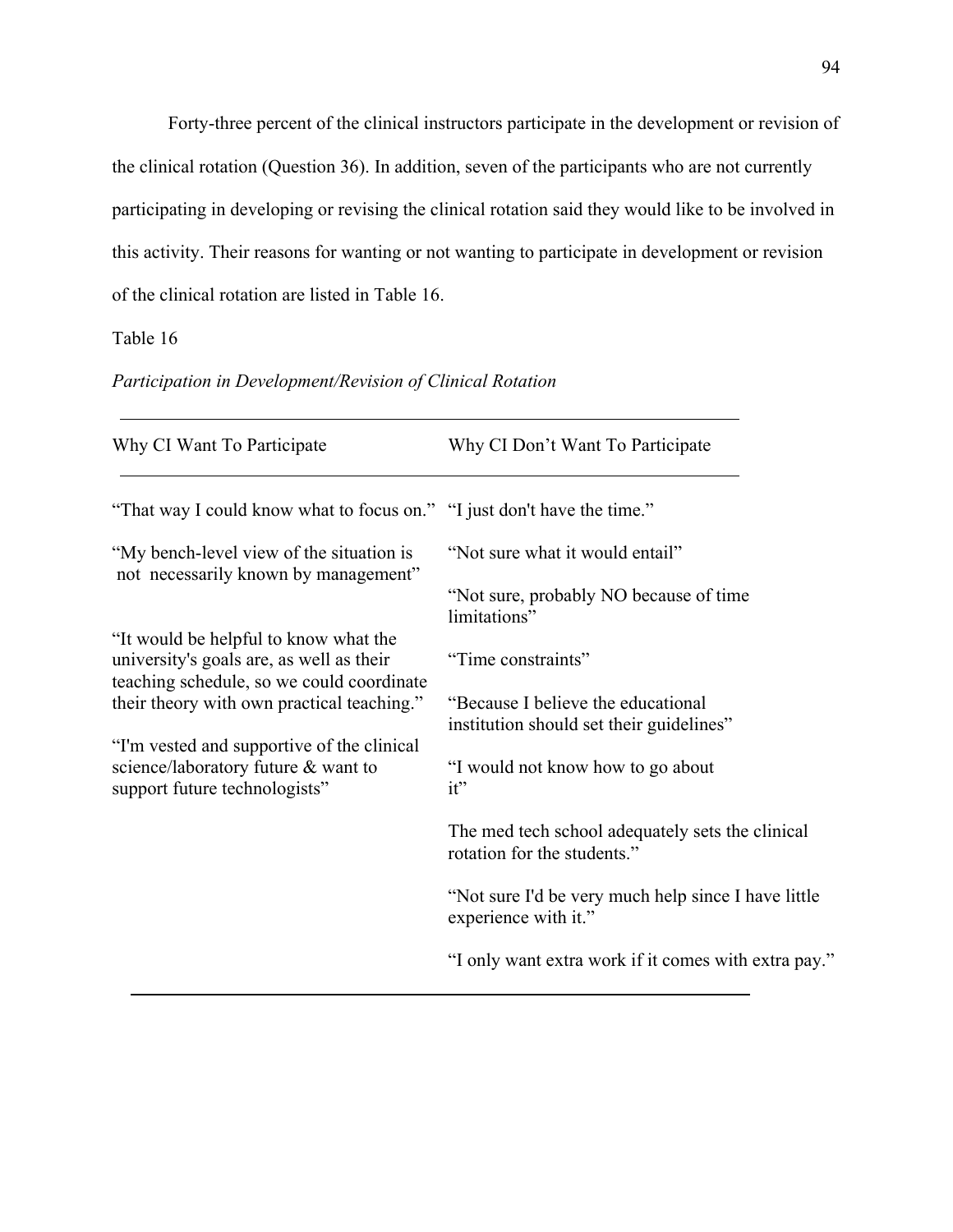Forty-three percent of the clinical instructors participate in the development or revision of the clinical rotation (Question 36). In addition, seven of the participants who are not currently participating in developing or revising the clinical rotation said they would like to be involved in this activity. Their reasons for wanting or not wanting to participate in development or revision of the clinical rotation are listed in Table 16.

Table 16

| Why CI Want To Participate                                                              | Why CI Don't Want To Participate                                                |
|-----------------------------------------------------------------------------------------|---------------------------------------------------------------------------------|
| "That way I could know what to focus on." "I just don't have the time."                 |                                                                                 |
| "My bench-level view of the situation is                                                | "Not sure what it would entail"                                                 |
| not necessarily known by management"                                                    | "Not sure, probably NO because of time"<br>limitations"                         |
| "It would be helpful to know what the<br>university's goals are, as well as their       | "Time constraints"                                                              |
| teaching schedule, so we could coordinate<br>their theory with own practical teaching." | "Because I believe the educational"<br>institution should set their guidelines" |
| "I'm vested and supportive of the clinical<br>science/laboratory future & want to       | "I would not know how to go about                                               |
| support future technologists"                                                           | it"                                                                             |
|                                                                                         | The med tech school adequately sets the clinical<br>rotation for the students." |
|                                                                                         | "Not sure I'd be very much help since I have little<br>experience with it."     |
|                                                                                         | "I only want extra work if it comes with extra pay."                            |

*Participation in Development/Revision of Clinical Rotation*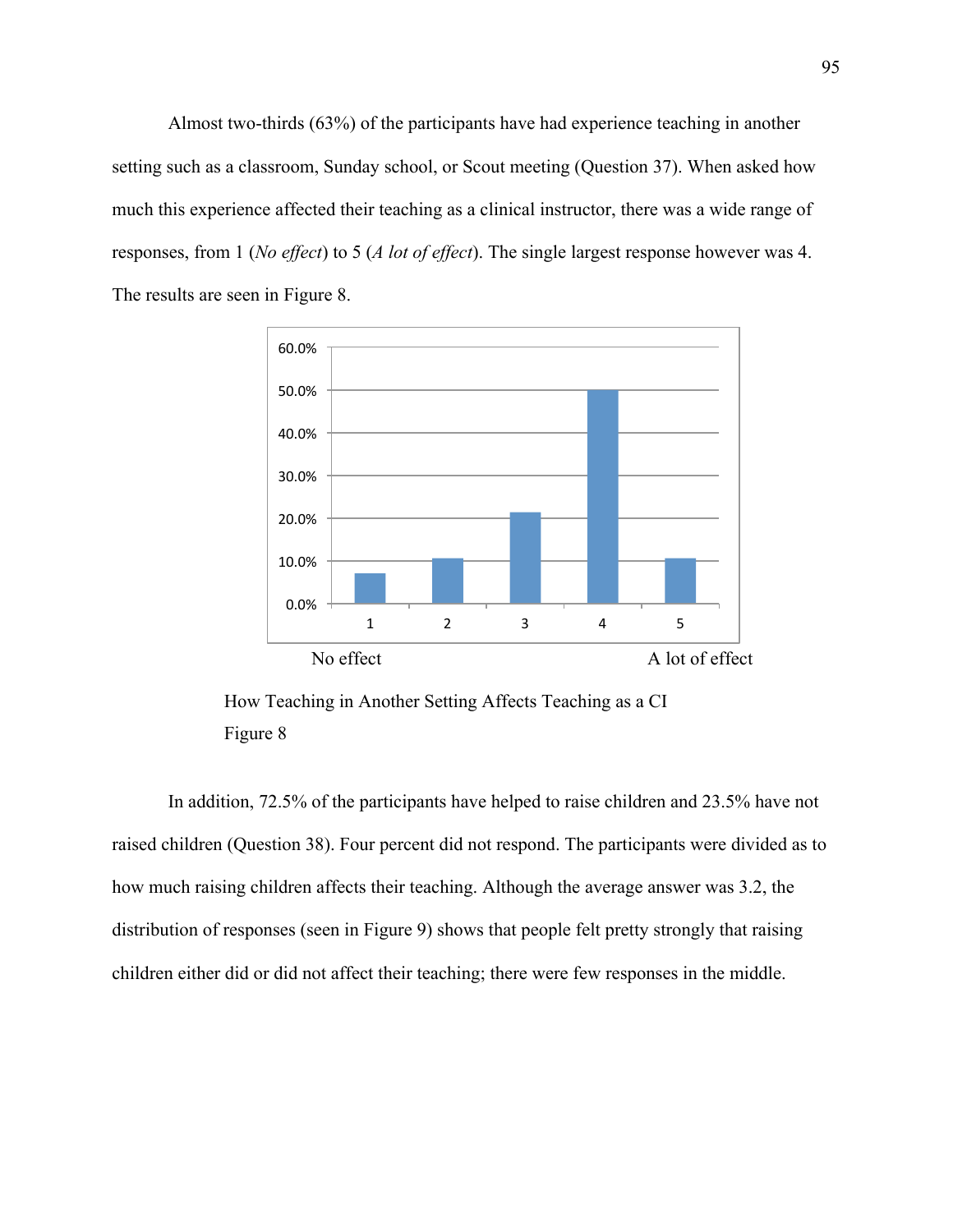Almost two-thirds (63%) of the participants have had experience teaching in another setting such as a classroom, Sunday school, or Scout meeting (Question 37). When asked how much this experience affected their teaching as a clinical instructor, there was a wide range of responses, from 1 (*No effect*) to 5 (*A lot of effect*). The single largest response however was 4. The results are seen in Figure 8.



How Teaching in Another Setting Affects Teaching as a CI Figure 8

In addition, 72.5% of the participants have helped to raise children and 23.5% have not raised children (Question 38). Four percent did not respond. The participants were divided as to how much raising children affects their teaching. Although the average answer was 3.2, the distribution of responses (seen in Figure 9) shows that people felt pretty strongly that raising children either did or did not affect their teaching; there were few responses in the middle.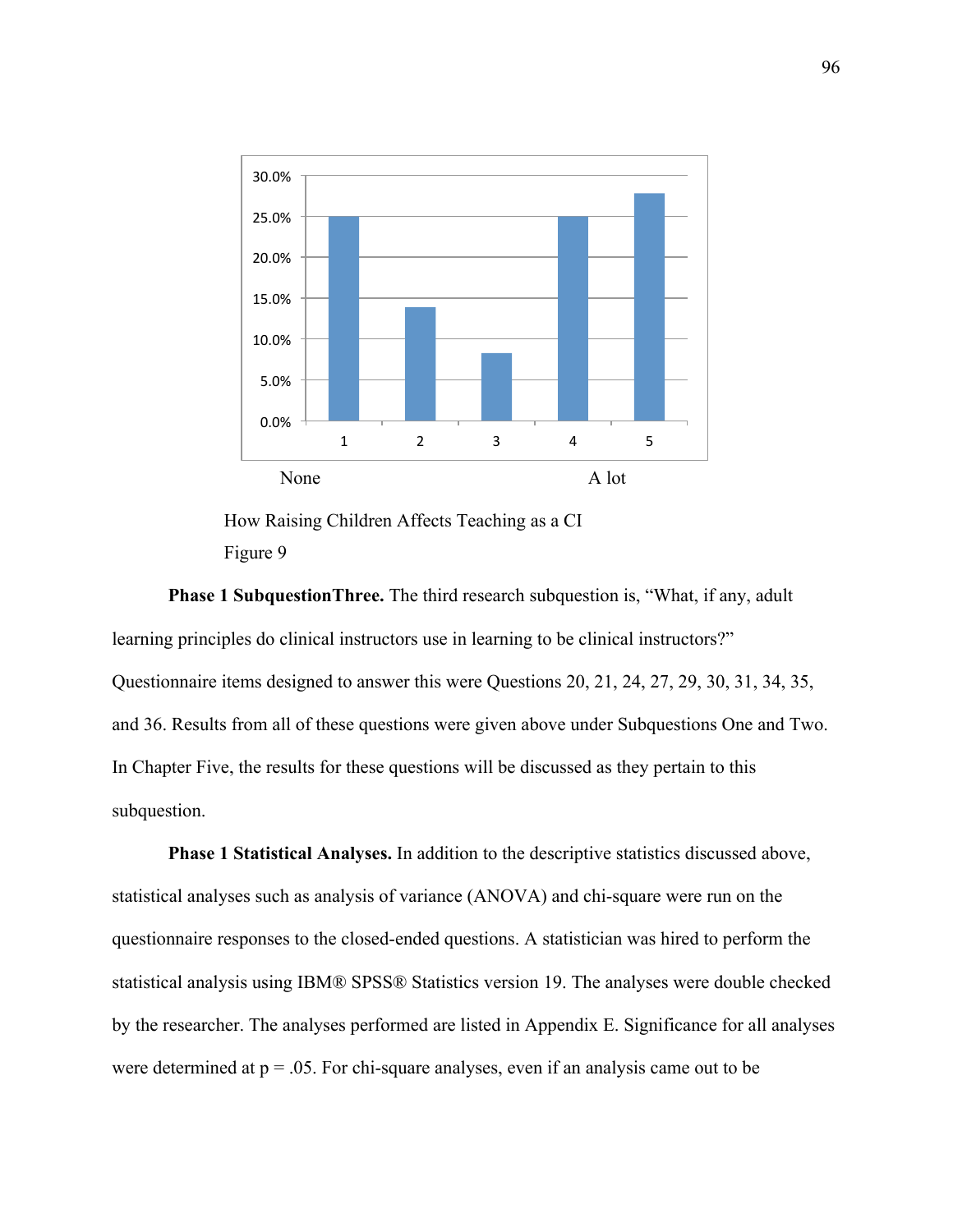

How Raising Children Affects Teaching as a CI Figure 9

**Phase 1 SubquestionThree.** The third research subquestion is, "What, if any, adult learning principles do clinical instructors use in learning to be clinical instructors?" Questionnaire items designed to answer this were Questions 20, 21, 24, 27, 29, 30, 31, 34, 35, and 36. Results from all of these questions were given above under Subquestions One and Two. In Chapter Five, the results for these questions will be discussed as they pertain to this subquestion.

**Phase 1 Statistical Analyses.** In addition to the descriptive statistics discussed above, statistical analyses such as analysis of variance (ANOVA) and chi-square were run on the questionnaire responses to the closed-ended questions. A statistician was hired to perform the statistical analysis using IBM® SPSS® Statistics version 19. The analyses were double checked by the researcher. The analyses performed are listed in Appendix E. Significance for all analyses were determined at  $p = 0.05$ . For chi-square analyses, even if an analysis came out to be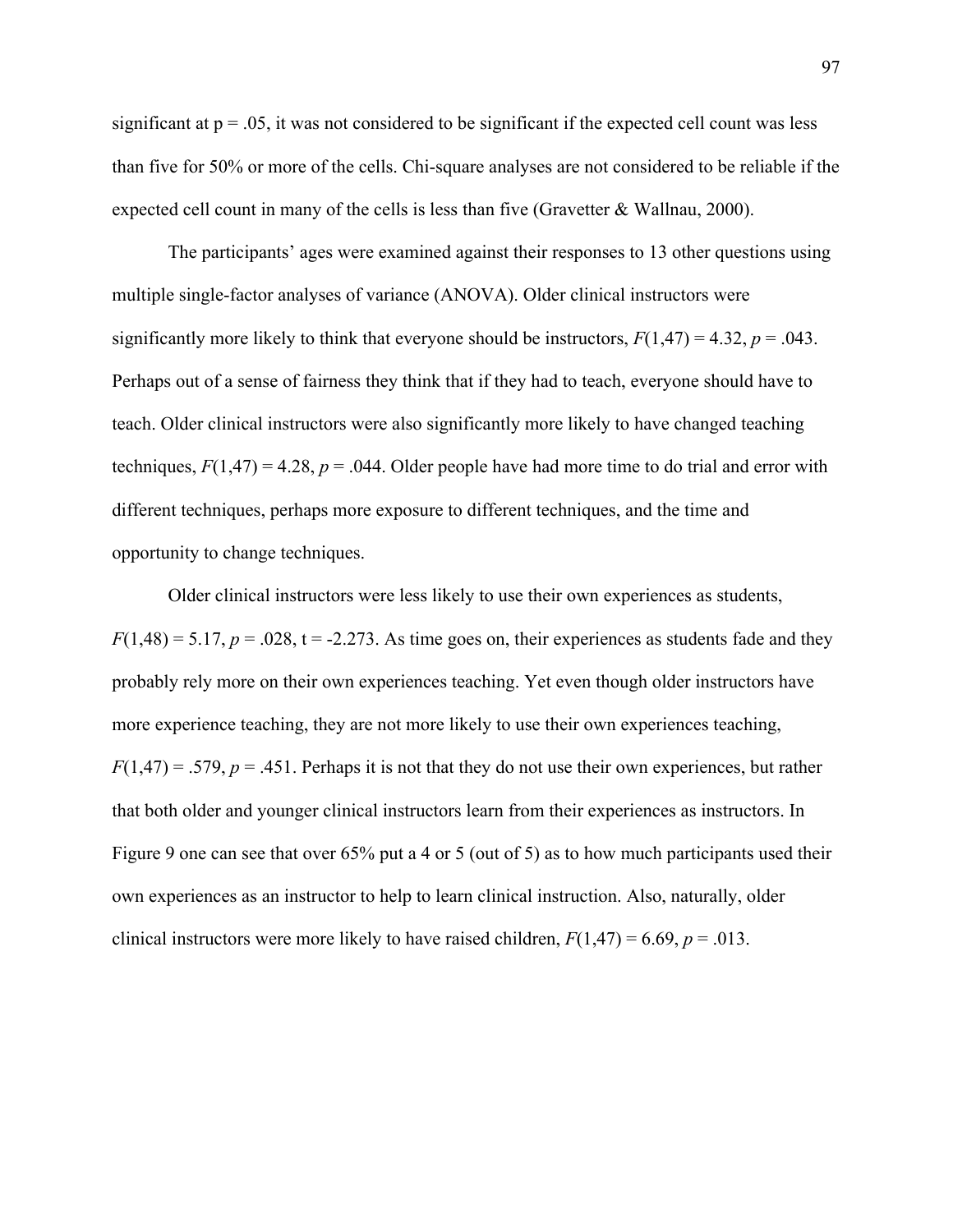significant at  $p = 0.05$ , it was not considered to be significant if the expected cell count was less than five for 50% or more of the cells. Chi-square analyses are not considered to be reliable if the expected cell count in many of the cells is less than five (Gravetter  $&$  Wallnau, 2000).

 The participants' ages were examined against their responses to 13 other questions using multiple single-factor analyses of variance (ANOVA). Older clinical instructors were significantly more likely to think that everyone should be instructors,  $F(1,47) = 4.32$ ,  $p = .043$ . Perhaps out of a sense of fairness they think that if they had to teach, everyone should have to teach. Older clinical instructors were also significantly more likely to have changed teaching techniques,  $F(1,47) = 4.28$ ,  $p = .044$ . Older people have had more time to do trial and error with different techniques, perhaps more exposure to different techniques, and the time and opportunity to change techniques.

Older clinical instructors were less likely to use their own experiences as students,  $F(1,48) = 5.17$ ,  $p = .028$ ,  $t = -2.273$ . As time goes on, their experiences as students fade and they probably rely more on their own experiences teaching. Yet even though older instructors have more experience teaching, they are not more likely to use their own experiences teaching,  $F(1,47) = .579$ ,  $p = .451$ . Perhaps it is not that they do not use their own experiences, but rather that both older and younger clinical instructors learn from their experiences as instructors. In Figure 9 one can see that over 65% put a 4 or 5 (out of 5) as to how much participants used their own experiences as an instructor to help to learn clinical instruction. Also, naturally, older clinical instructors were more likely to have raised children,  $F(1,47) = 6.69$ ,  $p = .013$ .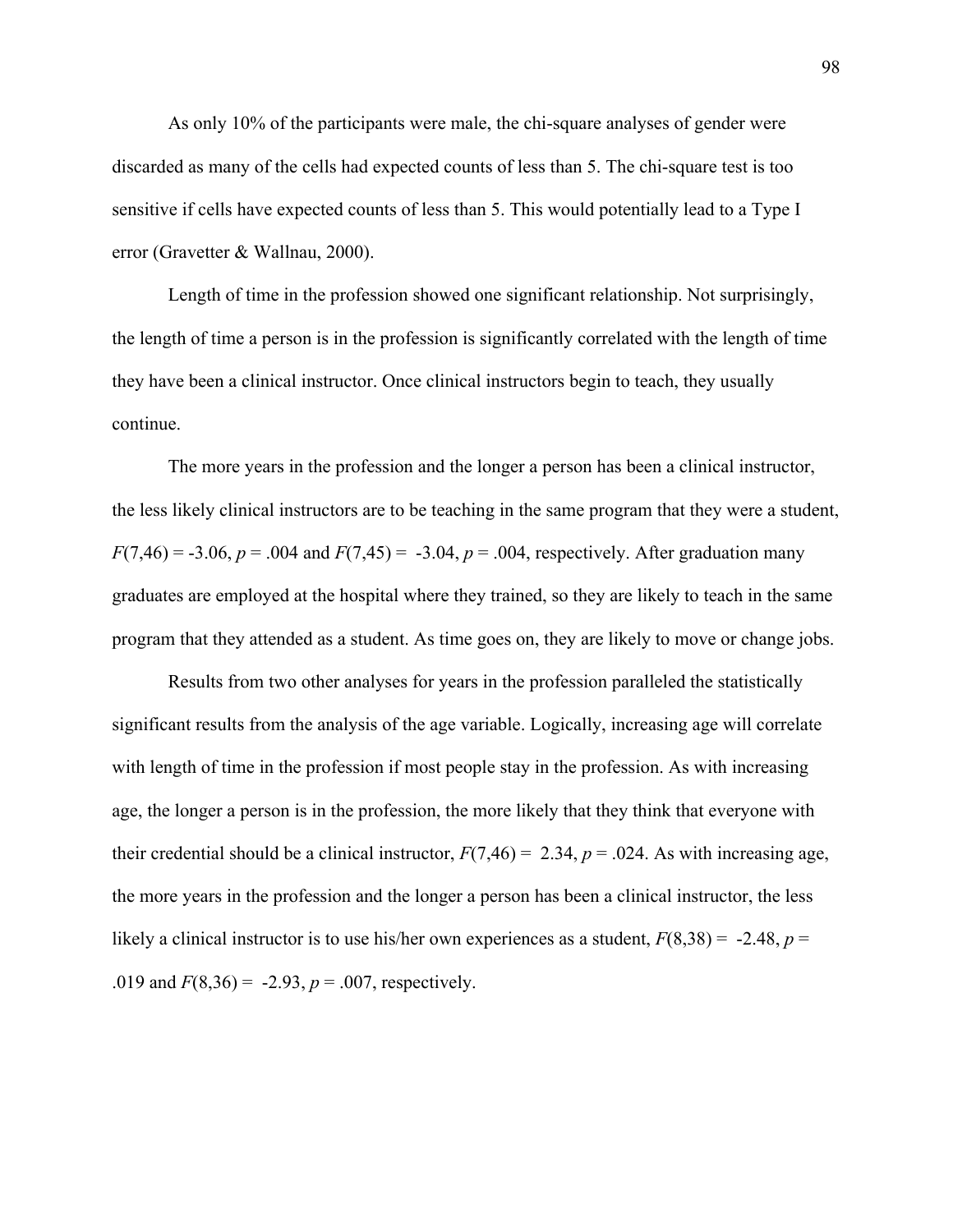As only 10% of the participants were male, the chi-square analyses of gender were discarded as many of the cells had expected counts of less than 5. The chi-square test is too sensitive if cells have expected counts of less than 5. This would potentially lead to a Type I error (Gravetter & Wallnau, 2000).

 Length of time in the profession showed one significant relationship. Not surprisingly, the length of time a person is in the profession is significantly correlated with the length of time they have been a clinical instructor. Once clinical instructors begin to teach, they usually continue.

 The more years in the profession and the longer a person has been a clinical instructor, the less likely clinical instructors are to be teaching in the same program that they were a student,  $F(7,46) = -3.06$ ,  $p = .004$  and  $F(7,45) = -3.04$ ,  $p = .004$ , respectively. After graduation many graduates are employed at the hospital where they trained, so they are likely to teach in the same program that they attended as a student. As time goes on, they are likely to move or change jobs.

Results from two other analyses for years in the profession paralleled the statistically significant results from the analysis of the age variable. Logically, increasing age will correlate with length of time in the profession if most people stay in the profession. As with increasing age, the longer a person is in the profession, the more likely that they think that everyone with their credential should be a clinical instructor,  $F(7,46) = 2.34$ ,  $p = .024$ . As with increasing age, the more years in the profession and the longer a person has been a clinical instructor, the less likely a clinical instructor is to use his/her own experiences as a student,  $F(8,38) = -2.48$ ,  $p =$ .019 and  $F(8,36) = -2.93$ ,  $p = .007$ , respectively.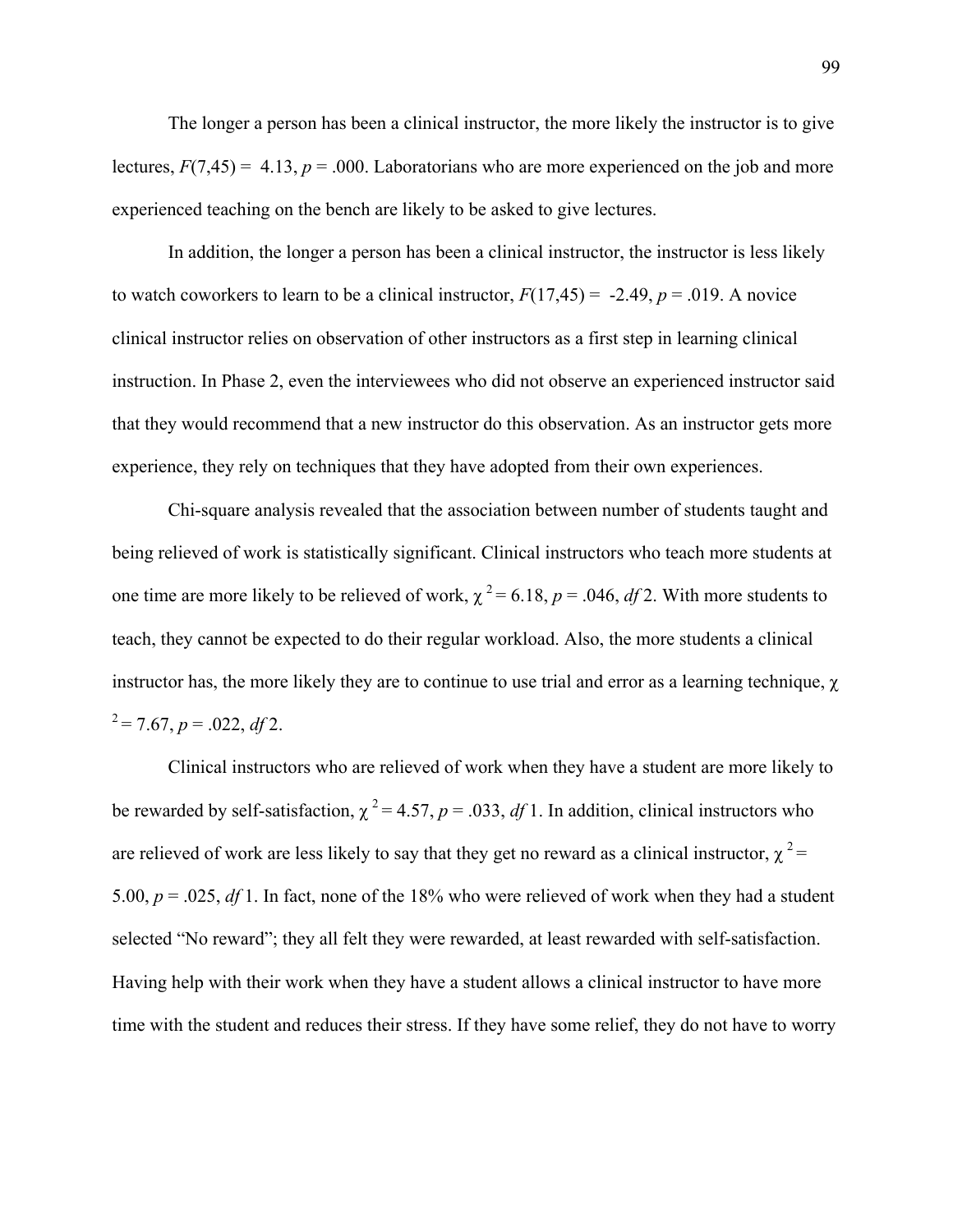The longer a person has been a clinical instructor, the more likely the instructor is to give lectures,  $F(7,45) = 4.13$ ,  $p = .000$ . Laboratorians who are more experienced on the job and more experienced teaching on the bench are likely to be asked to give lectures.

In addition, the longer a person has been a clinical instructor, the instructor is less likely to watch coworkers to learn to be a clinical instructor,  $F(17,45) = -2.49$ ,  $p = .019$ . A novice clinical instructor relies on observation of other instructors as a first step in learning clinical instruction. In Phase 2, even the interviewees who did not observe an experienced instructor said that they would recommend that a new instructor do this observation. As an instructor gets more experience, they rely on techniques that they have adopted from their own experiences.

Chi-square analysis revealed that the association between number of students taught and being relieved of work is statistically significant. Clinical instructors who teach more students at one time are more likely to be relieved of work,  $\chi^2 = 6.18$ ,  $p = .046$ , *df* 2. With more students to teach, they cannot be expected to do their regular workload. Also, the more students a clinical instructor has, the more likely they are to continue to use trial and error as a learning technique, χ  $x^2 = 7.67$ ,  $p = .022$ , *df* 2.

Clinical instructors who are relieved of work when they have a student are more likely to be rewarded by self-satisfaction,  $\chi^2 = 4.57$ ,  $p = .033$ , *df* 1. In addition, clinical instructors who are relieved of work are less likely to say that they get no reward as a clinical instructor,  $\chi^2$  = 5.00, *p* = .025, *df* 1. In fact, none of the 18% who were relieved of work when they had a student selected "No reward"; they all felt they were rewarded, at least rewarded with self-satisfaction. Having help with their work when they have a student allows a clinical instructor to have more time with the student and reduces their stress. If they have some relief, they do not have to worry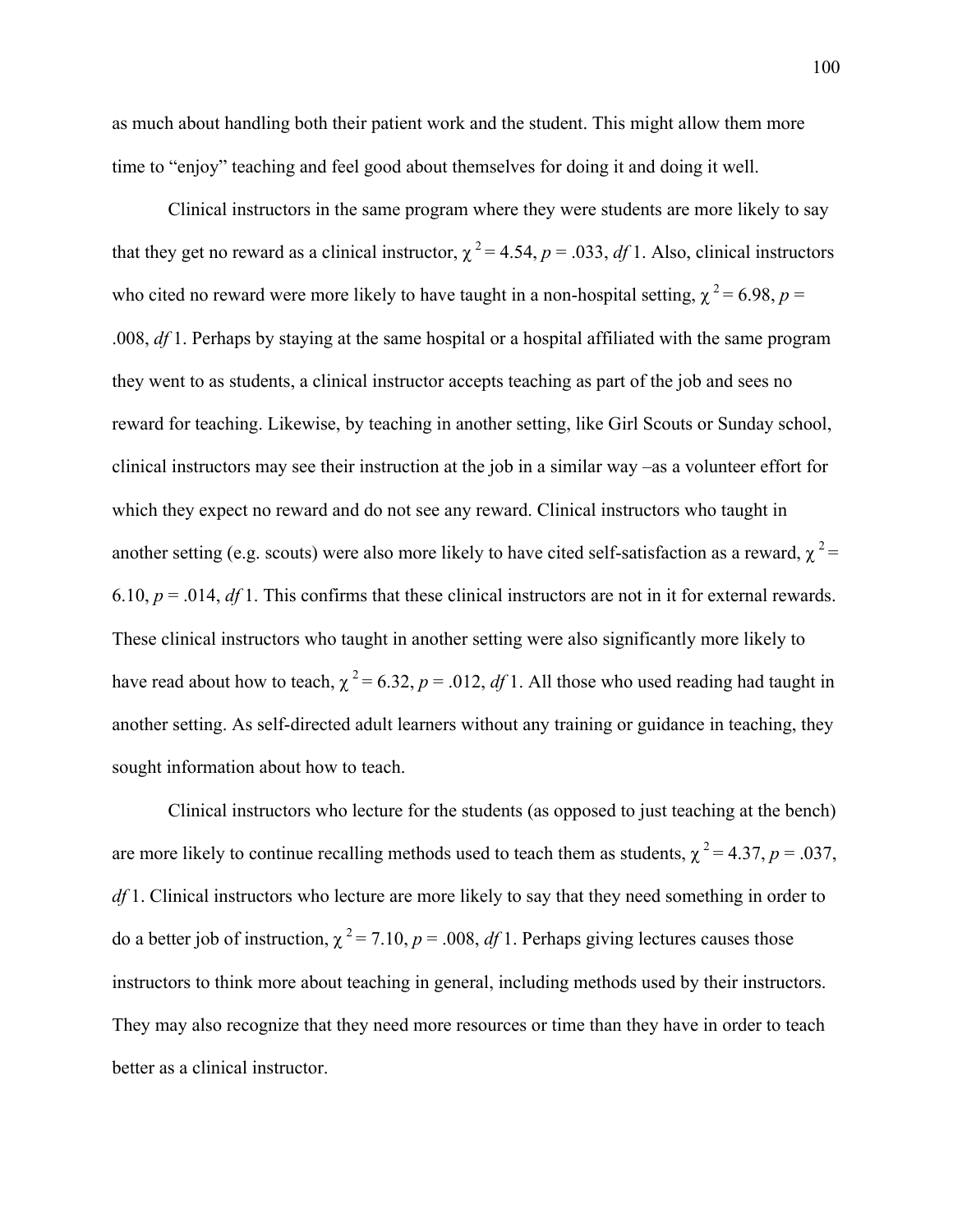as much about handling both their patient work and the student. This might allow them more time to "enjoy" teaching and feel good about themselves for doing it and doing it well.

Clinical instructors in the same program where they were students are more likely to say that they get no reward as a clinical instructor,  $\chi^2 = 4.54$ ,  $p = .033$ , *df* 1. Also, clinical instructors who cited no reward were more likely to have taught in a non-hospital setting,  $\chi^2 = 6.98$ ,  $p =$ .008, *df* 1. Perhaps by staying at the same hospital or a hospital affiliated with the same program they went to as students, a clinical instructor accepts teaching as part of the job and sees no reward for teaching. Likewise, by teaching in another setting, like Girl Scouts or Sunday school, clinical instructors may see their instruction at the job in a similar way –as a volunteer effort for which they expect no reward and do not see any reward. Clinical instructors who taught in another setting (e.g. scouts) were also more likely to have cited self-satisfaction as a reward,  $\chi^2$  = 6.10,  $p = .014$ ,  $df$  1. This confirms that these clinical instructors are not in it for external rewards. These clinical instructors who taught in another setting were also significantly more likely to have read about how to teach,  $\chi^2 = 6.32$ ,  $p = .012$ , *df* 1. All those who used reading had taught in another setting. As self-directed adult learners without any training or guidance in teaching, they sought information about how to teach.

Clinical instructors who lecture for the students (as opposed to just teaching at the bench) are more likely to continue recalling methods used to teach them as students,  $\chi^2 = 4.37$ ,  $p = .037$ , *df* 1. Clinical instructors who lecture are more likely to say that they need something in order to do a better job of instruction,  $\chi^2 = 7.10$ ,  $p = .008$ , *df* 1. Perhaps giving lectures causes those instructors to think more about teaching in general, including methods used by their instructors. They may also recognize that they need more resources or time than they have in order to teach better as a clinical instructor.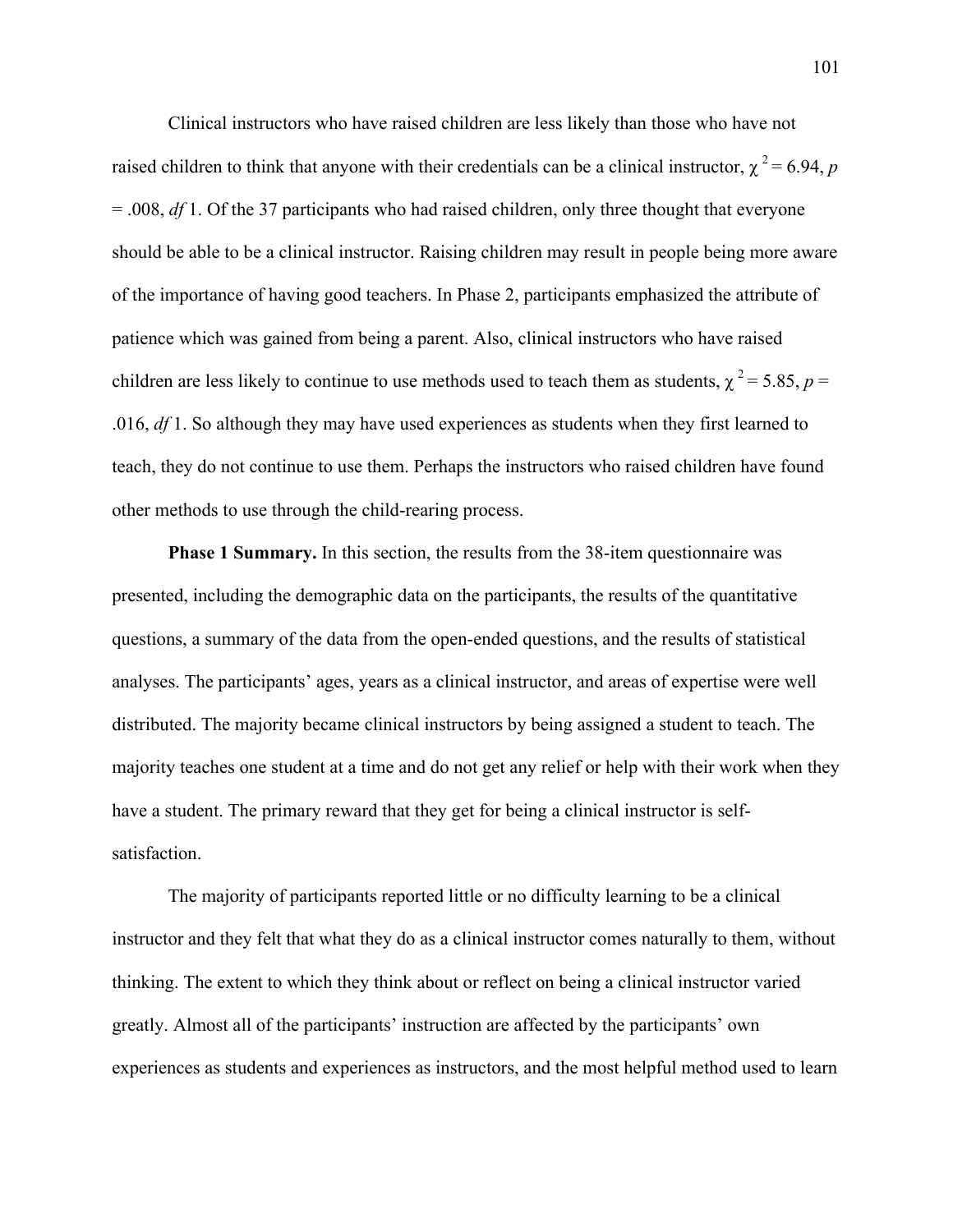Clinical instructors who have raised children are less likely than those who have not raised children to think that anyone with their credentials can be a clinical instructor,  $\chi^2 = 6.94$ , *p* = .008, *df* 1. Of the 37 participants who had raised children, only three thought that everyone should be able to be a clinical instructor. Raising children may result in people being more aware of the importance of having good teachers. In Phase 2, participants emphasized the attribute of patience which was gained from being a parent. Also, clinical instructors who have raised children are less likely to continue to use methods used to teach them as students,  $\gamma^2 = 5.85$ ,  $p =$ .016, *df* 1. So although they may have used experiences as students when they first learned to teach, they do not continue to use them. Perhaps the instructors who raised children have found other methods to use through the child-rearing process.

**Phase 1 Summary.** In this section, the results from the 38-item questionnaire was presented, including the demographic data on the participants, the results of the quantitative questions, a summary of the data from the open-ended questions, and the results of statistical analyses. The participants' ages, years as a clinical instructor, and areas of expertise were well distributed. The majority became clinical instructors by being assigned a student to teach. The majority teaches one student at a time and do not get any relief or help with their work when they have a student. The primary reward that they get for being a clinical instructor is selfsatisfaction.

The majority of participants reported little or no difficulty learning to be a clinical instructor and they felt that what they do as a clinical instructor comes naturally to them, without thinking. The extent to which they think about or reflect on being a clinical instructor varied greatly. Almost all of the participants' instruction are affected by the participants' own experiences as students and experiences as instructors, and the most helpful method used to learn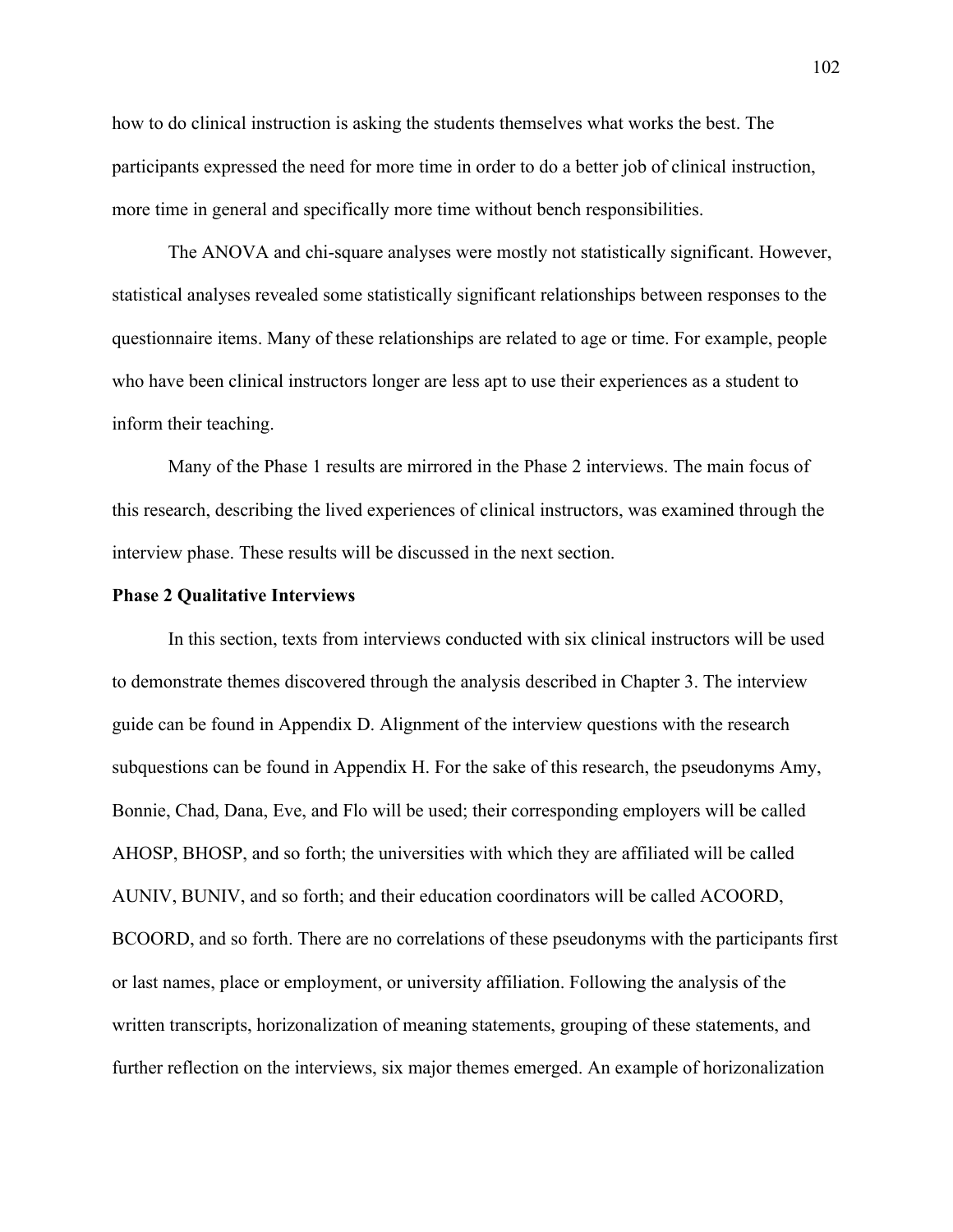how to do clinical instruction is asking the students themselves what works the best. The participants expressed the need for more time in order to do a better job of clinical instruction, more time in general and specifically more time without bench responsibilities.

The ANOVA and chi-square analyses were mostly not statistically significant. However, statistical analyses revealed some statistically significant relationships between responses to the questionnaire items. Many of these relationships are related to age or time. For example, people who have been clinical instructors longer are less apt to use their experiences as a student to inform their teaching.

Many of the Phase 1 results are mirrored in the Phase 2 interviews. The main focus of this research, describing the lived experiences of clinical instructors, was examined through the interview phase. These results will be discussed in the next section.

## **Phase 2 Qualitative Interviews**

 In this section, texts from interviews conducted with six clinical instructors will be used to demonstrate themes discovered through the analysis described in Chapter 3. The interview guide can be found in Appendix D. Alignment of the interview questions with the research subquestions can be found in Appendix H. For the sake of this research, the pseudonyms Amy, Bonnie, Chad, Dana, Eve, and Flo will be used; their corresponding employers will be called AHOSP, BHOSP, and so forth; the universities with which they are affiliated will be called AUNIV, BUNIV, and so forth; and their education coordinators will be called ACOORD, BCOORD, and so forth. There are no correlations of these pseudonyms with the participants first or last names, place or employment, or university affiliation. Following the analysis of the written transcripts, horizonalization of meaning statements, grouping of these statements, and further reflection on the interviews, six major themes emerged. An example of horizonalization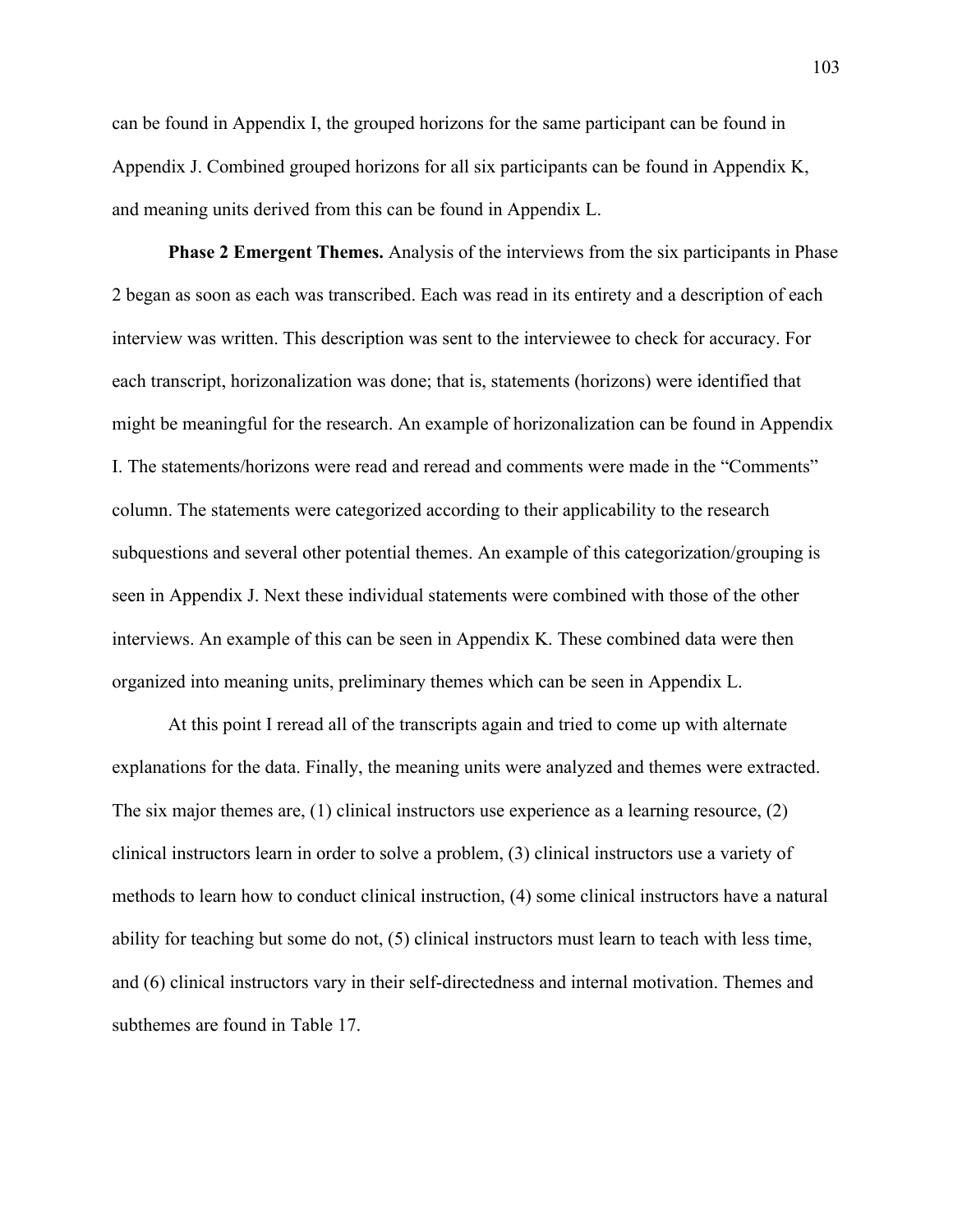can be found in Appendix I, the grouped horizons for the same participant can be found in Appendix J. Combined grouped horizons for all six participants can be found in Appendix K, and meaning units derived from this can be found in Appendix L.

**Phase 2 Emergent Themes.** Analysis of the interviews from the six participants in Phase 2 began as soon as each was transcribed. Each was read in its entirety and a description of each interview was written. This description was sent to the interviewee to check for accuracy. For each transcript, horizonalization was done; that is, statements (horizons) were identified that might be meaningful for the research. An example of horizonalization can be found in Appendix I. The statements/horizons were read and reread and comments were made in the "Comments" column. The statements were categorized according to their applicability to the research subquestions and several other potential themes. An example of this categorization/grouping is seen in Appendix J. Next these individual statements were combined with those of the other interviews. An example of this can be seen in Appendix K. These combined data were then organized into meaning units, preliminary themes which can be seen in Appendix L.

At this point I reread all of the transcripts again and tried to come up with alternate explanations for the data. Finally, the meaning units were analyzed and themes were extracted. The six major themes are, (1) clinical instructors use experience as a learning resource, (2) clinical instructors learn in order to solve a problem, (3) clinical instructors use a variety of methods to learn how to conduct clinical instruction, (4) some clinical instructors have a natural ability for teaching but some do not, (5) clinical instructors must learn to teach with less time, and (6) clinical instructors vary in their self-directedness and internal motivation. Themes and subthemes are found in Table 17.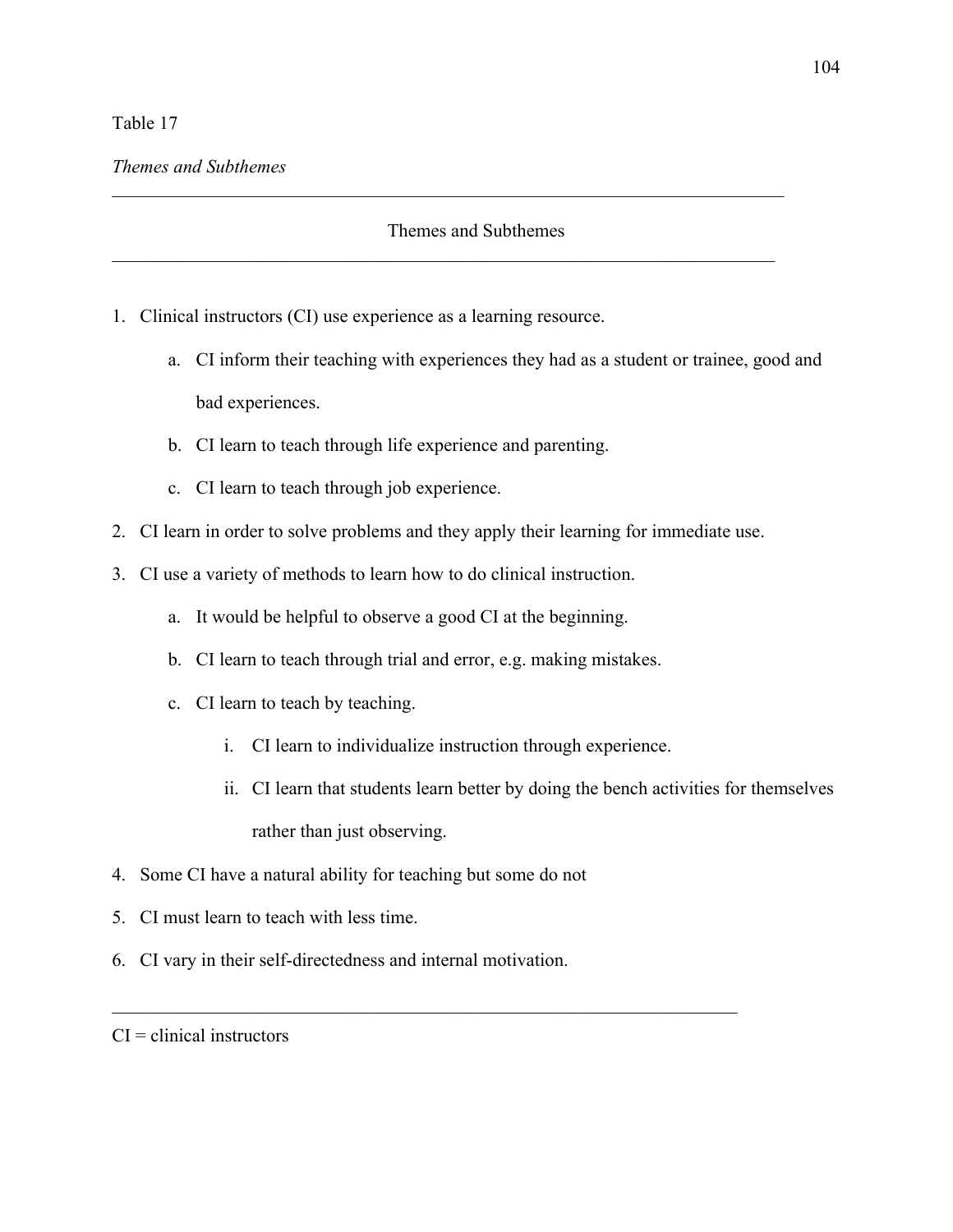# Table 17

 $\_$  ,  $\_$  ,  $\_$  ,  $\_$  ,  $\_$  ,  $\_$  ,  $\_$  ,  $\_$  ,  $\_$  ,  $\_$  ,  $\_$  ,  $\_$  ,  $\_$  ,  $\_$  ,  $\_$  ,  $\_$  ,  $\_$  ,  $\_$  ,  $\_$  ,  $\_$  ,  $\_$  ,  $\_$  ,  $\_$  ,  $\_$  ,  $\_$  ,  $\_$  ,  $\_$  ,  $\_$  ,  $\_$  ,  $\_$  ,  $\_$  ,  $\_$  ,  $\_$  ,  $\_$  ,  $\_$  ,  $\_$  ,  $\_$  ,

\_\_\_\_\_\_\_\_\_\_\_\_\_\_\_\_\_\_\_\_\_\_\_\_\_\_\_\_\_\_\_\_\_\_\_\_\_\_\_\_\_\_\_\_\_\_\_\_\_\_\_\_\_\_\_\_\_\_\_\_\_\_\_\_\_\_\_\_\_\_\_

- 1. Clinical instructors (CI) use experience as a learning resource.
	- a. CI inform their teaching with experiences they had as a student or trainee, good and bad experiences.
	- b. CI learn to teach through life experience and parenting.
	- c. CI learn to teach through job experience.
- 2. CI learn in order to solve problems and they apply their learning for immediate use.
- 3. CI use a variety of methods to learn how to do clinical instruction.
	- a. It would be helpful to observe a good CI at the beginning.
	- b. CI learn to teach through trial and error, e.g. making mistakes.
	- c. CI learn to teach by teaching.
		- i. CI learn to individualize instruction through experience.

 $\mathcal{L}_\text{G}$  , and the contribution of the contribution of the contribution of the contribution of the contribution of the contribution of the contribution of the contribution of the contribution of the contribution of t

- ii. CI learn that students learn better by doing the bench activities for themselves rather than just observing.
- 4. Some CI have a natural ability for teaching but some do not
- 5. CI must learn to teach with less time.
- 6. CI vary in their self-directedness and internal motivation.

 $CI = clinical$  instructors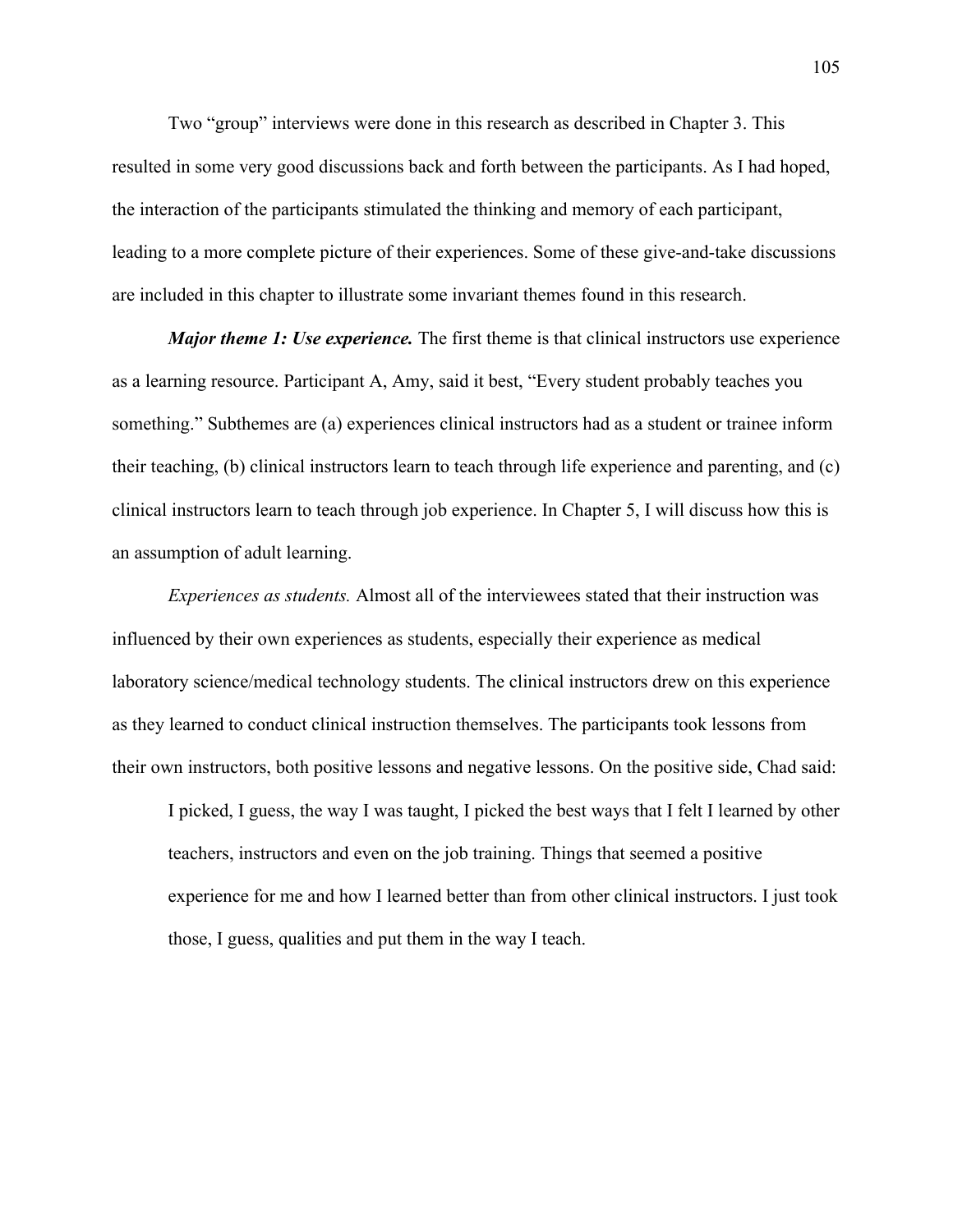Two "group" interviews were done in this research as described in Chapter 3. This resulted in some very good discussions back and forth between the participants. As I had hoped, the interaction of the participants stimulated the thinking and memory of each participant, leading to a more complete picture of their experiences. Some of these give-and-take discussions are included in this chapter to illustrate some invariant themes found in this research.

*Major theme 1: Use experience.* The first theme is that clinical instructors use experience as a learning resource. Participant A, Amy, said it best, "Every student probably teaches you something." Subthemes are (a) experiences clinical instructors had as a student or trainee inform their teaching, (b) clinical instructors learn to teach through life experience and parenting, and (c) clinical instructors learn to teach through job experience. In Chapter 5, I will discuss how this is an assumption of adult learning.

*Experiences as students.* Almost all of the interviewees stated that their instruction was influenced by their own experiences as students, especially their experience as medical laboratory science/medical technology students. The clinical instructors drew on this experience as they learned to conduct clinical instruction themselves. The participants took lessons from their own instructors, both positive lessons and negative lessons. On the positive side, Chad said:

I picked, I guess, the way I was taught, I picked the best ways that I felt I learned by other teachers, instructors and even on the job training. Things that seemed a positive experience for me and how I learned better than from other clinical instructors. I just took those, I guess, qualities and put them in the way I teach.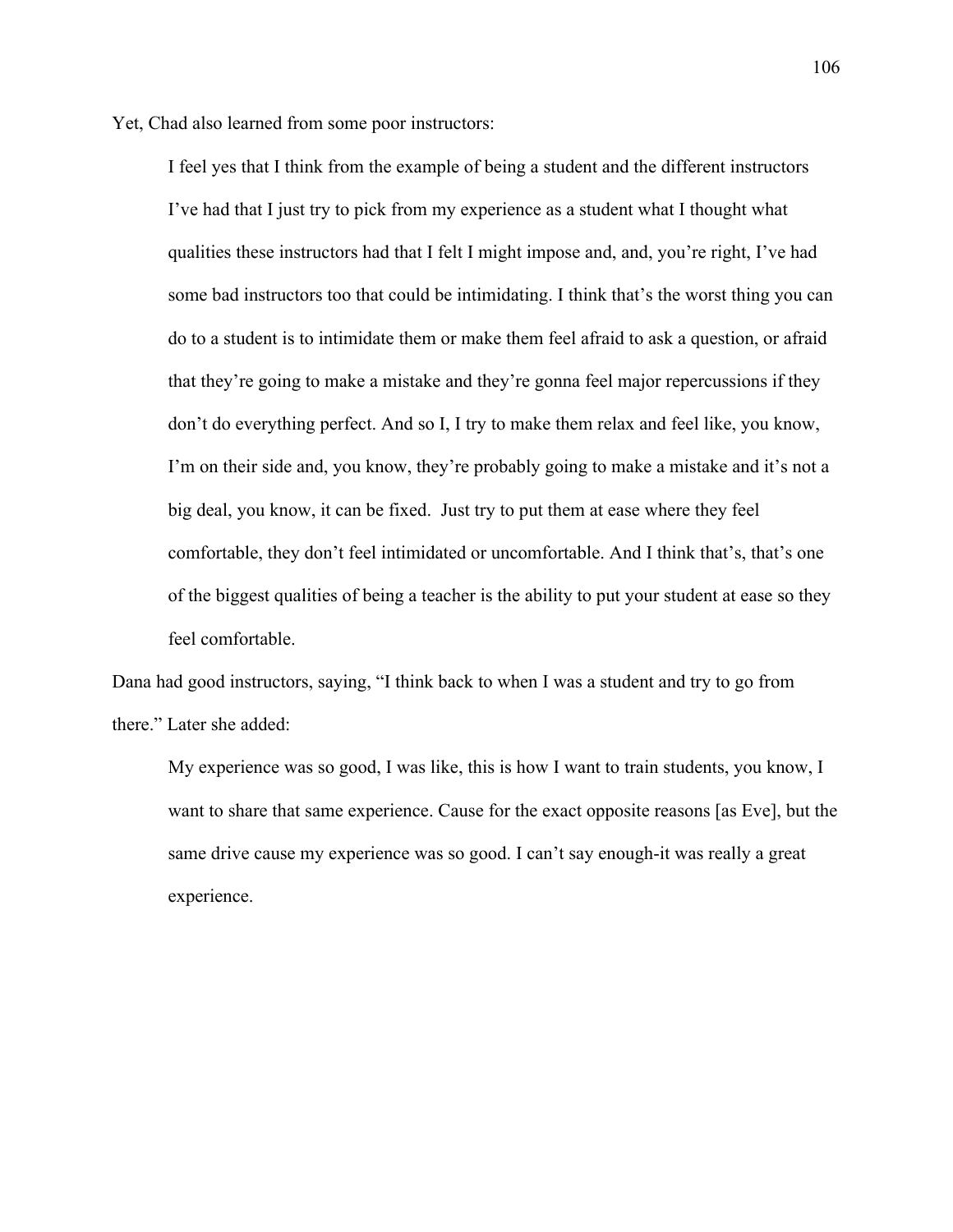Yet, Chad also learned from some poor instructors:

I feel yes that I think from the example of being a student and the different instructors I've had that I just try to pick from my experience as a student what I thought what qualities these instructors had that I felt I might impose and, and, you're right, I've had some bad instructors too that could be intimidating. I think that's the worst thing you can do to a student is to intimidate them or make them feel afraid to ask a question, or afraid that they're going to make a mistake and they're gonna feel major repercussions if they don't do everything perfect. And so I, I try to make them relax and feel like, you know, I'm on their side and, you know, they're probably going to make a mistake and it's not a big deal, you know, it can be fixed. Just try to put them at ease where they feel comfortable, they don't feel intimidated or uncomfortable. And I think that's, that's one of the biggest qualities of being a teacher is the ability to put your student at ease so they feel comfortable.

Dana had good instructors, saying, "I think back to when I was a student and try to go from there." Later she added:

My experience was so good, I was like, this is how I want to train students, you know, I want to share that same experience. Cause for the exact opposite reasons [as Eve], but the same drive cause my experience was so good. I can't say enough-it was really a great experience.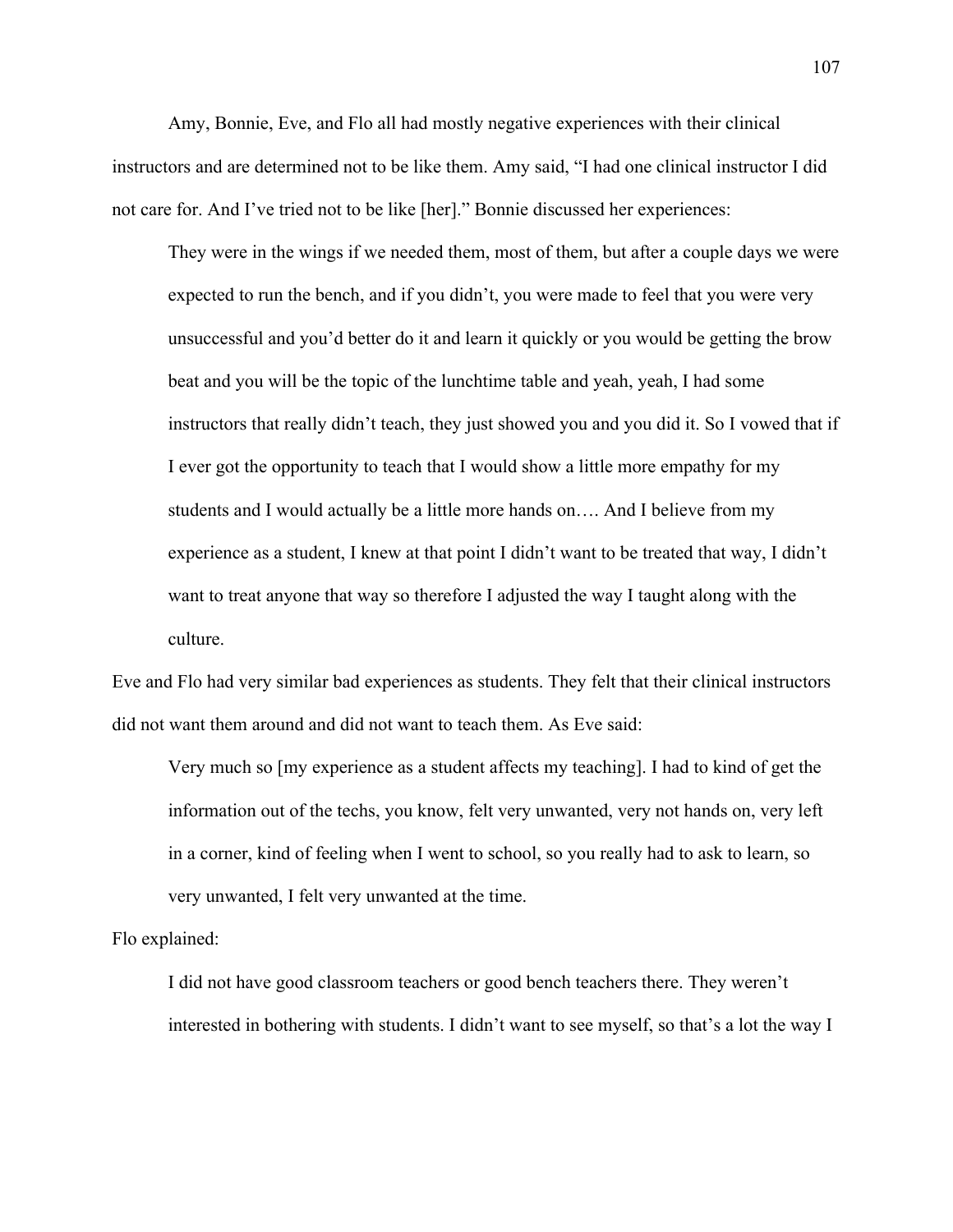Amy, Bonnie, Eve, and Flo all had mostly negative experiences with their clinical instructors and are determined not to be like them. Amy said, "I had one clinical instructor I did not care for. And I've tried not to be like [her]." Bonnie discussed her experiences:

They were in the wings if we needed them, most of them, but after a couple days we were expected to run the bench, and if you didn't, you were made to feel that you were very unsuccessful and you'd better do it and learn it quickly or you would be getting the brow beat and you will be the topic of the lunchtime table and yeah, yeah, I had some instructors that really didn't teach, they just showed you and you did it. So I vowed that if I ever got the opportunity to teach that I would show a little more empathy for my students and I would actually be a little more hands on…. And I believe from my experience as a student, I knew at that point I didn't want to be treated that way, I didn't want to treat anyone that way so therefore I adjusted the way I taught along with the culture.

Eve and Flo had very similar bad experiences as students. They felt that their clinical instructors did not want them around and did not want to teach them. As Eve said:

Very much so [my experience as a student affects my teaching]. I had to kind of get the information out of the techs, you know, felt very unwanted, very not hands on, very left in a corner, kind of feeling when I went to school, so you really had to ask to learn, so very unwanted, I felt very unwanted at the time.

Flo explained:

I did not have good classroom teachers or good bench teachers there. They weren't interested in bothering with students. I didn't want to see myself, so that's a lot the way I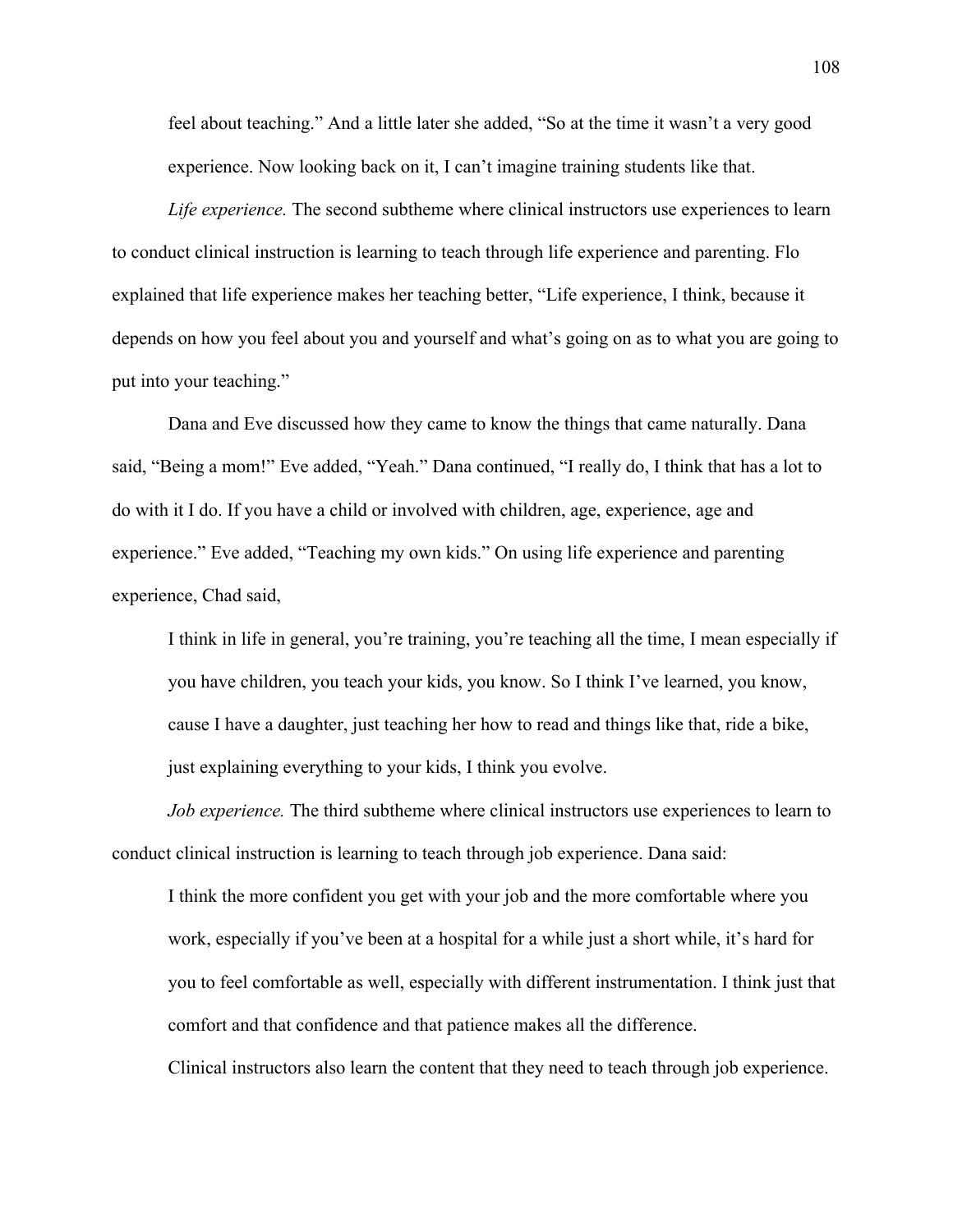feel about teaching." And a little later she added, "So at the time it wasn't a very good experience. Now looking back on it, I can't imagine training students like that.

*Life experience.* The second subtheme where clinical instructors use experiences to learn to conduct clinical instruction is learning to teach through life experience and parenting. Flo explained that life experience makes her teaching better, "Life experience, I think, because it depends on how you feel about you and yourself and what's going on as to what you are going to put into your teaching."

Dana and Eve discussed how they came to know the things that came naturally. Dana said, "Being a mom!" Eve added, "Yeah." Dana continued, "I really do, I think that has a lot to do with it I do. If you have a child or involved with children, age, experience, age and experience." Eve added, "Teaching my own kids." On using life experience and parenting experience, Chad said,

I think in life in general, you're training, you're teaching all the time, I mean especially if you have children, you teach your kids, you know. So I think I've learned, you know, cause I have a daughter, just teaching her how to read and things like that, ride a bike, just explaining everything to your kids, I think you evolve.

*Job experience.* The third subtheme where clinical instructors use experiences to learn to conduct clinical instruction is learning to teach through job experience. Dana said:

I think the more confident you get with your job and the more comfortable where you work, especially if you've been at a hospital for a while just a short while, it's hard for you to feel comfortable as well, especially with different instrumentation. I think just that comfort and that confidence and that patience makes all the difference.

Clinical instructors also learn the content that they need to teach through job experience.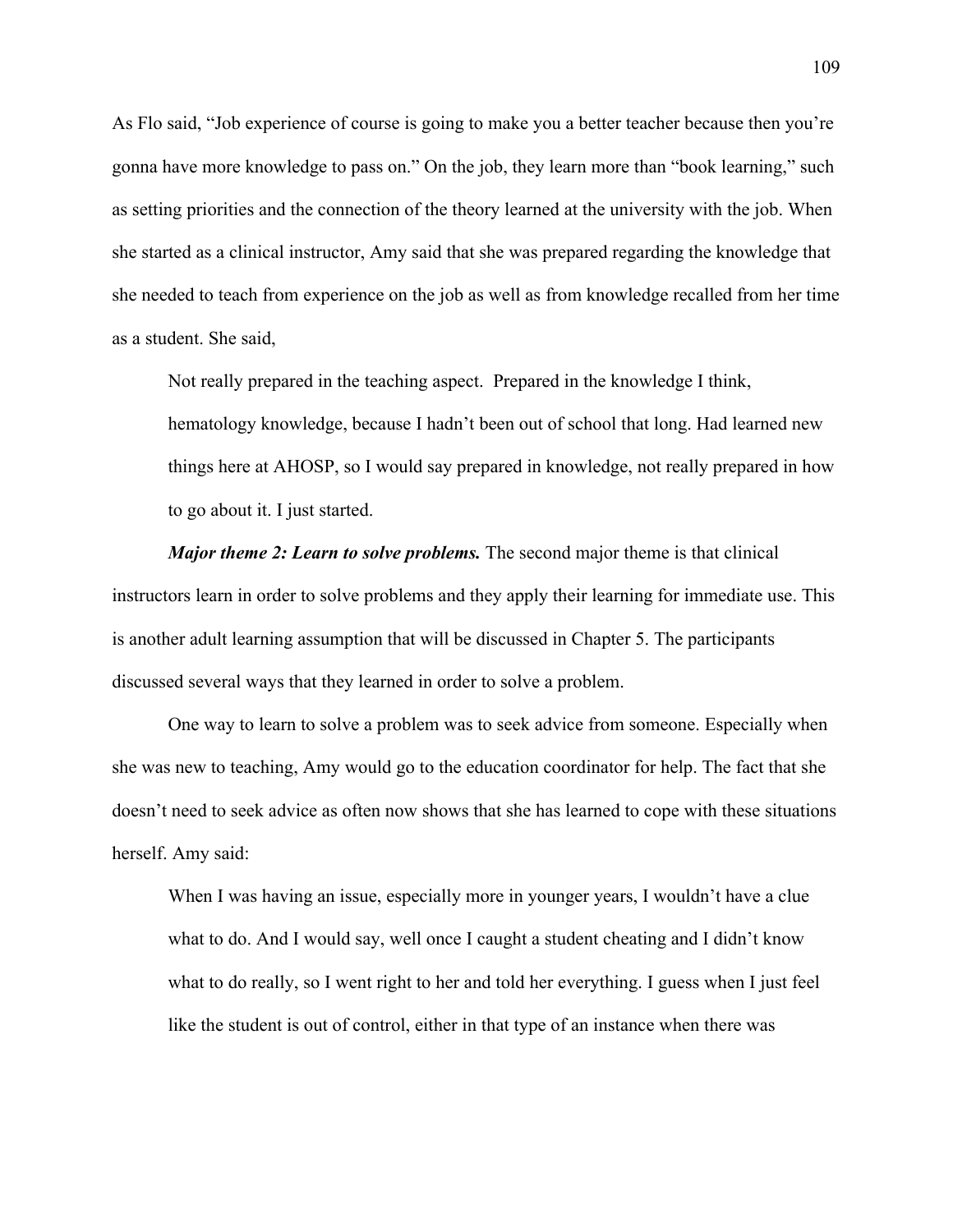As Flo said, "Job experience of course is going to make you a better teacher because then you're gonna have more knowledge to pass on." On the job, they learn more than "book learning," such as setting priorities and the connection of the theory learned at the university with the job. When she started as a clinical instructor, Amy said that she was prepared regarding the knowledge that she needed to teach from experience on the job as well as from knowledge recalled from her time as a student. She said,

Not really prepared in the teaching aspect. Prepared in the knowledge I think, hematology knowledge, because I hadn't been out of school that long. Had learned new things here at AHOSP, so I would say prepared in knowledge, not really prepared in how to go about it. I just started.

*Major theme 2: Learn to solve problems.* The second major theme is that clinical instructors learn in order to solve problems and they apply their learning for immediate use. This is another adult learning assumption that will be discussed in Chapter 5. The participants discussed several ways that they learned in order to solve a problem.

One way to learn to solve a problem was to seek advice from someone. Especially when she was new to teaching, Amy would go to the education coordinator for help. The fact that she doesn't need to seek advice as often now shows that she has learned to cope with these situations herself. Amy said:

When I was having an issue, especially more in younger years, I wouldn't have a clue what to do. And I would say, well once I caught a student cheating and I didn't know what to do really, so I went right to her and told her everything. I guess when I just feel like the student is out of control, either in that type of an instance when there was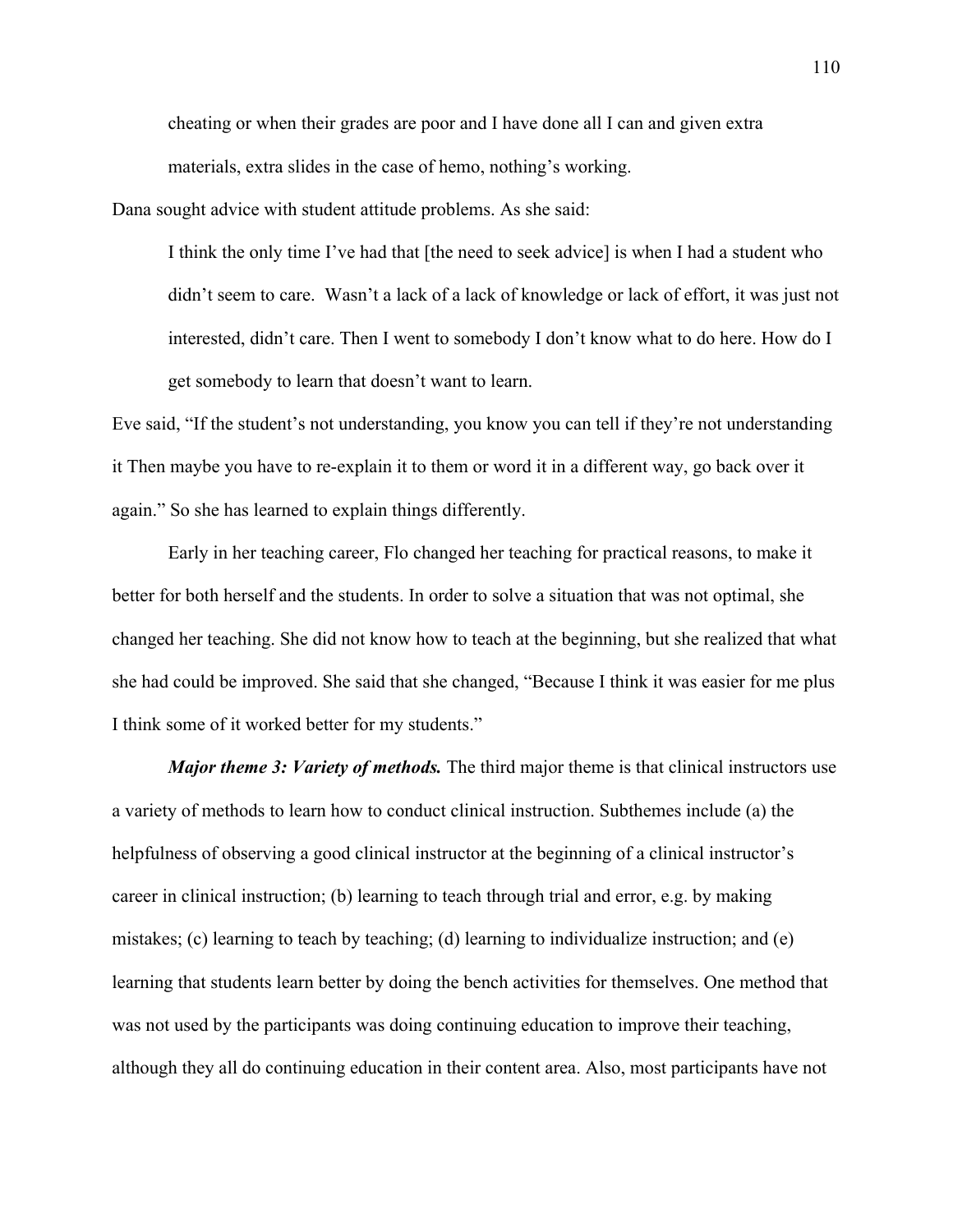cheating or when their grades are poor and I have done all I can and given extra materials, extra slides in the case of hemo, nothing's working.

Dana sought advice with student attitude problems. As she said:

I think the only time I've had that [the need to seek advice] is when I had a student who didn't seem to care. Wasn't a lack of a lack of knowledge or lack of effort, it was just not interested, didn't care. Then I went to somebody I don't know what to do here. How do I get somebody to learn that doesn't want to learn.

Eve said, "If the student's not understanding, you know you can tell if they're not understanding it Then maybe you have to re-explain it to them or word it in a different way, go back over it again." So she has learned to explain things differently.

Early in her teaching career, Flo changed her teaching for practical reasons, to make it better for both herself and the students. In order to solve a situation that was not optimal, she changed her teaching. She did not know how to teach at the beginning, but she realized that what she had could be improved. She said that she changed, "Because I think it was easier for me plus I think some of it worked better for my students."

*Major theme 3: Variety of methods.* The third major theme is that clinical instructors use a variety of methods to learn how to conduct clinical instruction. Subthemes include (a) the helpfulness of observing a good clinical instructor at the beginning of a clinical instructor's career in clinical instruction; (b) learning to teach through trial and error, e.g. by making mistakes; (c) learning to teach by teaching; (d) learning to individualize instruction; and (e) learning that students learn better by doing the bench activities for themselves. One method that was not used by the participants was doing continuing education to improve their teaching, although they all do continuing education in their content area. Also, most participants have not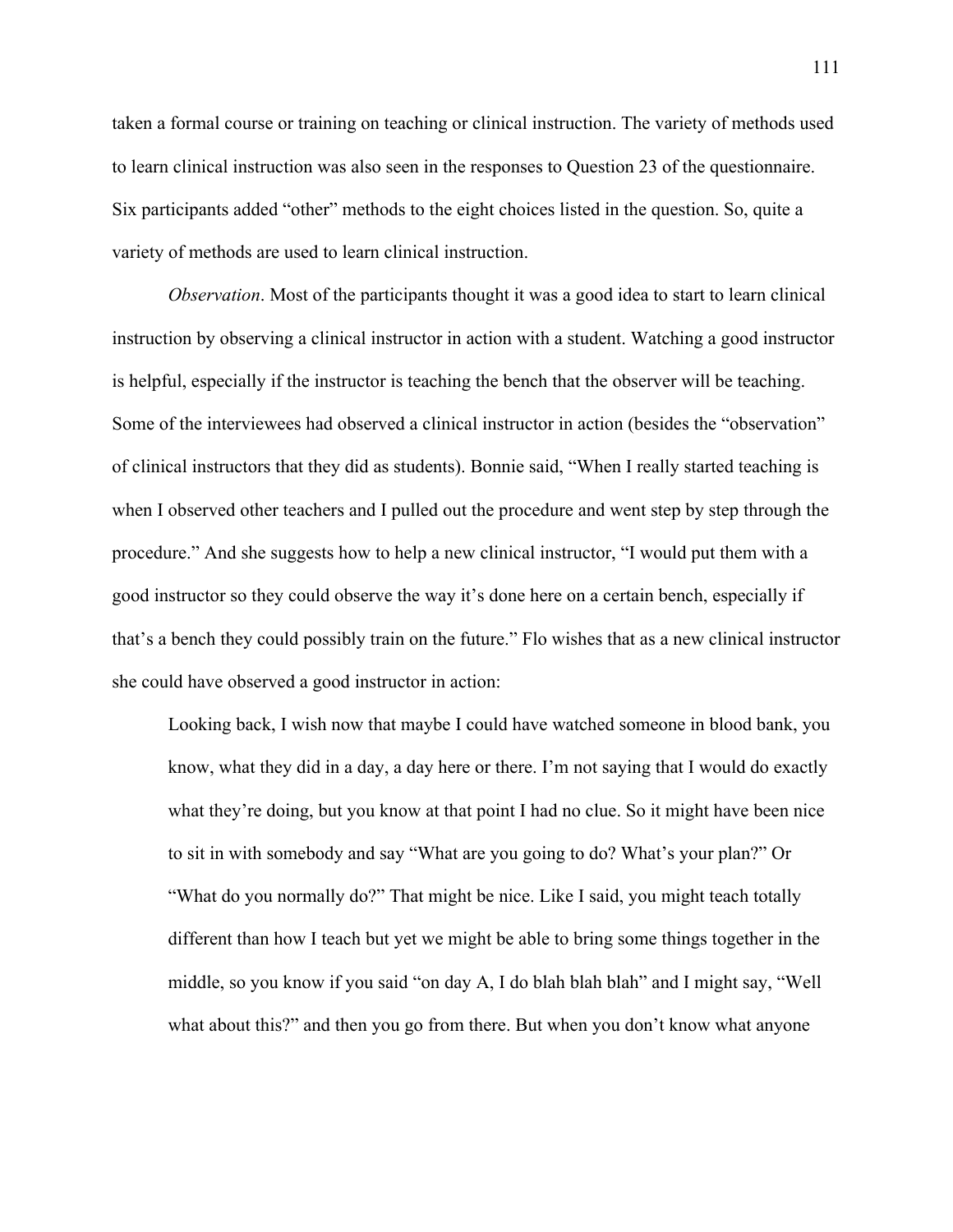taken a formal course or training on teaching or clinical instruction. The variety of methods used to learn clinical instruction was also seen in the responses to Question 23 of the questionnaire. Six participants added "other" methods to the eight choices listed in the question. So, quite a variety of methods are used to learn clinical instruction.

*Observation*. Most of the participants thought it was a good idea to start to learn clinical instruction by observing a clinical instructor in action with a student. Watching a good instructor is helpful, especially if the instructor is teaching the bench that the observer will be teaching. Some of the interviewees had observed a clinical instructor in action (besides the "observation" of clinical instructors that they did as students). Bonnie said, "When I really started teaching is when I observed other teachers and I pulled out the procedure and went step by step through the procedure." And she suggests how to help a new clinical instructor, "I would put them with a good instructor so they could observe the way it's done here on a certain bench, especially if that's a bench they could possibly train on the future." Flo wishes that as a new clinical instructor she could have observed a good instructor in action:

Looking back, I wish now that maybe I could have watched someone in blood bank, you know, what they did in a day, a day here or there. I'm not saying that I would do exactly what they're doing, but you know at that point I had no clue. So it might have been nice to sit in with somebody and say "What are you going to do? What's your plan?" Or "What do you normally do?" That might be nice. Like I said, you might teach totally different than how I teach but yet we might be able to bring some things together in the middle, so you know if you said "on day A, I do blah blah blah" and I might say, "Well what about this?" and then you go from there. But when you don't know what anyone

111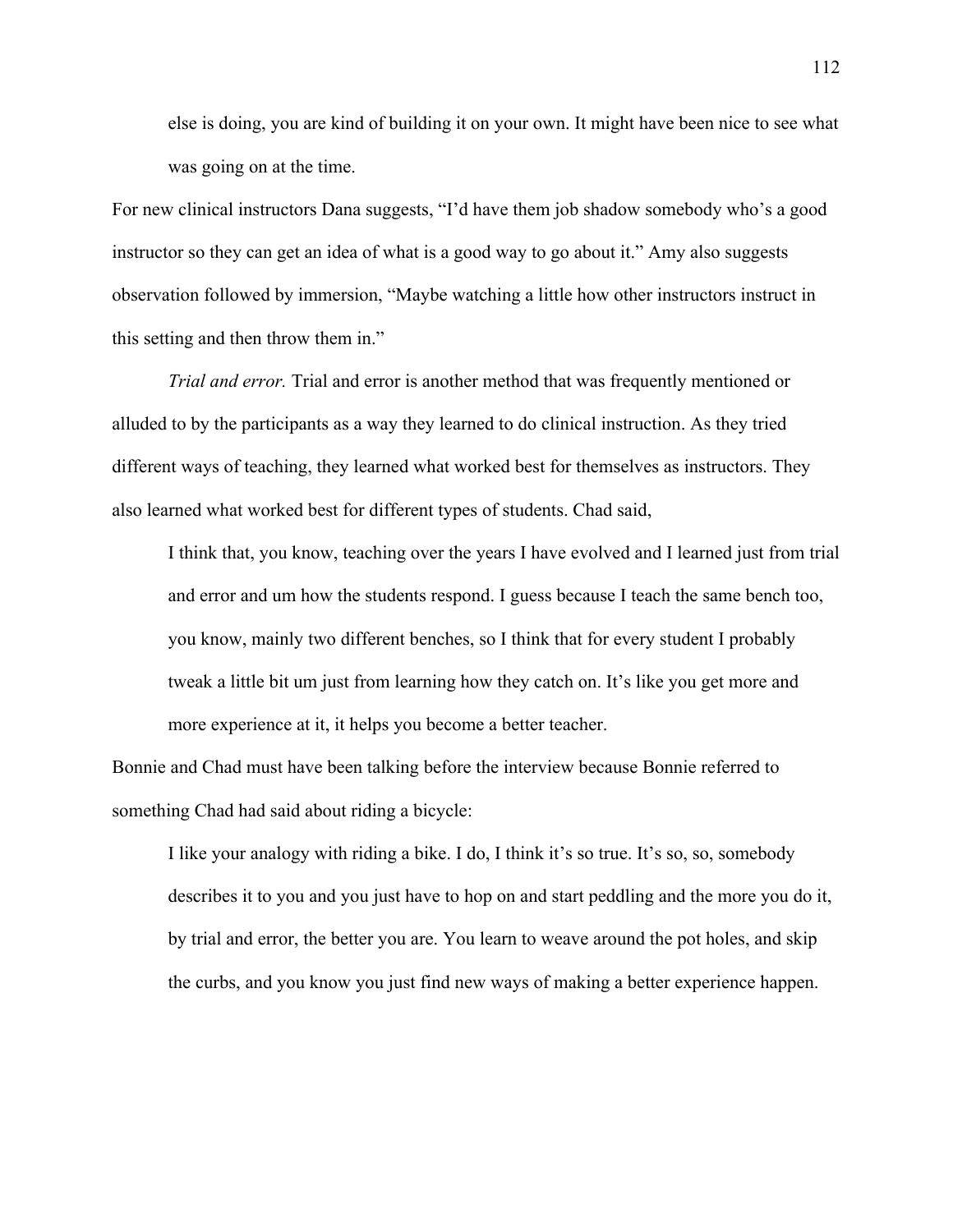else is doing, you are kind of building it on your own. It might have been nice to see what was going on at the time.

For new clinical instructors Dana suggests, "I'd have them job shadow somebody who's a good instructor so they can get an idea of what is a good way to go about it." Amy also suggests observation followed by immersion, "Maybe watching a little how other instructors instruct in this setting and then throw them in."

*Trial and error.* Trial and error is another method that was frequently mentioned or alluded to by the participants as a way they learned to do clinical instruction. As they tried different ways of teaching, they learned what worked best for themselves as instructors. They also learned what worked best for different types of students. Chad said,

I think that, you know, teaching over the years I have evolved and I learned just from trial and error and um how the students respond. I guess because I teach the same bench too, you know, mainly two different benches, so I think that for every student I probably tweak a little bit um just from learning how they catch on. It's like you get more and more experience at it, it helps you become a better teacher.

Bonnie and Chad must have been talking before the interview because Bonnie referred to something Chad had said about riding a bicycle:

I like your analogy with riding a bike. I do, I think it's so true. It's so, so, somebody describes it to you and you just have to hop on and start peddling and the more you do it, by trial and error, the better you are. You learn to weave around the pot holes, and skip the curbs, and you know you just find new ways of making a better experience happen.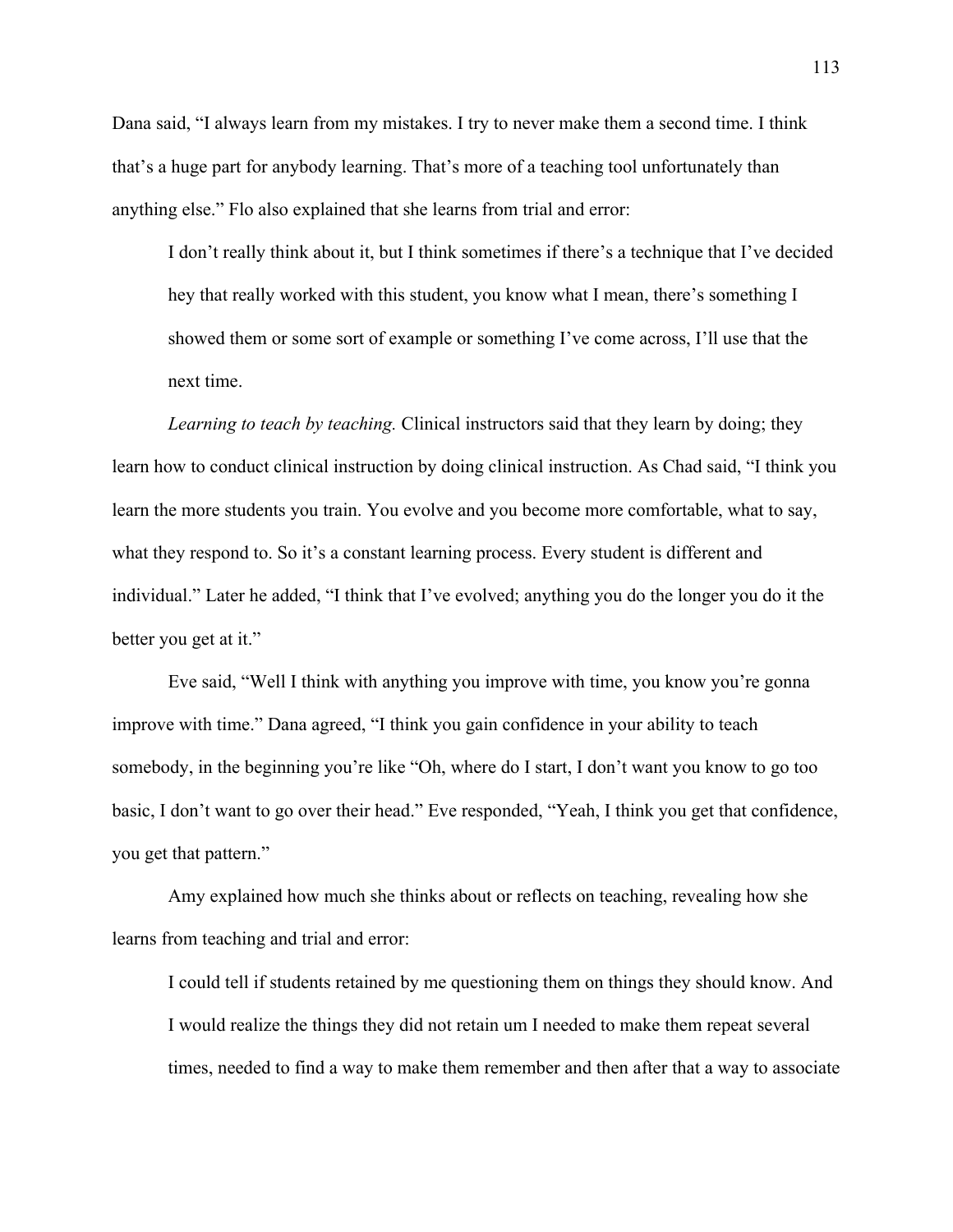Dana said, "I always learn from my mistakes. I try to never make them a second time. I think that's a huge part for anybody learning. That's more of a teaching tool unfortunately than anything else." Flo also explained that she learns from trial and error:

I don't really think about it, but I think sometimes if there's a technique that I've decided hey that really worked with this student, you know what I mean, there's something I showed them or some sort of example or something I've come across, I'll use that the next time.

*Learning to teach by teaching.* Clinical instructors said that they learn by doing; they learn how to conduct clinical instruction by doing clinical instruction. As Chad said, "I think you learn the more students you train. You evolve and you become more comfortable, what to say, what they respond to. So it's a constant learning process. Every student is different and individual." Later he added, "I think that I've evolved; anything you do the longer you do it the better you get at it."

Eve said, "Well I think with anything you improve with time, you know you're gonna improve with time." Dana agreed, "I think you gain confidence in your ability to teach somebody, in the beginning you're like "Oh, where do I start, I don't want you know to go too basic, I don't want to go over their head." Eve responded, "Yeah, I think you get that confidence, you get that pattern."

Amy explained how much she thinks about or reflects on teaching, revealing how she learns from teaching and trial and error:

I could tell if students retained by me questioning them on things they should know. And I would realize the things they did not retain um I needed to make them repeat several times, needed to find a way to make them remember and then after that a way to associate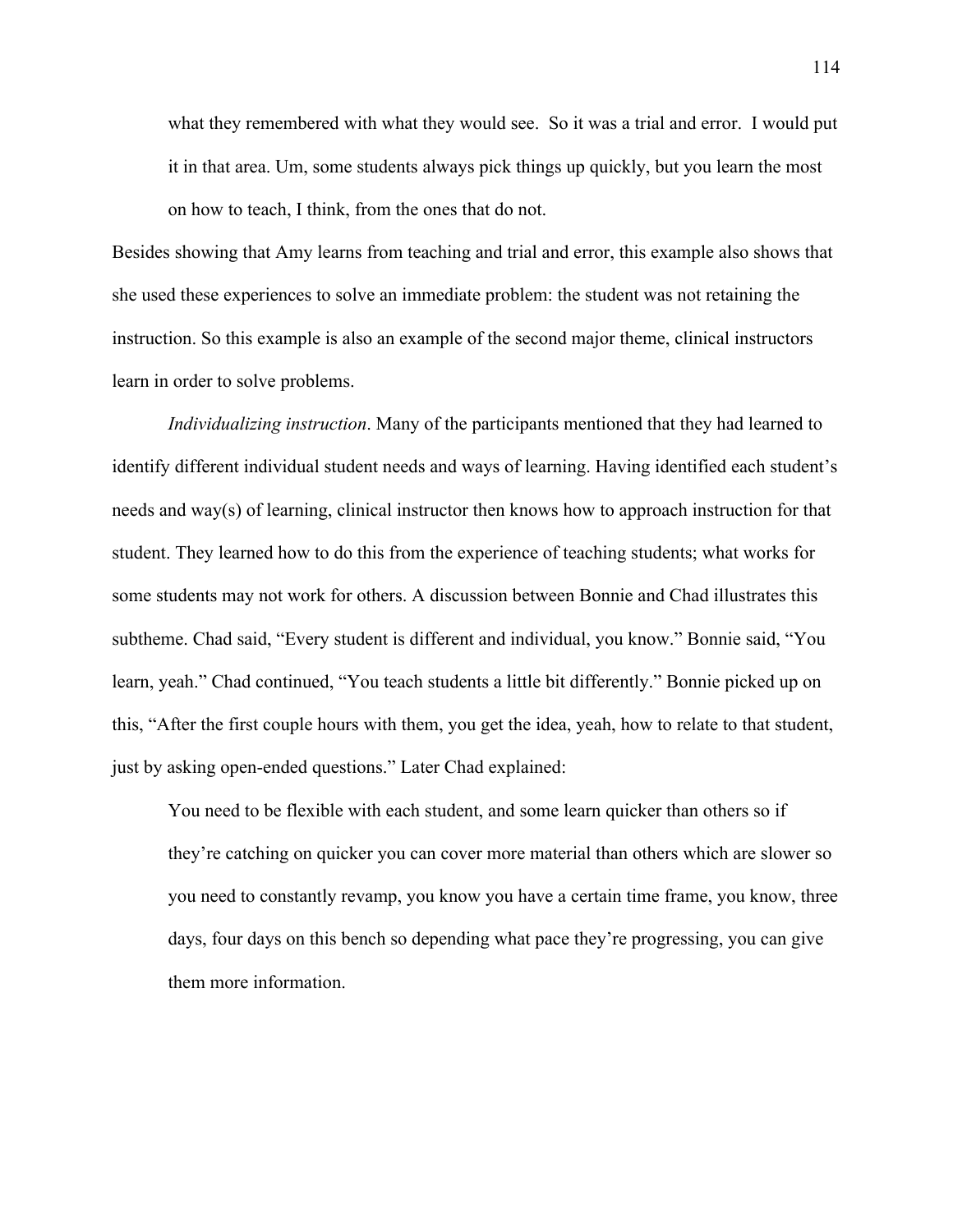what they remembered with what they would see. So it was a trial and error. I would put it in that area. Um, some students always pick things up quickly, but you learn the most on how to teach, I think, from the ones that do not.

Besides showing that Amy learns from teaching and trial and error, this example also shows that she used these experiences to solve an immediate problem: the student was not retaining the instruction. So this example is also an example of the second major theme, clinical instructors learn in order to solve problems.

*Individualizing instruction*. Many of the participants mentioned that they had learned to identify different individual student needs and ways of learning. Having identified each student's needs and way(s) of learning, clinical instructor then knows how to approach instruction for that student. They learned how to do this from the experience of teaching students; what works for some students may not work for others. A discussion between Bonnie and Chad illustrates this subtheme. Chad said, "Every student is different and individual, you know." Bonnie said, "You learn, yeah." Chad continued, "You teach students a little bit differently." Bonnie picked up on this, "After the first couple hours with them, you get the idea, yeah, how to relate to that student, just by asking open-ended questions." Later Chad explained:

You need to be flexible with each student, and some learn quicker than others so if they're catching on quicker you can cover more material than others which are slower so you need to constantly revamp, you know you have a certain time frame, you know, three days, four days on this bench so depending what pace they're progressing, you can give them more information.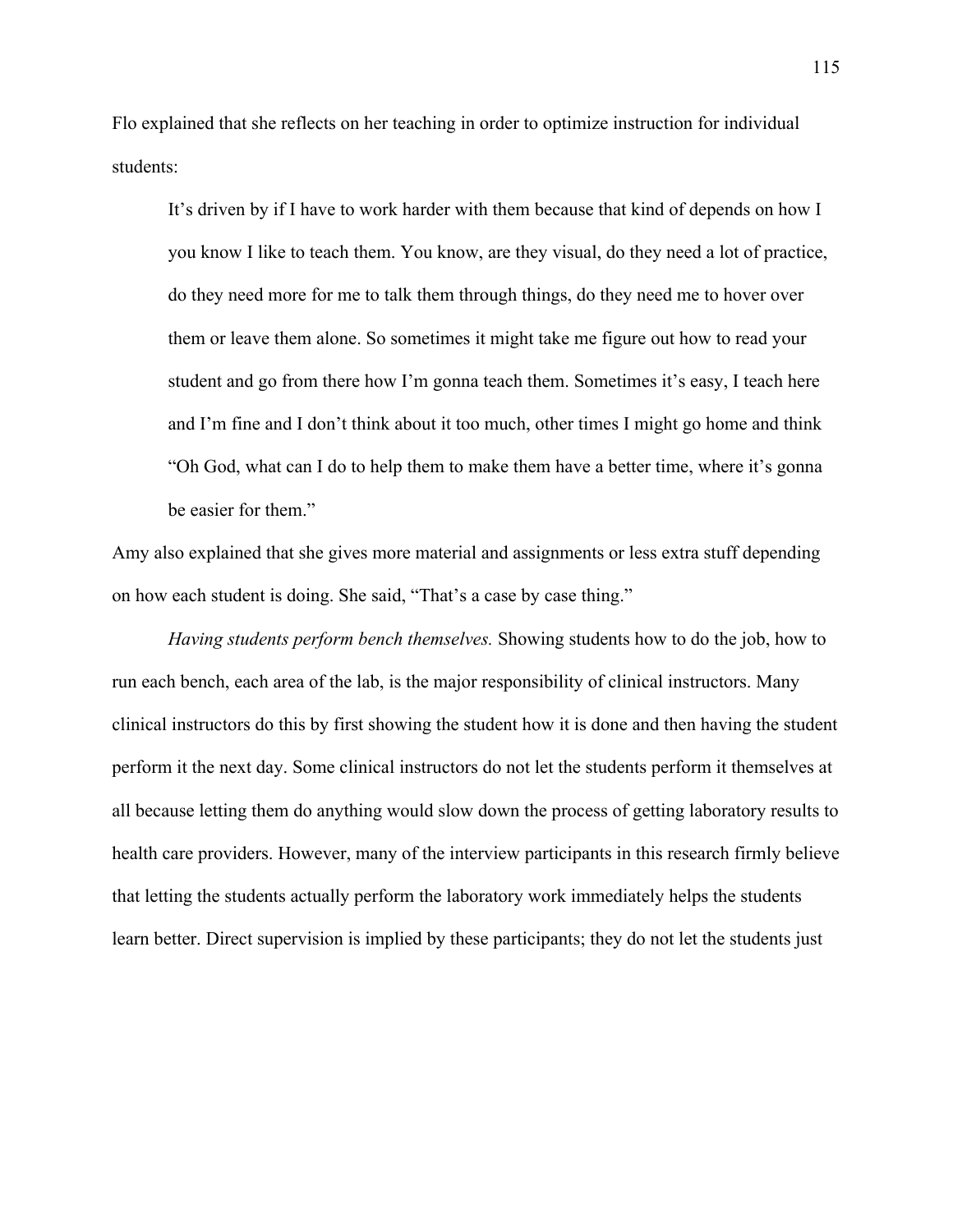Flo explained that she reflects on her teaching in order to optimize instruction for individual students:

It's driven by if I have to work harder with them because that kind of depends on how I you know I like to teach them. You know, are they visual, do they need a lot of practice, do they need more for me to talk them through things, do they need me to hover over them or leave them alone. So sometimes it might take me figure out how to read your student and go from there how I'm gonna teach them. Sometimes it's easy, I teach here and I'm fine and I don't think about it too much, other times I might go home and think "Oh God, what can I do to help them to make them have a better time, where it's gonna be easier for them."

Amy also explained that she gives more material and assignments or less extra stuff depending on how each student is doing. She said, "That's a case by case thing."

*Having students perform bench themselves.* Showing students how to do the job, how to run each bench, each area of the lab, is the major responsibility of clinical instructors. Many clinical instructors do this by first showing the student how it is done and then having the student perform it the next day. Some clinical instructors do not let the students perform it themselves at all because letting them do anything would slow down the process of getting laboratory results to health care providers. However, many of the interview participants in this research firmly believe that letting the students actually perform the laboratory work immediately helps the students learn better. Direct supervision is implied by these participants; they do not let the students just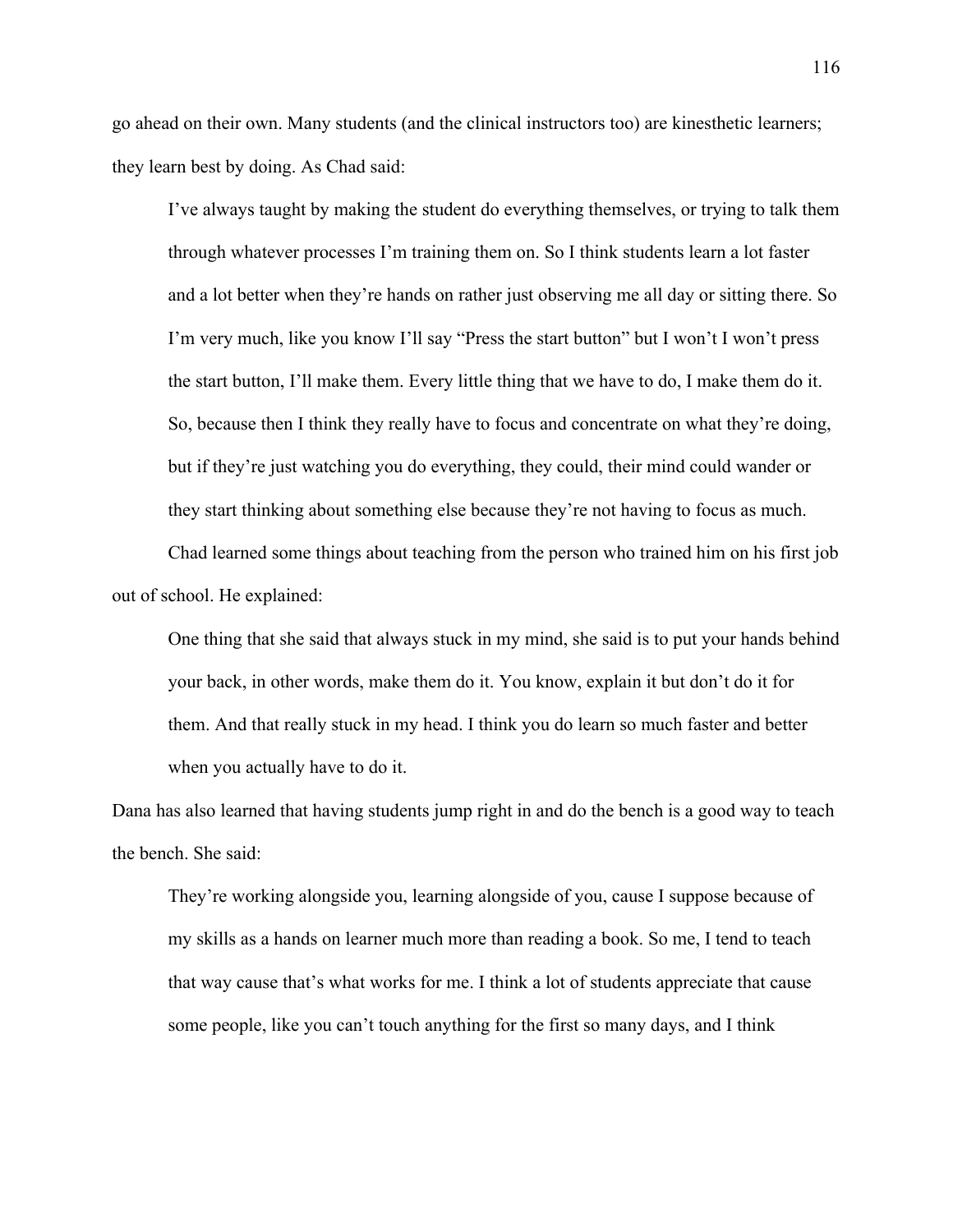go ahead on their own. Many students (and the clinical instructors too) are kinesthetic learners; they learn best by doing. As Chad said:

I've always taught by making the student do everything themselves, or trying to talk them through whatever processes I'm training them on. So I think students learn a lot faster and a lot better when they're hands on rather just observing me all day or sitting there. So I'm very much, like you know I'll say "Press the start button" but I won't I won't press the start button, I'll make them. Every little thing that we have to do, I make them do it. So, because then I think they really have to focus and concentrate on what they're doing, but if they're just watching you do everything, they could, their mind could wander or they start thinking about something else because they're not having to focus as much.

Chad learned some things about teaching from the person who trained him on his first job out of school. He explained:

One thing that she said that always stuck in my mind, she said is to put your hands behind your back, in other words, make them do it. You know, explain it but don't do it for them. And that really stuck in my head. I think you do learn so much faster and better when you actually have to do it.

Dana has also learned that having students jump right in and do the bench is a good way to teach the bench. She said:

They're working alongside you, learning alongside of you, cause I suppose because of my skills as a hands on learner much more than reading a book. So me, I tend to teach that way cause that's what works for me. I think a lot of students appreciate that cause some people, like you can't touch anything for the first so many days, and I think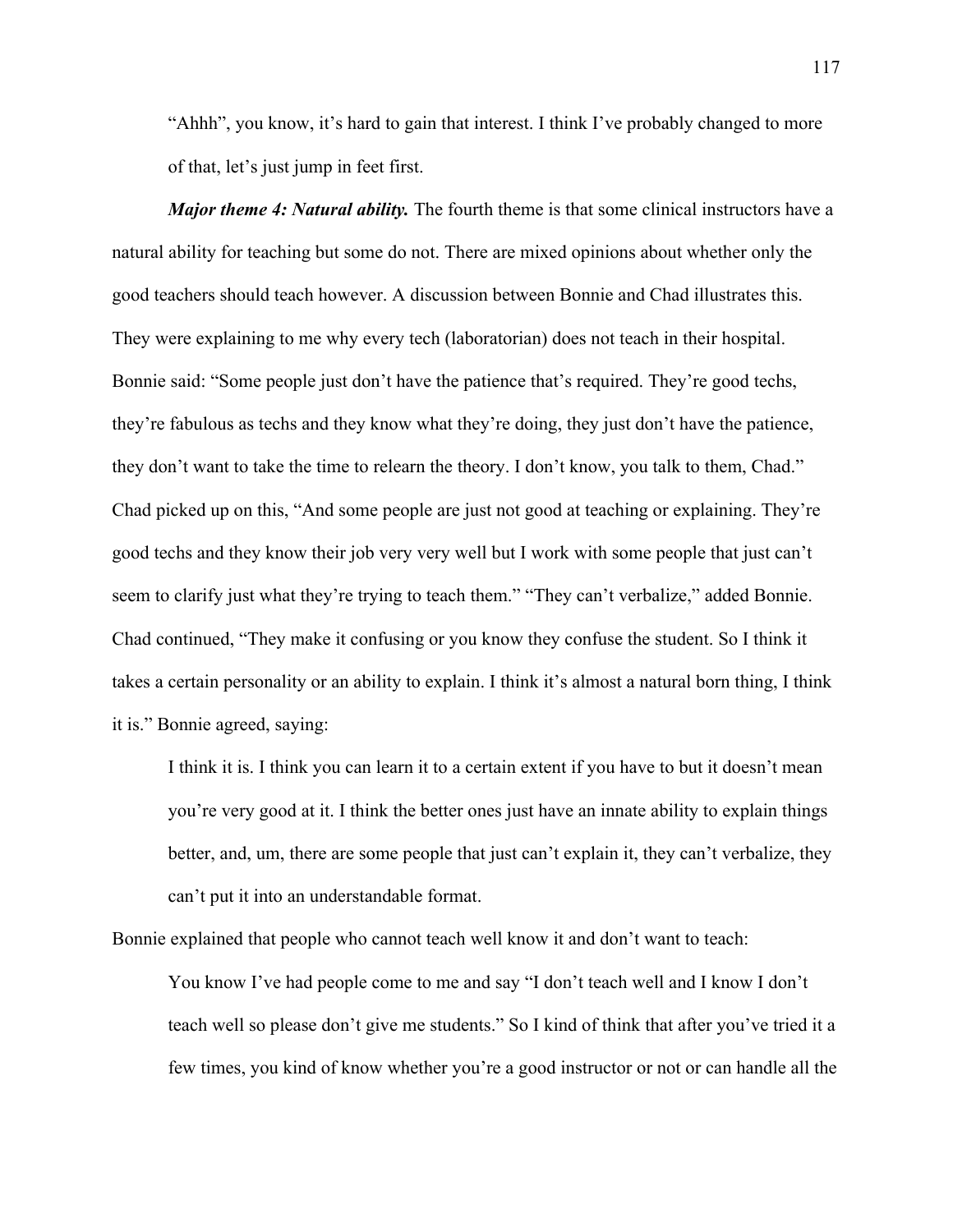"Ahhh", you know, it's hard to gain that interest. I think I've probably changed to more of that, let's just jump in feet first.

*Major theme 4: Natural ability.* The fourth theme is that some clinical instructors have a natural ability for teaching but some do not. There are mixed opinions about whether only the good teachers should teach however. A discussion between Bonnie and Chad illustrates this. They were explaining to me why every tech (laboratorian) does not teach in their hospital. Bonnie said: "Some people just don't have the patience that's required. They're good techs, they're fabulous as techs and they know what they're doing, they just don't have the patience, they don't want to take the time to relearn the theory. I don't know, you talk to them, Chad." Chad picked up on this, "And some people are just not good at teaching or explaining. They're good techs and they know their job very very well but I work with some people that just can't seem to clarify just what they're trying to teach them." "They can't verbalize," added Bonnie. Chad continued, "They make it confusing or you know they confuse the student. So I think it takes a certain personality or an ability to explain. I think it's almost a natural born thing, I think it is." Bonnie agreed, saying:

I think it is. I think you can learn it to a certain extent if you have to but it doesn't mean you're very good at it. I think the better ones just have an innate ability to explain things better, and, um, there are some people that just can't explain it, they can't verbalize, they can't put it into an understandable format.

Bonnie explained that people who cannot teach well know it and don't want to teach:

You know I've had people come to me and say "I don't teach well and I know I don't teach well so please don't give me students." So I kind of think that after you've tried it a few times, you kind of know whether you're a good instructor or not or can handle all the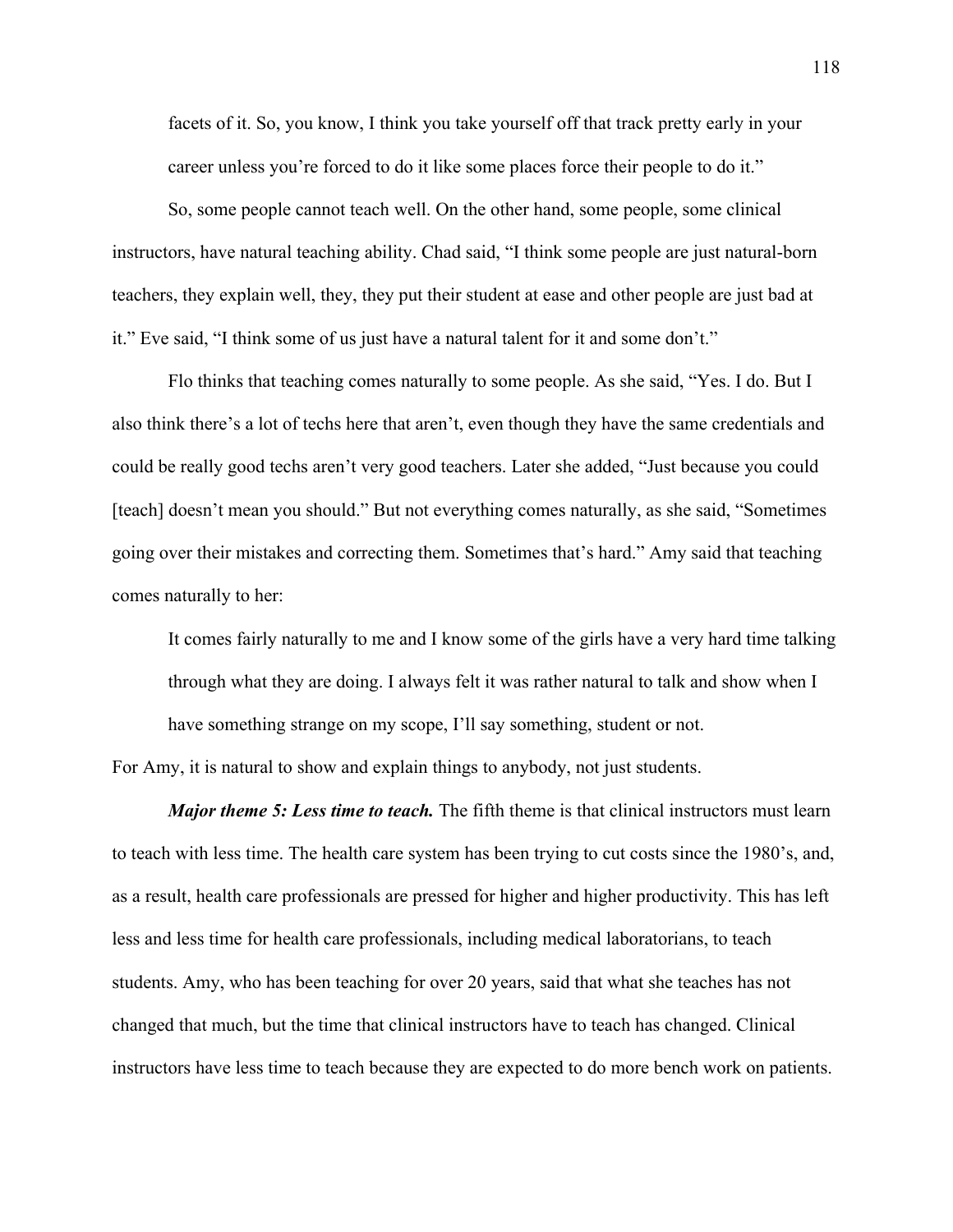facets of it. So, you know, I think you take yourself off that track pretty early in your career unless you're forced to do it like some places force their people to do it."

So, some people cannot teach well. On the other hand, some people, some clinical instructors, have natural teaching ability. Chad said, "I think some people are just natural-born teachers, they explain well, they, they put their student at ease and other people are just bad at it." Eve said, "I think some of us just have a natural talent for it and some don't."

Flo thinks that teaching comes naturally to some people. As she said, "Yes. I do. But I also think there's a lot of techs here that aren't, even though they have the same credentials and could be really good techs aren't very good teachers. Later she added, "Just because you could [teach] doesn't mean you should." But not everything comes naturally, as she said, "Sometimes going over their mistakes and correcting them. Sometimes that's hard." Amy said that teaching comes naturally to her:

It comes fairly naturally to me and I know some of the girls have a very hard time talking through what they are doing. I always felt it was rather natural to talk and show when I have something strange on my scope, I'll say something, student or not.

For Amy, it is natural to show and explain things to anybody, not just students.

*Major theme 5: Less time to teach.* The fifth theme is that clinical instructors must learn to teach with less time. The health care system has been trying to cut costs since the 1980's, and, as a result, health care professionals are pressed for higher and higher productivity. This has left less and less time for health care professionals, including medical laboratorians, to teach students. Amy, who has been teaching for over 20 years, said that what she teaches has not changed that much, but the time that clinical instructors have to teach has changed. Clinical instructors have less time to teach because they are expected to do more bench work on patients.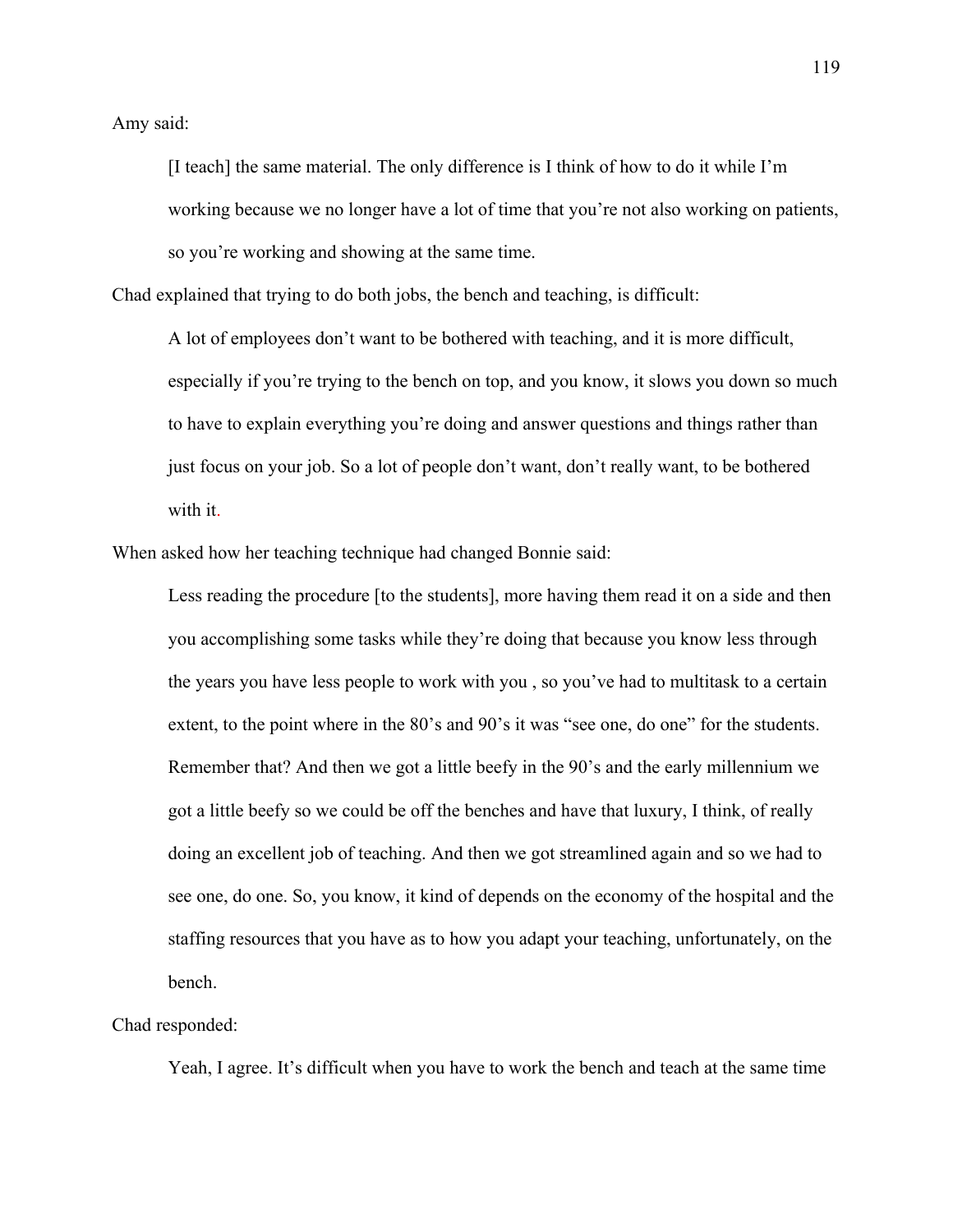Amy said:

[I teach] the same material. The only difference is I think of how to do it while I'm working because we no longer have a lot of time that you're not also working on patients, so you're working and showing at the same time.

Chad explained that trying to do both jobs, the bench and teaching, is difficult:

A lot of employees don't want to be bothered with teaching, and it is more difficult, especially if you're trying to the bench on top, and you know, it slows you down so much to have to explain everything you're doing and answer questions and things rather than just focus on your job. So a lot of people don't want, don't really want, to be bothered with it.

When asked how her teaching technique had changed Bonnie said:

Less reading the procedure [to the students], more having them read it on a side and then you accomplishing some tasks while they're doing that because you know less through the years you have less people to work with you , so you've had to multitask to a certain extent, to the point where in the 80's and 90's it was "see one, do one" for the students. Remember that? And then we got a little beefy in the 90's and the early millennium we got a little beefy so we could be off the benches and have that luxury, I think, of really doing an excellent job of teaching. And then we got streamlined again and so we had to see one, do one. So, you know, it kind of depends on the economy of the hospital and the staffing resources that you have as to how you adapt your teaching, unfortunately, on the bench.

Chad responded:

Yeah, I agree. It's difficult when you have to work the bench and teach at the same time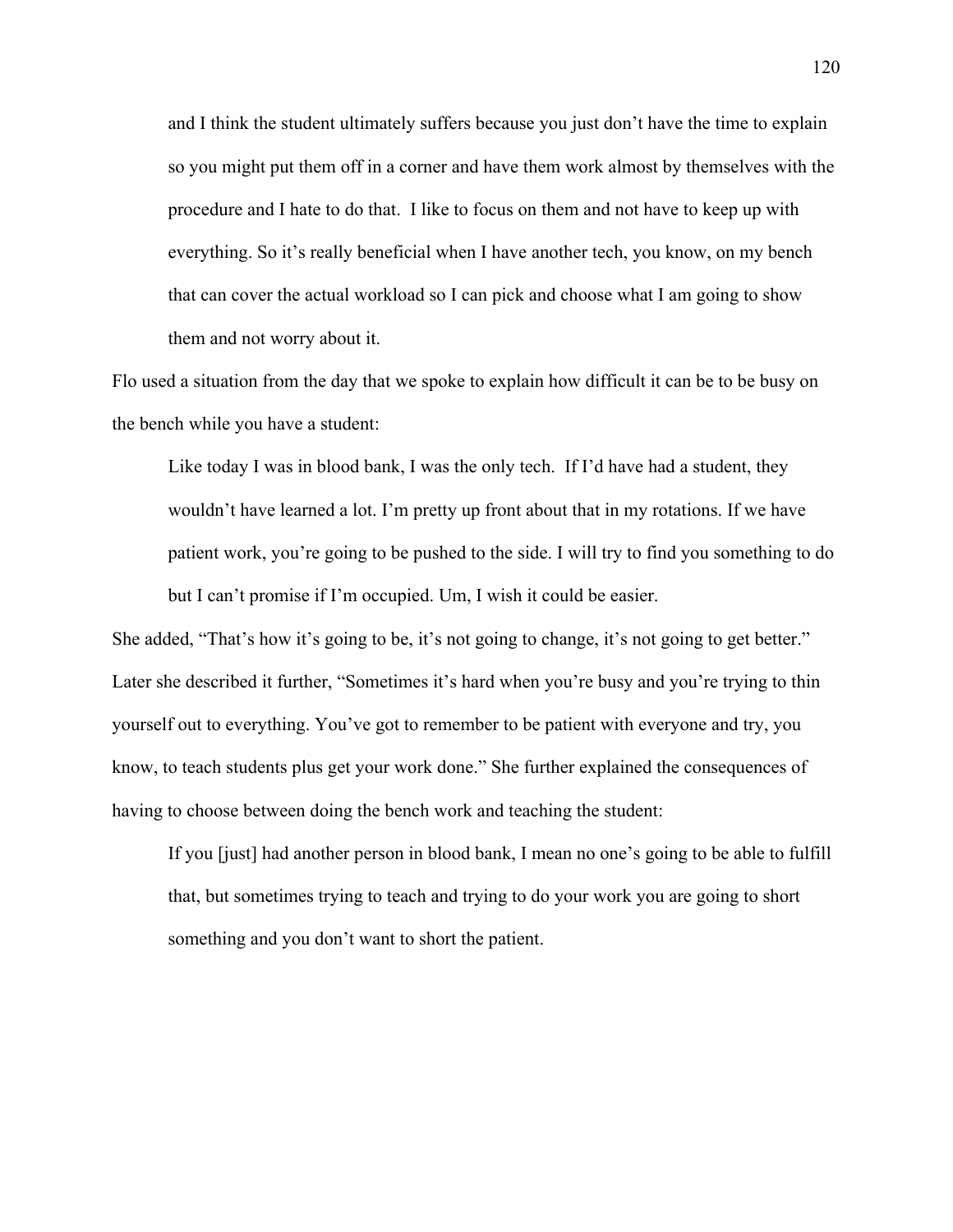and I think the student ultimately suffers because you just don't have the time to explain so you might put them off in a corner and have them work almost by themselves with the procedure and I hate to do that. I like to focus on them and not have to keep up with everything. So it's really beneficial when I have another tech, you know, on my bench that can cover the actual workload so I can pick and choose what I am going to show them and not worry about it.

Flo used a situation from the day that we spoke to explain how difficult it can be to be busy on the bench while you have a student:

Like today I was in blood bank, I was the only tech. If I'd have had a student, they wouldn't have learned a lot. I'm pretty up front about that in my rotations. If we have patient work, you're going to be pushed to the side. I will try to find you something to do but I can't promise if I'm occupied. Um, I wish it could be easier.

She added, "That's how it's going to be, it's not going to change, it's not going to get better." Later she described it further, "Sometimes it's hard when you're busy and you're trying to thin yourself out to everything. You've got to remember to be patient with everyone and try, you know, to teach students plus get your work done." She further explained the consequences of having to choose between doing the bench work and teaching the student:

If you [just] had another person in blood bank, I mean no one's going to be able to fulfill that, but sometimes trying to teach and trying to do your work you are going to short something and you don't want to short the patient.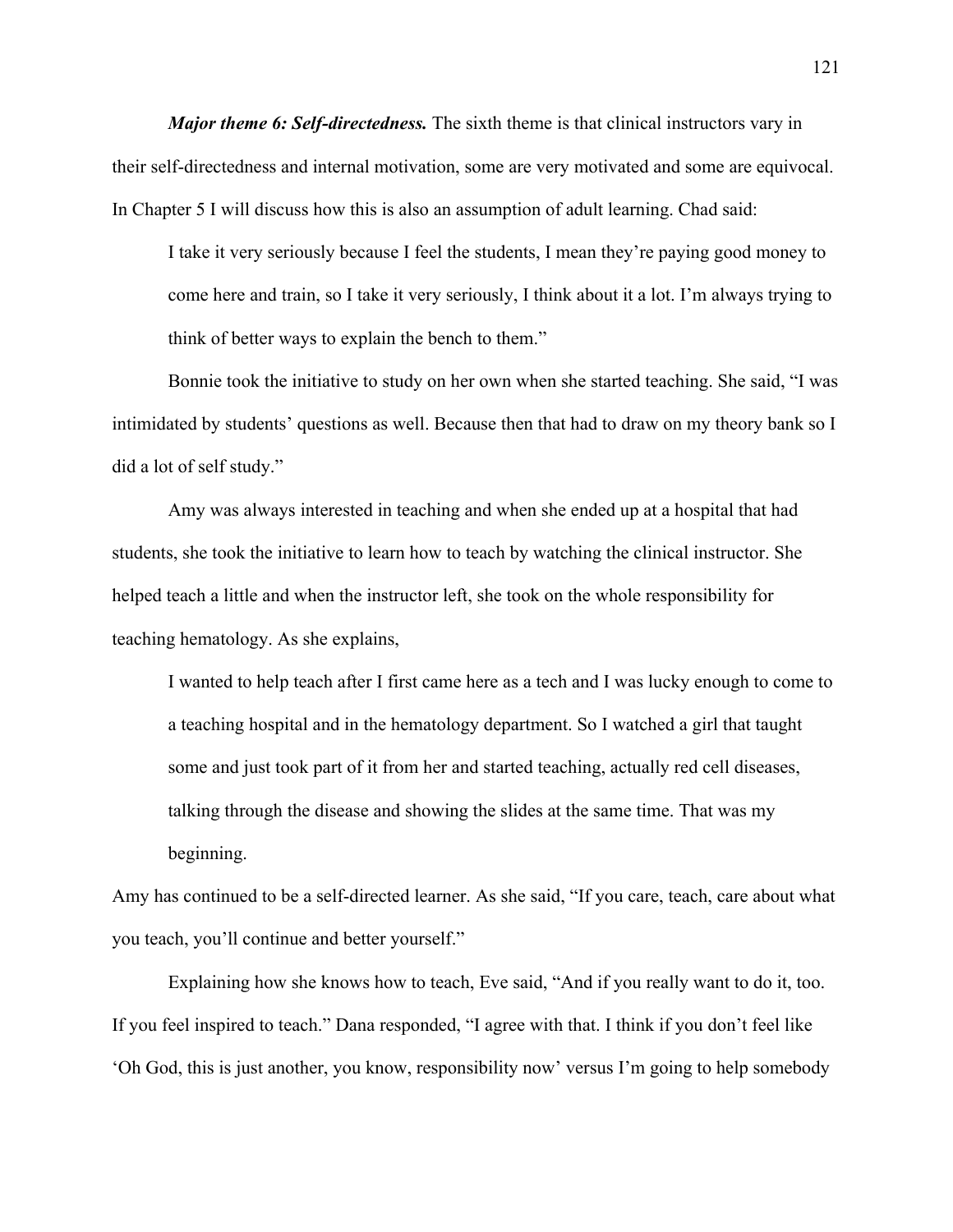*Major theme 6: Self-directedness.* The sixth theme is that clinical instructors vary in their self-directedness and internal motivation, some are very motivated and some are equivocal. In Chapter 5 I will discuss how this is also an assumption of adult learning. Chad said:

I take it very seriously because I feel the students, I mean they're paying good money to come here and train, so I take it very seriously, I think about it a lot. I'm always trying to think of better ways to explain the bench to them."

Bonnie took the initiative to study on her own when she started teaching. She said, "I was intimidated by students' questions as well. Because then that had to draw on my theory bank so I did a lot of self study."

Amy was always interested in teaching and when she ended up at a hospital that had students, she took the initiative to learn how to teach by watching the clinical instructor. She helped teach a little and when the instructor left, she took on the whole responsibility for teaching hematology. As she explains,

I wanted to help teach after I first came here as a tech and I was lucky enough to come to a teaching hospital and in the hematology department. So I watched a girl that taught some and just took part of it from her and started teaching, actually red cell diseases, talking through the disease and showing the slides at the same time. That was my beginning.

Amy has continued to be a self-directed learner. As she said, "If you care, teach, care about what you teach, you'll continue and better yourself."

Explaining how she knows how to teach, Eve said, "And if you really want to do it, too. If you feel inspired to teach." Dana responded, "I agree with that. I think if you don't feel like 'Oh God, this is just another, you know, responsibility now' versus I'm going to help somebody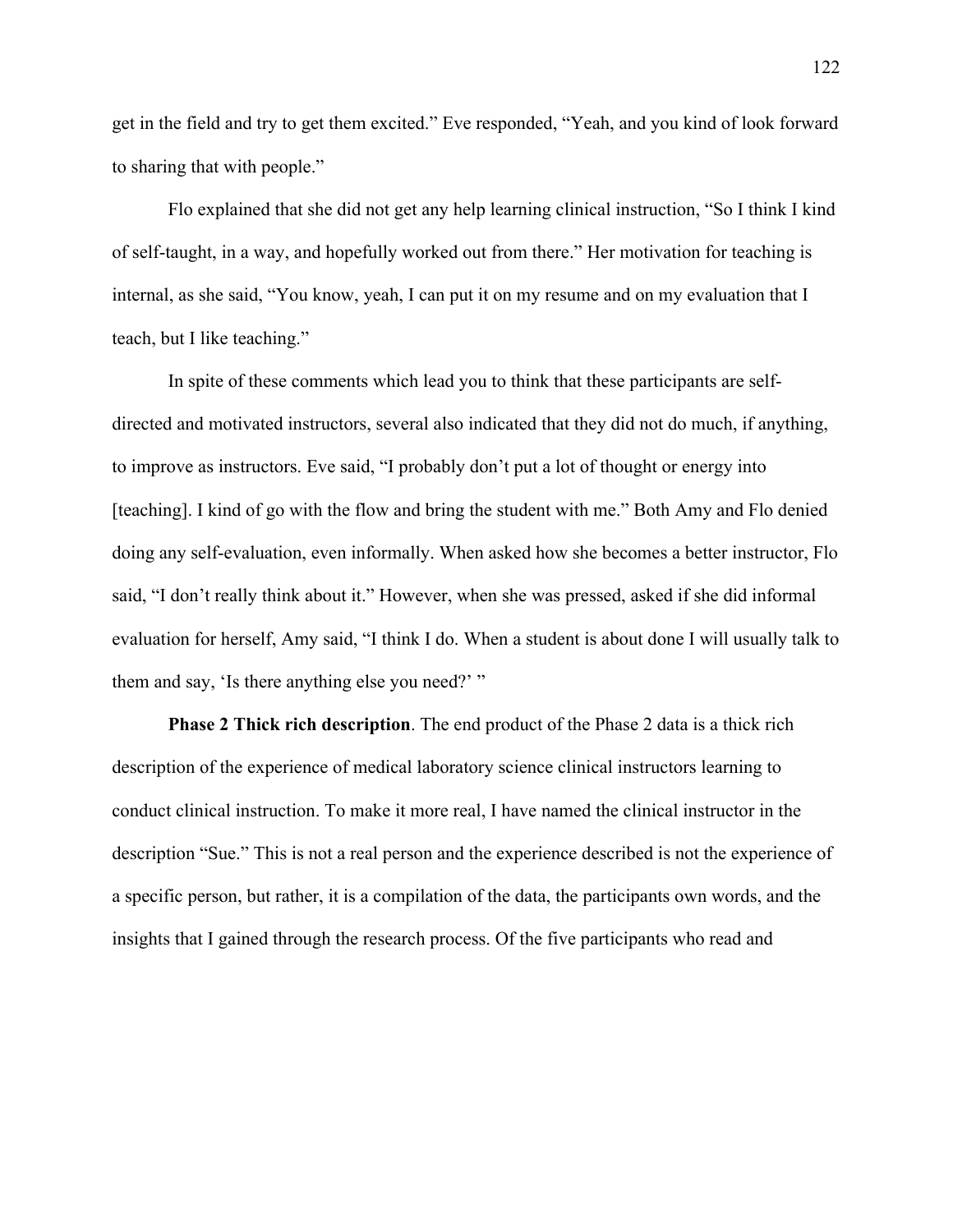get in the field and try to get them excited." Eve responded, "Yeah, and you kind of look forward to sharing that with people."

Flo explained that she did not get any help learning clinical instruction, "So I think I kind of self-taught, in a way, and hopefully worked out from there." Her motivation for teaching is internal, as she said, "You know, yeah, I can put it on my resume and on my evaluation that I teach, but I like teaching."

In spite of these comments which lead you to think that these participants are selfdirected and motivated instructors, several also indicated that they did not do much, if anything, to improve as instructors. Eve said, "I probably don't put a lot of thought or energy into [teaching]. I kind of go with the flow and bring the student with me." Both Amy and Flo denied doing any self-evaluation, even informally. When asked how she becomes a better instructor, Flo said, "I don't really think about it." However, when she was pressed, asked if she did informal evaluation for herself, Amy said, "I think I do. When a student is about done I will usually talk to them and say, 'Is there anything else you need?' "

**Phase 2 Thick rich description**. The end product of the Phase 2 data is a thick rich description of the experience of medical laboratory science clinical instructors learning to conduct clinical instruction. To make it more real, I have named the clinical instructor in the description "Sue." This is not a real person and the experience described is not the experience of a specific person, but rather, it is a compilation of the data, the participants own words, and the insights that I gained through the research process. Of the five participants who read and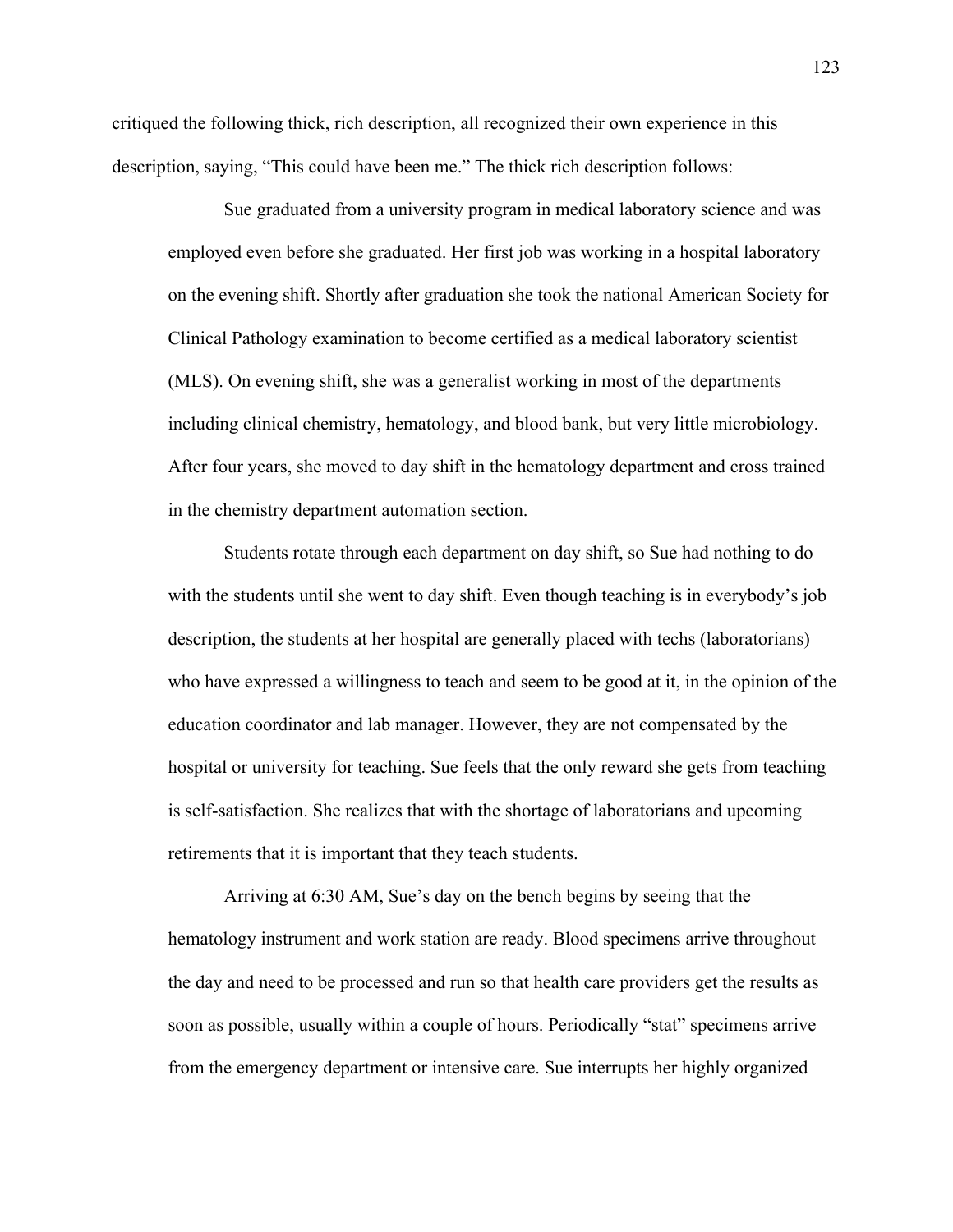critiqued the following thick, rich description, all recognized their own experience in this description, saying, "This could have been me." The thick rich description follows:

Sue graduated from a university program in medical laboratory science and was employed even before she graduated. Her first job was working in a hospital laboratory on the evening shift. Shortly after graduation she took the national American Society for Clinical Pathology examination to become certified as a medical laboratory scientist (MLS). On evening shift, she was a generalist working in most of the departments including clinical chemistry, hematology, and blood bank, but very little microbiology. After four years, she moved to day shift in the hematology department and cross trained in the chemistry department automation section.

 Students rotate through each department on day shift, so Sue had nothing to do with the students until she went to day shift. Even though teaching is in everybody's job description, the students at her hospital are generally placed with techs (laboratorians) who have expressed a willingness to teach and seem to be good at it, in the opinion of the education coordinator and lab manager. However, they are not compensated by the hospital or university for teaching. Sue feels that the only reward she gets from teaching is self-satisfaction. She realizes that with the shortage of laboratorians and upcoming retirements that it is important that they teach students.

 Arriving at 6:30 AM, Sue's day on the bench begins by seeing that the hematology instrument and work station are ready. Blood specimens arrive throughout the day and need to be processed and run so that health care providers get the results as soon as possible, usually within a couple of hours. Periodically "stat" specimens arrive from the emergency department or intensive care. Sue interrupts her highly organized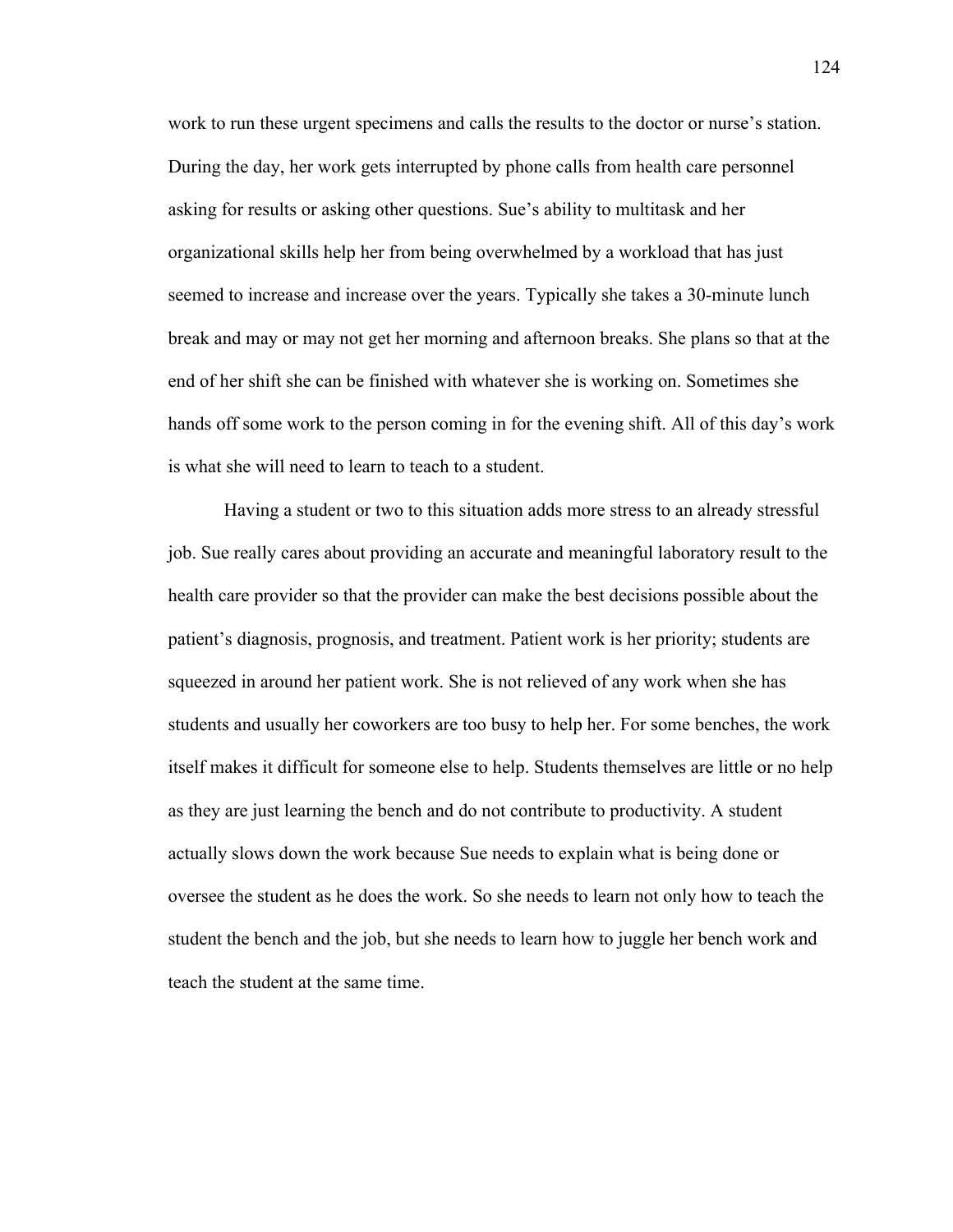work to run these urgent specimens and calls the results to the doctor or nurse's station. During the day, her work gets interrupted by phone calls from health care personnel asking for results or asking other questions. Sue's ability to multitask and her organizational skills help her from being overwhelmed by a workload that has just seemed to increase and increase over the years. Typically she takes a 30-minute lunch break and may or may not get her morning and afternoon breaks. She plans so that at the end of her shift she can be finished with whatever she is working on. Sometimes she hands off some work to the person coming in for the evening shift. All of this day's work is what she will need to learn to teach to a student.

 Having a student or two to this situation adds more stress to an already stressful job. Sue really cares about providing an accurate and meaningful laboratory result to the health care provider so that the provider can make the best decisions possible about the patient's diagnosis, prognosis, and treatment. Patient work is her priority; students are squeezed in around her patient work. She is not relieved of any work when she has students and usually her coworkers are too busy to help her. For some benches, the work itself makes it difficult for someone else to help. Students themselves are little or no help as they are just learning the bench and do not contribute to productivity. A student actually slows down the work because Sue needs to explain what is being done or oversee the student as he does the work. So she needs to learn not only how to teach the student the bench and the job, but she needs to learn how to juggle her bench work and teach the student at the same time.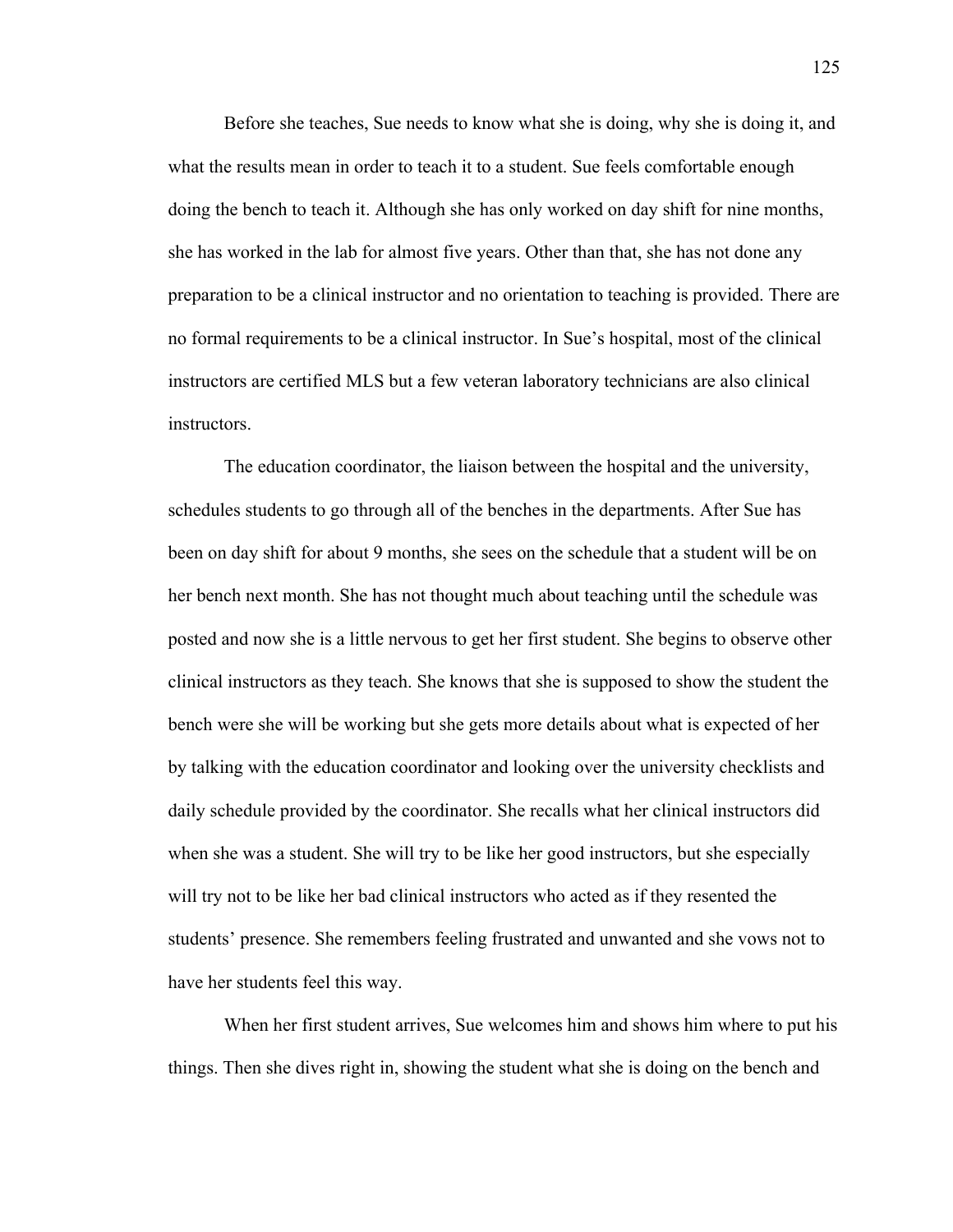Before she teaches, Sue needs to know what she is doing, why she is doing it, and what the results mean in order to teach it to a student. Sue feels comfortable enough doing the bench to teach it. Although she has only worked on day shift for nine months, she has worked in the lab for almost five years. Other than that, she has not done any preparation to be a clinical instructor and no orientation to teaching is provided. There are no formal requirements to be a clinical instructor. In Sue's hospital, most of the clinical instructors are certified MLS but a few veteran laboratory technicians are also clinical instructors.

 The education coordinator, the liaison between the hospital and the university, schedules students to go through all of the benches in the departments. After Sue has been on day shift for about 9 months, she sees on the schedule that a student will be on her bench next month. She has not thought much about teaching until the schedule was posted and now she is a little nervous to get her first student. She begins to observe other clinical instructors as they teach. She knows that she is supposed to show the student the bench were she will be working but she gets more details about what is expected of her by talking with the education coordinator and looking over the university checklists and daily schedule provided by the coordinator. She recalls what her clinical instructors did when she was a student. She will try to be like her good instructors, but she especially will try not to be like her bad clinical instructors who acted as if they resented the students' presence. She remembers feeling frustrated and unwanted and she vows not to have her students feel this way.

 When her first student arrives, Sue welcomes him and shows him where to put his things. Then she dives right in, showing the student what she is doing on the bench and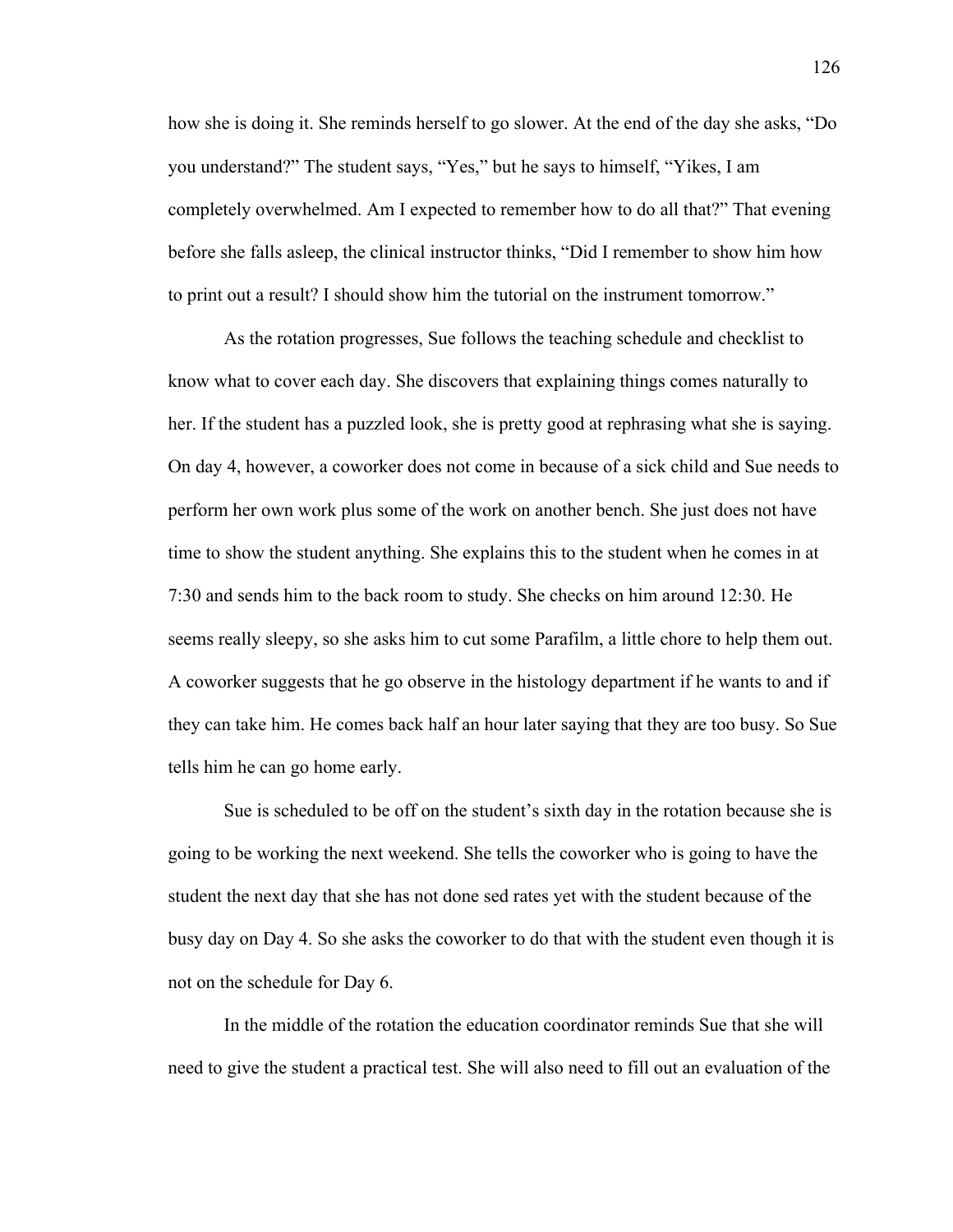how she is doing it. She reminds herself to go slower. At the end of the day she asks, "Do you understand?" The student says, "Yes," but he says to himself, "Yikes, I am completely overwhelmed. Am I expected to remember how to do all that?" That evening before she falls asleep, the clinical instructor thinks, "Did I remember to show him how to print out a result? I should show him the tutorial on the instrument tomorrow."

 As the rotation progresses, Sue follows the teaching schedule and checklist to know what to cover each day. She discovers that explaining things comes naturally to her. If the student has a puzzled look, she is pretty good at rephrasing what she is saying. On day 4, however, a coworker does not come in because of a sick child and Sue needs to perform her own work plus some of the work on another bench. She just does not have time to show the student anything. She explains this to the student when he comes in at 7:30 and sends him to the back room to study. She checks on him around 12:30. He seems really sleepy, so she asks him to cut some Parafilm, a little chore to help them out. A coworker suggests that he go observe in the histology department if he wants to and if they can take him. He comes back half an hour later saying that they are too busy. So Sue tells him he can go home early.

 Sue is scheduled to be off on the student's sixth day in the rotation because she is going to be working the next weekend. She tells the coworker who is going to have the student the next day that she has not done sed rates yet with the student because of the busy day on Day 4. So she asks the coworker to do that with the student even though it is not on the schedule for Day 6.

 In the middle of the rotation the education coordinator reminds Sue that she will need to give the student a practical test. She will also need to fill out an evaluation of the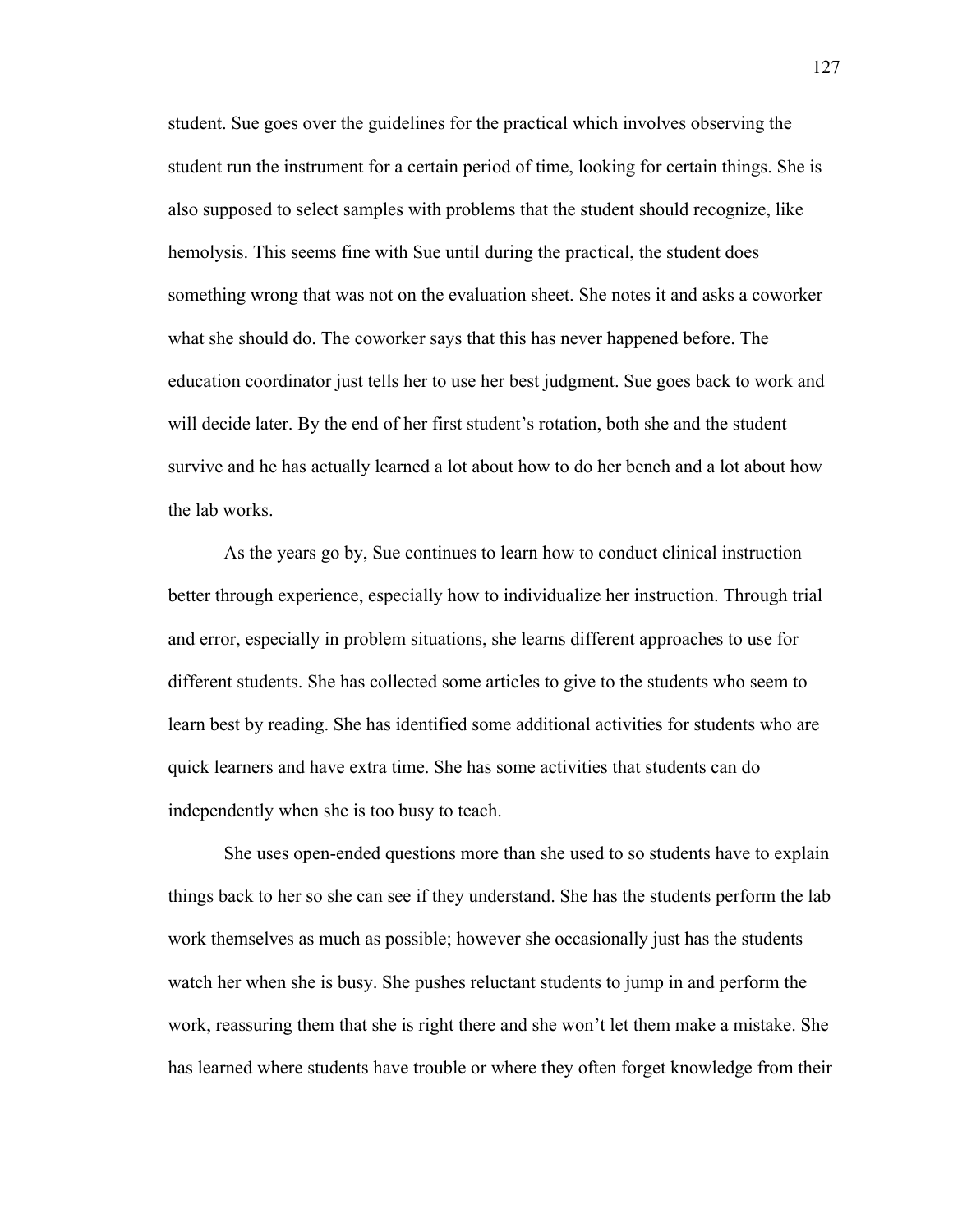student. Sue goes over the guidelines for the practical which involves observing the student run the instrument for a certain period of time, looking for certain things. She is also supposed to select samples with problems that the student should recognize, like hemolysis. This seems fine with Sue until during the practical, the student does something wrong that was not on the evaluation sheet. She notes it and asks a coworker what she should do. The coworker says that this has never happened before. The education coordinator just tells her to use her best judgment. Sue goes back to work and will decide later. By the end of her first student's rotation, both she and the student survive and he has actually learned a lot about how to do her bench and a lot about how the lab works.

As the years go by, Sue continues to learn how to conduct clinical instruction better through experience, especially how to individualize her instruction. Through trial and error, especially in problem situations, she learns different approaches to use for different students. She has collected some articles to give to the students who seem to learn best by reading. She has identified some additional activities for students who are quick learners and have extra time. She has some activities that students can do independently when she is too busy to teach.

She uses open-ended questions more than she used to so students have to explain things back to her so she can see if they understand. She has the students perform the lab work themselves as much as possible; however she occasionally just has the students watch her when she is busy. She pushes reluctant students to jump in and perform the work, reassuring them that she is right there and she won't let them make a mistake. She has learned where students have trouble or where they often forget knowledge from their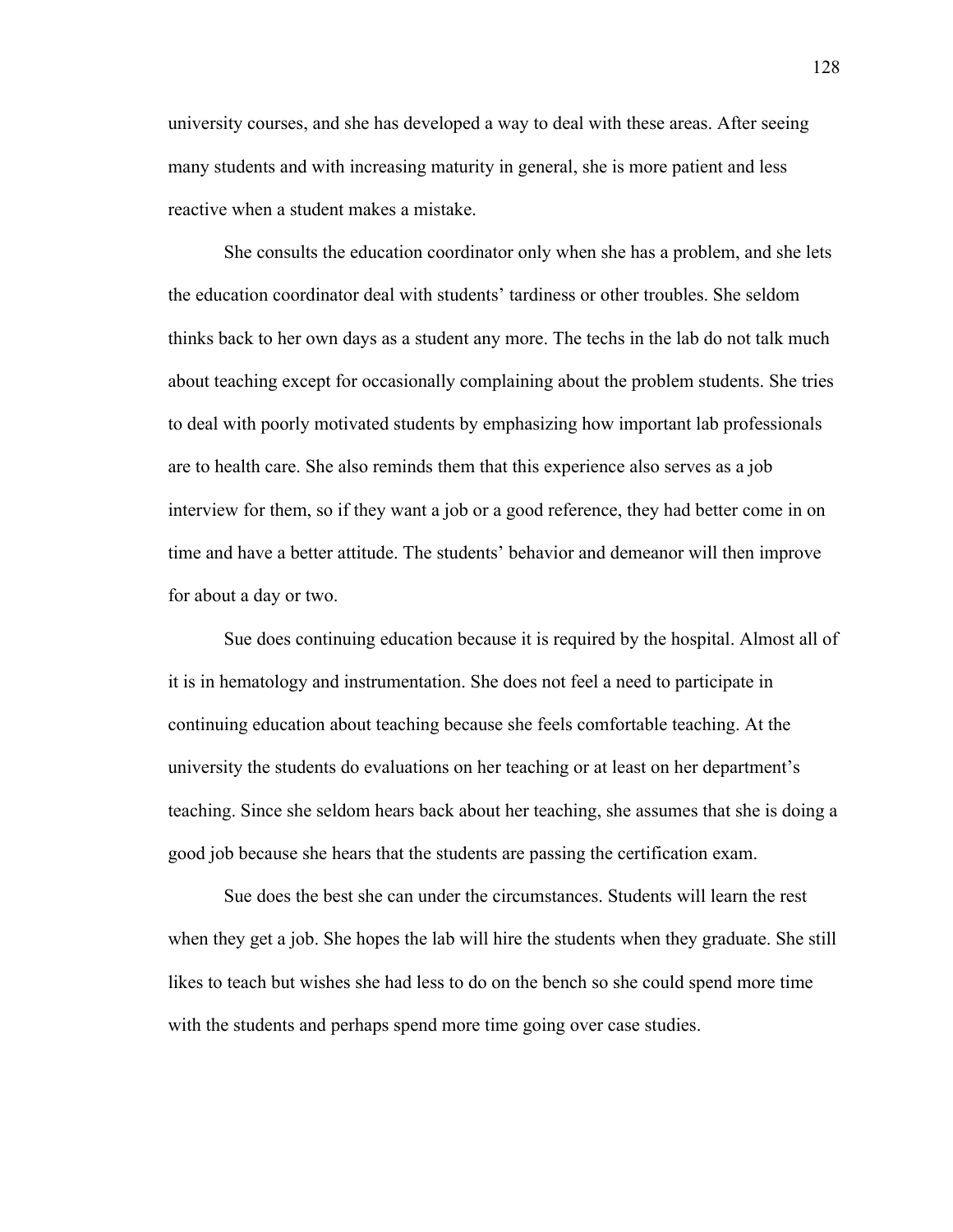university courses, and she has developed a way to deal with these areas. After seeing many students and with increasing maturity in general, she is more patient and less reactive when a student makes a mistake.

She consults the education coordinator only when she has a problem, and she lets the education coordinator deal with students' tardiness or other troubles. She seldom thinks back to her own days as a student any more. The techs in the lab do not talk much about teaching except for occasionally complaining about the problem students. She tries to deal with poorly motivated students by emphasizing how important lab professionals are to health care. She also reminds them that this experience also serves as a job interview for them, so if they want a job or a good reference, they had better come in on time and have a better attitude. The students' behavior and demeanor will then improve for about a day or two.

Sue does continuing education because it is required by the hospital. Almost all of it is in hematology and instrumentation. She does not feel a need to participate in continuing education about teaching because she feels comfortable teaching. At the university the students do evaluations on her teaching or at least on her department's teaching. Since she seldom hears back about her teaching, she assumes that she is doing a good job because she hears that the students are passing the certification exam.

Sue does the best she can under the circumstances. Students will learn the rest when they get a job. She hopes the lab will hire the students when they graduate. She still likes to teach but wishes she had less to do on the bench so she could spend more time with the students and perhaps spend more time going over case studies.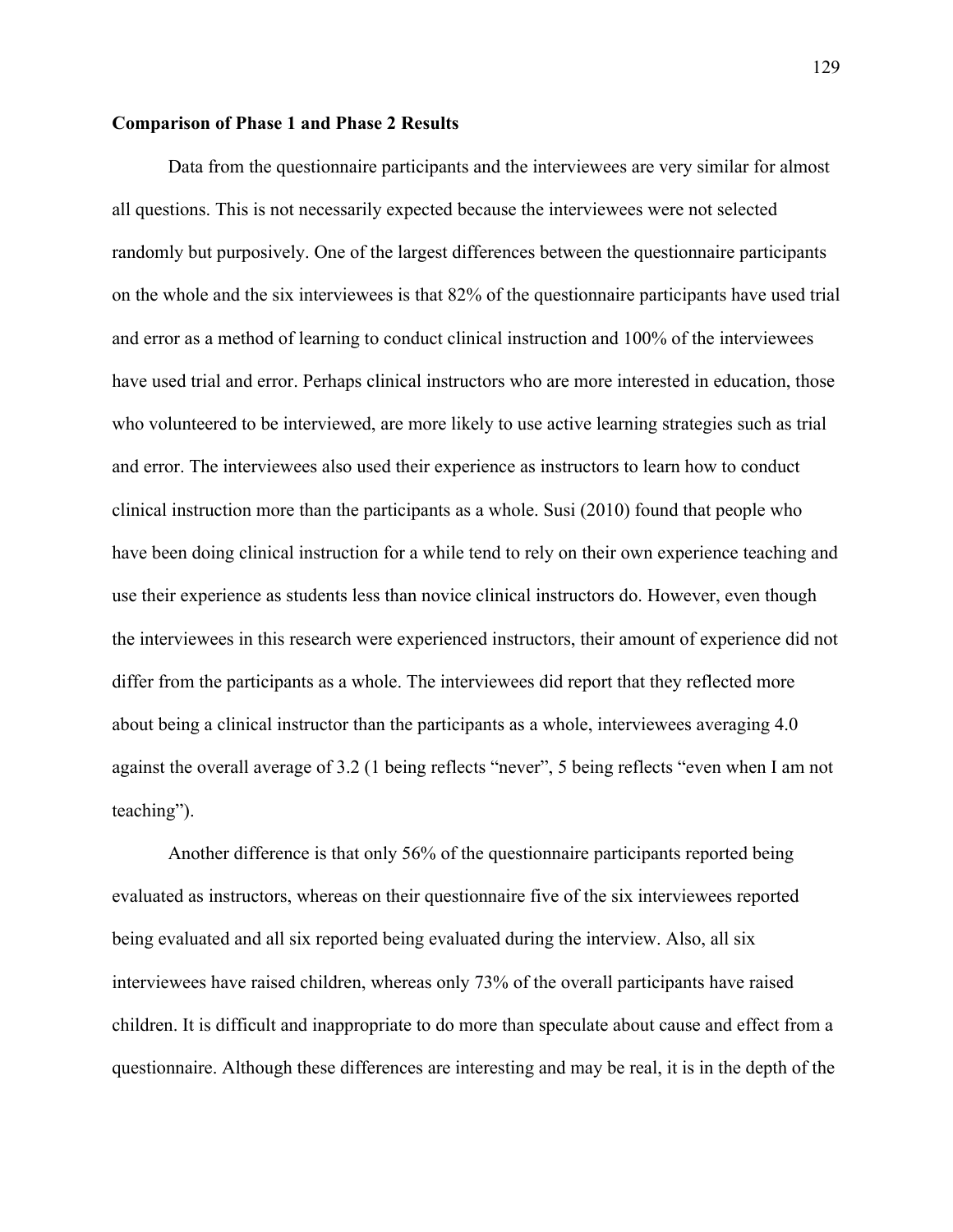## **Comparison of Phase 1 and Phase 2 Results**

Data from the questionnaire participants and the interviewees are very similar for almost all questions. This is not necessarily expected because the interviewees were not selected randomly but purposively. One of the largest differences between the questionnaire participants on the whole and the six interviewees is that 82% of the questionnaire participants have used trial and error as a method of learning to conduct clinical instruction and 100% of the interviewees have used trial and error. Perhaps clinical instructors who are more interested in education, those who volunteered to be interviewed, are more likely to use active learning strategies such as trial and error. The interviewees also used their experience as instructors to learn how to conduct clinical instruction more than the participants as a whole. Susi (2010) found that people who have been doing clinical instruction for a while tend to rely on their own experience teaching and use their experience as students less than novice clinical instructors do. However, even though the interviewees in this research were experienced instructors, their amount of experience did not differ from the participants as a whole. The interviewees did report that they reflected more about being a clinical instructor than the participants as a whole, interviewees averaging 4.0 against the overall average of 3.2 (1 being reflects "never", 5 being reflects "even when I am not teaching").

Another difference is that only 56% of the questionnaire participants reported being evaluated as instructors, whereas on their questionnaire five of the six interviewees reported being evaluated and all six reported being evaluated during the interview. Also, all six interviewees have raised children, whereas only 73% of the overall participants have raised children. It is difficult and inappropriate to do more than speculate about cause and effect from a questionnaire. Although these differences are interesting and may be real, it is in the depth of the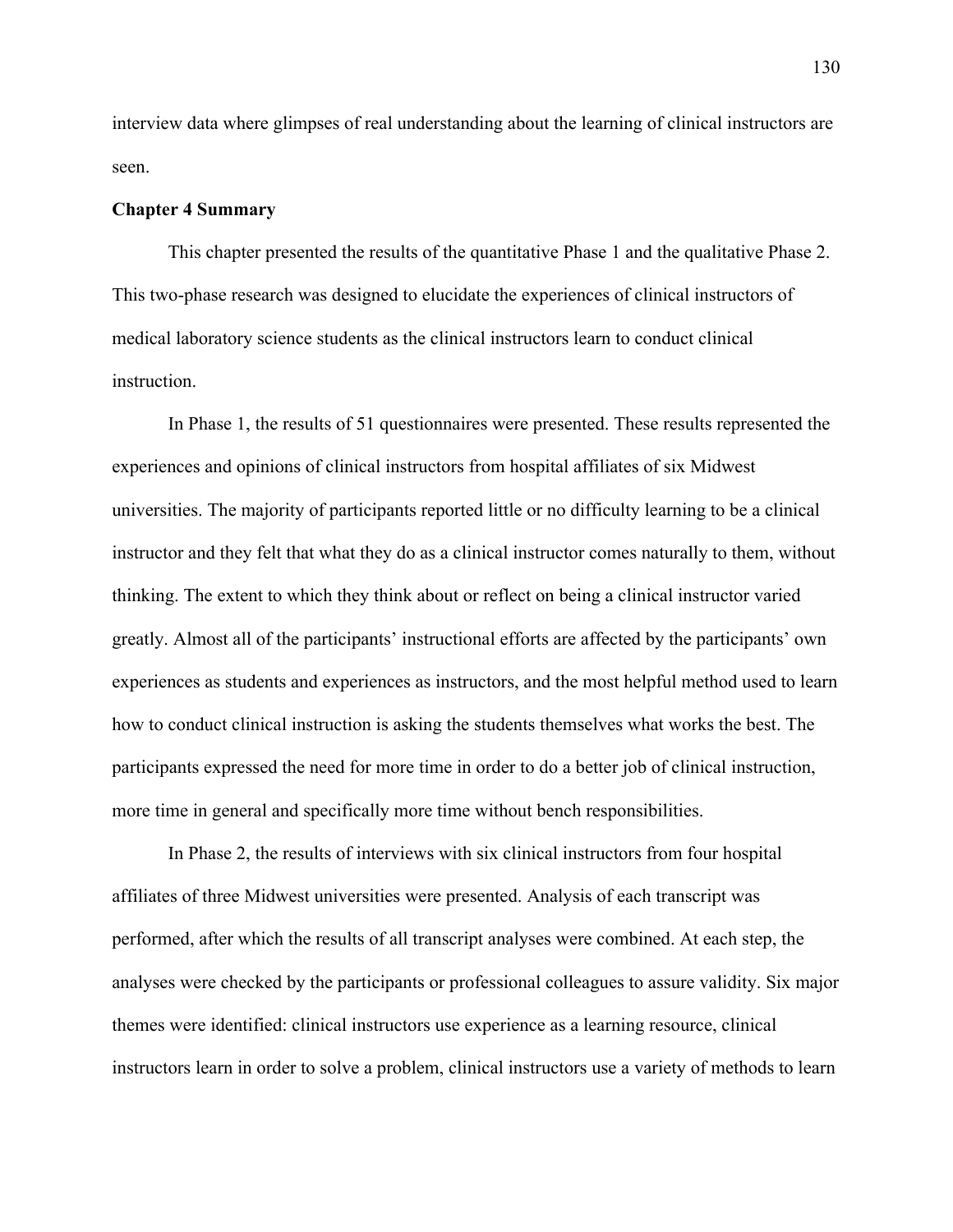interview data where glimpses of real understanding about the learning of clinical instructors are seen.

## **Chapter 4 Summary**

 This chapter presented the results of the quantitative Phase 1 and the qualitative Phase 2. This two-phase research was designed to elucidate the experiences of clinical instructors of medical laboratory science students as the clinical instructors learn to conduct clinical instruction.

 In Phase 1, the results of 51 questionnaires were presented. These results represented the experiences and opinions of clinical instructors from hospital affiliates of six Midwest universities. The majority of participants reported little or no difficulty learning to be a clinical instructor and they felt that what they do as a clinical instructor comes naturally to them, without thinking. The extent to which they think about or reflect on being a clinical instructor varied greatly. Almost all of the participants' instructional efforts are affected by the participants' own experiences as students and experiences as instructors, and the most helpful method used to learn how to conduct clinical instruction is asking the students themselves what works the best. The participants expressed the need for more time in order to do a better job of clinical instruction, more time in general and specifically more time without bench responsibilities.

 In Phase 2, the results of interviews with six clinical instructors from four hospital affiliates of three Midwest universities were presented. Analysis of each transcript was performed, after which the results of all transcript analyses were combined. At each step, the analyses were checked by the participants or professional colleagues to assure validity. Six major themes were identified: clinical instructors use experience as a learning resource, clinical instructors learn in order to solve a problem, clinical instructors use a variety of methods to learn

130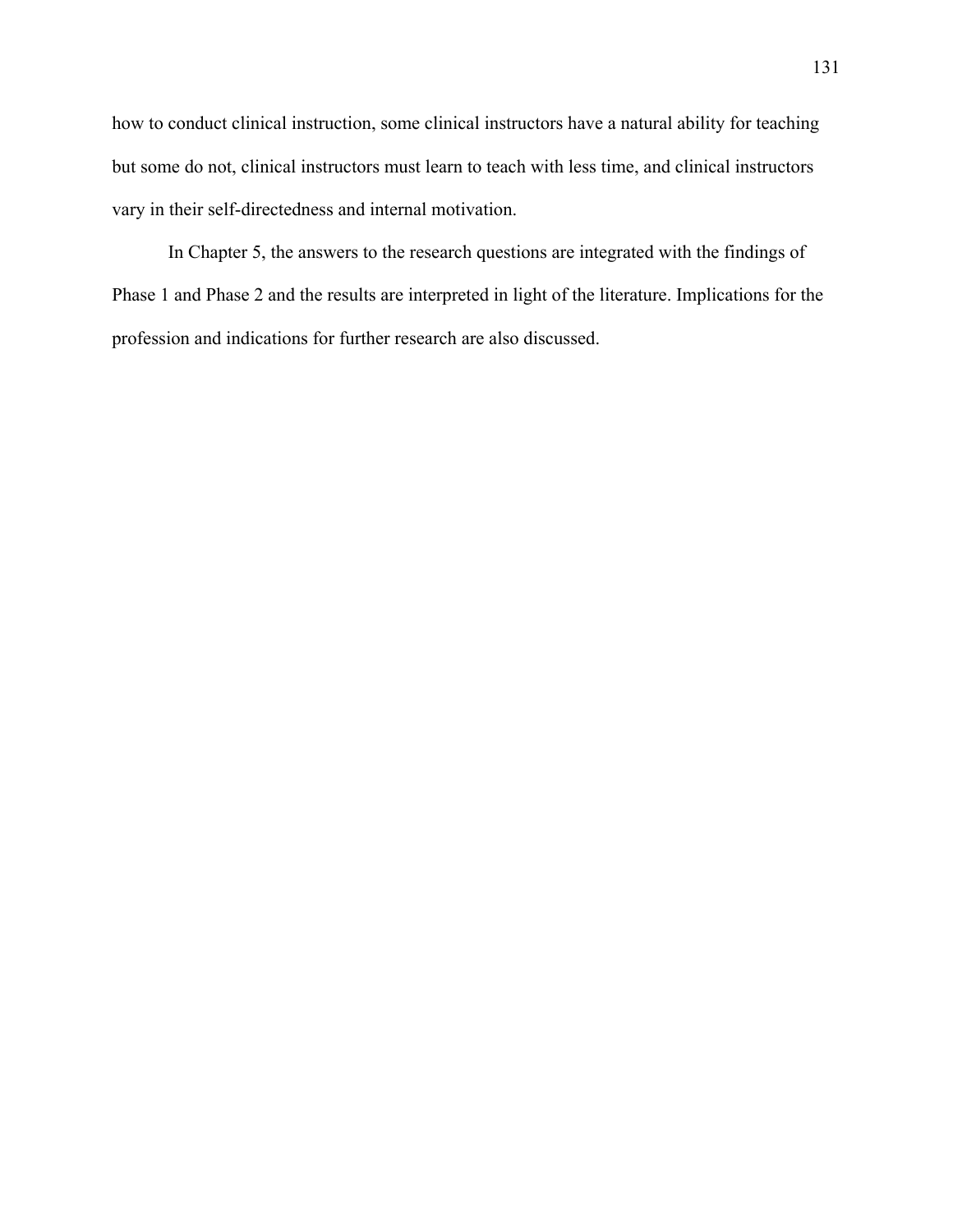how to conduct clinical instruction, some clinical instructors have a natural ability for teaching but some do not, clinical instructors must learn to teach with less time, and clinical instructors vary in their self-directedness and internal motivation.

 In Chapter 5, the answers to the research questions are integrated with the findings of Phase 1 and Phase 2 and the results are interpreted in light of the literature. Implications for the profession and indications for further research are also discussed.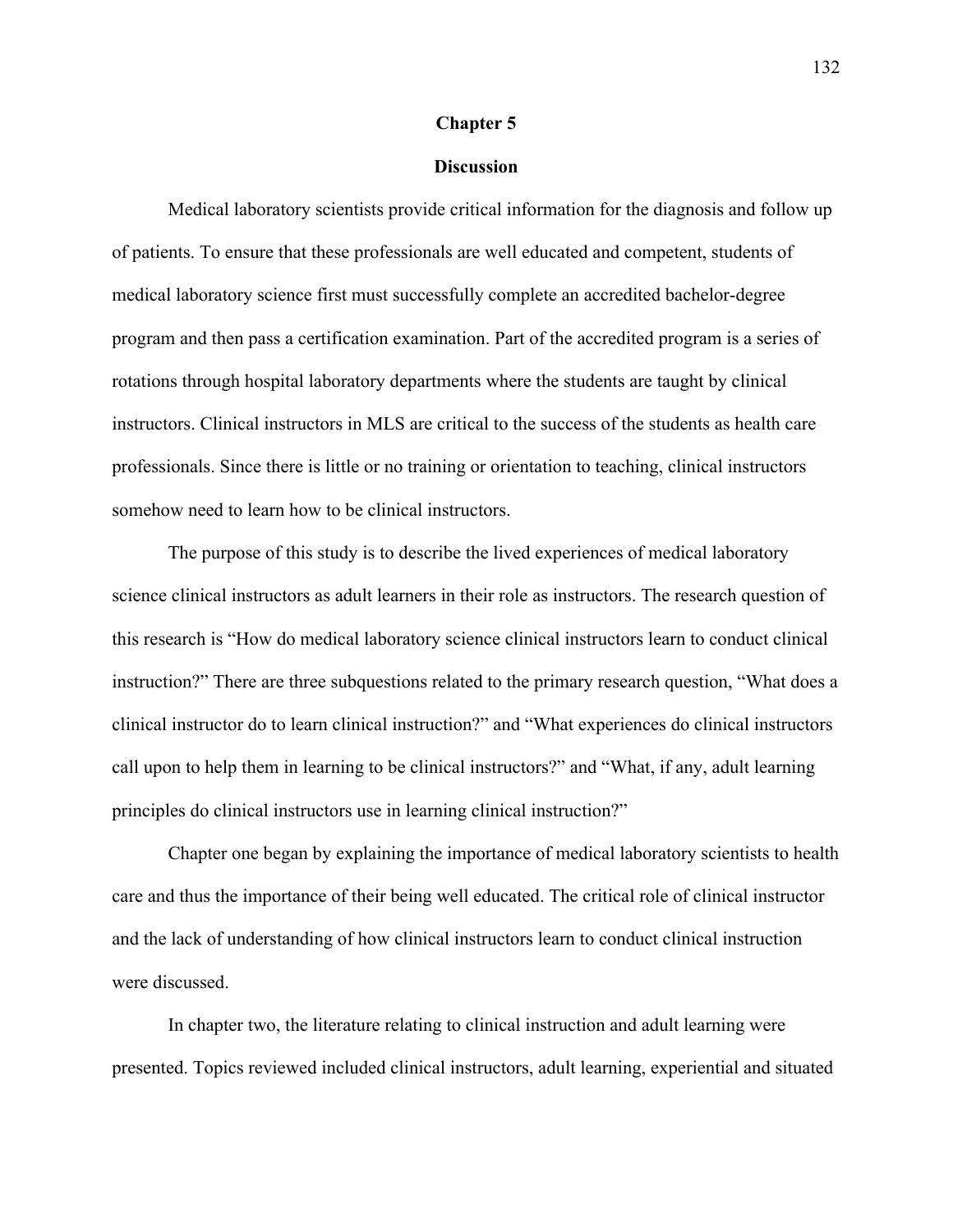#### **Chapter 5**

# **Discussion**

Medical laboratory scientists provide critical information for the diagnosis and follow up of patients. To ensure that these professionals are well educated and competent, students of medical laboratory science first must successfully complete an accredited bachelor-degree program and then pass a certification examination. Part of the accredited program is a series of rotations through hospital laboratory departments where the students are taught by clinical instructors. Clinical instructors in MLS are critical to the success of the students as health care professionals. Since there is little or no training or orientation to teaching, clinical instructors somehow need to learn how to be clinical instructors.

The purpose of this study is to describe the lived experiences of medical laboratory science clinical instructors as adult learners in their role as instructors. The research question of this research is "How do medical laboratory science clinical instructors learn to conduct clinical instruction?" There are three subquestions related to the primary research question, "What does a clinical instructor do to learn clinical instruction?" and "What experiences do clinical instructors call upon to help them in learning to be clinical instructors?" and "What, if any, adult learning principles do clinical instructors use in learning clinical instruction?"

 Chapter one began by explaining the importance of medical laboratory scientists to health care and thus the importance of their being well educated. The critical role of clinical instructor and the lack of understanding of how clinical instructors learn to conduct clinical instruction were discussed.

 In chapter two, the literature relating to clinical instruction and adult learning were presented. Topics reviewed included clinical instructors, adult learning, experiential and situated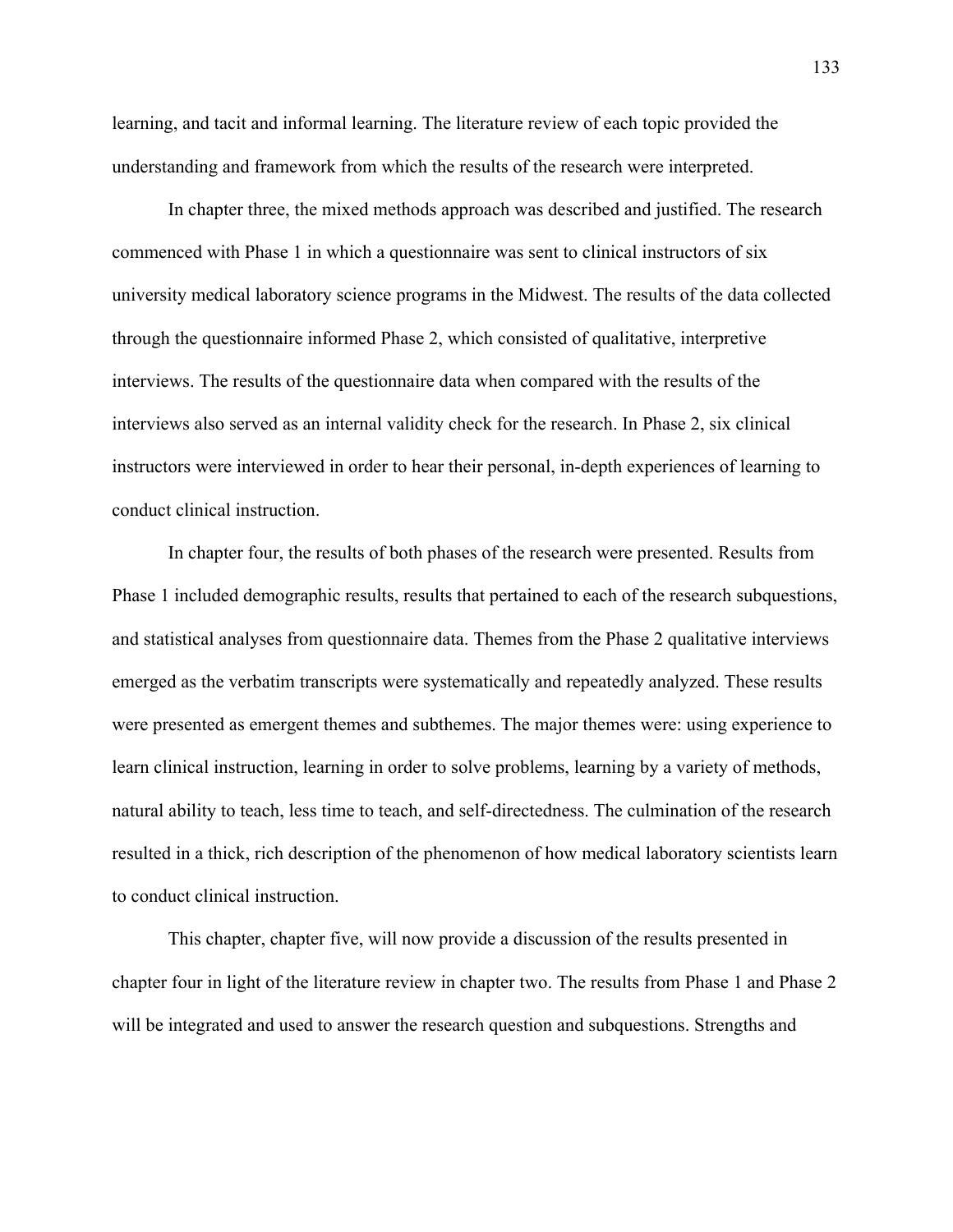learning, and tacit and informal learning. The literature review of each topic provided the understanding and framework from which the results of the research were interpreted.

 In chapter three, the mixed methods approach was described and justified. The research commenced with Phase 1 in which a questionnaire was sent to clinical instructors of six university medical laboratory science programs in the Midwest. The results of the data collected through the questionnaire informed Phase 2, which consisted of qualitative, interpretive interviews. The results of the questionnaire data when compared with the results of the interviews also served as an internal validity check for the research. In Phase 2, six clinical instructors were interviewed in order to hear their personal, in-depth experiences of learning to conduct clinical instruction.

 In chapter four, the results of both phases of the research were presented. Results from Phase 1 included demographic results, results that pertained to each of the research subquestions, and statistical analyses from questionnaire data. Themes from the Phase 2 qualitative interviews emerged as the verbatim transcripts were systematically and repeatedly analyzed. These results were presented as emergent themes and subthemes. The major themes were: using experience to learn clinical instruction, learning in order to solve problems, learning by a variety of methods, natural ability to teach, less time to teach, and self-directedness. The culmination of the research resulted in a thick, rich description of the phenomenon of how medical laboratory scientists learn to conduct clinical instruction.

 This chapter, chapter five, will now provide a discussion of the results presented in chapter four in light of the literature review in chapter two. The results from Phase 1 and Phase 2 will be integrated and used to answer the research question and subquestions. Strengths and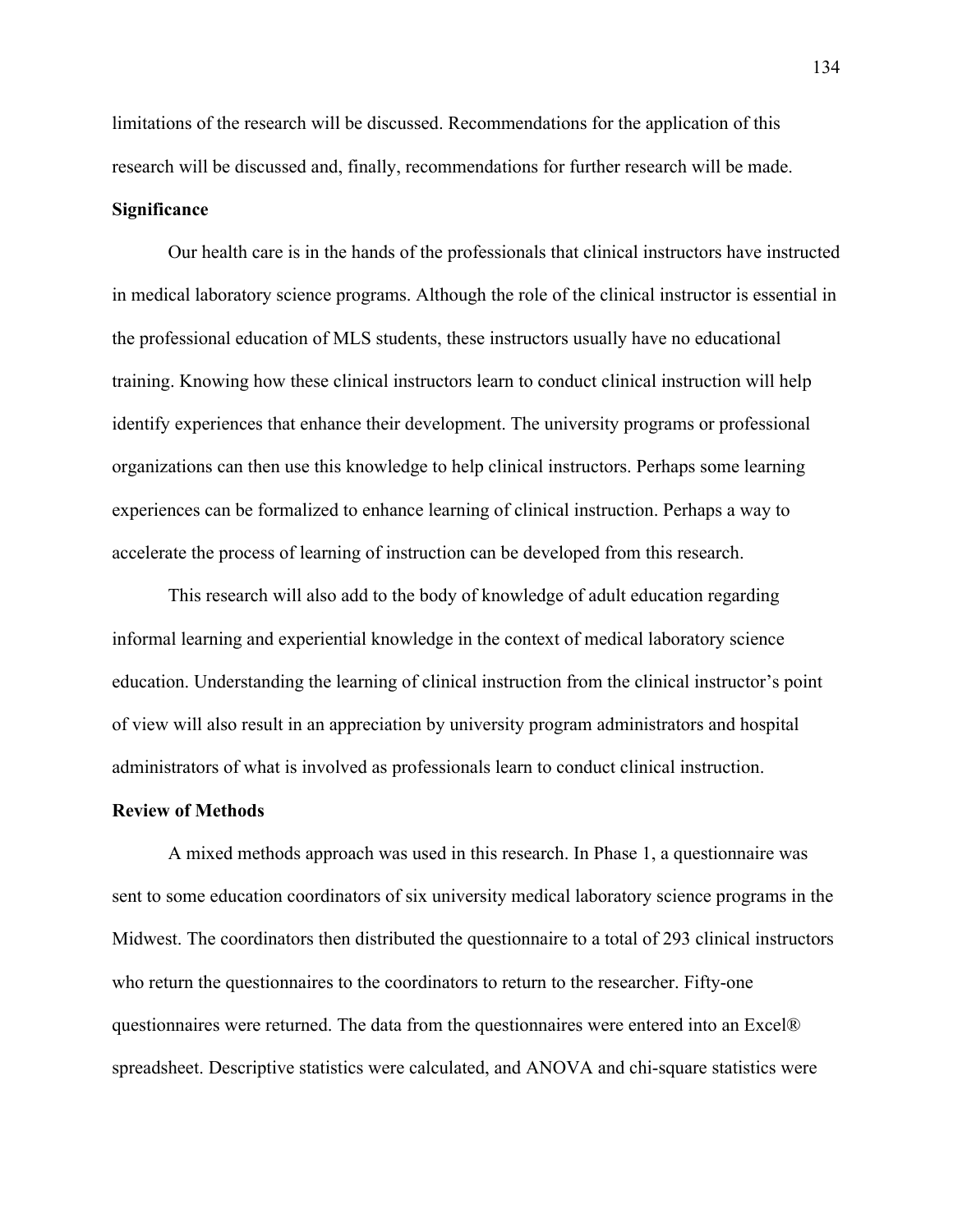limitations of the research will be discussed. Recommendations for the application of this research will be discussed and, finally, recommendations for further research will be made.

# **Significance**

 Our health care is in the hands of the professionals that clinical instructors have instructed in medical laboratory science programs. Although the role of the clinical instructor is essential in the professional education of MLS students, these instructors usually have no educational training. Knowing how these clinical instructors learn to conduct clinical instruction will help identify experiences that enhance their development. The university programs or professional organizations can then use this knowledge to help clinical instructors. Perhaps some learning experiences can be formalized to enhance learning of clinical instruction. Perhaps a way to accelerate the process of learning of instruction can be developed from this research.

 This research will also add to the body of knowledge of adult education regarding informal learning and experiential knowledge in the context of medical laboratory science education. Understanding the learning of clinical instruction from the clinical instructor's point of view will also result in an appreciation by university program administrators and hospital administrators of what is involved as professionals learn to conduct clinical instruction.

#### **Review of Methods**

A mixed methods approach was used in this research. In Phase 1, a questionnaire was sent to some education coordinators of six university medical laboratory science programs in the Midwest. The coordinators then distributed the questionnaire to a total of 293 clinical instructors who return the questionnaires to the coordinators to return to the researcher. Fifty-one questionnaires were returned. The data from the questionnaires were entered into an Excel® spreadsheet. Descriptive statistics were calculated, and ANOVA and chi-square statistics were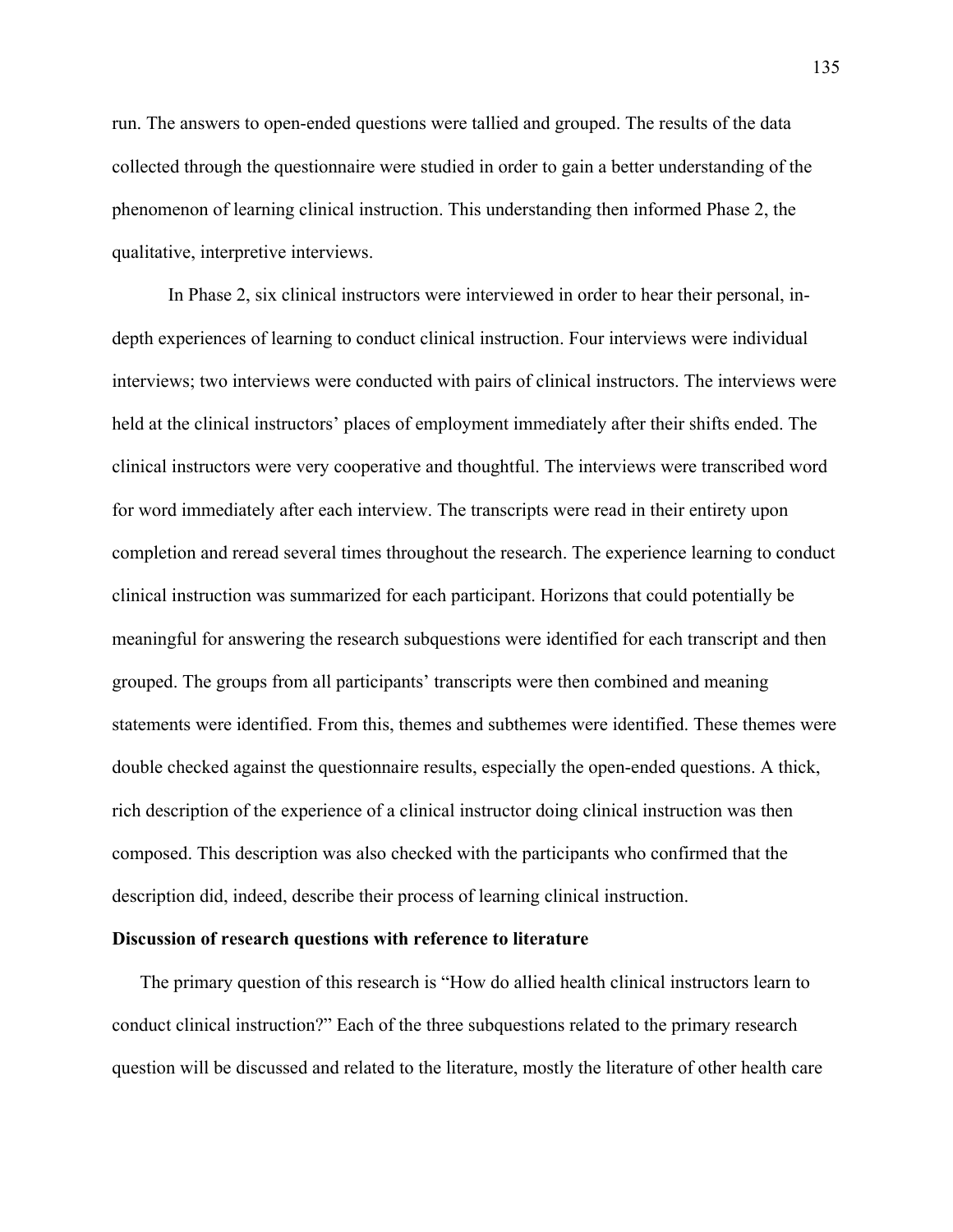run. The answers to open-ended questions were tallied and grouped. The results of the data collected through the questionnaire were studied in order to gain a better understanding of the phenomenon of learning clinical instruction. This understanding then informed Phase 2, the qualitative, interpretive interviews.

In Phase 2, six clinical instructors were interviewed in order to hear their personal, indepth experiences of learning to conduct clinical instruction. Four interviews were individual interviews; two interviews were conducted with pairs of clinical instructors. The interviews were held at the clinical instructors' places of employment immediately after their shifts ended. The clinical instructors were very cooperative and thoughtful. The interviews were transcribed word for word immediately after each interview. The transcripts were read in their entirety upon completion and reread several times throughout the research. The experience learning to conduct clinical instruction was summarized for each participant. Horizons that could potentially be meaningful for answering the research subquestions were identified for each transcript and then grouped. The groups from all participants' transcripts were then combined and meaning statements were identified. From this, themes and subthemes were identified. These themes were double checked against the questionnaire results, especially the open-ended questions. A thick, rich description of the experience of a clinical instructor doing clinical instruction was then composed. This description was also checked with the participants who confirmed that the description did, indeed, describe their process of learning clinical instruction.

# **Discussion of research questions with reference to literature**

The primary question of this research is "How do allied health clinical instructors learn to conduct clinical instruction?" Each of the three subquestions related to the primary research question will be discussed and related to the literature, mostly the literature of other health care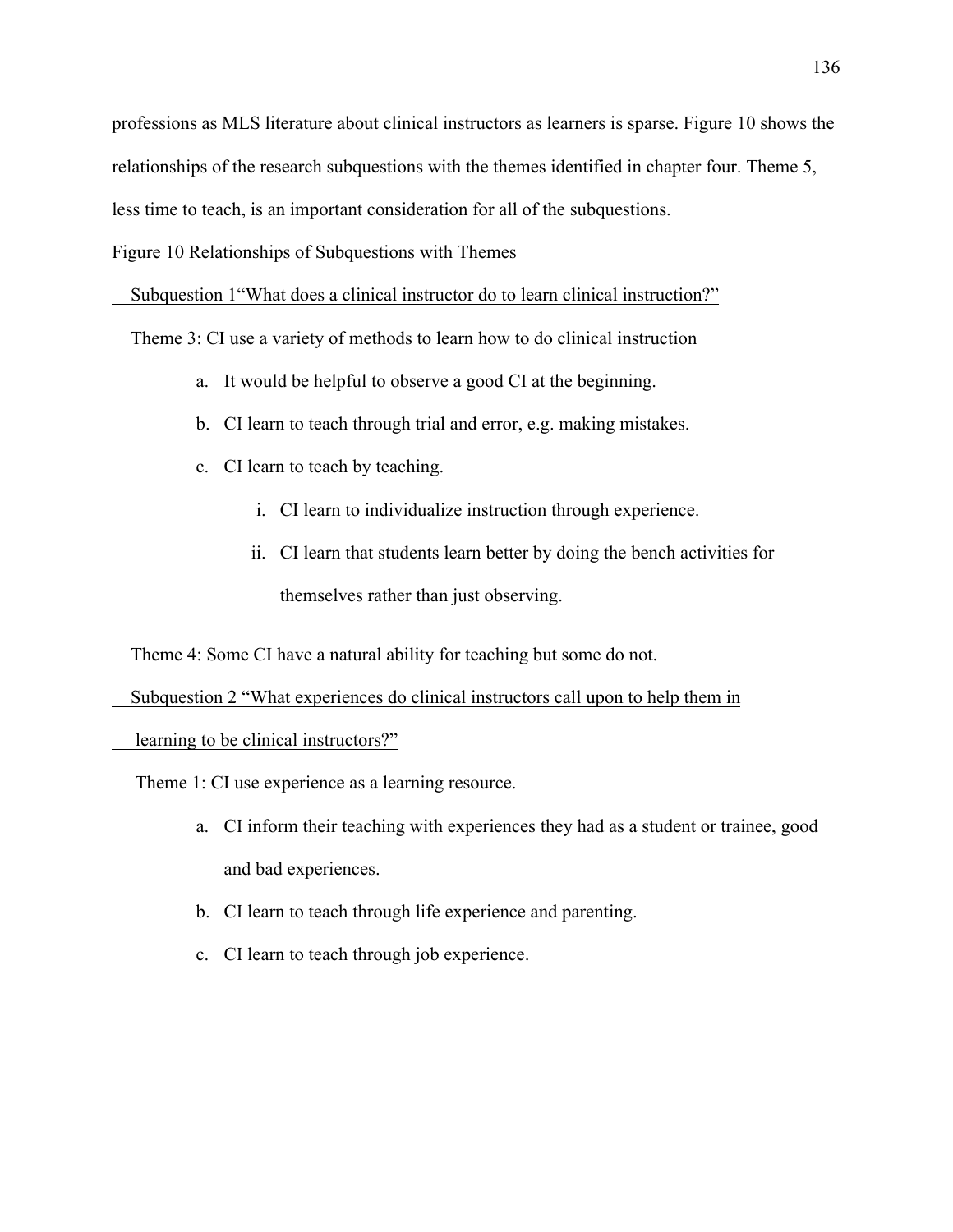professions as MLS literature about clinical instructors as learners is sparse. Figure 10 shows the

relationships of the research subquestions with the themes identified in chapter four. Theme 5,

less time to teach, is an important consideration for all of the subquestions.

Figure 10 Relationships of Subquestions with Themes

Subquestion 1"What does a clinical instructor do to learn clinical instruction?"

Theme 3: CI use a variety of methods to learn how to do clinical instruction

- a. It would be helpful to observe a good CI at the beginning.
- b. CI learn to teach through trial and error, e.g. making mistakes.
- c. CI learn to teach by teaching.
	- i. CI learn to individualize instruction through experience.
	- ii. CI learn that students learn better by doing the bench activities for themselves rather than just observing.

Theme 4: Some CI have a natural ability for teaching but some do not.

Subquestion 2 "What experiences do clinical instructors call upon to help them in

learning to be clinical instructors?"

Theme 1: CI use experience as a learning resource.

- a. CI inform their teaching with experiences they had as a student or trainee, good and bad experiences.
- b. CI learn to teach through life experience and parenting.
- c. CI learn to teach through job experience.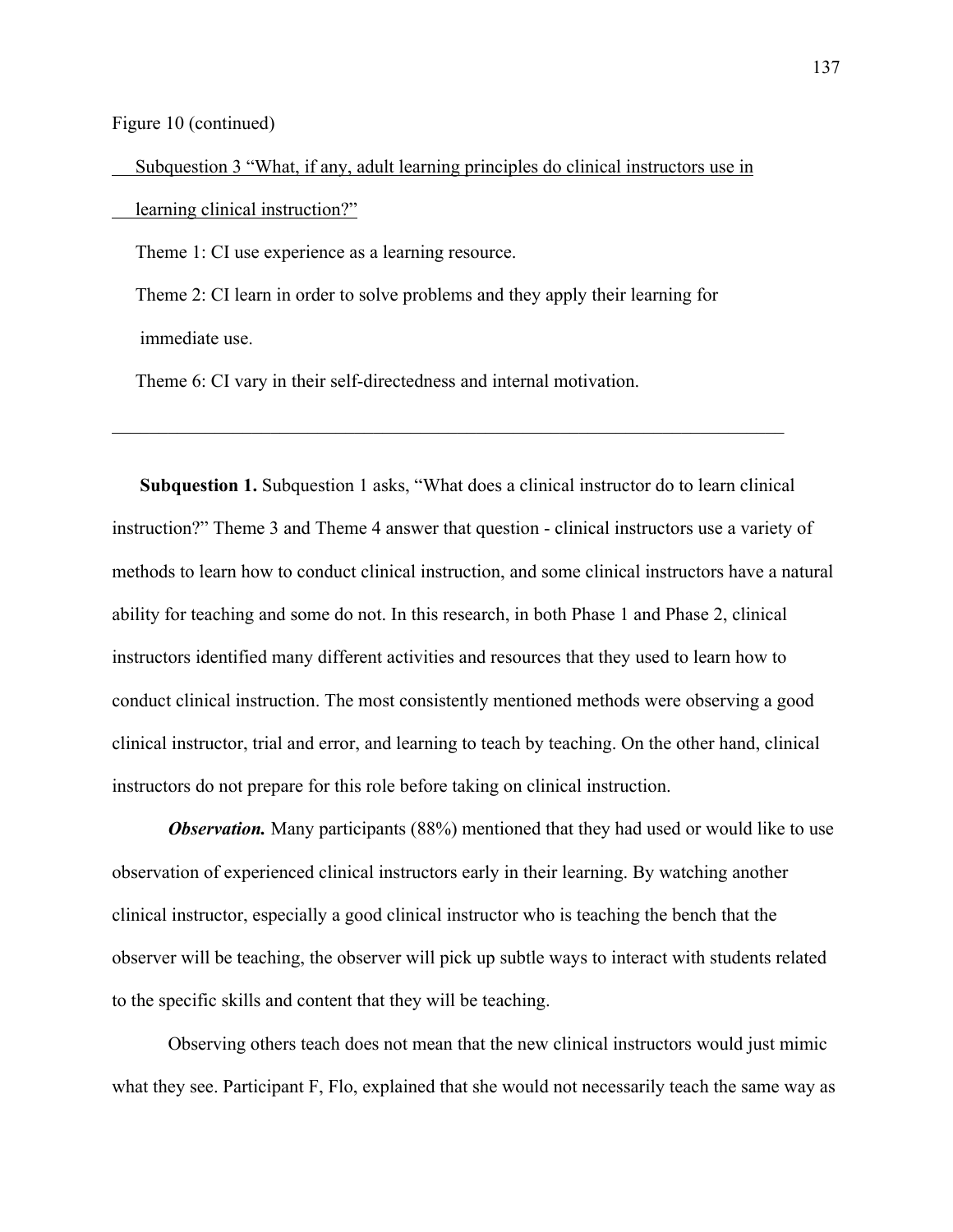Figure 10 (continued)

 Subquestion 3 "What, if any, adult learning principles do clinical instructors use in learning clinical instruction?"

Theme 1: CI use experience as a learning resource.

 Theme 2: CI learn in order to solve problems and they apply their learning for immediate use.

 $\_$ 

Theme 6: CI vary in their self-directedness and internal motivation.

**Subquestion 1.** Subquestion 1 asks, "What does a clinical instructor do to learn clinical instruction?" Theme 3 and Theme 4 answer that question - clinical instructors use a variety of methods to learn how to conduct clinical instruction, and some clinical instructors have a natural ability for teaching and some do not. In this research, in both Phase 1 and Phase 2, clinical instructors identified many different activities and resources that they used to learn how to conduct clinical instruction. The most consistently mentioned methods were observing a good clinical instructor, trial and error, and learning to teach by teaching. On the other hand, clinical instructors do not prepare for this role before taking on clinical instruction.

*Observation.* Many participants (88%) mentioned that they had used or would like to use observation of experienced clinical instructors early in their learning. By watching another clinical instructor, especially a good clinical instructor who is teaching the bench that the observer will be teaching, the observer will pick up subtle ways to interact with students related to the specific skills and content that they will be teaching.

Observing others teach does not mean that the new clinical instructors would just mimic what they see. Participant F, Flo, explained that she would not necessarily teach the same way as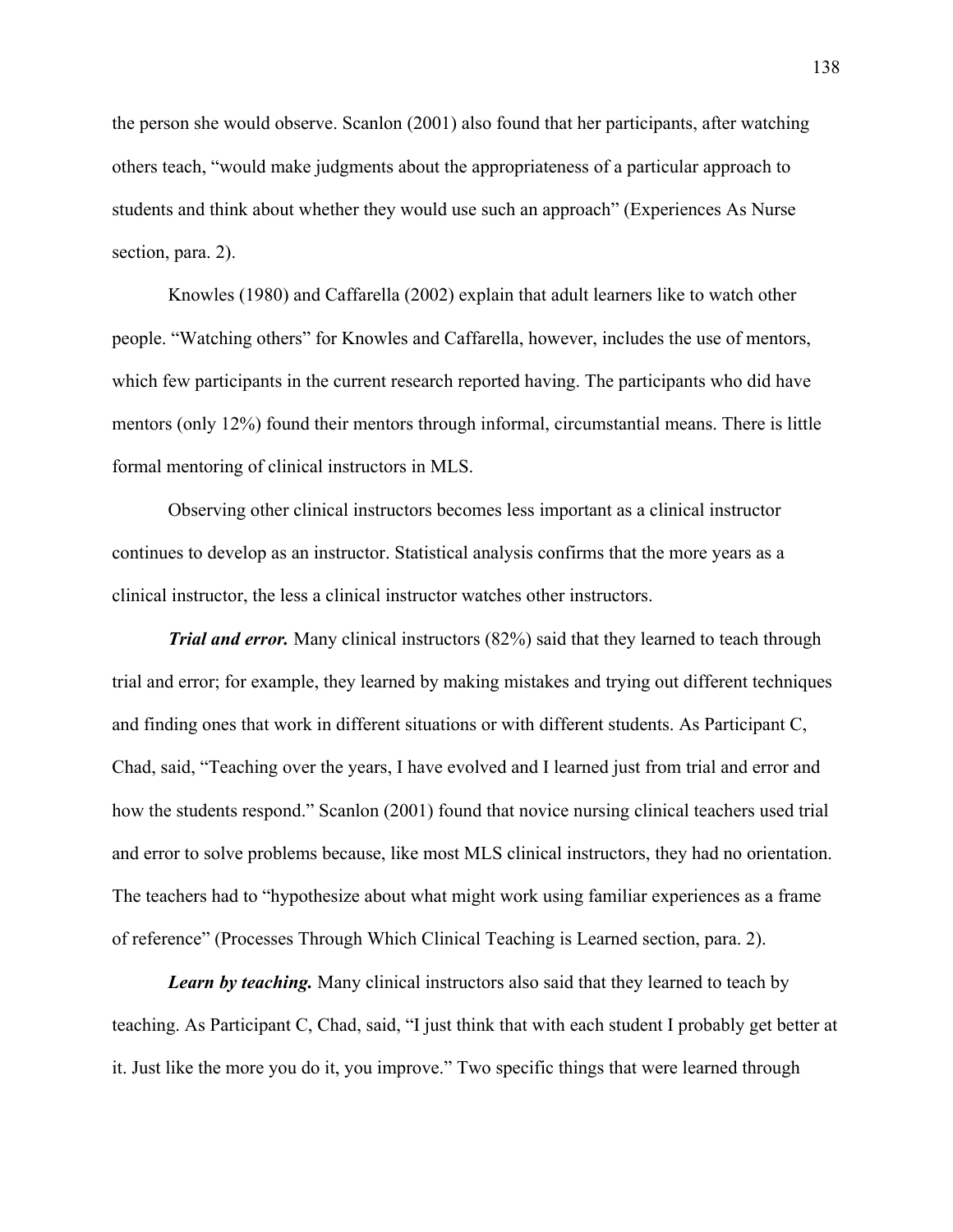the person she would observe. Scanlon (2001) also found that her participants, after watching others teach, "would make judgments about the appropriateness of a particular approach to students and think about whether they would use such an approach" (Experiences As Nurse section, para. 2).

Knowles (1980) and Caffarella (2002) explain that adult learners like to watch other people. "Watching others" for Knowles and Caffarella, however, includes the use of mentors, which few participants in the current research reported having. The participants who did have mentors (only 12%) found their mentors through informal, circumstantial means. There is little formal mentoring of clinical instructors in MLS.

Observing other clinical instructors becomes less important as a clinical instructor continues to develop as an instructor. Statistical analysis confirms that the more years as a clinical instructor, the less a clinical instructor watches other instructors.

*Trial and error.* Many clinical instructors (82%) said that they learned to teach through trial and error; for example, they learned by making mistakes and trying out different techniques and finding ones that work in different situations or with different students. As Participant C, Chad, said, "Teaching over the years, I have evolved and I learned just from trial and error and how the students respond." Scanlon (2001) found that novice nursing clinical teachers used trial and error to solve problems because, like most MLS clinical instructors, they had no orientation. The teachers had to "hypothesize about what might work using familiar experiences as a frame of reference" (Processes Through Which Clinical Teaching is Learned section, para. 2).

*Learn by teaching.* Many clinical instructors also said that they learned to teach by teaching. As Participant C, Chad, said, "I just think that with each student I probably get better at it. Just like the more you do it, you improve." Two specific things that were learned through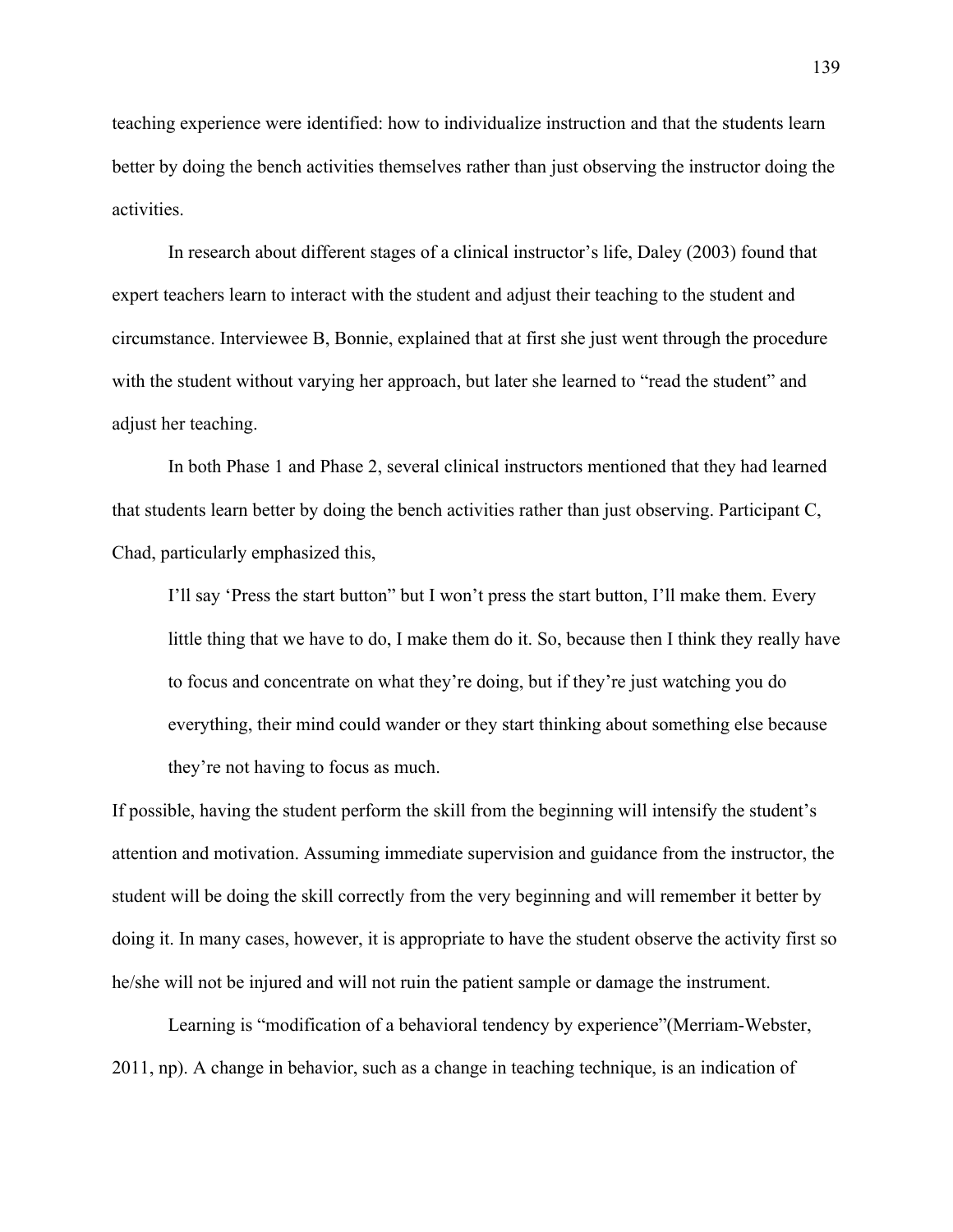teaching experience were identified: how to individualize instruction and that the students learn better by doing the bench activities themselves rather than just observing the instructor doing the activities.

In research about different stages of a clinical instructor's life, Daley (2003) found that expert teachers learn to interact with the student and adjust their teaching to the student and circumstance. Interviewee B, Bonnie, explained that at first she just went through the procedure with the student without varying her approach, but later she learned to "read the student" and adjust her teaching.

In both Phase 1 and Phase 2, several clinical instructors mentioned that they had learned that students learn better by doing the bench activities rather than just observing. Participant C, Chad, particularly emphasized this,

I'll say 'Press the start button" but I won't press the start button, I'll make them. Every little thing that we have to do, I make them do it. So, because then I think they really have to focus and concentrate on what they're doing, but if they're just watching you do everything, their mind could wander or they start thinking about something else because they're not having to focus as much.

If possible, having the student perform the skill from the beginning will intensify the student's attention and motivation. Assuming immediate supervision and guidance from the instructor, the student will be doing the skill correctly from the very beginning and will remember it better by doing it. In many cases, however, it is appropriate to have the student observe the activity first so he/she will not be injured and will not ruin the patient sample or damage the instrument.

Learning is "modification of a behavioral tendency by experience"(Merriam-Webster, 2011, np). A change in behavior, such as a change in teaching technique, is an indication of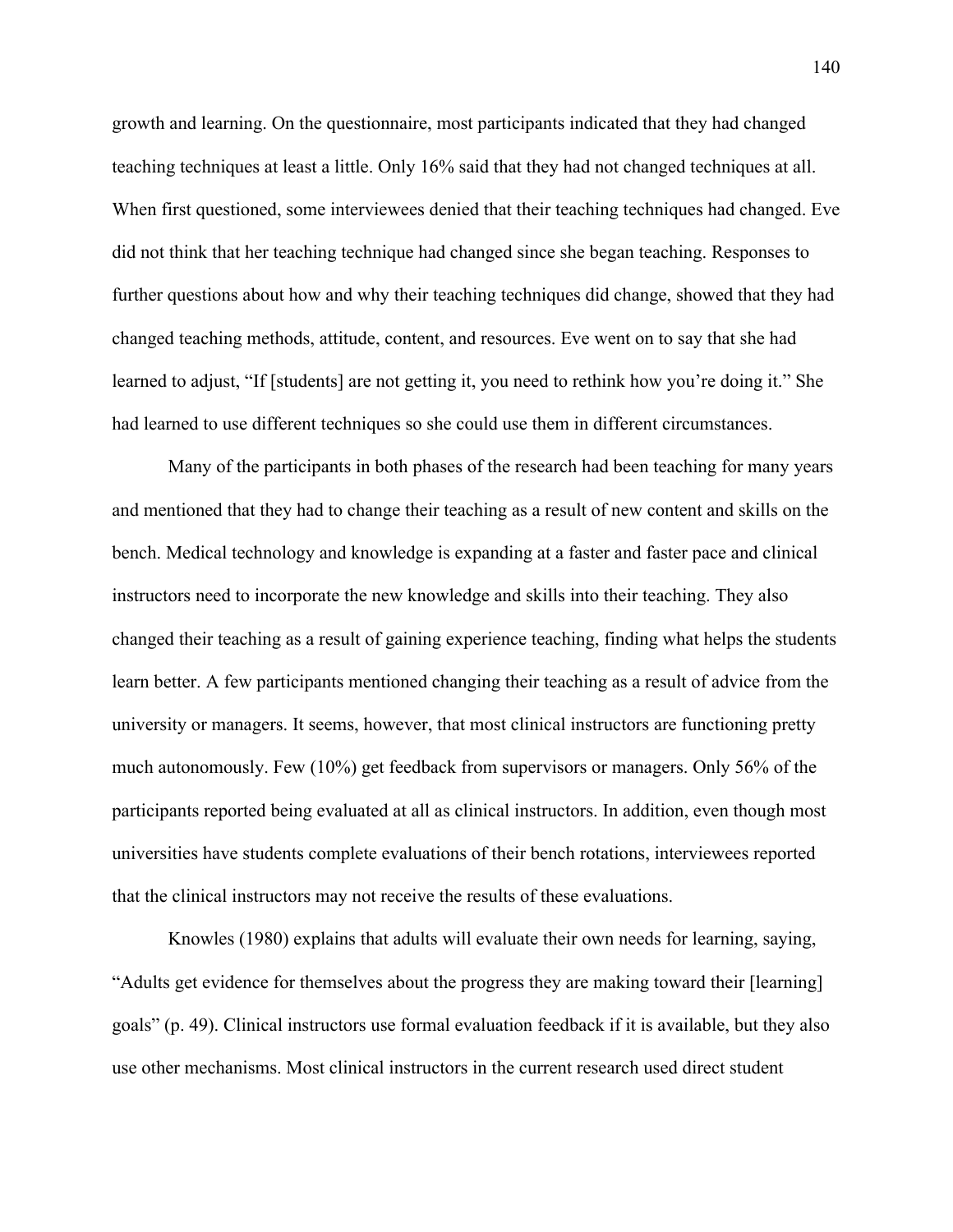growth and learning. On the questionnaire, most participants indicated that they had changed teaching techniques at least a little. Only 16% said that they had not changed techniques at all. When first questioned, some interviewees denied that their teaching techniques had changed. Eve did not think that her teaching technique had changed since she began teaching. Responses to further questions about how and why their teaching techniques did change, showed that they had changed teaching methods, attitude, content, and resources. Eve went on to say that she had learned to adjust, "If [students] are not getting it, you need to rethink how you're doing it." She had learned to use different techniques so she could use them in different circumstances.

Many of the participants in both phases of the research had been teaching for many years and mentioned that they had to change their teaching as a result of new content and skills on the bench. Medical technology and knowledge is expanding at a faster and faster pace and clinical instructors need to incorporate the new knowledge and skills into their teaching. They also changed their teaching as a result of gaining experience teaching, finding what helps the students learn better. A few participants mentioned changing their teaching as a result of advice from the university or managers. It seems, however, that most clinical instructors are functioning pretty much autonomously. Few (10%) get feedback from supervisors or managers. Only 56% of the participants reported being evaluated at all as clinical instructors. In addition, even though most universities have students complete evaluations of their bench rotations, interviewees reported that the clinical instructors may not receive the results of these evaluations.

Knowles (1980) explains that adults will evaluate their own needs for learning, saying, "Adults get evidence for themselves about the progress they are making toward their [learning] goals" (p. 49). Clinical instructors use formal evaluation feedback if it is available, but they also use other mechanisms. Most clinical instructors in the current research used direct student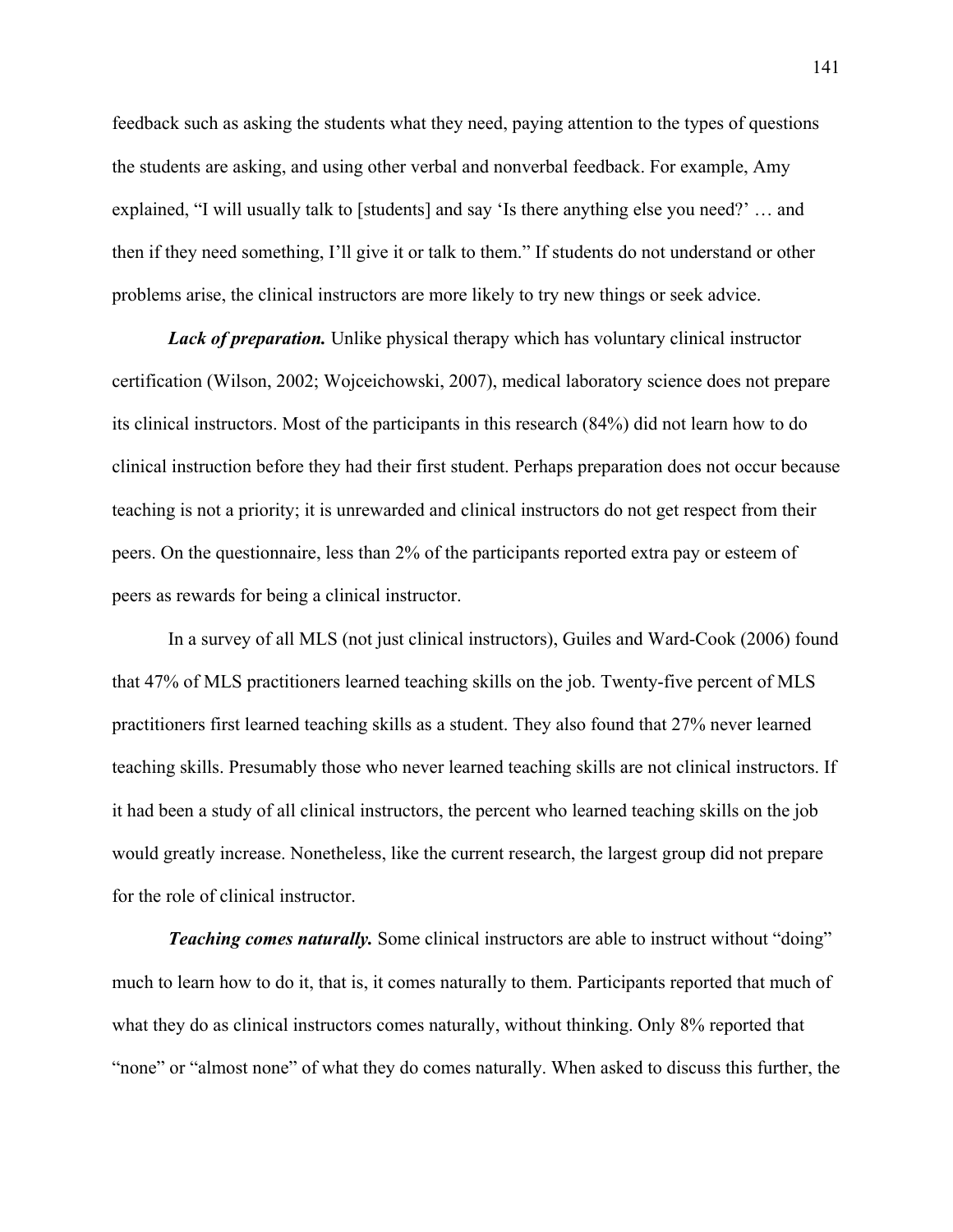feedback such as asking the students what they need, paying attention to the types of questions the students are asking, and using other verbal and nonverbal feedback. For example, Amy explained, "I will usually talk to [students] and say 'Is there anything else you need?' … and then if they need something, I'll give it or talk to them." If students do not understand or other problems arise, the clinical instructors are more likely to try new things or seek advice.

**Lack of preparation.** Unlike physical therapy which has voluntary clinical instructor certification (Wilson, 2002; Wojceichowski, 2007), medical laboratory science does not prepare its clinical instructors. Most of the participants in this research (84%) did not learn how to do clinical instruction before they had their first student. Perhaps preparation does not occur because teaching is not a priority; it is unrewarded and clinical instructors do not get respect from their peers. On the questionnaire, less than 2% of the participants reported extra pay or esteem of peers as rewards for being a clinical instructor.

In a survey of all MLS (not just clinical instructors), Guiles and Ward-Cook (2006) found that 47% of MLS practitioners learned teaching skills on the job. Twenty-five percent of MLS practitioners first learned teaching skills as a student. They also found that 27% never learned teaching skills. Presumably those who never learned teaching skills are not clinical instructors. If it had been a study of all clinical instructors, the percent who learned teaching skills on the job would greatly increase. Nonetheless, like the current research, the largest group did not prepare for the role of clinical instructor.

**Teaching comes naturally.** Some clinical instructors are able to instruct without "doing" much to learn how to do it, that is, it comes naturally to them. Participants reported that much of what they do as clinical instructors comes naturally, without thinking. Only 8% reported that "none" or "almost none" of what they do comes naturally. When asked to discuss this further, the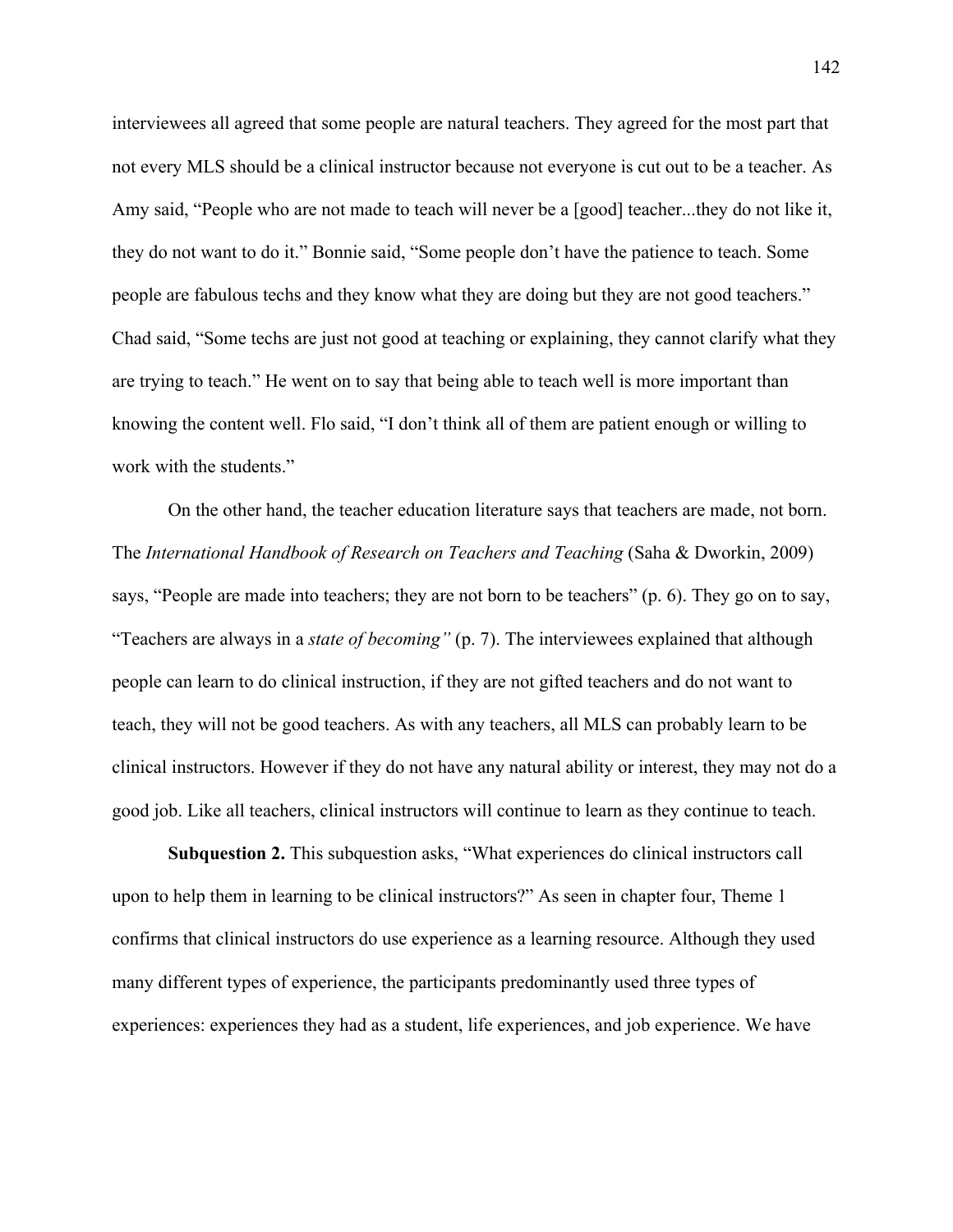interviewees all agreed that some people are natural teachers. They agreed for the most part that not every MLS should be a clinical instructor because not everyone is cut out to be a teacher. As Amy said, "People who are not made to teach will never be a [good] teacher...they do not like it, they do not want to do it." Bonnie said, "Some people don't have the patience to teach. Some people are fabulous techs and they know what they are doing but they are not good teachers." Chad said, "Some techs are just not good at teaching or explaining, they cannot clarify what they are trying to teach." He went on to say that being able to teach well is more important than knowing the content well. Flo said, "I don't think all of them are patient enough or willing to work with the students."

On the other hand, the teacher education literature says that teachers are made, not born. The *International Handbook of Research on Teachers and Teaching* (Saha & Dworkin, 2009) says, "People are made into teachers; they are not born to be teachers" (p. 6). They go on to say, "Teachers are always in a *state of becoming"* (p. 7). The interviewees explained that although people can learn to do clinical instruction, if they are not gifted teachers and do not want to teach, they will not be good teachers. As with any teachers, all MLS can probably learn to be clinical instructors. However if they do not have any natural ability or interest, they may not do a good job. Like all teachers, clinical instructors will continue to learn as they continue to teach.

**Subquestion 2.** This subquestion asks, "What experiences do clinical instructors call upon to help them in learning to be clinical instructors?" As seen in chapter four, Theme 1 confirms that clinical instructors do use experience as a learning resource. Although they used many different types of experience, the participants predominantly used three types of experiences: experiences they had as a student, life experiences, and job experience. We have

142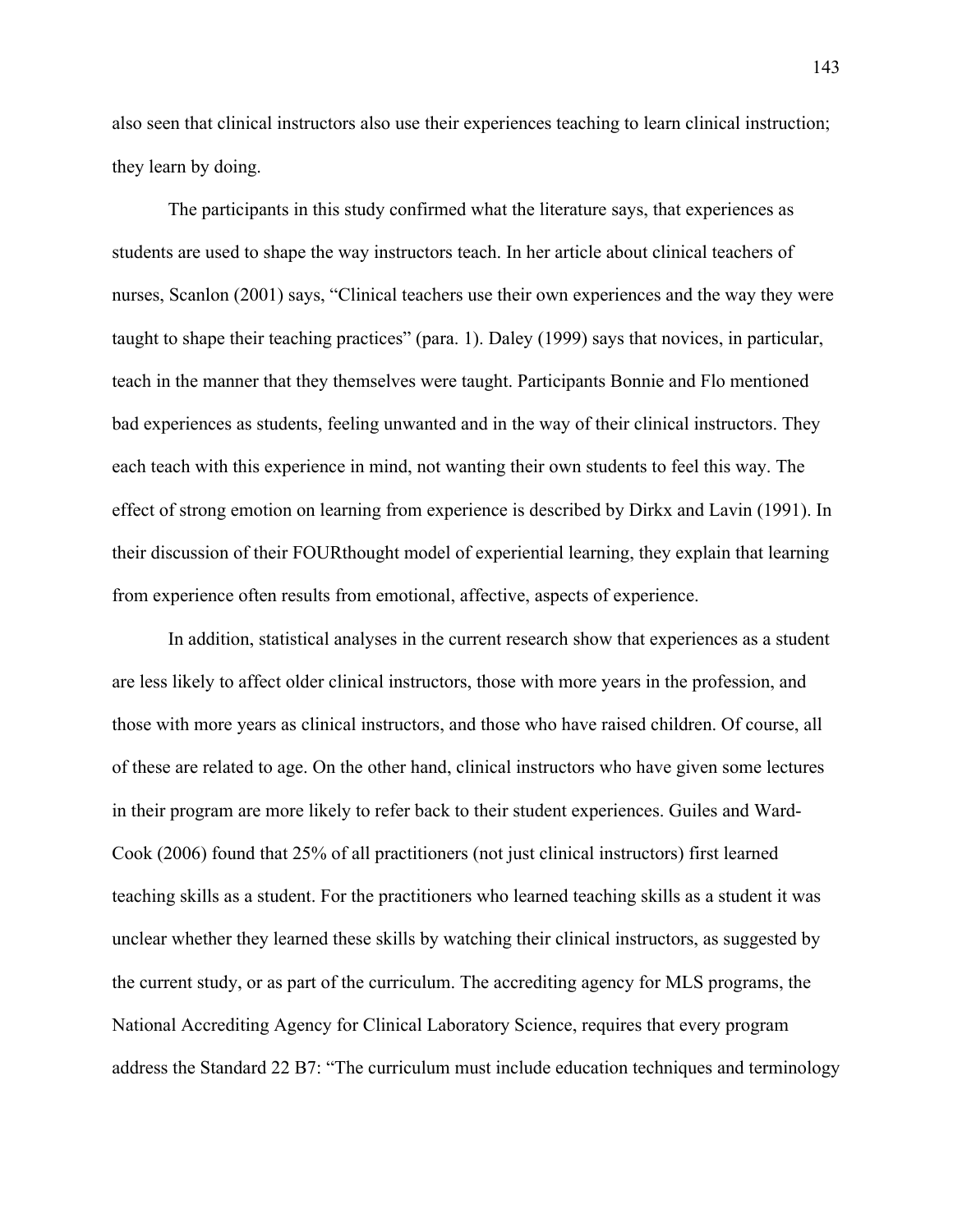also seen that clinical instructors also use their experiences teaching to learn clinical instruction; they learn by doing.

The participants in this study confirmed what the literature says, that experiences as students are used to shape the way instructors teach. In her article about clinical teachers of nurses, Scanlon (2001) says, "Clinical teachers use their own experiences and the way they were taught to shape their teaching practices" (para. 1). Daley (1999) says that novices, in particular, teach in the manner that they themselves were taught. Participants Bonnie and Flo mentioned bad experiences as students, feeling unwanted and in the way of their clinical instructors. They each teach with this experience in mind, not wanting their own students to feel this way. The effect of strong emotion on learning from experience is described by Dirkx and Lavin (1991). In their discussion of their FOURthought model of experiential learning, they explain that learning from experience often results from emotional, affective, aspects of experience.

In addition, statistical analyses in the current research show that experiences as a student are less likely to affect older clinical instructors, those with more years in the profession, and those with more years as clinical instructors, and those who have raised children. Of course, all of these are related to age. On the other hand, clinical instructors who have given some lectures in their program are more likely to refer back to their student experiences. Guiles and Ward-Cook (2006) found that 25% of all practitioners (not just clinical instructors) first learned teaching skills as a student. For the practitioners who learned teaching skills as a student it was unclear whether they learned these skills by watching their clinical instructors, as suggested by the current study, or as part of the curriculum. The accrediting agency for MLS programs, the National Accrediting Agency for Clinical Laboratory Science, requires that every program address the Standard 22 B7: "The curriculum must include education techniques and terminology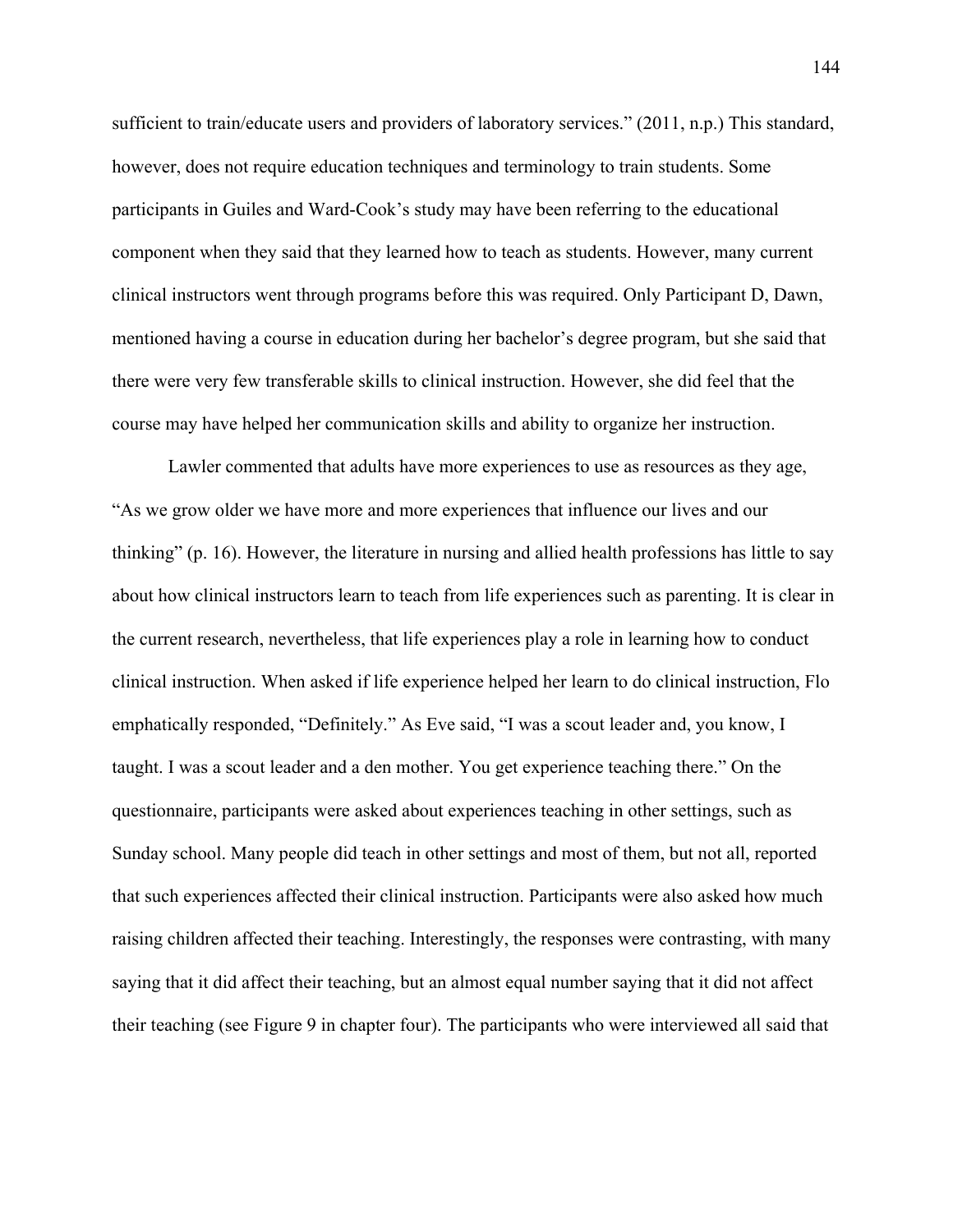sufficient to train/educate users and providers of laboratory services." (2011, n.p.) This standard, however, does not require education techniques and terminology to train students. Some participants in Guiles and Ward-Cook's study may have been referring to the educational component when they said that they learned how to teach as students. However, many current clinical instructors went through programs before this was required. Only Participant D, Dawn, mentioned having a course in education during her bachelor's degree program, but she said that there were very few transferable skills to clinical instruction. However, she did feel that the course may have helped her communication skills and ability to organize her instruction.

 Lawler commented that adults have more experiences to use as resources as they age, "As we grow older we have more and more experiences that influence our lives and our thinking" (p. 16). However, the literature in nursing and allied health professions has little to say about how clinical instructors learn to teach from life experiences such as parenting. It is clear in the current research, nevertheless, that life experiences play a role in learning how to conduct clinical instruction. When asked if life experience helped her learn to do clinical instruction, Flo emphatically responded, "Definitely." As Eve said, "I was a scout leader and, you know, I taught. I was a scout leader and a den mother. You get experience teaching there." On the questionnaire, participants were asked about experiences teaching in other settings, such as Sunday school. Many people did teach in other settings and most of them, but not all, reported that such experiences affected their clinical instruction. Participants were also asked how much raising children affected their teaching. Interestingly, the responses were contrasting, with many saying that it did affect their teaching, but an almost equal number saying that it did not affect their teaching (see Figure 9 in chapter four). The participants who were interviewed all said that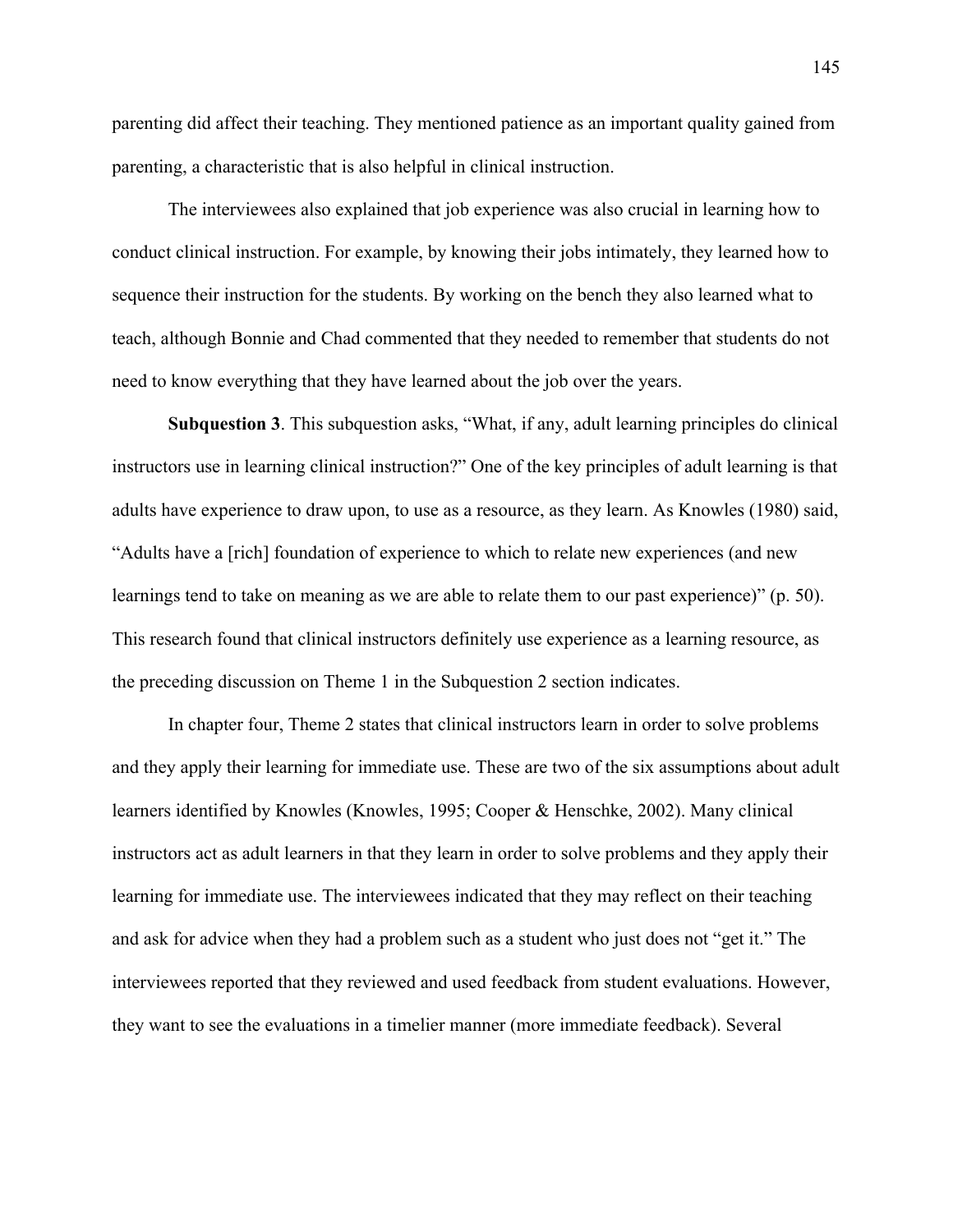parenting did affect their teaching. They mentioned patience as an important quality gained from parenting, a characteristic that is also helpful in clinical instruction.

The interviewees also explained that job experience was also crucial in learning how to conduct clinical instruction. For example, by knowing their jobs intimately, they learned how to sequence their instruction for the students. By working on the bench they also learned what to teach, although Bonnie and Chad commented that they needed to remember that students do not need to know everything that they have learned about the job over the years.

**Subquestion 3**. This subquestion asks, "What, if any, adult learning principles do clinical instructors use in learning clinical instruction?" One of the key principles of adult learning is that adults have experience to draw upon, to use as a resource, as they learn. As Knowles (1980) said, "Adults have a [rich] foundation of experience to which to relate new experiences (and new learnings tend to take on meaning as we are able to relate them to our past experience)" (p. 50). This research found that clinical instructors definitely use experience as a learning resource, as the preceding discussion on Theme 1 in the Subquestion 2 section indicates.

In chapter four, Theme 2 states that clinical instructors learn in order to solve problems and they apply their learning for immediate use. These are two of the six assumptions about adult learners identified by Knowles (Knowles, 1995; Cooper & Henschke, 2002). Many clinical instructors act as adult learners in that they learn in order to solve problems and they apply their learning for immediate use. The interviewees indicated that they may reflect on their teaching and ask for advice when they had a problem such as a student who just does not "get it." The interviewees reported that they reviewed and used feedback from student evaluations. However, they want to see the evaluations in a timelier manner (more immediate feedback). Several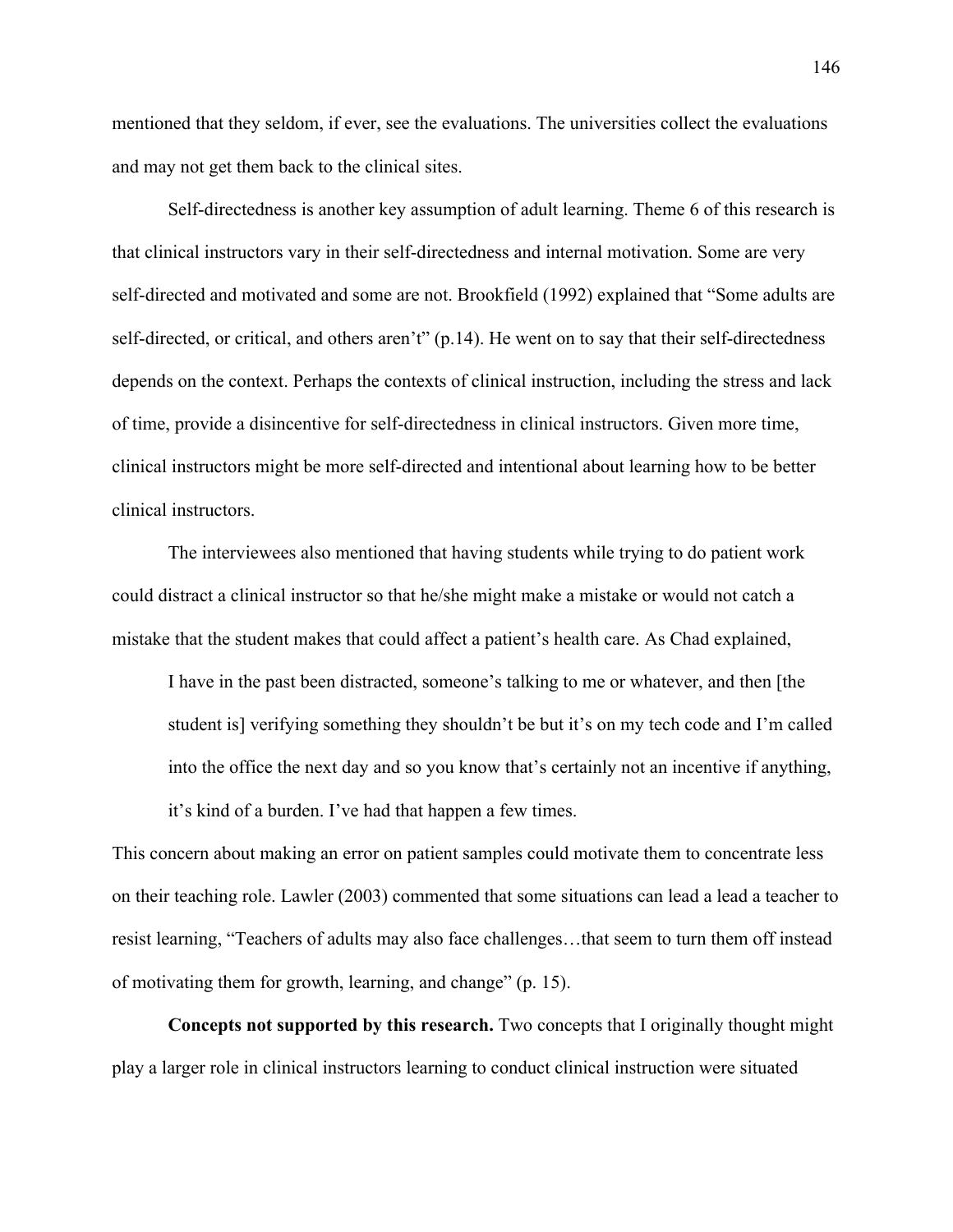mentioned that they seldom, if ever, see the evaluations. The universities collect the evaluations and may not get them back to the clinical sites.

Self-directedness is another key assumption of adult learning. Theme 6 of this research is that clinical instructors vary in their self-directedness and internal motivation. Some are very self-directed and motivated and some are not. Brookfield (1992) explained that "Some adults are self-directed, or critical, and others aren't" (p.14). He went on to say that their self-directedness depends on the context. Perhaps the contexts of clinical instruction, including the stress and lack of time, provide a disincentive for self-directedness in clinical instructors. Given more time, clinical instructors might be more self-directed and intentional about learning how to be better clinical instructors.

The interviewees also mentioned that having students while trying to do patient work could distract a clinical instructor so that he/she might make a mistake or would not catch a mistake that the student makes that could affect a patient's health care. As Chad explained,

I have in the past been distracted, someone's talking to me or whatever, and then [the student is] verifying something they shouldn't be but it's on my tech code and I'm called into the office the next day and so you know that's certainly not an incentive if anything, it's kind of a burden. I've had that happen a few times.

This concern about making an error on patient samples could motivate them to concentrate less on their teaching role. Lawler (2003) commented that some situations can lead a lead a teacher to resist learning, "Teachers of adults may also face challenges…that seem to turn them off instead of motivating them for growth, learning, and change" (p. 15).

**Concepts not supported by this research.** Two concepts that I originally thought might play a larger role in clinical instructors learning to conduct clinical instruction were situated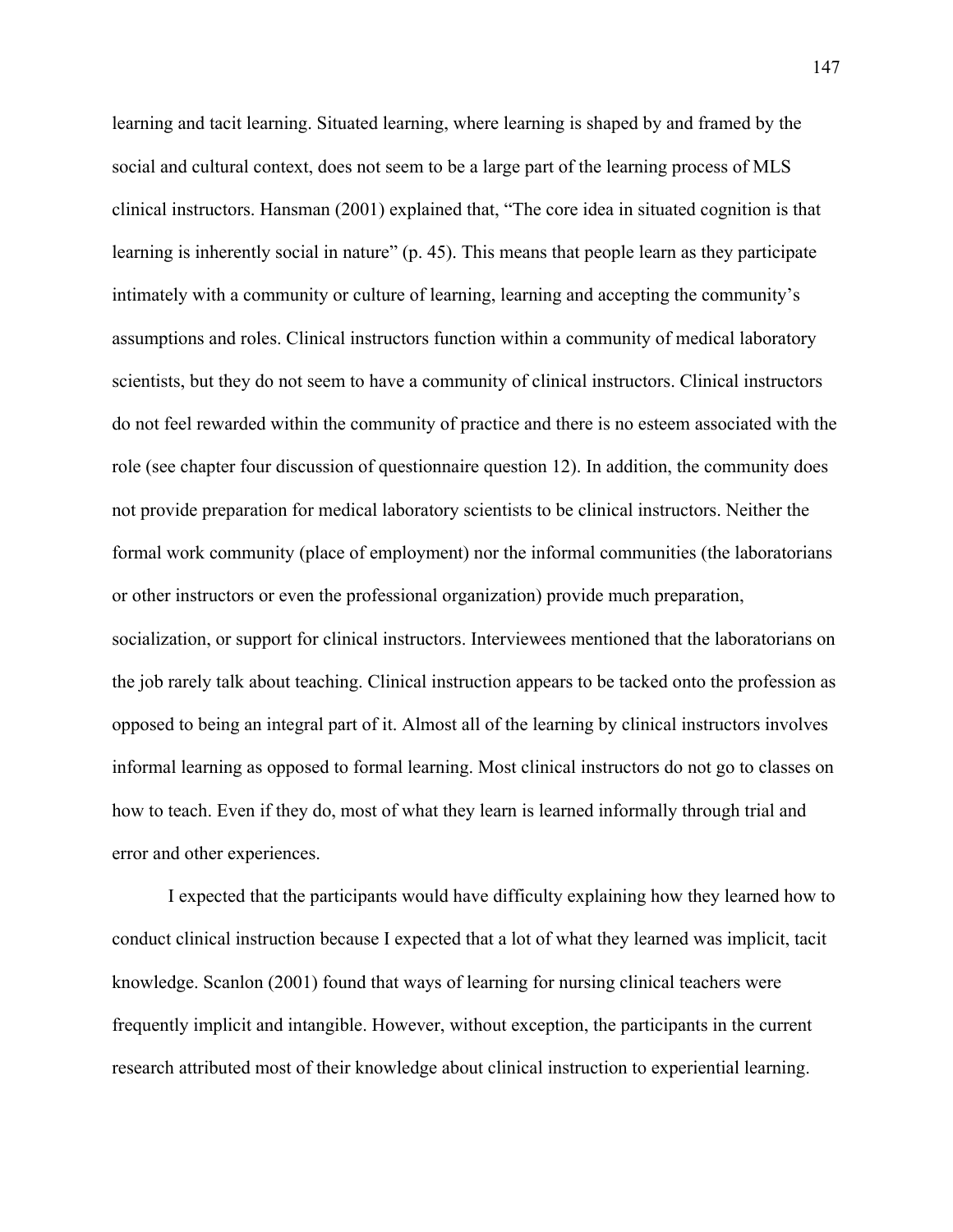learning and tacit learning. Situated learning, where learning is shaped by and framed by the social and cultural context, does not seem to be a large part of the learning process of MLS clinical instructors. Hansman (2001) explained that, "The core idea in situated cognition is that learning is inherently social in nature" (p. 45). This means that people learn as they participate intimately with a community or culture of learning, learning and accepting the community's assumptions and roles. Clinical instructors function within a community of medical laboratory scientists, but they do not seem to have a community of clinical instructors. Clinical instructors do not feel rewarded within the community of practice and there is no esteem associated with the role (see chapter four discussion of questionnaire question 12). In addition, the community does not provide preparation for medical laboratory scientists to be clinical instructors. Neither the formal work community (place of employment) nor the informal communities (the laboratorians or other instructors or even the professional organization) provide much preparation, socialization, or support for clinical instructors. Interviewees mentioned that the laboratorians on the job rarely talk about teaching. Clinical instruction appears to be tacked onto the profession as opposed to being an integral part of it. Almost all of the learning by clinical instructors involves informal learning as opposed to formal learning. Most clinical instructors do not go to classes on how to teach. Even if they do, most of what they learn is learned informally through trial and error and other experiences.

I expected that the participants would have difficulty explaining how they learned how to conduct clinical instruction because I expected that a lot of what they learned was implicit, tacit knowledge. Scanlon (2001) found that ways of learning for nursing clinical teachers were frequently implicit and intangible. However, without exception, the participants in the current research attributed most of their knowledge about clinical instruction to experiential learning.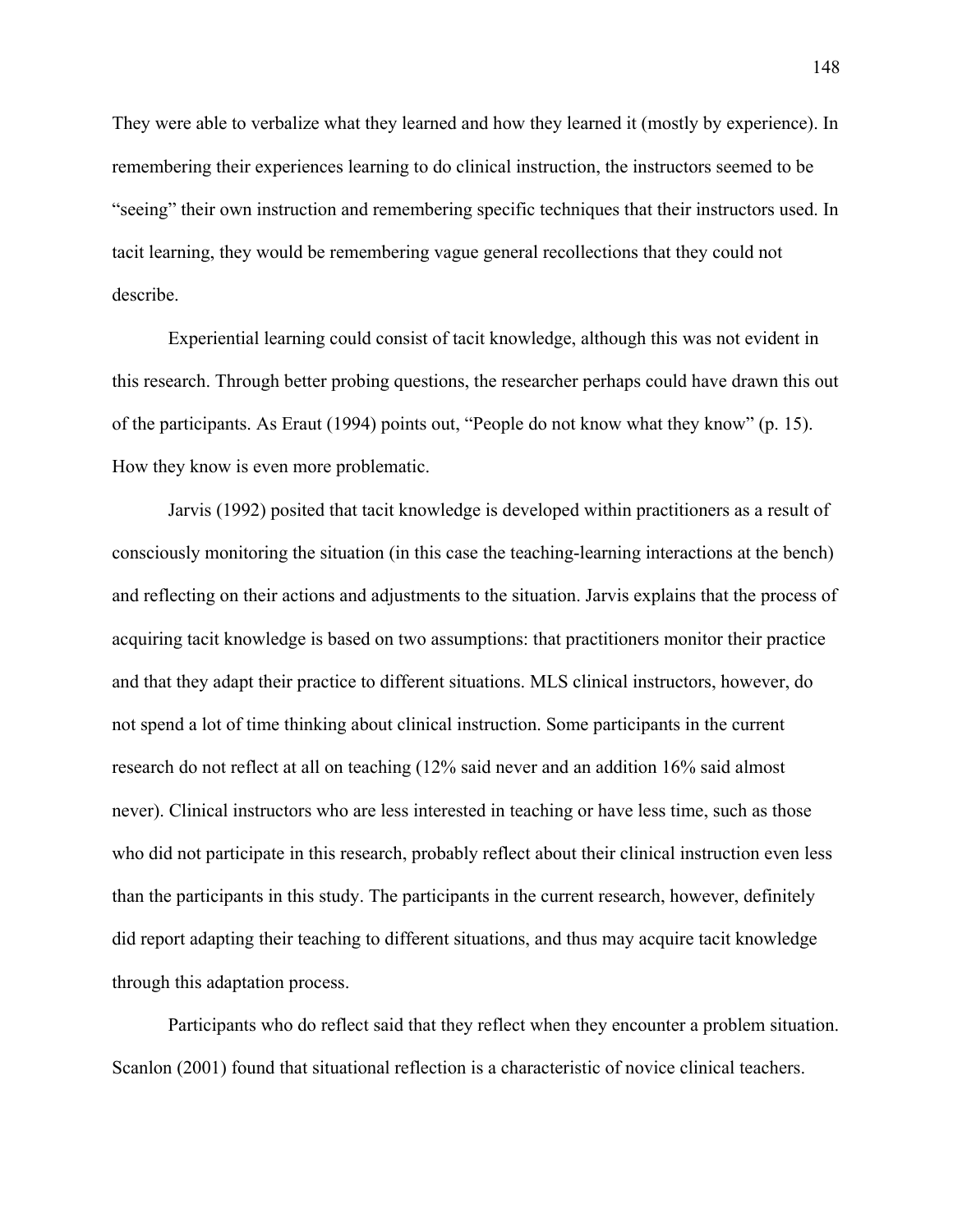They were able to verbalize what they learned and how they learned it (mostly by experience). In remembering their experiences learning to do clinical instruction, the instructors seemed to be "seeing" their own instruction and remembering specific techniques that their instructors used. In tacit learning, they would be remembering vague general recollections that they could not describe.

Experiential learning could consist of tacit knowledge, although this was not evident in this research. Through better probing questions, the researcher perhaps could have drawn this out of the participants. As Eraut (1994) points out, "People do not know what they know" (p. 15). How they know is even more problematic.

Jarvis (1992) posited that tacit knowledge is developed within practitioners as a result of consciously monitoring the situation (in this case the teaching-learning interactions at the bench) and reflecting on their actions and adjustments to the situation. Jarvis explains that the process of acquiring tacit knowledge is based on two assumptions: that practitioners monitor their practice and that they adapt their practice to different situations. MLS clinical instructors, however, do not spend a lot of time thinking about clinical instruction. Some participants in the current research do not reflect at all on teaching (12% said never and an addition 16% said almost never). Clinical instructors who are less interested in teaching or have less time, such as those who did not participate in this research, probably reflect about their clinical instruction even less than the participants in this study. The participants in the current research, however, definitely did report adapting their teaching to different situations, and thus may acquire tacit knowledge through this adaptation process.

Participants who do reflect said that they reflect when they encounter a problem situation. Scanlon (2001) found that situational reflection is a characteristic of novice clinical teachers.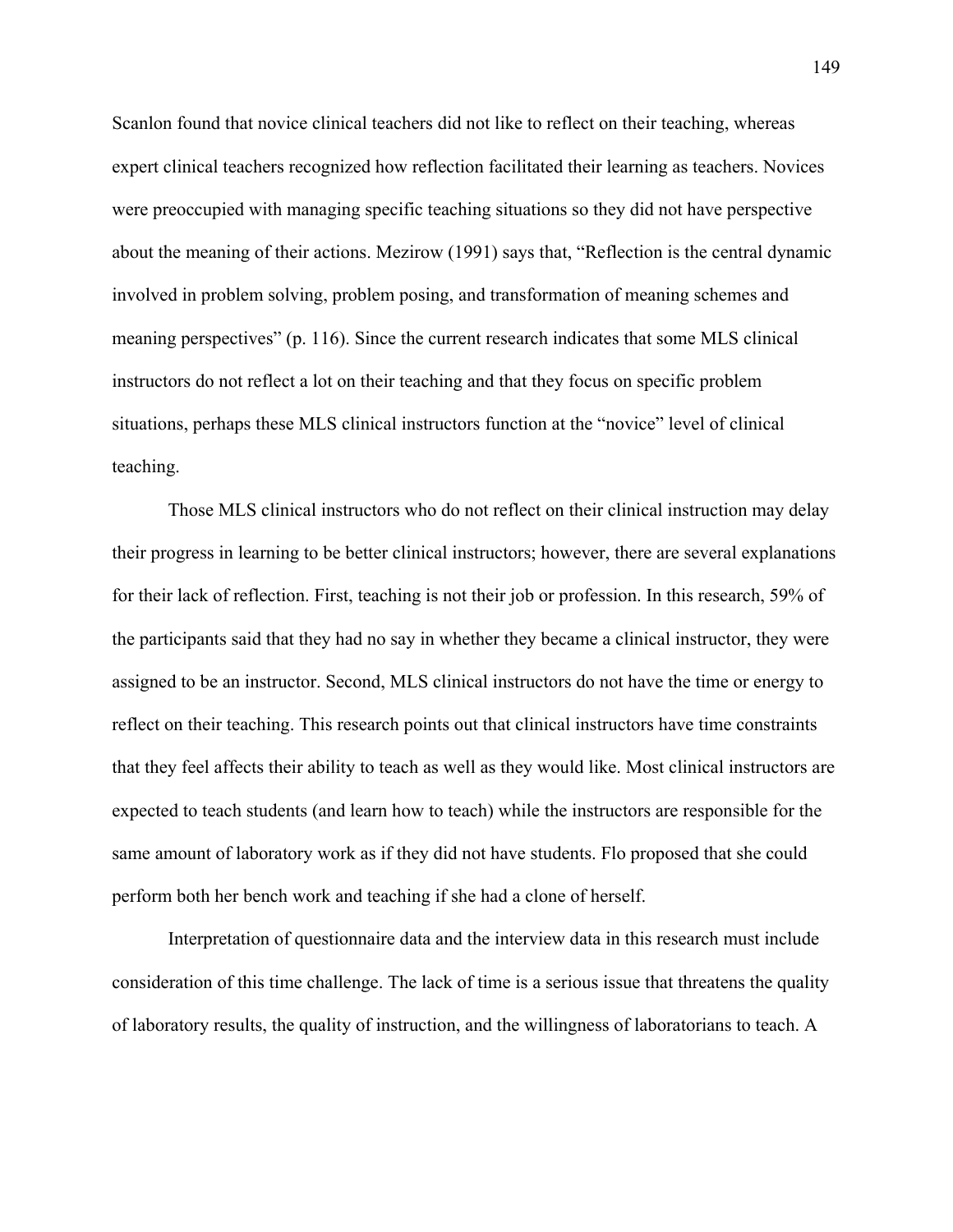Scanlon found that novice clinical teachers did not like to reflect on their teaching, whereas expert clinical teachers recognized how reflection facilitated their learning as teachers. Novices were preoccupied with managing specific teaching situations so they did not have perspective about the meaning of their actions. Mezirow (1991) says that, "Reflection is the central dynamic involved in problem solving, problem posing, and transformation of meaning schemes and meaning perspectives" (p. 116). Since the current research indicates that some MLS clinical instructors do not reflect a lot on their teaching and that they focus on specific problem situations, perhaps these MLS clinical instructors function at the "novice" level of clinical teaching.

Those MLS clinical instructors who do not reflect on their clinical instruction may delay their progress in learning to be better clinical instructors; however, there are several explanations for their lack of reflection. First, teaching is not their job or profession. In this research, 59% of the participants said that they had no say in whether they became a clinical instructor, they were assigned to be an instructor. Second, MLS clinical instructors do not have the time or energy to reflect on their teaching. This research points out that clinical instructors have time constraints that they feel affects their ability to teach as well as they would like. Most clinical instructors are expected to teach students (and learn how to teach) while the instructors are responsible for the same amount of laboratory work as if they did not have students. Flo proposed that she could perform both her bench work and teaching if she had a clone of herself.

Interpretation of questionnaire data and the interview data in this research must include consideration of this time challenge. The lack of time is a serious issue that threatens the quality of laboratory results, the quality of instruction, and the willingness of laboratorians to teach. A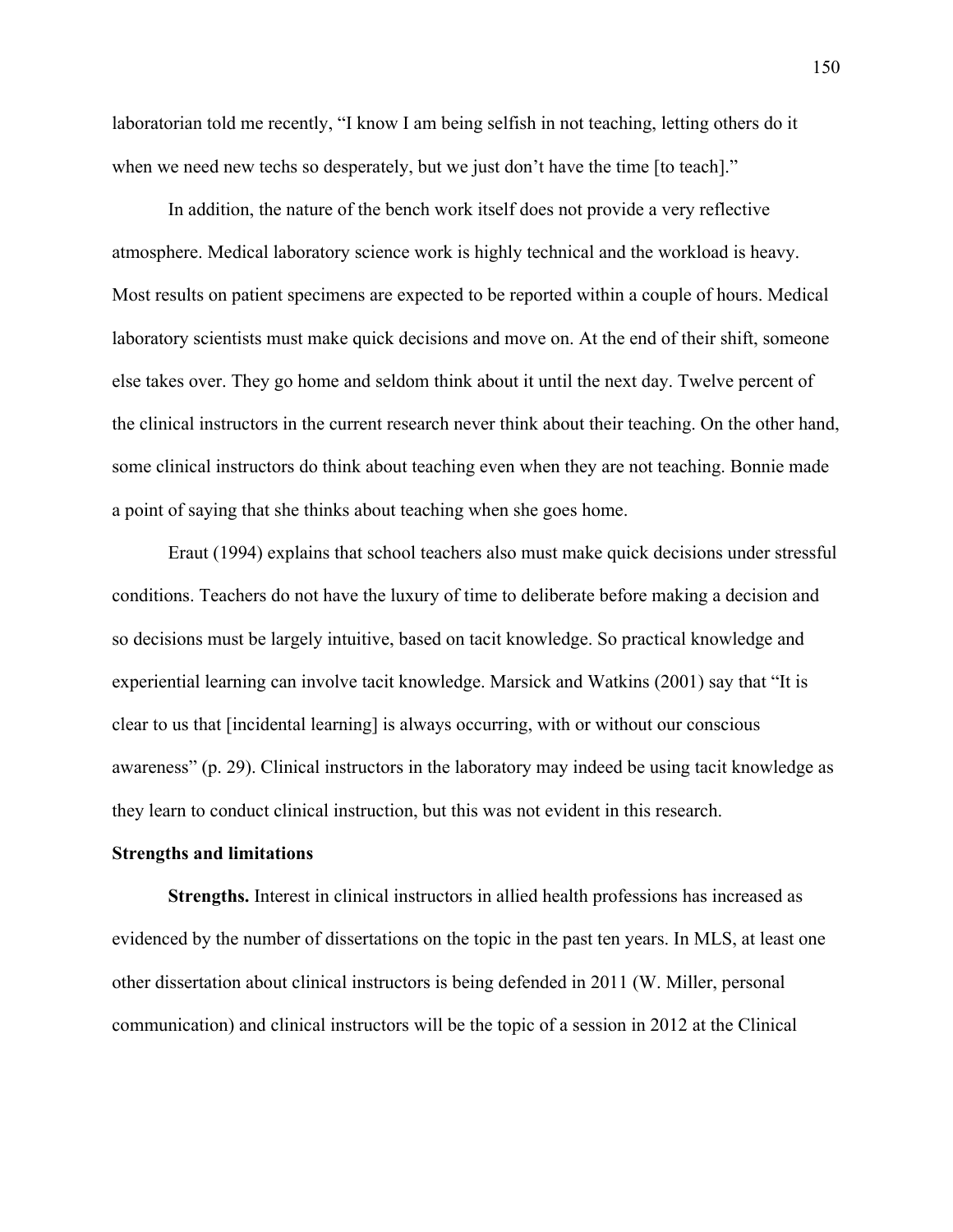laboratorian told me recently, "I know I am being selfish in not teaching, letting others do it when we need new techs so desperately, but we just don't have the time [to teach]."

In addition, the nature of the bench work itself does not provide a very reflective atmosphere. Medical laboratory science work is highly technical and the workload is heavy. Most results on patient specimens are expected to be reported within a couple of hours. Medical laboratory scientists must make quick decisions and move on. At the end of their shift, someone else takes over. They go home and seldom think about it until the next day. Twelve percent of the clinical instructors in the current research never think about their teaching. On the other hand, some clinical instructors do think about teaching even when they are not teaching. Bonnie made a point of saying that she thinks about teaching when she goes home.

Eraut (1994) explains that school teachers also must make quick decisions under stressful conditions. Teachers do not have the luxury of time to deliberate before making a decision and so decisions must be largely intuitive, based on tacit knowledge. So practical knowledge and experiential learning can involve tacit knowledge. Marsick and Watkins (2001) say that "It is clear to us that [incidental learning] is always occurring, with or without our conscious awareness" (p. 29). Clinical instructors in the laboratory may indeed be using tacit knowledge as they learn to conduct clinical instruction, but this was not evident in this research.

### **Strengths and limitations**

**Strengths.** Interest in clinical instructors in allied health professions has increased as evidenced by the number of dissertations on the topic in the past ten years. In MLS, at least one other dissertation about clinical instructors is being defended in 2011 (W. Miller, personal communication) and clinical instructors will be the topic of a session in 2012 at the Clinical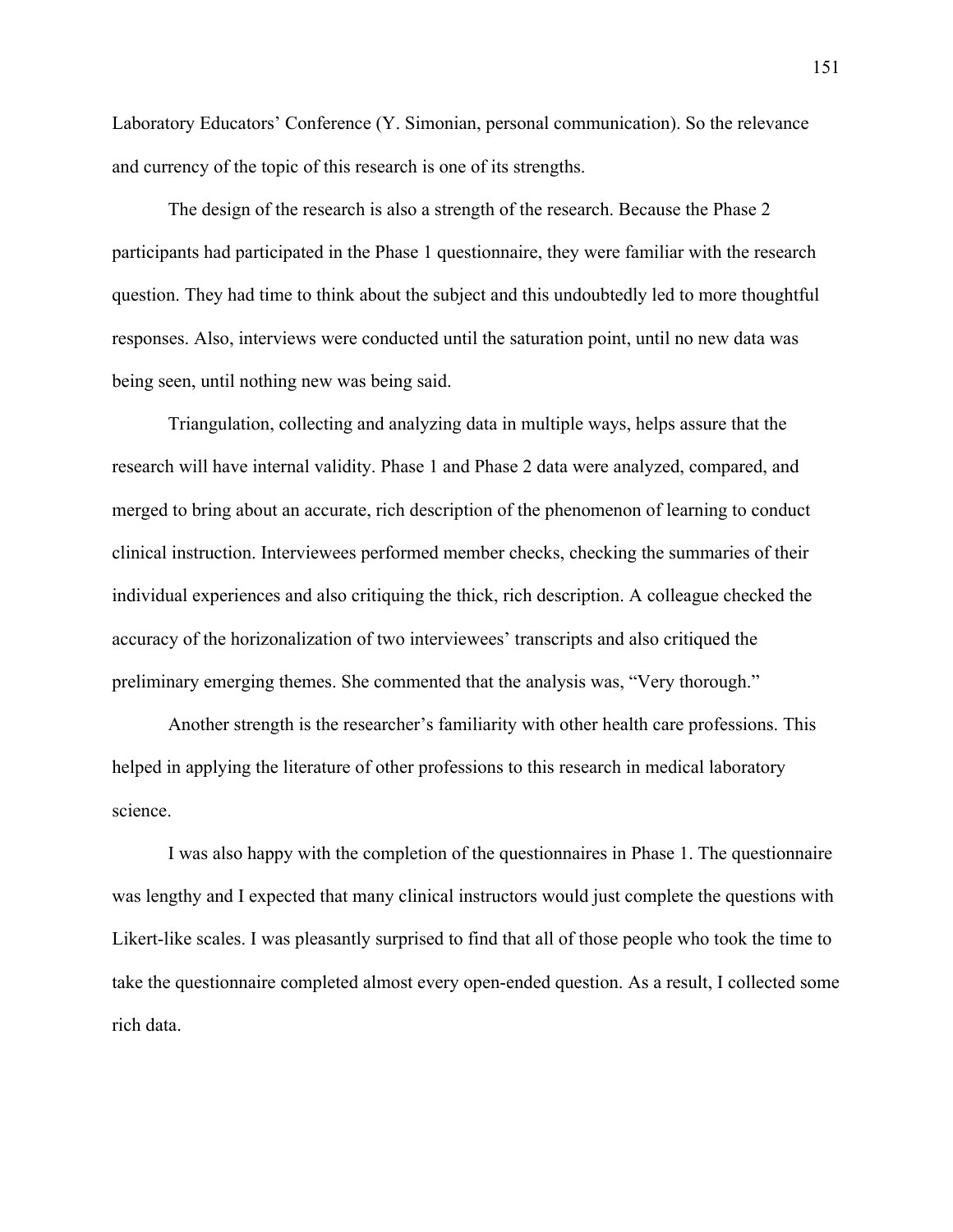Laboratory Educators' Conference (Y. Simonian, personal communication). So the relevance and currency of the topic of this research is one of its strengths.

The design of the research is also a strength of the research. Because the Phase 2 participants had participated in the Phase 1 questionnaire, they were familiar with the research question. They had time to think about the subject and this undoubtedly led to more thoughtful responses. Also, interviews were conducted until the saturation point, until no new data was being seen, until nothing new was being said.

Triangulation, collecting and analyzing data in multiple ways, helps assure that the research will have internal validity. Phase 1 and Phase 2 data were analyzed, compared, and merged to bring about an accurate, rich description of the phenomenon of learning to conduct clinical instruction. Interviewees performed member checks, checking the summaries of their individual experiences and also critiquing the thick, rich description. A colleague checked the accuracy of the horizonalization of two interviewees' transcripts and also critiqued the preliminary emerging themes. She commented that the analysis was, "Very thorough."

Another strength is the researcher's familiarity with other health care professions. This helped in applying the literature of other professions to this research in medical laboratory science.

I was also happy with the completion of the questionnaires in Phase 1. The questionnaire was lengthy and I expected that many clinical instructors would just complete the questions with Likert-like scales. I was pleasantly surprised to find that all of those people who took the time to take the questionnaire completed almost every open-ended question. As a result, I collected some rich data.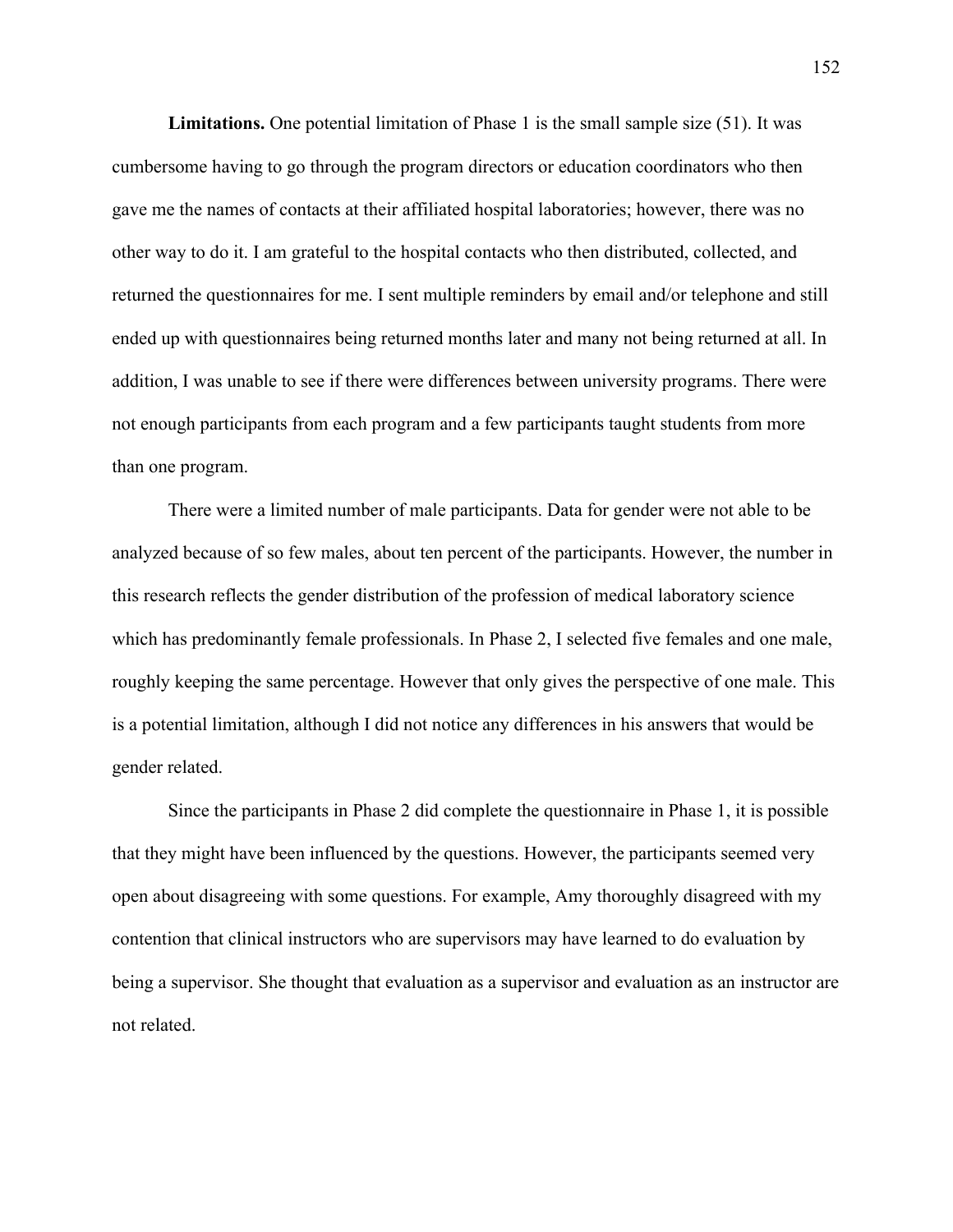**Limitations.** One potential limitation of Phase 1 is the small sample size (51). It was cumbersome having to go through the program directors or education coordinators who then gave me the names of contacts at their affiliated hospital laboratories; however, there was no other way to do it. I am grateful to the hospital contacts who then distributed, collected, and returned the questionnaires for me. I sent multiple reminders by email and/or telephone and still ended up with questionnaires being returned months later and many not being returned at all. In addition, I was unable to see if there were differences between university programs. There were not enough participants from each program and a few participants taught students from more than one program.

There were a limited number of male participants. Data for gender were not able to be analyzed because of so few males, about ten percent of the participants. However, the number in this research reflects the gender distribution of the profession of medical laboratory science which has predominantly female professionals. In Phase 2, I selected five females and one male, roughly keeping the same percentage. However that only gives the perspective of one male. This is a potential limitation, although I did not notice any differences in his answers that would be gender related.

Since the participants in Phase 2 did complete the questionnaire in Phase 1, it is possible that they might have been influenced by the questions. However, the participants seemed very open about disagreeing with some questions. For example, Amy thoroughly disagreed with my contention that clinical instructors who are supervisors may have learned to do evaluation by being a supervisor. She thought that evaluation as a supervisor and evaluation as an instructor are not related.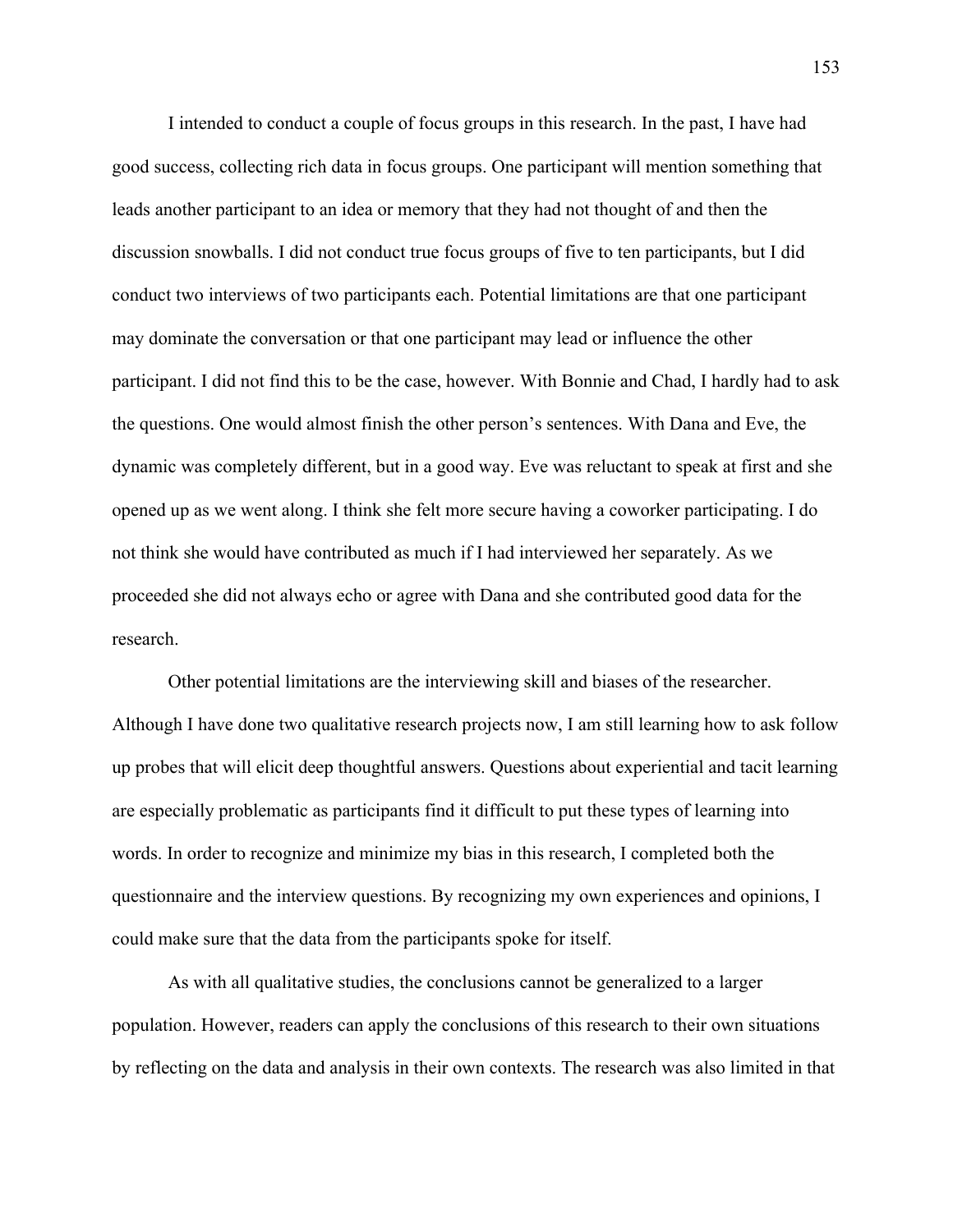I intended to conduct a couple of focus groups in this research. In the past, I have had good success, collecting rich data in focus groups. One participant will mention something that leads another participant to an idea or memory that they had not thought of and then the discussion snowballs. I did not conduct true focus groups of five to ten participants, but I did conduct two interviews of two participants each. Potential limitations are that one participant may dominate the conversation or that one participant may lead or influence the other participant. I did not find this to be the case, however. With Bonnie and Chad, I hardly had to ask the questions. One would almost finish the other person's sentences. With Dana and Eve, the dynamic was completely different, but in a good way. Eve was reluctant to speak at first and she opened up as we went along. I think she felt more secure having a coworker participating. I do not think she would have contributed as much if I had interviewed her separately. As we proceeded she did not always echo or agree with Dana and she contributed good data for the research.

Other potential limitations are the interviewing skill and biases of the researcher. Although I have done two qualitative research projects now, I am still learning how to ask follow up probes that will elicit deep thoughtful answers. Questions about experiential and tacit learning are especially problematic as participants find it difficult to put these types of learning into words. In order to recognize and minimize my bias in this research, I completed both the questionnaire and the interview questions. By recognizing my own experiences and opinions, I could make sure that the data from the participants spoke for itself.

As with all qualitative studies, the conclusions cannot be generalized to a larger population. However, readers can apply the conclusions of this research to their own situations by reflecting on the data and analysis in their own contexts. The research was also limited in that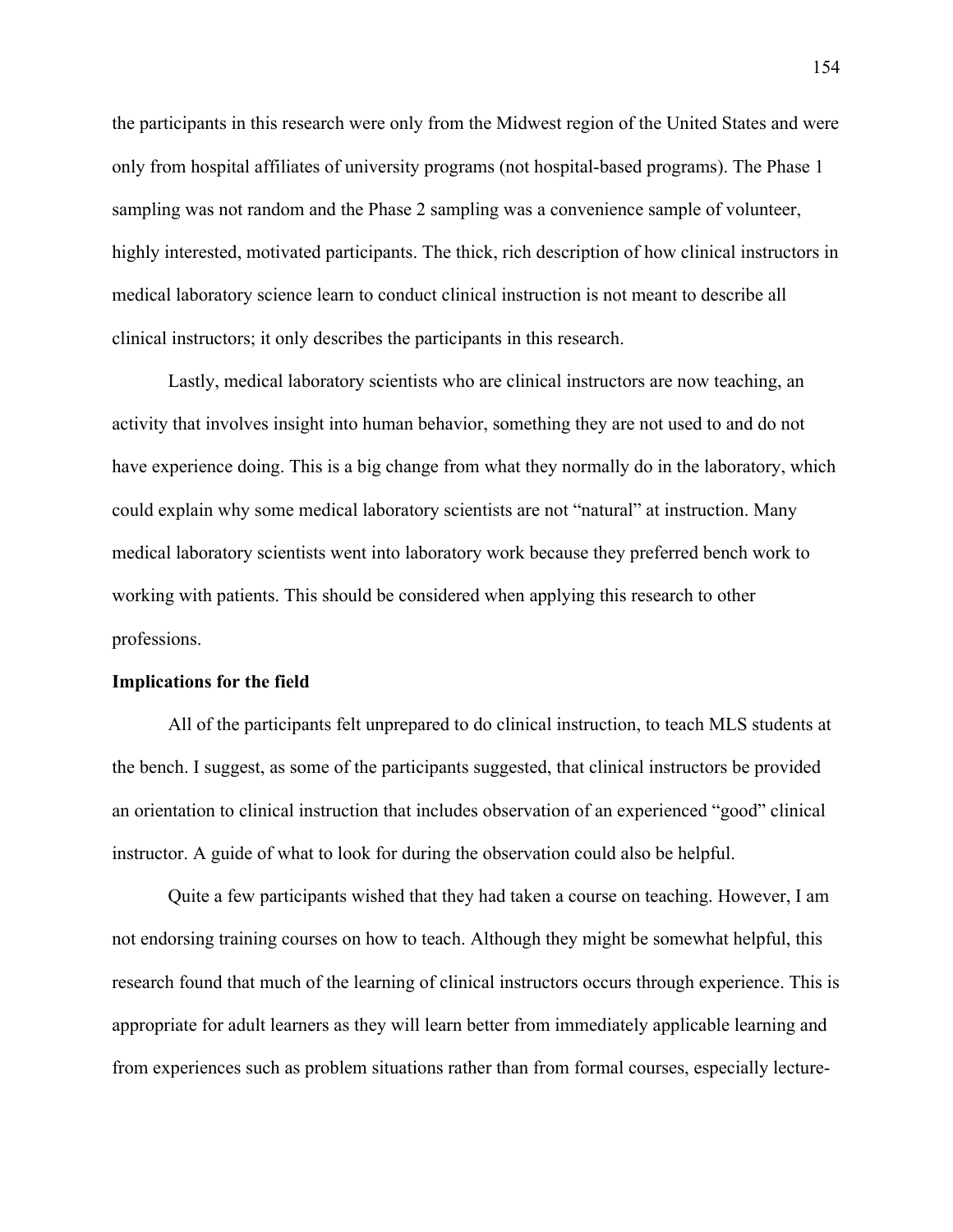the participants in this research were only from the Midwest region of the United States and were only from hospital affiliates of university programs (not hospital-based programs). The Phase 1 sampling was not random and the Phase 2 sampling was a convenience sample of volunteer, highly interested, motivated participants. The thick, rich description of how clinical instructors in medical laboratory science learn to conduct clinical instruction is not meant to describe all clinical instructors; it only describes the participants in this research.

Lastly, medical laboratory scientists who are clinical instructors are now teaching, an activity that involves insight into human behavior, something they are not used to and do not have experience doing. This is a big change from what they normally do in the laboratory, which could explain why some medical laboratory scientists are not "natural" at instruction. Many medical laboratory scientists went into laboratory work because they preferred bench work to working with patients. This should be considered when applying this research to other professions.

#### **Implications for the field**

All of the participants felt unprepared to do clinical instruction, to teach MLS students at the bench. I suggest, as some of the participants suggested, that clinical instructors be provided an orientation to clinical instruction that includes observation of an experienced "good" clinical instructor. A guide of what to look for during the observation could also be helpful.

Quite a few participants wished that they had taken a course on teaching. However, I am not endorsing training courses on how to teach. Although they might be somewhat helpful, this research found that much of the learning of clinical instructors occurs through experience. This is appropriate for adult learners as they will learn better from immediately applicable learning and from experiences such as problem situations rather than from formal courses, especially lecture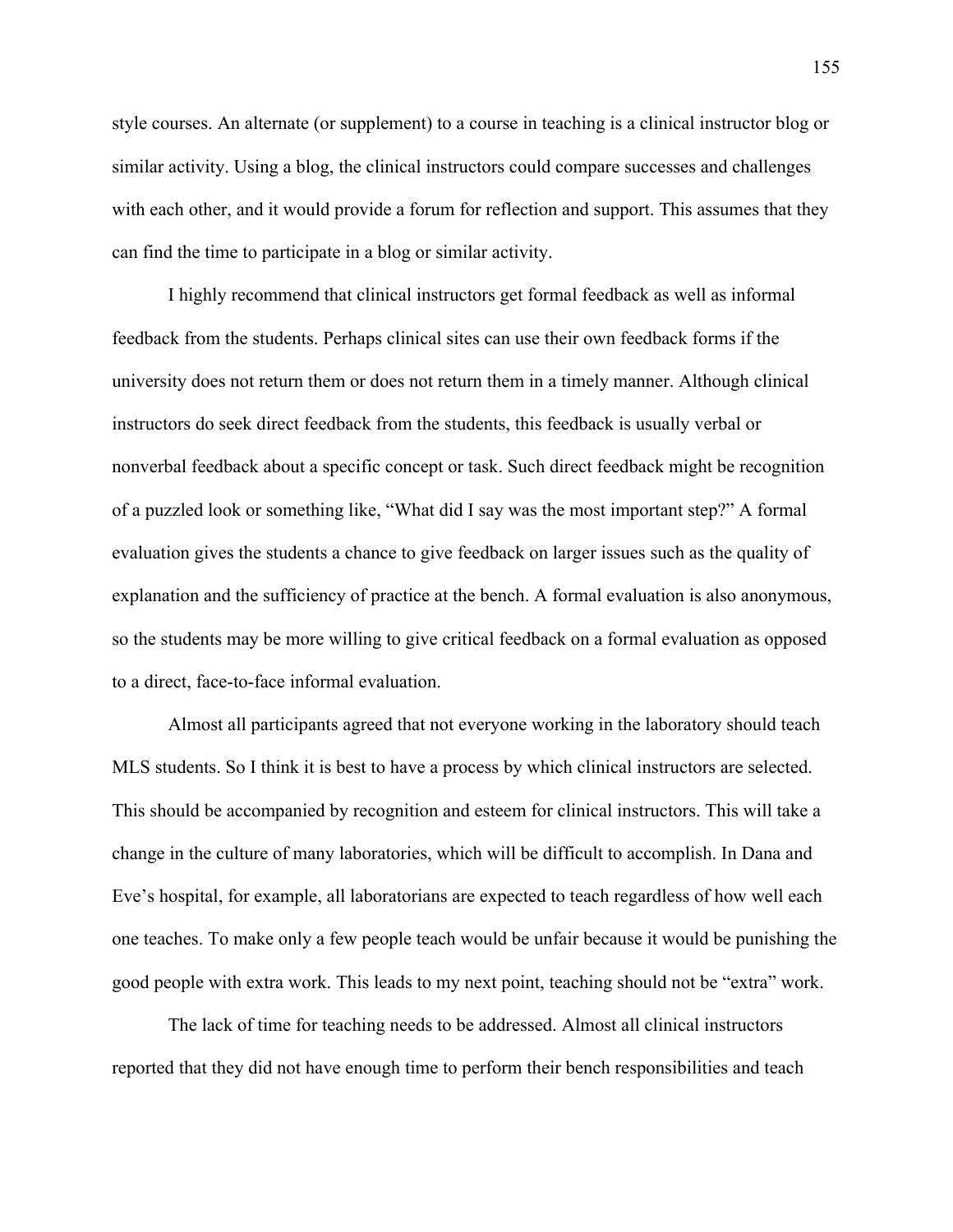style courses. An alternate (or supplement) to a course in teaching is a clinical instructor blog or similar activity. Using a blog, the clinical instructors could compare successes and challenges with each other, and it would provide a forum for reflection and support. This assumes that they can find the time to participate in a blog or similar activity.

I highly recommend that clinical instructors get formal feedback as well as informal feedback from the students. Perhaps clinical sites can use their own feedback forms if the university does not return them or does not return them in a timely manner. Although clinical instructors do seek direct feedback from the students, this feedback is usually verbal or nonverbal feedback about a specific concept or task. Such direct feedback might be recognition of a puzzled look or something like, "What did I say was the most important step?" A formal evaluation gives the students a chance to give feedback on larger issues such as the quality of explanation and the sufficiency of practice at the bench. A formal evaluation is also anonymous, so the students may be more willing to give critical feedback on a formal evaluation as opposed to a direct, face-to-face informal evaluation.

Almost all participants agreed that not everyone working in the laboratory should teach MLS students. So I think it is best to have a process by which clinical instructors are selected. This should be accompanied by recognition and esteem for clinical instructors. This will take a change in the culture of many laboratories, which will be difficult to accomplish. In Dana and Eve's hospital, for example, all laboratorians are expected to teach regardless of how well each one teaches. To make only a few people teach would be unfair because it would be punishing the good people with extra work. This leads to my next point, teaching should not be "extra" work.

The lack of time for teaching needs to be addressed. Almost all clinical instructors reported that they did not have enough time to perform their bench responsibilities and teach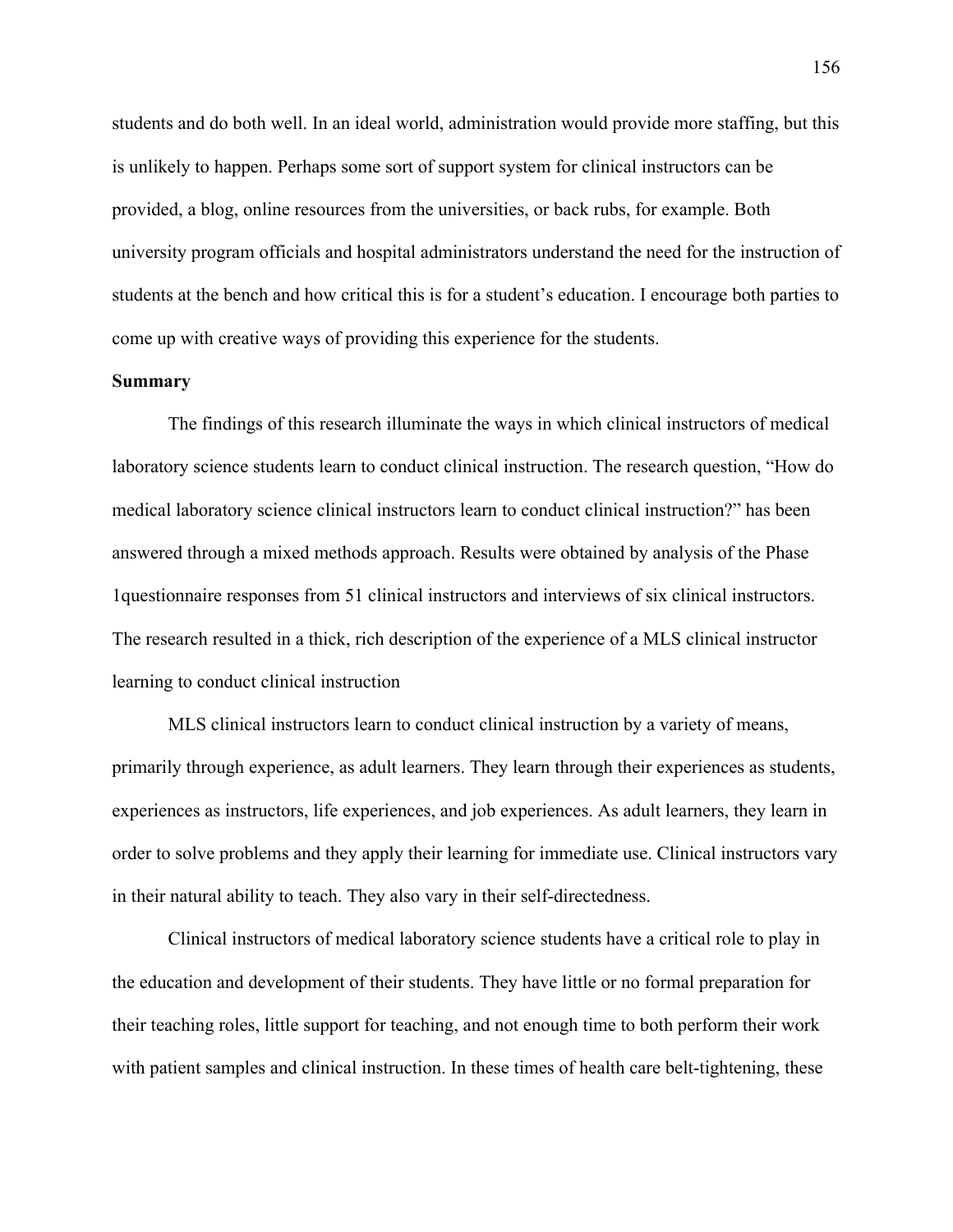students and do both well. In an ideal world, administration would provide more staffing, but this is unlikely to happen. Perhaps some sort of support system for clinical instructors can be provided, a blog, online resources from the universities, or back rubs, for example. Both university program officials and hospital administrators understand the need for the instruction of students at the bench and how critical this is for a student's education. I encourage both parties to come up with creative ways of providing this experience for the students.

# **Summary**

The findings of this research illuminate the ways in which clinical instructors of medical laboratory science students learn to conduct clinical instruction. The research question, "How do medical laboratory science clinical instructors learn to conduct clinical instruction?" has been answered through a mixed methods approach. Results were obtained by analysis of the Phase 1questionnaire responses from 51 clinical instructors and interviews of six clinical instructors. The research resulted in a thick, rich description of the experience of a MLS clinical instructor learning to conduct clinical instruction

MLS clinical instructors learn to conduct clinical instruction by a variety of means, primarily through experience, as adult learners. They learn through their experiences as students, experiences as instructors, life experiences, and job experiences. As adult learners, they learn in order to solve problems and they apply their learning for immediate use. Clinical instructors vary in their natural ability to teach. They also vary in their self-directedness.

Clinical instructors of medical laboratory science students have a critical role to play in the education and development of their students. They have little or no formal preparation for their teaching roles, little support for teaching, and not enough time to both perform their work with patient samples and clinical instruction. In these times of health care belt-tightening, these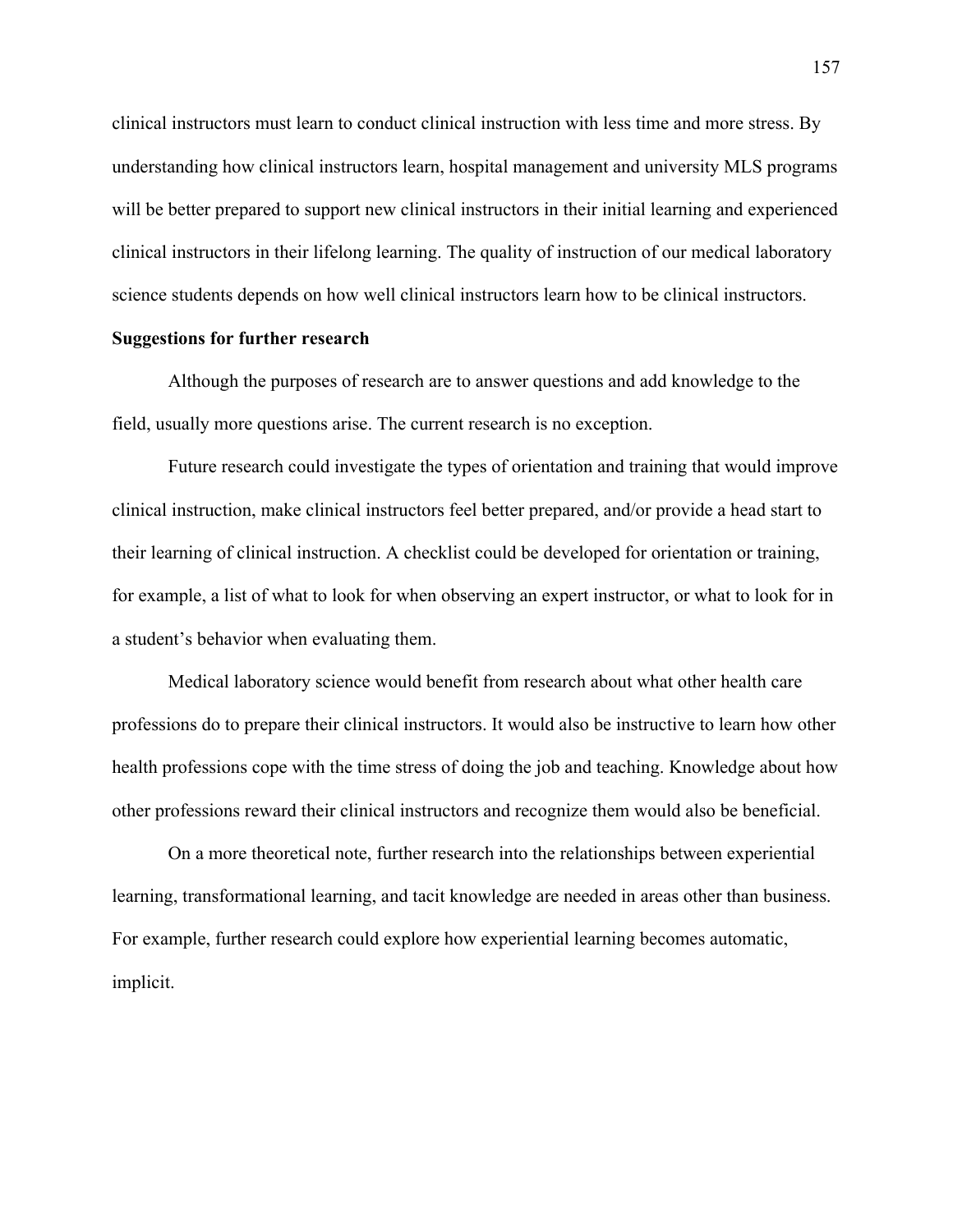clinical instructors must learn to conduct clinical instruction with less time and more stress. By understanding how clinical instructors learn, hospital management and university MLS programs will be better prepared to support new clinical instructors in their initial learning and experienced clinical instructors in their lifelong learning. The quality of instruction of our medical laboratory science students depends on how well clinical instructors learn how to be clinical instructors.

# **Suggestions for further research**

Although the purposes of research are to answer questions and add knowledge to the field, usually more questions arise. The current research is no exception.

Future research could investigate the types of orientation and training that would improve clinical instruction, make clinical instructors feel better prepared, and/or provide a head start to their learning of clinical instruction. A checklist could be developed for orientation or training, for example, a list of what to look for when observing an expert instructor, or what to look for in a student's behavior when evaluating them.

Medical laboratory science would benefit from research about what other health care professions do to prepare their clinical instructors. It would also be instructive to learn how other health professions cope with the time stress of doing the job and teaching. Knowledge about how other professions reward their clinical instructors and recognize them would also be beneficial.

On a more theoretical note, further research into the relationships between experiential learning, transformational learning, and tacit knowledge are needed in areas other than business. For example, further research could explore how experiential learning becomes automatic, implicit.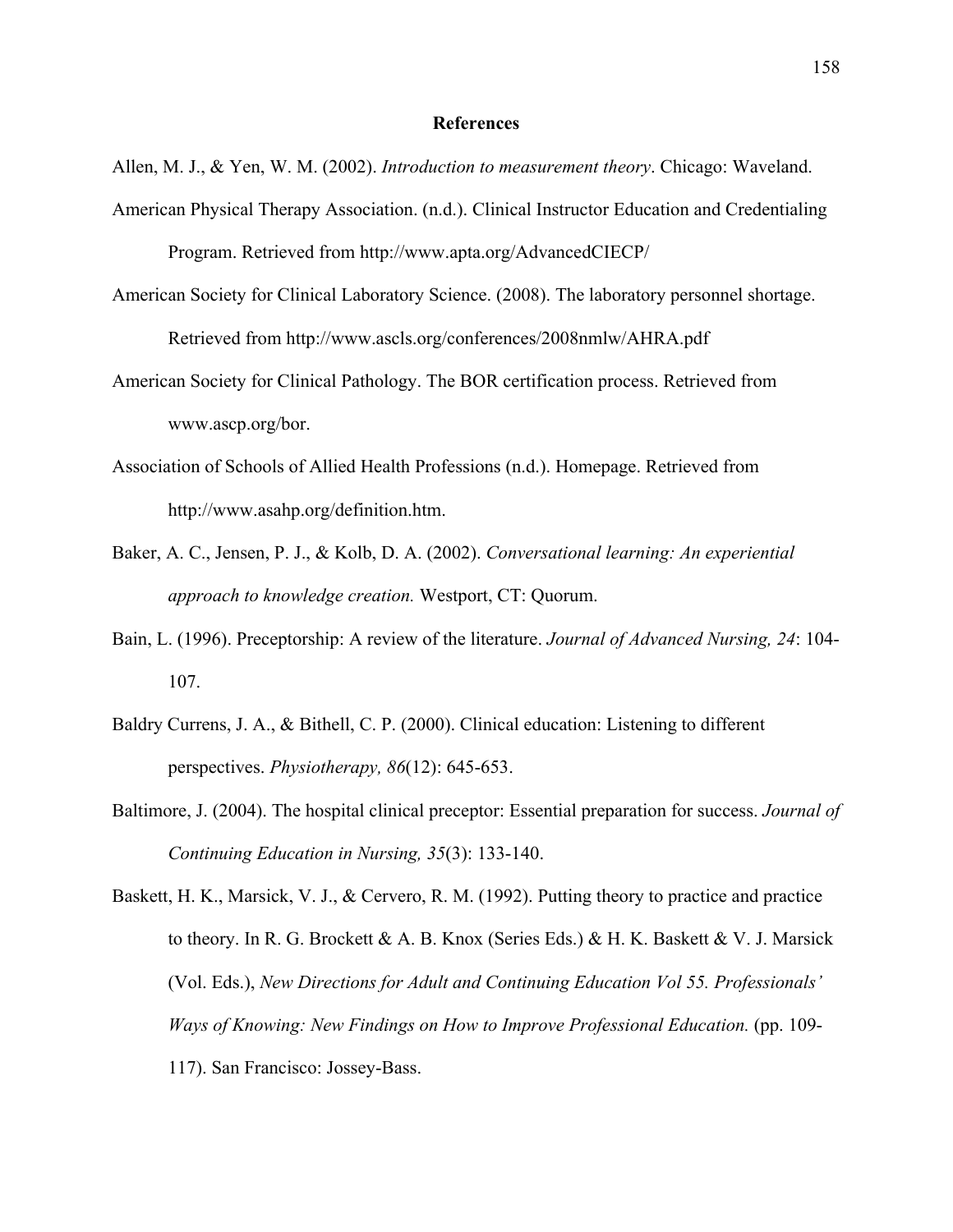### **References**

- Allen, M. J., & Yen, W. M. (2002). *Introduction to measurement theory*. Chicago: Waveland.
- American Physical Therapy Association. (n.d.). Clinical Instructor Education and Credentialing Program. Retrieved from http://www.apta.org/AdvancedCIECP/
- American Society for Clinical Laboratory Science. (2008). The laboratory personnel shortage. Retrieved from http://www.ascls.org/conferences/2008nmlw/AHRA.pdf
- American Society for Clinical Pathology. The BOR certification process. Retrieved from www.ascp.org/bor.
- Association of Schools of Allied Health Professions (n.d.). Homepage. Retrieved from http://www.asahp.org/definition.htm.
- Baker, A. C., Jensen, P. J., & Kolb, D. A. (2002). *Conversational learning: An experiential approach to knowledge creation.* Westport, CT: Quorum.
- Bain, L. (1996). Preceptorship: A review of the literature. *Journal of Advanced Nursing, 24*: 104- 107.
- Baldry Currens, J. A., & Bithell, C. P. (2000). Clinical education: Listening to different perspectives. *Physiotherapy, 86*(12): 645-653.
- Baltimore, J. (2004). The hospital clinical preceptor: Essential preparation for success. *Journal of Continuing Education in Nursing, 35*(3): 133-140.

Baskett, H. K., Marsick, V. J., & Cervero, R. M. (1992). Putting theory to practice and practice to theory. In R. G. Brockett & A. B. Knox (Series Eds.) & H. K. Baskett & V. J. Marsick (Vol. Eds.), *New Directions for Adult and Continuing Education Vol 55. Professionals' Ways of Knowing: New Findings on How to Improve Professional Education.* (pp. 109-117). San Francisco: Jossey-Bass.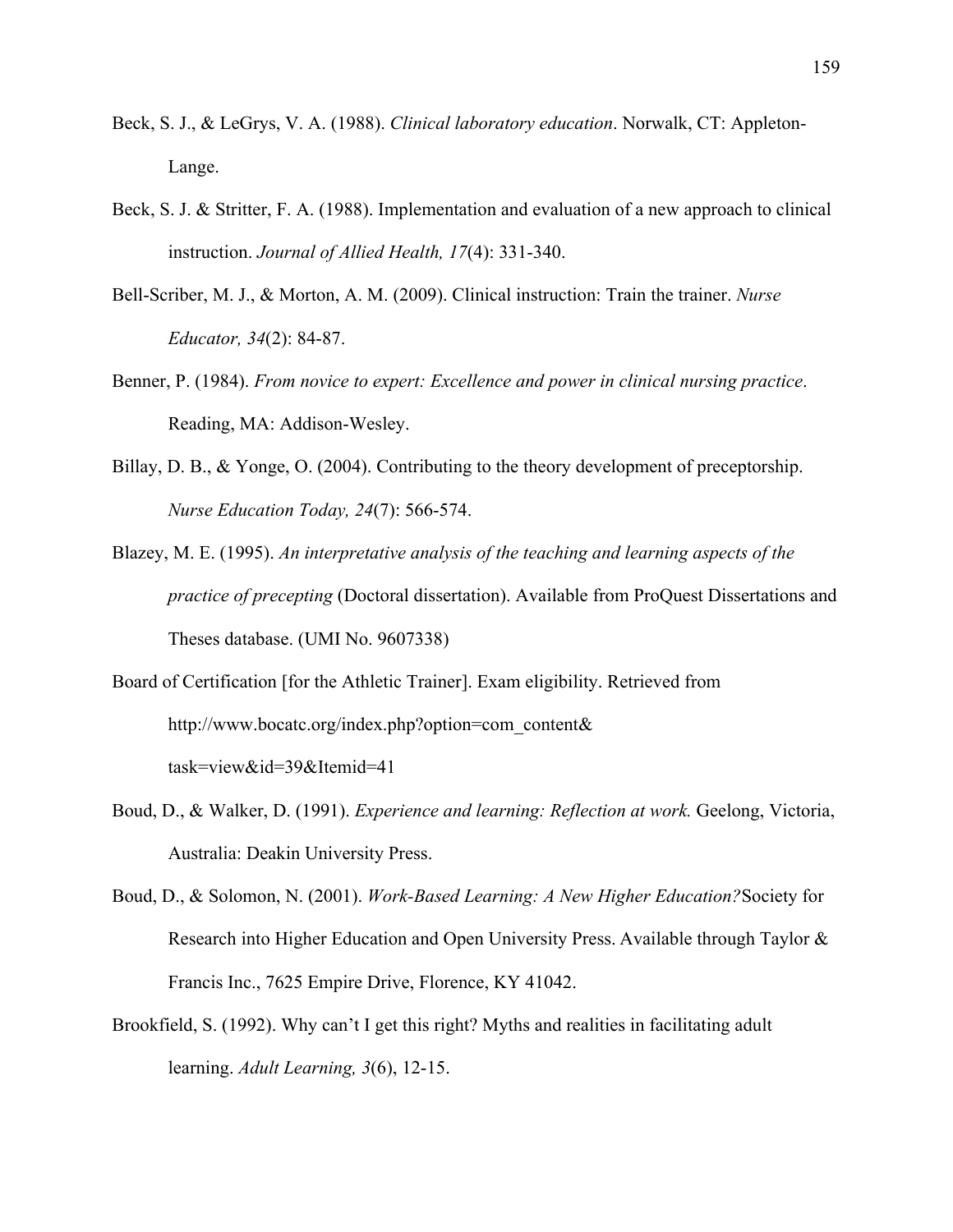- Beck, S. J., & LeGrys, V. A. (1988). *Clinical laboratory education*. Norwalk, CT: Appleton-Lange.
- Beck, S. J. & Stritter, F. A. (1988). Implementation and evaluation of a new approach to clinical instruction. *Journal of Allied Health, 17*(4): 331-340.
- Bell-Scriber, M. J., & Morton, A. M. (2009). Clinical instruction: Train the trainer. *Nurse Educator, 34*(2): 84-87.
- Benner, P. (1984). *From novice to expert: Excellence and power in clinical nursing practice*. Reading, MA: Addison-Wesley.
- Billay, D. B., & Yonge, O. (2004). Contributing to the theory development of preceptorship. *Nurse Education Today, 24*(7): 566-574.
- Blazey, M. E. (1995). *An interpretative analysis of the teaching and learning aspects of the practice of precepting* (Doctoral dissertation). Available from ProQuest Dissertations and Theses database. (UMI No. 9607338)
- Board of Certification [for the Athletic Trainer]. Exam eligibility. Retrieved from http://www.bocatc.org/index.php?option=com\_content& task=view&id=39&Itemid=41
- Boud, D., & Walker, D. (1991). *Experience and learning: Reflection at work.* Geelong, Victoria, Australia: Deakin University Press.
- Boud, D., & Solomon, N. (2001). *Work-Based Learning: A New Higher Education?*Society for Research into Higher Education and Open University Press. Available through Taylor & Francis Inc., 7625 Empire Drive, Florence, KY 41042.
- Brookfield, S. (1992). Why can't I get this right? Myths and realities in facilitating adult learning. *Adult Learning, 3*(6), 12-15.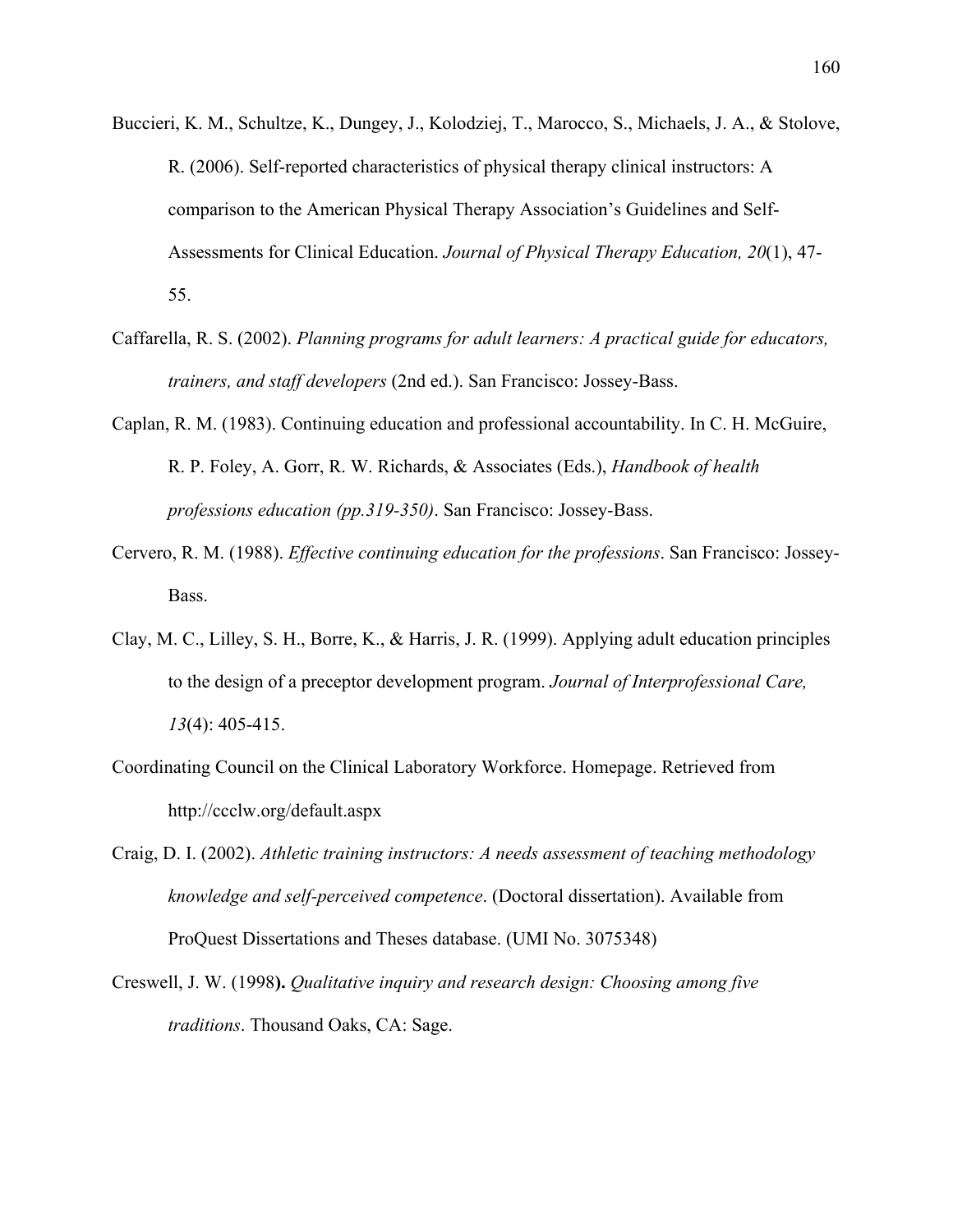- Buccieri, K. M., Schultze, K., Dungey, J., Kolodziej, T., Marocco, S., Michaels, J. A., & Stolove, R. (2006). Self-reported characteristics of physical therapy clinical instructors: A comparison to the American Physical Therapy Association's Guidelines and Self-Assessments for Clinical Education. *Journal of Physical Therapy Education, 20*(1), 47- 55.
- Caffarella, R. S. (2002). *Planning programs for adult learners: A practical guide for educators, trainers, and staff developers* (2nd ed.). San Francisco: Jossey-Bass.
- Caplan, R. M. (1983). Continuing education and professional accountability. In C. H. McGuire, R. P. Foley, A. Gorr, R. W. Richards, & Associates (Eds.), *Handbook of health professions education (pp.319-350)*. San Francisco: Jossey-Bass.
- Cervero, R. M. (1988). *Effective continuing education for the professions*. San Francisco: Jossey-Bass.
- Clay, M. C., Lilley, S. H., Borre, K., & Harris, J. R. (1999). Applying adult education principles to the design of a preceptor development program. *Journal of Interprofessional Care, 13*(4): 405-415.
- Coordinating Council on the Clinical Laboratory Workforce. Homepage. Retrieved from http://ccclw.org/default.aspx
- Craig, D. I. (2002). *Athletic training instructors: A needs assessment of teaching methodology knowledge and self-perceived competence*. (Doctoral dissertation). Available from ProQuest Dissertations and Theses database. (UMI No. 3075348)
- Creswell, J. W. (1998**).** *Qualitative inquiry and research design: Choosing among five traditions*. Thousand Oaks, CA: Sage.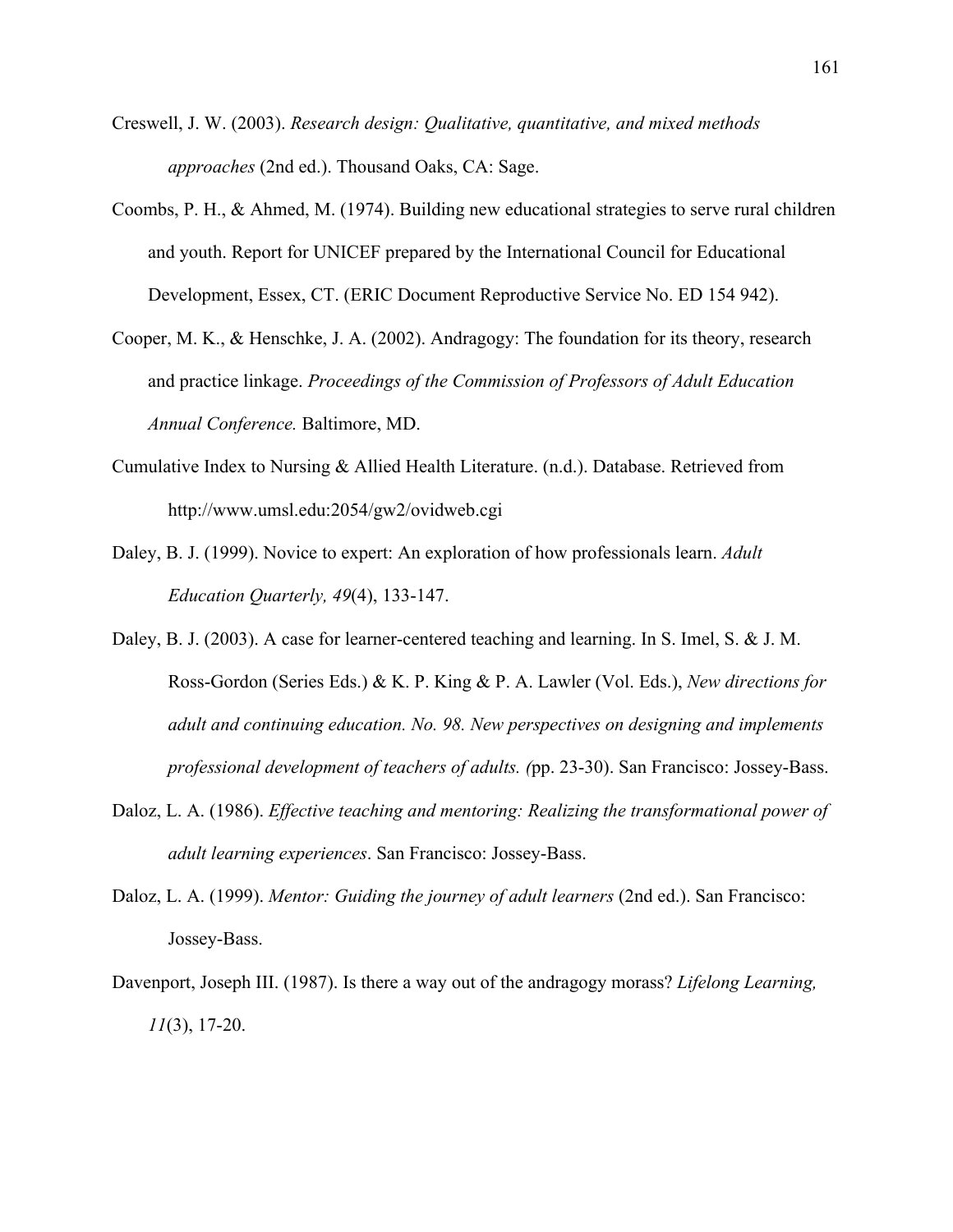- Creswell, J. W. (2003). *Research design: Qualitative, quantitative, and mixed methods approaches* (2nd ed.). Thousand Oaks, CA: Sage.
- Coombs, P. H., & Ahmed, M. (1974). Building new educational strategies to serve rural children and youth. Report for UNICEF prepared by the International Council for Educational Development, Essex, CT. (ERIC Document Reproductive Service No. ED 154 942).
- Cooper, M. K., & Henschke, J. A. (2002). Andragogy: The foundation for its theory, research and practice linkage. *Proceedings of the Commission of Professors of Adult Education Annual Conference.* Baltimore, MD.
- Cumulative Index to Nursing & Allied Health Literature. (n.d.). Database. Retrieved from http://www.umsl.edu:2054/gw2/ovidweb.cgi
- Daley, B. J. (1999). Novice to expert: An exploration of how professionals learn. *Adult Education Quarterly, 49*(4), 133-147.
- Daley, B. J. (2003). A case for learner-centered teaching and learning. In S. Imel, S. & J. M. Ross-Gordon (Series Eds.) & K. P. King & P. A. Lawler (Vol. Eds.), *New directions for adult and continuing education. No. 98. New perspectives on designing and implements professional development of teachers of adults. (*pp. 23-30). San Francisco: Jossey-Bass.
- Daloz, L. A. (1986). *Effective teaching and mentoring: Realizing the transformational power of adult learning experiences*. San Francisco: Jossey-Bass.
- Daloz, L. A. (1999). *Mentor: Guiding the journey of adult learners* (2nd ed.). San Francisco: Jossey-Bass.
- Davenport, Joseph III. (1987). Is there a way out of the andragogy morass? *Lifelong Learning, 11*(3), 17-20.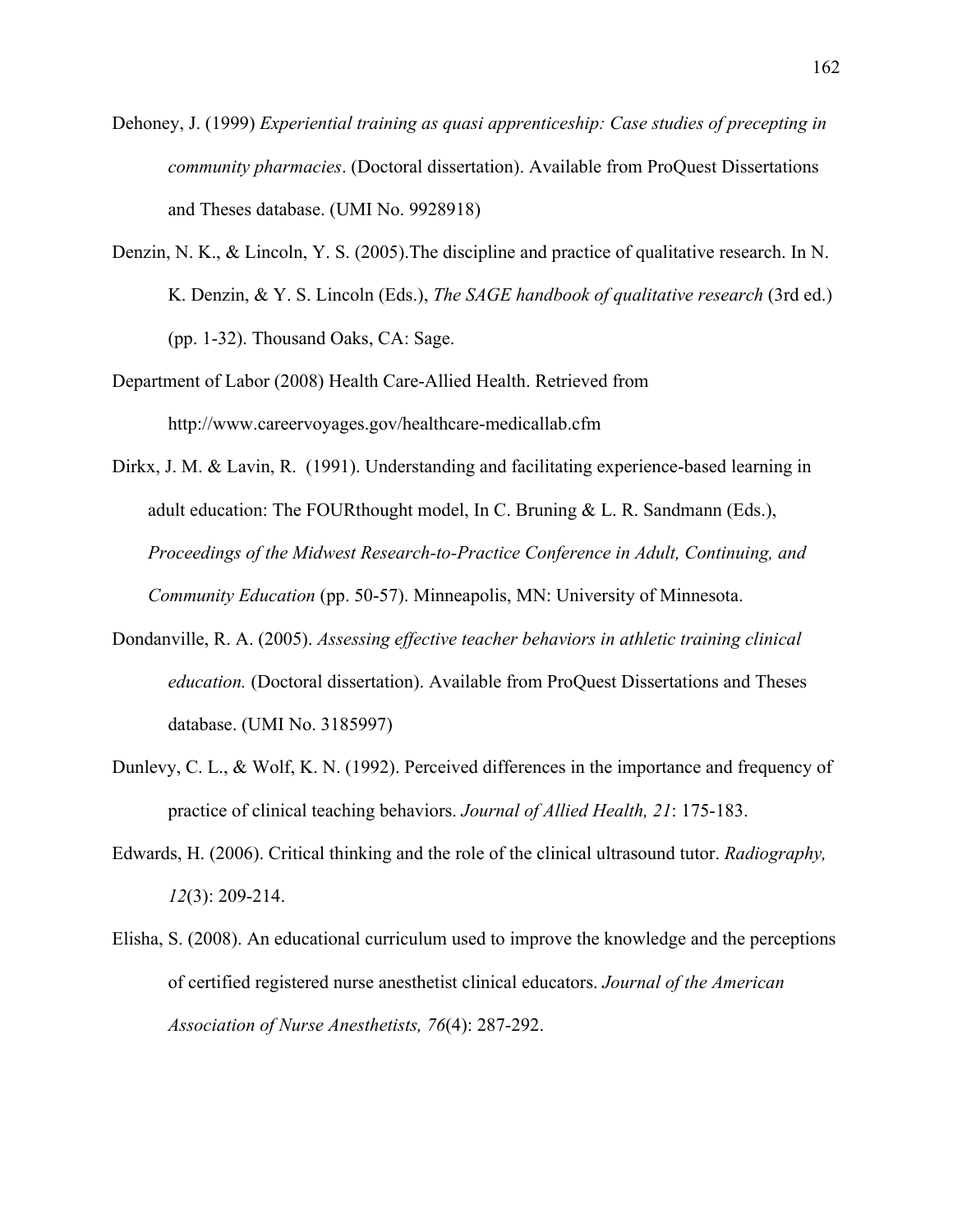- Dehoney, J. (1999) *Experiential training as quasi apprenticeship: Case studies of precepting in community pharmacies*. (Doctoral dissertation). Available from ProQuest Dissertations and Theses database. (UMI No. 9928918)
- Denzin, N. K., & Lincoln, Y. S. (2005).The discipline and practice of qualitative research. In N. K. Denzin, & Y. S. Lincoln (Eds.), *The SAGE handbook of qualitative research* (3rd ed.) (pp. 1-32). Thousand Oaks, CA: Sage.
- Department of Labor (2008) Health Care-Allied Health. Retrieved from http://www.careervoyages.gov/healthcare-medicallab.cfm
- Dirkx, J. M. & Lavin, R. (1991). Understanding and facilitating experience-based learning in adult education: The FOURthought model, In C. Bruning & L. R. Sandmann (Eds.), *Proceedings of the Midwest Research-to-Practice Conference in Adult, Continuing, and Community Education* (pp. 50-57). Minneapolis, MN: University of Minnesota.
- Dondanville, R. A. (2005). *Assessing effective teacher behaviors in athletic training clinical education.* (Doctoral dissertation). Available from ProQuest Dissertations and Theses database. (UMI No. 3185997)
- Dunlevy, C. L., & Wolf, K. N. (1992). Perceived differences in the importance and frequency of practice of clinical teaching behaviors. *Journal of Allied Health, 21*: 175-183.
- Edwards, H. (2006). Critical thinking and the role of the clinical ultrasound tutor. *Radiography, 12*(3): 209-214.
- Elisha, S. (2008). An educational curriculum used to improve the knowledge and the perceptions of certified registered nurse anesthetist clinical educators. *Journal of the American Association of Nurse Anesthetists, 76*(4): 287-292.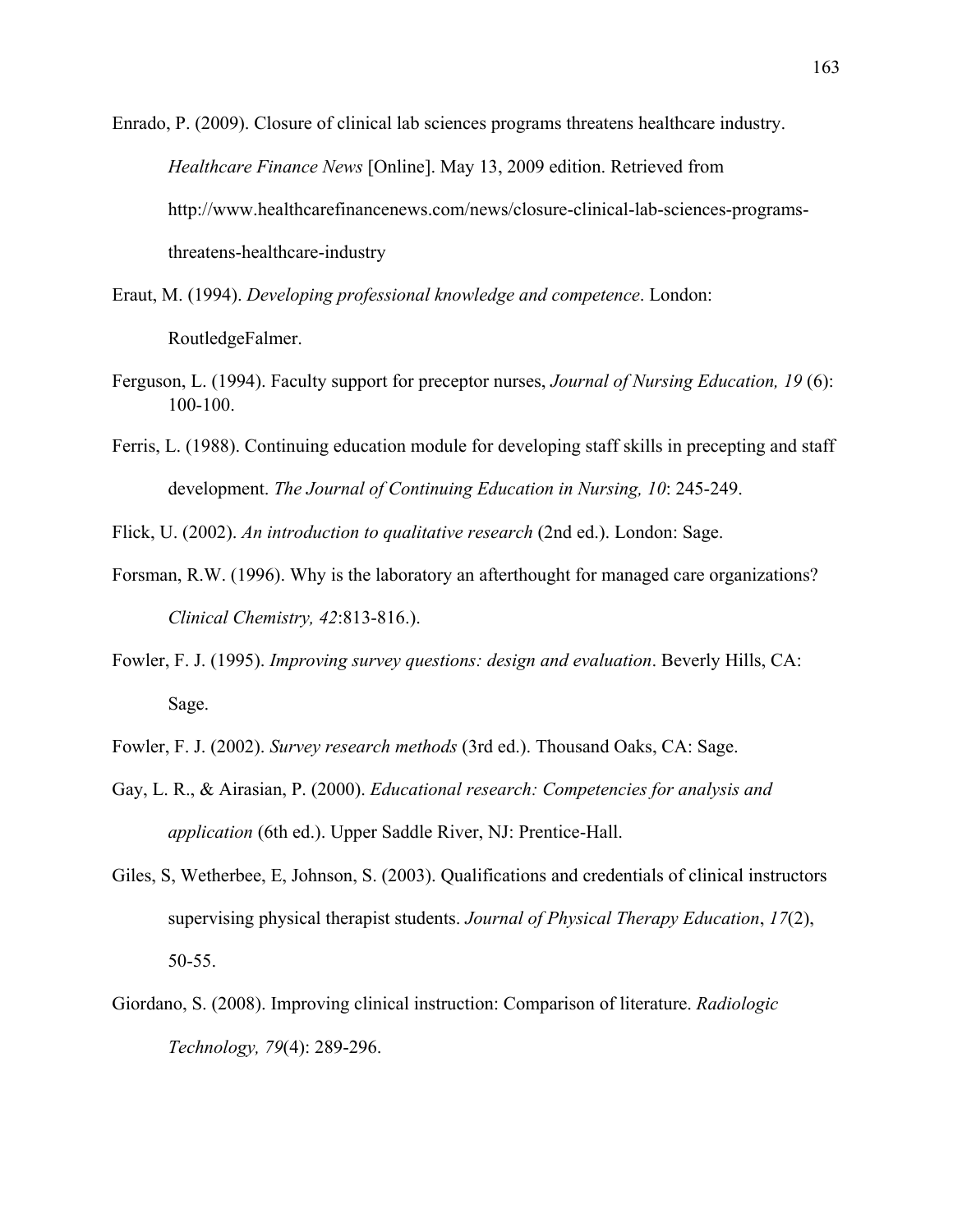Enrado, P. (2009). Closure of clinical lab sciences programs threatens healthcare industry. *Healthcare Finance News* [Online]. May 13, 2009 edition. Retrieved from http://www.healthcarefinancenews.com/news/closure-clinical-lab-sciences-programsthreatens-healthcare-industry

- Eraut, M. (1994). *Developing professional knowledge and competence*. London: RoutledgeFalmer.
- Ferguson, L. (1994). Faculty support for preceptor nurses, *Journal of Nursing Education, 19* (6): 100-100.
- Ferris, L. (1988). Continuing education module for developing staff skills in precepting and staff development. *The Journal of Continuing Education in Nursing, 10*: 245-249.
- Flick, U. (2002). *An introduction to qualitative research* (2nd ed.). London: Sage.
- Forsman, R.W. (1996). Why is the laboratory an afterthought for managed care organizations? *Clinical Chemistry, 42*:813-816.).
- Fowler, F. J. (1995). *Improving survey questions: design and evaluation*. Beverly Hills, CA: Sage.
- Fowler, F. J. (2002). *Survey research methods* (3rd ed.). Thousand Oaks, CA: Sage.
- Gay, L. R., & Airasian, P. (2000). *Educational research: Competencies for analysis and application* (6th ed.). Upper Saddle River, NJ: Prentice-Hall.
- Giles, S, Wetherbee, E, Johnson, S. (2003). Qualifications and credentials of clinical instructors supervising physical therapist students. *Journal of Physical Therapy Education*, *17*(2), 50-55.
- Giordano, S. (2008). Improving clinical instruction: Comparison of literature. *Radiologic Technology, 79*(4): 289-296.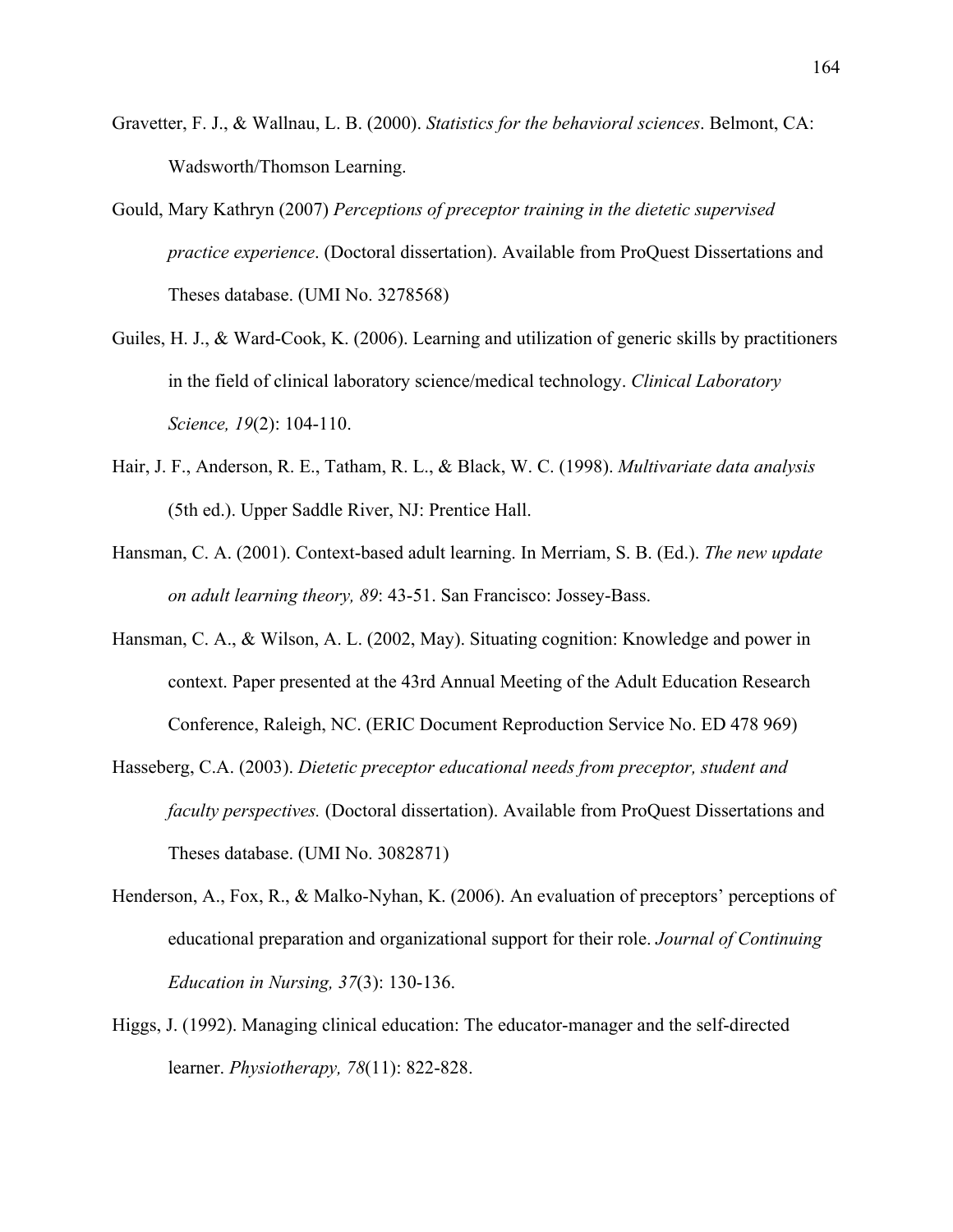- Gravetter, F. J., & Wallnau, L. B. (2000). *Statistics for the behavioral sciences*. Belmont, CA: Wadsworth/Thomson Learning.
- Gould, Mary Kathryn (2007) *Perceptions of preceptor training in the dietetic supervised practice experience*. (Doctoral dissertation). Available from ProQuest Dissertations and Theses database. (UMI No. 3278568)
- Guiles, H. J., & Ward-Cook, K. (2006). Learning and utilization of generic skills by practitioners in the field of clinical laboratory science/medical technology. *Clinical Laboratory Science, 19*(2): 104-110.
- Hair, J. F., Anderson, R. E., Tatham, R. L., & Black, W. C. (1998). *Multivariate data analysis* (5th ed.). Upper Saddle River, NJ: Prentice Hall.
- Hansman, C. A. (2001). Context-based adult learning. In Merriam, S. B. (Ed.). *The new update on adult learning theory, 89*: 43-51. San Francisco: Jossey-Bass.
- Hansman, C. A., & Wilson, A. L. (2002, May). Situating cognition: Knowledge and power in context. Paper presented at the 43rd Annual Meeting of the Adult Education Research Conference, Raleigh, NC. (ERIC Document Reproduction Service No. ED 478 969)
- Hasseberg, C.A. (2003). *Dietetic preceptor educational needs from preceptor, student and faculty perspectives.* (Doctoral dissertation). Available from ProQuest Dissertations and Theses database. (UMI No. 3082871)
- Henderson, A., Fox, R., & Malko-Nyhan, K. (2006). An evaluation of preceptors' perceptions of educational preparation and organizational support for their role. *Journal of Continuing Education in Nursing, 37*(3): 130-136.
- Higgs, J. (1992). Managing clinical education: The educator-manager and the self-directed learner. *Physiotherapy, 78*(11): 822-828.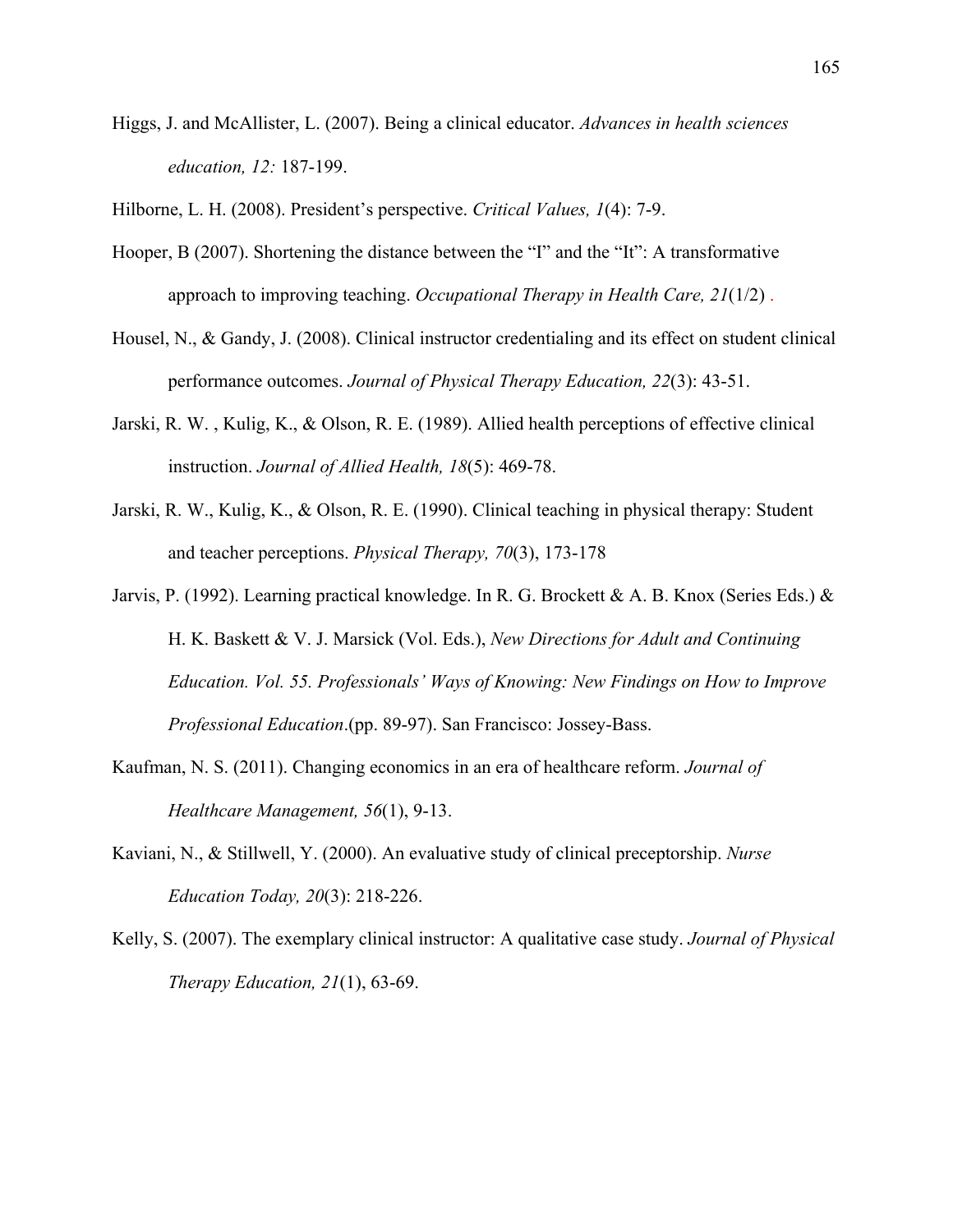Higgs, J. and McAllister, L. (2007). Being a clinical educator. *Advances in health sciences education, 12:* 187-199.

Hilborne, L. H. (2008). President's perspective. *Critical Values, 1*(4): 7-9.

- Hooper, B (2007). Shortening the distance between the "I" and the "It": A transformative approach to improving teaching. *Occupational Therapy in Health Care, 21*(1/2) .
- Housel, N., & Gandy, J. (2008). Clinical instructor credentialing and its effect on student clinical performance outcomes. *Journal of Physical Therapy Education, 22*(3): 43-51.
- Jarski, R. W. , Kulig, K., & Olson, R. E. (1989). Allied health perceptions of effective clinical instruction. *Journal of Allied Health, 18*(5): 469-78.
- Jarski, R. W., Kulig, K., & Olson, R. E. (1990). Clinical teaching in physical therapy: Student and teacher perceptions. *Physical Therapy, 70*(3), 173-178
- Jarvis, P. (1992). Learning practical knowledge. In R. G. Brockett & A. B. Knox (Series Eds.) & H. K. Baskett & V. J. Marsick (Vol. Eds.), *New Directions for Adult and Continuing Education. Vol. 55. Professionals' Ways of Knowing: New Findings on How to Improve Professional Education*.(pp. 89-97). San Francisco: Jossey-Bass.
- Kaufman, N. S. (2011). Changing economics in an era of healthcare reform. *Journal of Healthcare Management, 56*(1), 9-13.
- Kaviani, N., & Stillwell, Y. (2000). An evaluative study of clinical preceptorship. *Nurse Education Today, 20*(3): 218-226.
- Kelly, S. (2007). The exemplary clinical instructor: A qualitative case study. *Journal of Physical Therapy Education, 21*(1), 63-69.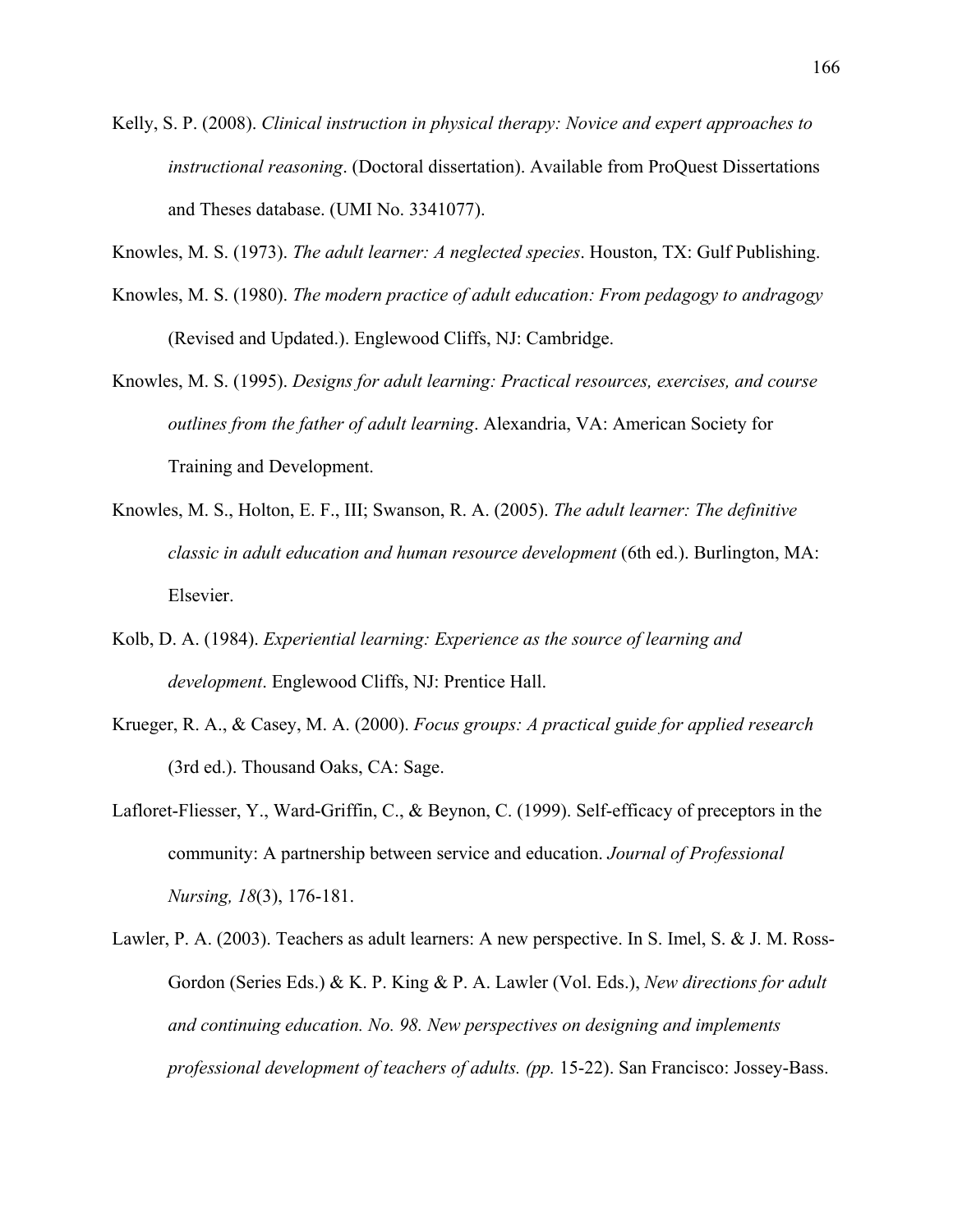- Kelly, S. P. (2008). *Clinical instruction in physical therapy: Novice and expert approaches to instructional reasoning*. (Doctoral dissertation). Available from ProQuest Dissertations and Theses database. (UMI No. 3341077).
- Knowles, M. S. (1973). *The adult learner: A neglected species*. Houston, TX: Gulf Publishing.
- Knowles, M. S. (1980). *The modern practice of adult education: From pedagogy to andragogy* (Revised and Updated.). Englewood Cliffs, NJ: Cambridge.
- Knowles, M. S. (1995). *Designs for adult learning: Practical resources, exercises, and course outlines from the father of adult learning*. Alexandria, VA: American Society for Training and Development.
- Knowles, M. S., Holton, E. F., III; Swanson, R. A. (2005). *The adult learner: The definitive classic in adult education and human resource development* (6th ed.). Burlington, MA: Elsevier.
- Kolb, D. A. (1984). *Experiential learning: Experience as the source of learning and development*. Englewood Cliffs, NJ: Prentice Hall.
- Krueger, R. A., & Casey, M. A. (2000). *Focus groups: A practical guide for applied research* (3rd ed.). Thousand Oaks, CA: Sage.
- Lafloret-Fliesser, Y., Ward-Griffin, C., & Beynon, C. (1999). Self-efficacy of preceptors in the community: A partnership between service and education. *Journal of Professional Nursing, 18*(3), 176-181.
- Lawler, P. A. (2003). Teachers as adult learners: A new perspective. In S. Imel, S. & J. M. Ross-Gordon (Series Eds.) & K. P. King & P. A. Lawler (Vol. Eds.), *New directions for adult and continuing education. No. 98. New perspectives on designing and implements professional development of teachers of adults. (pp.* 15-22). San Francisco: Jossey-Bass.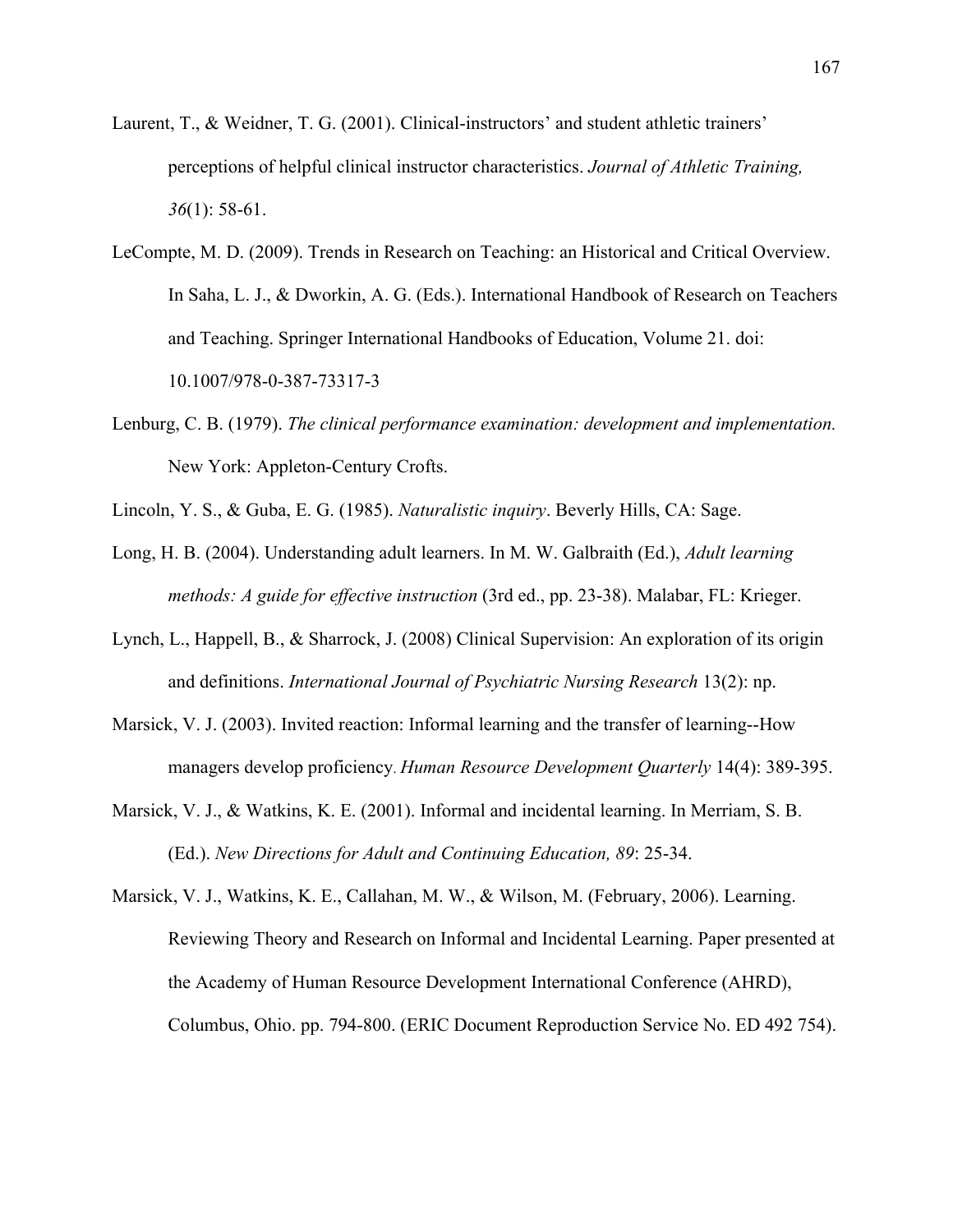- Laurent, T., & Weidner, T. G. (2001). Clinical-instructors' and student athletic trainers' perceptions of helpful clinical instructor characteristics. *Journal of Athletic Training, 36*(1): 58-61.
- LeCompte, M. D. (2009). Trends in Research on Teaching: an Historical and Critical Overview. In Saha, L. J., & Dworkin, A. G. (Eds.). International Handbook of Research on Teachers and Teaching. Springer International Handbooks of Education, Volume 21. doi: 10.1007/978-0-387-73317-3
- Lenburg, C. B. (1979). *The clinical performance examination: development and implementation.* New York: Appleton-Century Crofts.
- Lincoln, Y. S., & Guba, E. G. (1985). *Naturalistic inquiry*. Beverly Hills, CA: Sage.
- Long, H. B. (2004). Understanding adult learners. In M. W. Galbraith (Ed.), *Adult learning methods: A guide for effective instruction* (3rd ed., pp. 23-38). Malabar, FL: Krieger.
- Lynch, L., Happell, B., & Sharrock, J. (2008) Clinical Supervision: An exploration of its origin and definitions. *International Journal of Psychiatric Nursing Research* 13(2): np.
- Marsick, V. J. (2003). Invited reaction: Informal learning and the transfer of learning--How managers develop proficiency. *Human Resource Development Quarterly* 14(4): 389-395.
- Marsick, V. J., & Watkins, K. E. (2001). Informal and incidental learning. In Merriam, S. B. (Ed.). *New Directions for Adult and Continuing Education, 89*: 25-34.
- Marsick, V. J., Watkins, K. E., Callahan, M. W., & Wilson, M. (February, 2006). Learning. Reviewing Theory and Research on Informal and Incidental Learning. Paper presented at the Academy of Human Resource Development International Conference (AHRD), Columbus, Ohio. pp. 794-800. (ERIC Document Reproduction Service No. ED 492 754).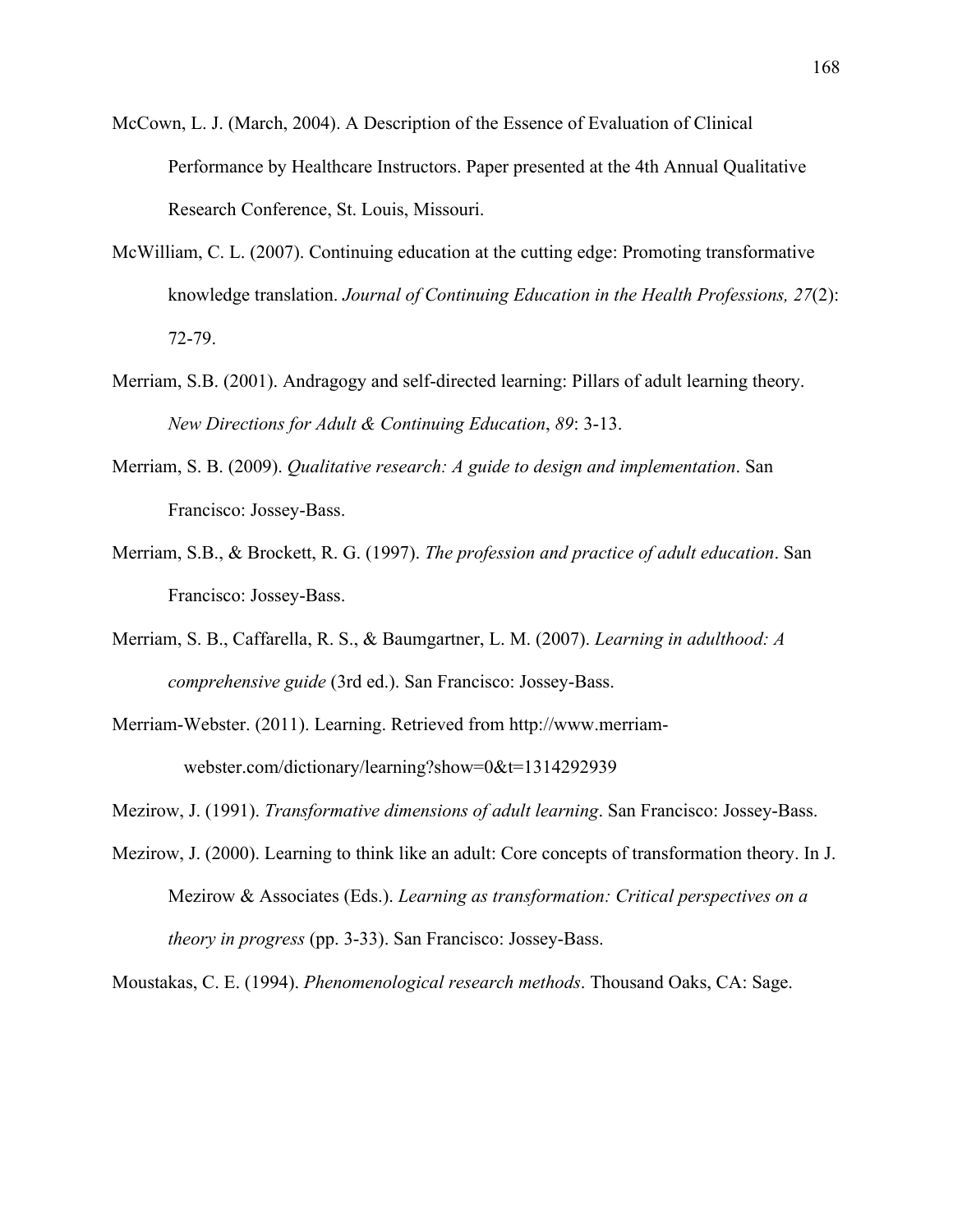- McCown, L. J. (March, 2004). A Description of the Essence of Evaluation of Clinical Performance by Healthcare Instructors. Paper presented at the 4th Annual Qualitative Research Conference, St. Louis, Missouri.
- McWilliam, C. L. (2007). Continuing education at the cutting edge: Promoting transformative knowledge translation. *Journal of Continuing Education in the Health Professions, 27*(2): 72-79.
- Merriam, S.B. (2001). Andragogy and self-directed learning: Pillars of adult learning theory. *New Directions for Adult & Continuing Education*, *89*: 3-13.
- Merriam, S. B. (2009). *Qualitative research: A guide to design and implementation*. San Francisco: Jossey-Bass.
- Merriam, S.B., & Brockett, R. G. (1997). *The profession and practice of adult education*. San Francisco: Jossey-Bass.
- Merriam, S. B., Caffarella, R. S., & Baumgartner, L. M. (2007). *Learning in adulthood: A comprehensive guide* (3rd ed.). San Francisco: Jossey-Bass.
- Merriam-Webster. (2011). Learning. Retrieved from http://www.merriamwebster.com/dictionary/learning?show=0&t=1314292939
- Mezirow, J. (1991). *Transformative dimensions of adult learning*. San Francisco: Jossey-Bass.
- Mezirow, J. (2000). Learning to think like an adult: Core concepts of transformation theory. In J. Mezirow & Associates (Eds.). *Learning as transformation: Critical perspectives on a theory in progress* (pp. 3-33). San Francisco: Jossey-Bass.

Moustakas, C. E. (1994). *Phenomenological research methods*. Thousand Oaks, CA: Sage.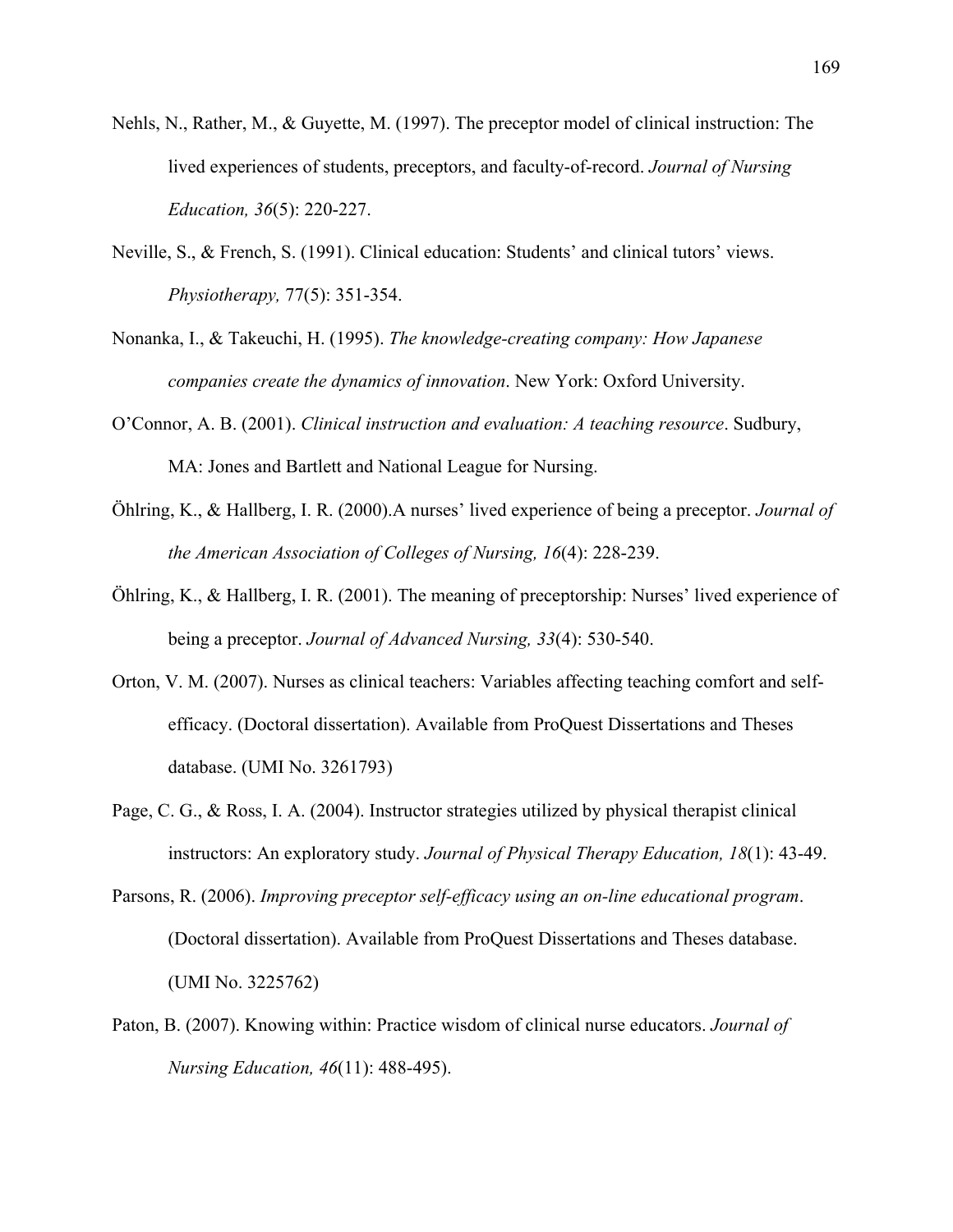- Nehls, N., Rather, M., & Guyette, M. (1997). The preceptor model of clinical instruction: The lived experiences of students, preceptors, and faculty-of-record. *Journal of Nursing Education, 36*(5): 220-227.
- Neville, S., & French, S. (1991). Clinical education: Students' and clinical tutors' views. *Physiotherapy,* 77(5): 351-354.
- Nonanka, I., & Takeuchi, H. (1995). *The knowledge-creating company: How Japanese companies create the dynamics of innovation*. New York: Oxford University.
- O'Connor, A. B. (2001). *Clinical instruction and evaluation: A teaching resource*. Sudbury, MA: Jones and Bartlett and National League for Nursing.
- Öhlring, K., & Hallberg, I. R. (2000).A nurses' lived experience of being a preceptor. *Journal of the American Association of Colleges of Nursing, 16*(4): 228-239.
- Öhlring, K., & Hallberg, I. R. (2001). The meaning of preceptorship: Nurses' lived experience of being a preceptor. *Journal of Advanced Nursing, 33*(4): 530-540.
- Orton, V. M. (2007). Nurses as clinical teachers: Variables affecting teaching comfort and selfefficacy. (Doctoral dissertation). Available from ProQuest Dissertations and Theses database. (UMI No. 3261793)
- Page, C. G., & Ross, I. A. (2004). Instructor strategies utilized by physical therapist clinical instructors: An exploratory study. *Journal of Physical Therapy Education, 18*(1): 43-49.
- Parsons, R. (2006). *Improving preceptor self-efficacy using an on-line educational program*. (Doctoral dissertation). Available from ProQuest Dissertations and Theses database. (UMI No. 3225762)
- Paton, B. (2007). Knowing within: Practice wisdom of clinical nurse educators. *Journal of Nursing Education, 46*(11): 488-495).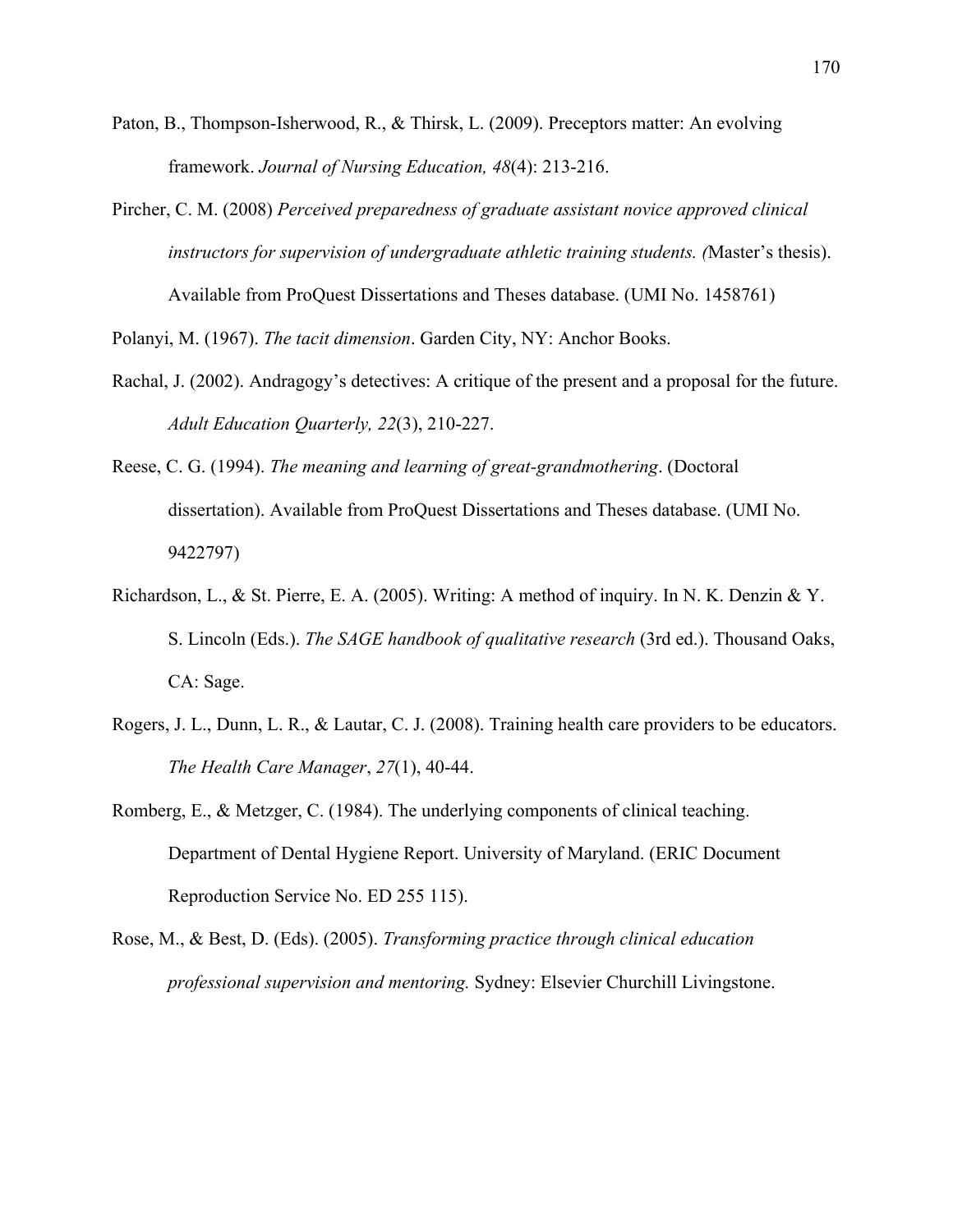- Paton, B., Thompson-Isherwood, R., & Thirsk, L. (2009). Preceptors matter: An evolving framework. *Journal of Nursing Education, 48*(4): 213-216.
- Pircher, C. M. (2008) *Perceived preparedness of graduate assistant novice approved clinical instructors for supervision of undergraduate athletic training students. (*Master's thesis). Available from ProQuest Dissertations and Theses database. (UMI No. 1458761)

Polanyi, M. (1967). *The tacit dimension*. Garden City, NY: Anchor Books.

- Rachal, J. (2002). Andragogy's detectives: A critique of the present and a proposal for the future. *Adult Education Quarterly, 22*(3), 210-227.
- Reese, C. G. (1994). *The meaning and learning of great-grandmothering*. (Doctoral dissertation). Available from ProQuest Dissertations and Theses database. (UMI No. 9422797)
- Richardson, L., & St. Pierre, E. A. (2005). Writing: A method of inquiry. In N. K. Denzin & Y. S. Lincoln (Eds.). *The SAGE handbook of qualitative research* (3rd ed.). Thousand Oaks, CA: Sage.
- Rogers, J. L., Dunn, L. R., & Lautar, C. J. (2008). Training health care providers to be educators. *The Health Care Manager*, *27*(1), 40-44.
- Romberg, E., & Metzger, C. (1984). The underlying components of clinical teaching. Department of Dental Hygiene Report. University of Maryland. (ERIC Document Reproduction Service No. ED 255 115).
- Rose, M., & Best, D. (Eds). (2005). *Transforming practice through clinical education professional supervision and mentoring.* Sydney: Elsevier Churchill Livingstone.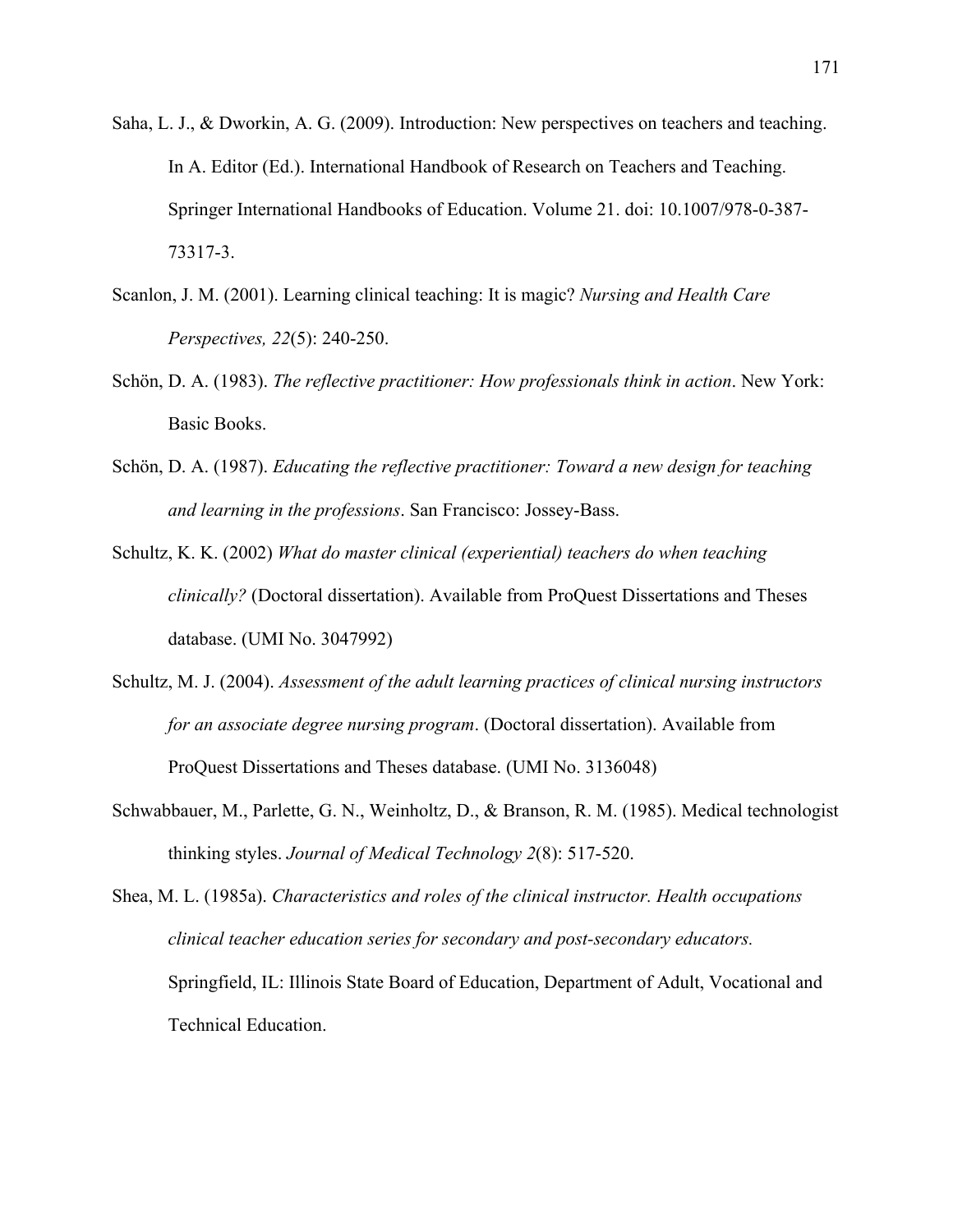- Saha, L. J., & Dworkin, A. G. (2009). Introduction: New perspectives on teachers and teaching. In A. Editor (Ed.). International Handbook of Research on Teachers and Teaching. Springer International Handbooks of Education. Volume 21. doi: 10.1007/978-0-387- 73317-3.
- Scanlon, J. M. (2001). Learning clinical teaching: It is magic? *Nursing and Health Care Perspectives, 22*(5): 240-250.
- Schön, D. A. (1983). *The reflective practitioner: How professionals think in action*. New York: Basic Books.
- Schön, D. A. (1987). *Educating the reflective practitioner: Toward a new design for teaching and learning in the professions*. San Francisco: Jossey-Bass.
- Schultz, K. K. (2002) *What do master clinical (experiential) teachers do when teaching clinically?* (Doctoral dissertation). Available from ProQuest Dissertations and Theses database. (UMI No. 3047992)
- Schultz, M. J. (2004). *Assessment of the adult learning practices of clinical nursing instructors for an associate degree nursing program*. (Doctoral dissertation). Available from ProQuest Dissertations and Theses database. (UMI No. 3136048)
- Schwabbauer, M., Parlette, G. N., Weinholtz, D., & Branson, R. M. (1985). Medical technologist thinking styles. *Journal of Medical Technology 2*(8): 517-520.

Shea, M. L. (1985a). *Characteristics and roles of the clinical instructor. Health occupations clinical teacher education series for secondary and post-secondary educators.*  Springfield, IL: Illinois State Board of Education, Department of Adult, Vocational and Technical Education.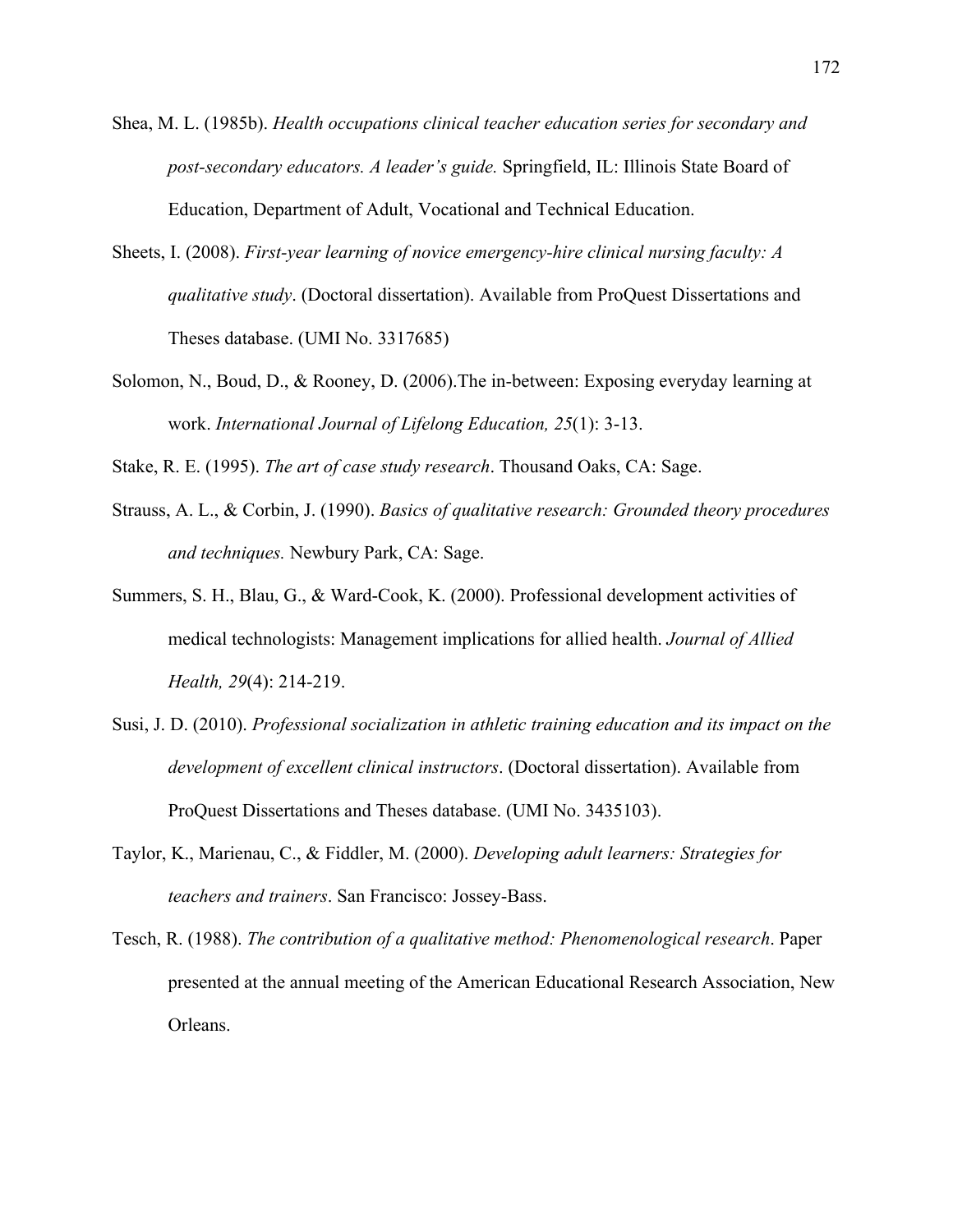- Shea, M. L. (1985b). *Health occupations clinical teacher education series for secondary and post-secondary educators. A leader's guide.* Springfield, IL: Illinois State Board of Education, Department of Adult, Vocational and Technical Education.
- Sheets, I. (2008). *First-year learning of novice emergency-hire clinical nursing faculty: A qualitative study*. (Doctoral dissertation). Available from ProQuest Dissertations and Theses database. (UMI No. 3317685)
- Solomon, N., Boud, D., & Rooney, D. (2006).The in-between: Exposing everyday learning at work. *International Journal of Lifelong Education, 25*(1): 3-13.
- Stake, R. E. (1995). *The art of case study research*. Thousand Oaks, CA: Sage.
- Strauss, A. L., & Corbin, J. (1990). *Basics of qualitative research: Grounded theory procedures and techniques.* Newbury Park, CA: Sage.
- Summers, S. H., Blau, G., & Ward-Cook, K. (2000). Professional development activities of medical technologists: Management implications for allied health. *Journal of Allied Health, 29*(4): 214-219.
- Susi, J. D. (2010). *Professional socialization in athletic training education and its impact on the development of excellent clinical instructors*. (Doctoral dissertation). Available from ProQuest Dissertations and Theses database. (UMI No. 3435103).
- Taylor, K., Marienau, C., & Fiddler, M. (2000). *Developing adult learners: Strategies for teachers and trainers*. San Francisco: Jossey-Bass.
- Tesch, R. (1988). *The contribution of a qualitative method: Phenomenological research*. Paper presented at the annual meeting of the American Educational Research Association, New Orleans.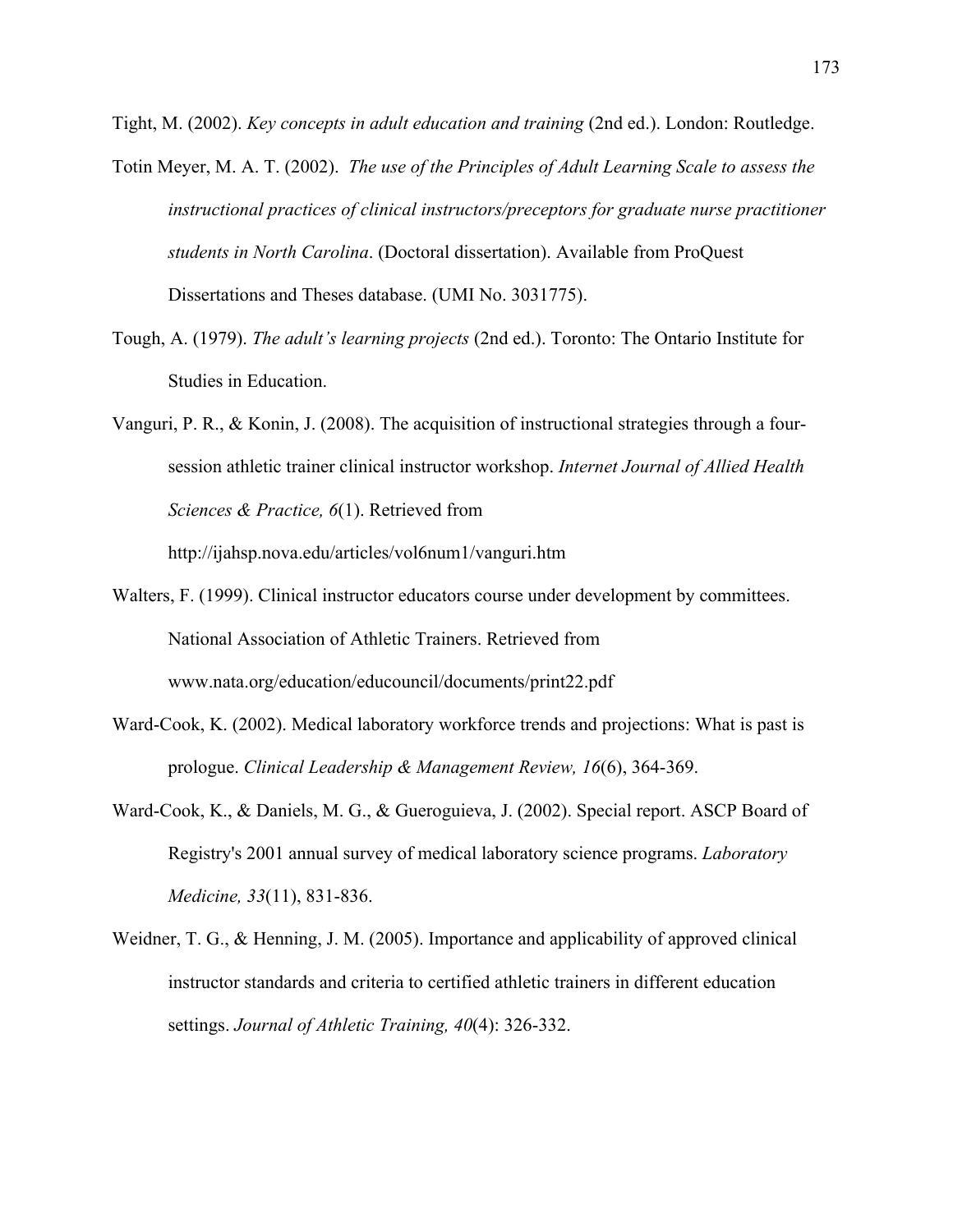Tight, M. (2002). *Key concepts in adult education and training* (2nd ed.). London: Routledge.

- Totin Meyer, M. A. T. (2002). *The use of the Principles of Adult Learning Scale to assess the instructional practices of clinical instructors/preceptors for graduate nurse practitioner students in North Carolina*. (Doctoral dissertation). Available from ProQuest Dissertations and Theses database. (UMI No. 3031775).
- Tough, A. (1979). *The adult's learning projects* (2nd ed.). Toronto: The Ontario Institute for Studies in Education.
- Vanguri, P. R., & Konin, J. (2008). The acquisition of instructional strategies through a foursession athletic trainer clinical instructor workshop. *Internet Journal of Allied Health Sciences & Practice, 6*(1). Retrieved from

http://ijahsp.nova.edu/articles/vol6num1/vanguri.htm

- Walters, F. (1999). Clinical instructor educators course under development by committees. National Association of Athletic Trainers. Retrieved from www.nata.org/education/educouncil/documents/print22.pdf
- Ward-Cook, K. (2002). Medical laboratory workforce trends and projections: What is past is prologue. *Clinical Leadership & Management Review, 16*(6), 364-369.
- Ward-Cook, K., & Daniels, M. G., & Gueroguieva, J. (2002). Special report. ASCP Board of Registry's 2001 annual survey of medical laboratory science programs. *Laboratory Medicine, 33*(11), 831-836.
- Weidner, T. G., & Henning, J. M. (2005). Importance and applicability of approved clinical instructor standards and criteria to certified athletic trainers in different education settings. *Journal of Athletic Training, 40*(4): 326-332.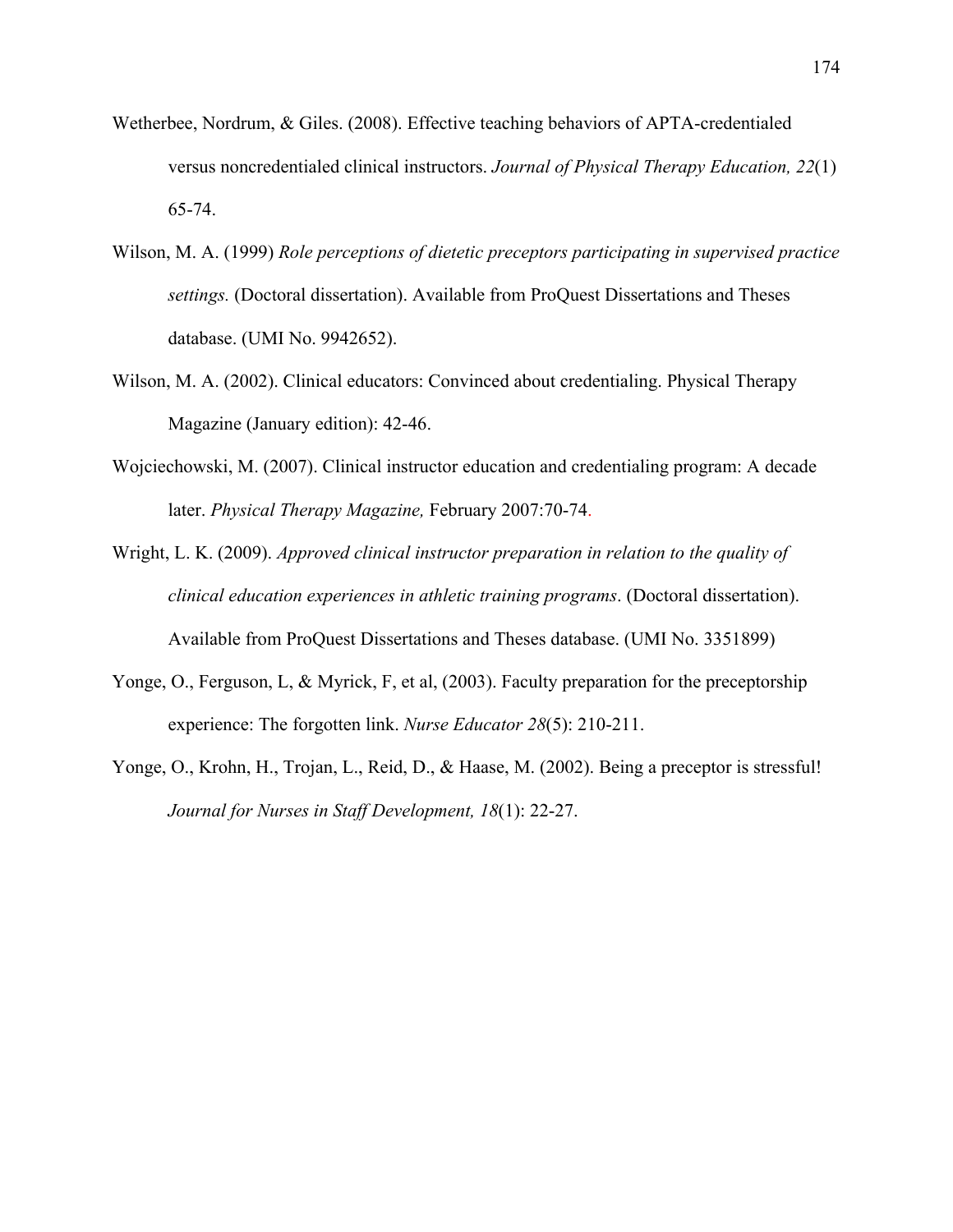- Wetherbee, Nordrum, & Giles. (2008). Effective teaching behaviors of APTA-credentialed versus noncredentialed clinical instructors. *Journal of Physical Therapy Education, 22*(1) 65-74.
- Wilson, M. A. (1999) *Role perceptions of dietetic preceptors participating in supervised practice settings.* (Doctoral dissertation). Available from ProQuest Dissertations and Theses database. (UMI No. 9942652).
- Wilson, M. A. (2002). Clinical educators: Convinced about credentialing. Physical Therapy Magazine (January edition): 42-46.
- Wojciechowski, M. (2007). Clinical instructor education and credentialing program: A decade later. *Physical Therapy Magazine,* February 2007:70-74.

Wright, L. K. (2009). *Approved clinical instructor preparation in relation to the quality of clinical education experiences in athletic training programs*. (Doctoral dissertation). Available from ProQuest Dissertations and Theses database. (UMI No. 3351899)

- Yonge, O., Ferguson, L, & Myrick, F, et al, (2003). Faculty preparation for the preceptorship experience: The forgotten link. *Nurse Educator 28*(5): 210-211.
- Yonge, O., Krohn, H., Trojan, L., Reid, D., & Haase, M. (2002). Being a preceptor is stressful! *Journal for Nurses in Staff Development, 18*(1): 22-27.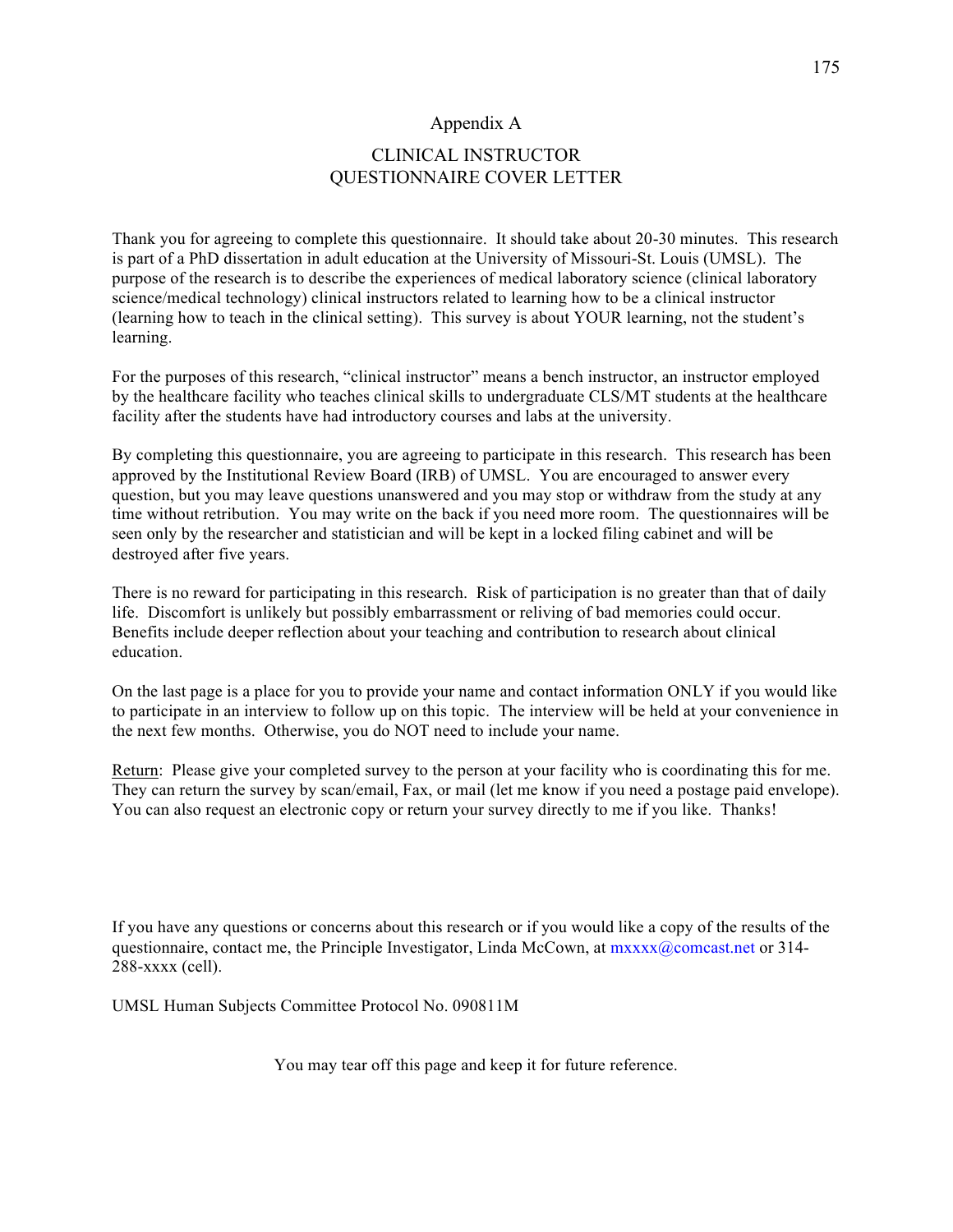#### Appendix A

### CLINICAL INSTRUCTOR QUESTIONNAIRE COVER LETTER

Thank you for agreeing to complete this questionnaire. It should take about 20-30 minutes. This research is part of a PhD dissertation in adult education at the University of Missouri-St. Louis (UMSL). The purpose of the research is to describe the experiences of medical laboratory science (clinical laboratory science/medical technology) clinical instructors related to learning how to be a clinical instructor (learning how to teach in the clinical setting). This survey is about YOUR learning, not the student's learning.

For the purposes of this research, "clinical instructor" means a bench instructor, an instructor employed by the healthcare facility who teaches clinical skills to undergraduate CLS/MT students at the healthcare facility after the students have had introductory courses and labs at the university.

By completing this questionnaire, you are agreeing to participate in this research. This research has been approved by the Institutional Review Board (IRB) of UMSL. You are encouraged to answer every question, but you may leave questions unanswered and you may stop or withdraw from the study at any time without retribution. You may write on the back if you need more room. The questionnaires will be seen only by the researcher and statistician and will be kept in a locked filing cabinet and will be destroyed after five years.

There is no reward for participating in this research. Risk of participation is no greater than that of daily life. Discomfort is unlikely but possibly embarrassment or reliving of bad memories could occur. Benefits include deeper reflection about your teaching and contribution to research about clinical education.

On the last page is a place for you to provide your name and contact information ONLY if you would like to participate in an interview to follow up on this topic. The interview will be held at your convenience in the next few months. Otherwise, you do NOT need to include your name.

Return: Please give your completed survey to the person at your facility who is coordinating this for me. They can return the survey by scan/email, Fax, or mail (let me know if you need a postage paid envelope). You can also request an electronic copy or return your survey directly to me if you like. Thanks!

If you have any questions or concerns about this research or if you would like a copy of the results of the questionnaire, contact me, the Principle Investigator, Linda McCown, at  $maxxx(\partial \text{concat.net or } 314$ -288-xxxx (cell).

UMSL Human Subjects Committee Protocol No. 090811M

You may tear off this page and keep it for future reference.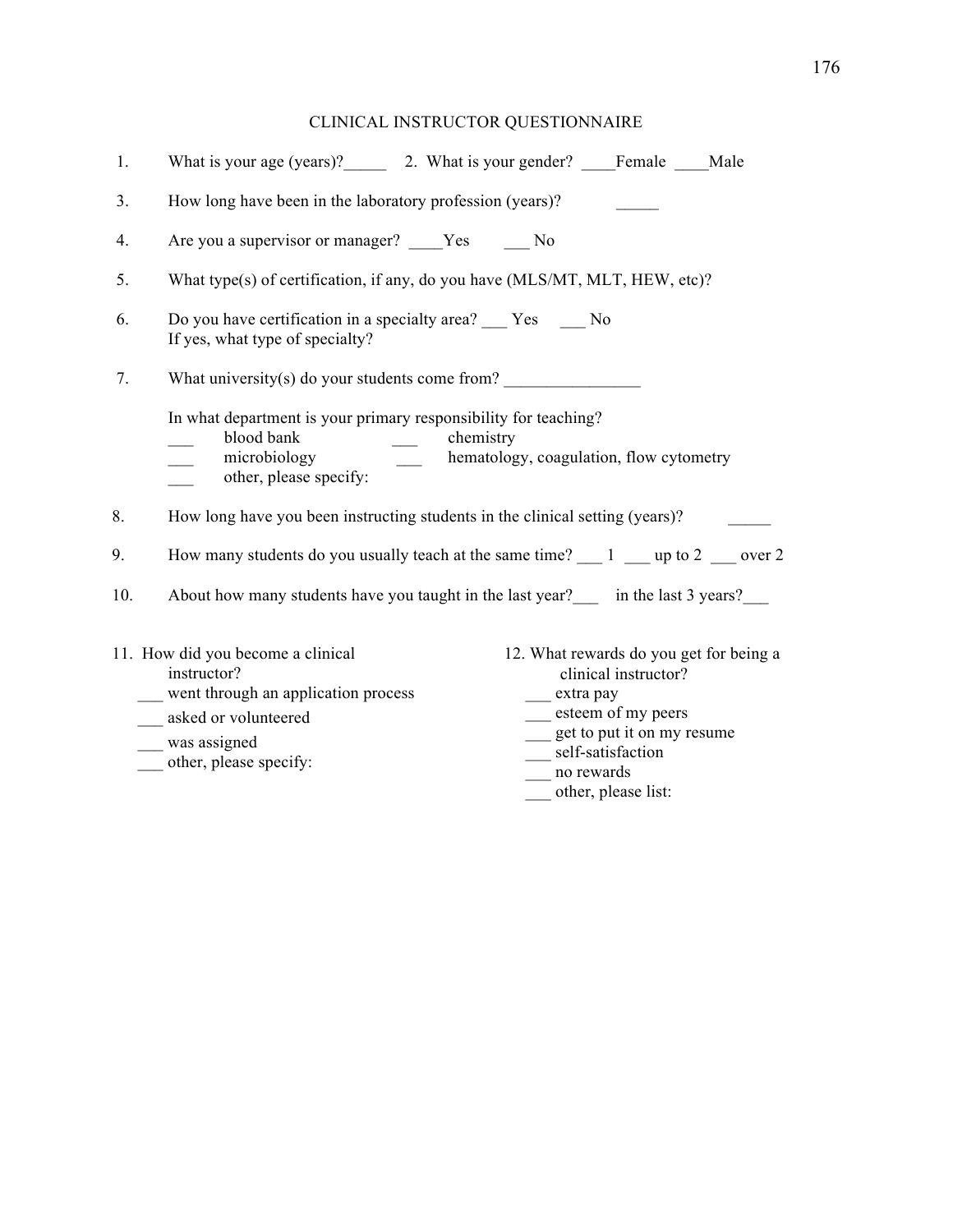## CLINICAL INSTRUCTOR QUESTIONNAIRE

| 1.  | What is your age (years)? 2. What is your gender? Female Male                                                                                                                                                                                                                                                                                                  |
|-----|----------------------------------------------------------------------------------------------------------------------------------------------------------------------------------------------------------------------------------------------------------------------------------------------------------------------------------------------------------------|
| 3.  | How long have been in the laboratory profession (years)?                                                                                                                                                                                                                                                                                                       |
| 4.  | Are you a supervisor or manager? Yes No                                                                                                                                                                                                                                                                                                                        |
| 5.  | What type(s) of certification, if any, do you have (MLS/MT, MLT, HEW, etc)?                                                                                                                                                                                                                                                                                    |
| 6.  | Do you have certification in a specialty area? Yes No<br>If yes, what type of specialty?                                                                                                                                                                                                                                                                       |
| 7.  | What university(s) do your students come from?                                                                                                                                                                                                                                                                                                                 |
|     | In what department is your primary responsibility for teaching?<br>blood bank<br>chemistry<br>$\frac{1}{2}$<br>hematology, coagulation, flow cytometry<br>microbiology<br>other, please specify:                                                                                                                                                               |
| 8.  | How long have you been instructing students in the clinical setting (years)?                                                                                                                                                                                                                                                                                   |
| 9.  | How many students do you usually teach at the same time? $\frac{1}{\sqrt{2}}$ up to 2 $\frac{1}{\sqrt{2}}$ over 2                                                                                                                                                                                                                                              |
| 10. | About how many students have you taught in the last year? in the last 3 years?                                                                                                                                                                                                                                                                                 |
|     | 11. How did you become a clinical<br>12. What rewards do you get for being a<br>instructor?<br>clinical instructor?<br>went through an application process<br>___ extra pay<br>esteem of my peers<br>asked or volunteered<br>get to put it on my resume<br>was assigned<br>__ self-satisfaction<br>other, please specify:<br>no rewards<br>other, please list: |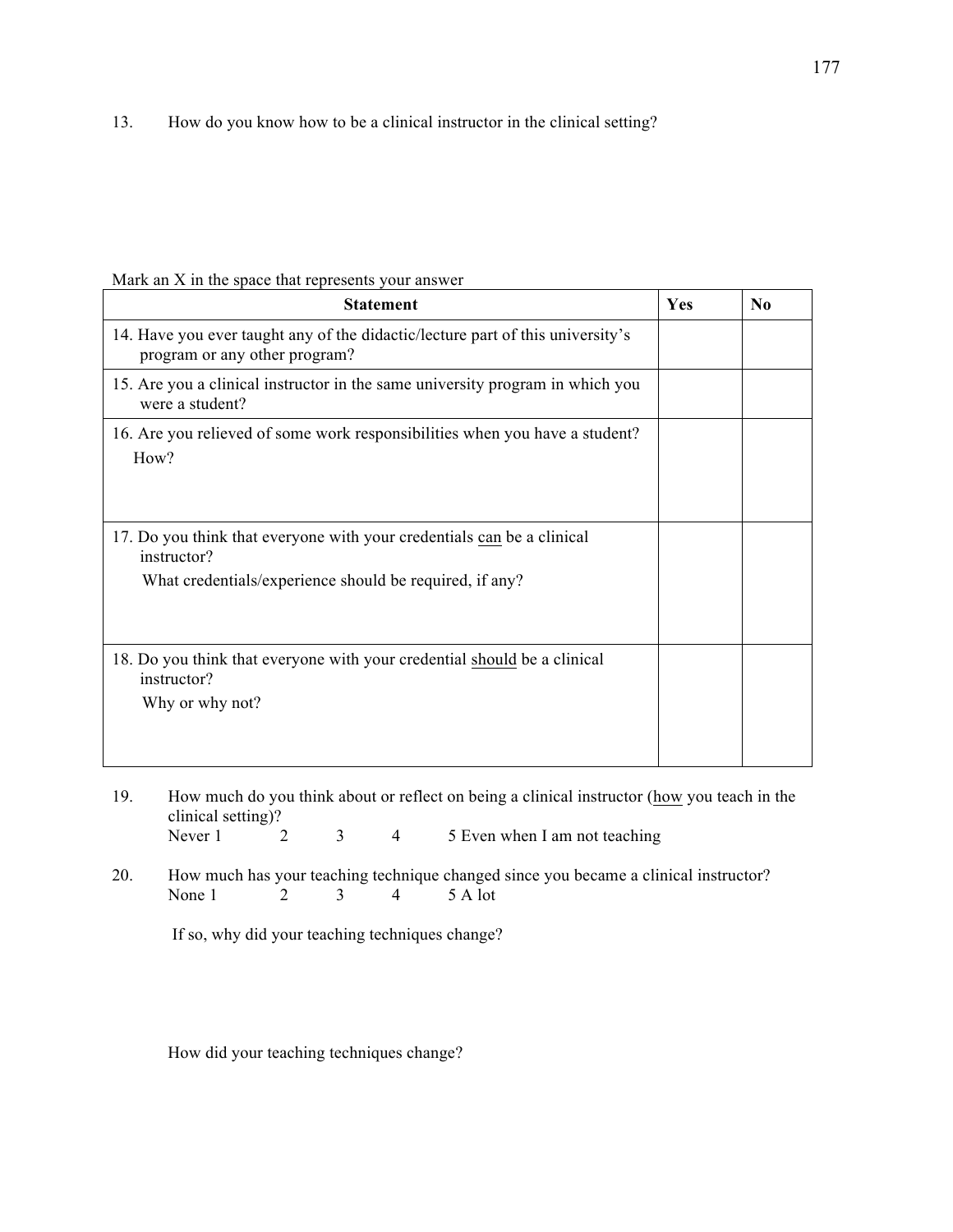13. How do you know how to be a clinical instructor in the clinical setting?

#### Mark an X in the space that represents your answer

| <b>Statement</b>                                                                                                                                 | Yes | $\bf N_0$ |
|--------------------------------------------------------------------------------------------------------------------------------------------------|-----|-----------|
| 14. Have you ever taught any of the didactic/lecture part of this university's<br>program or any other program?                                  |     |           |
| 15. Are you a clinical instructor in the same university program in which you<br>were a student?                                                 |     |           |
| 16. Are you relieved of some work responsibilities when you have a student?<br>How?                                                              |     |           |
| 17. Do you think that everyone with your credentials can be a clinical<br>instructor?<br>What credentials/experience should be required, if any? |     |           |
| 18. Do you think that everyone with your credential should be a clinical<br>instructor?<br>Why or why not?                                       |     |           |

19. How much do you think about or reflect on being a clinical instructor (how you teach in the clinical setting)?<br>Never 1 2 3 4 5 Even when I am not teaching

20. How much has your teaching technique changed since you became a clinical instructor?<br>None 1 2 3 4 5 A lot None 1

If so, why did your teaching techniques change?

How did your teaching techniques change?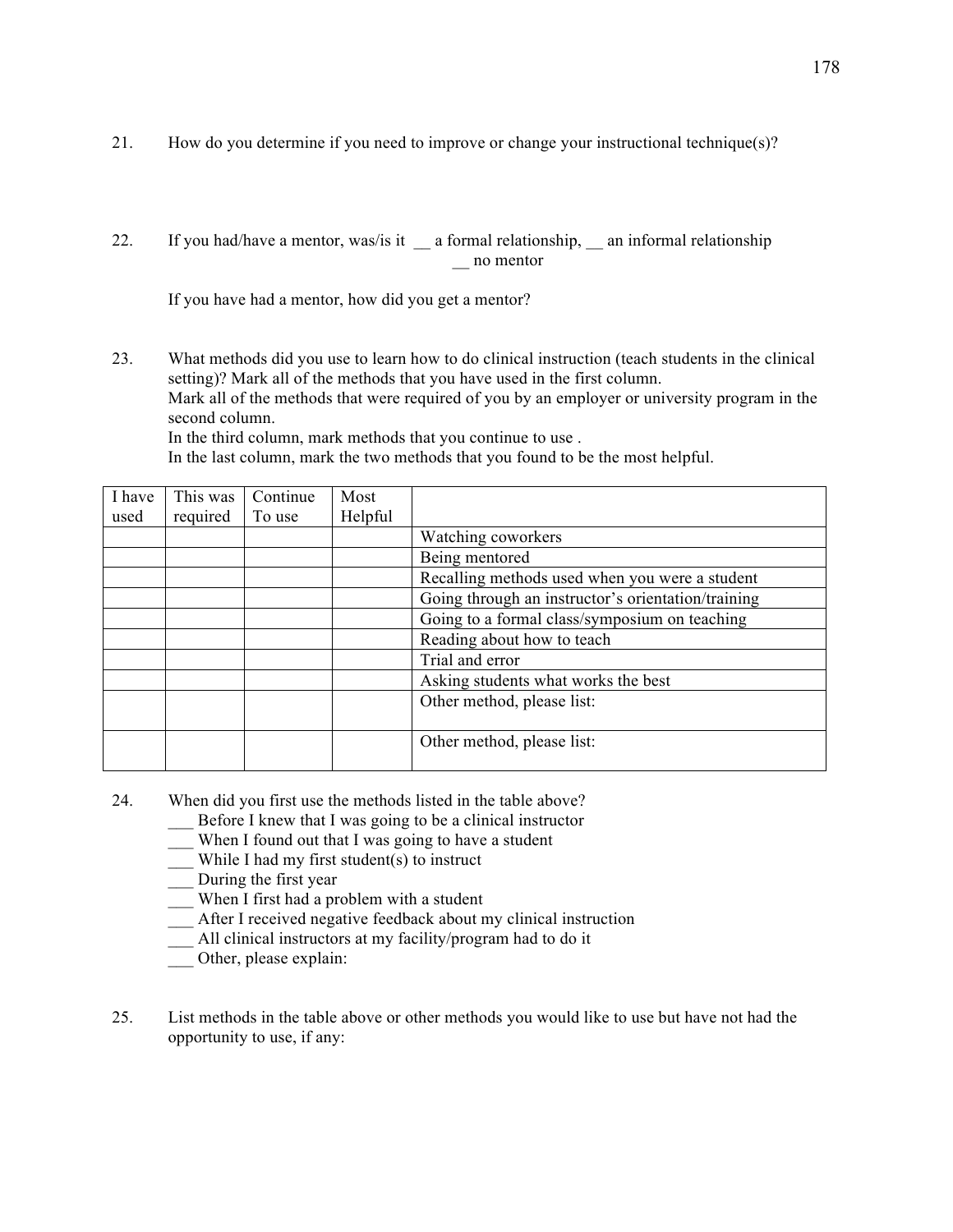- 21. How do you determine if you need to improve or change your instructional technique(s)?
- 22. If you had/have a mentor, was/is it a formal relationship, an informal relationship \_\_ no mentor

If you have had a mentor, how did you get a mentor?

23. What methods did you use to learn how to do clinical instruction (teach students in the clinical setting)? Mark all of the methods that you have used in the first column. Mark all of the methods that were required of you by an employer or university program in the second column.

In the third column, mark methods that you continue to use .

In the last column, mark the two methods that you found to be the most helpful.

| I have | This was | Continue | Most    |                                                    |
|--------|----------|----------|---------|----------------------------------------------------|
| used   | required | To use   | Helpful |                                                    |
|        |          |          |         | Watching coworkers                                 |
|        |          |          |         | Being mentored                                     |
|        |          |          |         | Recalling methods used when you were a student     |
|        |          |          |         | Going through an instructor's orientation/training |
|        |          |          |         | Going to a formal class/symposium on teaching      |
|        |          |          |         | Reading about how to teach                         |
|        |          |          |         | Trial and error                                    |
|        |          |          |         | Asking students what works the best                |
|        |          |          |         | Other method, please list:                         |
|        |          |          |         |                                                    |
|        |          |          |         | Other method, please list:                         |

- 24. When did you first use the methods listed in the table above?
	- \_\_\_ Before I knew that I was going to be a clinical instructor
	- \_\_\_ When I found out that I was going to have a student
	- $\frac{1}{\sqrt{2}}$  While I had my first student(s) to instruct
	- \_\_\_ During the first year
	- \_\_\_ When I first had a problem with a student
	- \_\_\_ After I received negative feedback about my clinical instruction
	- All clinical instructors at my facility/program had to do it
	- \_\_\_ Other, please explain:
- 25. List methods in the table above or other methods you would like to use but have not had the opportunity to use, if any: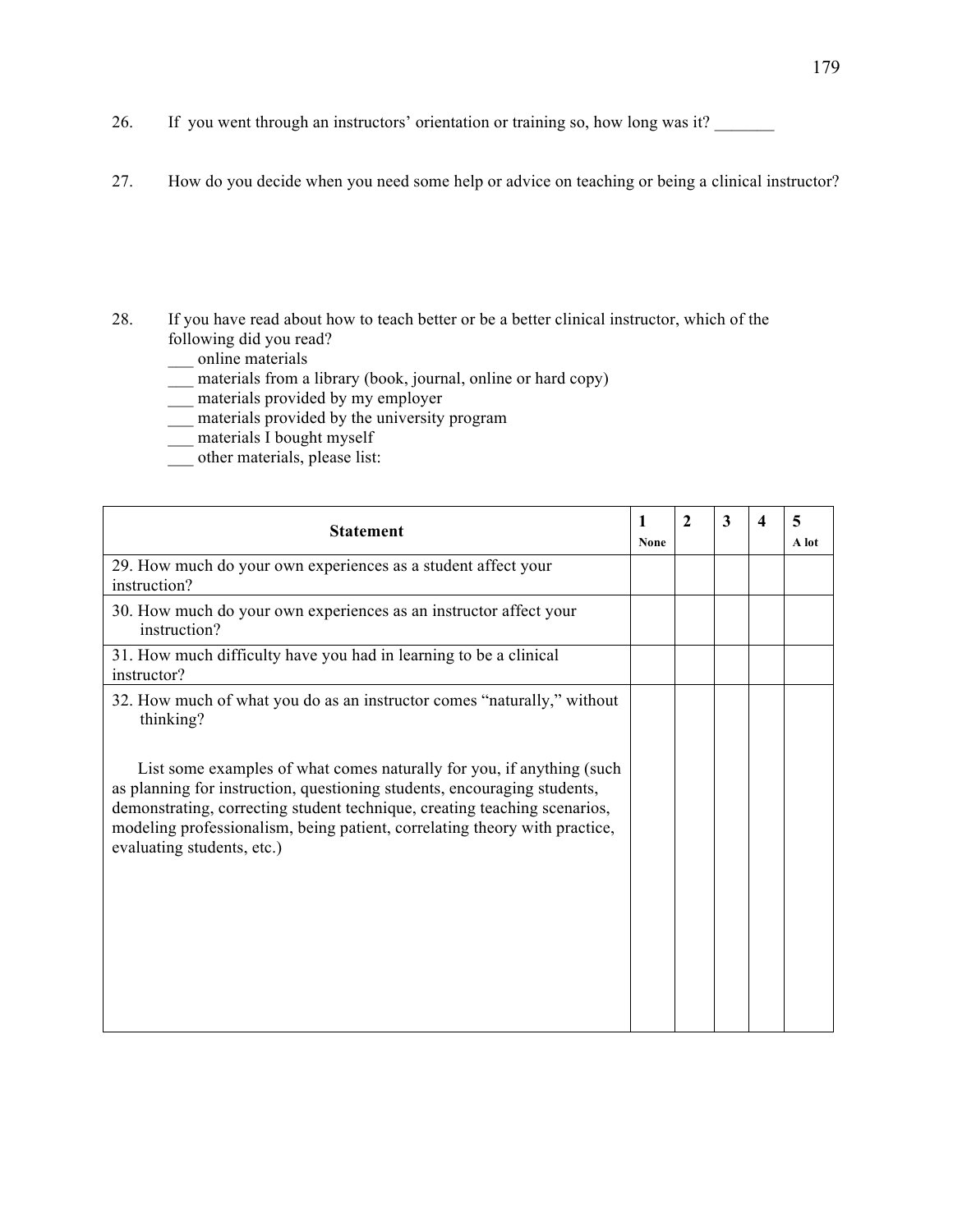- 26. If you went through an instructors' orientation or training so, how long was it?
- 27. How do you decide when you need some help or advice on teaching or being a clinical instructor?
- 28. If you have read about how to teach better or be a better clinical instructor, which of the following did you read?
	- \_\_\_ online materials
	- \_\_\_ materials from a library (book, journal, online or hard copy)
	- $\equiv$  materials provided by my employer
	- \_\_\_ materials provided by the university program
	- $\equiv$  materials I bought myself
	- other materials, please list:

| <b>Statement</b>                                                                                                                                                                                                                                                  | 1<br>None | $\mathbf{2}$ | 3 | 4 | 5<br>A lot |
|-------------------------------------------------------------------------------------------------------------------------------------------------------------------------------------------------------------------------------------------------------------------|-----------|--------------|---|---|------------|
| 29. How much do your own experiences as a student affect your<br>instruction?                                                                                                                                                                                     |           |              |   |   |            |
| 30. How much do your own experiences as an instructor affect your<br>instruction?                                                                                                                                                                                 |           |              |   |   |            |
| 31. How much difficulty have you had in learning to be a clinical<br>instructor?                                                                                                                                                                                  |           |              |   |   |            |
| 32. How much of what you do as an instructor comes "naturally," without<br>thinking?<br>List some examples of what comes naturally for you, if anything (such                                                                                                     |           |              |   |   |            |
| as planning for instruction, questioning students, encouraging students,<br>demonstrating, correcting student technique, creating teaching scenarios,<br>modeling professionalism, being patient, correlating theory with practice,<br>evaluating students, etc.) |           |              |   |   |            |
|                                                                                                                                                                                                                                                                   |           |              |   |   |            |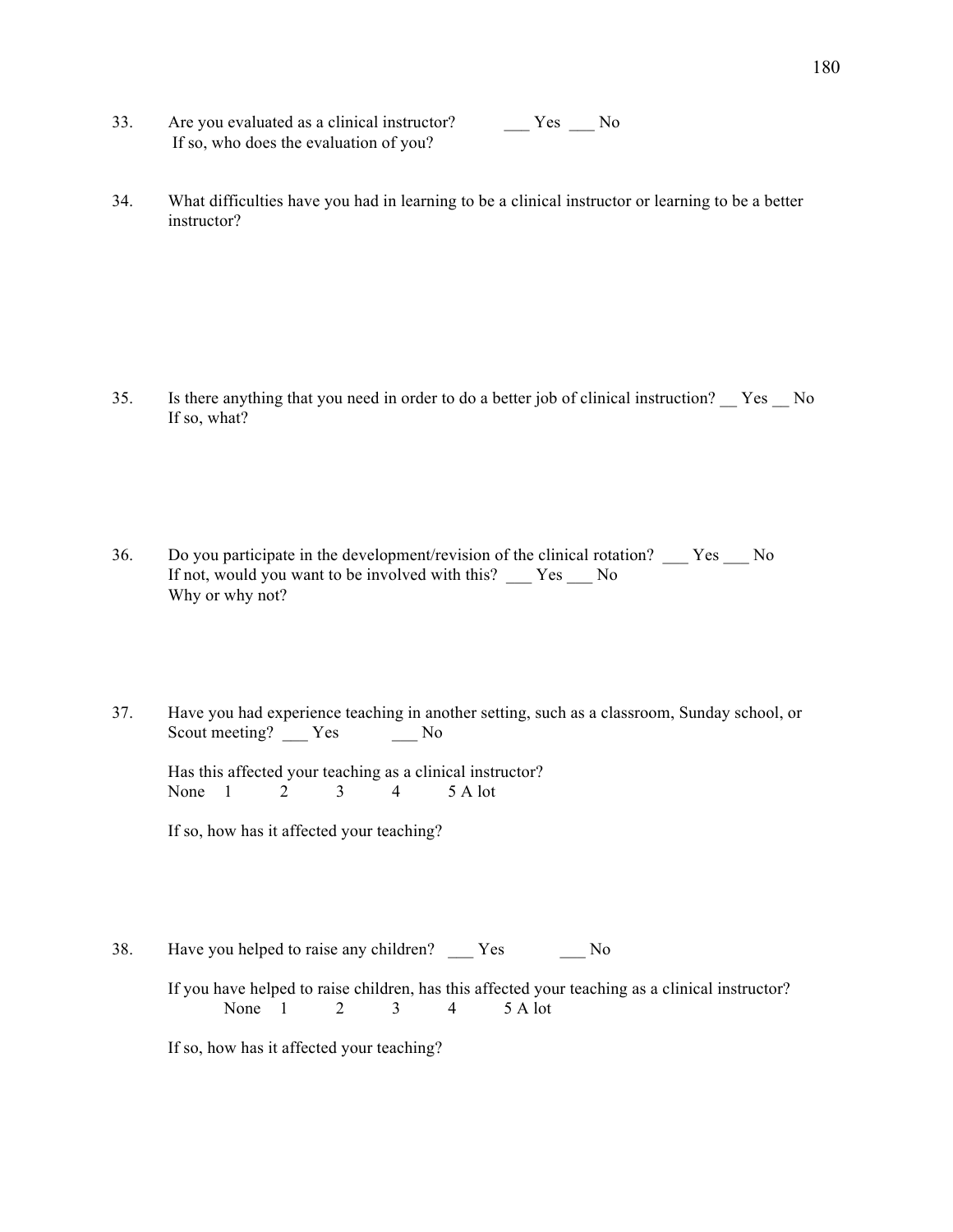- 33. Are you evaluated as a clinical instructor?  $\qquad \qquad \text{Yes} \qquad \text{No}$ If so, who does the evaluation of you?
- 34. What difficulties have you had in learning to be a clinical instructor or learning to be a better instructor?

- 35. Is there anything that you need in order to do a better job of clinical instruction? \_\_ Yes \_\_ No If so, what?
- 36. Do you participate in the development/revision of the clinical rotation? \_\_\_ Yes \_\_\_ No If not, would you want to be involved with this? \_\_\_ Yes \_\_\_ No Why or why not?
- 37. Have you had experience teaching in another setting, such as a classroom, Sunday school, or Scout meeting? \_\_\_ Yes \_\_\_ No

Has this affected your teaching as a clinical instructor? None 1 2 3 4 5 A lot

If so, how has it affected your teaching?

38. Have you helped to raise any children? Yes No

If you have helped to raise children, has this affected your teaching as a clinical instructor? None 1 2 3 4 5 A lot

If so, how has it affected your teaching?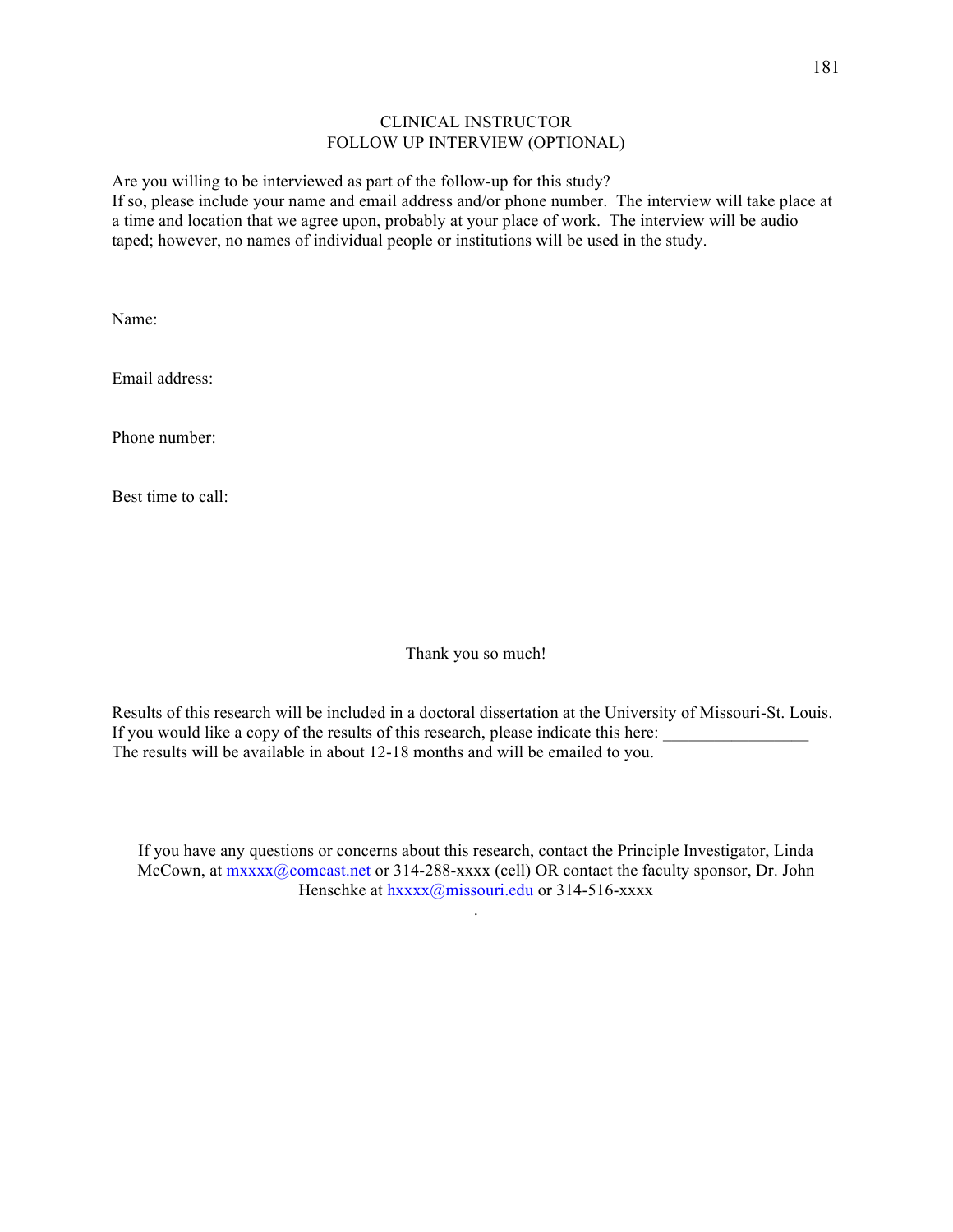#### CLINICAL INSTRUCTOR FOLLOW UP INTERVIEW (OPTIONAL)

Are you willing to be interviewed as part of the follow-up for this study? If so, please include your name and email address and/or phone number. The interview will take place at a time and location that we agree upon, probably at your place of work. The interview will be audio taped; however, no names of individual people or institutions will be used in the study.

Name:

Email address:

Phone number:

Best time to call:

Thank you so much!

Results of this research will be included in a doctoral dissertation at the University of Missouri-St. Louis. If you would like a copy of the results of this research, please indicate this here: The results will be available in about 12-18 months and will be emailed to you.

If you have any questions or concerns about this research, contact the Principle Investigator, Linda McCown, at  $\max_{x} \sqrt{a}$  comcast.net or 314-288-xxxx (cell) OR contact the faculty sponsor, Dr. John Henschke at hxxxx@missouri.edu or 314-516-xxxx

.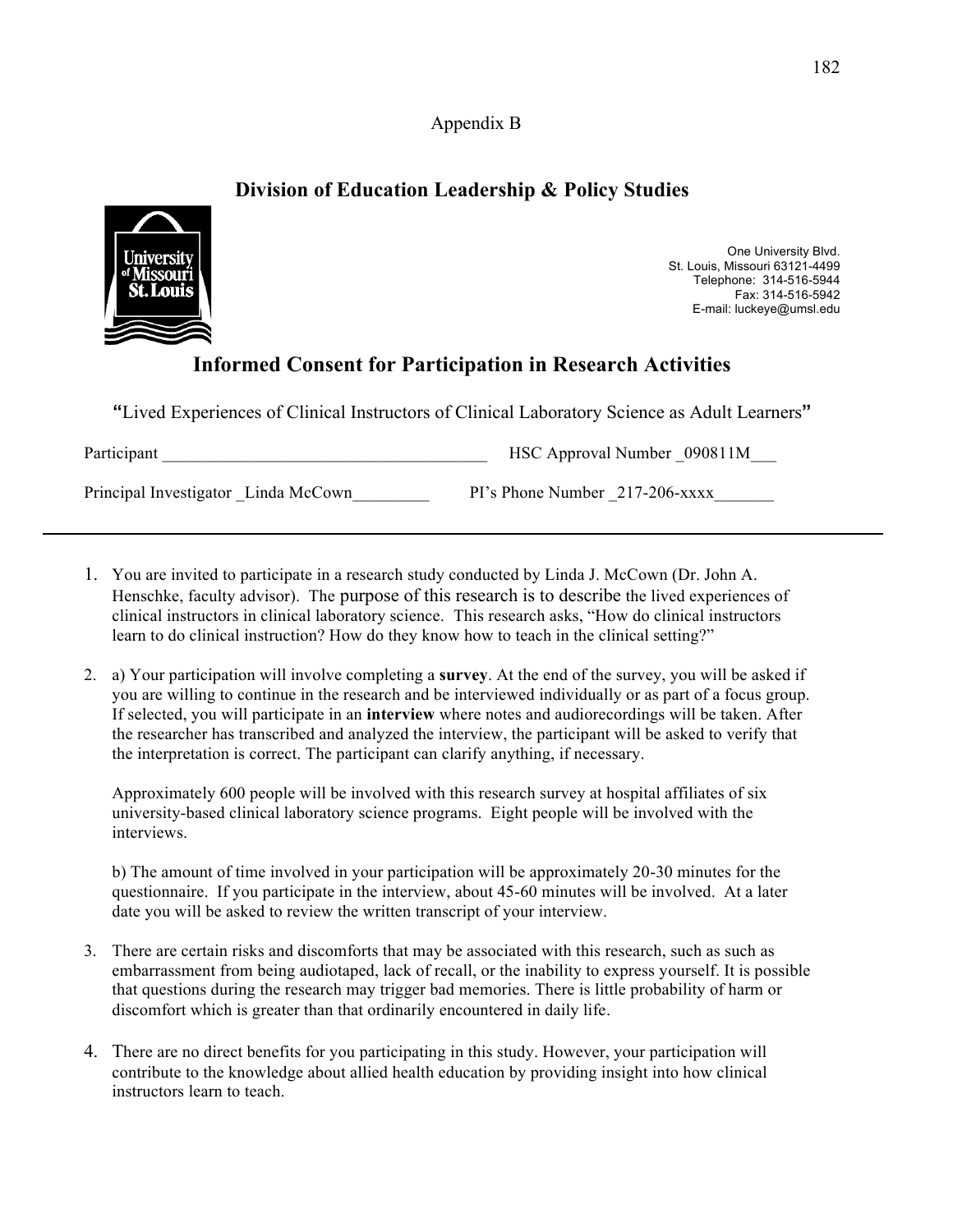Appendix B

## **Division of Education Leadership & Policy Studies**



One University Blvd. St. Louis, Missouri 63121-4499 Telephone: 314-516-5944 Fax: 314-516-5942 E-mail: luckeye@umsl.edu

# **Informed Consent for Participation in Research Activities**

**"**Lived Experiences of Clinical Instructors of Clinical Laboratory Science as Adult Learners**"** 

| Participant                         | HSC Approval Number 090811M    |
|-------------------------------------|--------------------------------|
| Principal Investigator Linda McCown | PI's Phone Number 217-206-xxxx |

- 1. You are invited to participate in a research study conducted by Linda J. McCown (Dr. John A. Henschke, faculty advisor). The purpose of this research is to describe the lived experiences of clinical instructors in clinical laboratory science. This research asks, "How do clinical instructors learn to do clinical instruction? How do they know how to teach in the clinical setting?"
- 2. a) Your participation will involve completing a **survey**. At the end of the survey, you will be asked if you are willing to continue in the research and be interviewed individually or as part of a focus group. If selected, you will participate in an **interview** where notes and audiorecordings will be taken. After the researcher has transcribed and analyzed the interview, the participant will be asked to verify that the interpretation is correct. The participant can clarify anything, if necessary.

Approximately 600 people will be involved with this research survey at hospital affiliates of six university-based clinical laboratory science programs. Eight people will be involved with the interviews.

b) The amount of time involved in your participation will be approximately 20-30 minutes for the questionnaire. If you participate in the interview, about 45-60 minutes will be involved. At a later date you will be asked to review the written transcript of your interview.

- 3. There are certain risks and discomforts that may be associated with this research, such as such as embarrassment from being audiotaped, lack of recall, or the inability to express yourself. It is possible that questions during the research may trigger bad memories. There is little probability of harm or discomfort which is greater than that ordinarily encountered in daily life.
- 4. There are no direct benefits for you participating in this study. However, your participation will contribute to the knowledge about allied health education by providing insight into how clinical instructors learn to teach.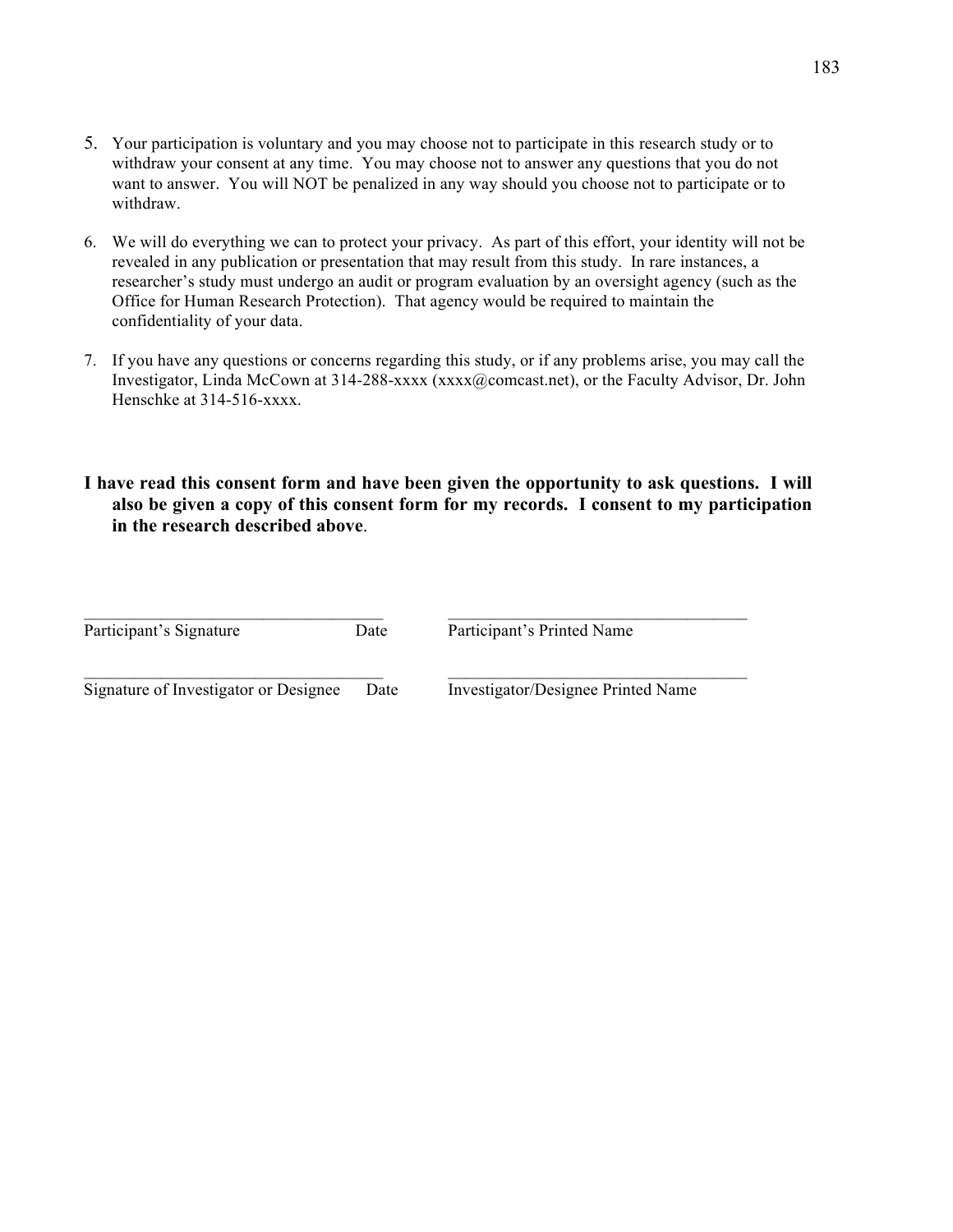- 5. Your participation is voluntary and you may choose not to participate in this research study or to withdraw your consent at any time. You may choose not to answer any questions that you do not want to answer. You will NOT be penalized in any way should you choose not to participate or to withdraw.
- 6. We will do everything we can to protect your privacy. As part of this effort, your identity will not be revealed in any publication or presentation that may result from this study. In rare instances, a researcher's study must undergo an audit or program evaluation by an oversight agency (such as the Office for Human Research Protection). That agency would be required to maintain the confidentiality of your data.
- 7. If you have any questions or concerns regarding this study, or if any problems arise, you may call the Investigator, Linda McCown at 314-288-xxxx (xxxx@comcast.net), or the Faculty Advisor, Dr. John Henschke at 314-516-xxxx.
- **I have read this consent form and have been given the opportunity to ask questions. I will also be given a copy of this consent form for my records. I consent to my participation in the research described above**.

| Participant's Signature               | Date | Participant's Printed Name         |
|---------------------------------------|------|------------------------------------|
| Signature of Investigator or Designee | Date | Investigator/Designee Printed Name |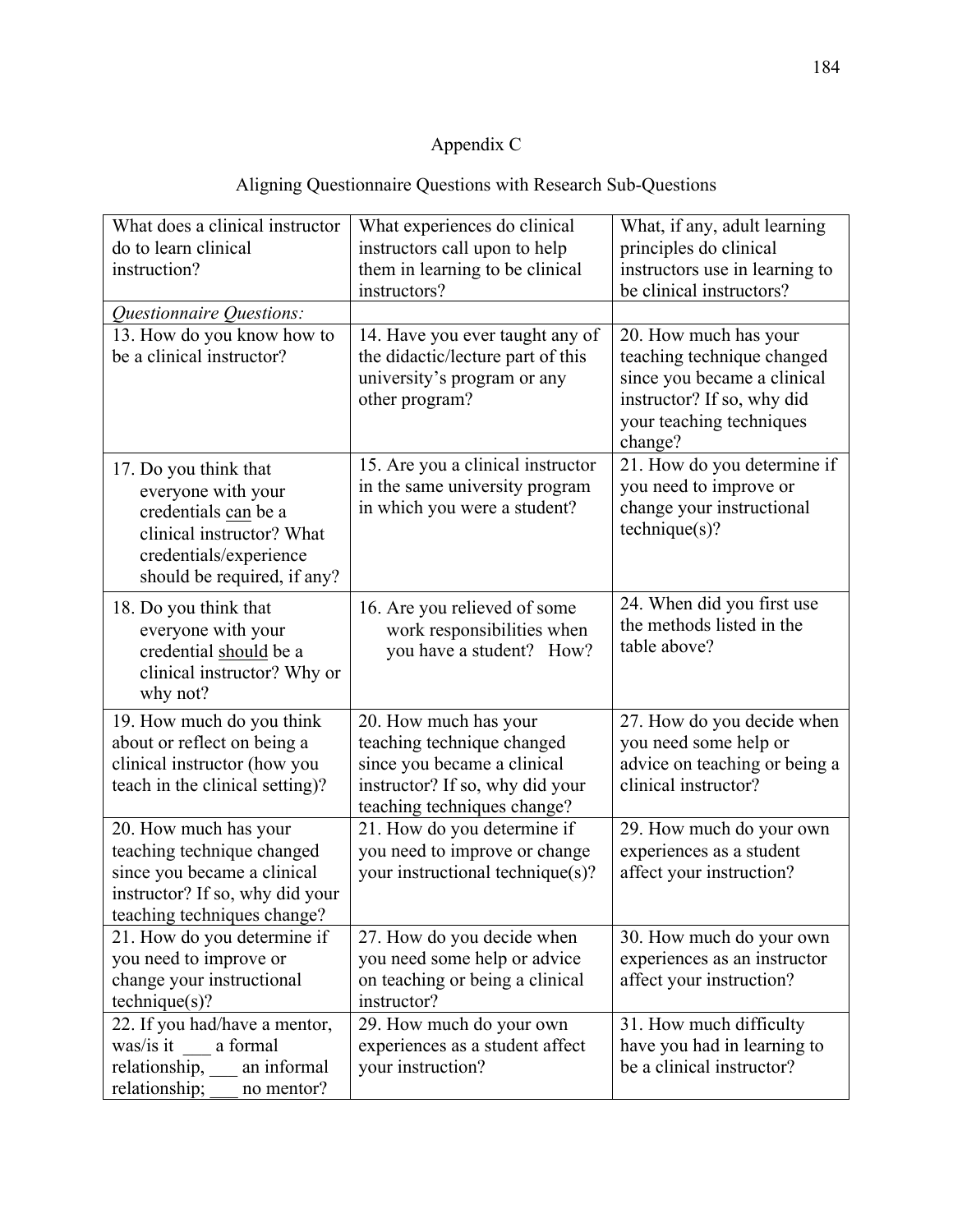# Appendix C

# Aligning Questionnaire Questions with Research Sub-Questions

| What does a clinical instructor | What experiences do clinical      | What, if any, adult learning   |
|---------------------------------|-----------------------------------|--------------------------------|
| do to learn clinical            | instructors call upon to help     | principles do clinical         |
| instruction?                    | them in learning to be clinical   | instructors use in learning to |
|                                 | instructors?                      | be clinical instructors?       |
| Questionnaire Questions:        |                                   |                                |
| 13. How do you know how to      | 14. Have you ever taught any of   | 20. How much has your          |
| be a clinical instructor?       | the didactic/lecture part of this | teaching technique changed     |
|                                 | university's program or any       | since you became a clinical    |
|                                 | other program?                    | instructor? If so, why did     |
|                                 |                                   | your teaching techniques       |
|                                 |                                   | change?                        |
| 17. Do you think that           | 15. Are you a clinical instructor | 21. How do you determine if    |
| everyone with your              | in the same university program    | you need to improve or         |
| credentials can be a            | in which you were a student?      | change your instructional      |
| clinical instructor? What       |                                   | technique(s)?                  |
| credentials/experience          |                                   |                                |
| should be required, if any?     |                                   |                                |
| 18. Do you think that           | 16. Are you relieved of some      | 24. When did you first use     |
| everyone with your              | work responsibilities when        | the methods listed in the      |
| credential should be a          | you have a student? How?          | table above?                   |
| clinical instructor? Why or     |                                   |                                |
| why not?                        |                                   |                                |
| 19. How much do you think       | 20. How much has your             | 27. How do you decide when     |
| about or reflect on being a     | teaching technique changed        | you need some help or          |
| clinical instructor (how you    | since you became a clinical       | advice on teaching or being a  |
| teach in the clinical setting)? | instructor? If so, why did your   | clinical instructor?           |
|                                 | teaching techniques change?       |                                |
| 20. How much has your           | 21. How do you determine if       | 29. How much do your own       |
| teaching technique changed      | you need to improve or change     | experiences as a student       |
| since you became a clinical     | your instructional technique(s)?  | affect your instruction?       |
| instructor? If so, why did your |                                   |                                |
| teaching techniques change?     |                                   |                                |
| 21. How do you determine if     | 27. How do you decide when        | 30. How much do your own       |
| you need to improve or          | you need some help or advice      | experiences as an instructor   |
| change your instructional       | on teaching or being a clinical   | affect your instruction?       |
| technique(s)?                   | instructor?                       |                                |
| 22. If you had/have a mentor,   | 29. How much do your own          | 31. How much difficulty        |
| was/is it<br>a formal           | experiences as a student affect   | have you had in learning to    |
| relationship, an informal       | your instruction?                 | be a clinical instructor?      |
| relationship;<br>no mentor?     |                                   |                                |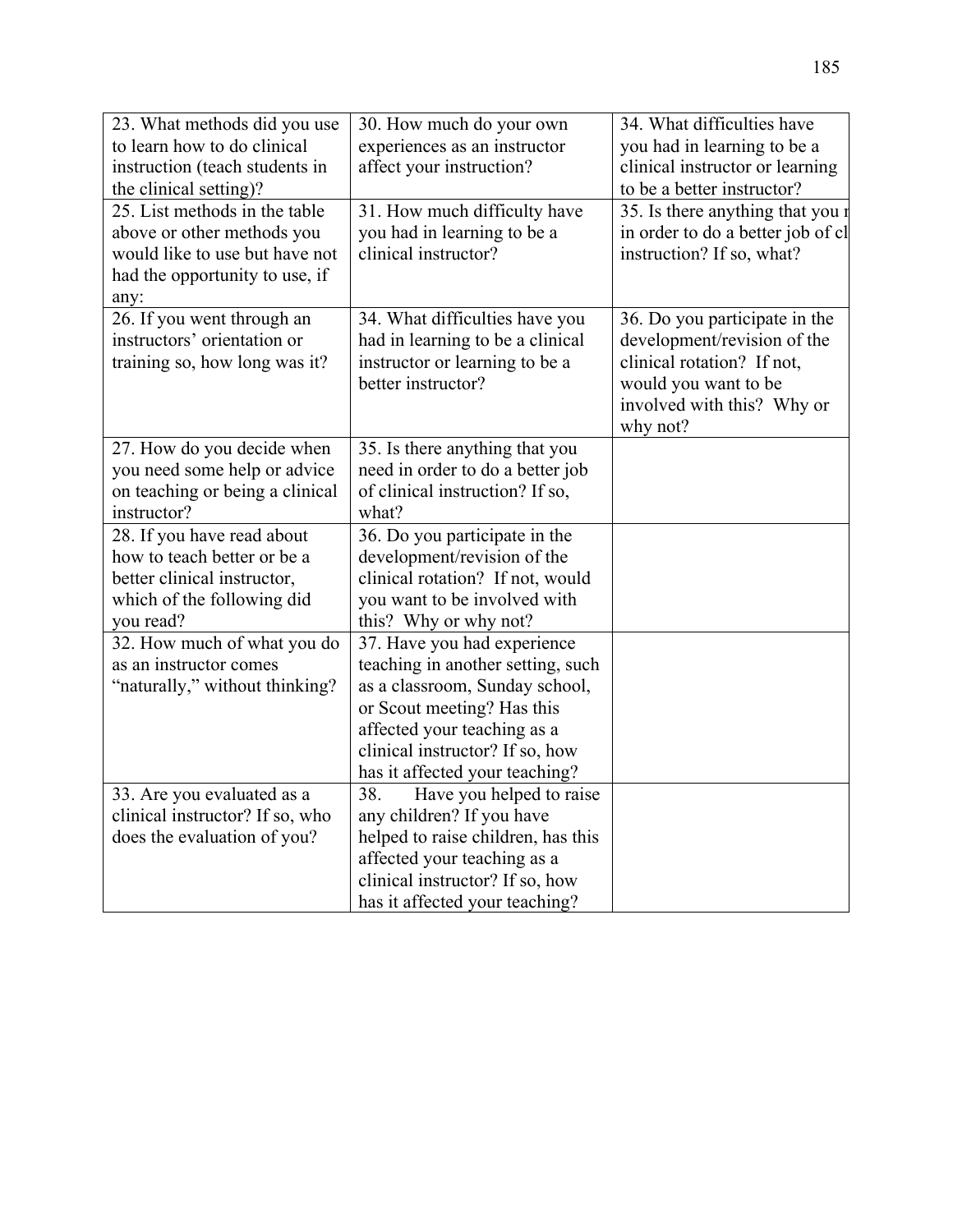| 23. What methods did you use    | 30. How much do your own           | 34. What difficulties have        |
|---------------------------------|------------------------------------|-----------------------------------|
| to learn how to do clinical     | experiences as an instructor       | you had in learning to be a       |
| instruction (teach students in  | affect your instruction?           | clinical instructor or learning   |
| the clinical setting)?          |                                    | to be a better instructor?        |
| 25. List methods in the table   | 31. How much difficulty have       | 35. Is there anything that you r  |
| above or other methods you      | you had in learning to be a        | in order to do a better job of cl |
| would like to use but have not  | clinical instructor?               | instruction? If so, what?         |
| had the opportunity to use, if  |                                    |                                   |
| any:                            |                                    |                                   |
| 26. If you went through an      | 34. What difficulties have you     | 36. Do you participate in the     |
| instructors' orientation or     | had in learning to be a clinical   | development/revision of the       |
| training so, how long was it?   | instructor or learning to be a     | clinical rotation? If not,        |
|                                 | better instructor?                 | would you want to be              |
|                                 |                                    | involved with this? Why or        |
|                                 |                                    | why not?                          |
| 27. How do you decide when      | 35. Is there anything that you     |                                   |
| you need some help or advice    | need in order to do a better job   |                                   |
| on teaching or being a clinical | of clinical instruction? If so,    |                                   |
| instructor?                     | what?                              |                                   |
| 28. If you have read about      | 36. Do you participate in the      |                                   |
| how to teach better or be a     | development/revision of the        |                                   |
| better clinical instructor,     | clinical rotation? If not, would   |                                   |
| which of the following did      | you want to be involved with       |                                   |
| you read?                       | this? Why or why not?              |                                   |
| 32. How much of what you do     | 37. Have you had experience        |                                   |
| as an instructor comes          | teaching in another setting, such  |                                   |
| "naturally," without thinking?  | as a classroom, Sunday school,     |                                   |
|                                 | or Scout meeting? Has this         |                                   |
|                                 | affected your teaching as a        |                                   |
|                                 | clinical instructor? If so, how    |                                   |
|                                 | has it affected your teaching?     |                                   |
| 33. Are you evaluated as a      | 38.<br>Have you helped to raise    |                                   |
| clinical instructor? If so, who | any children? If you have          |                                   |
| does the evaluation of you?     | helped to raise children, has this |                                   |
|                                 | affected your teaching as a        |                                   |
|                                 | clinical instructor? If so, how    |                                   |
|                                 | has it affected your teaching?     |                                   |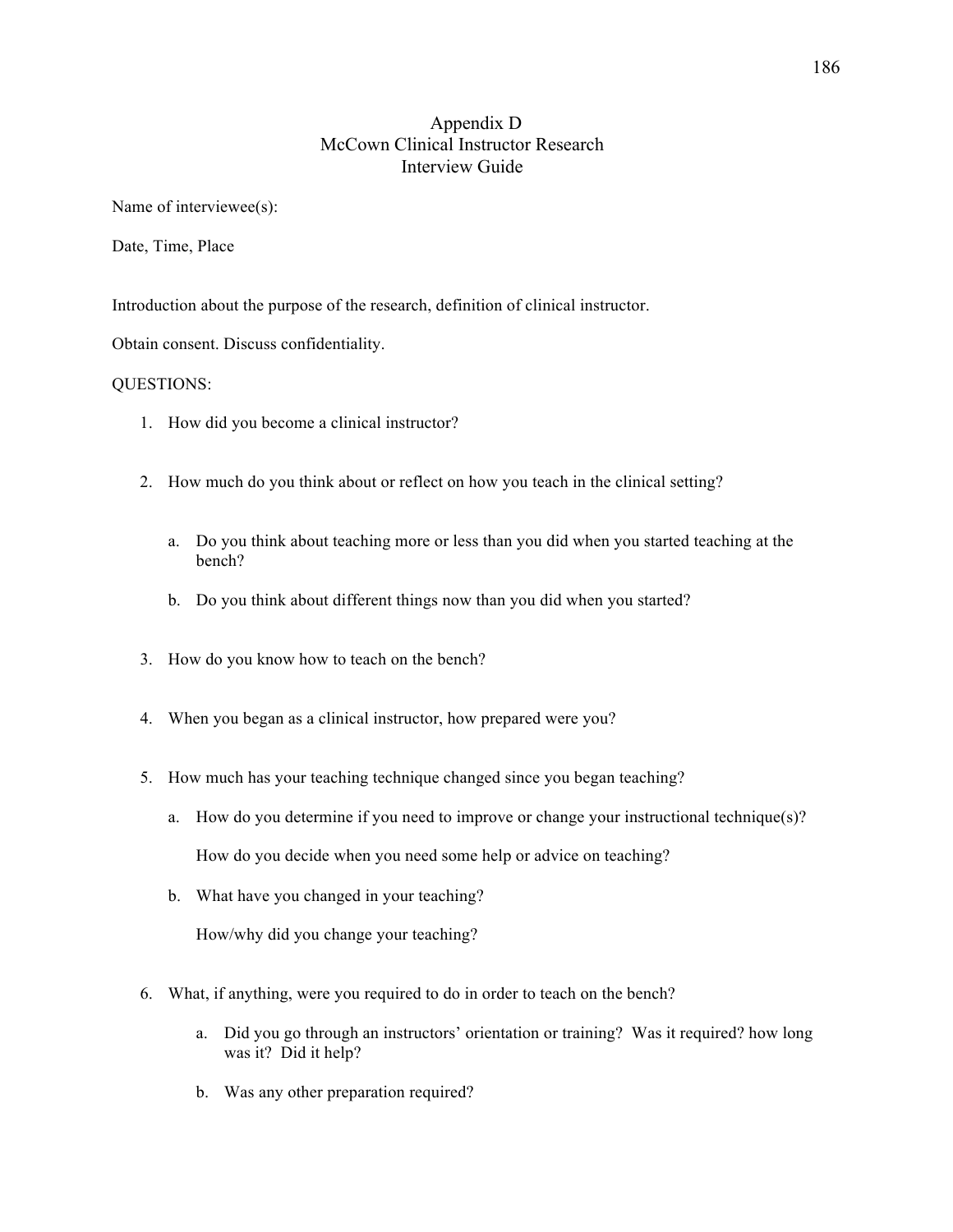### Appendix D McCown Clinical Instructor Research Interview Guide

Name of interviewee(s):

Date, Time, Place

Introduction about the purpose of the research, definition of clinical instructor.

Obtain consent. Discuss confidentiality.

#### QUESTIONS:

- 1. How did you become a clinical instructor?
- 2. How much do you think about or reflect on how you teach in the clinical setting?
	- a. Do you think about teaching more or less than you did when you started teaching at the bench?
	- b. Do you think about different things now than you did when you started?
- 3. How do you know how to teach on the bench?
- 4. When you began as a clinical instructor, how prepared were you?
- 5. How much has your teaching technique changed since you began teaching?
	- a. How do you determine if you need to improve or change your instructional technique(s)? How do you decide when you need some help or advice on teaching?
	- b. What have you changed in your teaching?

How/why did you change your teaching?

- 6. What, if anything, were you required to do in order to teach on the bench?
	- a. Did you go through an instructors' orientation or training? Was it required? how long was it? Did it help?
	- b. Was any other preparation required?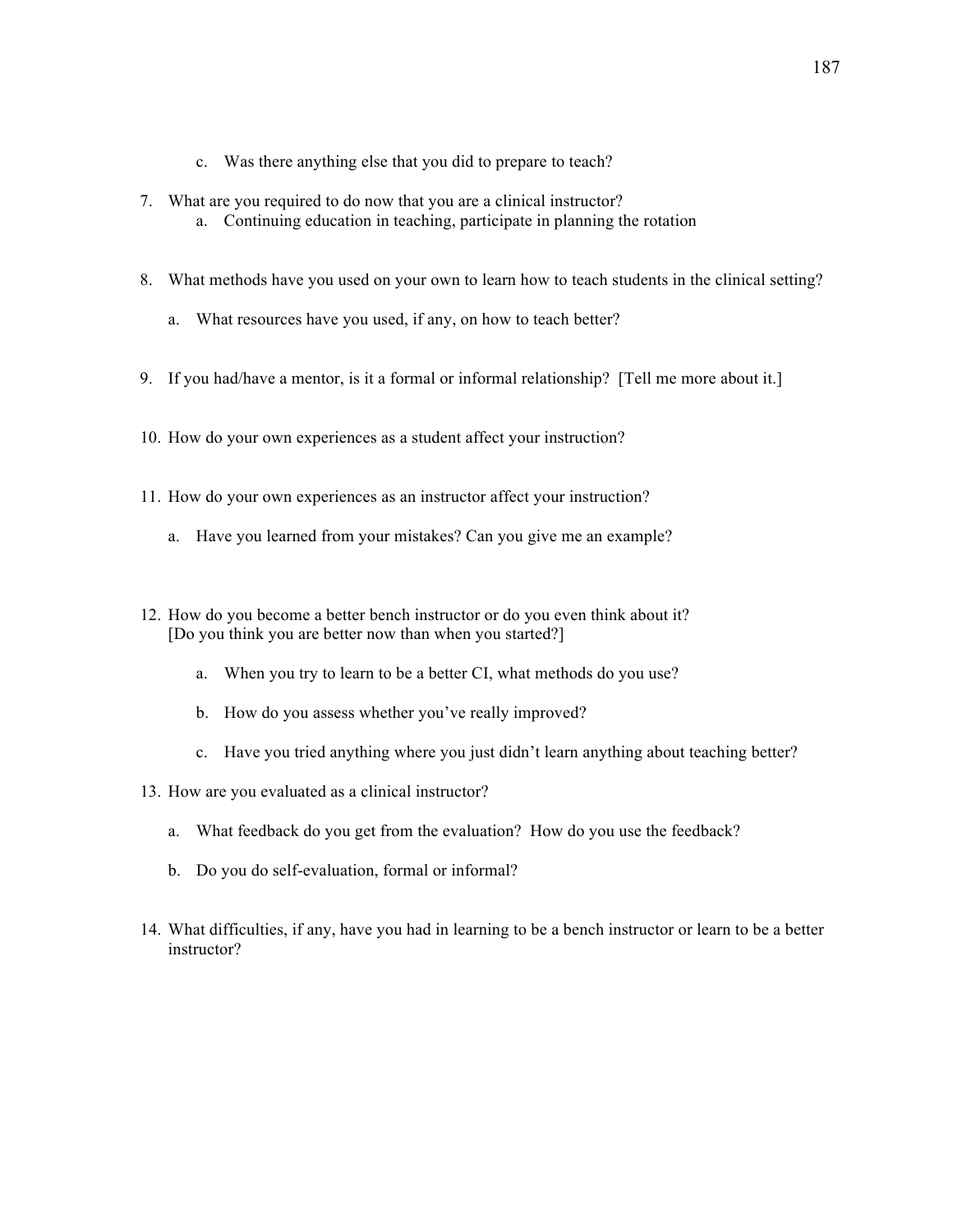- c. Was there anything else that you did to prepare to teach?
- 7. What are you required to do now that you are a clinical instructor? a. Continuing education in teaching, participate in planning the rotation
- 8. What methods have you used on your own to learn how to teach students in the clinical setting?
	- a. What resources have you used, if any, on how to teach better?
- 9. If you had/have a mentor, is it a formal or informal relationship? [Tell me more about it.]
- 10. How do your own experiences as a student affect your instruction?
- 11. How do your own experiences as an instructor affect your instruction?
	- a. Have you learned from your mistakes? Can you give me an example?
- 12. How do you become a better bench instructor or do you even think about it? [Do you think you are better now than when you started?]
	- a. When you try to learn to be a better CI, what methods do you use?
	- b. How do you assess whether you've really improved?
	- c. Have you tried anything where you just didn't learn anything about teaching better?
- 13. How are you evaluated as a clinical instructor?
	- a. What feedback do you get from the evaluation? How do you use the feedback?
	- b. Do you do self-evaluation, formal or informal?
- 14. What difficulties, if any, have you had in learning to be a bench instructor or learn to be a better instructor?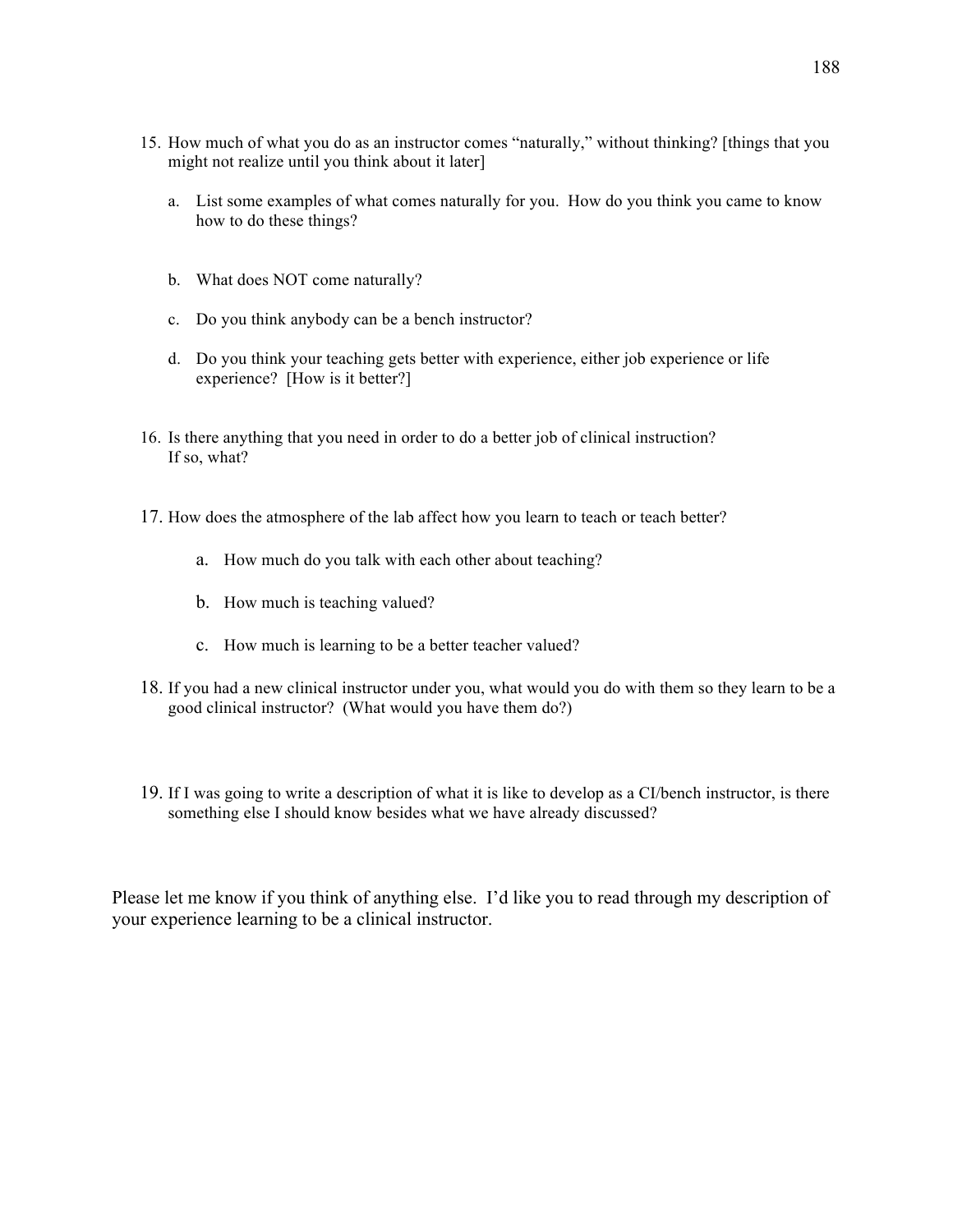- 15. How much of what you do as an instructor comes "naturally," without thinking? [things that you might not realize until you think about it later]
	- a. List some examples of what comes naturally for you. How do you think you came to know how to do these things?
	- b. What does NOT come naturally?
	- c. Do you think anybody can be a bench instructor?
	- d. Do you think your teaching gets better with experience, either job experience or life experience? [How is it better?]
- 16. Is there anything that you need in order to do a better job of clinical instruction? If so, what?
- 17. How does the atmosphere of the lab affect how you learn to teach or teach better?
	- a. How much do you talk with each other about teaching?
	- b. How much is teaching valued?
	- c. How much is learning to be a better teacher valued?
- 18. If you had a new clinical instructor under you, what would you do with them so they learn to be a good clinical instructor? (What would you have them do?)
- 19. If I was going to write a description of what it is like to develop as a CI/bench instructor, is there something else I should know besides what we have already discussed?

Please let me know if you think of anything else. I'd like you to read through my description of your experience learning to be a clinical instructor.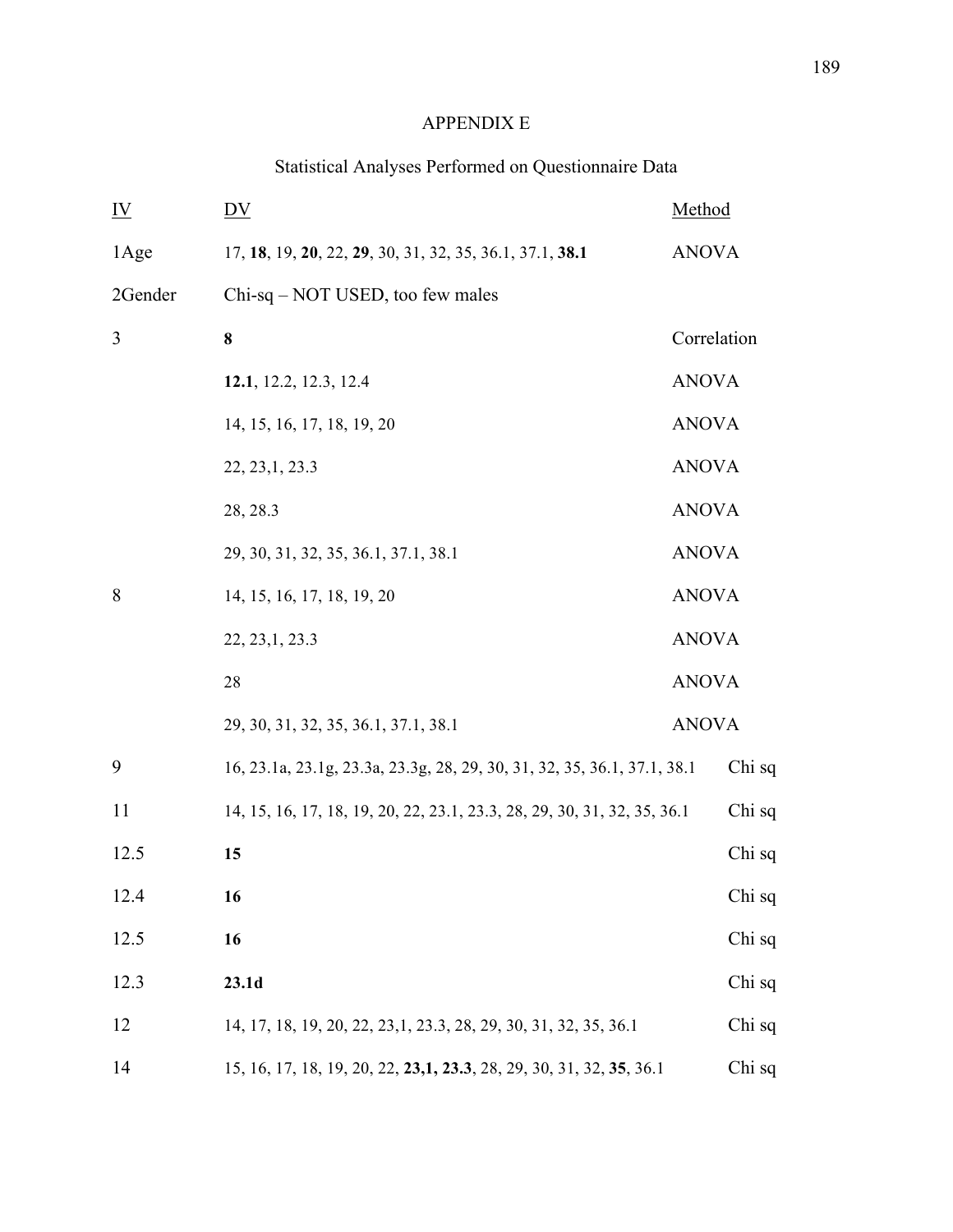## APPENDIX E

# Statistical Analyses Performed on Questionnaire Data

| $\underline{\mathbf{IV}}$ | DV                                                                       | Method       |        |
|---------------------------|--------------------------------------------------------------------------|--------------|--------|
| 1Age                      | 17, 18, 19, 20, 22, 29, 30, 31, 32, 35, 36.1, 37.1, 38.1                 | <b>ANOVA</b> |        |
| 2Gender                   | Chi-sq - NOT USED, too few males                                         |              |        |
| 3                         | 8                                                                        | Correlation  |        |
|                           | 12.1, 12.2, 12.3, 12.4                                                   | <b>ANOVA</b> |        |
|                           | 14, 15, 16, 17, 18, 19, 20                                               | <b>ANOVA</b> |        |
|                           | 22, 23, 1, 23.3                                                          | <b>ANOVA</b> |        |
|                           | 28, 28.3                                                                 | <b>ANOVA</b> |        |
|                           | 29, 30, 31, 32, 35, 36.1, 37.1, 38.1                                     | <b>ANOVA</b> |        |
| 8                         | 14, 15, 16, 17, 18, 19, 20                                               | <b>ANOVA</b> |        |
|                           | 22, 23, 1, 23. 3                                                         | <b>ANOVA</b> |        |
|                           | 28                                                                       | <b>ANOVA</b> |        |
|                           | 29, 30, 31, 32, 35, 36.1, 37.1, 38.1                                     | <b>ANOVA</b> |        |
| 9                         | 16, 23.1a, 23.1g, 23.3a, 23.3g, 28, 29, 30, 31, 32, 35, 36.1, 37.1, 38.1 |              | Chi sq |
| 11                        | 14, 15, 16, 17, 18, 19, 20, 22, 23.1, 23.3, 28, 29, 30, 31, 32, 35, 36.1 |              | Chi sq |
| 12.5                      | 15                                                                       |              | Chi sq |
| 12.4                      | 16                                                                       |              | Chi sq |
| 12.5                      | 16                                                                       |              | Chi sq |
| 12.3                      | 23.1d                                                                    |              | Chi sq |
| 12                        | 14, 17, 18, 19, 20, 22, 23, 1, 23. 3, 28, 29, 30, 31, 32, 35, 36. 1      |              | Chi sq |
| 14                        | 15, 16, 17, 18, 19, 20, 22, 23, 1, 23. 3, 28, 29, 30, 31, 32, 35, 36. 1  |              | Chi sq |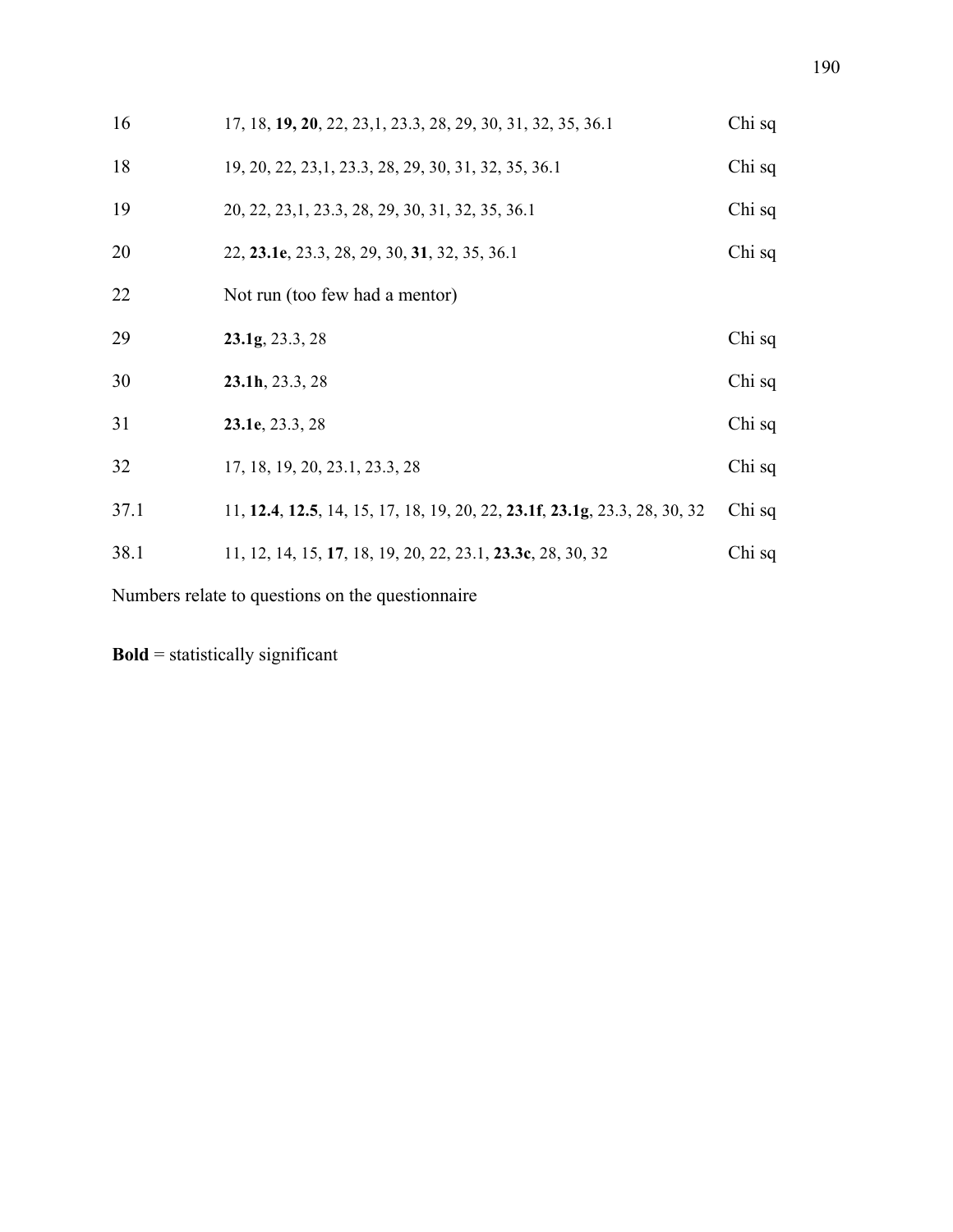| 16   | 17, 18, 19, 20, 22, 23, 1, 23. 3, 28, 29, 30, 31, 32, 35, 36. 1                                            | Chi sq |
|------|------------------------------------------------------------------------------------------------------------|--------|
| 18   | 19, 20, 22, 23, 1, 23. 3, 28, 29, 30, 31, 32, 35, 36. 1                                                    | Chi sq |
| 19   | 20, 22, 23, 1, 23. 3, 28, 29, 30, 31, 32, 35, 36. 1                                                        | Chi sq |
| 20   | 22, 23.1e, 23.3, 28, 29, 30, 31, 32, 35, 36.1                                                              | Chi sq |
| 22   | Not run (too few had a mentor)                                                                             |        |
| 29   | 23.1g, 23.3, 28                                                                                            | Chi sq |
| 30   | $23.1h$ , $23.3, 28$                                                                                       | Chi sq |
| 31   | 23.1e, 23.3, 28                                                                                            | Chi sq |
| 32   | 17, 18, 19, 20, 23.1, 23.3, 28                                                                             | Chi sq |
| 37.1 | 11, <b>12.4</b> , <b>12.5</b> , 14, 15, 17, 18, 19, 20, 22, <b>23.1f</b> , <b>23.1g</b> , 23.3, 28, 30, 32 | Chi sq |
| 38.1 | 11, 12, 14, 15, 17, 18, 19, 20, 22, 23.1, 23.3c, 28, 30, 32                                                | Chi sq |
|      |                                                                                                            |        |

Numbers relate to questions on the questionnaire

**Bold** = statistically significant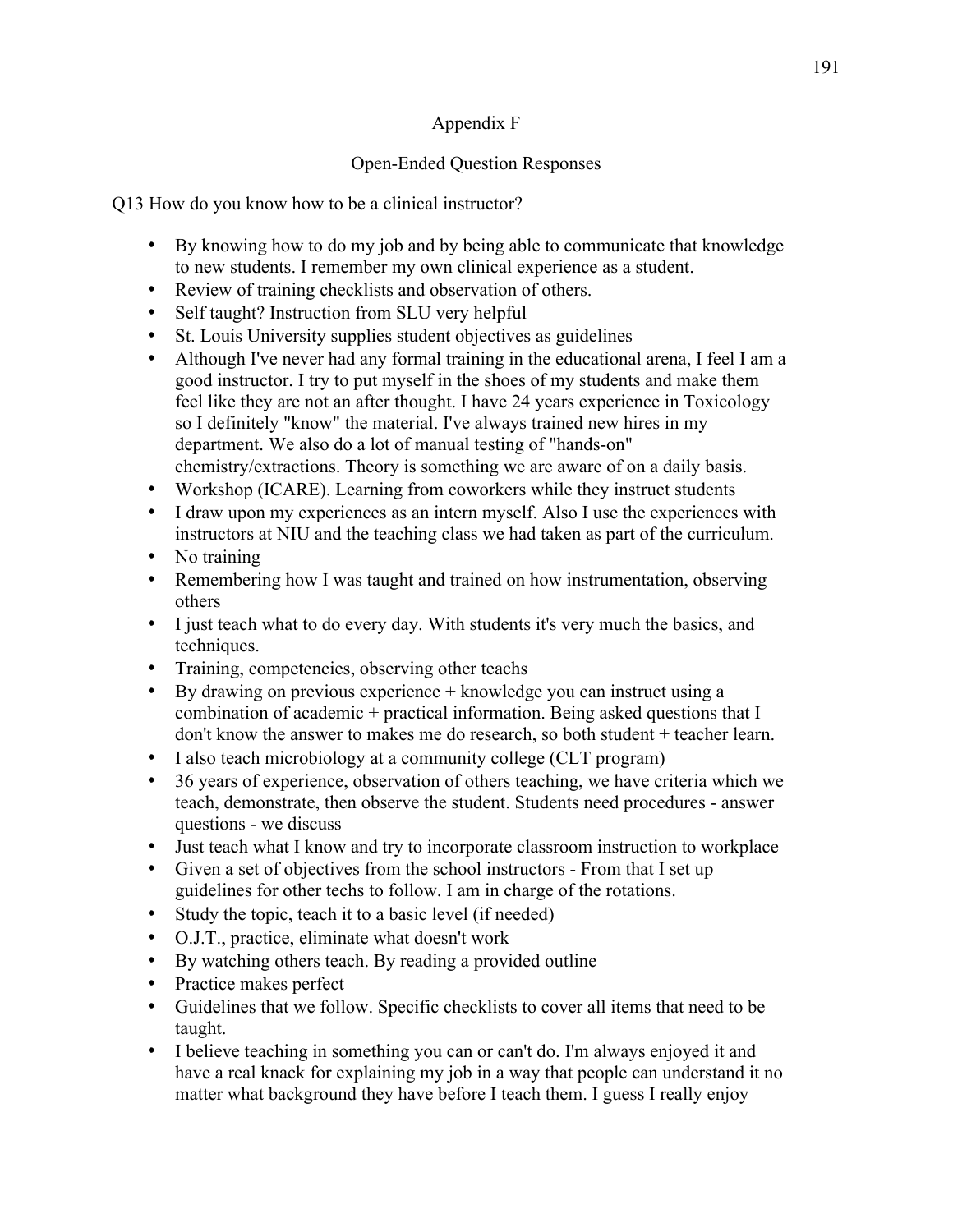## Appendix F

## Open-Ended Question Responses

Q13 How do you know how to be a clinical instructor?

- By knowing how to do my job and by being able to communicate that knowledge to new students. I remember my own clinical experience as a student.
- Review of training checklists and observation of others.
- Self taught? Instruction from SLU very helpful
- St. Louis University supplies student objectives as guidelines
- Although I've never had any formal training in the educational arena, I feel I am a good instructor. I try to put myself in the shoes of my students and make them feel like they are not an after thought. I have 24 years experience in Toxicology so I definitely "know" the material. I've always trained new hires in my department. We also do a lot of manual testing of "hands-on" chemistry/extractions. Theory is something we are aware of on a daily basis.
- Workshop (ICARE). Learning from coworkers while they instruct students
- I draw upon my experiences as an intern myself. Also I use the experiences with instructors at NIU and the teaching class we had taken as part of the curriculum.
- No training
- Remembering how I was taught and trained on how instrumentation, observing others
- I just teach what to do every day. With students it's very much the basics, and techniques.
- Training, competencies, observing other teachs
- By drawing on previous experience + knowledge you can instruct using a combination of academic + practical information. Being asked questions that I don't know the answer to makes me do research, so both student + teacher learn.
- I also teach microbiology at a community college (CLT program)
- 36 years of experience, observation of others teaching, we have criteria which we teach, demonstrate, then observe the student. Students need procedures - answer questions - we discuss
- Just teach what I know and try to incorporate classroom instruction to workplace
- Given a set of objectives from the school instructors From that I set up guidelines for other techs to follow. I am in charge of the rotations.
- Study the topic, teach it to a basic level (if needed)
- O.J.T., practice, eliminate what doesn't work
- By watching others teach. By reading a provided outline
- Practice makes perfect
- Guidelines that we follow. Specific checklists to cover all items that need to be taught.
- I believe teaching in something you can or can't do. I'm always enjoyed it and have a real knack for explaining my job in a way that people can understand it no matter what background they have before I teach them. I guess I really enjoy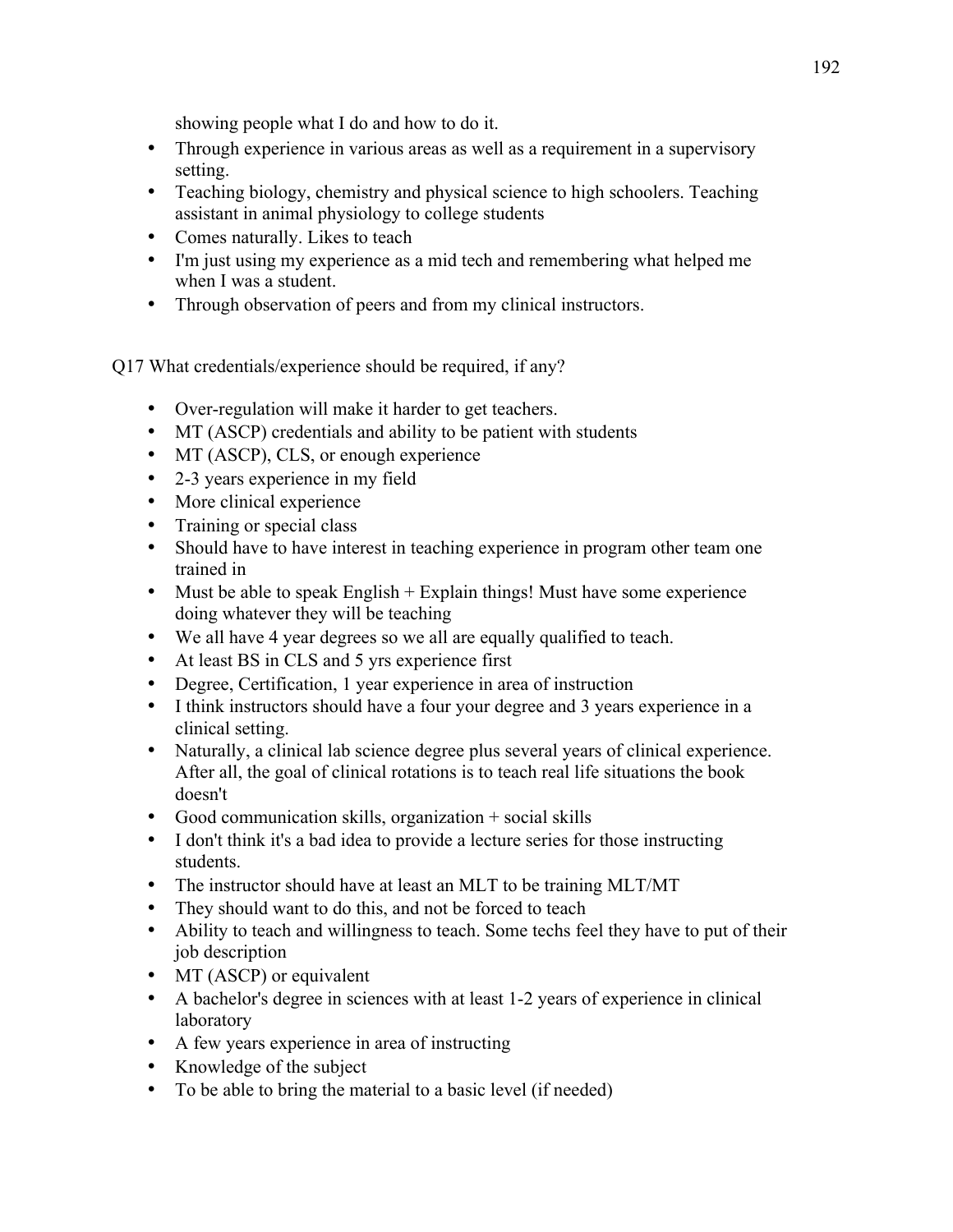showing people what I do and how to do it.

- Through experience in various areas as well as a requirement in a supervisory setting.
- Teaching biology, chemistry and physical science to high schoolers. Teaching assistant in animal physiology to college students
- Comes naturally. Likes to teach
- I'm just using my experience as a mid tech and remembering what helped me when I was a student.
- Through observation of peers and from my clinical instructors.

Q17 What credentials/experience should be required, if any?

- Over-regulation will make it harder to get teachers.
- MT (ASCP) credentials and ability to be patient with students
- MT (ASCP), CLS, or enough experience
- 2-3 years experience in my field
- More clinical experience
- Training or special class
- Should have to have interest in teaching experience in program other team one trained in
- $\bullet$  Must be able to speak English + Explain things! Must have some experience doing whatever they will be teaching
- We all have 4 year degrees so we all are equally qualified to teach.
- At least BS in CLS and 5 yrs experience first
- Degree, Certification, 1 year experience in area of instruction
- I think instructors should have a four your degree and 3 years experience in a clinical setting.
- Naturally, a clinical lab science degree plus several years of clinical experience. After all, the goal of clinical rotations is to teach real life situations the book doesn't
- Good communication skills, organization + social skills
- I don't think it's a bad idea to provide a lecture series for those instructing students.
- The instructor should have at least an MLT to be training MLT/MT
- They should want to do this, and not be forced to teach
- Ability to teach and willingness to teach. Some techs feel they have to put of their job description
- MT (ASCP) or equivalent
- A bachelor's degree in sciences with at least 1-2 years of experience in clinical laboratory
- A few years experience in area of instructing
- Knowledge of the subject
- To be able to bring the material to a basic level (if needed)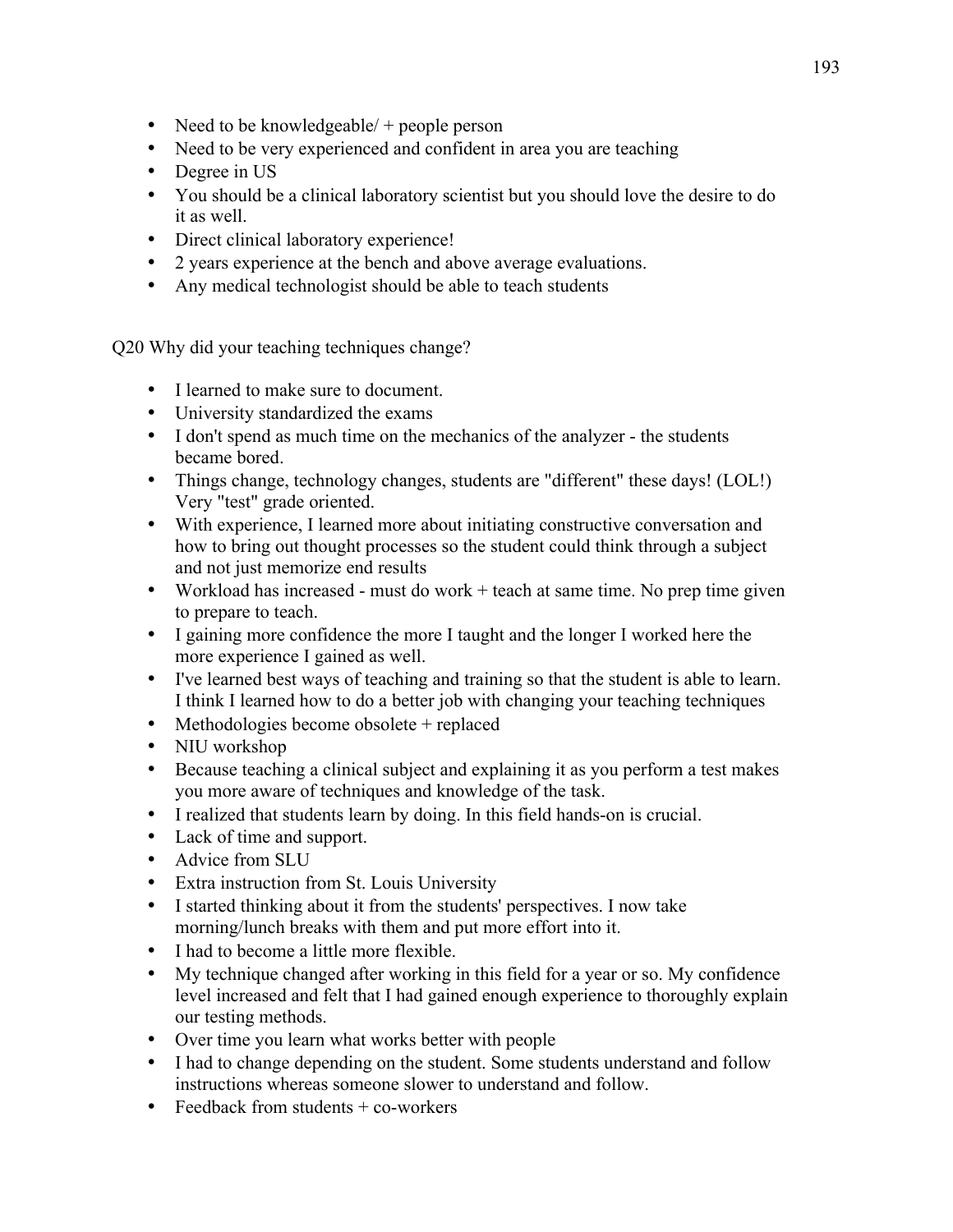- Need to be knowledgeable/ + people person
- Need to be very experienced and confident in area you are teaching
- Degree in US
- You should be a clinical laboratory scientist but you should love the desire to do it as well.
- Direct clinical laboratory experience!
- 2 years experience at the bench and above average evaluations.
- Any medical technologist should be able to teach students

Q20 Why did your teaching techniques change?

- I learned to make sure to document.
- University standardized the exams
- I don't spend as much time on the mechanics of the analyzer the students became bored.
- Things change, technology changes, students are "different" these days! (LOL!) Very "test" grade oriented.
- With experience, I learned more about initiating constructive conversation and how to bring out thought processes so the student could think through a subject and not just memorize end results
- Workload has increased must do work + teach at same time. No prep time given to prepare to teach.
- I gaining more confidence the more I taught and the longer I worked here the more experience I gained as well.
- I've learned best ways of teaching and training so that the student is able to learn. I think I learned how to do a better job with changing your teaching techniques
- Methodologies become obsolete + replaced
- NIU workshop
- Because teaching a clinical subject and explaining it as you perform a test makes you more aware of techniques and knowledge of the task.
- I realized that students learn by doing. In this field hands-on is crucial.
- Lack of time and support.
- Advice from SLU
- Extra instruction from St. Louis University
- I started thinking about it from the students' perspectives. I now take morning/lunch breaks with them and put more effort into it.
- I had to become a little more flexible.
- My technique changed after working in this field for a year or so. My confidence level increased and felt that I had gained enough experience to thoroughly explain our testing methods.
- Over time you learn what works better with people
- I had to change depending on the student. Some students understand and follow instructions whereas someone slower to understand and follow.
- Feedback from students  $+$  co-workers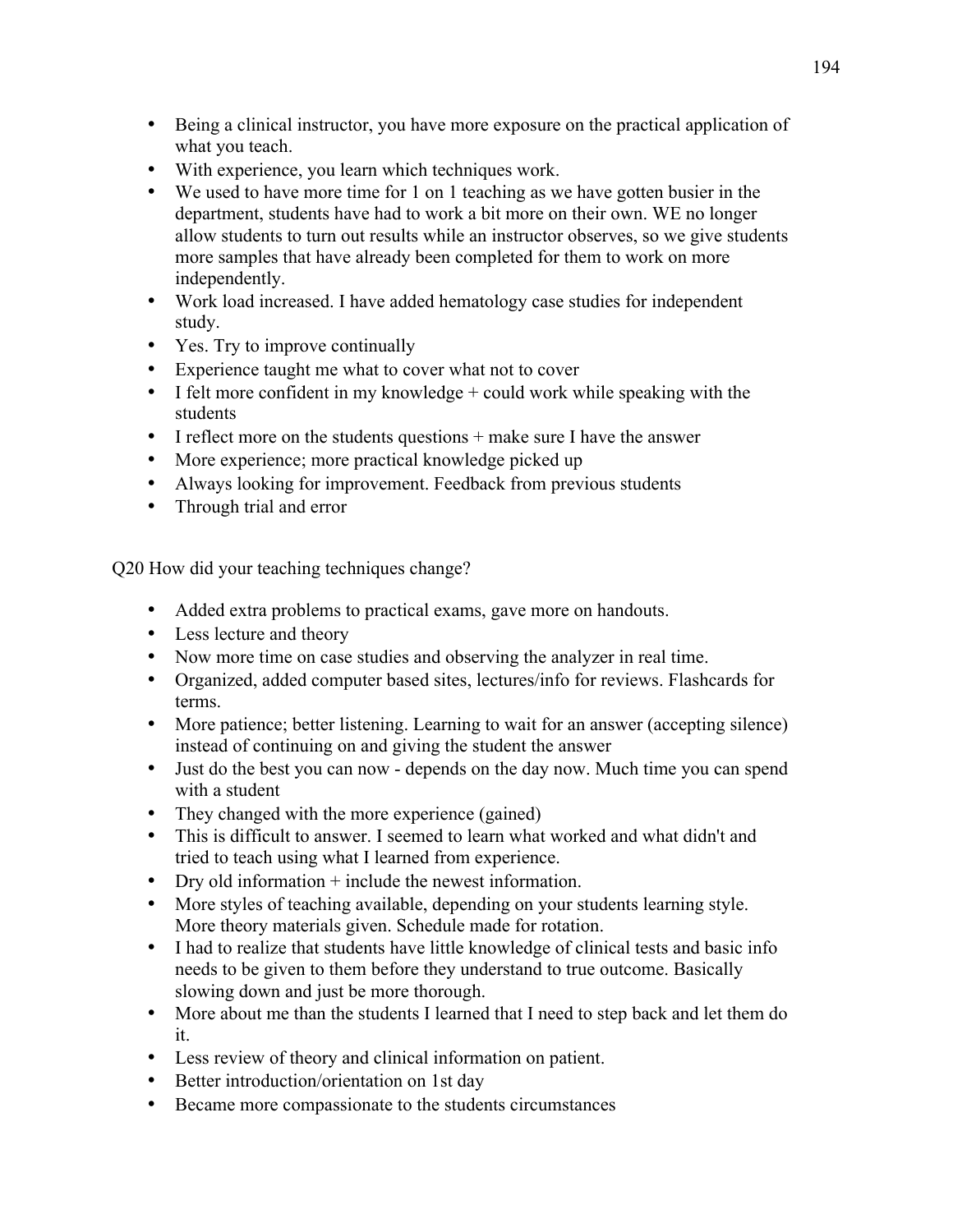- Being a clinical instructor, you have more exposure on the practical application of what you teach.
- With experience, you learn which techniques work.<br>• We used to have more time for 1 on 1 teaching as w
- We used to have more time for 1 on 1 teaching as we have gotten busier in the department, students have had to work a bit more on their own. WE no longer allow students to turn out results while an instructor observes, so we give students more samples that have already been completed for them to work on more independently.
- Work load increased. I have added hematology case studies for independent study.
- Yes. Try to improve continually
- Experience taught me what to cover what not to cover
- I felt more confident in my knowledge  $+$  could work while speaking with the students
- $\bullet$  I reflect more on the students questions  $+$  make sure I have the answer
- More experience; more practical knowledge picked up
- Always looking for improvement. Feedback from previous students
- Through trial and error

Q20 How did your teaching techniques change?

- Added extra problems to practical exams, gave more on handouts.
- Less lecture and theory
- Now more time on case studies and observing the analyzer in real time.
- Organized, added computer based sites, lectures/info for reviews. Flashcards for terms.
- More patience; better listening. Learning to wait for an answer (accepting silence) instead of continuing on and giving the student the answer
- Just do the best you can now depends on the day now. Much time you can spend with a student
- They changed with the more experience (gained)
- This is difficult to answer. I seemed to learn what worked and what didn't and tried to teach using what I learned from experience.
- Dry old information + include the newest information.
- More styles of teaching available, depending on your students learning style. More theory materials given. Schedule made for rotation.
- I had to realize that students have little knowledge of clinical tests and basic info needs to be given to them before they understand to true outcome. Basically slowing down and just be more thorough.
- More about me than the students I learned that I need to step back and let them do it.
- Less review of theory and clinical information on patient.
- Better introduction/orientation on 1st day
- Became more compassionate to the students circumstances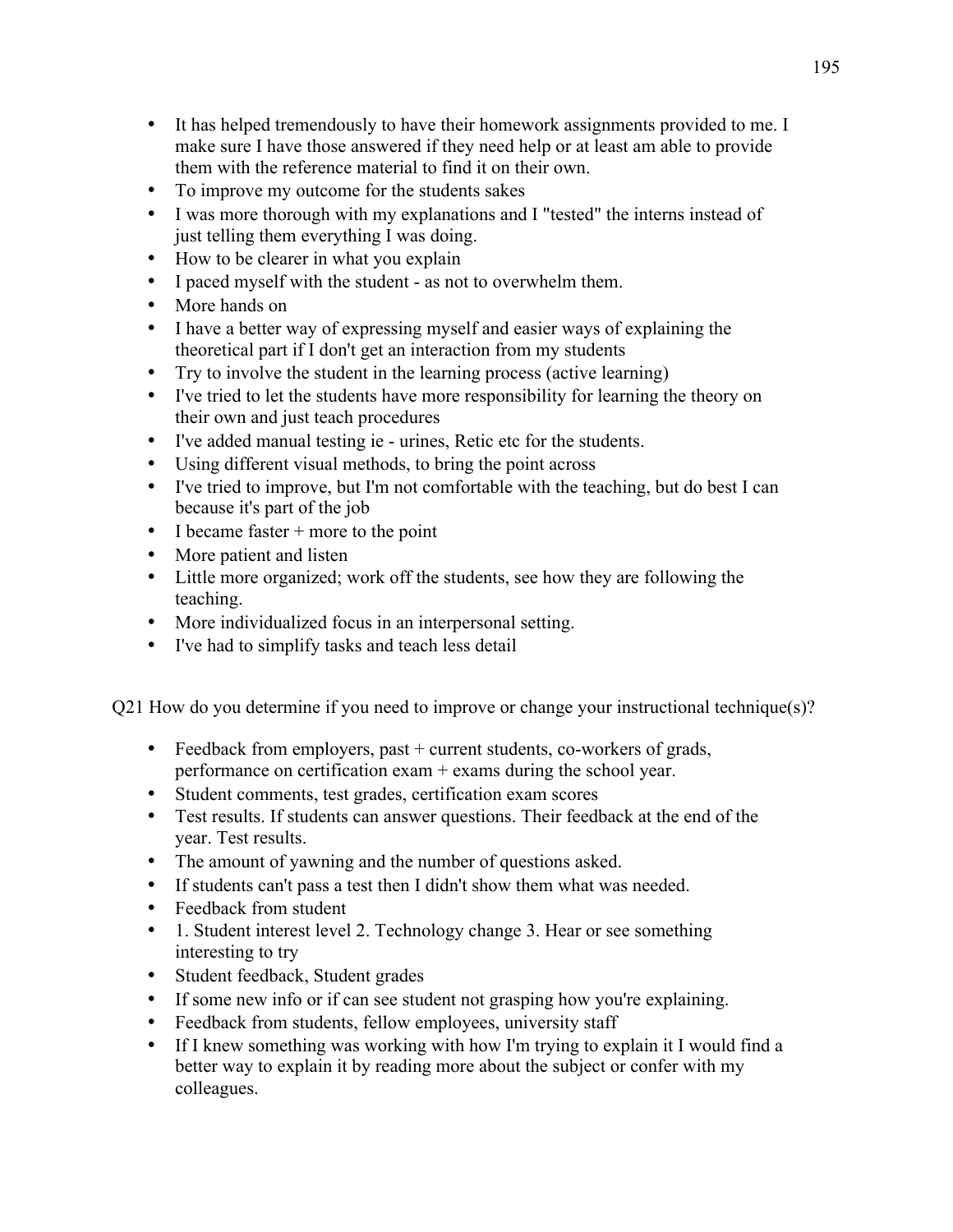- It has helped tremendously to have their homework assignments provided to me. I make sure I have those answered if they need help or at least am able to provide them with the reference material to find it on their own.
- To improve my outcome for the students sakes
- I was more thorough with my explanations and I "tested" the interns instead of just telling them everything I was doing.
- How to be clearer in what you explain
- I paced myself with the student as not to overwhelm them.
- More hands on
- I have a better way of expressing myself and easier ways of explaining the theoretical part if I don't get an interaction from my students
- Try to involve the student in the learning process (active learning)
- I've tried to let the students have more responsibility for learning the theory on their own and just teach procedures
- I've added manual testing ie urines, Retic etc for the students.
- Using different visual methods, to bring the point across
- I've tried to improve, but I'm not comfortable with the teaching, but do best I can because it's part of the job
- $\bullet$  I became faster + more to the point
- More patient and listen
- Little more organized; work off the students, see how they are following the teaching.
- More individualized focus in an interpersonal setting.
- I've had to simplify tasks and teach less detail

Q21 How do you determine if you need to improve or change your instructional technique(s)?

- Feedback from employers, past + current students, co-workers of grads, performance on certification exam + exams during the school year.
- Student comments, test grades, certification exam scores<br>• Test results If students can answer questions. Their feed
- Test results. If students can answer questions. Their feedback at the end of the year. Test results.
- The amount of yawning and the number of questions asked.
- If students can't pass a test then I didn't show them what was needed.
- Feedback from student
- 1. Student interest level 2. Technology change 3. Hear or see something interesting to try
- Student feedback, Student grades
- If some new info or if can see student not grasping how you're explaining.
- Feedback from students, fellow employees, university staff
- If I knew something was working with how I'm trying to explain it I would find a better way to explain it by reading more about the subject or confer with my colleagues.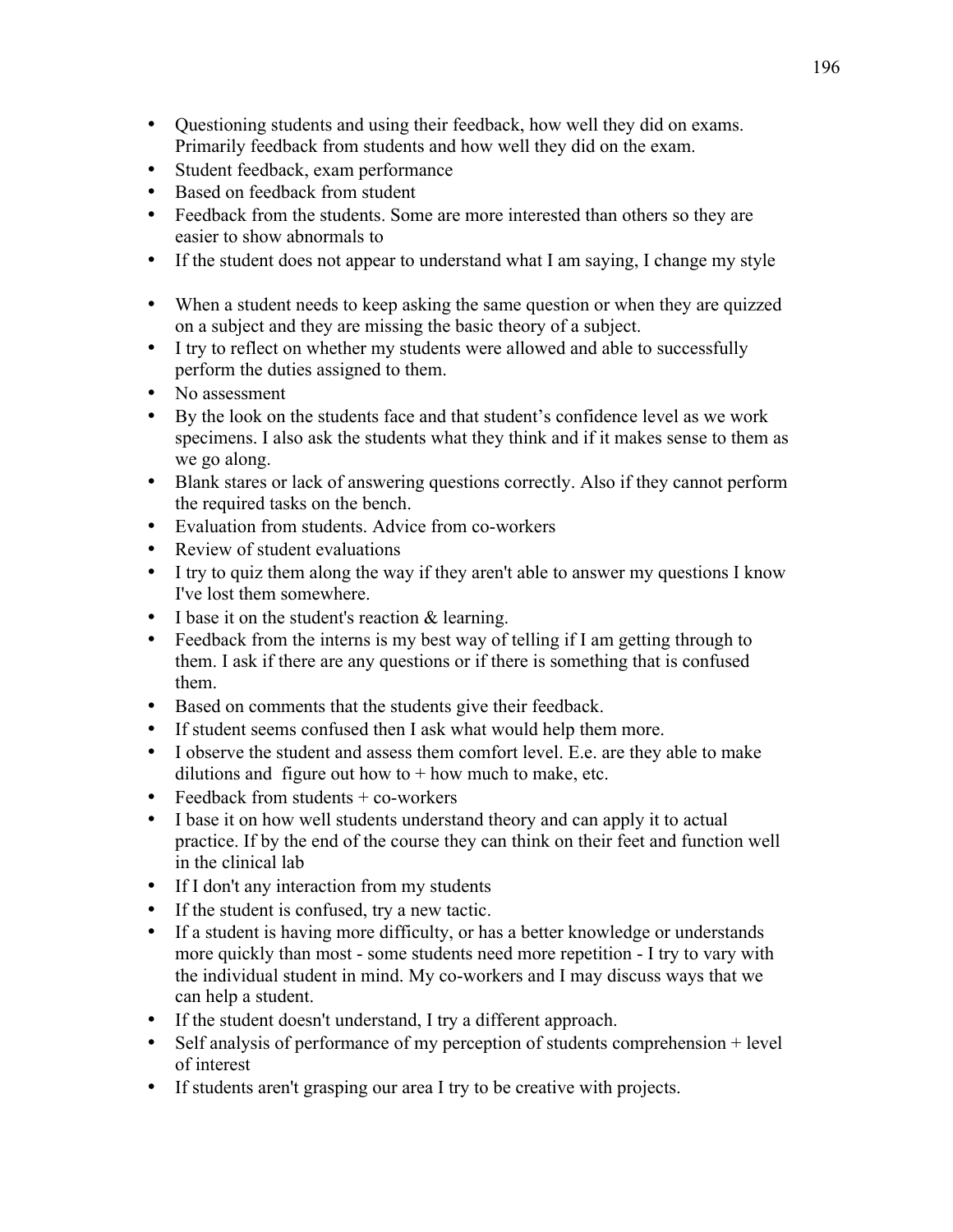- Questioning students and using their feedback, how well they did on exams. Primarily feedback from students and how well they did on the exam.
- Student feedback, exam performance
- Based on feedback from student
- Feedback from the students. Some are more interested than others so they are easier to show abnormals to
- If the student does not appear to understand what I am saying, I change my style
- When a student needs to keep asking the same question or when they are quizzed on a subject and they are missing the basic theory of a subject.
- I try to reflect on whether my students were allowed and able to successfully perform the duties assigned to them.
- No assessment
- By the look on the students face and that student's confidence level as we work specimens. I also ask the students what they think and if it makes sense to them as we go along.
- Blank stares or lack of answering questions correctly. Also if they cannot perform the required tasks on the bench.
- Evaluation from students. Advice from co-workers
- Review of student evaluations
- I try to quiz them along the way if they aren't able to answer my questions I know I've lost them somewhere.
- $\bullet$  I base it on the student's reaction & learning.
- Feedback from the interns is my best way of telling if I am getting through to them. I ask if there are any questions or if there is something that is confused them.
- Based on comments that the students give their feedback.
- If student seems confused then I ask what would help them more.
- I observe the student and assess them comfort level. E.e. are they able to make dilutions and figure out how to  $+$  how much to make, etc.
- Feedback from students  $+$  co-workers
- I base it on how well students understand theory and can apply it to actual practice. If by the end of the course they can think on their feet and function well in the clinical lab
- If I don't any interaction from my students
- If the student is confused, try a new tactic.
- If a student is having more difficulty, or has a better knowledge or understands more quickly than most - some students need more repetition - I try to vary with the individual student in mind. My co-workers and I may discuss ways that we can help a student.
- If the student doesn't understand, I try a different approach.
- Self analysis of performance of my perception of students comprehension + level of interest
- If students aren't grasping our area I try to be creative with projects.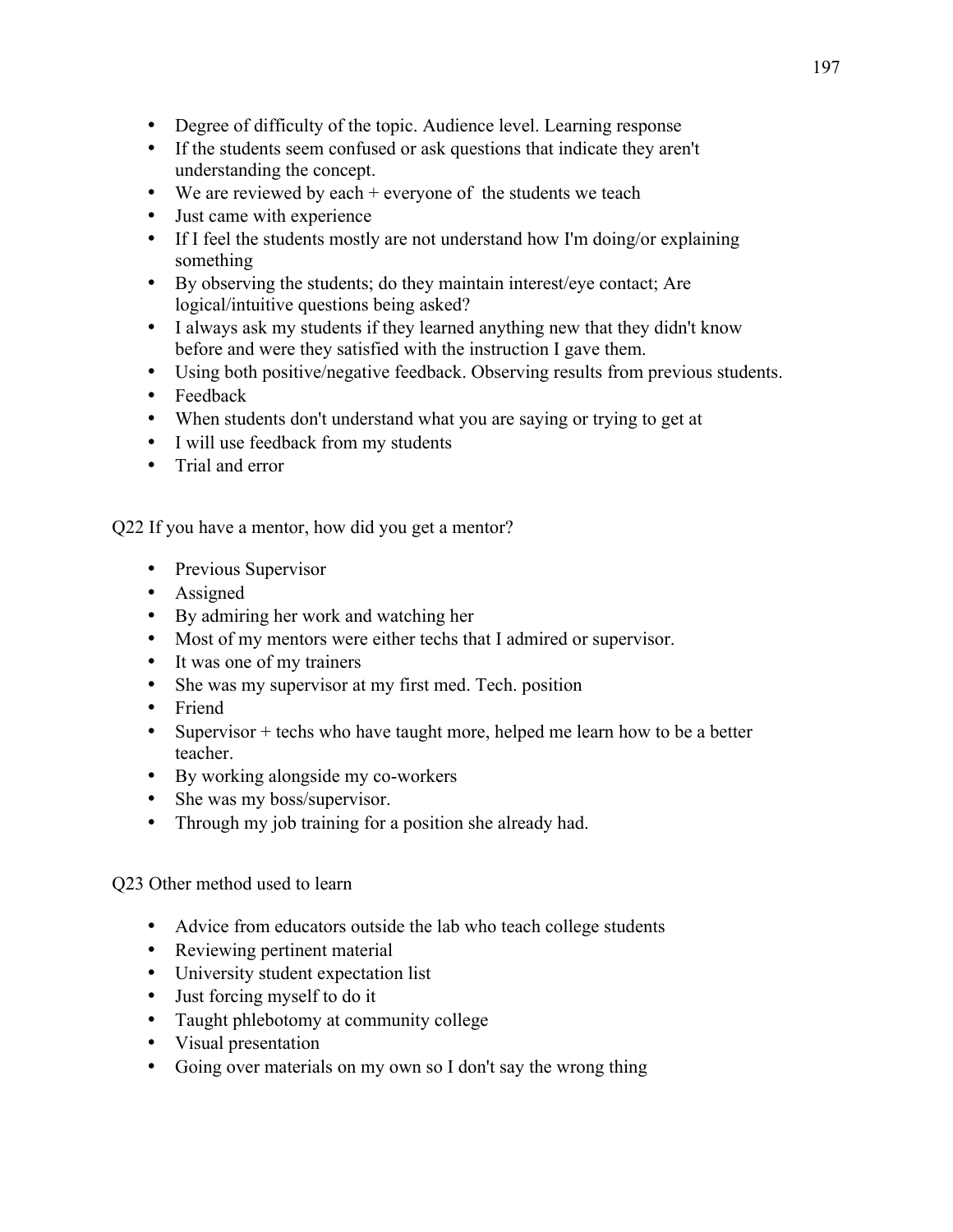- Degree of difficulty of the topic. Audience level. Learning response
- If the students seem confused or ask questions that indicate they aren't understanding the concept.
- We are reviewed by each + everyone of the students we teach
- Just came with experience
- If I feel the students mostly are not understand how I'm doing/or explaining something
- By observing the students; do they maintain interest/eye contact; Are logical/intuitive questions being asked?
- I always ask my students if they learned anything new that they didn't know before and were they satisfied with the instruction I gave them.
- Using both positive/negative feedback. Observing results from previous students.
- Feedback
- When students don't understand what you are saying or trying to get at
- I will use feedback from my students
- Trial and error

Q22 If you have a mentor, how did you get a mentor?

- Previous Supervisor
- Assigned
- By admiring her work and watching her
- Most of my mentors were either techs that I admired or supervisor.
- It was one of my trainers
- She was my supervisor at my first med. Tech. position
- Friend
- Supervisor + techs who have taught more, helped me learn how to be a better teacher.
- By working alongside my co-workers
- She was my boss/supervisor.
- Through my job training for a position she already had.

### Q23 Other method used to learn

- Advice from educators outside the lab who teach college students
- Reviewing pertinent material
- University student expectation list
- Just forcing myself to do it
- Taught phlebotomy at community college
- Visual presentation
- Going over materials on my own so I don't say the wrong thing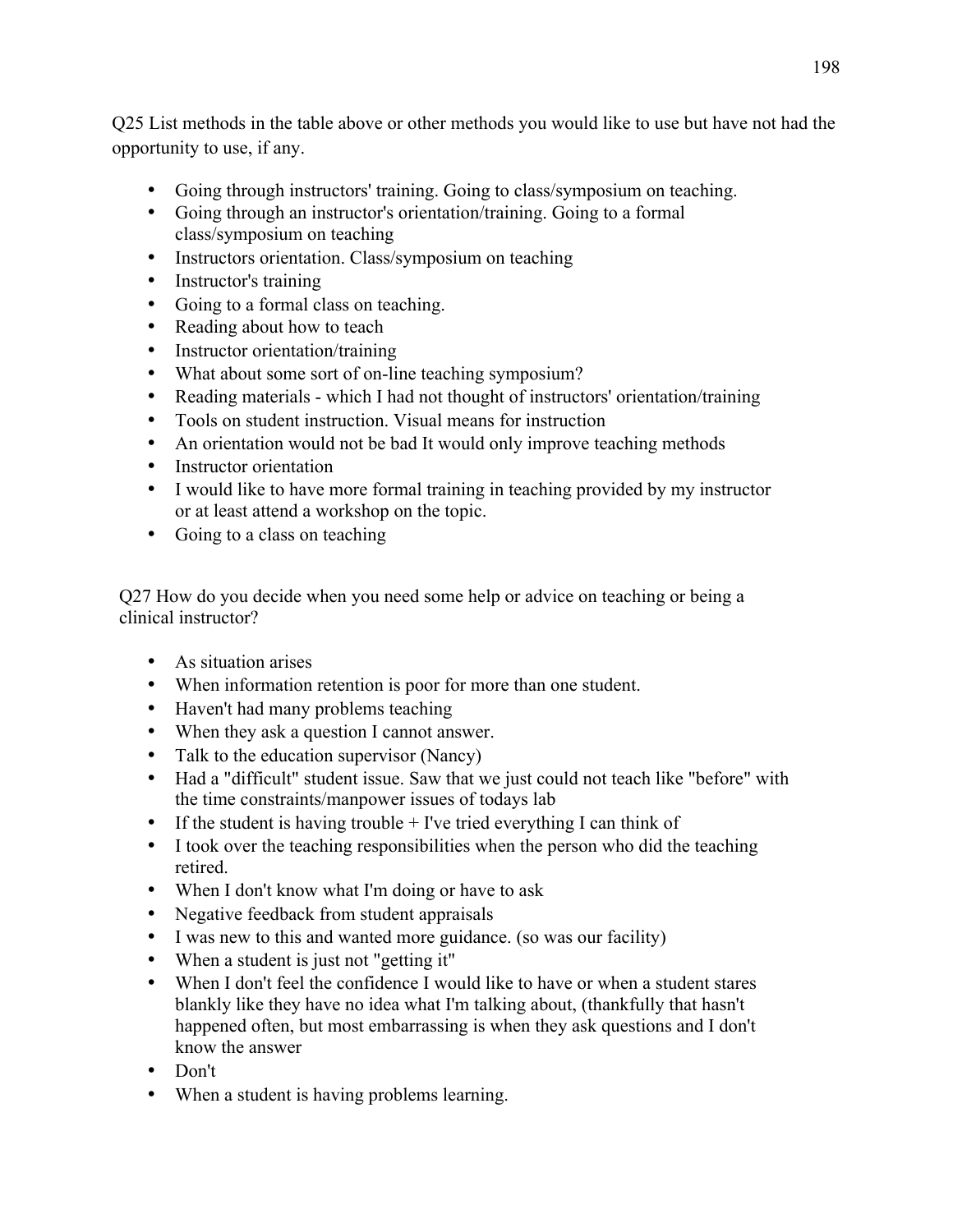Q25 List methods in the table above or other methods you would like to use but have not had the opportunity to use, if any.

- Going through instructors' training. Going to class/symposium on teaching.
- Going through an instructor's orientation/training. Going to a formal class/symposium on teaching
- Instructors orientation. Class/symposium on teaching
- Instructor's training
- Going to a formal class on teaching.
- Reading about how to teach
- Instructor orientation/training
- What about some sort of on-line teaching symposium?
- Reading materials which I had not thought of instructors' orientation/training
- Tools on student instruction. Visual means for instruction
- An orientation would not be bad It would only improve teaching methods
- Instructor orientation
- I would like to have more formal training in teaching provided by my instructor or at least attend a workshop on the topic.
- Going to a class on teaching

Q27 How do you decide when you need some help or advice on teaching or being a clinical instructor?

- As situation arises
- When information retention is poor for more than one student.
- Haven't had many problems teaching
- When they ask a question I cannot answer.
- Talk to the education supervisor (Nancy)
- Had a "difficult" student issue. Saw that we just could not teach like "before" with the time constraints/manpower issues of todays lab
- If the student is having trouble  $+$  I've tried everything I can think of
- I took over the teaching responsibilities when the person who did the teaching retired.
- When I don't know what I'm doing or have to ask
- Negative feedback from student appraisals
- I was new to this and wanted more guidance. (so was our facility)
- When a student is just not "getting it"
- When I don't feel the confidence I would like to have or when a student stares blankly like they have no idea what I'm talking about, (thankfully that hasn't happened often, but most embarrassing is when they ask questions and I don't know the answer
- Don't
- When a student is having problems learning.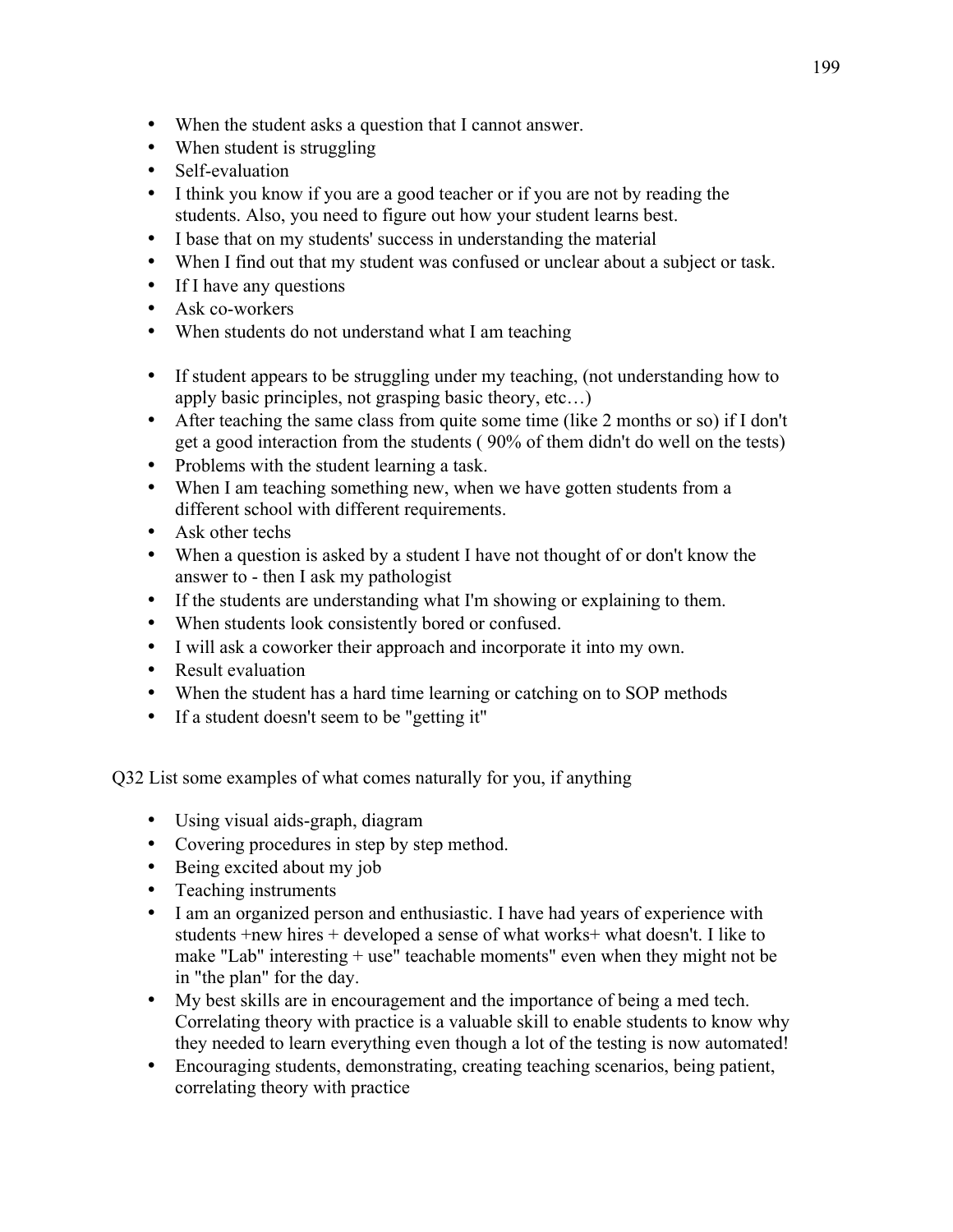- When the student asks a question that I cannot answer.
- When student is struggling
- Self-evaluation
- I think you know if you are a good teacher or if you are not by reading the students. Also, you need to figure out how your student learns best.
- I base that on my students' success in understanding the material
- When I find out that my student was confused or unclear about a subject or task.
- If I have any questions
- Ask co-workers
- When students do not understand what I am teaching
- If student appears to be struggling under my teaching, (not understanding how to apply basic principles, not grasping basic theory, etc…)
- After teaching the same class from quite some time (like 2 months or so) if I don't get a good interaction from the students ( 90% of them didn't do well on the tests)
- Problems with the student learning a task.
- When I am teaching something new, when we have gotten students from a different school with different requirements.
- Ask other techs
- When a question is asked by a student I have not thought of or don't know the answer to - then I ask my pathologist
- If the students are understanding what I'm showing or explaining to them.
- When students look consistently bored or confused.
- I will ask a coworker their approach and incorporate it into my own.
- Result evaluation
- When the student has a hard time learning or catching on to SOP methods
- If a student doesn't seem to be "getting it"

Q32 List some examples of what comes naturally for you, if anything

- Using visual aids-graph, diagram
- Covering procedures in step by step method.
- Being excited about my job
- Teaching instruments
- I am an organized person and enthusiastic. I have had years of experience with students +new hires + developed a sense of what works+ what doesn't. I like to make "Lab" interesting + use" teachable moments" even when they might not be in "the plan" for the day.
- My best skills are in encouragement and the importance of being a med tech. Correlating theory with practice is a valuable skill to enable students to know why they needed to learn everything even though a lot of the testing is now automated!
- Encouraging students, demonstrating, creating teaching scenarios, being patient, correlating theory with practice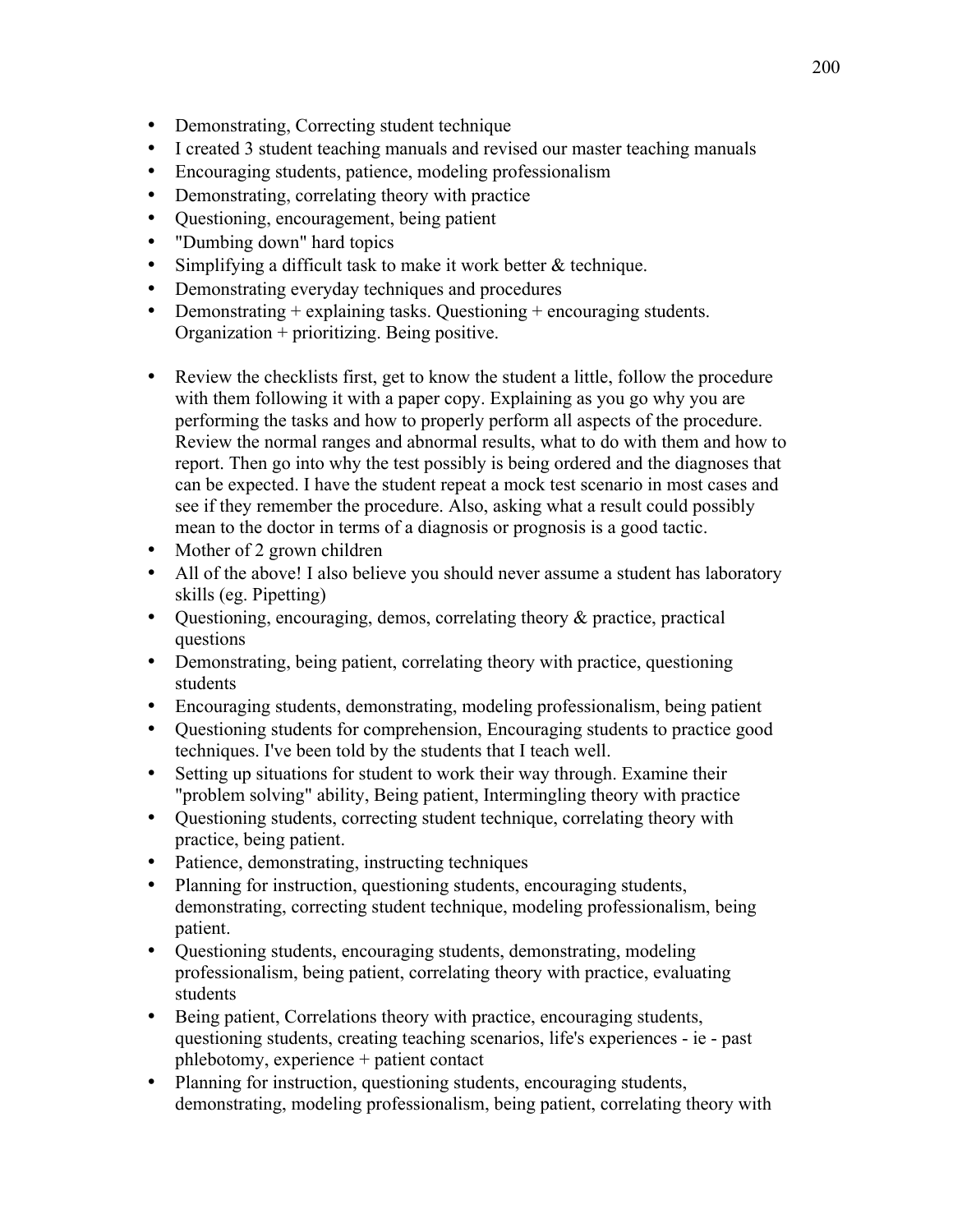- Demonstrating, Correcting student technique
- I created 3 student teaching manuals and revised our master teaching manuals
- Encouraging students, patience, modeling professionalism
- Demonstrating, correlating theory with practice
- Questioning, encouragement, being patient
- "Dumbing down" hard topics
- Simplifying a difficult task to make it work better & technique.
- Demonstrating everyday techniques and procedures
- Demonstrating + explaining tasks. Questioning + encouraging students. Organization + prioritizing. Being positive.
- Review the checklists first, get to know the student a little, follow the procedure with them following it with a paper copy. Explaining as you go why you are performing the tasks and how to properly perform all aspects of the procedure. Review the normal ranges and abnormal results, what to do with them and how to report. Then go into why the test possibly is being ordered and the diagnoses that can be expected. I have the student repeat a mock test scenario in most cases and see if they remember the procedure. Also, asking what a result could possibly mean to the doctor in terms of a diagnosis or prognosis is a good tactic.
- Mother of 2 grown children
- All of the above! I also believe you should never assume a student has laboratory skills (eg. Pipetting)
- Ouestioning, encouraging, demos, correlating theory  $\&$  practice, practical questions
- Demonstrating, being patient, correlating theory with practice, questioning students
- Encouraging students, demonstrating, modeling professionalism, being patient
- Questioning students for comprehension, Encouraging students to practice good techniques. I've been told by the students that I teach well.
- Setting up situations for student to work their way through. Examine their "problem solving" ability, Being patient, Intermingling theory with practice
- Questioning students, correcting student technique, correlating theory with practice, being patient.
- Patience, demonstrating, instructing techniques
- Planning for instruction, questioning students, encouraging students, demonstrating, correcting student technique, modeling professionalism, being patient.
- Questioning students, encouraging students, demonstrating, modeling professionalism, being patient, correlating theory with practice, evaluating students
- Being patient, Correlations theory with practice, encouraging students, questioning students, creating teaching scenarios, life's experiences - ie - past phlebotomy, experience + patient contact
- Planning for instruction, questioning students, encouraging students, demonstrating, modeling professionalism, being patient, correlating theory with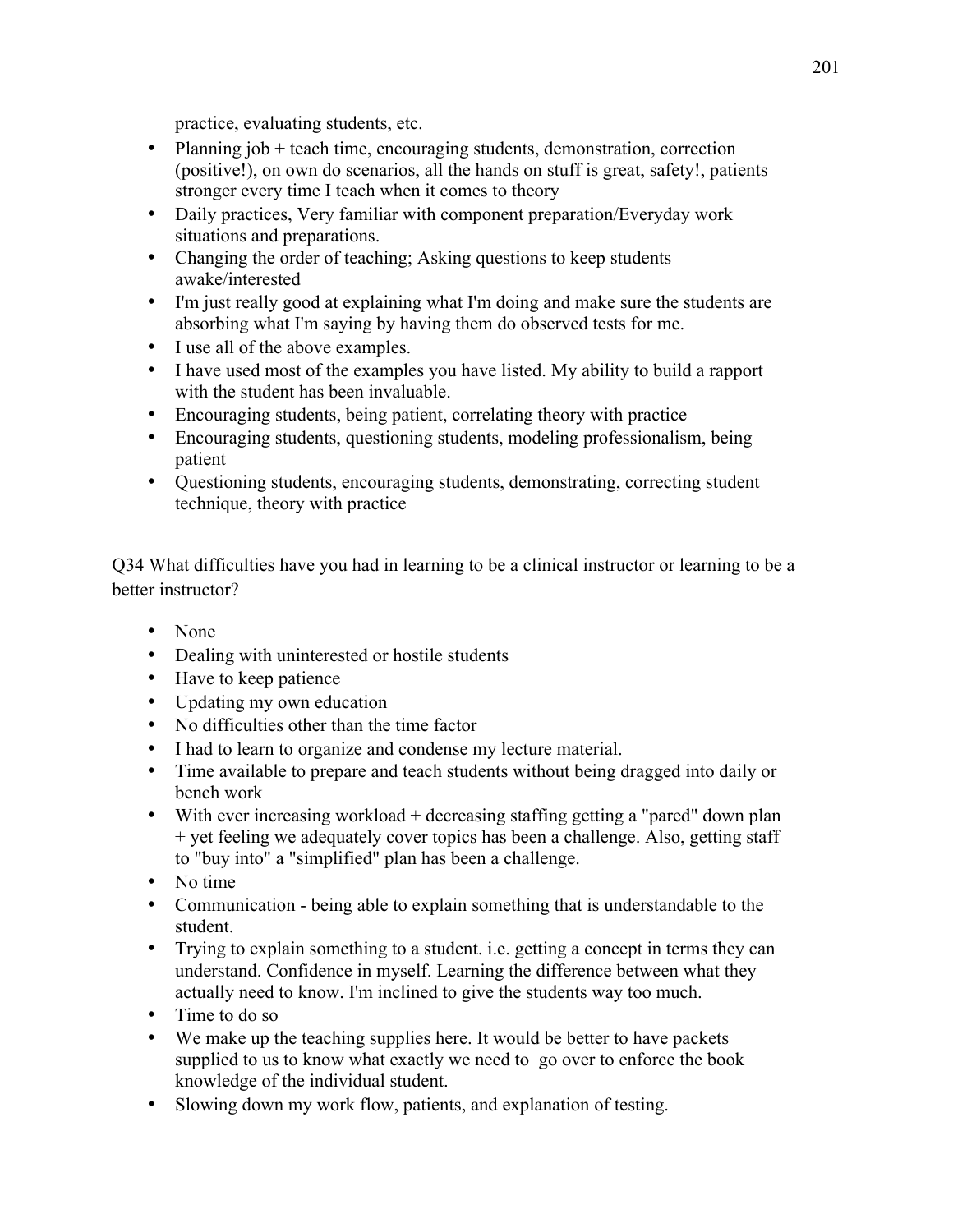practice, evaluating students, etc.

- Planning job + teach time, encouraging students, demonstration, correction (positive!), on own do scenarios, all the hands on stuff is great, safety!, patients stronger every time I teach when it comes to theory
- Daily practices, Very familiar with component preparation/Everyday work situations and preparations.
- Changing the order of teaching; Asking questions to keep students awake/interested
- I'm just really good at explaining what I'm doing and make sure the students are absorbing what I'm saying by having them do observed tests for me.
- I use all of the above examples.
- I have used most of the examples you have listed. My ability to build a rapport with the student has been invaluable.
- Encouraging students, being patient, correlating theory with practice
- Encouraging students, questioning students, modeling professionalism, being patient
- Questioning students, encouraging students, demonstrating, correcting student technique, theory with practice

Q34 What difficulties have you had in learning to be a clinical instructor or learning to be a better instructor?

- None
- Dealing with uninterested or hostile students
- Have to keep patience
- Updating my own education
- No difficulties other than the time factor
- I had to learn to organize and condense my lecture material.
- Time available to prepare and teach students without being dragged into daily or bench work
- With ever increasing workload + decreasing staffing getting a "pared" down plan + yet feeling we adequately cover topics has been a challenge. Also, getting staff to "buy into" a "simplified" plan has been a challenge.
- No time
- Communication being able to explain something that is understandable to the student.
- Trying to explain something to a student. i.e. getting a concept in terms they can understand. Confidence in myself. Learning the difference between what they actually need to know. I'm inclined to give the students way too much.
- Time to do so
- We make up the teaching supplies here. It would be better to have packets supplied to us to know what exactly we need to go over to enforce the book knowledge of the individual student.
- Slowing down my work flow, patients, and explanation of testing.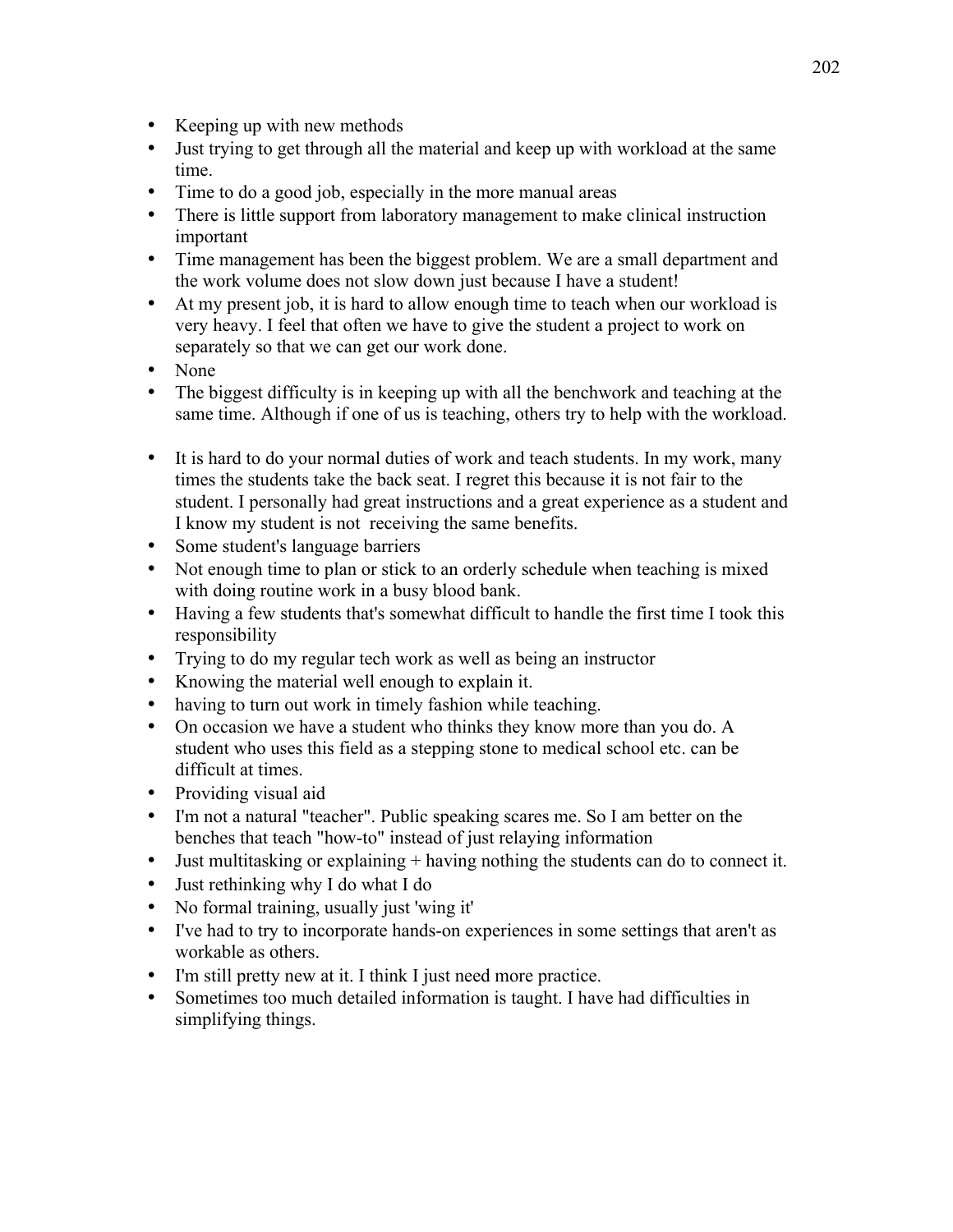- Keeping up with new methods
- Just trying to get through all the material and keep up with workload at the same time.
- Time to do a good job, especially in the more manual areas
- There is little support from laboratory management to make clinical instruction important
- Time management has been the biggest problem. We are a small department and the work volume does not slow down just because I have a student!
- At my present job, it is hard to allow enough time to teach when our workload is very heavy. I feel that often we have to give the student a project to work on separately so that we can get our work done.
- None
- The biggest difficulty is in keeping up with all the benchwork and teaching at the same time. Although if one of us is teaching, others try to help with the workload.
- It is hard to do your normal duties of work and teach students. In my work, many times the students take the back seat. I regret this because it is not fair to the student. I personally had great instructions and a great experience as a student and I know my student is not receiving the same benefits.
- Some student's language barriers
- Not enough time to plan or stick to an orderly schedule when teaching is mixed with doing routine work in a busy blood bank.
- Having a few students that's somewhat difficult to handle the first time I took this responsibility
- Trying to do my regular tech work as well as being an instructor
- Knowing the material well enough to explain it.
- having to turn out work in timely fashion while teaching.
- On occasion we have a student who thinks they know more than you do. A student who uses this field as a stepping stone to medical school etc. can be difficult at times.
- Providing visual aid
- I'm not a natural "teacher". Public speaking scares me. So I am better on the benches that teach "how-to" instead of just relaying information
- Just multitasking or explaining + having nothing the students can do to connect it.
- Just rethinking why I do what I do
- No formal training, usually just 'wing it'
- I've had to try to incorporate hands-on experiences in some settings that aren't as workable as others.
- I'm still pretty new at it. I think I just need more practice.
- Sometimes too much detailed information is taught. I have had difficulties in simplifying things.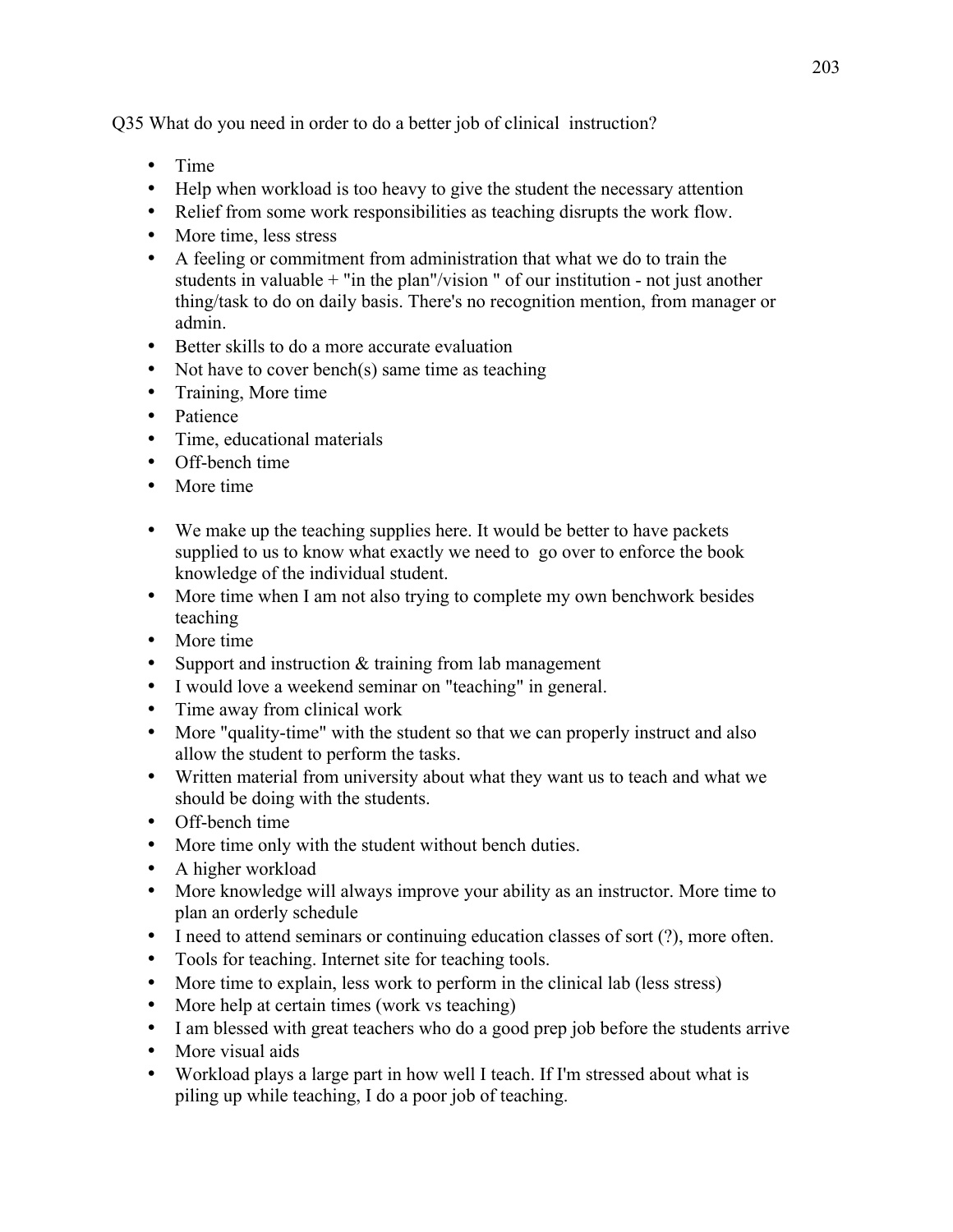Q35 What do you need in order to do a better job of clinical instruction?

- Time
- Help when workload is too heavy to give the student the necessary attention
- Relief from some work responsibilities as teaching disrupts the work flow.
- More time, less stress
- A feeling or commitment from administration that what we do to train the students in valuable + "in the plan"/vision " of our institution - not just another thing/task to do on daily basis. There's no recognition mention, from manager or admin.
- Better skills to do a more accurate evaluation
- Not have to cover bench(s) same time as teaching
- Training, More time
- Patience
- Time, educational materials
- Off-bench time
- More time
- We make up the teaching supplies here. It would be better to have packets supplied to us to know what exactly we need to go over to enforce the book knowledge of the individual student.
- More time when I am not also trying to complete my own benchwork besides teaching
- More time
- Support and instruction  $&$  training from lab management
- I would love a weekend seminar on "teaching" in general.
- Time away from clinical work
- More "quality-time" with the student so that we can properly instruct and also allow the student to perform the tasks.
- Written material from university about what they want us to teach and what we should be doing with the students.
- Off-bench time
- More time only with the student without bench duties.
- A higher workload
- More knowledge will always improve your ability as an instructor. More time to plan an orderly schedule
- I need to attend seminars or continuing education classes of sort (?), more often.
- Tools for teaching. Internet site for teaching tools.
- More time to explain, less work to perform in the clinical lab (less stress)
- More help at certain times (work vs teaching)
- I am blessed with great teachers who do a good prep job before the students arrive
- More visual aids
- Workload plays a large part in how well I teach. If I'm stressed about what is piling up while teaching, I do a poor job of teaching.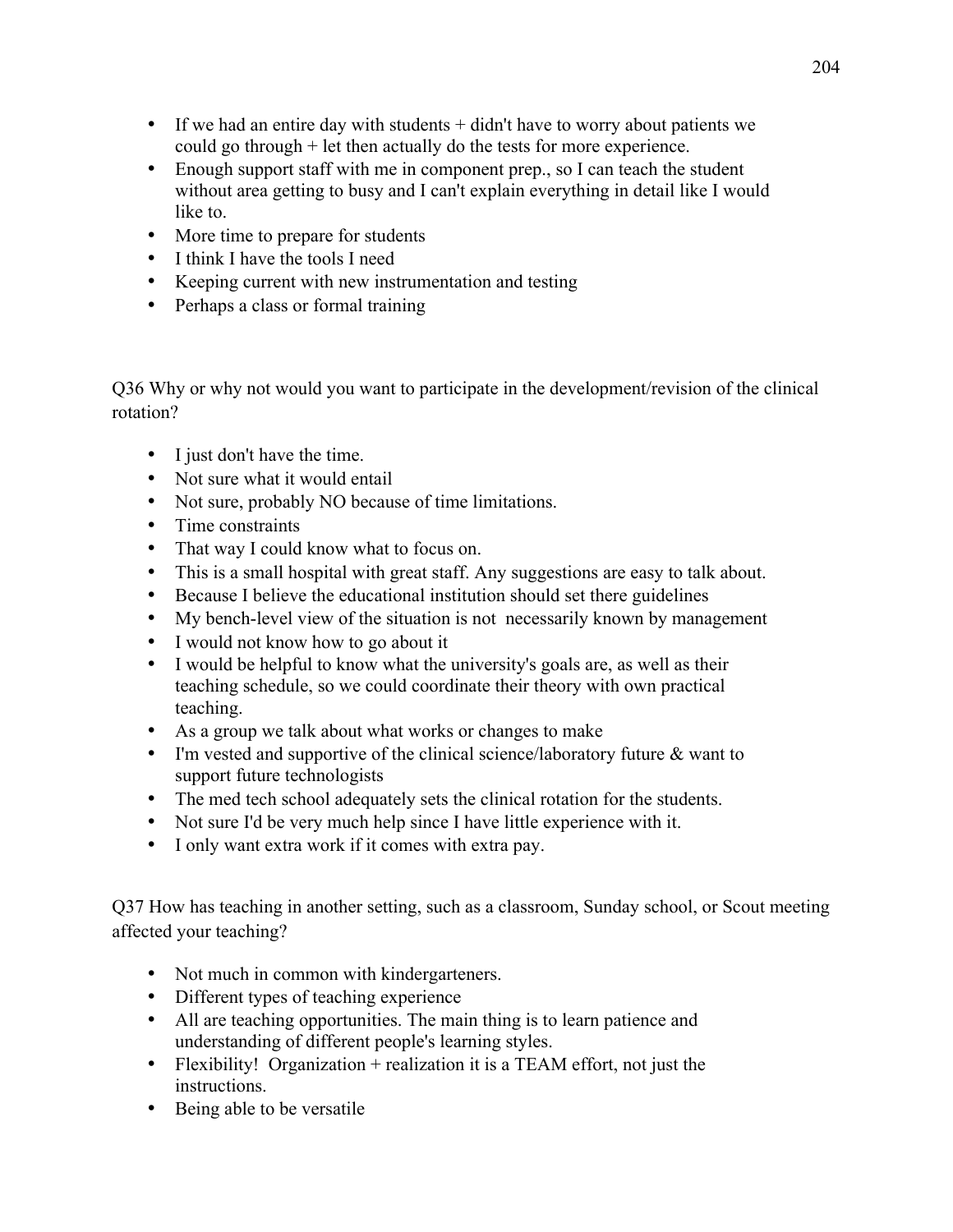- If we had an entire day with students + didn't have to worry about patients we could go through + let then actually do the tests for more experience.
- Enough support staff with me in component prep., so I can teach the student without area getting to busy and I can't explain everything in detail like I would like to.
- More time to prepare for students
- I think I have the tools I need
- Keeping current with new instrumentation and testing
- Perhaps a class or formal training

Q36 Why or why not would you want to participate in the development/revision of the clinical rotation?

- I just don't have the time.
- Not sure what it would entail
- Not sure, probably NO because of time limitations.
- Time constraints
- That way I could know what to focus on.
- This is a small hospital with great staff. Any suggestions are easy to talk about.
- Because I believe the educational institution should set there guidelines
- My bench-level view of the situation is not necessarily known by management
- I would not know how to go about it
- I would be helpful to know what the university's goals are, as well as their teaching schedule, so we could coordinate their theory with own practical teaching.
- As a group we talk about what works or changes to make
- I'm vested and supportive of the clinical science/laboratory future & want to support future technologists
- The med tech school adequately sets the clinical rotation for the students.
- Not sure I'd be very much help since I have little experience with it.
- I only want extra work if it comes with extra pay.

Q37 How has teaching in another setting, such as a classroom, Sunday school, or Scout meeting affected your teaching?

- Not much in common with kindergarteners.
- Different types of teaching experience
- All are teaching opportunities. The main thing is to learn patience and understanding of different people's learning styles.
- Flexibility! Organization + realization it is a TEAM effort, not just the instructions.
- Being able to be versatile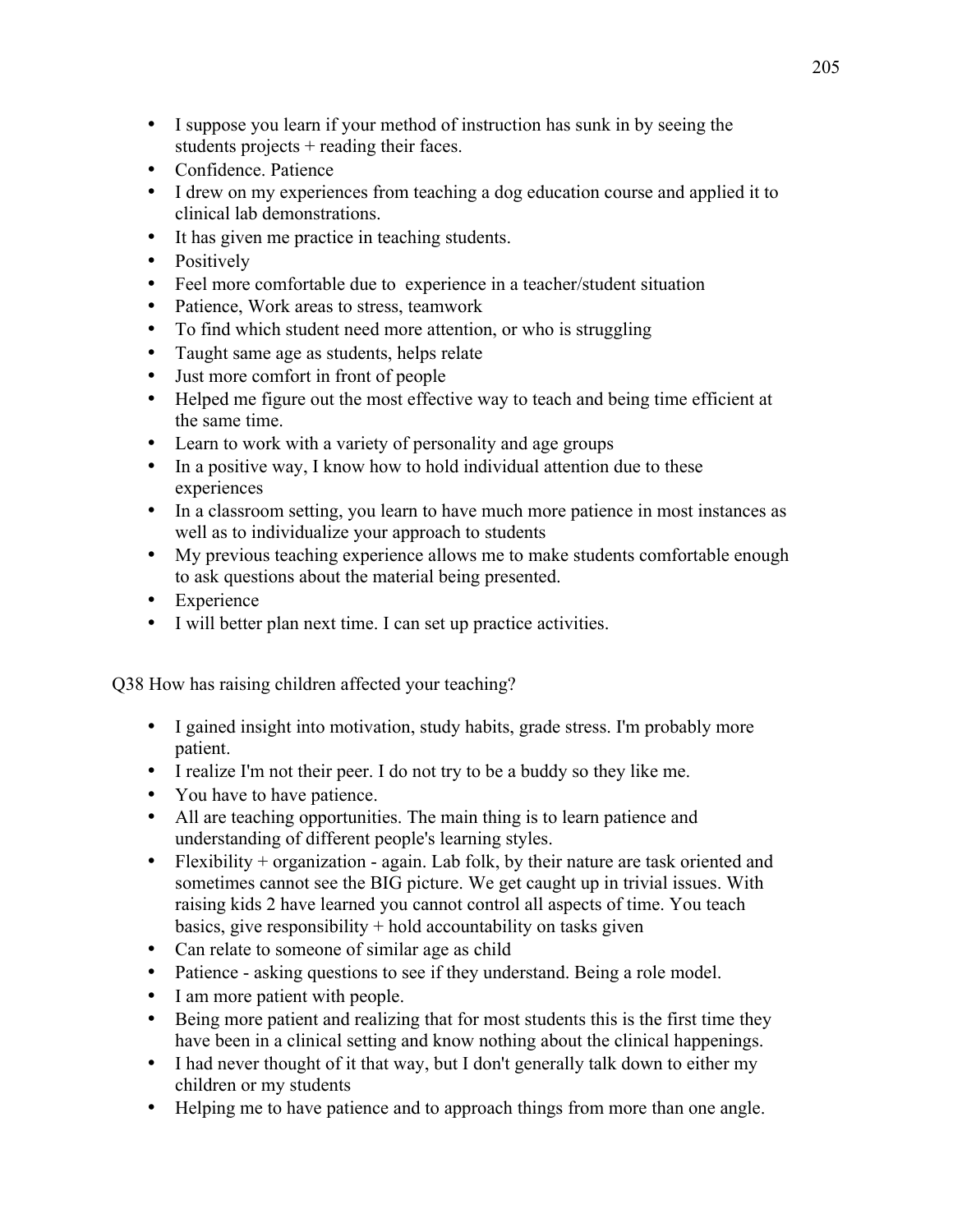- I suppose you learn if your method of instruction has sunk in by seeing the students projects + reading their faces.
- Confidence. Patience
- I drew on my experiences from teaching a dog education course and applied it to clinical lab demonstrations.
- It has given me practice in teaching students.
- Positively
- Feel more comfortable due to experience in a teacher/student situation
- Patience, Work areas to stress, teamwork
- To find which student need more attention, or who is struggling
- Taught same age as students, helps relate
- Just more comfort in front of people
- Helped me figure out the most effective way to teach and being time efficient at the same time.
- Learn to work with a variety of personality and age groups
- In a positive way, I know how to hold individual attention due to these experiences
- In a classroom setting, you learn to have much more patience in most instances as well as to individualize your approach to students
- My previous teaching experience allows me to make students comfortable enough to ask questions about the material being presented.
- Experience
- I will better plan next time. I can set up practice activities.

Q38 How has raising children affected your teaching?

- I gained insight into motivation, study habits, grade stress. I'm probably more patient.
- I realize I'm not their peer. I do not try to be a buddy so they like me.
- You have to have patience.
- All are teaching opportunities. The main thing is to learn patience and understanding of different people's learning styles.
- Flexibility + organization again. Lab folk, by their nature are task oriented and sometimes cannot see the BIG picture. We get caught up in trivial issues. With raising kids 2 have learned you cannot control all aspects of time. You teach basics, give responsibility  $+$  hold accountability on tasks given
- Can relate to someone of similar age as child
- Patience asking questions to see if they understand. Being a role model.
- I am more patient with people.
- Being more patient and realizing that for most students this is the first time they have been in a clinical setting and know nothing about the clinical happenings.
- I had never thought of it that way, but I don't generally talk down to either my children or my students
- Helping me to have patience and to approach things from more than one angle.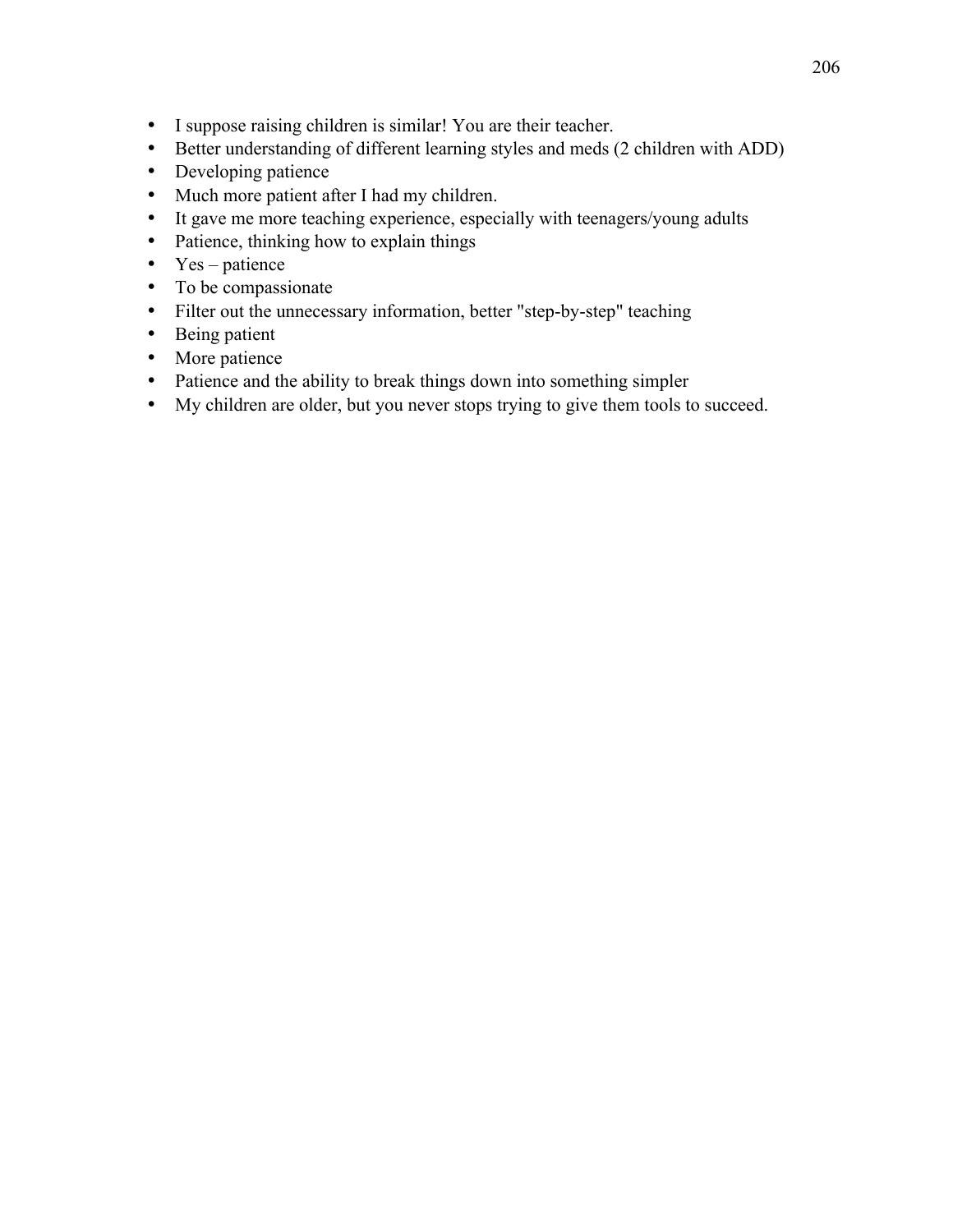- I suppose raising children is similar! You are their teacher.
- Better understanding of different learning styles and meds (2 children with ADD)
- Developing patience
- Much more patient after I had my children.
- It gave me more teaching experience, especially with teenagers/young adults
- Patience, thinking how to explain things
- $Yes patience$
- To be compassionate
- Filter out the unnecessary information, better "step-by-step" teaching
- Being patient
- More patience
- Patience and the ability to break things down into something simpler
- My children are older, but you never stops trying to give them tools to succeed.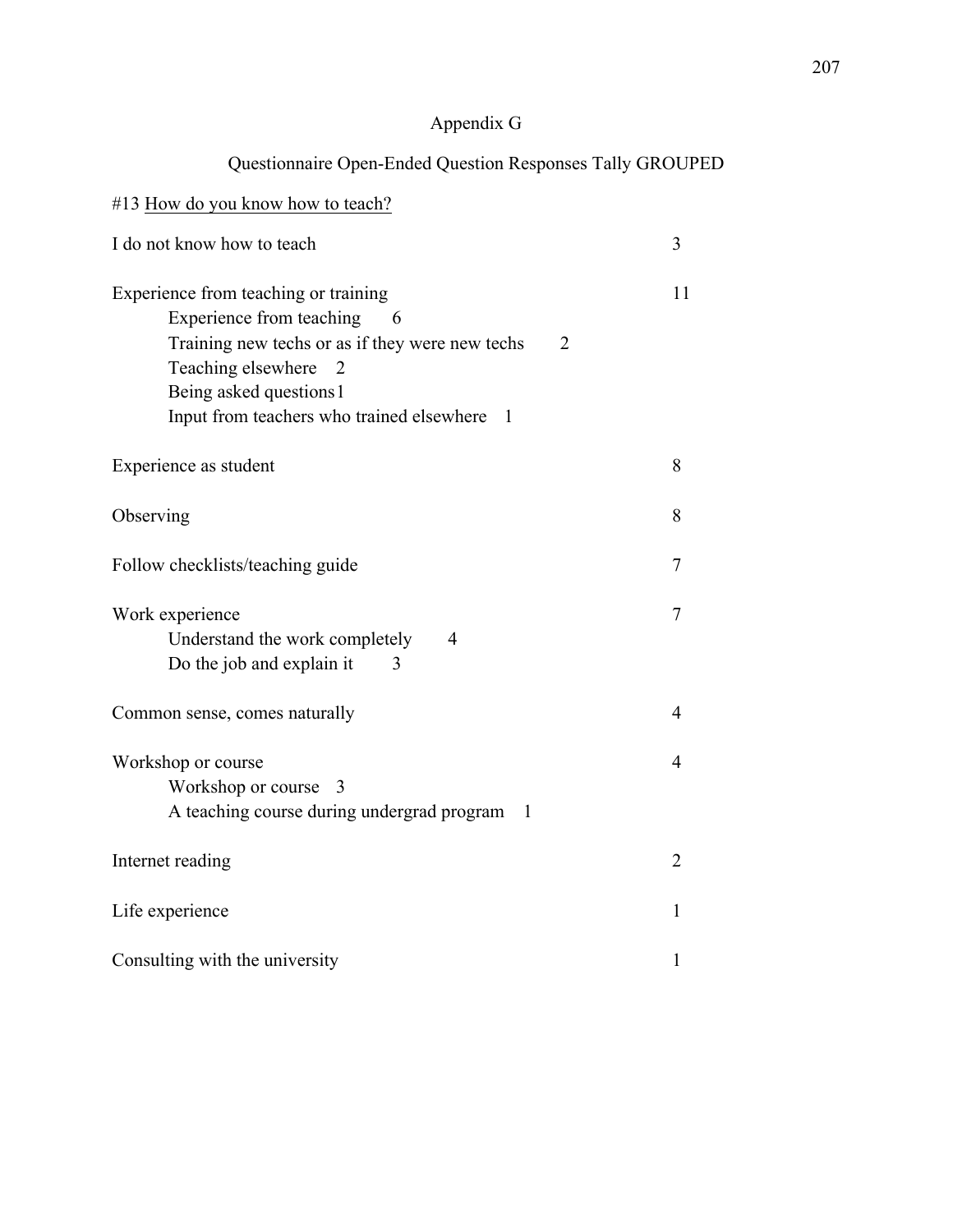# Appendix G

# Questionnaire Open-Ended Question Responses Tally GROUPED

| #13 How do you know how to teach?                                                                                                                                                                                                                                  |                |
|--------------------------------------------------------------------------------------------------------------------------------------------------------------------------------------------------------------------------------------------------------------------|----------------|
| I do not know how to teach                                                                                                                                                                                                                                         | 3              |
| Experience from teaching or training<br>Experience from teaching<br>- 6<br>Training new techs or as if they were new techs<br>$\overline{2}$<br>Teaching elsewhere<br>$\overline{2}$<br>Being asked questions 1<br>Input from teachers who trained elsewhere<br>-1 | 11             |
| Experience as student                                                                                                                                                                                                                                              | 8              |
| Observing                                                                                                                                                                                                                                                          | 8              |
| Follow checklists/teaching guide                                                                                                                                                                                                                                   | 7              |
| Work experience<br>Understand the work completely<br>$\overline{4}$<br>Do the job and explain it<br>3                                                                                                                                                              | 7              |
| Common sense, comes naturally                                                                                                                                                                                                                                      | 4              |
| Workshop or course<br>Workshop or course 3<br>A teaching course during undergrad program<br>1                                                                                                                                                                      | 4              |
| Internet reading                                                                                                                                                                                                                                                   | $\overline{2}$ |
| Life experience                                                                                                                                                                                                                                                    | 1              |
| Consulting with the university                                                                                                                                                                                                                                     | 1              |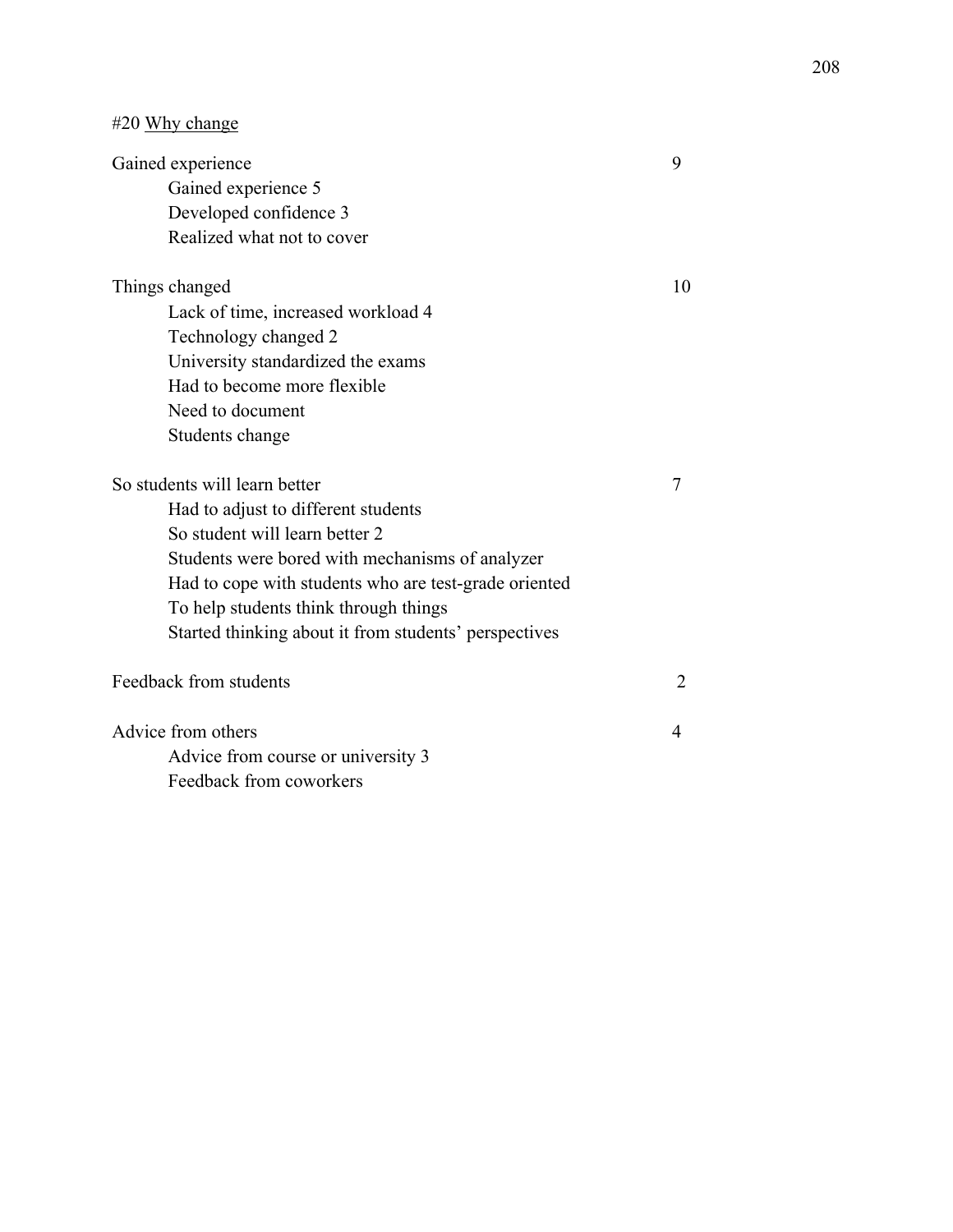| #20 Why change |  |  |
|----------------|--|--|
|----------------|--|--|

| Gained experience                                     | 9                        |
|-------------------------------------------------------|--------------------------|
| Gained experience 5                                   |                          |
| Developed confidence 3                                |                          |
| Realized what not to cover                            |                          |
| Things changed                                        | 10                       |
| Lack of time, increased workload 4                    |                          |
| Technology changed 2                                  |                          |
| University standardized the exams                     |                          |
| Had to become more flexible                           |                          |
| Need to document                                      |                          |
| Students change                                       |                          |
| So students will learn better                         | 7                        |
| Had to adjust to different students                   |                          |
| So student will learn better 2                        |                          |
| Students were bored with mechanisms of analyzer       |                          |
| Had to cope with students who are test-grade oriented |                          |
| To help students think through things                 |                          |
| Started thinking about it from students' perspectives |                          |
| Feedback from students                                | $\overline{2}$           |
| Advice from others                                    | $\overline{\mathcal{A}}$ |
| Advice from course or university 3                    |                          |
| Feedback from coworkers                               |                          |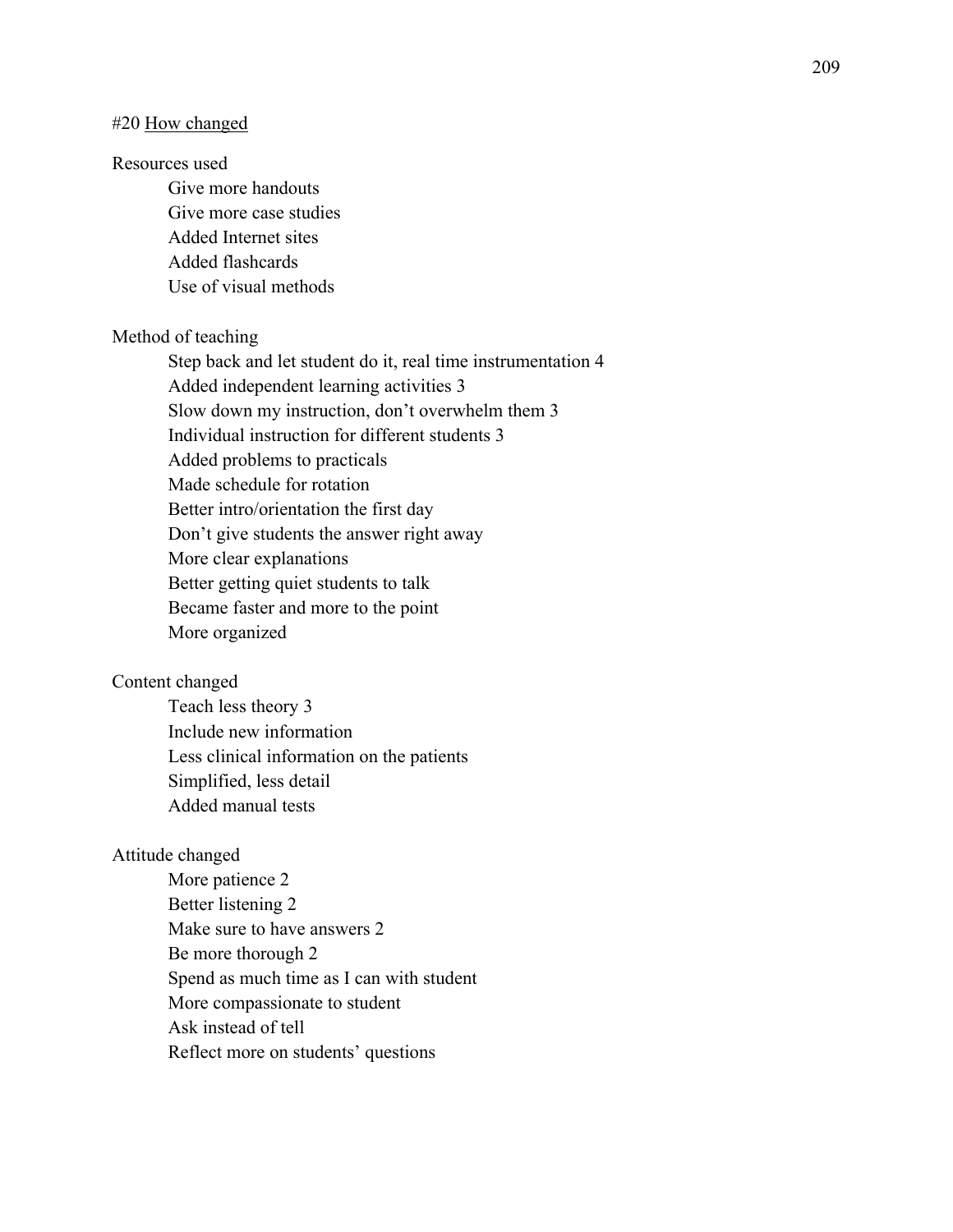#### #20 How changed

### Resources used

Give more handouts Give more case studies Added Internet sites Added flashcards Use of visual methods

#### Method of teaching

Step back and let student do it, real time instrumentation 4 Added independent learning activities 3 Slow down my instruction, don't overwhelm them 3 Individual instruction for different students 3 Added problems to practicals Made schedule for rotation Better intro/orientation the first day Don't give students the answer right away More clear explanations Better getting quiet students to talk Became faster and more to the point More organized

### Content changed

Teach less theory 3 Include new information Less clinical information on the patients Simplified, less detail Added manual tests

### Attitude changed

More patience 2 Better listening 2 Make sure to have answers 2 Be more thorough 2 Spend as much time as I can with student More compassionate to student Ask instead of tell Reflect more on students' questions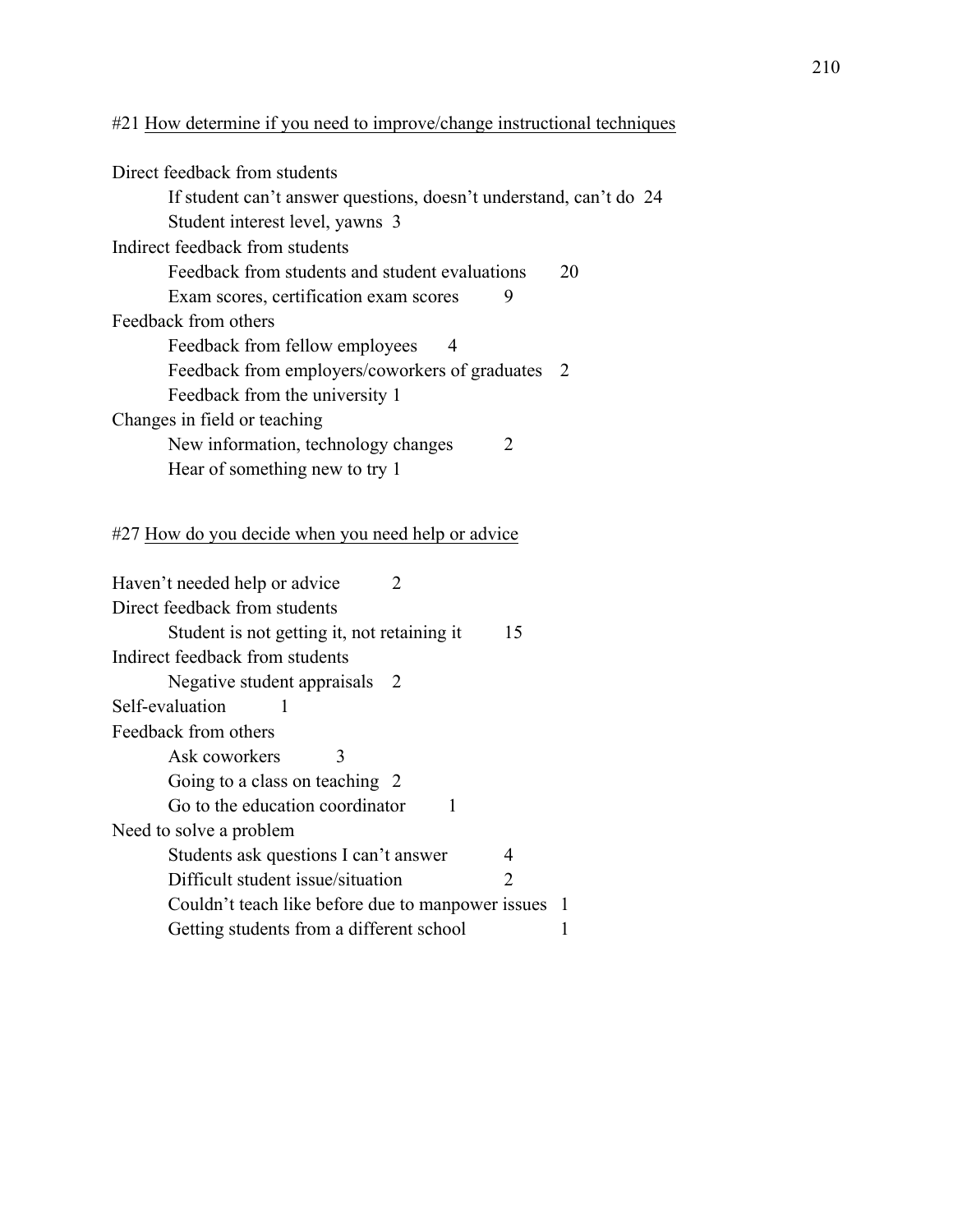# #21 How determine if you need to improve/change instructional techniques

| Direct feedback from students                                      |  |
|--------------------------------------------------------------------|--|
| If student can't answer questions, doesn't understand, can't do 24 |  |
| Student interest level, yawns 3                                    |  |
| Indirect feedback from students                                    |  |
| Feedback from students and student evaluations<br>20               |  |
| Exam scores, certification exam scores<br>9                        |  |
| Feedback from others                                               |  |
| Feedback from fellow employees<br>4                                |  |
| Feedback from employers/coworkers of graduates 2                   |  |
| Feedback from the university 1                                     |  |
| Changes in field or teaching                                       |  |
| New information, technology changes<br>$\mathcal{D}$               |  |
| Hear of something new to try 1                                     |  |
|                                                                    |  |

# #27 How do you decide when you need help or advice

| Haven't needed help or advice<br>$\mathcal{L}$                   |    |
|------------------------------------------------------------------|----|
| Direct feedback from students                                    |    |
| Student is not getting it, not retaining it<br>15                |    |
| Indirect feedback from students                                  |    |
| Negative student appraisals 2                                    |    |
| Self-evaluation                                                  |    |
| Feedback from others                                             |    |
| Ask coworkers                                                    |    |
| Going to a class on teaching 2                                   |    |
| Go to the education coordinator                                  |    |
| Need to solve a problem                                          |    |
| Students ask questions I can't answer<br>4                       |    |
| Difficult student issue/situation<br>$\mathcal{D}_{\mathcal{L}}$ |    |
| Couldn't teach like before due to manpower issues                | -1 |
| Getting students from a different school                         |    |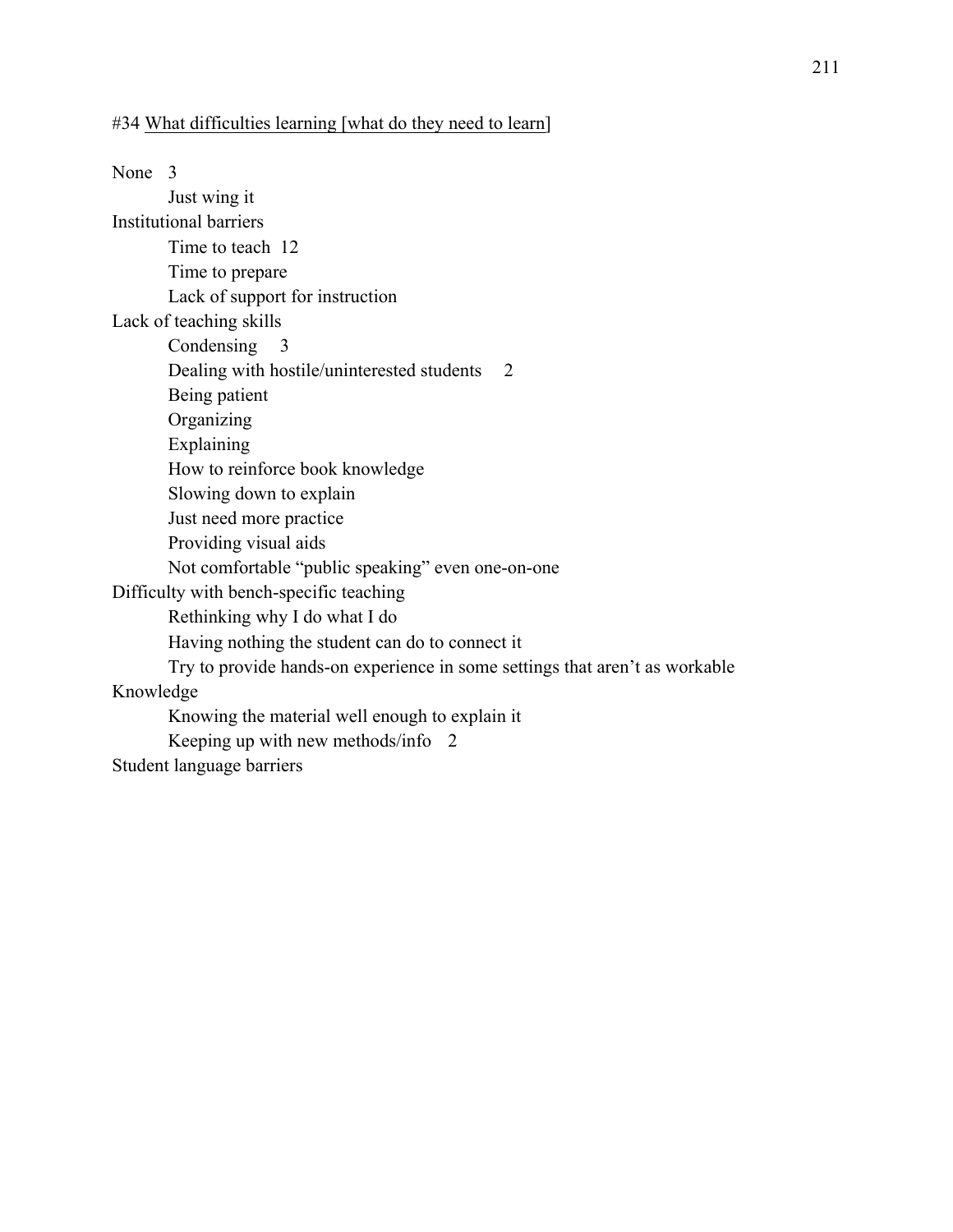### #34 What difficulties learning [what do they need to learn]

None 3 Just wing it Institutional barriers Time to teach 12 Time to prepare Lack of support for instruction Lack of teaching skills Condensing 3 Dealing with hostile/uninterested students 2 Being patient **Organizing** Explaining How to reinforce book knowledge Slowing down to explain Just need more practice Providing visual aids Not comfortable "public speaking" even one-on-one Difficulty with bench-specific teaching Rethinking why I do what I do Having nothing the student can do to connect it Try to provide hands-on experience in some settings that aren't as workable Knowledge Knowing the material well enough to explain it Keeping up with new methods/info 2 Student language barriers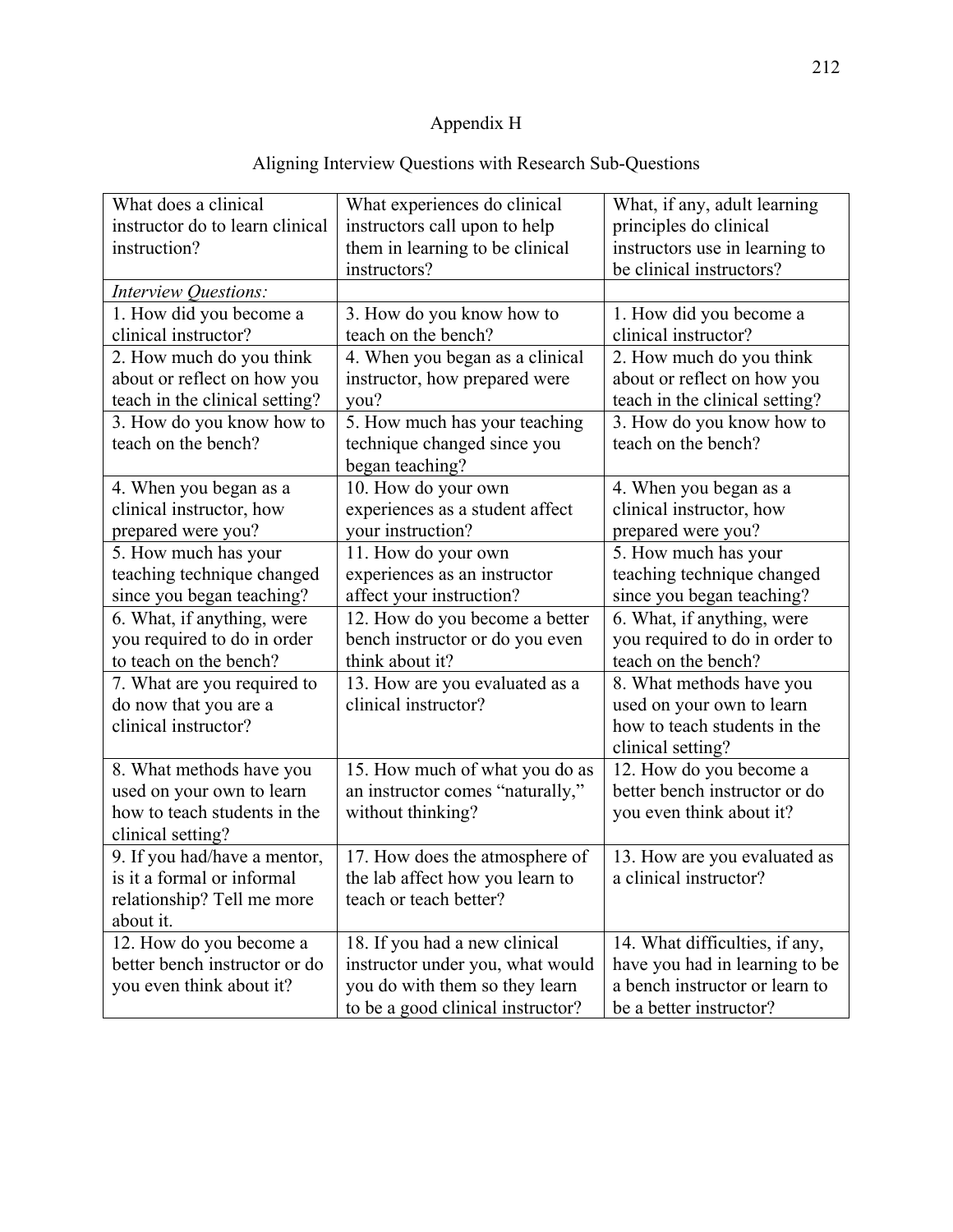# Appendix H

| What does a clinical<br>instructor do to learn clinical<br>instruction? | What experiences do clinical<br>instructors call upon to help<br>them in learning to be clinical<br>instructors? | What, if any, adult learning<br>principles do clinical<br>instructors use in learning to<br>be clinical instructors? |
|-------------------------------------------------------------------------|------------------------------------------------------------------------------------------------------------------|----------------------------------------------------------------------------------------------------------------------|
| Interview Questions:                                                    |                                                                                                                  |                                                                                                                      |
| 1. How did you become a                                                 | 3. How do you know how to                                                                                        | 1. How did you become a                                                                                              |
| clinical instructor?                                                    | teach on the bench?                                                                                              | clinical instructor?                                                                                                 |
| 2. How much do you think                                                | 4. When you began as a clinical                                                                                  | 2. How much do you think                                                                                             |
| about or reflect on how you                                             | instructor, how prepared were                                                                                    | about or reflect on how you                                                                                          |
| teach in the clinical setting?                                          | you?                                                                                                             | teach in the clinical setting?                                                                                       |
| 3. How do you know how to                                               | 5. How much has your teaching                                                                                    | 3. How do you know how to                                                                                            |
| teach on the bench?                                                     | technique changed since you                                                                                      | teach on the bench?                                                                                                  |
|                                                                         | began teaching?                                                                                                  |                                                                                                                      |
| 4. When you began as a                                                  | 10. How do your own                                                                                              | 4. When you began as a                                                                                               |
| clinical instructor, how                                                | experiences as a student affect                                                                                  | clinical instructor, how                                                                                             |
| prepared were you?                                                      | your instruction?                                                                                                | prepared were you?                                                                                                   |
| 5. How much has your                                                    | 11. How do your own                                                                                              | 5. How much has your                                                                                                 |
| teaching technique changed                                              | experiences as an instructor                                                                                     | teaching technique changed                                                                                           |
| since you began teaching?                                               | affect your instruction?                                                                                         | since you began teaching?                                                                                            |
| 6. What, if anything, were                                              | 12. How do you become a better                                                                                   | 6. What, if anything, were                                                                                           |
| you required to do in order                                             | bench instructor or do you even                                                                                  | you required to do in order to                                                                                       |
| to teach on the bench?                                                  | think about it?                                                                                                  | teach on the bench?                                                                                                  |
| 7. What are you required to                                             | 13. How are you evaluated as a                                                                                   | 8. What methods have you                                                                                             |
| do now that you are a                                                   | clinical instructor?                                                                                             | used on your own to learn                                                                                            |
| clinical instructor?                                                    |                                                                                                                  | how to teach students in the                                                                                         |
|                                                                         |                                                                                                                  | clinical setting?                                                                                                    |
| 8. What methods have you                                                | 15. How much of what you do as                                                                                   | 12. How do you become a                                                                                              |
| used on your own to learn                                               | an instructor comes "naturally,"                                                                                 | better bench instructor or do                                                                                        |
| how to teach students in the                                            | without thinking?                                                                                                | you even think about it?                                                                                             |
| clinical setting?                                                       |                                                                                                                  |                                                                                                                      |
| 9. If you had/have a mentor,                                            | 17. How does the atmosphere of                                                                                   | 13. How are you evaluated as                                                                                         |
| is it a formal or informal                                              | the lab affect how you learn to                                                                                  | a clinical instructor?                                                                                               |
| relationship? Tell me more                                              | teach or teach better?                                                                                           |                                                                                                                      |
| about it.                                                               |                                                                                                                  |                                                                                                                      |
| 12. How do you become a                                                 | 18. If you had a new clinical                                                                                    | 14. What difficulties, if any,                                                                                       |
| better bench instructor or do                                           | instructor under you, what would                                                                                 | have you had in learning to be                                                                                       |
| you even think about it?                                                | you do with them so they learn                                                                                   | a bench instructor or learn to                                                                                       |
|                                                                         | to be a good clinical instructor?                                                                                | be a better instructor?                                                                                              |

# Aligning Interview Questions with Research Sub-Questions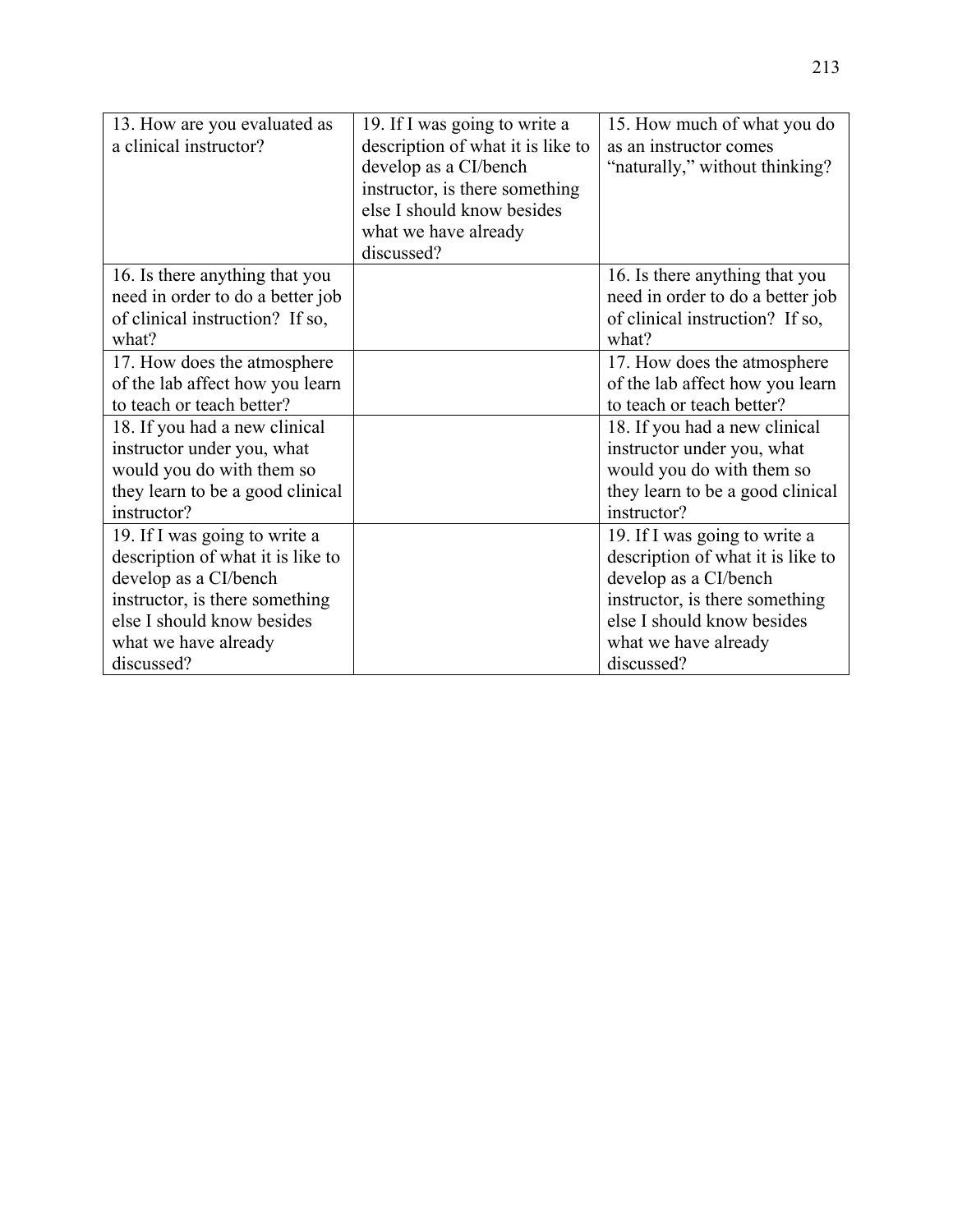| 13. How are you evaluated as<br>a clinical instructor?             | 19. If I was going to write a<br>description of what it is like to<br>develop as a CI/bench<br>instructor, is there something<br>else I should know besides<br>what we have already<br>discussed? | 15. How much of what you do<br>as an instructor comes<br>"naturally," without thinking? |
|--------------------------------------------------------------------|---------------------------------------------------------------------------------------------------------------------------------------------------------------------------------------------------|-----------------------------------------------------------------------------------------|
| 16. Is there anything that you<br>need in order to do a better job |                                                                                                                                                                                                   | 16. Is there anything that you<br>need in order to do a better job                      |
| of clinical instruction? If so,                                    |                                                                                                                                                                                                   | of clinical instruction? If so,                                                         |
| what?                                                              |                                                                                                                                                                                                   | what?                                                                                   |
| 17. How does the atmosphere                                        |                                                                                                                                                                                                   | 17. How does the atmosphere                                                             |
| of the lab affect how you learn                                    |                                                                                                                                                                                                   | of the lab affect how you learn                                                         |
| to teach or teach better?                                          |                                                                                                                                                                                                   | to teach or teach better?                                                               |
| 18. If you had a new clinical                                      |                                                                                                                                                                                                   | 18. If you had a new clinical                                                           |
| instructor under you, what                                         |                                                                                                                                                                                                   | instructor under you, what                                                              |
| would you do with them so                                          |                                                                                                                                                                                                   | would you do with them so                                                               |
| they learn to be a good clinical                                   |                                                                                                                                                                                                   | they learn to be a good clinical                                                        |
| instructor?                                                        |                                                                                                                                                                                                   | instructor?                                                                             |
| 19. If I was going to write a                                      |                                                                                                                                                                                                   | 19. If I was going to write a                                                           |
| description of what it is like to                                  |                                                                                                                                                                                                   | description of what it is like to                                                       |
| develop as a CI/bench                                              |                                                                                                                                                                                                   | develop as a CI/bench                                                                   |
| instructor, is there something                                     |                                                                                                                                                                                                   | instructor, is there something                                                          |
| else I should know besides                                         |                                                                                                                                                                                                   | else I should know besides                                                              |
| what we have already                                               |                                                                                                                                                                                                   | what we have already                                                                    |
| discussed?                                                         |                                                                                                                                                                                                   | discussed?                                                                              |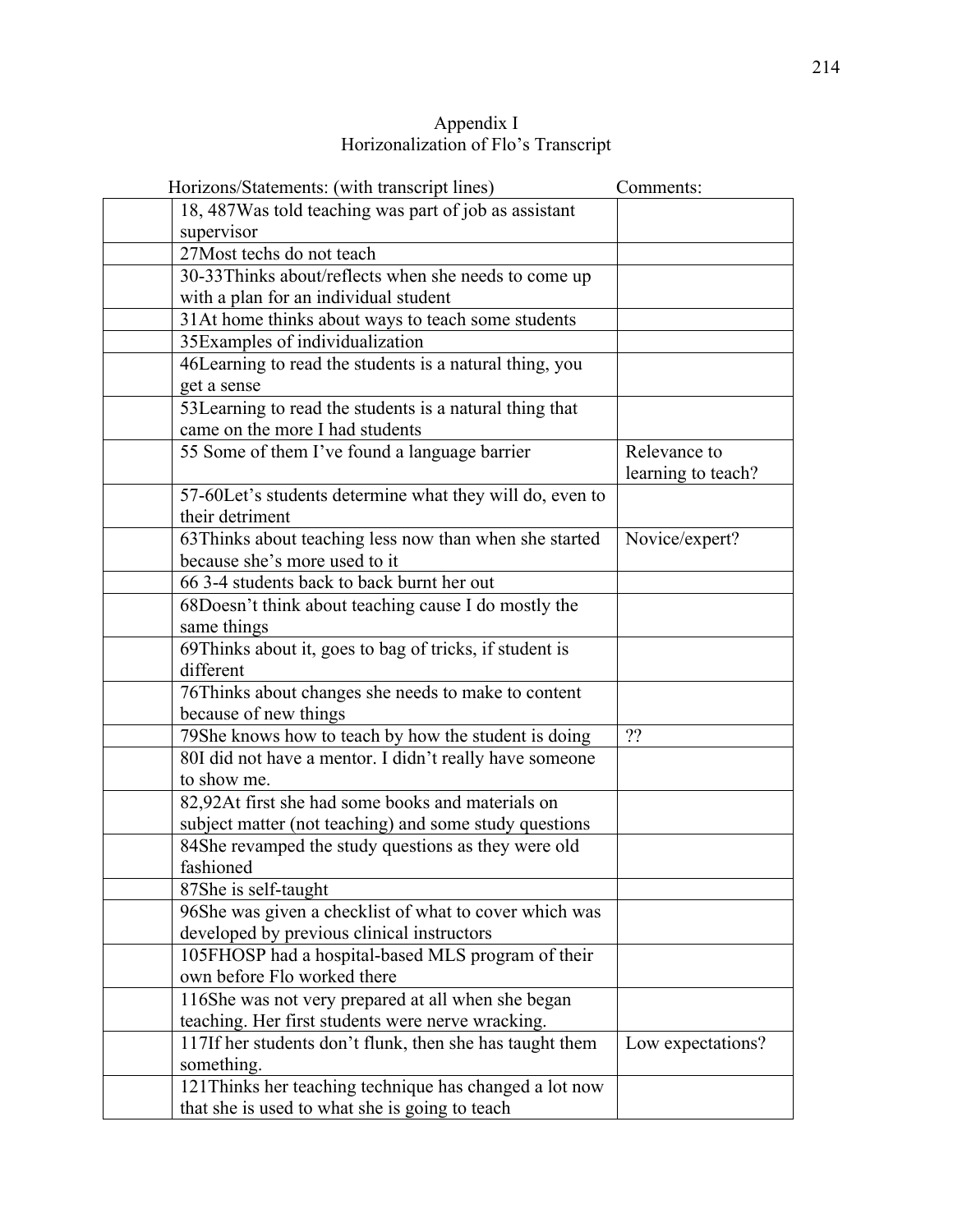| Appendix I                           |
|--------------------------------------|
| Horizonalization of Flo's Transcript |

| Horizons/Statements: (with transcript lines)             | Comments:          |
|----------------------------------------------------------|--------------------|
| 18, 487 Was told teaching was part of job as assistant   |                    |
| supervisor                                               |                    |
| 27 Most techs do not teach                               |                    |
| 30-33Thinks about/reflects when she needs to come up     |                    |
| with a plan for an individual student                    |                    |
| 31At home thinks about ways to teach some students       |                    |
| 35Examples of individualization                          |                    |
| 46 Learning to read the students is a natural thing, you |                    |
| get a sense                                              |                    |
| 53Learning to read the students is a natural thing that  |                    |
| came on the more I had students                          |                    |
| 55 Some of them I've found a language barrier            | Relevance to       |
|                                                          | learning to teach? |
| 57-60Let's students determine what they will do, even to |                    |
| their detriment                                          |                    |
| 63Thinks about teaching less now than when she started   | Novice/expert?     |
| because she's more used to it                            |                    |
| 66 3-4 students back to back burnt her out               |                    |
| 68Doesn't think about teaching cause I do mostly the     |                    |
| same things                                              |                    |
| 69Thinks about it, goes to bag of tricks, if student is  |                    |
| different                                                |                    |
| 76Thinks about changes she needs to make to content      |                    |
| because of new things                                    |                    |
| 79She knows how to teach by how the student is doing     | ??                 |
| 80I did not have a mentor. I didn't really have someone  |                    |
| to show me.                                              |                    |
| 82,92At first she had some books and materials on        |                    |
| subject matter (not teaching) and some study questions   |                    |
| 84She revamped the study questions as they were old      |                    |
| fashioned                                                |                    |
| 87She is self-taught                                     |                    |
| 96She was given a checklist of what to cover which was   |                    |
| developed by previous clinical instructors               |                    |
| 105FHOSP had a hospital-based MLS program of their       |                    |
| own before Flo worked there                              |                    |
| 116She was not very prepared at all when she began       |                    |
| teaching. Her first students were nerve wracking.        |                    |
| 117If her students don't flunk, then she has taught them | Low expectations?  |
| something.                                               |                    |
| 121 Thinks her teaching technique has changed a lot now  |                    |
| that she is used to what she is going to teach           |                    |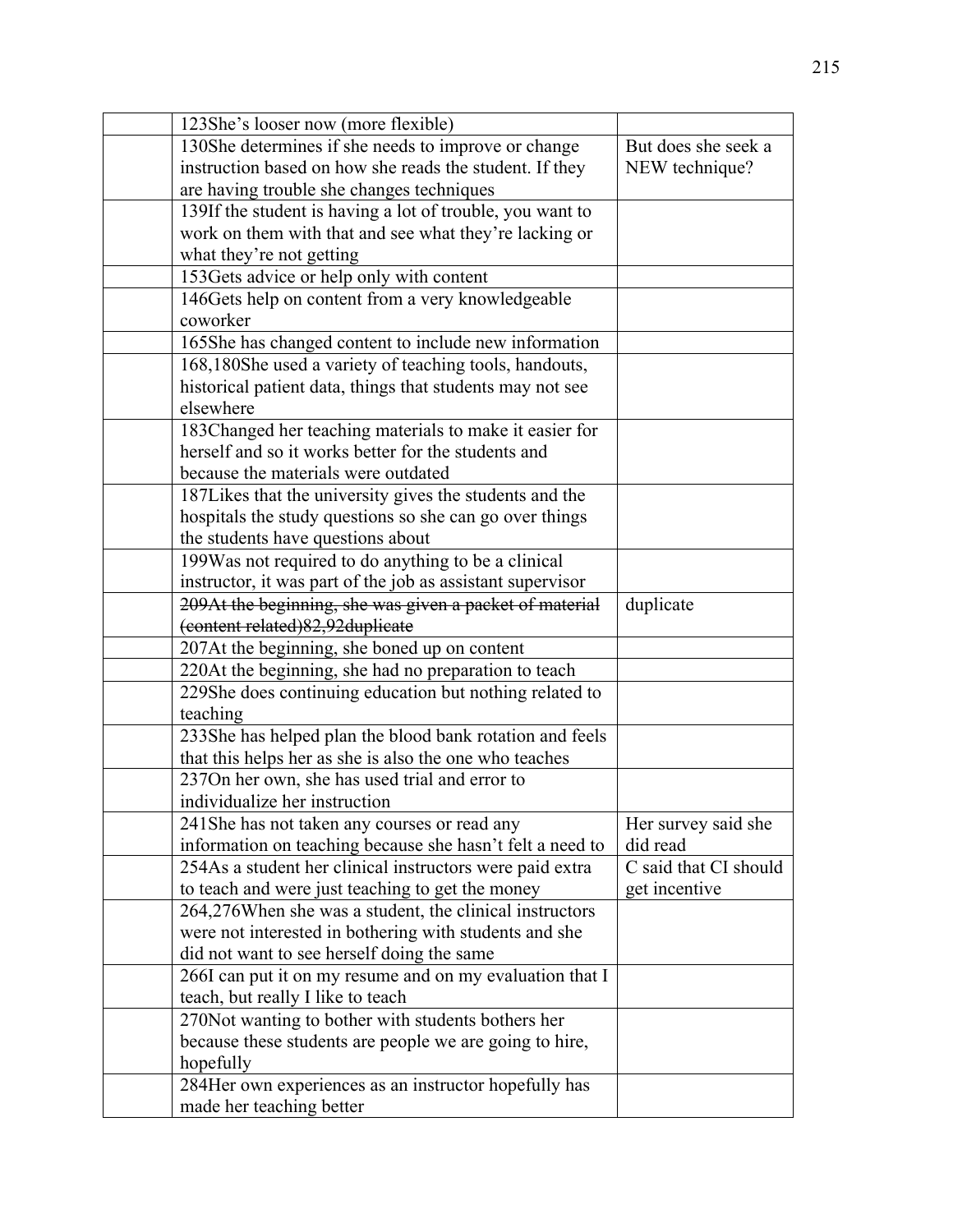| 123She's looser now (more flexible)                        |                       |
|------------------------------------------------------------|-----------------------|
| 130She determines if she needs to improve or change        | But does she seek a   |
| instruction based on how she reads the student. If they    | NEW technique?        |
| are having trouble she changes techniques                  |                       |
| 139If the student is having a lot of trouble, you want to  |                       |
| work on them with that and see what they're lacking or     |                       |
| what they're not getting                                   |                       |
| 153Gets advice or help only with content                   |                       |
| 146Gets help on content from a very knowledgeable          |                       |
| coworker                                                   |                       |
| 165She has changed content to include new information      |                       |
| 168,180She used a variety of teaching tools, handouts,     |                       |
| historical patient data, things that students may not see  |                       |
| elsewhere                                                  |                       |
| 183Changed her teaching materials to make it easier for    |                       |
| herself and so it works better for the students and        |                       |
| because the materials were outdated                        |                       |
| 187Likes that the university gives the students and the    |                       |
| hospitals the study questions so she can go over things    |                       |
| the students have questions about                          |                       |
| 199Was not required to do anything to be a clinical        |                       |
| instructor, it was part of the job as assistant supervisor |                       |
| 209At the beginning, she was given a packet of material    | duplicate             |
| (content related) 82,92 duplicate                          |                       |
| 207At the beginning, she boned up on content               |                       |
| 220At the beginning, she had no preparation to teach       |                       |
| 229She does continuing education but nothing related to    |                       |
| teaching                                                   |                       |
| 233She has helped plan the blood bank rotation and feels   |                       |
| that this helps her as she is also the one who teaches     |                       |
| 237On her own, she has used trial and error to             |                       |
| individualize her instruction                              |                       |
| 241 She has not taken any courses or read any              | Her survey said she   |
| information on teaching because she hasn't felt a need to  | did read              |
| 254As a student her clinical instructors were paid extra   | C said that CI should |
| to teach and were just teaching to get the money           | get incentive         |
| 264,276 When she was a student, the clinical instructors   |                       |
| were not interested in bothering with students and she     |                       |
| did not want to see herself doing the same                 |                       |
| 266I can put it on my resume and on my evaluation that I   |                       |
| teach, but really I like to teach                          |                       |
| 270Not wanting to bother with students bothers her         |                       |
| because these students are people we are going to hire,    |                       |
| hopefully                                                  |                       |
| 284Her own experiences as an instructor hopefully has      |                       |
| made her teaching better                                   |                       |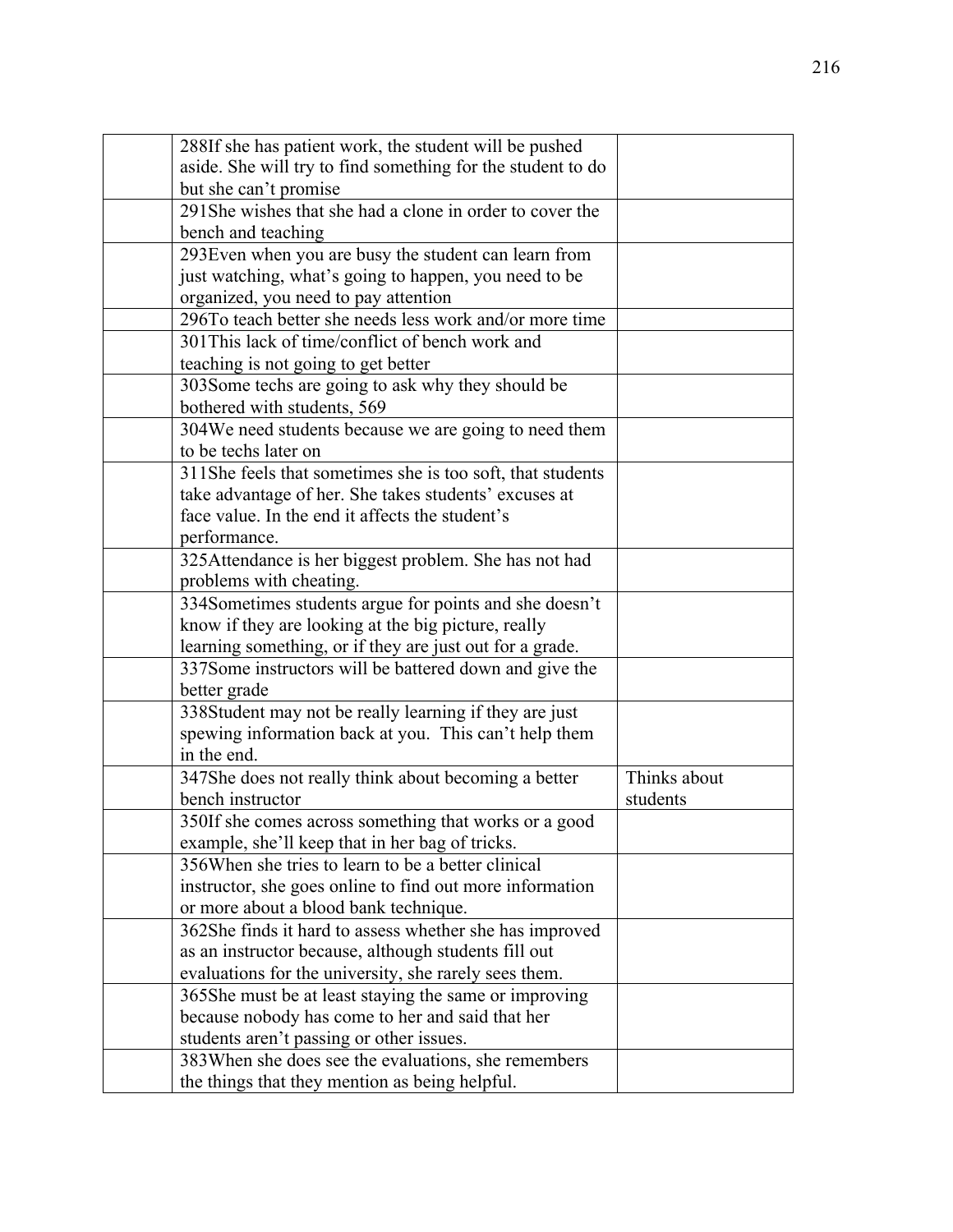| 288If she has patient work, the student will be pushed      |              |
|-------------------------------------------------------------|--------------|
| aside. She will try to find something for the student to do |              |
| but she can't promise                                       |              |
| 291She wishes that she had a clone in order to cover the    |              |
| bench and teaching                                          |              |
| 293 Even when you are busy the student can learn from       |              |
| just watching, what's going to happen, you need to be       |              |
| organized, you need to pay attention                        |              |
| 296To teach better she needs less work and/or more time     |              |
| 301 This lack of time/conflict of bench work and            |              |
| teaching is not going to get better                         |              |
| 303Some techs are going to ask why they should be           |              |
| bothered with students, 569                                 |              |
| 304We need students because we are going to need them       |              |
| to be techs later on                                        |              |
| 311She feels that sometimes she is too soft, that students  |              |
| take advantage of her. She takes students' excuses at       |              |
| face value. In the end it affects the student's             |              |
| performance.                                                |              |
| 325Attendance is her biggest problem. She has not had       |              |
| problems with cheating.                                     |              |
| 334Sometimes students argue for points and she doesn't      |              |
| know if they are looking at the big picture, really         |              |
| learning something, or if they are just out for a grade.    |              |
| 337Some instructors will be battered down and give the      |              |
| better grade                                                |              |
| 338Student may not be really learning if they are just      |              |
| spewing information back at you. This can't help them       |              |
| in the end.                                                 |              |
| 347She does not really think about becoming a better        | Thinks about |
| bench instructor                                            | students     |
| 350If she comes across something that works or a good       |              |
| example, she'll keep that in her bag of tricks.             |              |
| 356 When she tries to learn to be a better clinical         |              |
| instructor, she goes online to find out more information    |              |
| or more about a blood bank technique.                       |              |
| 362She finds it hard to assess whether she has improved     |              |
| as an instructor because, although students fill out        |              |
| evaluations for the university, she rarely sees them.       |              |
| 365She must be at least staying the same or improving       |              |
| because nobody has come to her and said that her            |              |
| students aren't passing or other issues.                    |              |
| 383When she does see the evaluations, she remembers         |              |
| the things that they mention as being helpful.              |              |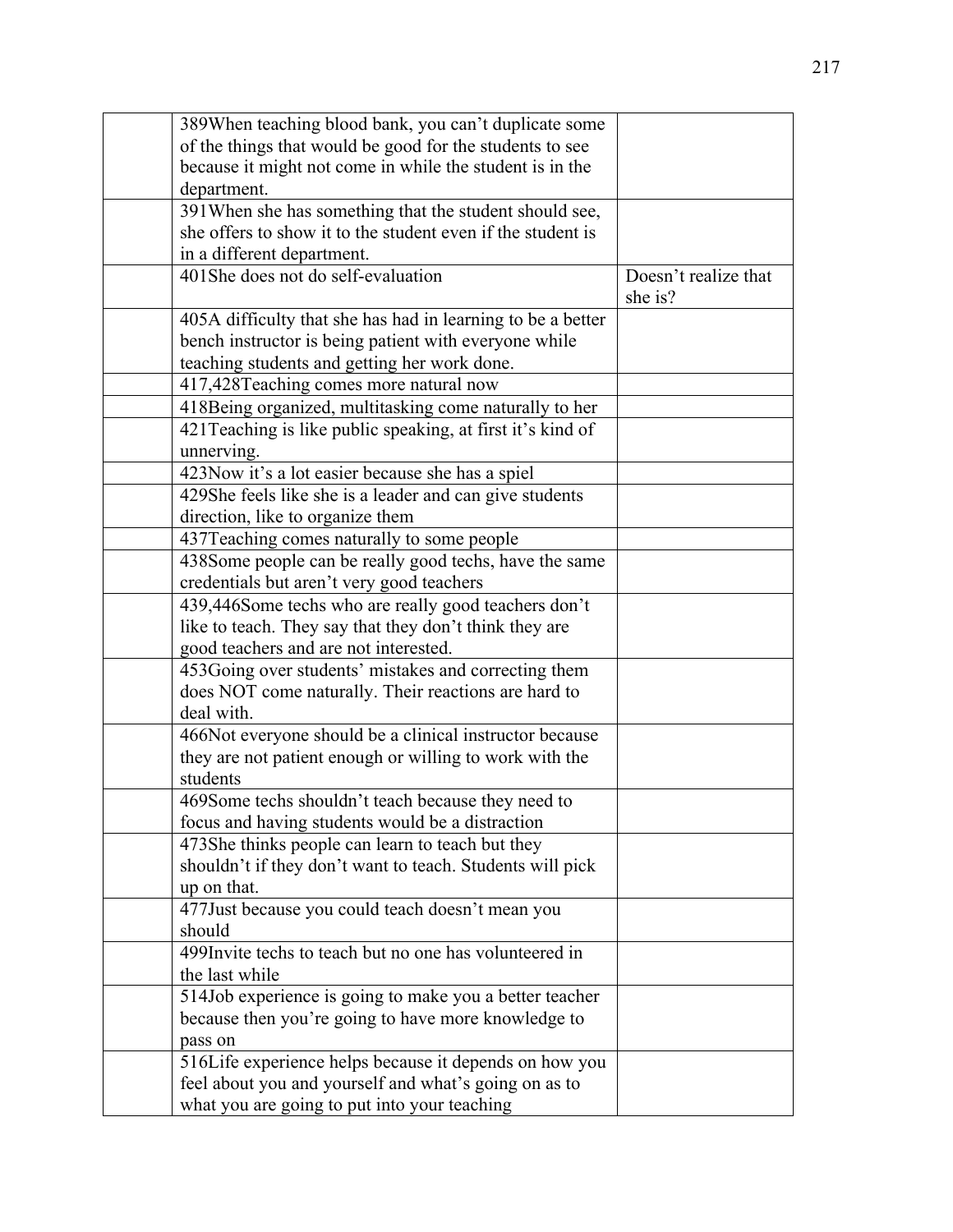| 389When teaching blood bank, you can't duplicate some       |                      |
|-------------------------------------------------------------|----------------------|
| of the things that would be good for the students to see    |                      |
| because it might not come in while the student is in the    |                      |
| department.                                                 |                      |
| 391 When she has something that the student should see,     |                      |
| she offers to show it to the student even if the student is |                      |
| in a different department.                                  |                      |
| 401She does not do self-evaluation                          | Doesn't realize that |
|                                                             | she is?              |
| 405A difficulty that she has had in learning to be a better |                      |
| bench instructor is being patient with everyone while       |                      |
| teaching students and getting her work done.                |                      |
| 417,428Teaching comes more natural now                      |                      |
| 418Being organized, multitasking come naturally to her      |                      |
| 421 Teaching is like public speaking, at first it's kind of |                      |
| unnerving.                                                  |                      |
| 423Now it's a lot easier because she has a spiel            |                      |
| 429She feels like she is a leader and can give students     |                      |
| direction, like to organize them                            |                      |
| 437Teaching comes naturally to some people                  |                      |
| 438Some people can be really good techs, have the same      |                      |
| credentials but aren't very good teachers                   |                      |
| 439,446Some techs who are really good teachers don't        |                      |
| like to teach. They say that they don't think they are      |                      |
| good teachers and are not interested.                       |                      |
| 453Going over students' mistakes and correcting them        |                      |
| does NOT come naturally. Their reactions are hard to        |                      |
| deal with.                                                  |                      |
| 466Not everyone should be a clinical instructor because     |                      |
| they are not patient enough or willing to work with the     |                      |
| students                                                    |                      |
| 469Some techs shouldn't teach because they need to          |                      |
| focus and having students would be a distraction            |                      |
| 473She thinks people can learn to teach but they            |                      |
| shouldn't if they don't want to teach. Students will pick   |                      |
| up on that.                                                 |                      |
| 477Just because you could teach doesn't mean you            |                      |
| should                                                      |                      |
| 499Invite techs to teach but no one has volunteered in      |                      |
| the last while                                              |                      |
| 514Job experience is going to make you a better teacher     |                      |
| because then you're going to have more knowledge to         |                      |
| pass on                                                     |                      |
| 516Life experience helps because it depends on how you      |                      |
| feel about you and yourself and what's going on as to       |                      |
| what you are going to put into your teaching                |                      |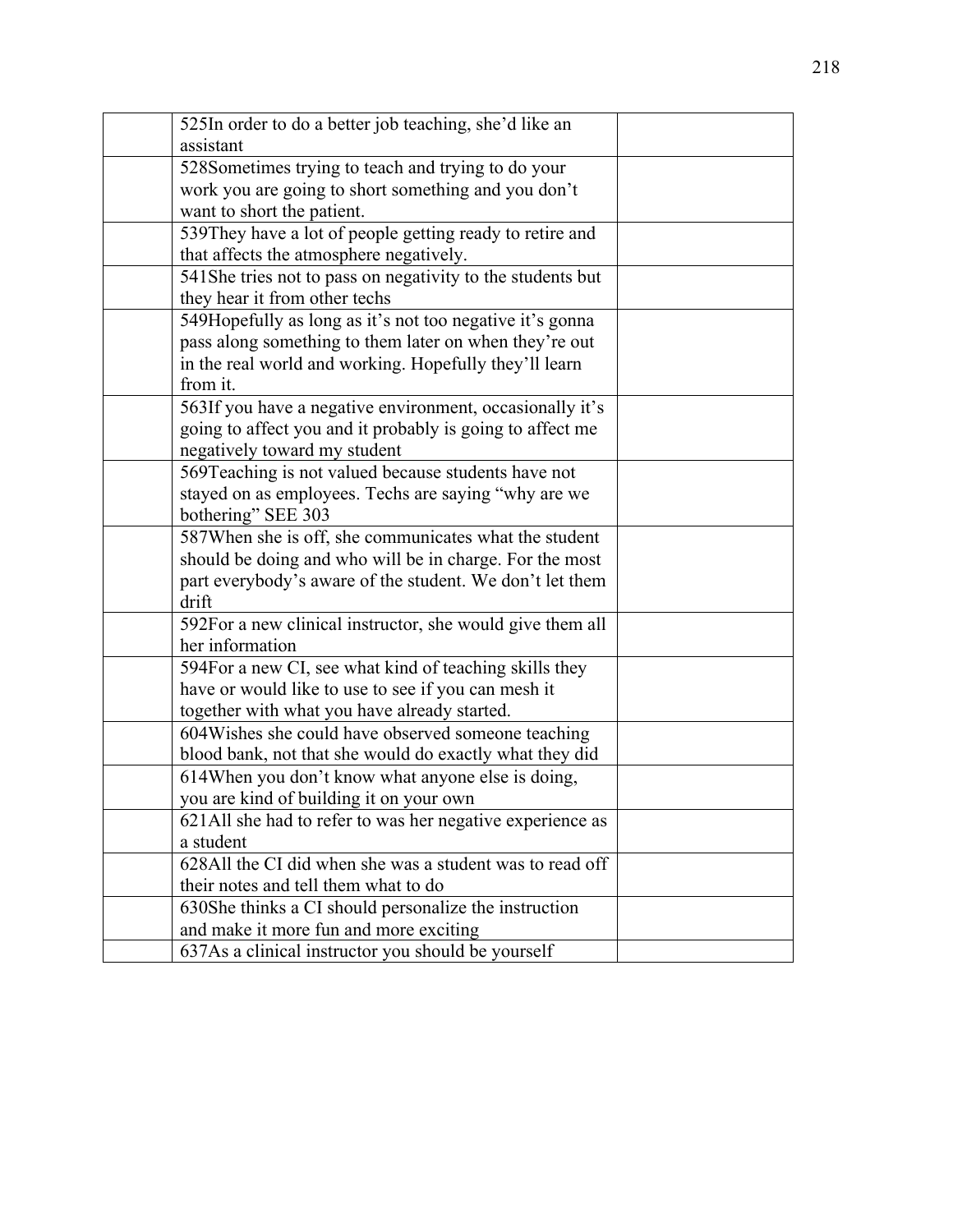| 525In order to do a better job teaching, she'd like an     |  |
|------------------------------------------------------------|--|
| assistant                                                  |  |
| 528Sometimes trying to teach and trying to do your         |  |
| work you are going to short something and you don't        |  |
| want to short the patient.                                 |  |
| 539They have a lot of people getting ready to retire and   |  |
| that affects the atmosphere negatively.                    |  |
| 541She tries not to pass on negativity to the students but |  |
| they hear it from other techs                              |  |
| 549Hopefully as long as it's not too negative it's gonna   |  |
| pass along something to them later on when they're out     |  |
| in the real world and working. Hopefully they'll learn     |  |
| from it.                                                   |  |
| 563If you have a negative environment, occasionally it's   |  |
| going to affect you and it probably is going to affect me  |  |
| negatively toward my student                               |  |
| 569Teaching is not valued because students have not        |  |
| stayed on as employees. Techs are saying "why are we       |  |
| bothering" SEE 303                                         |  |
| 587When she is off, she communicates what the student      |  |
| should be doing and who will be in charge. For the most    |  |
| part everybody's aware of the student. We don't let them   |  |
| drift                                                      |  |
| 592For a new clinical instructor, she would give them all  |  |
| her information                                            |  |
| 594For a new CI, see what kind of teaching skills they     |  |
| have or would like to use to see if you can mesh it        |  |
| together with what you have already started.               |  |
| 604 Wishes she could have observed someone teaching        |  |
| blood bank, not that she would do exactly what they did    |  |
| 614When you don't know what anyone else is doing,          |  |
| you are kind of building it on your own                    |  |
| 621All she had to refer to was her negative experience as  |  |
| a student                                                  |  |
| 628All the CI did when she was a student was to read off   |  |
| their notes and tell them what to do                       |  |
| 630She thinks a CI should personalize the instruction      |  |
| and make it more fun and more exciting                     |  |
| 637As a clinical instructor you should be yourself         |  |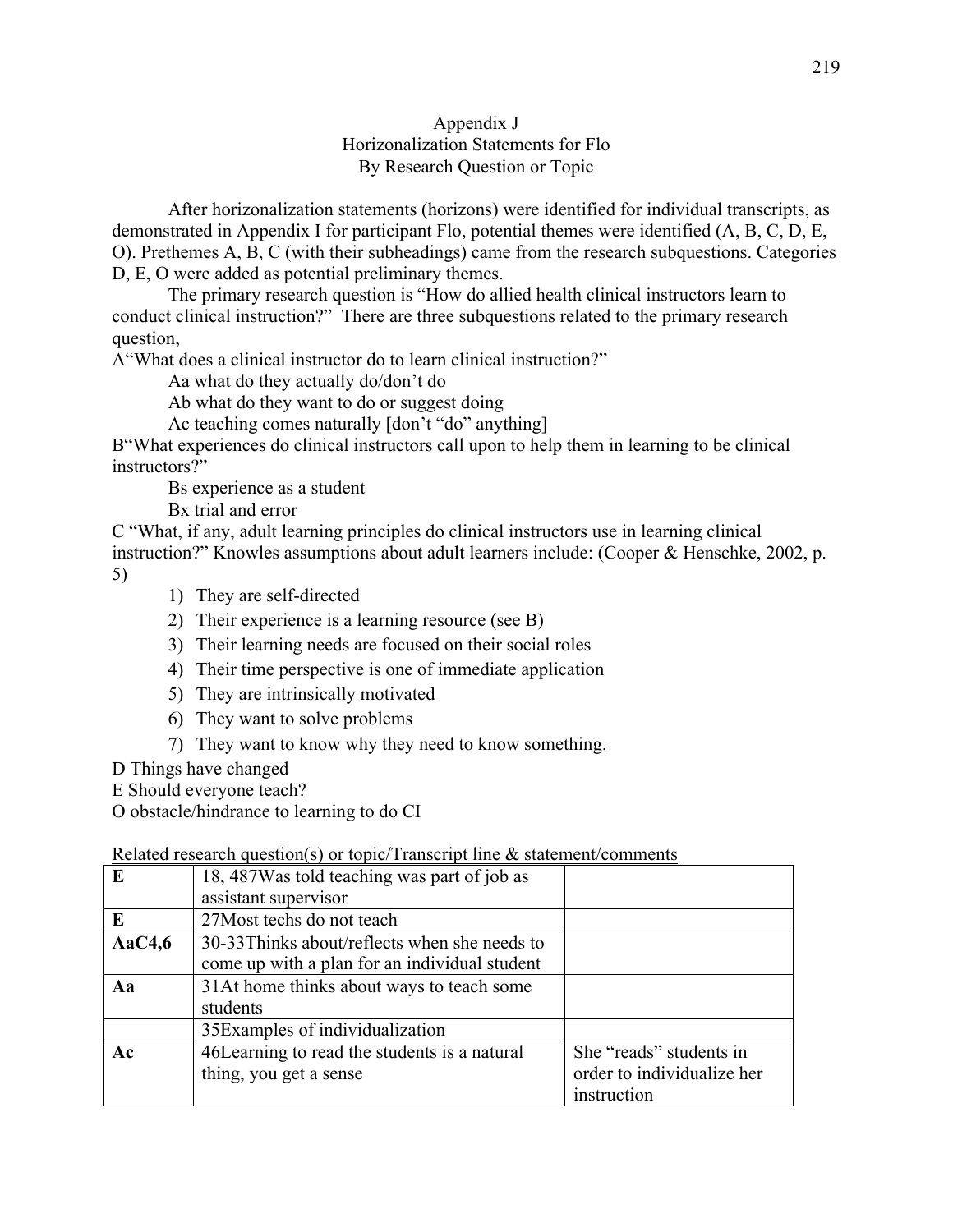### Appendix J Horizonalization Statements for Flo By Research Question or Topic

After horizonalization statements (horizons) were identified for individual transcripts, as demonstrated in Appendix I for participant Flo, potential themes were identified (A, B, C, D, E, O). Prethemes A, B, C (with their subheadings) came from the research subquestions. Categories D, E, O were added as potential preliminary themes.

The primary research question is "How do allied health clinical instructors learn to conduct clinical instruction?" There are three subquestions related to the primary research question,

A"What does a clinical instructor do to learn clinical instruction?"

Aa what do they actually do/don't do

Ab what do they want to do or suggest doing

Ac teaching comes naturally [don't "do" anything]

B"What experiences do clinical instructors call upon to help them in learning to be clinical instructors?"

Bs experience as a student

Bx trial and error

C "What, if any, adult learning principles do clinical instructors use in learning clinical instruction?" Knowles assumptions about adult learners include: (Cooper & Henschke, 2002, p. 5)

- 1) They are self-directed
- 2) Their experience is a learning resource (see B)
- 3) Their learning needs are focused on their social roles
- 4) Their time perspective is one of immediate application
- 5) They are intrinsically motivated
- 6) They want to solve problems
- 7) They want to know why they need to know something.

D Things have changed

E Should everyone teach?

O obstacle/hindrance to learning to do CI

### Related research question(s) or topic/Transcript line  $\&$  statement/comments

|           | related research question by or topic. Franscript line ex statement, comments |                            |
|-----------|-------------------------------------------------------------------------------|----------------------------|
| E         | 18, 487 Was told teaching was part of job as                                  |                            |
|           | assistant supervisor                                                          |                            |
| E         | 27 Most techs do not teach                                                    |                            |
| Aa $C4,6$ | 30-33Thinks about/reflects when she needs to                                  |                            |
|           | come up with a plan for an individual student                                 |                            |
| Aa        | 31At home thinks about ways to teach some                                     |                            |
|           | students                                                                      |                            |
|           | 35 Examples of individualization                                              |                            |
| Ac        | 46Learning to read the students is a natural                                  | She "reads" students in    |
|           | thing, you get a sense                                                        | order to individualize her |
|           |                                                                               | instruction                |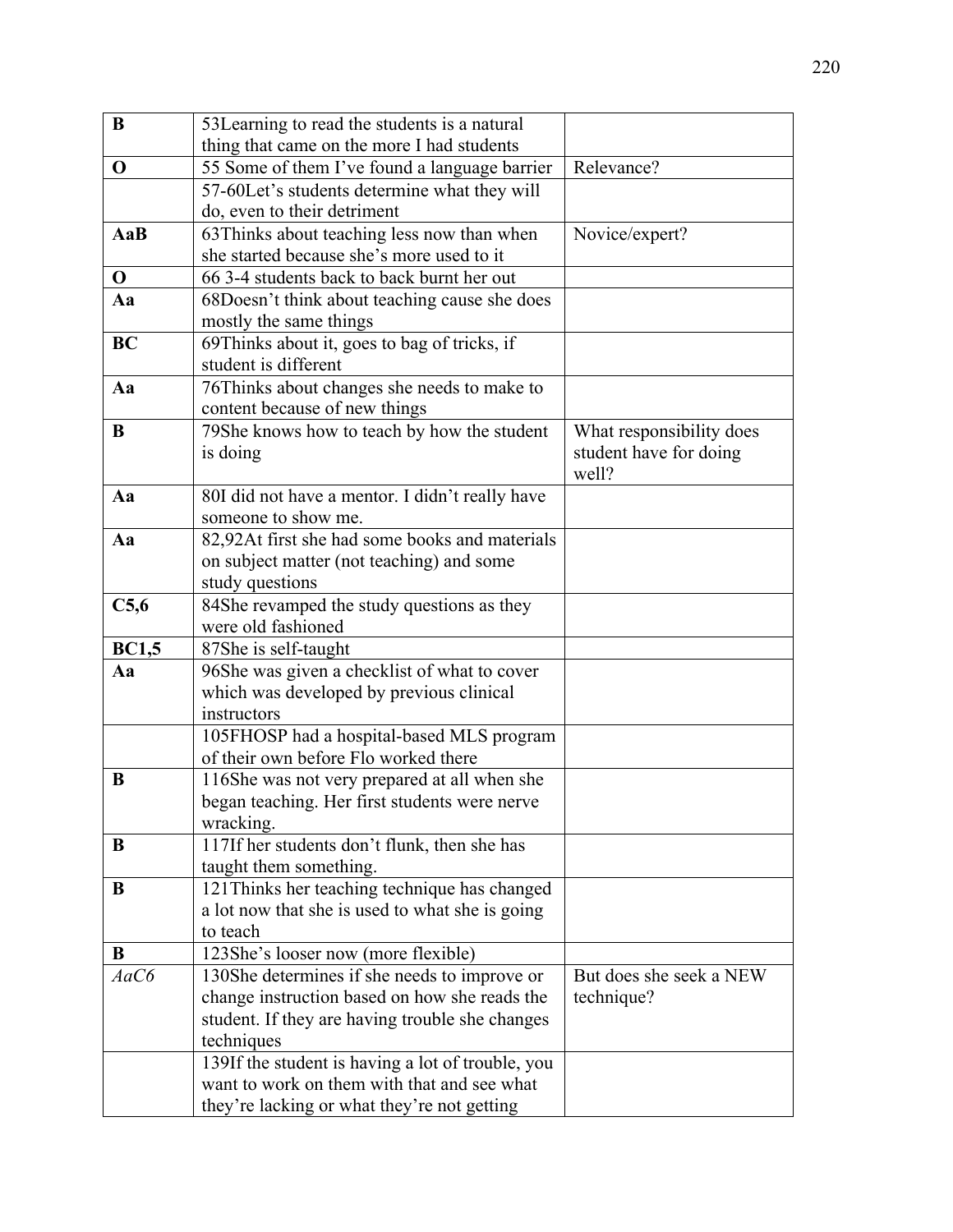| B            | 53Learning to read the students is a natural                                             |                          |
|--------------|------------------------------------------------------------------------------------------|--------------------------|
|              | thing that came on the more I had students                                               |                          |
| $\mathbf 0$  | 55 Some of them I've found a language barrier                                            | Relevance?               |
|              | 57-60Let's students determine what they will                                             |                          |
|              | do, even to their detriment                                                              |                          |
| AaB          | 63Thinks about teaching less now than when                                               | Novice/expert?           |
|              | she started because she's more used to it                                                |                          |
| $\mathbf 0$  | 66 3-4 students back to back burnt her out                                               |                          |
| Aa           | 68Doesn't think about teaching cause she does                                            |                          |
|              | mostly the same things                                                                   |                          |
| <b>BC</b>    | 69Thinks about it, goes to bag of tricks, if                                             |                          |
|              | student is different                                                                     |                          |
| Aa           | 76Thinks about changes she needs to make to                                              |                          |
|              | content because of new things                                                            |                          |
| B            | 79She knows how to teach by how the student                                              | What responsibility does |
|              | is doing                                                                                 | student have for doing   |
|              |                                                                                          | well?                    |
| Aa           | 80I did not have a mentor. I didn't really have                                          |                          |
|              | someone to show me.                                                                      |                          |
| Aa           | 82,92At first she had some books and materials                                           |                          |
|              | on subject matter (not teaching) and some                                                |                          |
|              | study questions                                                                          |                          |
| C5,6         | 84She revamped the study questions as they                                               |                          |
|              | were old fashioned                                                                       |                          |
| <b>BC1,5</b> | 87She is self-taught                                                                     |                          |
| Aa           | 96She was given a checklist of what to cover<br>which was developed by previous clinical |                          |
|              | instructors                                                                              |                          |
|              | 105FHOSP had a hospital-based MLS program                                                |                          |
|              | of their own before Flo worked there                                                     |                          |
| B            | 116She was not very prepared at all when she                                             |                          |
|              | began teaching. Her first students were nerve                                            |                          |
|              | wracking.                                                                                |                          |
| B            | 117If her students don't flunk, then she has                                             |                          |
|              | taught them something.                                                                   |                          |
| B            | 121 Thinks her teaching technique has changed                                            |                          |
|              | a lot now that she is used to what she is going                                          |                          |
|              | to teach                                                                                 |                          |
| B            | 123She's looser now (more flexible)                                                      |                          |
| AaC6         | 130She determines if she needs to improve or                                             | But does she seek a NEW  |
|              | change instruction based on how she reads the                                            | technique?               |
|              | student. If they are having trouble she changes                                          |                          |
|              | techniques                                                                               |                          |
|              | 139If the student is having a lot of trouble, you                                        |                          |
|              | want to work on them with that and see what                                              |                          |
|              | they're lacking or what they're not getting                                              |                          |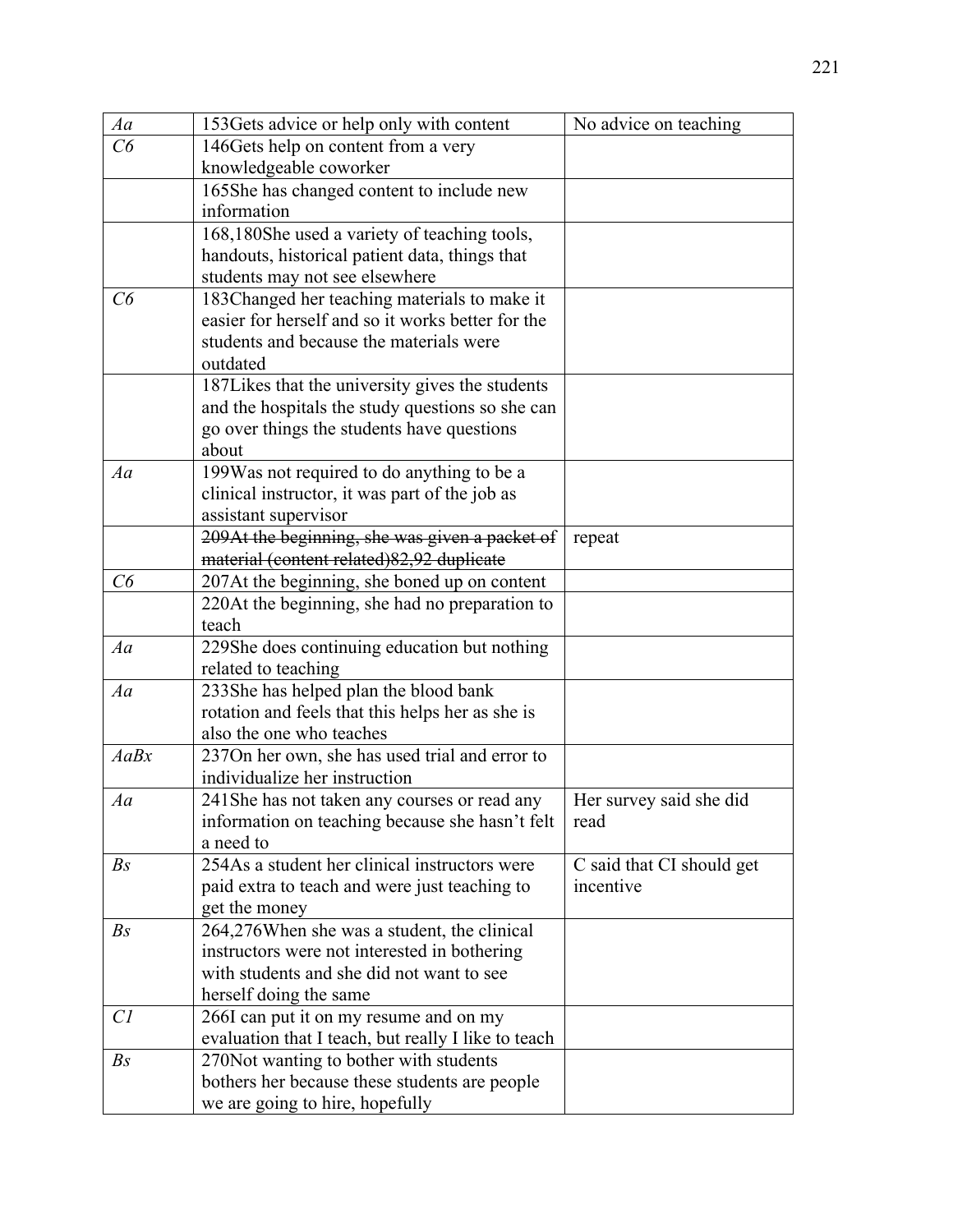| Aa             | 153 Gets advice or help only with content           | No advice on teaching     |
|----------------|-----------------------------------------------------|---------------------------|
| C6             | 146 Gets help on content from a very                |                           |
|                | knowledgeable coworker                              |                           |
|                | 165She has changed content to include new           |                           |
|                | information                                         |                           |
|                | 168,180She used a variety of teaching tools,        |                           |
|                | handouts, historical patient data, things that      |                           |
|                | students may not see elsewhere                      |                           |
| C6             | 183Changed her teaching materials to make it        |                           |
|                | easier for herself and so it works better for the   |                           |
|                | students and because the materials were             |                           |
|                | outdated                                            |                           |
|                | 187 Likes that the university gives the students    |                           |
|                | and the hospitals the study questions so she can    |                           |
|                | go over things the students have questions          |                           |
|                | about                                               |                           |
| Aa             | 199Was not required to do anything to be a          |                           |
|                | clinical instructor, it was part of the job as      |                           |
|                | assistant supervisor                                |                           |
|                | 209At the beginning, she was given a packet of      | repeat                    |
|                | material (content related) 82,92 duplicate          |                           |
| C6             | 207At the beginning, she boned up on content        |                           |
|                | 220At the beginning, she had no preparation to      |                           |
|                | teach                                               |                           |
| Aa             | 229She does continuing education but nothing        |                           |
|                | related to teaching                                 |                           |
| Aa             | 233She has helped plan the blood bank               |                           |
|                | rotation and feels that this helps her as she is    |                           |
|                | also the one who teaches                            |                           |
| AaBx           | 237On her own, she has used trial and error to      |                           |
|                | individualize her instruction                       |                           |
| Aa             | 241 She has not taken any courses or read any       | Her survey said she did   |
|                | information on teaching because she hasn't felt     | read                      |
|                | a need to                                           |                           |
| B <sub>S</sub> | 254As a student her clinical instructors were       | C said that CI should get |
|                | paid extra to teach and were just teaching to       | incentive                 |
|                | get the money                                       |                           |
| B <sub>S</sub> | 264,276When she was a student, the clinical         |                           |
|                | instructors were not interested in bothering        |                           |
|                | with students and she did not want to see           |                           |
|                | herself doing the same                              |                           |
| Cl             | 266I can put it on my resume and on my              |                           |
|                | evaluation that I teach, but really I like to teach |                           |
| B <sub>S</sub> | 270 Not wanting to bother with students             |                           |
|                | bothers her because these students are people       |                           |
|                | we are going to hire, hopefully                     |                           |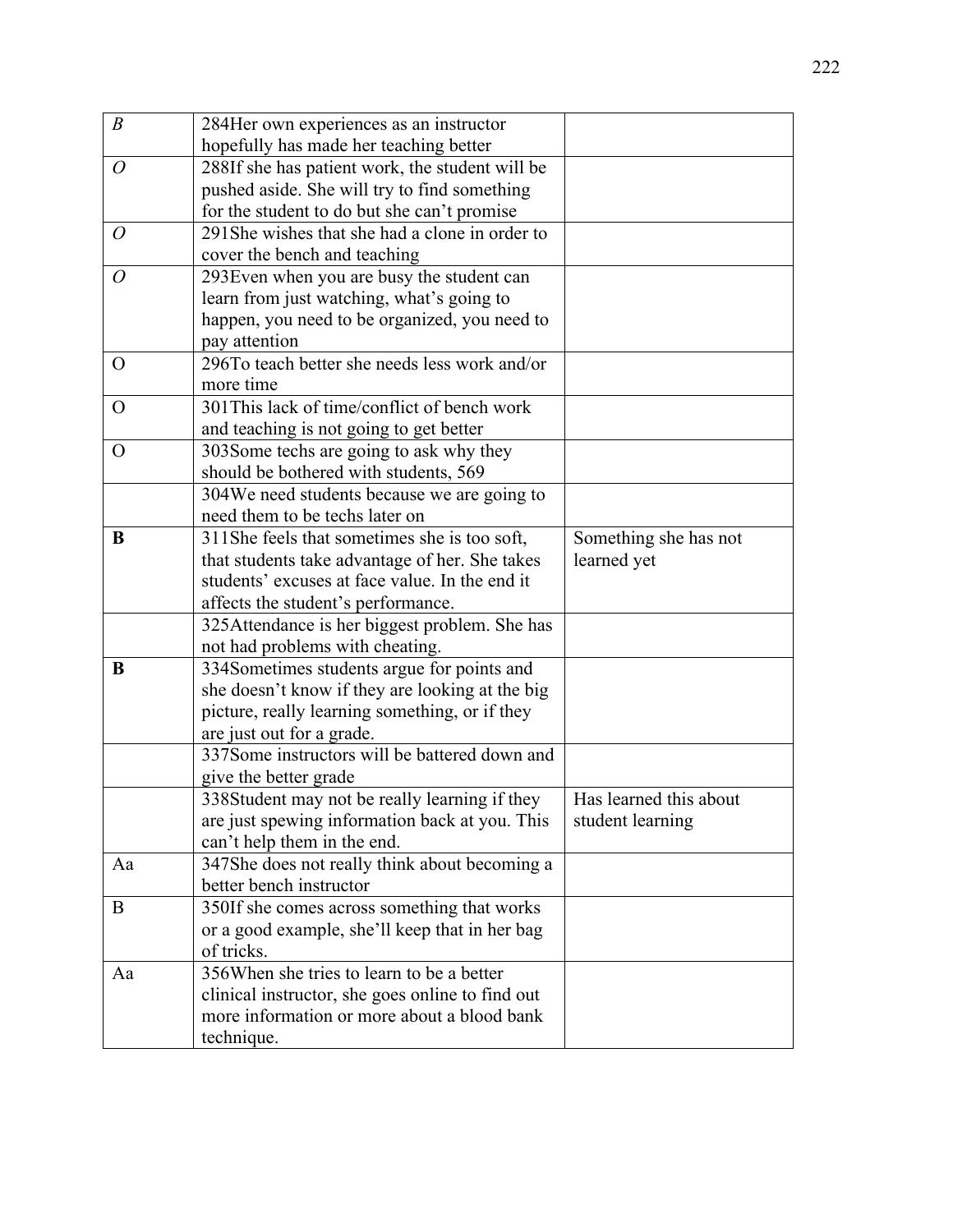| $\boldsymbol{B}$ | 284Her own experiences as an instructor                                       |                        |
|------------------|-------------------------------------------------------------------------------|------------------------|
|                  | hopefully has made her teaching better                                        |                        |
| $\overline{O}$   | 288If she has patient work, the student will be                               |                        |
|                  | pushed aside. She will try to find something                                  |                        |
|                  | for the student to do but she can't promise                                   |                        |
| $\overline{O}$   | 291 She wishes that she had a clone in order to                               |                        |
|                  | cover the bench and teaching                                                  |                        |
| $\overline{O}$   | 293 Even when you are busy the student can                                    |                        |
|                  | learn from just watching, what's going to                                     |                        |
|                  | happen, you need to be organized, you need to                                 |                        |
|                  | pay attention                                                                 |                        |
| $\Omega$         | 296To teach better she needs less work and/or                                 |                        |
|                  | more time                                                                     |                        |
| $\overline{O}$   | 301 This lack of time/conflict of bench work                                  |                        |
|                  | and teaching is not going to get better                                       |                        |
| $\Omega$         | 303 Some techs are going to ask why they                                      |                        |
|                  | should be bothered with students, 569                                         |                        |
|                  | 304We need students because we are going to                                   |                        |
|                  | need them to be techs later on                                                |                        |
| B                | 311She feels that sometimes she is too soft,                                  | Something she has not  |
|                  | that students take advantage of her. She takes                                | learned yet            |
|                  | students' excuses at face value. In the end it                                |                        |
|                  | affects the student's performance.                                            |                        |
|                  | 325Attendance is her biggest problem. She has                                 |                        |
| B                | not had problems with cheating.<br>334Sometimes students argue for points and |                        |
|                  | she doesn't know if they are looking at the big                               |                        |
|                  | picture, really learning something, or if they                                |                        |
|                  | are just out for a grade.                                                     |                        |
|                  | 337Some instructors will be battered down and                                 |                        |
|                  | give the better grade                                                         |                        |
|                  | 338Student may not be really learning if they                                 | Has learned this about |
|                  | are just spewing information back at you. This                                | student learning       |
|                  | can't help them in the end.                                                   |                        |
| Aa               | 347She does not really think about becoming a                                 |                        |
|                  | better bench instructor                                                       |                        |
| B                | 350If she comes across something that works                                   |                        |
|                  | or a good example, she'll keep that in her bag                                |                        |
|                  | of tricks.                                                                    |                        |
| Aa               | 356When she tries to learn to be a better                                     |                        |
|                  | clinical instructor, she goes online to find out                              |                        |
|                  | more information or more about a blood bank                                   |                        |
|                  | technique.                                                                    |                        |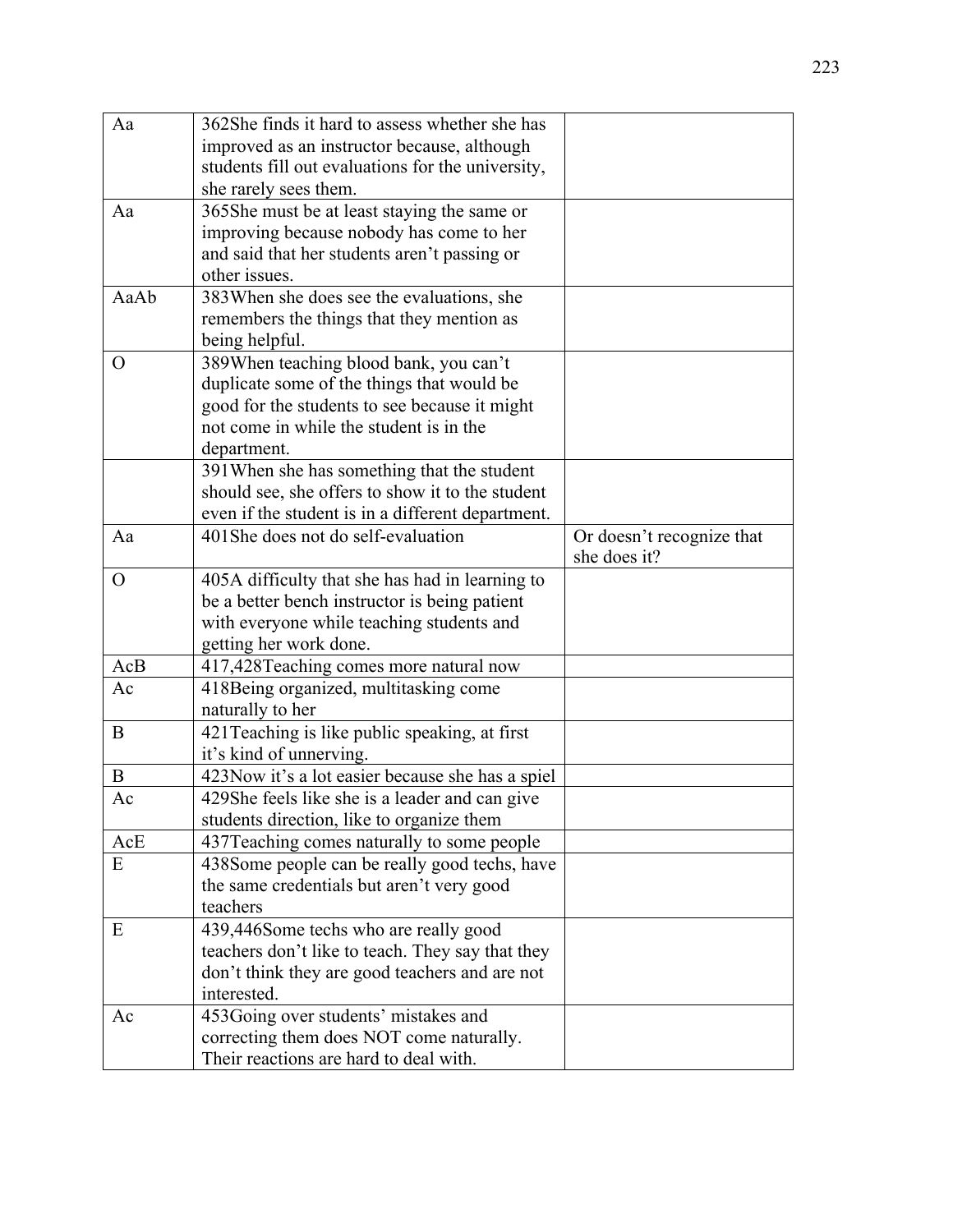| Aa             | 362She finds it hard to assess whether she has    |                           |
|----------------|---------------------------------------------------|---------------------------|
|                | improved as an instructor because, although       |                           |
|                | students fill out evaluations for the university, |                           |
|                | she rarely sees them.                             |                           |
| Aa             | 365She must be at least staying the same or       |                           |
|                | improving because nobody has come to her          |                           |
|                | and said that her students aren't passing or      |                           |
|                | other issues.                                     |                           |
| AaAb           | 383 When she does see the evaluations, she        |                           |
|                | remembers the things that they mention as         |                           |
|                | being helpful.                                    |                           |
| $\Omega$       | 389When teaching blood bank, you can't            |                           |
|                | duplicate some of the things that would be        |                           |
|                | good for the students to see because it might     |                           |
|                | not come in while the student is in the           |                           |
|                | department.                                       |                           |
|                | 391 When she has something that the student       |                           |
|                | should see, she offers to show it to the student  |                           |
|                | even if the student is in a different department. |                           |
| Aa             | 401She does not do self-evaluation                | Or doesn't recognize that |
|                |                                                   | she does it?              |
| $\overline{O}$ | 405A difficulty that she has had in learning to   |                           |
|                | be a better bench instructor is being patient     |                           |
|                | with everyone while teaching students and         |                           |
|                | getting her work done.                            |                           |
| AcB            | 417,428Teaching comes more natural now            |                           |
| Ac             | 418 Being organized, multitasking come            |                           |
|                | naturally to her                                  |                           |
| B              | 421 Teaching is like public speaking, at first    |                           |
|                | it's kind of unnerving.                           |                           |
| B              | 423Now it's a lot easier because she has a spiel  |                           |
| Ac             | 429She feels like she is a leader and can give    |                           |
|                | students direction, like to organize them         |                           |
| AcE            | 437 Teaching comes naturally to some people       |                           |
| E              | 438Some people can be really good techs, have     |                           |
|                | the same credentials but aren't very good         |                           |
|                | teachers                                          |                           |
| E              | 439,446Some techs who are really good             |                           |
|                | teachers don't like to teach. They say that they  |                           |
|                | don't think they are good teachers and are not    |                           |
|                | interested.                                       |                           |
| Ac             | 453Going over students' mistakes and              |                           |
|                | correcting them does NOT come naturally.          |                           |
|                | Their reactions are hard to deal with.            |                           |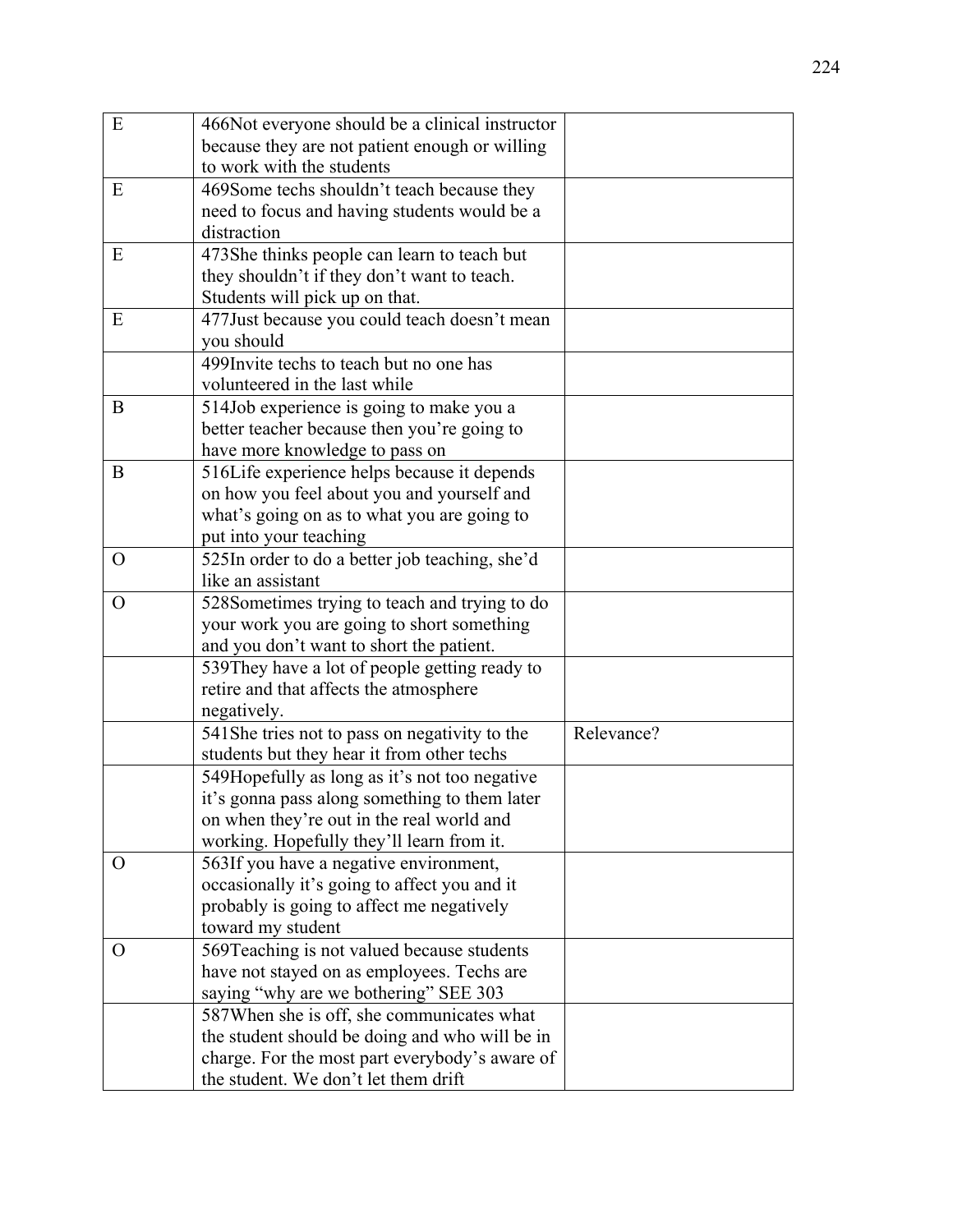| E            | 466Not everyone should be a clinical instructor                                            |            |
|--------------|--------------------------------------------------------------------------------------------|------------|
|              | because they are not patient enough or willing                                             |            |
|              | to work with the students                                                                  |            |
| E            | 469Some techs shouldn't teach because they                                                 |            |
|              | need to focus and having students would be a                                               |            |
|              | distraction                                                                                |            |
| E            | 473She thinks people can learn to teach but                                                |            |
|              | they shouldn't if they don't want to teach.                                                |            |
|              | Students will pick up on that.                                                             |            |
| E            | 477 Just because you could teach doesn't mean                                              |            |
|              | you should                                                                                 |            |
|              | 499 Invite techs to teach but no one has                                                   |            |
|              | volunteered in the last while                                                              |            |
| B            | 514Job experience is going to make you a                                                   |            |
|              | better teacher because then you're going to                                                |            |
|              | have more knowledge to pass on                                                             |            |
| B            | 516Life experience helps because it depends                                                |            |
|              | on how you feel about you and yourself and                                                 |            |
|              | what's going on as to what you are going to                                                |            |
|              | put into your teaching                                                                     |            |
| $\Omega$     | 525In order to do a better job teaching, she'd                                             |            |
|              | like an assistant                                                                          |            |
| $\mathbf{O}$ | 528Sometimes trying to teach and trying to do                                              |            |
|              | your work you are going to short something                                                 |            |
|              | and you don't want to short the patient.                                                   |            |
|              | 539They have a lot of people getting ready to                                              |            |
|              | retire and that affects the atmosphere                                                     |            |
|              | negatively.                                                                                | Relevance? |
|              | 541She tries not to pass on negativity to the                                              |            |
|              | students but they hear it from other techs                                                 |            |
|              | 549 Hopefully as long as it's not too negative                                             |            |
|              | it's gonna pass along something to them later<br>on when they're out in the real world and |            |
|              | working. Hopefully they'll learn from it.                                                  |            |
| $\mathbf{O}$ | 563If you have a negative environment,                                                     |            |
|              | occasionally it's going to affect you and it                                               |            |
|              | probably is going to affect me negatively                                                  |            |
|              | toward my student                                                                          |            |
| O            | 569Teaching is not valued because students                                                 |            |
|              | have not stayed on as employees. Techs are                                                 |            |
|              | saying "why are we bothering" SEE 303                                                      |            |
|              | 587 When she is off, she communicates what                                                 |            |
|              | the student should be doing and who will be in                                             |            |
|              | charge. For the most part everybody's aware of                                             |            |
|              | the student. We don't let them drift                                                       |            |
|              |                                                                                            |            |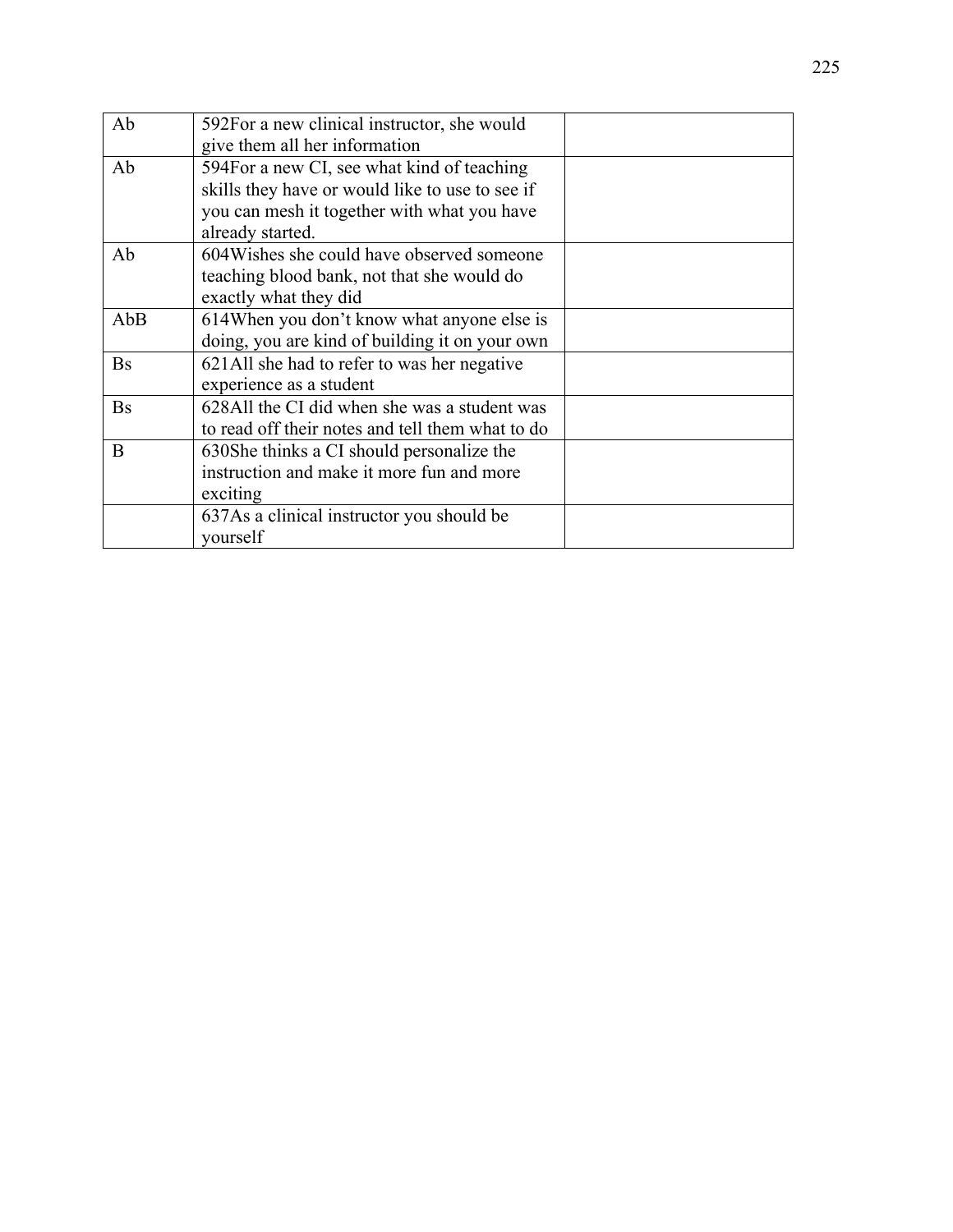| Ab        | 592For a new clinical instructor, she would      |  |
|-----------|--------------------------------------------------|--|
|           | give them all her information                    |  |
| Ab        | 594For a new CI, see what kind of teaching       |  |
|           | skills they have or would like to use to see if  |  |
|           | you can mesh it together with what you have      |  |
|           | already started.                                 |  |
| Ab        | 604 Wishes she could have observed someone       |  |
|           | teaching blood bank, not that she would do       |  |
|           | exactly what they did                            |  |
| AbB       | 614When you don't know what anyone else is       |  |
|           | doing, you are kind of building it on your own   |  |
| <b>Bs</b> | 621All she had to refer to was her negative      |  |
|           | experience as a student                          |  |
| <b>Bs</b> | 628All the CI did when she was a student was     |  |
|           | to read off their notes and tell them what to do |  |
| B         | 630She thinks a CI should personalize the        |  |
|           | instruction and make it more fun and more        |  |
|           | exciting                                         |  |
|           | 637As a clinical instructor you should be        |  |
|           | yourself                                         |  |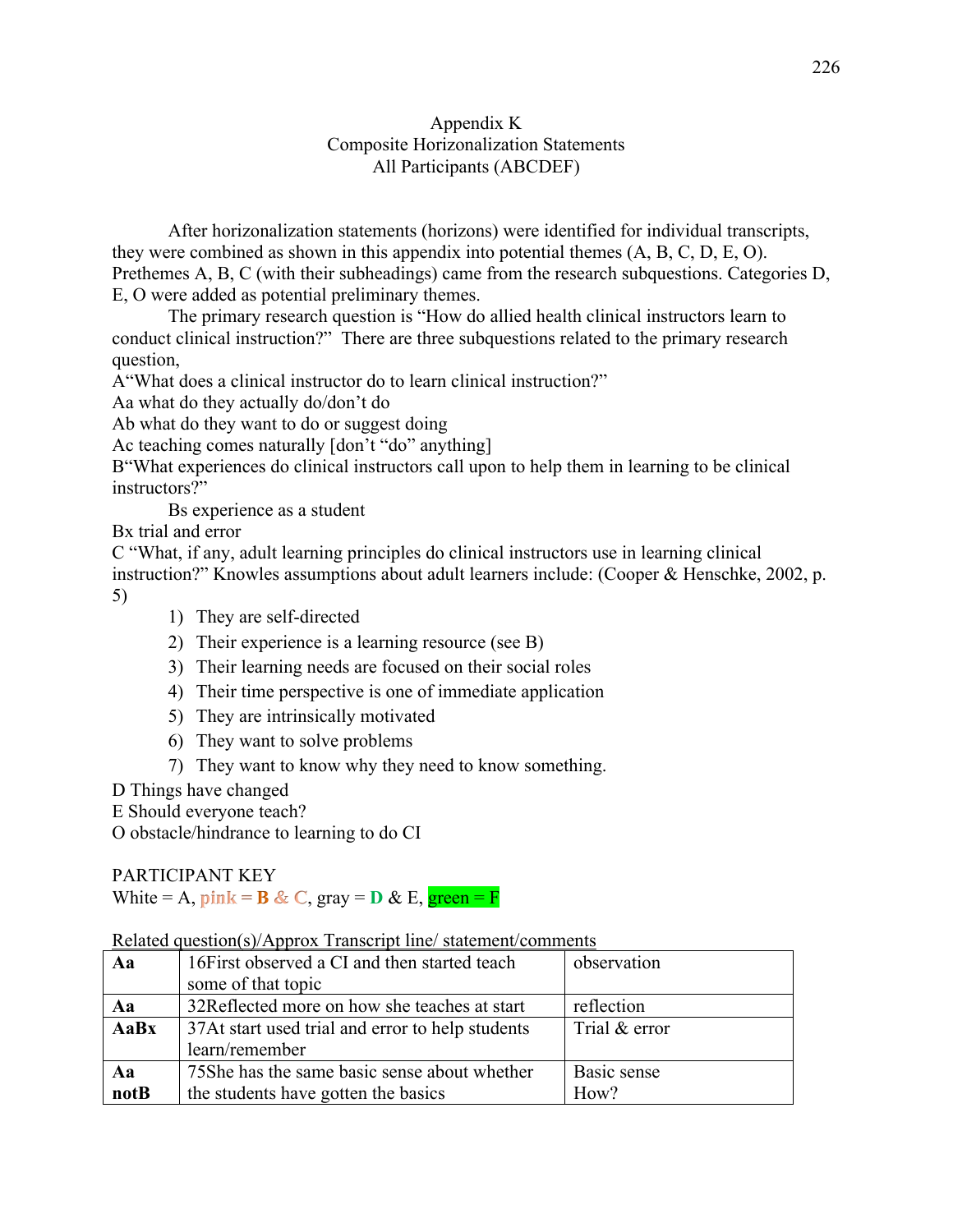### Appendix K Composite Horizonalization Statements All Participants (ABCDEF)

After horizonalization statements (horizons) were identified for individual transcripts, they were combined as shown in this appendix into potential themes (A, B, C, D, E, O). Prethemes A, B, C (with their subheadings) came from the research subquestions. Categories D, E, O were added as potential preliminary themes.

 The primary research question is "How do allied health clinical instructors learn to conduct clinical instruction?" There are three subquestions related to the primary research question,

A"What does a clinical instructor do to learn clinical instruction?"

Aa what do they actually do/don't do

Ab what do they want to do or suggest doing

Ac teaching comes naturally [don't "do" anything]

B"What experiences do clinical instructors call upon to help them in learning to be clinical instructors?"

Bs experience as a student

Bx trial and error

C "What, if any, adult learning principles do clinical instructors use in learning clinical instruction?" Knowles assumptions about adult learners include: (Cooper & Henschke, 2002, p. 5)

- 1) They are self-directed
- 2) Their experience is a learning resource (see B)
- 3) Their learning needs are focused on their social roles
- 4) Their time perspective is one of immediate application
- 5) They are intrinsically motivated
- 6) They want to solve problems
- 7) They want to know why they need to know something.
- D Things have changed

E Should everyone teach?

O obstacle/hindrance to learning to do CI

PARTICIPANT KEY

White = A,  $\textbf{pink} = \textbf{B} \& \textbf{C}$ ,  $\textbf{gray} = \textbf{D} \& \textbf{E}$ ,  $\textbf{green} = \textbf{F}$ 

| Aa   | 16First observed a CI and then started teach     | observation   |
|------|--------------------------------------------------|---------------|
|      | some of that topic                               |               |
| Aa   | 32Reflected more on how she teaches at start     | reflection    |
| AaBx | 37At start used trial and error to help students | Trial & error |
|      | learn/remember                                   |               |
| Aa   | 75She has the same basic sense about whether     | Basic sense   |
| notB | the students have gotten the basics              | How?          |

#### Related question(s)/Approx Transcript line/ statement/comments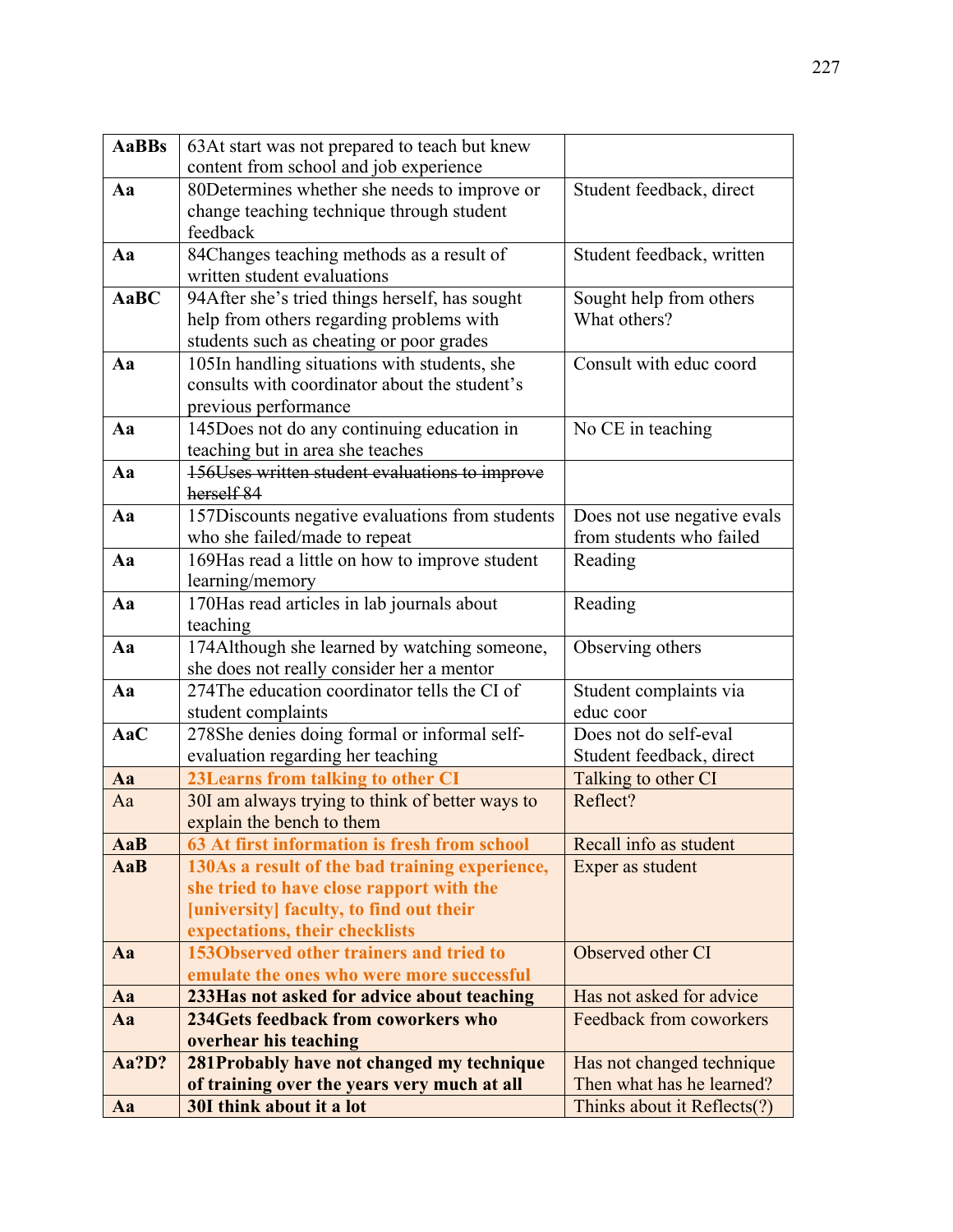| <b>AaBBs</b> | 63At start was not prepared to teach but knew                                             |                             |
|--------------|-------------------------------------------------------------------------------------------|-----------------------------|
|              | content from school and job experience                                                    |                             |
| Aa           | 80 Determines whether she needs to improve or                                             | Student feedback, direct    |
|              | change teaching technique through student                                                 |                             |
|              | feedback                                                                                  |                             |
| Aa           | 84Changes teaching methods as a result of                                                 | Student feedback, written   |
|              | written student evaluations                                                               |                             |
| AaBC         | 94After she's tried things herself, has sought                                            | Sought help from others     |
|              | help from others regarding problems with                                                  | What others?                |
|              | students such as cheating or poor grades                                                  |                             |
| Aa           | 105In handling situations with students, she                                              | Consult with educ coord     |
|              | consults with coordinator about the student's                                             |                             |
|              | previous performance                                                                      |                             |
| Aa           | 145Does not do any continuing education in                                                | No CE in teaching           |
|              | teaching but in area she teaches                                                          |                             |
| Aa           | 156Uses written student evaluations to improve                                            |                             |
|              | herself 84                                                                                |                             |
| Aa           | 157Discounts negative evaluations from students                                           | Does not use negative evals |
|              | who she failed/made to repeat                                                             | from students who failed    |
| Aa           | 169Has read a little on how to improve student                                            | Reading                     |
|              | learning/memory                                                                           |                             |
| Aa           | 170Has read articles in lab journals about                                                | Reading                     |
|              | teaching                                                                                  |                             |
| Aa           | 174Although she learned by watching someone,                                              | Observing others            |
| Aa           | she does not really consider her a mentor<br>274The education coordinator tells the CI of | Student complaints via      |
|              | student complaints                                                                        | educ coor                   |
| AaC          | 278She denies doing formal or informal self-                                              | Does not do self-eval       |
|              | evaluation regarding her teaching                                                         | Student feedback, direct    |
| Aa           | 23 Learns from talking to other CI                                                        | Talking to other CI         |
| Aa           | 30I am always trying to think of better ways to                                           | Reflect?                    |
|              | explain the bench to them                                                                 |                             |
| AaB          | 63 At first information is fresh from school                                              | Recall info as student      |
| AaB          | 130As a result of the bad training experience,                                            | Exper as student            |
|              | she tried to have close rapport with the                                                  |                             |
|              | [university] faculty, to find out their                                                   |                             |
|              | expectations, their checklists                                                            |                             |
| Aa           | 1530bserved other trainers and tried to                                                   | Observed other CI           |
|              | emulate the ones who were more successful                                                 |                             |
| Aa           | 233Has not asked for advice about teaching                                                | Has not asked for advice    |
| Aa           | 234 Gets feedback from coworkers who                                                      | Feedback from coworkers     |
|              | overhear his teaching                                                                     |                             |
| Aa?D?        | 281Probably have not changed my technique                                                 | Has not changed technique   |
|              | of training over the years very much at all                                               | Then what has he learned?   |
| Aa           | 30I think about it a lot                                                                  | Thinks about it Reflects(?) |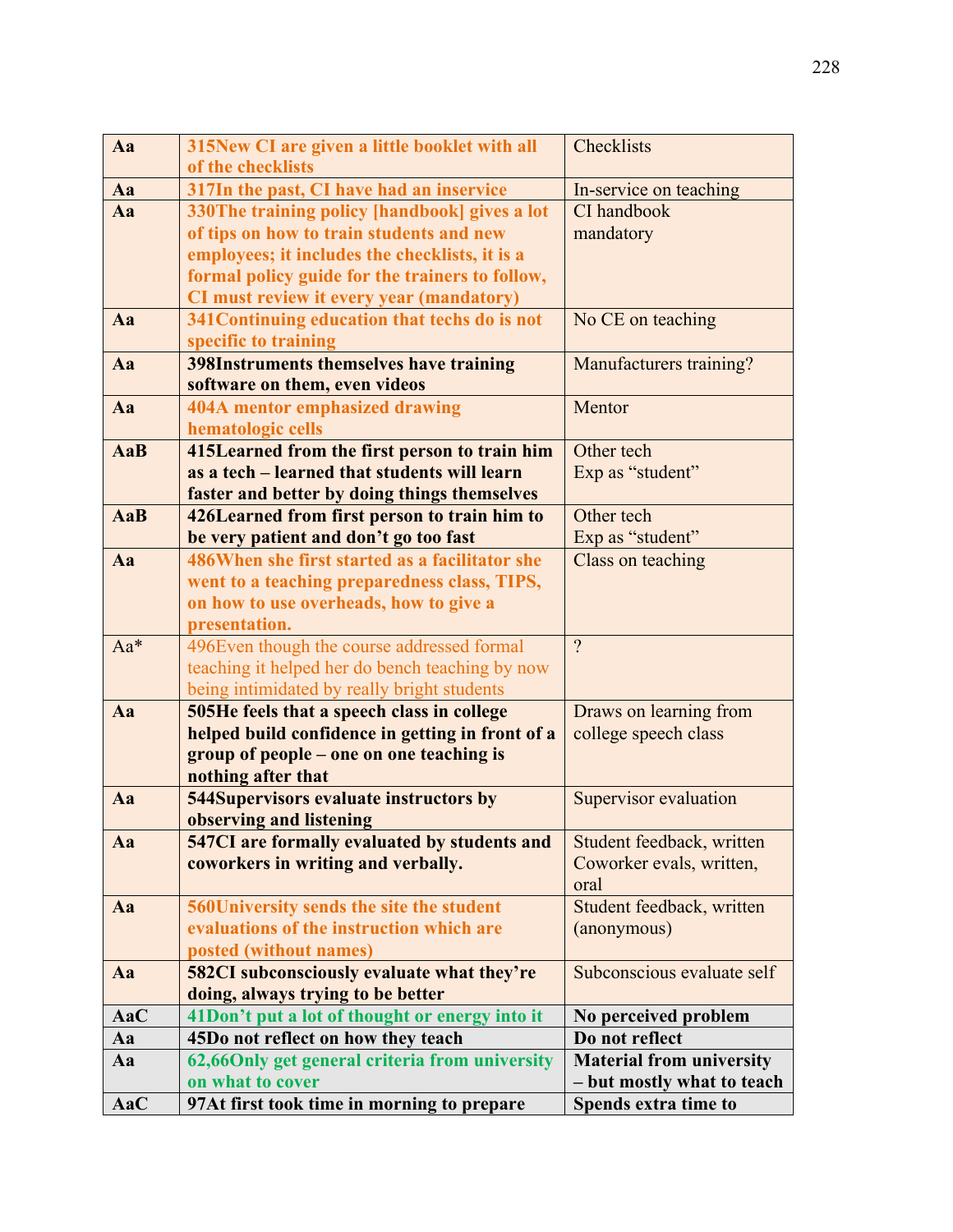| Aa         | 315New CI are given a little booklet with all                                                | Checklists                      |
|------------|----------------------------------------------------------------------------------------------|---------------------------------|
|            | of the checklists                                                                            |                                 |
| Aa         | 317In the past, CI have had an inservice                                                     | In-service on teaching          |
| Aa         | 330The training policy [handbook] gives a lot                                                | CI handbook                     |
|            | of tips on how to train students and new                                                     | mandatory                       |
|            | employees; it includes the checklists, it is a                                               |                                 |
|            | formal policy guide for the trainers to follow,                                              |                                 |
|            | CI must review it every year (mandatory)                                                     |                                 |
| Aa         | 341 Continuing education that techs do is not                                                | No CE on teaching               |
|            | specific to training                                                                         |                                 |
| Aa         | <b>398Instruments themselves have training</b><br>software on them, even videos              | Manufacturers training?         |
| Aa         | <b>404A mentor emphasized drawing</b>                                                        | Mentor                          |
|            | hematologic cells                                                                            |                                 |
| <b>AaB</b> | 415Learned from the first person to train him                                                | Other tech                      |
|            | as a tech – learned that students will learn                                                 | Exp as "student"                |
|            | faster and better by doing things themselves                                                 |                                 |
| AaB        | 426Learned from first person to train him to                                                 | Other tech                      |
|            | be very patient and don't go too fast                                                        | Exp as "student"                |
| Aa         | 486 When she first started as a facilitator she                                              | Class on teaching               |
|            | went to a teaching preparedness class, TIPS,                                                 |                                 |
|            | on how to use overheads, how to give a                                                       |                                 |
|            | presentation.                                                                                |                                 |
| Aa*        | 496Even though the course addressed formal                                                   | $\gamma$                        |
|            | teaching it helped her do bench teaching by now                                              |                                 |
|            | being intimidated by really bright students                                                  |                                 |
| Aa         | 505He feels that a speech class in college                                                   | Draws on learning from          |
|            | helped build confidence in getting in front of a<br>group of people – one on one teaching is | college speech class            |
|            | nothing after that                                                                           |                                 |
| Aa         | <b>544Supervisors evaluate instructors by</b>                                                | Supervisor evaluation           |
|            | observing and listening                                                                      |                                 |
| Aa         | <b>547CI</b> are formally evaluated by students and                                          | Student feedback, written       |
|            | coworkers in writing and verbally.                                                           | Coworker evals, written,        |
|            |                                                                                              | oral                            |
| Aa         | 560University sends the site the student                                                     | Student feedback, written       |
|            | evaluations of the instruction which are                                                     | (anonymous)                     |
|            | posted (without names)                                                                       |                                 |
| Aa         | <b>582CI</b> subconsciously evaluate what they're                                            | Subconscious evaluate self      |
|            | doing, always trying to be better                                                            |                                 |
| AaC        | 41Don't put a lot of thought or energy into it                                               | No perceived problem            |
| Aa         | 45Do not reflect on how they teach                                                           | Do not reflect                  |
| Aa         | 62,66Only get general criteria from university                                               | <b>Material from university</b> |
|            | on what to cover                                                                             | - but mostly what to teach      |
| AaC        | 97At first took time in morning to prepare                                                   | Spends extra time to            |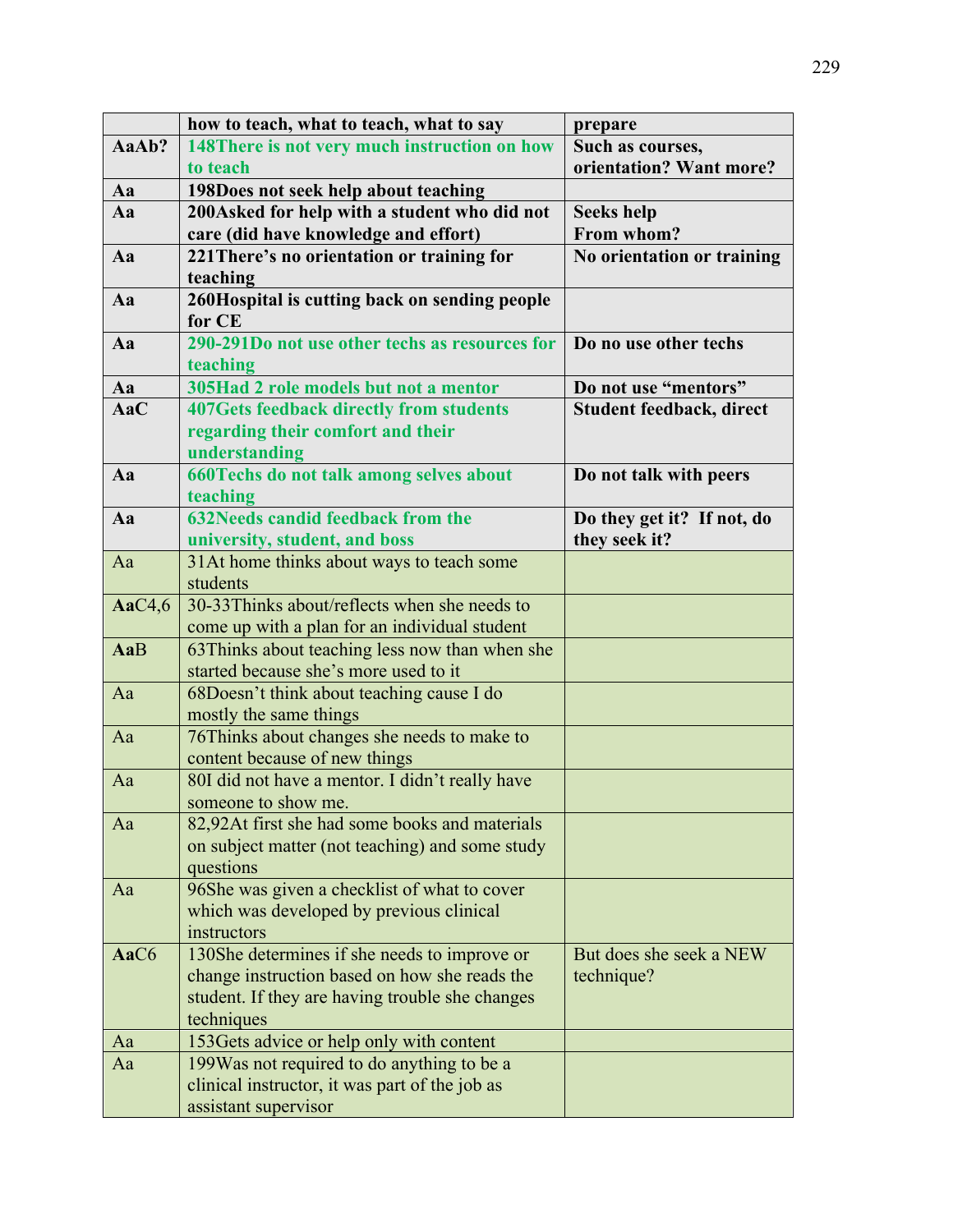|           | how to teach, what to teach, what to say        | prepare                    |
|-----------|-------------------------------------------------|----------------------------|
| AaAb?     | 148There is not very much instruction on how    | Such as courses,           |
|           | to teach                                        | orientation? Want more?    |
| Aa        | 198Does not seek help about teaching            |                            |
| Aa        | 200Asked for help with a student who did not    | <b>Seeks help</b>          |
|           | care (did have knowledge and effort)            | From whom?                 |
| Aa        | 221 There's no orientation or training for      | No orientation or training |
|           | teaching                                        |                            |
| Aa        | 260Hospital is cutting back on sending people   |                            |
|           | for CE                                          |                            |
| Aa        | 290-291Do not use other techs as resources for  | Do no use other techs      |
|           | teaching                                        |                            |
| Aa        | 305Had 2 role models but not a mentor           | Do not use "mentors"       |
| AaC       | <b>407Gets feedback directly from students</b>  | Student feedback, direct   |
|           | regarding their comfort and their               |                            |
|           | understanding                                   |                            |
| Aa        | 660Techs do not talk among selves about         | Do not talk with peers     |
|           | teaching                                        |                            |
| Aa        | <b>632Needs candid feedback from the</b>        | Do they get it? If not, do |
|           | university, student, and boss                   | they seek it?              |
| Aa        | 31At home thinks about ways to teach some       |                            |
|           | students                                        |                            |
| AaC $4,6$ | 30-33Thinks about/reflects when she needs to    |                            |
|           | come up with a plan for an individual student   |                            |
| AaB       | 63Thinks about teaching less now than when she  |                            |
|           | started because she's more used to it           |                            |
| Aa        | 68Doesn't think about teaching cause I do       |                            |
|           | mostly the same things                          |                            |
| Aa        | 76Thinks about changes she needs to make to     |                            |
|           | content because of new things                   |                            |
| Aa        | 80I did not have a mentor. I didn't really have |                            |
|           | someone to show me.                             |                            |
| Aa        | 82,92At first she had some books and materials  |                            |
|           | on subject matter (not teaching) and some study |                            |
|           | questions                                       |                            |
| Aa        | 96She was given a checklist of what to cover    |                            |
|           | which was developed by previous clinical        |                            |
|           | instructors                                     |                            |
| AaC6      | 130She determines if she needs to improve or    | But does she seek a NEW    |
|           | change instruction based on how she reads the   | technique?                 |
|           | student. If they are having trouble she changes |                            |
|           | techniques                                      |                            |
| Aa        | 153Gets advice or help only with content        |                            |
| Aa        | 199Was not required to do anything to be a      |                            |
|           | clinical instructor, it was part of the job as  |                            |
|           | assistant supervisor                            |                            |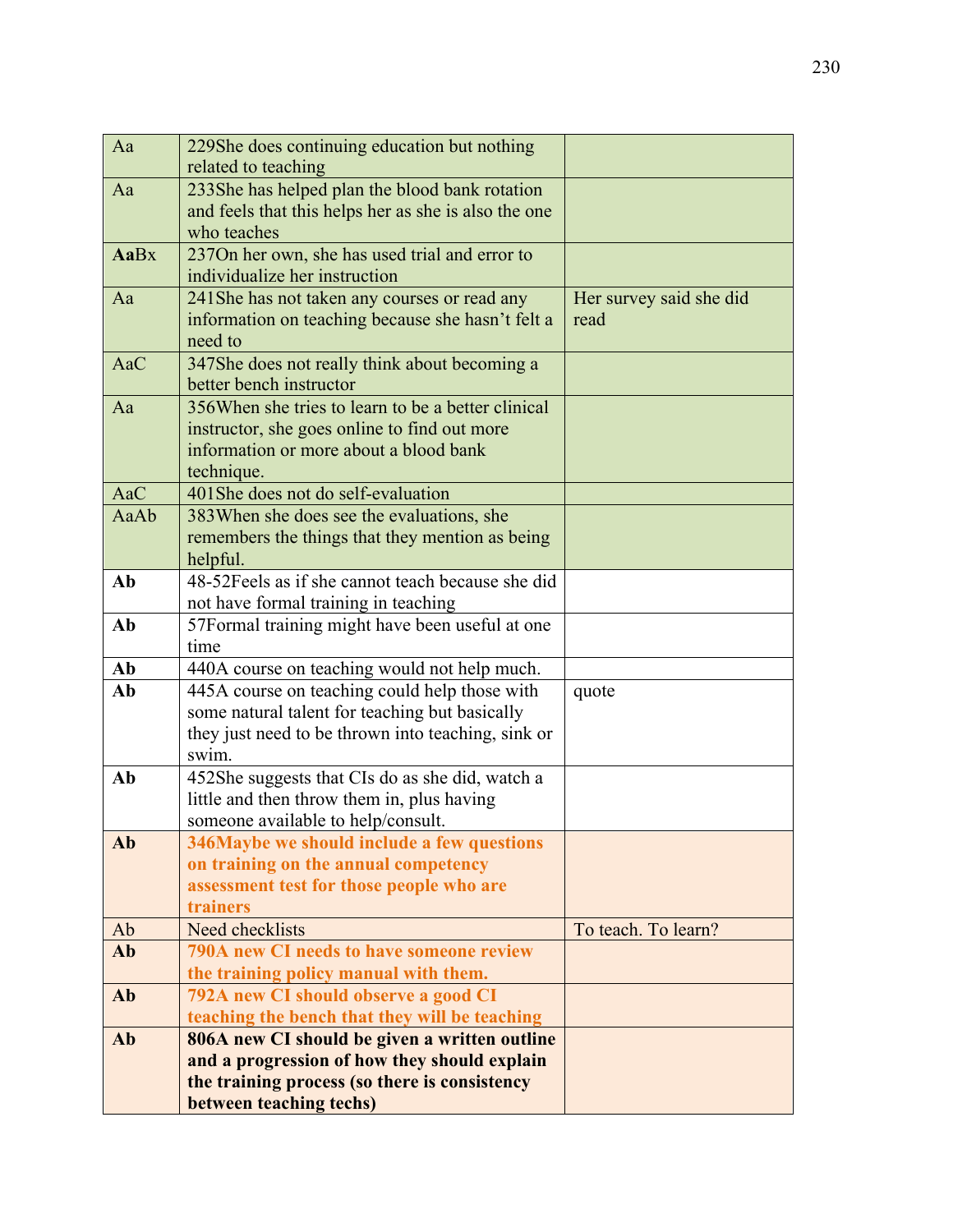| Aa   | 229She does continuing education but nothing                                   |                         |
|------|--------------------------------------------------------------------------------|-------------------------|
|      | related to teaching                                                            |                         |
| Aa   | 233She has helped plan the blood bank rotation                                 |                         |
|      | and feels that this helps her as she is also the one                           |                         |
|      | who teaches                                                                    |                         |
| AaBx | 237On her own, she has used trial and error to                                 |                         |
|      | individualize her instruction                                                  |                         |
| Aa   | 241 She has not taken any courses or read any                                  | Her survey said she did |
|      | information on teaching because she hasn't felt a                              | read                    |
|      | need to                                                                        |                         |
| AaC  | 347She does not really think about becoming a                                  |                         |
| Aa   | better bench instructor<br>356 When she tries to learn to be a better clinical |                         |
|      | instructor, she goes online to find out more                                   |                         |
|      | information or more about a blood bank                                         |                         |
|      | technique.                                                                     |                         |
| AaC  | 401She does not do self-evaluation                                             |                         |
| AaAb | 383 When she does see the evaluations, she                                     |                         |
|      | remembers the things that they mention as being                                |                         |
|      | helpful.                                                                       |                         |
| Ab   | 48-52 Feels as if she cannot teach because she did                             |                         |
|      | not have formal training in teaching                                           |                         |
| Ab   | 57Formal training might have been useful at one                                |                         |
|      | time                                                                           |                         |
| Ab   | 440A course on teaching would not help much.                                   |                         |
| Ab   | 445A course on teaching could help those with                                  | quote                   |
|      | some natural talent for teaching but basically                                 |                         |
|      | they just need to be thrown into teaching, sink or<br>swim.                    |                         |
| Ab   | 452She suggests that CIs do as she did, watch a                                |                         |
|      | little and then throw them in, plus having                                     |                         |
|      | someone available to help/consult.                                             |                         |
| Ab   | 346Maybe we should include a few questions                                     |                         |
|      | on training on the annual competency                                           |                         |
|      | assessment test for those people who are                                       |                         |
|      | trainers                                                                       |                         |
| Ab   | Need checklists                                                                | To teach. To learn?     |
| Ab   | 790A new CI needs to have someone review                                       |                         |
|      | the training policy manual with them.                                          |                         |
| Ab   | 792A new CI should observe a good CI                                           |                         |
|      | teaching the bench that they will be teaching                                  |                         |
| Ab   | 806A new CI should be given a written outline                                  |                         |
|      | and a progression of how they should explain                                   |                         |
|      | the training process (so there is consistency                                  |                         |
|      | between teaching techs)                                                        |                         |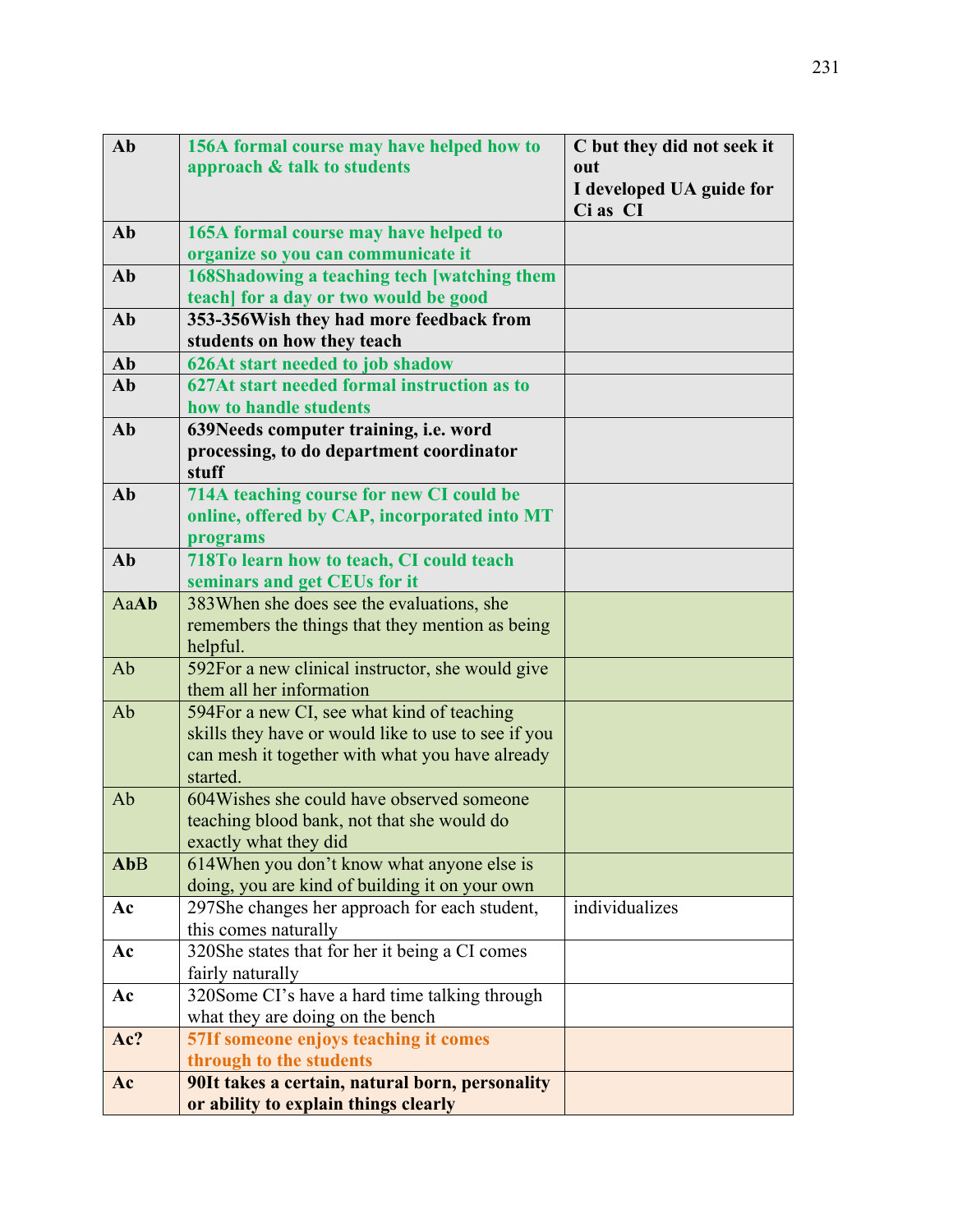| Ab          | 156A formal course may have helped how to                   | C but they did not seek it |
|-------------|-------------------------------------------------------------|----------------------------|
|             | approach & talk to students                                 | out                        |
|             |                                                             | I developed UA guide for   |
|             |                                                             | Ci as CI                   |
| Ab          | 165A formal course may have helped to                       |                            |
|             | organize so you can communicate it                          |                            |
| Ab          | 168Shadowing a teaching tech [watching them                 |                            |
|             | teach] for a day or two would be good                       |                            |
| Ab          | 353-356Wish they had more feedback from                     |                            |
|             | students on how they teach                                  |                            |
| Ab          | <b>626At start needed to job shadow</b>                     |                            |
| Ab          | 627At start needed formal instruction as to                 |                            |
|             | how to handle students                                      |                            |
| Ab          | 639Needs computer training, i.e. word                       |                            |
|             | processing, to do department coordinator                    |                            |
|             | stuff                                                       |                            |
| Ab          | 714A teaching course for new CI could be                    |                            |
|             | online, offered by CAP, incorporated into MT                |                            |
|             | programs                                                    |                            |
| Ab          | 718To learn how to teach, CI could teach                    |                            |
|             | seminars and get CEUs for it                                |                            |
| <b>AaAb</b> | 383When she does see the evaluations, she                   |                            |
|             | remembers the things that they mention as being             |                            |
|             | helpful.                                                    |                            |
| Ab          | 592For a new clinical instructor, she would give            |                            |
|             | them all her information                                    |                            |
| Ab          | 594For a new CI, see what kind of teaching                  |                            |
|             | skills they have or would like to use to see if you         |                            |
|             | can mesh it together with what you have already<br>started. |                            |
| Ab          | 604 Wishes she could have observed someone                  |                            |
|             | teaching blood bank, not that she would do                  |                            |
|             | exactly what they did                                       |                            |
| AbB         | 614When you don't know what anyone else is                  |                            |
|             | doing, you are kind of building it on your own              |                            |
| Ac          | 297She changes her approach for each student,               | individualizes             |
|             | this comes naturally                                        |                            |
| Ac          | 320She states that for her it being a CI comes              |                            |
|             | fairly naturally                                            |                            |
| Ac          | 320Some CI's have a hard time talking through               |                            |
|             | what they are doing on the bench                            |                            |
| Ac?         | 57If someone enjoys teaching it comes                       |                            |
|             | through to the students                                     |                            |
| Ac          | 90It takes a certain, natural born, personality             |                            |
|             | or ability to explain things clearly                        |                            |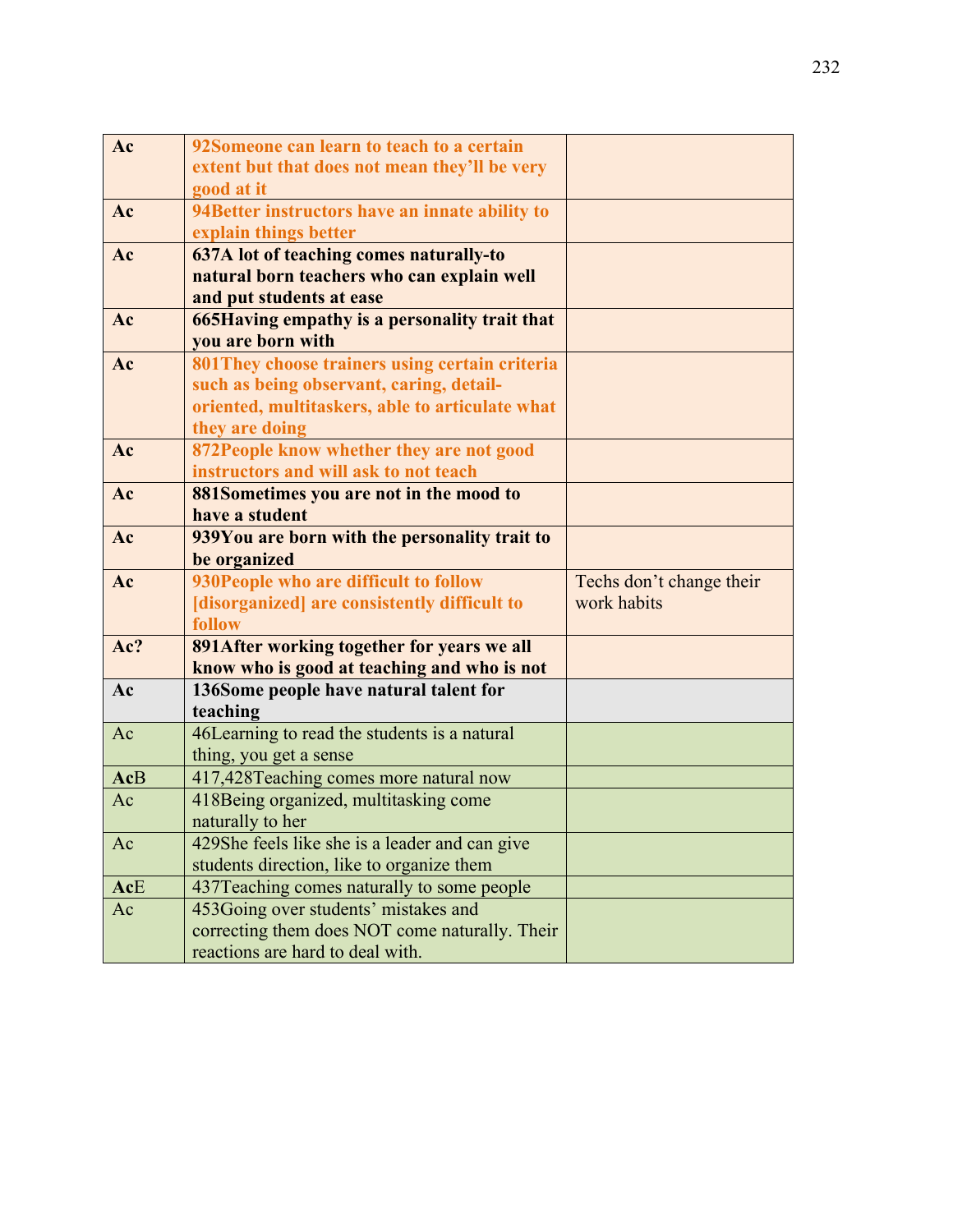| Ac         | 92Someone can learn to teach to a certain       |                          |
|------------|-------------------------------------------------|--------------------------|
|            | extent but that does not mean they'll be very   |                          |
|            | good at it                                      |                          |
| Ac         | 94Better instructors have an innate ability to  |                          |
|            | explain things better                           |                          |
| Ac         | 637A lot of teaching comes naturally-to         |                          |
|            | natural born teachers who can explain well      |                          |
|            | and put students at ease                        |                          |
| Ac         | 665 Having empathy is a personality trait that  |                          |
|            | you are born with                               |                          |
| Ac         | 801 They choose trainers using certain criteria |                          |
|            | such as being observant, caring, detail-        |                          |
|            | oriented, multitaskers, able to articulate what |                          |
|            | they are doing                                  |                          |
| Ac         | 872People know whether they are not good        |                          |
|            | instructors and will ask to not teach           |                          |
| Ac         | 881Sometimes you are not in the mood to         |                          |
|            | have a student                                  |                          |
| Ac         | 939You are born with the personality trait to   |                          |
|            | be organized                                    |                          |
| Ac         | 930People who are difficult to follow           | Techs don't change their |
|            | [disorganized] are consistently difficult to    | work habits              |
|            | follow                                          |                          |
| Ac?        | 891 After working together for years we all     |                          |
|            | know who is good at teaching and who is not     |                          |
| Ac         | 136Some people have natural talent for          |                          |
|            | teaching                                        |                          |
| Ac         | 46Learning to read the students is a natural    |                          |
|            | thing, you get a sense                          |                          |
| <b>AcB</b> | 417,428Teaching comes more natural now          |                          |
| Ac         | 418 Being organized, multitasking come          |                          |
|            | naturally to her                                |                          |
| Ac         | 429She feels like she is a leader and can give  |                          |
|            | students direction, like to organize them       |                          |
| AcE        | 437 Teaching comes naturally to some people     |                          |
| Ac         | 453Going over students' mistakes and            |                          |
|            | correcting them does NOT come naturally. Their  |                          |
|            | reactions are hard to deal with.                |                          |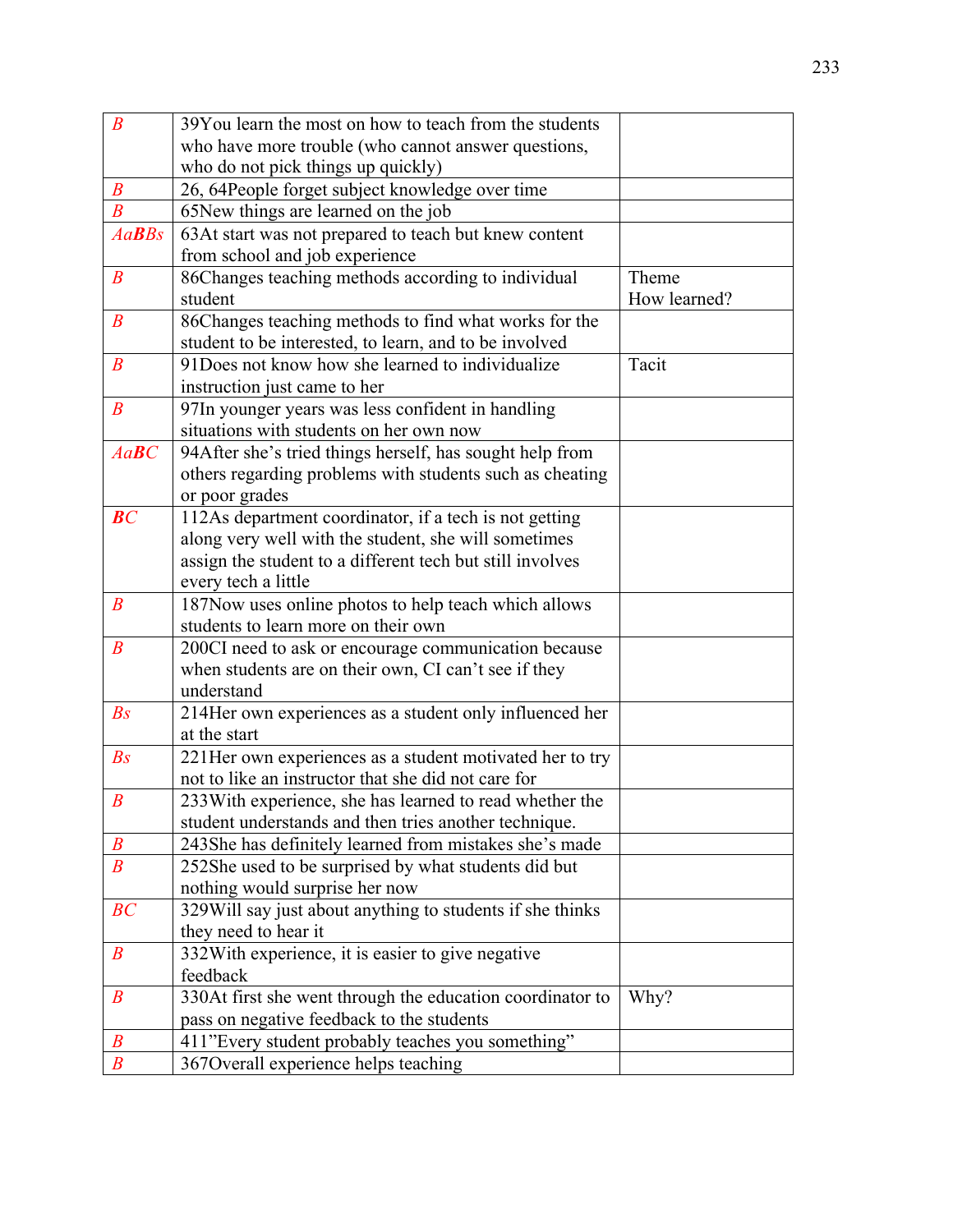| $\boldsymbol{B}$             | 39You learn the most on how to teach from the students                                                                                                                                             |                       |
|------------------------------|----------------------------------------------------------------------------------------------------------------------------------------------------------------------------------------------------|-----------------------|
|                              | who have more trouble (who cannot answer questions,                                                                                                                                                |                       |
|                              | who do not pick things up quickly)                                                                                                                                                                 |                       |
| $\boldsymbol{B}$             | 26, 64People forget subject knowledge over time                                                                                                                                                    |                       |
| $\boldsymbol{B}$             | 65New things are learned on the job                                                                                                                                                                |                       |
| $Aa$ <b>B</b> B <sub>s</sub> | 63At start was not prepared to teach but knew content<br>from school and job experience                                                                                                            |                       |
| $\boldsymbol{B}$             | 86Changes teaching methods according to individual<br>student                                                                                                                                      | Theme<br>How learned? |
| $\boldsymbol{B}$             | 86Changes teaching methods to find what works for the<br>student to be interested, to learn, and to be involved                                                                                    |                       |
| $\boldsymbol{B}$             | 91 Does not know how she learned to individualize<br>instruction just came to her                                                                                                                  | Tacit                 |
| $\boldsymbol{B}$             | 97In younger years was less confident in handling<br>situations with students on her own now                                                                                                       |                       |
| $Aa$ <b>B</b> $C$            | 94After she's tried things herself, has sought help from<br>others regarding problems with students such as cheating<br>or poor grades                                                             |                       |
| BC                           | 112As department coordinator, if a tech is not getting<br>along very well with the student, she will sometimes<br>assign the student to a different tech but still involves<br>every tech a little |                       |
| $\boldsymbol{B}$             | 187Now uses online photos to help teach which allows<br>students to learn more on their own                                                                                                        |                       |
| $\boldsymbol{B}$             | 200CI need to ask or encourage communication because<br>when students are on their own, CI can't see if they<br>understand                                                                         |                       |
| $\mathbb{B}S$                | 214Her own experiences as a student only influenced her<br>at the start                                                                                                                            |                       |
| $\mathit{Bs}$                | 221Her own experiences as a student motivated her to try<br>not to like an instructor that she did not care for                                                                                    |                       |
| $\boldsymbol{B}$             | 233 With experience, she has learned to read whether the<br>student understands and then tries another technique.                                                                                  |                       |
| $\boldsymbol{B}$             | 243She has definitely learned from mistakes she's made                                                                                                                                             |                       |
| $\overline{B}$               | 252She used to be surprised by what students did but<br>nothing would surprise her now                                                                                                             |                       |
| BC                           | 329 Will say just about anything to students if she thinks<br>they need to hear it                                                                                                                 |                       |
| $\boldsymbol{B}$             | 332With experience, it is easier to give negative                                                                                                                                                  |                       |
|                              | feedback                                                                                                                                                                                           |                       |
| $\boldsymbol{B}$             | 330At first she went through the education coordinator to<br>pass on negative feedback to the students                                                                                             | Why?                  |
| $\boldsymbol{B}$             | 411"Every student probably teaches you something"                                                                                                                                                  |                       |
| $\boldsymbol{B}$             | 367Overall experience helps teaching                                                                                                                                                               |                       |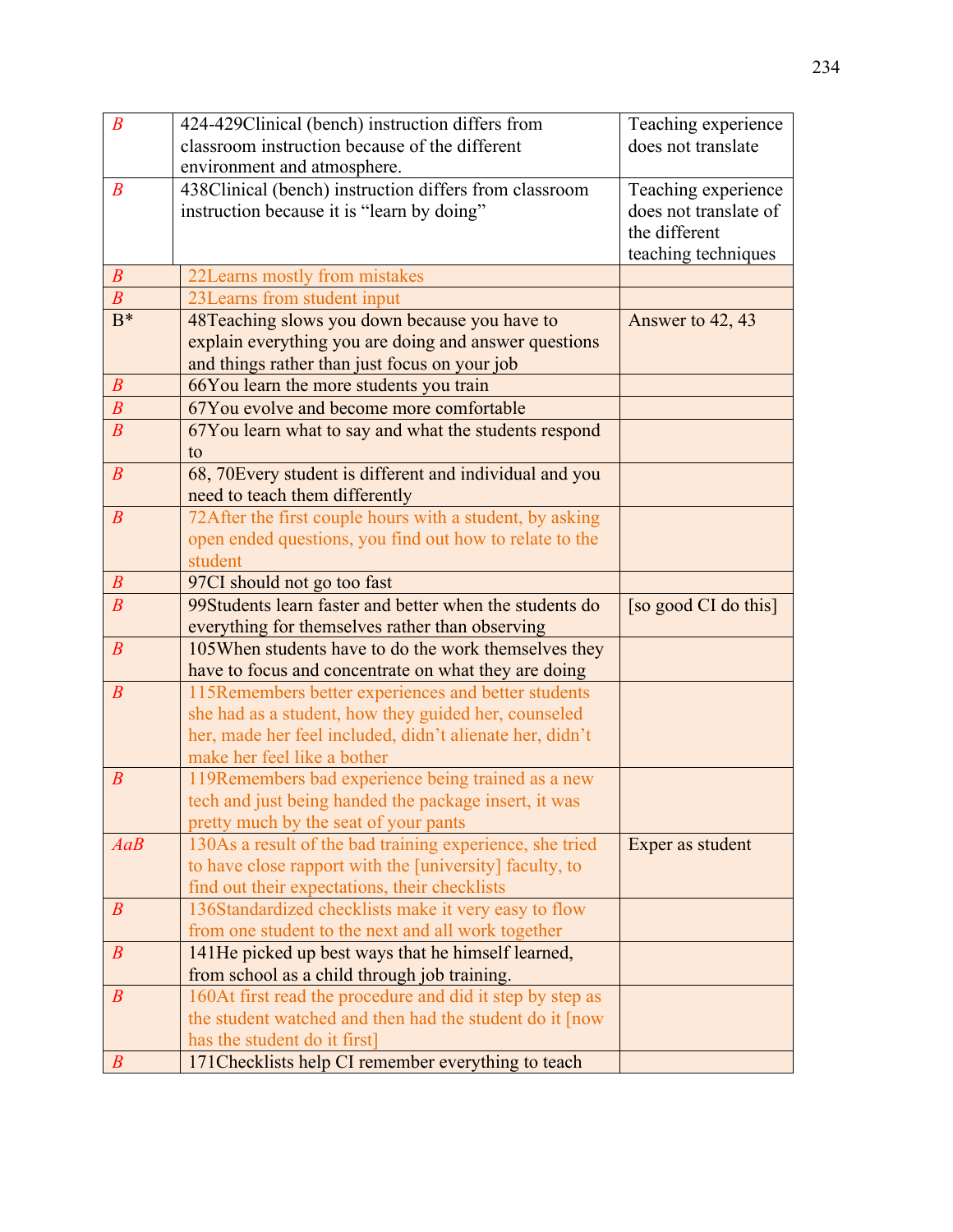| $\boldsymbol{B}$ | 424-429Clinical (bench) instruction differs from                                                     | Teaching experience                          |
|------------------|------------------------------------------------------------------------------------------------------|----------------------------------------------|
|                  | classroom instruction because of the different                                                       | does not translate                           |
| $\boldsymbol{B}$ | environment and atmosphere.                                                                          |                                              |
|                  | 438Clinical (bench) instruction differs from classroom<br>instruction because it is "learn by doing" | Teaching experience<br>does not translate of |
|                  |                                                                                                      | the different                                |
|                  |                                                                                                      | teaching techniques                          |
| $\boldsymbol{B}$ | 22Learns mostly from mistakes                                                                        |                                              |
| $\boldsymbol{B}$ | 23 Learns from student input                                                                         |                                              |
| $B^*$            | 48Teaching slows you down because you have to                                                        | Answer to 42, 43                             |
|                  | explain everything you are doing and answer questions                                                |                                              |
|                  | and things rather than just focus on your job                                                        |                                              |
| $\boldsymbol{B}$ | 66You learn the more students you train                                                              |                                              |
| $\boldsymbol{B}$ | 67You evolve and become more comfortable                                                             |                                              |
| $\boldsymbol{B}$ | 67You learn what to say and what the students respond                                                |                                              |
|                  | to                                                                                                   |                                              |
| $\boldsymbol{B}$ | 68, 70 Every student is different and individual and you                                             |                                              |
|                  | need to teach them differently                                                                       |                                              |
| $\boldsymbol{B}$ | 72After the first couple hours with a student, by asking                                             |                                              |
|                  | open ended questions, you find out how to relate to the                                              |                                              |
|                  | student                                                                                              |                                              |
| $\boldsymbol{B}$ | 97CI should not go too fast                                                                          |                                              |
| $\overline{B}$   | 99Students learn faster and better when the students do                                              | [so good CI do this]                         |
|                  | everything for themselves rather than observing                                                      |                                              |
| $\boldsymbol{B}$ | 105 When students have to do the work themselves they                                                |                                              |
|                  | have to focus and concentrate on what they are doing                                                 |                                              |
| $\boldsymbol{B}$ | 115Remembers better experiences and better students                                                  |                                              |
|                  | she had as a student, how they guided her, counseled                                                 |                                              |
|                  | her, made her feel included, didn't alienate her, didn't<br>make her feel like a bother              |                                              |
| $\boldsymbol{B}$ | 119Remembers bad experience being trained as a new                                                   |                                              |
|                  | tech and just being handed the package insert, it was                                                |                                              |
|                  | pretty much by the seat of your pants                                                                |                                              |
| AaB              | 130As a result of the bad training experience, she tried                                             | Exper as student                             |
|                  | to have close rapport with the [university] faculty, to                                              |                                              |
|                  | find out their expectations, their checklists                                                        |                                              |
| $\boldsymbol{B}$ | 136Standardized checklists make it very easy to flow                                                 |                                              |
|                  | from one student to the next and all work together                                                   |                                              |
| $\boldsymbol{B}$ | 141He picked up best ways that he himself learned,                                                   |                                              |
|                  | from school as a child through job training.                                                         |                                              |
| $\boldsymbol{B}$ | 160At first read the procedure and did it step by step as                                            |                                              |
|                  | the student watched and then had the student do it [now                                              |                                              |
|                  | has the student do it first]                                                                         |                                              |
| $\boldsymbol{B}$ | 171 Checklists help CI remember everything to teach                                                  |                                              |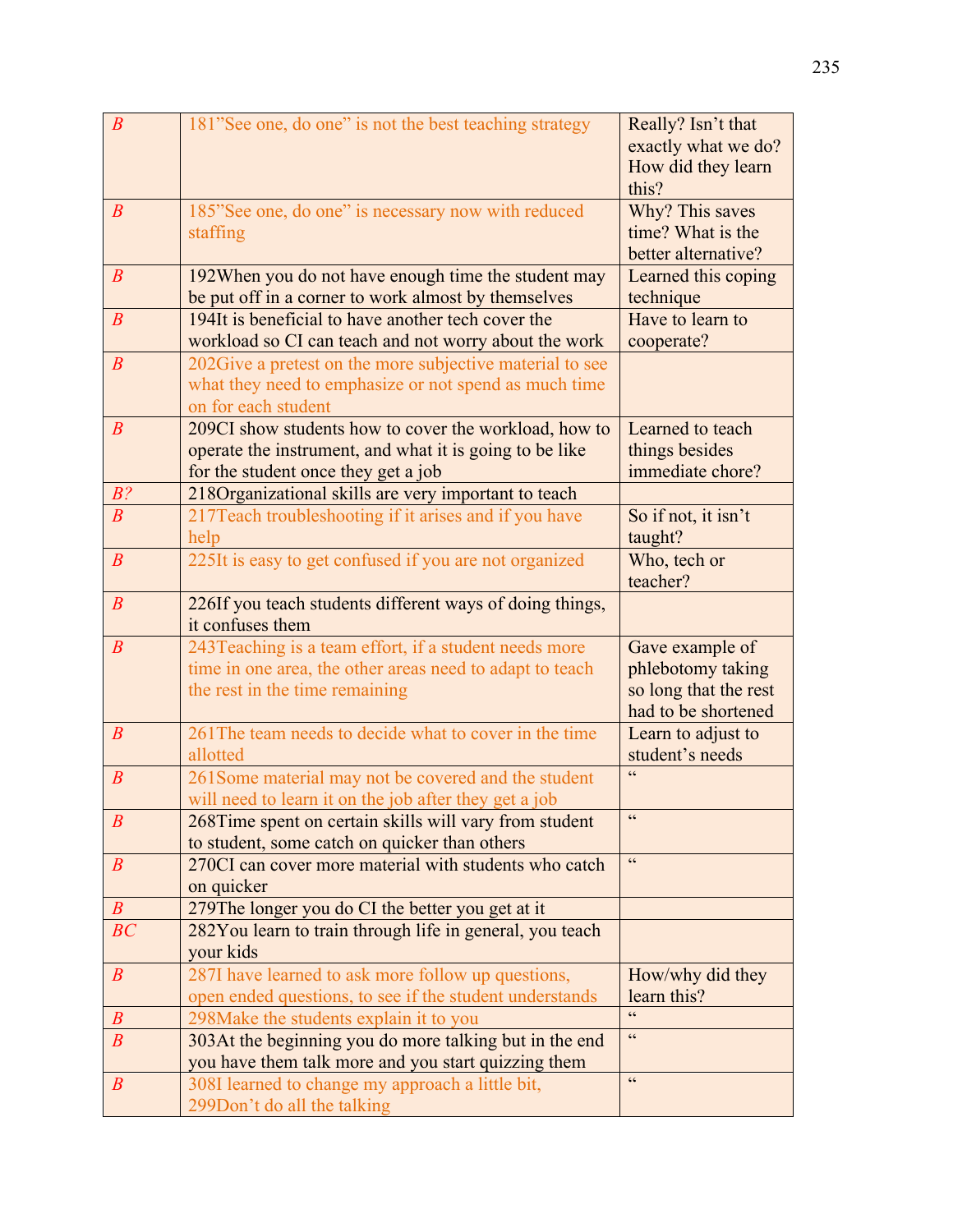| $\boldsymbol{B}$ | 181"See one, do one" is not the best teaching strategy                                                 | Really? Isn't that                |
|------------------|--------------------------------------------------------------------------------------------------------|-----------------------------------|
|                  |                                                                                                        | exactly what we do?               |
|                  |                                                                                                        | How did they learn                |
|                  |                                                                                                        | this?                             |
| $\boldsymbol{B}$ | 185"See one, do one" is necessary now with reduced                                                     | Why? This saves                   |
|                  | staffing                                                                                               | time? What is the                 |
|                  |                                                                                                        | better alternative?               |
| $\boldsymbol{B}$ | 192When you do not have enough time the student may                                                    | Learned this coping               |
|                  | be put off in a corner to work almost by themselves                                                    | technique                         |
| $\boldsymbol{B}$ | 194It is beneficial to have another tech cover the                                                     | Have to learn to                  |
|                  | workload so CI can teach and not worry about the work                                                  | cooperate?                        |
| $\boldsymbol{B}$ | 202 Give a pretest on the more subjective material to see                                              |                                   |
|                  | what they need to emphasize or not spend as much time                                                  |                                   |
|                  | on for each student                                                                                    |                                   |
| $\boldsymbol{B}$ | 209CI show students how to cover the workload, how to                                                  | Learned to teach                  |
|                  | operate the instrument, and what it is going to be like                                                | things besides                    |
|                  | for the student once they get a job                                                                    | immediate chore?                  |
| $B$ ?            | 218Organizational skills are very important to teach                                                   |                                   |
| $\boldsymbol{B}$ | 217 Teach troubleshooting if it arises and if you have                                                 | So if not, it isn't               |
|                  | help                                                                                                   | taught?                           |
| $\boldsymbol{B}$ | 225It is easy to get confused if you are not organized                                                 | Who, tech or                      |
|                  |                                                                                                        | teacher?                          |
| $\boldsymbol{B}$ | 226If you teach students different ways of doing things,                                               |                                   |
|                  | it confuses them                                                                                       |                                   |
| $\boldsymbol{B}$ | 243Teaching is a team effort, if a student needs more                                                  | Gave example of                   |
|                  | time in one area, the other areas need to adapt to teach                                               | phlebotomy taking                 |
|                  | the rest in the time remaining                                                                         | so long that the rest             |
|                  |                                                                                                        | had to be shortened               |
| $\boldsymbol{B}$ | 261 The team needs to decide what to cover in the time                                                 | Learn to adjust to                |
|                  | allotted                                                                                               | student's needs<br>$\overline{c}$ |
| $\boldsymbol{B}$ | 261 Some material may not be covered and the student                                                   |                                   |
|                  | will need to learn it on the job after they get a job                                                  | $\epsilon$                        |
| $\boldsymbol{B}$ | 268Time spent on certain skills will vary from student                                                 |                                   |
| $\boldsymbol{B}$ | to student, some catch on quicker than others<br>270CI can cover more material with students who catch | cc                                |
|                  | on quicker                                                                                             |                                   |
| $\boldsymbol{B}$ | 279The longer you do CI the better you get at it                                                       |                                   |
| BC               | 282You learn to train through life in general, you teach                                               |                                   |
|                  | vour kids                                                                                              |                                   |
| $\boldsymbol{B}$ | 287I have learned to ask more follow up questions,                                                     | How/why did they                  |
|                  | open ended questions, to see if the student understands                                                | learn this?                       |
| $\boldsymbol{B}$ | 298 Make the students explain it to you                                                                |                                   |
| $\boldsymbol{B}$ | 303At the beginning you do more talking but in the end                                                 | $\epsilon$                        |
|                  | you have them talk more and you start quizzing them                                                    |                                   |
| $\boldsymbol{B}$ | 308I learned to change my approach a little bit,                                                       | cc                                |
|                  | 299Don't do all the talking                                                                            |                                   |
|                  |                                                                                                        |                                   |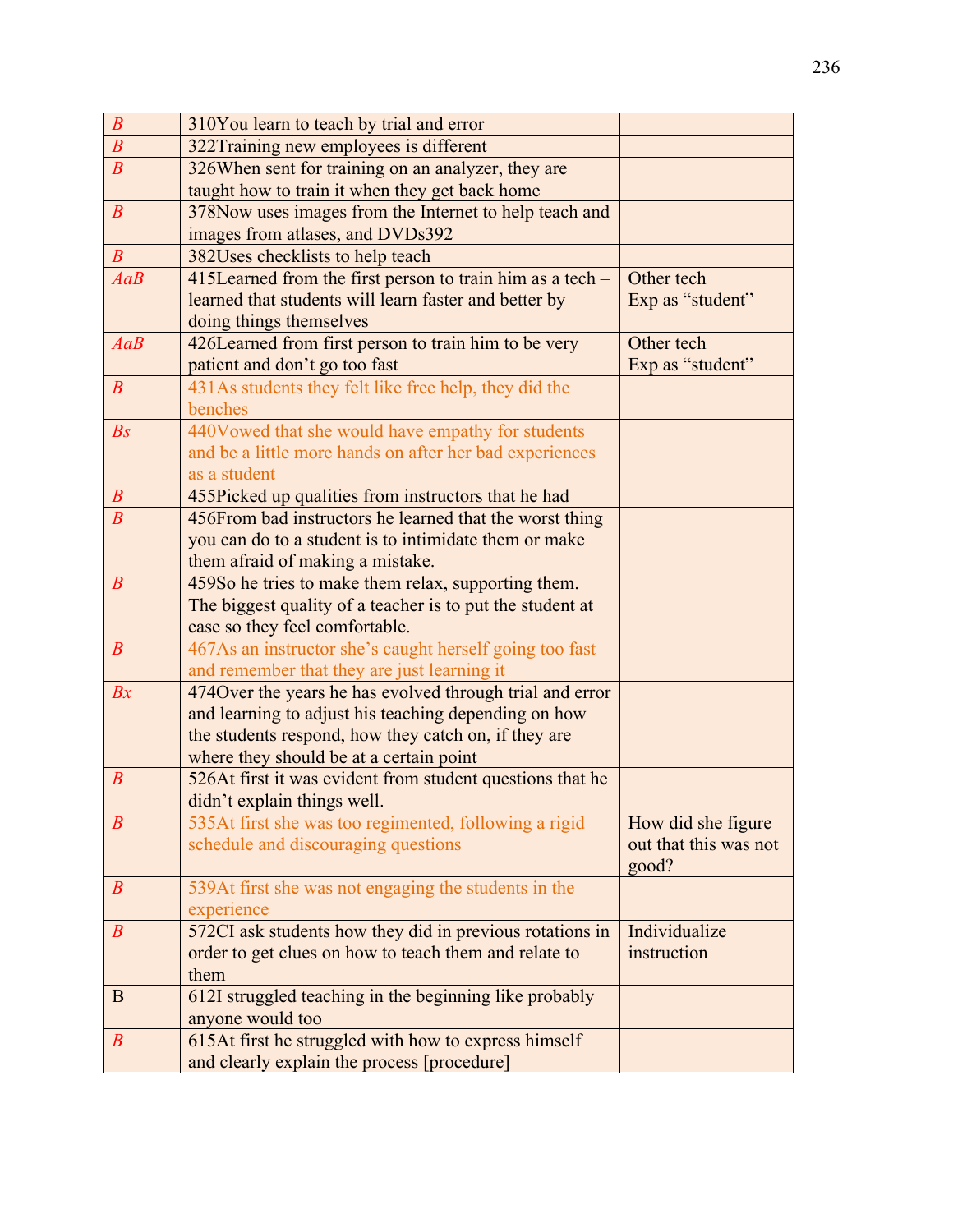| $\boldsymbol{B}$ | 310You learn to teach by trial and error                                                     |                                             |
|------------------|----------------------------------------------------------------------------------------------|---------------------------------------------|
| $\boldsymbol{B}$ | 322Training new employees is different                                                       |                                             |
| $\boldsymbol{B}$ | 326When sent for training on an analyzer, they are                                           |                                             |
|                  | taught how to train it when they get back home                                               |                                             |
| $\boldsymbol{B}$ | 378Now uses images from the Internet to help teach and                                       |                                             |
|                  | images from atlases, and DVDs392                                                             |                                             |
| $\boldsymbol{B}$ | 382Uses checklists to help teach                                                             |                                             |
| AaB              | 415Learned from the first person to train him as a tech –                                    | Other tech                                  |
|                  | learned that students will learn faster and better by                                        | Exp as "student"                            |
|                  | doing things themselves                                                                      |                                             |
| AaB              | 426Learned from first person to train him to be very                                         | Other tech                                  |
|                  | patient and don't go too fast                                                                | Exp as "student"                            |
| $\boldsymbol{B}$ | 431As students they felt like free help, they did the                                        |                                             |
|                  | benches                                                                                      |                                             |
| $\mathbb{B}S$    | 440Vowed that she would have empathy for students                                            |                                             |
|                  | and be a little more hands on after her bad experiences                                      |                                             |
|                  | as a student                                                                                 |                                             |
| $\boldsymbol{B}$ | 455Picked up qualities from instructors that he had                                          |                                             |
| $\boldsymbol{B}$ | 456From bad instructors he learned that the worst thing                                      |                                             |
|                  | you can do to a student is to intimidate them or make                                        |                                             |
|                  | them afraid of making a mistake.                                                             |                                             |
| $\boldsymbol{B}$ | 459So he tries to make them relax, supporting them.                                          |                                             |
|                  | The biggest quality of a teacher is to put the student at                                    |                                             |
|                  | ease so they feel comfortable.                                                               |                                             |
| $\boldsymbol{B}$ | 467As an instructor she's caught herself going too fast                                      |                                             |
|                  | and remember that they are just learning it                                                  |                                             |
| Bx               | 4740 ver the years he has evolved through trial and error                                    |                                             |
|                  | and learning to adjust his teaching depending on how                                         |                                             |
|                  | the students respond, how they catch on, if they are                                         |                                             |
|                  | where they should be at a certain point                                                      |                                             |
| $\boldsymbol{B}$ | 526At first it was evident from student questions that he                                    |                                             |
| $\boldsymbol{B}$ | didn't explain things well.                                                                  |                                             |
|                  | 535At first she was too regimented, following a rigid<br>schedule and discouraging questions | How did she figure<br>out that this was not |
|                  |                                                                                              | good?                                       |
| $\boldsymbol{B}$ | 539At first she was not engaging the students in the                                         |                                             |
|                  | experience                                                                                   |                                             |
| $\boldsymbol{B}$ | 572CI ask students how they did in previous rotations in                                     | Individualize                               |
|                  | order to get clues on how to teach them and relate to                                        | instruction                                 |
|                  | them                                                                                         |                                             |
| B                | 612I struggled teaching in the beginning like probably                                       |                                             |
|                  | anyone would too                                                                             |                                             |
| $\boldsymbol{B}$ | 615At first he struggled with how to express himself                                         |                                             |
|                  | and clearly explain the process [procedure]                                                  |                                             |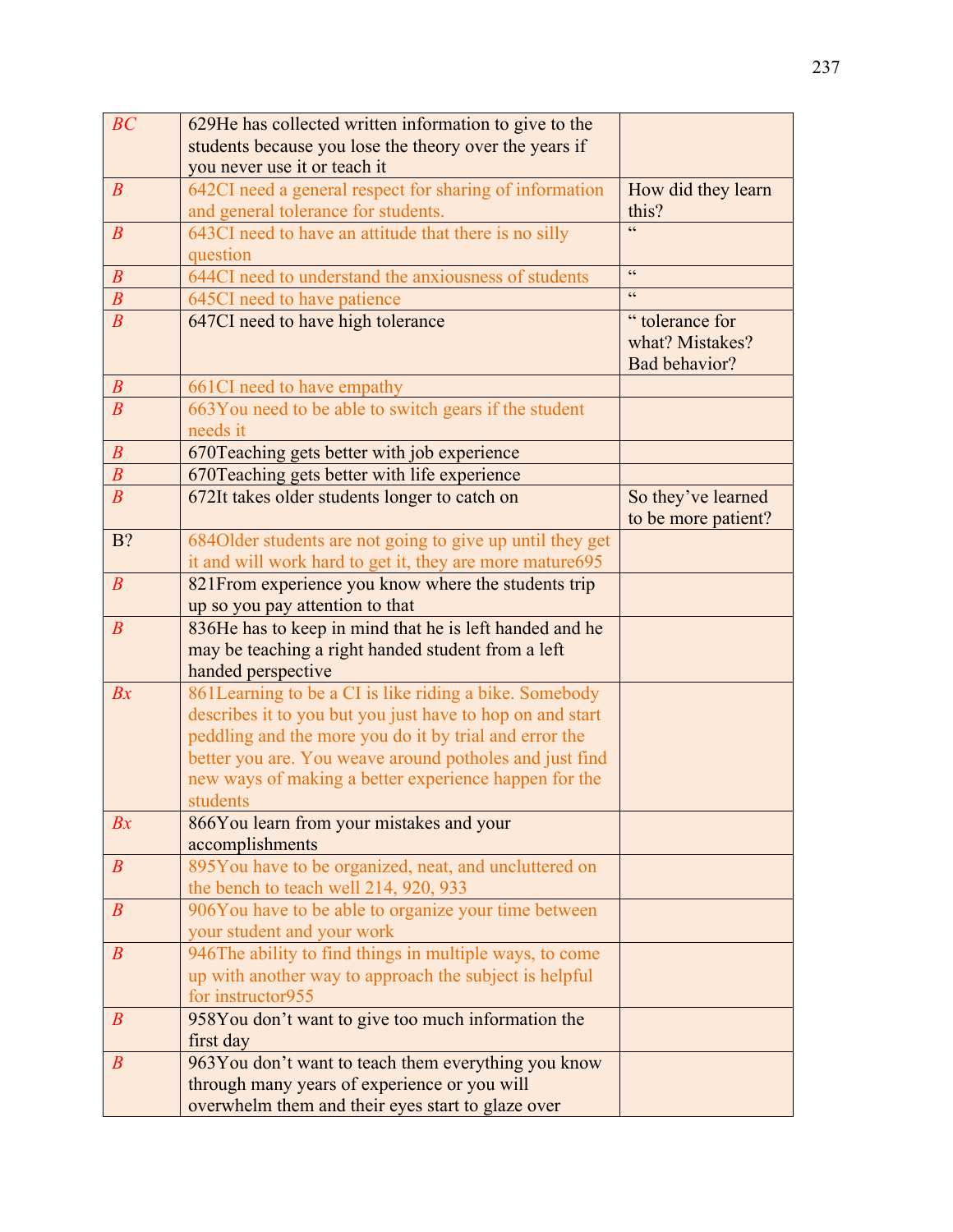| BC               | 629He has collected written information to give to the                                            |                                                    |
|------------------|---------------------------------------------------------------------------------------------------|----------------------------------------------------|
|                  | students because you lose the theory over the years if                                            |                                                    |
|                  | you never use it or teach it                                                                      |                                                    |
| $\boldsymbol{B}$ | 642CI need a general respect for sharing of information                                           | How did they learn                                 |
|                  | and general tolerance for students.                                                               | this?                                              |
| $\boldsymbol{B}$ | 643CI need to have an attitude that there is no silly                                             | $\epsilon$                                         |
|                  | question                                                                                          |                                                    |
| $\boldsymbol{B}$ | 644CI need to understand the anxiousness of students                                              | $\zeta \, \zeta$                                   |
| $\overline{B}$   | 645CI need to have patience                                                                       | cc                                                 |
| $\overline{B}$   | 647CI need to have high tolerance                                                                 | "tolerance for<br>what? Mistakes?<br>Bad behavior? |
| $\boldsymbol{B}$ | 661CI need to have empathy                                                                        |                                                    |
| $\overline{B}$   | 663You need to be able to switch gears if the student<br>needs it                                 |                                                    |
| $\boldsymbol{B}$ | 670 Teaching gets better with job experience                                                      |                                                    |
| $\boldsymbol{B}$ | 670 Teaching gets better with life experience                                                     |                                                    |
| $\boldsymbol{B}$ | 672It takes older students longer to catch on                                                     | So they've learned                                 |
|                  |                                                                                                   | to be more patient?                                |
| B?               | 684Older students are not going to give up until they get                                         |                                                    |
|                  | it and will work hard to get it, they are more mature695                                          |                                                    |
| $\boldsymbol{B}$ | 821 From experience you know where the students trip                                              |                                                    |
|                  | up so you pay attention to that                                                                   |                                                    |
| $\boldsymbol{B}$ | 836He has to keep in mind that he is left handed and he                                           |                                                    |
|                  | may be teaching a right handed student from a left                                                |                                                    |
|                  | handed perspective                                                                                |                                                    |
| Bx               | 861Learning to be a CI is like riding a bike. Somebody                                            |                                                    |
|                  | describes it to you but you just have to hop on and start                                         |                                                    |
|                  | peddling and the more you do it by trial and error the                                            |                                                    |
|                  | better you are. You weave around potholes and just find                                           |                                                    |
|                  | new ways of making a better experience happen for the                                             |                                                    |
|                  | students                                                                                          |                                                    |
| Bx               | 866You learn from your mistakes and your                                                          |                                                    |
|                  | accomplishments                                                                                   |                                                    |
| $\boldsymbol{B}$ | 895You have to be organized, neat, and uncluttered on                                             |                                                    |
| $\boldsymbol{B}$ | the bench to teach well 214, 920, 933                                                             |                                                    |
|                  | 906You have to be able to organize your time between<br>your student and your work                |                                                    |
| $\boldsymbol{B}$ | 946The ability to find things in multiple ways, to come                                           |                                                    |
|                  |                                                                                                   |                                                    |
|                  | up with another way to approach the subject is helpful<br>for instructor955                       |                                                    |
| $\boldsymbol{B}$ | 958You don't want to give too much information the                                                |                                                    |
|                  | first day                                                                                         |                                                    |
| $\boldsymbol{B}$ |                                                                                                   |                                                    |
|                  |                                                                                                   |                                                    |
|                  | 963You don't want to teach them everything you know                                               |                                                    |
|                  | through many years of experience or you will<br>overwhelm them and their eyes start to glaze over |                                                    |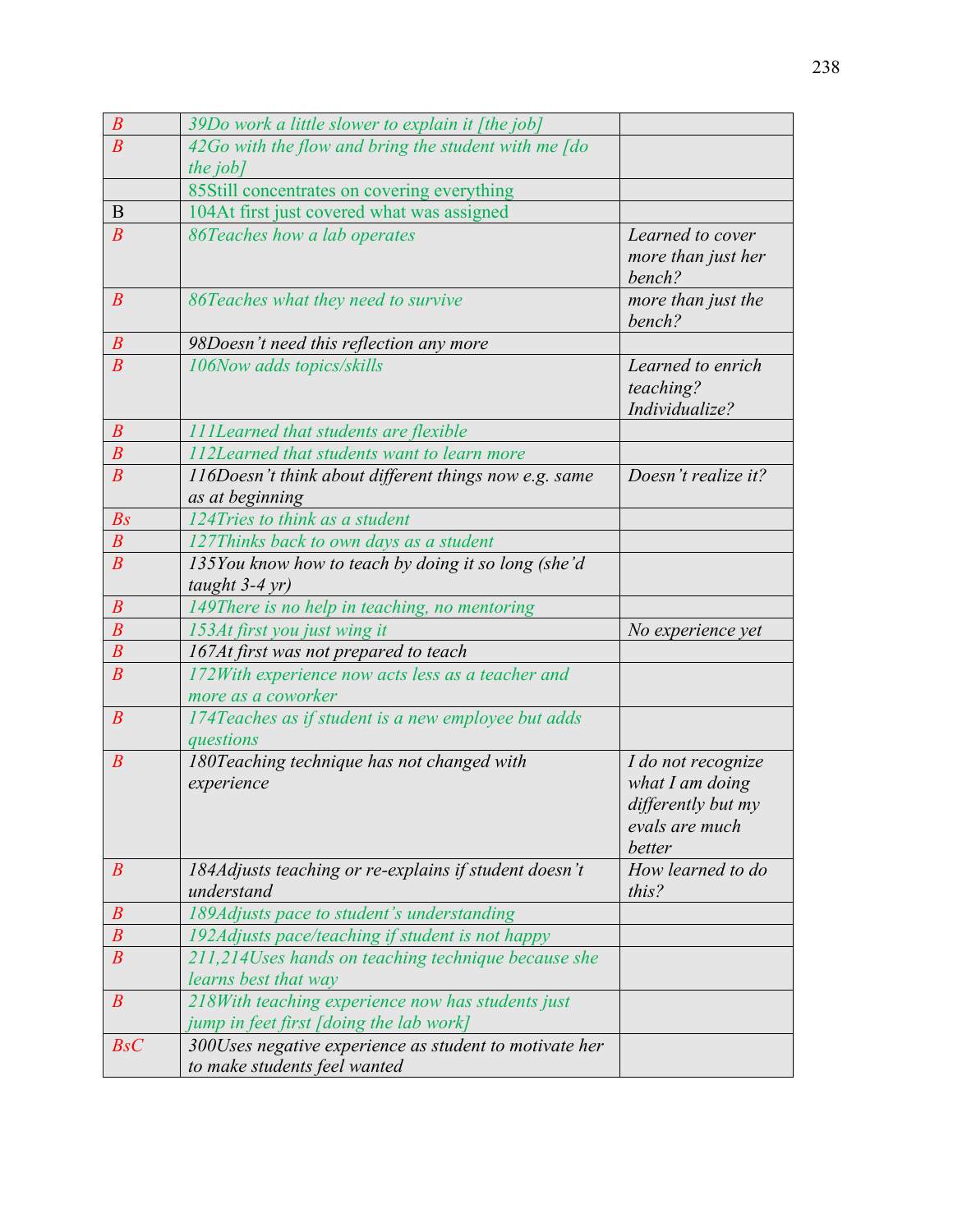| $\boldsymbol{B}$ | 39Do work a little slower to explain it [the job]                                            |                                                                                           |
|------------------|----------------------------------------------------------------------------------------------|-------------------------------------------------------------------------------------------|
| $\overline{B}$   | $42G$ o with the flow and bring the student with me $\sqrt{a}$                               |                                                                                           |
|                  | the job]                                                                                     |                                                                                           |
|                  | 85Still concentrates on covering everything                                                  |                                                                                           |
| B                | 104At first just covered what was assigned                                                   |                                                                                           |
| $\boldsymbol{B}$ | 86Teaches how a lab operates                                                                 | Learned to cover<br>more than just her<br>bench?                                          |
| $\boldsymbol{B}$ | 86Teaches what they need to survive                                                          | more than just the<br>bench?                                                              |
| $\boldsymbol{B}$ | 98Doesn't need this reflection any more                                                      |                                                                                           |
| $\overline{B}$   | 106Now adds topics/skills                                                                    | Learned to enrich<br>teaching?<br>Individualize?                                          |
| $\boldsymbol{B}$ | <b>111Learned that students are flexible</b>                                                 |                                                                                           |
| $\boldsymbol{B}$ | 112Learned that students want to learn more                                                  |                                                                                           |
| $\overline{B}$   | 116Doesn't think about different things now e.g. same<br>as at beginning                     | Doesn't realize it?                                                                       |
| $\mathbb{B}S$    | 124Tries to think as a student                                                               |                                                                                           |
| $\overline{B}$   | 127Thinks back to own days as a student                                                      |                                                                                           |
| $\boldsymbol{B}$ | 135You know how to teach by doing it so long (she'd<br>taught $3-4$ yr)                      |                                                                                           |
| $\boldsymbol{B}$ | 149There is no help in teaching, no mentoring                                                |                                                                                           |
| $\boldsymbol{B}$ | 153At first you just wing it                                                                 | No experience yet                                                                         |
| $\overline{B}$   | 167At first was not prepared to teach                                                        |                                                                                           |
| $\overline{B}$   | 172With experience now acts less as a teacher and<br>more as a coworker                      |                                                                                           |
| $\boldsymbol{B}$ | 174Teaches as if student is a new employee but adds<br>questions                             |                                                                                           |
| $\boldsymbol{B}$ | 180Teaching technique has not changed with<br>experience                                     | I do not recognize<br>what $I$ am doing<br>differently but my<br>evals are much<br>better |
| $\boldsymbol{B}$ | 184Adjusts teaching or re-explains if student doesn't<br>understand                          | How learned to do<br>this?                                                                |
| $\boldsymbol{B}$ | 189Adjusts pace to student's understanding                                                   |                                                                                           |
| $\boldsymbol{B}$ | 192Adjusts pace/teaching if student is not happy                                             |                                                                                           |
| $\boldsymbol{B}$ | 211,214Uses hands on teaching technique because she<br>learns best that way                  |                                                                                           |
| $\boldsymbol{B}$ | 218With teaching experience now has students just<br>jump in feet first [doing the lab work] |                                                                                           |
| BsC              | 300Uses negative experience as student to motivate her<br>to make students feel wanted       |                                                                                           |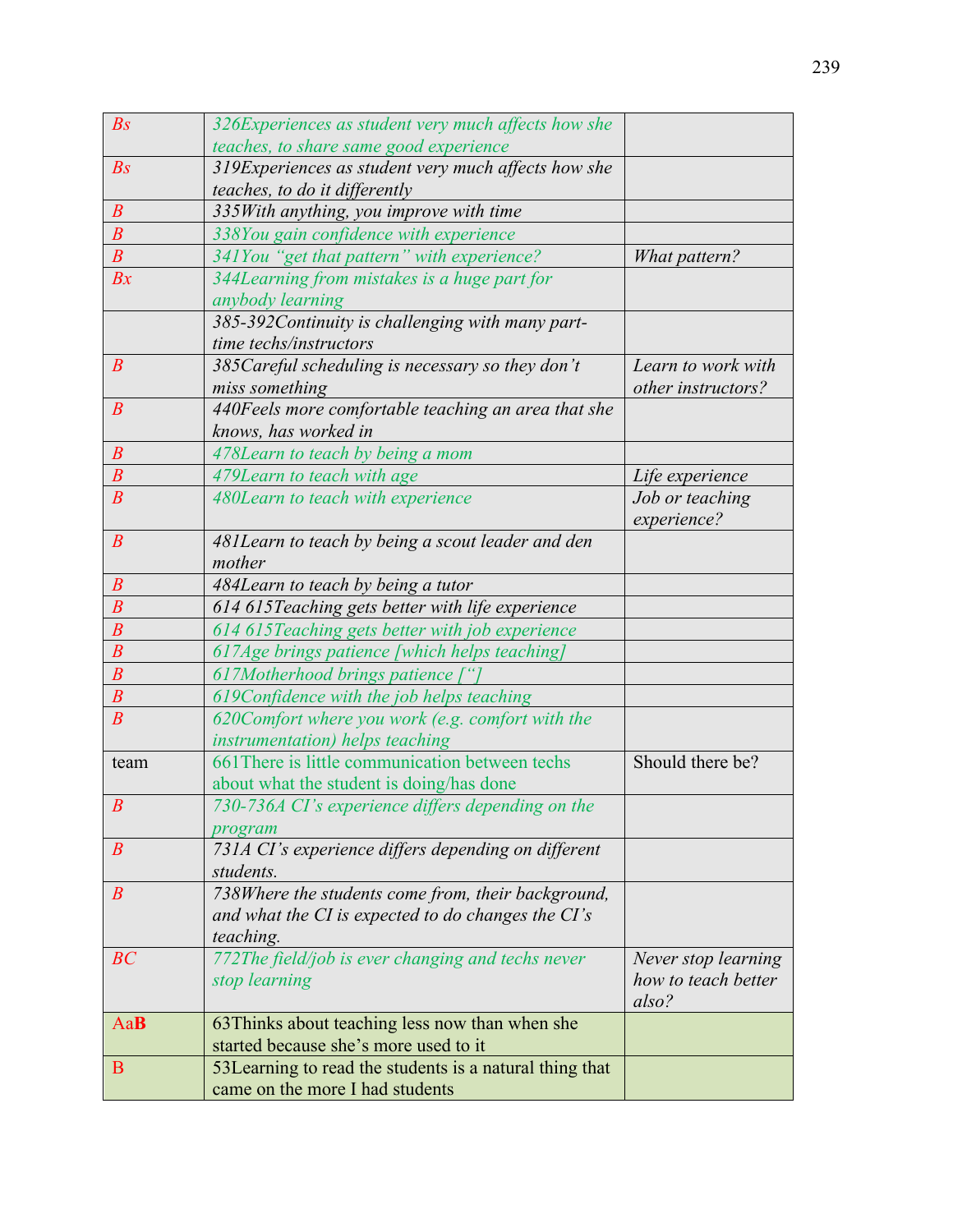| $\mathbb{B}S$    | 326Experiences as student very much affects how she      |                     |
|------------------|----------------------------------------------------------|---------------------|
|                  | teaches, to share same good experience                   |                     |
| $\mathbb{B}S$    | 319Experiences as student very much affects how she      |                     |
|                  | teaches, to do it differently                            |                     |
| $\boldsymbol{B}$ | 335With anything, you improve with time                  |                     |
| $\boldsymbol{B}$ | 338You gain confidence with experience                   |                     |
| $\overline{B}$   | 341You "get that pattern" with experience?               | What pattern?       |
| Bx               | 344Learning from mistakes is a huge part for             |                     |
|                  | anybody learning                                         |                     |
|                  | 385-392Continuity is challenging with many part-         |                     |
|                  | time techs/instructors                                   |                     |
| $\boldsymbol{B}$ | 385 Careful scheduling is necessary so they don't        | Learn to work with  |
|                  | miss something                                           | other instructors?  |
| $\boldsymbol{B}$ | 440Feels more comfortable teaching an area that she      |                     |
|                  | knows, has worked in                                     |                     |
| $\boldsymbol{B}$ | 478Learn to teach by being a mom                         |                     |
| $\overline{B}$   | 479Learn to teach with age                               | Life experience     |
| $\overline{B}$   | 480Learn to teach with experience                        | Job or teaching     |
|                  |                                                          | experience?         |
| $\boldsymbol{B}$ | 481Learn to teach by being a scout leader and den        |                     |
|                  | mother                                                   |                     |
| $\boldsymbol{B}$ | 484Learn to teach by being a tutor                       |                     |
| $\boldsymbol{B}$ | 614 615 Teaching gets better with life experience        |                     |
| $\overline{B}$   | 614 615 Teaching gets better with job experience         |                     |
| $\overline{B}$   | 617Age brings patience [which helps teaching]            |                     |
| $\boldsymbol{B}$ | 617Motherhood brings patience ["                         |                     |
| $\boldsymbol{B}$ | 619Confidence with the job helps teaching                |                     |
| $\overline{B}$   | 620Comfort where you work (e.g. comfort with the         |                     |
|                  | instrumentation) helps teaching                          |                     |
| team             | 661 There is little communication between techs          | Should there be?    |
|                  | about what the student is doing/has done                 |                     |
| $\boldsymbol{B}$ | 730-736A CI's experience differs depending on the        |                     |
|                  | program                                                  |                     |
| $\boldsymbol{B}$ | 731A CI's experience differs depending on different      |                     |
|                  | students.                                                |                     |
| $\boldsymbol{B}$ | 738Where the students come from, their background,       |                     |
|                  | and what the CI is expected to do changes the CI's       |                     |
|                  | teaching.                                                |                     |
| BC               | 772The field/job is ever changing and techs never        | Never stop learning |
|                  | stop learning                                            | how to teach better |
|                  |                                                          | also?               |
| AaB              | 63 Thinks about teaching less now than when she          |                     |
|                  | started because she's more used to it                    |                     |
| B                | 53 Learning to read the students is a natural thing that |                     |
|                  | came on the more I had students                          |                     |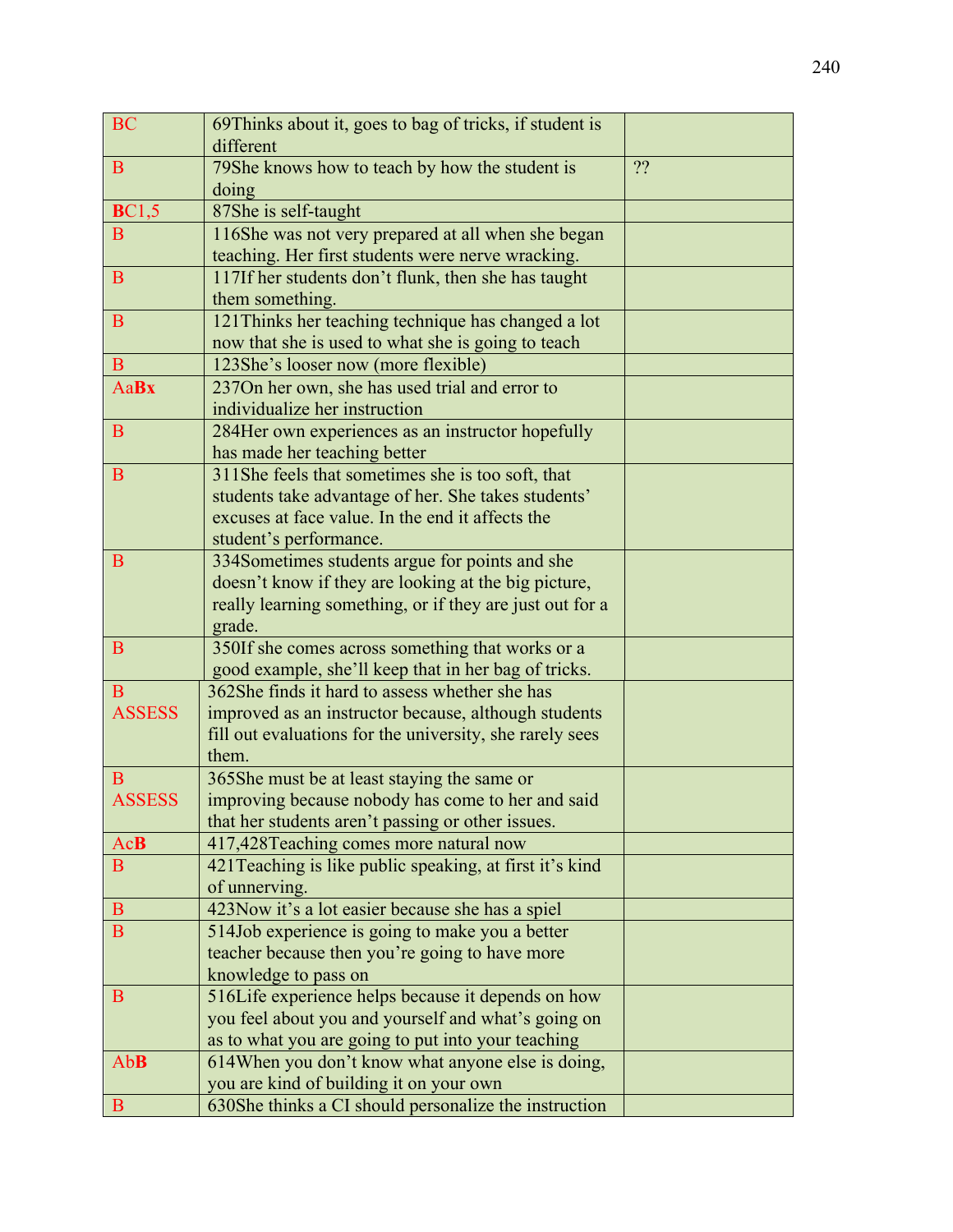| <b>BC</b>     | 69Thinks about it, goes to bag of tricks, if student is                                          |    |
|---------------|--------------------------------------------------------------------------------------------------|----|
|               | different                                                                                        |    |
| $\mathbf{B}$  | 79She knows how to teach by how the student is                                                   | ?? |
|               | doing                                                                                            |    |
| <b>BC1,5</b>  | 87She is self-taught                                                                             |    |
| B             | 116She was not very prepared at all when she began                                               |    |
|               | teaching. Her first students were nerve wracking.                                                |    |
| B             | 117If her students don't flunk, then she has taught                                              |    |
|               | them something.                                                                                  |    |
| B             | 121 Thinks her teaching technique has changed a lot                                              |    |
|               | now that she is used to what she is going to teach                                               |    |
| B             | 123She's looser now (more flexible)                                                              |    |
| <b>AaBx</b>   | 237On her own, she has used trial and error to                                                   |    |
|               | individualize her instruction                                                                    |    |
| B             | 284Her own experiences as an instructor hopefully                                                |    |
|               | has made her teaching better                                                                     |    |
| B             | 311She feels that sometimes she is too soft, that                                                |    |
|               | students take advantage of her. She takes students'                                              |    |
|               | excuses at face value. In the end it affects the                                                 |    |
|               | student's performance.                                                                           |    |
| B             | 334Sometimes students argue for points and she                                                   |    |
|               | doesn't know if they are looking at the big picture,                                             |    |
|               | really learning something, or if they are just out for a                                         |    |
|               | grade.                                                                                           |    |
| $\mathbf B$   | 350If she comes across something that works or a                                                 |    |
|               | good example, she'll keep that in her bag of tricks.                                             |    |
| B             | 362She finds it hard to assess whether she has                                                   |    |
| <b>ASSESS</b> | improved as an instructor because, although students                                             |    |
|               | fill out evaluations for the university, she rarely sees                                         |    |
| B             | them.                                                                                            |    |
| <b>ASSESS</b> | 365She must be at least staying the same or<br>improving because nobody has come to her and said |    |
|               | that her students aren't passing or other issues.                                                |    |
| <b>AcB</b>    | 417,428Teaching comes more natural now                                                           |    |
| B             | 421 Teaching is like public speaking, at first it's kind                                         |    |
|               | of unnerving.                                                                                    |    |
| $\mathbf{B}$  | 423Now it's a lot easier because she has a spiel                                                 |    |
| B             | 514Job experience is going to make you a better                                                  |    |
|               | teacher because then you're going to have more                                                   |    |
|               | knowledge to pass on                                                                             |    |
| B             | 516Life experience helps because it depends on how                                               |    |
|               | you feel about you and yourself and what's going on                                              |    |
|               | as to what you are going to put into your teaching                                               |    |
| AbB           | 614When you don't know what anyone else is doing,                                                |    |
|               | you are kind of building it on your own                                                          |    |
| B             | 630She thinks a CI should personalize the instruction                                            |    |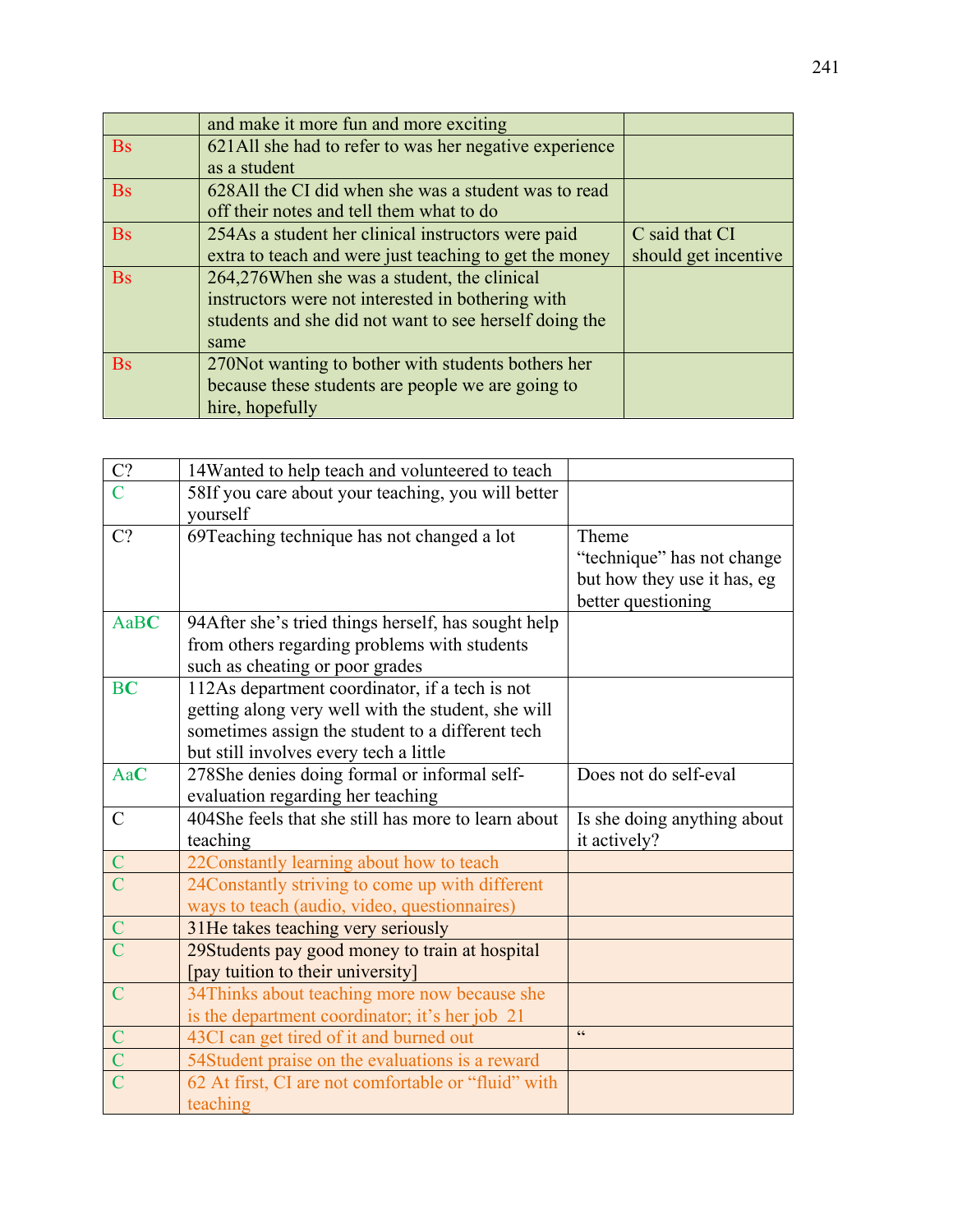|           | and make it more fun and more exciting                 |                      |
|-----------|--------------------------------------------------------|----------------------|
| <b>Bs</b> | 621All she had to refer to was her negative experience |                      |
|           | as a student                                           |                      |
| <b>Bs</b> | 628All the CI did when she was a student was to read   |                      |
|           | off their notes and tell them what to do               |                      |
| <b>Bs</b> | 254As a student her clinical instructors were paid     | C said that CI       |
|           | extra to teach and were just teaching to get the money | should get incentive |
| <b>Bs</b> | 264,276When she was a student, the clinical            |                      |
|           | instructors were not interested in bothering with      |                      |
|           | students and she did not want to see herself doing the |                      |
|           | same                                                   |                      |
| <b>Bs</b> | 270 Not wanting to bother with students bothers her    |                      |
|           | because these students are people we are going to      |                      |
|           | hire, hopefully                                        |                      |

| C?             | 14Wanted to help teach and volunteered to teach     |                             |
|----------------|-----------------------------------------------------|-----------------------------|
| $\mathcal{C}$  | 58If you care about your teaching, you will better  |                             |
|                | yourself                                            |                             |
| C?             | 69Teaching technique has not changed a lot          | Theme                       |
|                |                                                     | "technique" has not change  |
|                |                                                     | but how they use it has, eg |
|                |                                                     | better questioning          |
| AaBC           | 94After she's tried things herself, has sought help |                             |
|                | from others regarding problems with students        |                             |
|                | such as cheating or poor grades                     |                             |
| <b>BC</b>      | 112As department coordinator, if a tech is not      |                             |
|                | getting along very well with the student, she will  |                             |
|                | sometimes assign the student to a different tech    |                             |
|                | but still involves every tech a little              |                             |
| AaC            | 278She denies doing formal or informal self-        | Does not do self-eval       |
|                | evaluation regarding her teaching                   |                             |
| $\mathcal{C}$  | 404She feels that she still has more to learn about | Is she doing anything about |
|                | teaching                                            | it actively?                |
|                | 22Constantly learning about how to teach            |                             |
| $\overline{C}$ | 24Constantly striving to come up with different     |                             |
|                | ways to teach (audio, video, questionnaires)        |                             |
|                | 31He takes teaching very seriously                  |                             |
|                | 29Students pay good money to train at hospital      |                             |
|                | [pay tuition to their university]                   |                             |
| $\overline{C}$ | 34Thinks about teaching more now because she        |                             |
|                | is the department coordinator; it's her job 21      |                             |
| $\mathcal{C}$  | 43CI can get tired of it and burned out             | cc                          |
|                | 54Student praise on the evaluations is a reward     |                             |
|                | 62 At first, CI are not comfortable or "fluid" with |                             |
|                | teaching                                            |                             |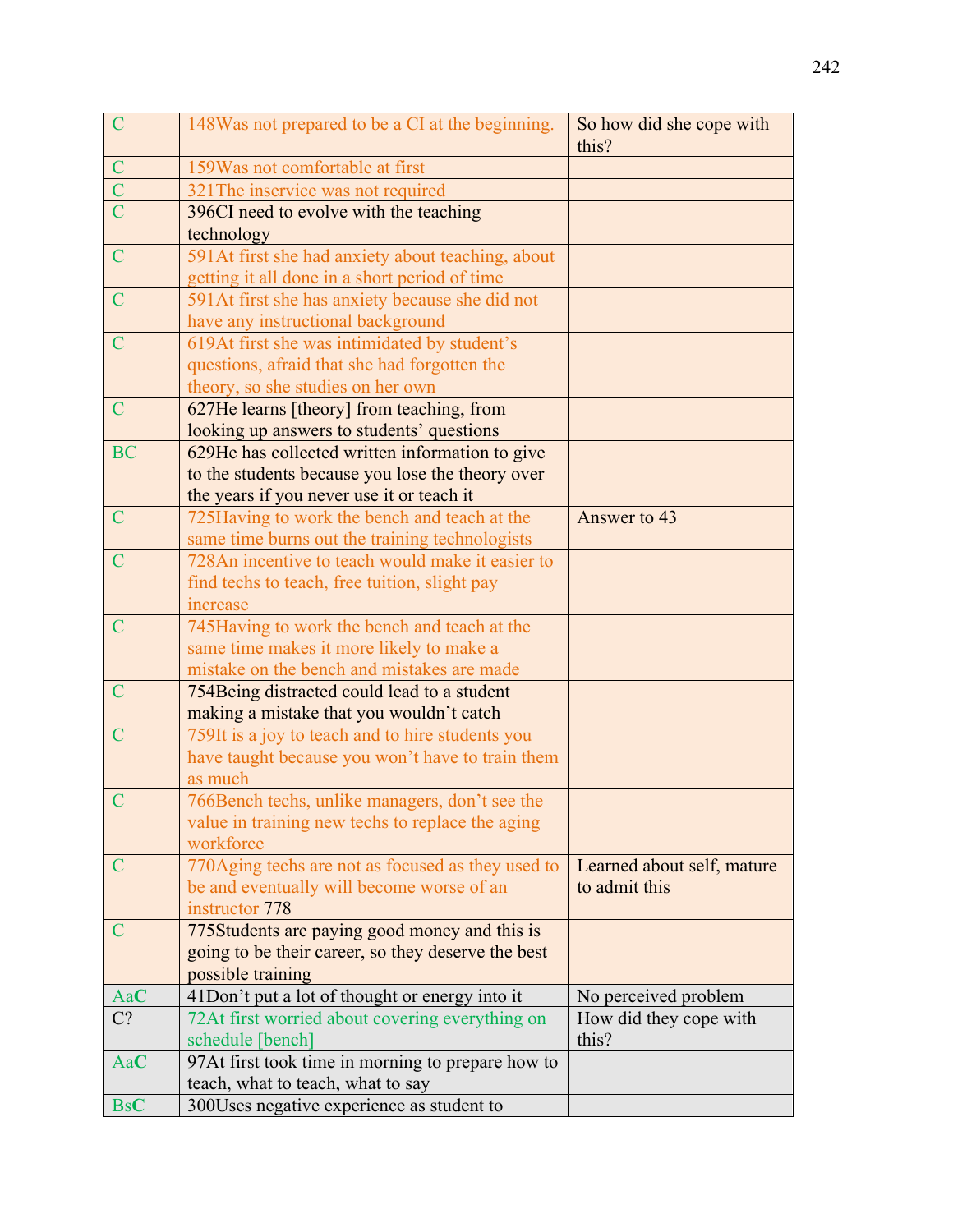| $\overline{C}$ | 148Was not prepared to be a CI at the beginning.                                             | So how did she cope with<br>this? |
|----------------|----------------------------------------------------------------------------------------------|-----------------------------------|
| $\mathbf C$    | 159 Was not comfortable at first                                                             |                                   |
| $\overline{C}$ | 321 The inservice was not required                                                           |                                   |
| $\overline{C}$ | 396CI need to evolve with the teaching                                                       |                                   |
|                | technology                                                                                   |                                   |
| $\mathbf C$    | 591At first she had anxiety about teaching, about                                            |                                   |
|                | getting it all done in a short period of time                                                |                                   |
| $\mathcal{C}$  | 591At first she has anxiety because she did not                                              |                                   |
|                | have any instructional background                                                            |                                   |
| $\overline{C}$ | 619At first she was intimidated by student's                                                 |                                   |
|                | questions, afraid that she had forgotten the                                                 |                                   |
|                | theory, so she studies on her own                                                            |                                   |
| $\overline{C}$ | 627He learns [theory] from teaching, from                                                    |                                   |
|                | looking up answers to students' questions                                                    |                                   |
| <b>BC</b>      | 629He has collected written information to give                                              |                                   |
|                | to the students because you lose the theory over                                             |                                   |
|                | the years if you never use it or teach it                                                    |                                   |
| $\mathcal{C}$  | 725 Having to work the bench and teach at the                                                | Answer to 43                      |
|                | same time burns out the training technologists                                               |                                   |
| $\mathbf C$    | 728An incentive to teach would make it easier to                                             |                                   |
|                | find techs to teach, free tuition, slight pay                                                |                                   |
|                | increase                                                                                     |                                   |
| $\mathsf{C}$   | 745Having to work the bench and teach at the                                                 |                                   |
|                | same time makes it more likely to make a                                                     |                                   |
|                | mistake on the bench and mistakes are made                                                   |                                   |
| $\mathbf C$    | 754Being distracted could lead to a student                                                  |                                   |
| $\overline{C}$ | making a mistake that you wouldn't catch<br>759It is a joy to teach and to hire students you |                                   |
|                | have taught because you won't have to train them                                             |                                   |
|                | as much                                                                                      |                                   |
| $\overline{C}$ | 766Bench techs, unlike managers, don't see the                                               |                                   |
|                | value in training new techs to replace the aging                                             |                                   |
|                | workforce                                                                                    |                                   |
| C              | 770Aging techs are not as focused as they used to                                            | Learned about self, mature        |
|                | be and eventually will become worse of an                                                    | to admit this                     |
|                | instructor 778                                                                               |                                   |
| $\mathsf{C}$   | 775Students are paying good money and this is                                                |                                   |
|                | going to be their career, so they deserve the best                                           |                                   |
|                | possible training                                                                            |                                   |
| AaC            | 41Don't put a lot of thought or energy into it                                               | No perceived problem              |
| $C$ ?          | 72At first worried about covering everything on                                              | How did they cope with            |
|                | schedule [bench]                                                                             | this?                             |
| AaC            | 97At first took time in morning to prepare how to                                            |                                   |
|                | teach, what to teach, what to say                                                            |                                   |
| <b>BsC</b>     | 300Uses negative experience as student to                                                    |                                   |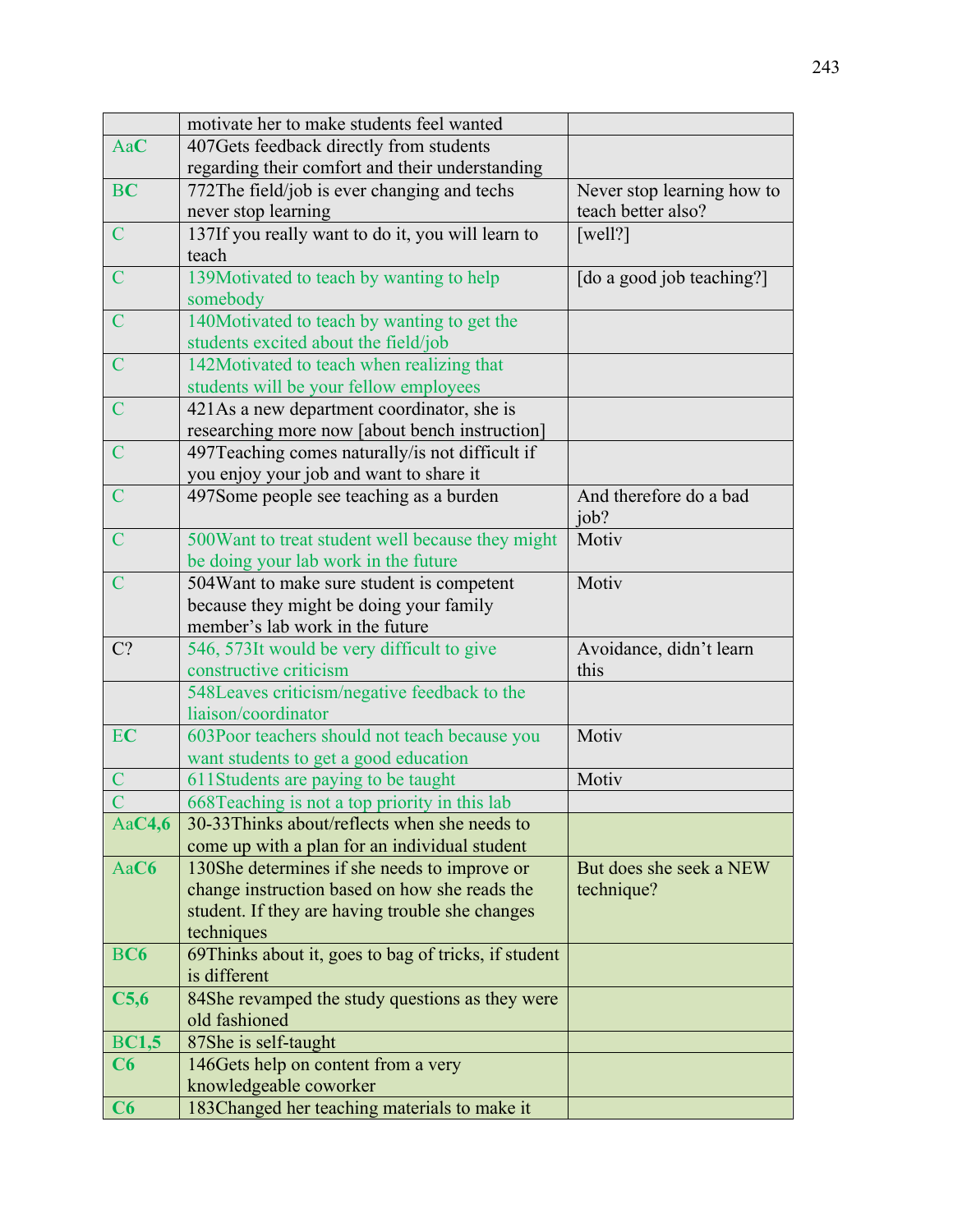| 407Gets feedback directly from students<br>AaC<br>regarding their comfort and their understanding<br>772The field/job is ever changing and techs<br><b>BC</b><br>Never stop learning how to |  |
|---------------------------------------------------------------------------------------------------------------------------------------------------------------------------------------------|--|
|                                                                                                                                                                                             |  |
|                                                                                                                                                                                             |  |
|                                                                                                                                                                                             |  |
| never stop learning<br>teach better also?                                                                                                                                                   |  |
| $\mathbf C$<br>137If you really want to do it, you will learn to<br>[well?]                                                                                                                 |  |
| teach                                                                                                                                                                                       |  |
| 139Motivated to teach by wanting to help<br>[do a good job teaching?]<br>$\mathcal{C}$                                                                                                      |  |
| somebody                                                                                                                                                                                    |  |
| 140Motivated to teach by wanting to get the<br>$\mathcal{C}$                                                                                                                                |  |
| students excited about the field/job                                                                                                                                                        |  |
| $\mathcal{C}$<br>142Motivated to teach when realizing that                                                                                                                                  |  |
| students will be your fellow employees                                                                                                                                                      |  |
| $\mathsf{C}$<br>421As a new department coordinator, she is                                                                                                                                  |  |
| researching more now [about bench instruction]                                                                                                                                              |  |
| 497Teaching comes naturally/is not difficult if<br>$\mathcal{C}$                                                                                                                            |  |
| you enjoy your job and want to share it                                                                                                                                                     |  |
| 497Some people see teaching as a burden<br>And therefore do a bad<br>$\mathcal{C}$                                                                                                          |  |
| job?                                                                                                                                                                                        |  |
| $\overline{C}$<br>500Want to treat student well because they might<br>Motiv                                                                                                                 |  |
| be doing your lab work in the future                                                                                                                                                        |  |
| 504 Want to make sure student is competent<br>Motiv<br>$\mathcal{C}$                                                                                                                        |  |
| because they might be doing your family                                                                                                                                                     |  |
| member's lab work in the future                                                                                                                                                             |  |
| $C$ ?<br>546, 573It would be very difficult to give<br>Avoidance, didn't learn                                                                                                              |  |
| constructive criticism<br>this                                                                                                                                                              |  |
| 548Leaves criticism/negative feedback to the                                                                                                                                                |  |
| liaison/coordinator<br>EC<br>Motiv                                                                                                                                                          |  |
| 603Poor teachers should not teach because you<br>want students to get a good education                                                                                                      |  |
| Motiv<br>$\overline{C}$                                                                                                                                                                     |  |
| 611Students are paying to be taught<br>668Teaching is not a top priority in this lab                                                                                                        |  |
| 30-33Thinks about/reflects when she needs to<br>Aa $C4,6$                                                                                                                                   |  |
|                                                                                                                                                                                             |  |
| come up with a plan for an individual student<br>AaC6<br>130She determines if she needs to improve or<br>But does she seek a NEW                                                            |  |
| change instruction based on how she reads the<br>technique?                                                                                                                                 |  |
| student. If they are having trouble she changes                                                                                                                                             |  |
| techniques                                                                                                                                                                                  |  |
| <b>BC6</b><br>69Thinks about it, goes to bag of tricks, if student                                                                                                                          |  |
| is different                                                                                                                                                                                |  |
| C5,6<br>84She revamped the study questions as they were                                                                                                                                     |  |
| old fashioned                                                                                                                                                                               |  |
| <b>BC1,5</b><br>87She is self-taught                                                                                                                                                        |  |
| C6<br>146Gets help on content from a very                                                                                                                                                   |  |
| knowledgeable coworker                                                                                                                                                                      |  |
| 183Changed her teaching materials to make it<br>C6                                                                                                                                          |  |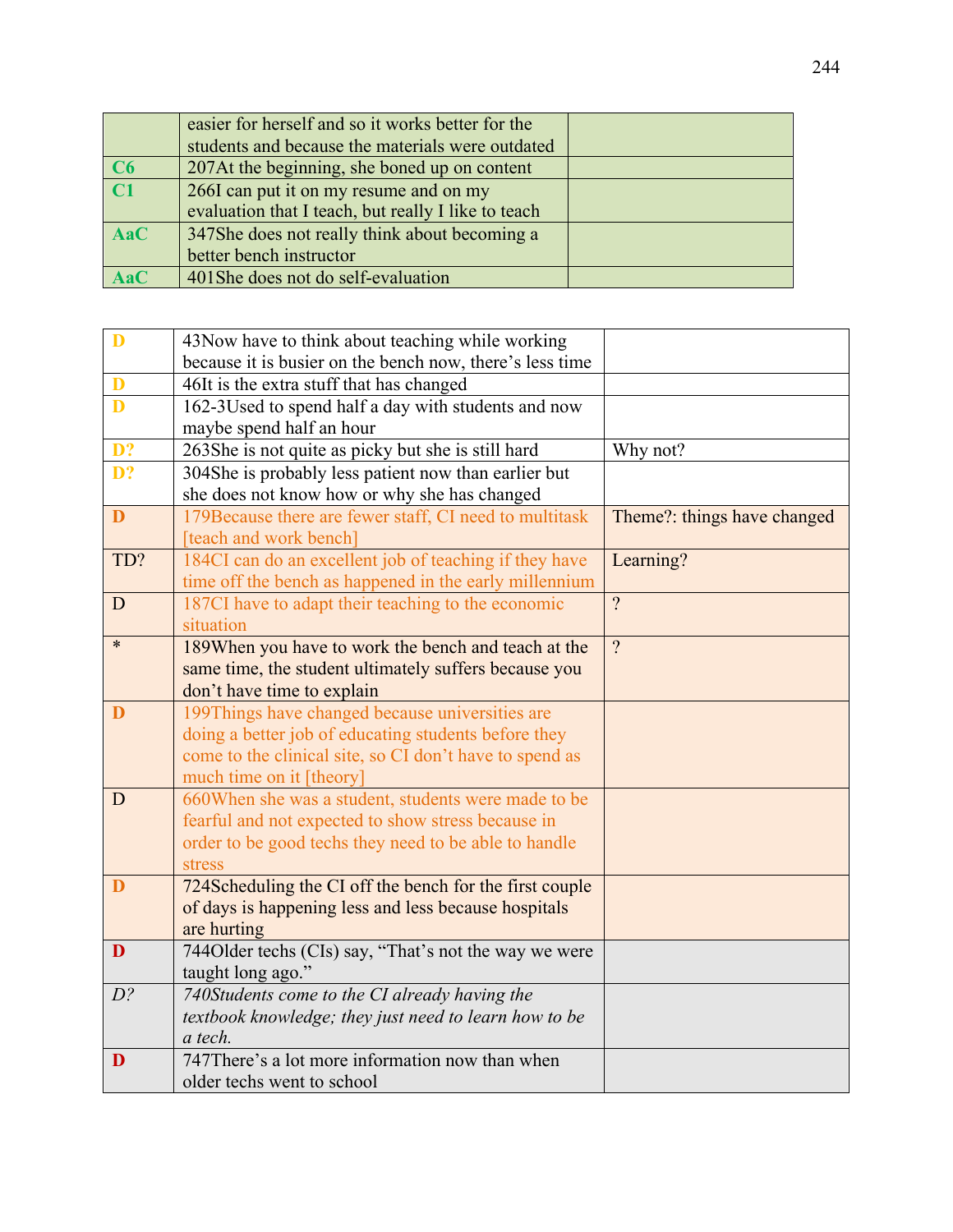|                 | easier for herself and so it works better for the   |  |
|-----------------|-----------------------------------------------------|--|
|                 | students and because the materials were outdated    |  |
| C6              | 207At the beginning, she boned up on content        |  |
| $\overline{C1}$ | 266I can put it on my resume and on my              |  |
|                 | evaluation that I teach, but really I like to teach |  |
| <b>AaC</b>      | 347She does not really think about becoming a       |  |
|                 | better bench instructor                             |  |
| <b>AaC</b>      | 401She does not do self-evaluation                  |  |

| D               | 43 Now have to think about teaching while working        |                             |
|-----------------|----------------------------------------------------------|-----------------------------|
|                 | because it is busier on the bench now, there's less time |                             |
| D               | 46It is the extra stuff that has changed                 |                             |
| D               | 162-3Used to spend half a day with students and now      |                             |
|                 | maybe spend half an hour                                 |                             |
| $\overline{D?}$ | 263She is not quite as picky but she is still hard       | Why not?                    |
| D?              | 304She is probably less patient now than earlier but     |                             |
|                 | she does not know how or why she has changed             |                             |
| D               | 179Because there are fewer staff, CI need to multitask   | Theme?: things have changed |
|                 | [teach and work bench]                                   |                             |
| TD?             | 184CI can do an excellent job of teaching if they have   | Learning?                   |
|                 | time off the bench as happened in the early millennium   |                             |
| D               | 187CI have to adapt their teaching to the economic       | $\gamma$                    |
|                 | situation                                                |                             |
| $\ast$          | 189When you have to work the bench and teach at the      | $\gamma$                    |
|                 | same time, the student ultimately suffers because you    |                             |
|                 | don't have time to explain                               |                             |
| D               | 199Things have changed because universities are          |                             |
|                 | doing a better job of educating students before they     |                             |
|                 | come to the clinical site, so CI don't have to spend as  |                             |
|                 | much time on it [theory]                                 |                             |
| D               | 660When she was a student, students were made to be      |                             |
|                 | fearful and not expected to show stress because in       |                             |
|                 | order to be good techs they need to be able to handle    |                             |
|                 | stress                                                   |                             |
| D               | 724Scheduling the CI off the bench for the first couple  |                             |
|                 | of days is happening less and less because hospitals     |                             |
|                 | are hurting                                              |                             |
| D               | 744Older techs (CIs) say, "That's not the way we were    |                             |
|                 | taught long ago."                                        |                             |
| $D$ ?           | 740Students come to the CI already having the            |                             |
|                 | textbook knowledge; they just need to learn how to be    |                             |
|                 | a tech.                                                  |                             |
| D               | 747There's a lot more information now than when          |                             |
|                 | older techs went to school                               |                             |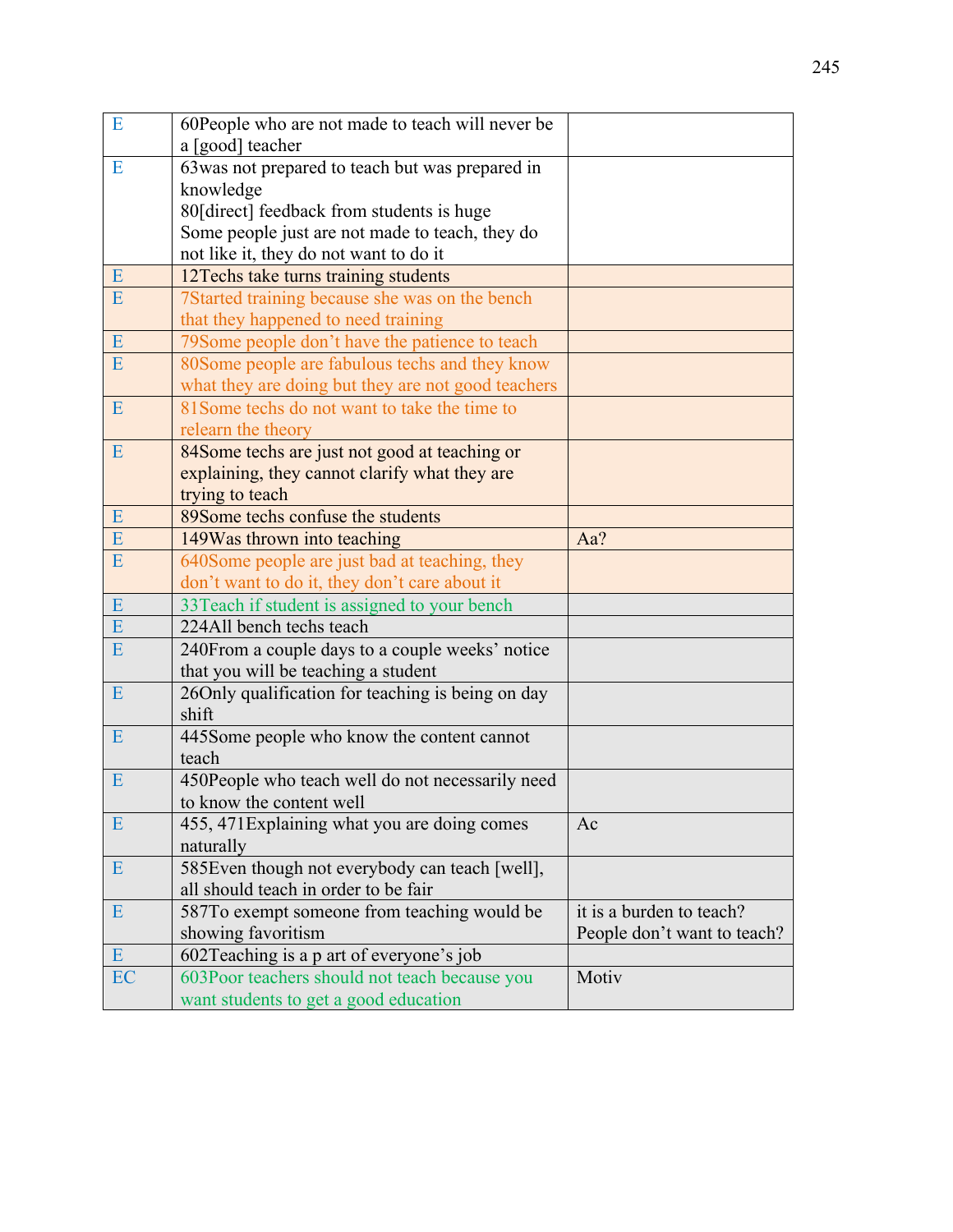| E         | 60People who are not made to teach will never be   |                             |
|-----------|----------------------------------------------------|-----------------------------|
|           | a [good] teacher                                   |                             |
| E         | 63 was not prepared to teach but was prepared in   |                             |
|           | knowledge                                          |                             |
|           | 80[direct] feedback from students is huge          |                             |
|           | Some people just are not made to teach, they do    |                             |
|           | not like it, they do not want to do it             |                             |
| E         | 12Techs take turns training students               |                             |
| ${\bf E}$ | 7Started training because she was on the bench     |                             |
|           | that they happened to need training                |                             |
| ${\bf E}$ | 79 Some people don't have the patience to teach    |                             |
| E         | 80Some people are fabulous techs and they know     |                             |
|           | what they are doing but they are not good teachers |                             |
| E         | 81 Some techs do not want to take the time to      |                             |
|           | relearn the theory                                 |                             |
| E         | 84Some techs are just not good at teaching or      |                             |
|           | explaining, they cannot clarify what they are      |                             |
|           | trying to teach                                    |                             |
| ${\bf E}$ | 89Some techs confuse the students                  |                             |
| E         | 149Was thrown into teaching                        | Aa?                         |
| E         | 640Some people are just bad at teaching, they      |                             |
|           | don't want to do it, they don't care about it      |                             |
| E         | 33Teach if student is assigned to your bench       |                             |
| E         | 224All bench techs teach                           |                             |
| E         | 240From a couple days to a couple weeks' notice    |                             |
|           | that you will be teaching a student                |                             |
| E         | 26Only qualification for teaching is being on day  |                             |
|           | shift                                              |                             |
| E         | 445Some people who know the content cannot         |                             |
|           | teach                                              |                             |
| E         | 450People who teach well do not necessarily need   |                             |
|           | to know the content well                           |                             |
| E         | 455, 471 Explaining what you are doing comes       | Ac                          |
|           | naturally                                          |                             |
| E         | 585Even though not everybody can teach [well],     |                             |
|           | all should teach in order to be fair               |                             |
| E         | 587To exempt someone from teaching would be        | it is a burden to teach?    |
|           | showing favoritism                                 | People don't want to teach? |
| E         | 602Teaching is a p art of everyone's job           |                             |
| EC        | 603Poor teachers should not teach because you      | Motiv                       |
|           | want students to get a good education              |                             |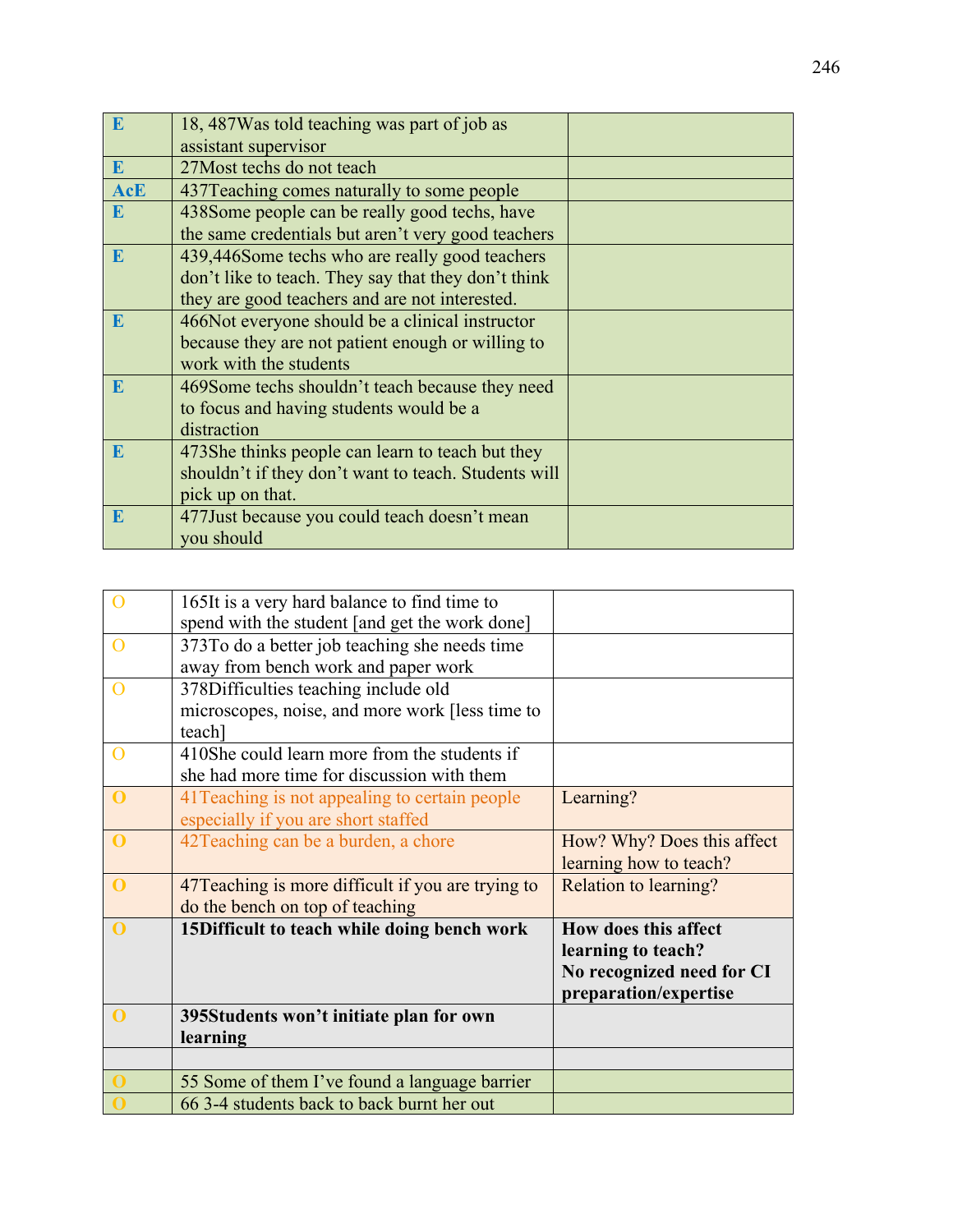| E          | 18, 487 Was told teaching was part of job as         |  |
|------------|------------------------------------------------------|--|
|            | assistant supervisor                                 |  |
| E          | 27 Most techs do not teach                           |  |
| <b>AcE</b> | 437 Teaching comes naturally to some people          |  |
| E          | 438Some people can be really good techs, have        |  |
|            | the same credentials but aren't very good teachers   |  |
| E          | 439,446Some techs who are really good teachers       |  |
|            | don't like to teach. They say that they don't think  |  |
|            | they are good teachers and are not interested.       |  |
| E          | 466Not everyone should be a clinical instructor      |  |
|            | because they are not patient enough or willing to    |  |
|            | work with the students                               |  |
| E          | 469Some techs shouldn't teach because they need      |  |
|            | to focus and having students would be a              |  |
|            | distraction                                          |  |
| E          | 473She thinks people can learn to teach but they     |  |
|            | shouldn't if they don't want to teach. Students will |  |
|            | pick up on that.                                     |  |
| E          | 477 Just because you could teach doesn't mean        |  |
|            | you should                                           |  |

|                | 165It is a very hard balance to find time to       |                            |
|----------------|----------------------------------------------------|----------------------------|
|                | spend with the student [and get the work done]     |                            |
| $\Omega$       | 373To do a better job teaching she needs time      |                            |
|                | away from bench work and paper work                |                            |
|                | 378Difficulties teaching include old               |                            |
|                | microscopes, noise, and more work [less time to    |                            |
|                | teach]                                             |                            |
| $\overline{O}$ | 410She could learn more from the students if       |                            |
|                | she had more time for discussion with them         |                            |
| $\mathbf{0}$   | 41 Teaching is not appealing to certain people     | Learning?                  |
|                | especially if you are short staffed                |                            |
| $\mathbf 0$    | 42 Teaching can be a burden, a chore               | How? Why? Does this affect |
|                |                                                    | learning how to teach?     |
| $\mathbf 0$    | 47 Teaching is more difficult if you are trying to | Relation to learning?      |
|                | do the bench on top of teaching                    |                            |
| $\mathbf 0$    | 15Difficult to teach while doing bench work        | How does this affect       |
|                |                                                    | learning to teach?         |
|                |                                                    | No recognized need for CI  |
|                |                                                    | preparation/expertise      |
| $\mathbf 0$    | 395Students won't initiate plan for own            |                            |
|                | learning                                           |                            |
|                |                                                    |                            |
|                | 55 Some of them I've found a language barrier      |                            |
|                | 66 3-4 students back to back burnt her out         |                            |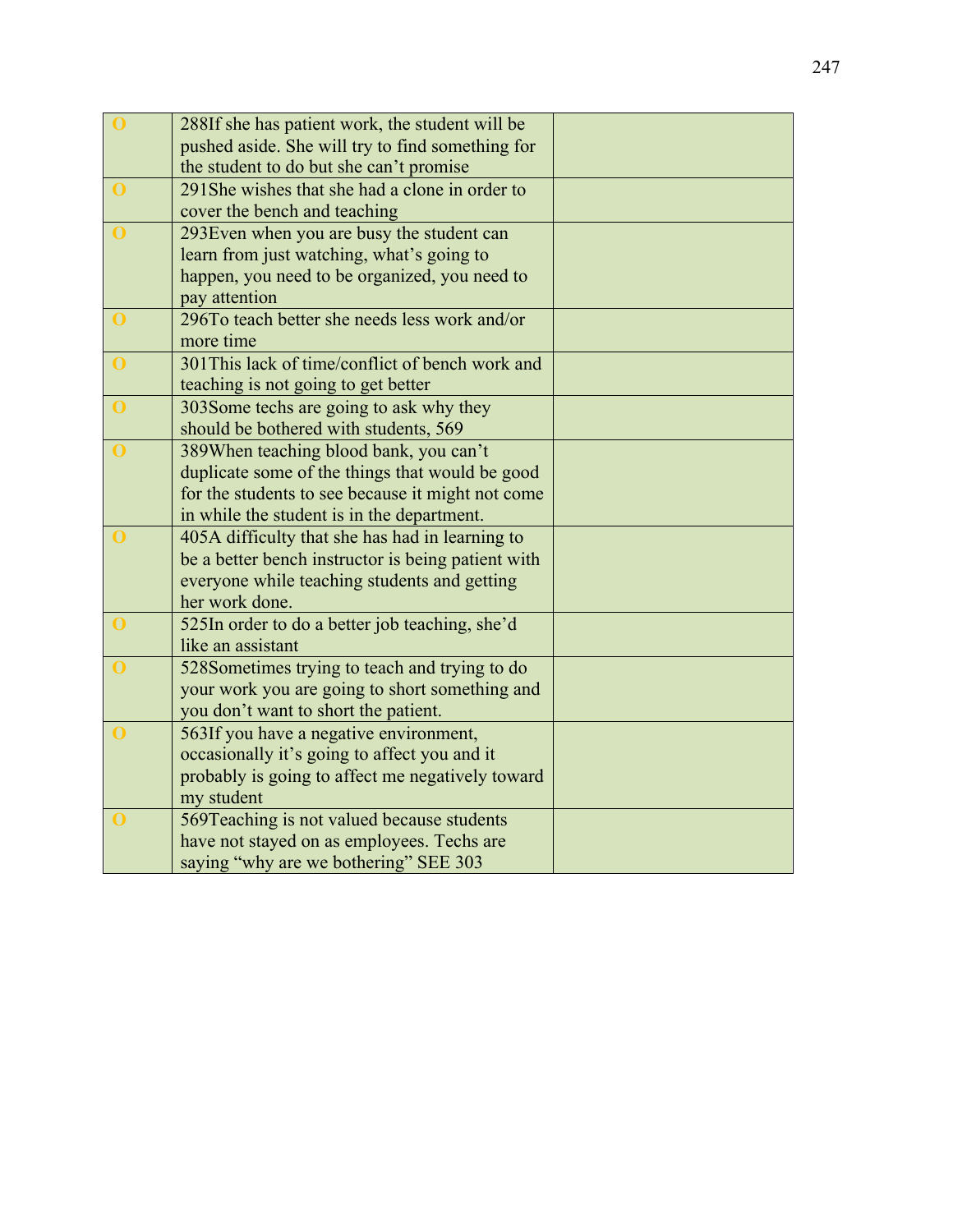| $\bf{0}$       | 288If she has patient work, the student will be    |  |
|----------------|----------------------------------------------------|--|
|                | pushed aside. She will try to find something for   |  |
|                | the student to do but she can't promise            |  |
| $\mathbf{O}$   | 291 She wishes that she had a clone in order to    |  |
|                | cover the bench and teaching                       |  |
| $\mathbf 0$    | 293Even when you are busy the student can          |  |
|                | learn from just watching, what's going to          |  |
|                | happen, you need to be organized, you need to      |  |
|                | pay attention                                      |  |
| $\mathbf{0}$   | 296To teach better she needs less work and/or      |  |
|                | more time                                          |  |
| $\bf{O}$       | 301 This lack of time/conflict of bench work and   |  |
|                | teaching is not going to get better                |  |
| $\bf{0}$       | 303Some techs are going to ask why they            |  |
|                | should be bothered with students, 569              |  |
| $\bf{0}$       | 389When teaching blood bank, you can't             |  |
|                | duplicate some of the things that would be good    |  |
|                | for the students to see because it might not come  |  |
|                | in while the student is in the department.         |  |
| $\overline{0}$ | 405A difficulty that she has had in learning to    |  |
|                | be a better bench instructor is being patient with |  |
|                | everyone while teaching students and getting       |  |
|                | her work done.                                     |  |
| $\bf{0}$       | 525In order to do a better job teaching, she'd     |  |
|                | like an assistant                                  |  |
| $\mathbf{O}$   | 528Sometimes trying to teach and trying to do      |  |
|                | your work you are going to short something and     |  |
|                | you don't want to short the patient.               |  |
| $\bf{O}$       | 563If you have a negative environment,             |  |
|                | occasionally it's going to affect you and it       |  |
|                | probably is going to affect me negatively toward   |  |
|                | my student                                         |  |
| $\bf{0}$       | 569Teaching is not valued because students         |  |
|                | have not stayed on as employees. Techs are         |  |
|                | saying "why are we bothering" SEE 303              |  |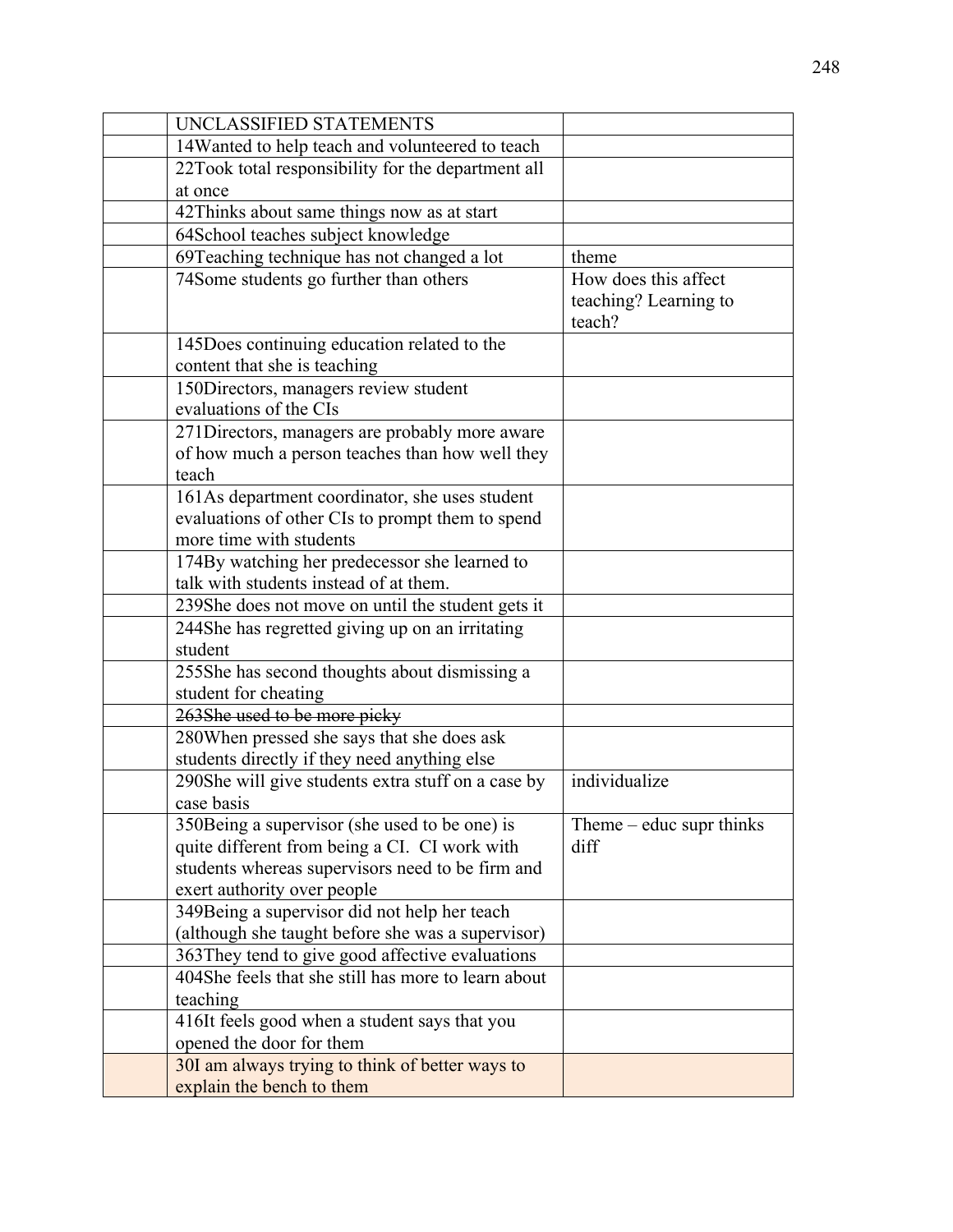| UNCLASSIFIED STATEMENTS                                    |                            |
|------------------------------------------------------------|----------------------------|
| 14Wanted to help teach and volunteered to teach            |                            |
| 22Took total responsibility for the department all         |                            |
| at once                                                    |                            |
| 42Thinks about same things now as at start                 |                            |
| 64School teaches subject knowledge                         |                            |
| 69Teaching technique has not changed a lot                 | theme                      |
| 74Some students go further than others                     | How does this affect       |
|                                                            | teaching? Learning to      |
|                                                            | teach?                     |
| 145Does continuing education related to the                |                            |
| content that she is teaching                               |                            |
| 150Directors, managers review student                      |                            |
| evaluations of the CIs                                     |                            |
| 271 Directors, managers are probably more aware            |                            |
| of how much a person teaches than how well they            |                            |
| teach                                                      |                            |
| 161As department coordinator, she uses student             |                            |
| evaluations of other CIs to prompt them to spend           |                            |
| more time with students                                    |                            |
| 174By watching her predecessor she learned to              |                            |
| talk with students instead of at them.                     |                            |
| 239She does not move on until the student gets it          |                            |
| 244She has regretted giving up on an irritating<br>student |                            |
| 255She has second thoughts about dismissing a              |                            |
| student for cheating                                       |                            |
| 263She used to be more picky                               |                            |
| 280 When pressed she says that she does ask                |                            |
| students directly if they need anything else               |                            |
| 290She will give students extra stuff on a case by         | individualize              |
| case basis                                                 |                            |
| 350Being a supervisor (she used to be one) is              | Theme $-$ educ supr thinks |
| quite different from being a CI. CI work with              | diff                       |
| students whereas supervisors need to be firm and           |                            |
| exert authority over people                                |                            |
| 349Being a supervisor did not help her teach               |                            |
| (although she taught before she was a supervisor)          |                            |
| 363 They tend to give good affective evaluations           |                            |
| 404She feels that she still has more to learn about        |                            |
| teaching                                                   |                            |
| 416It feels good when a student says that you              |                            |
| opened the door for them                                   |                            |
| 30I am always trying to think of better ways to            |                            |
| explain the bench to them                                  |                            |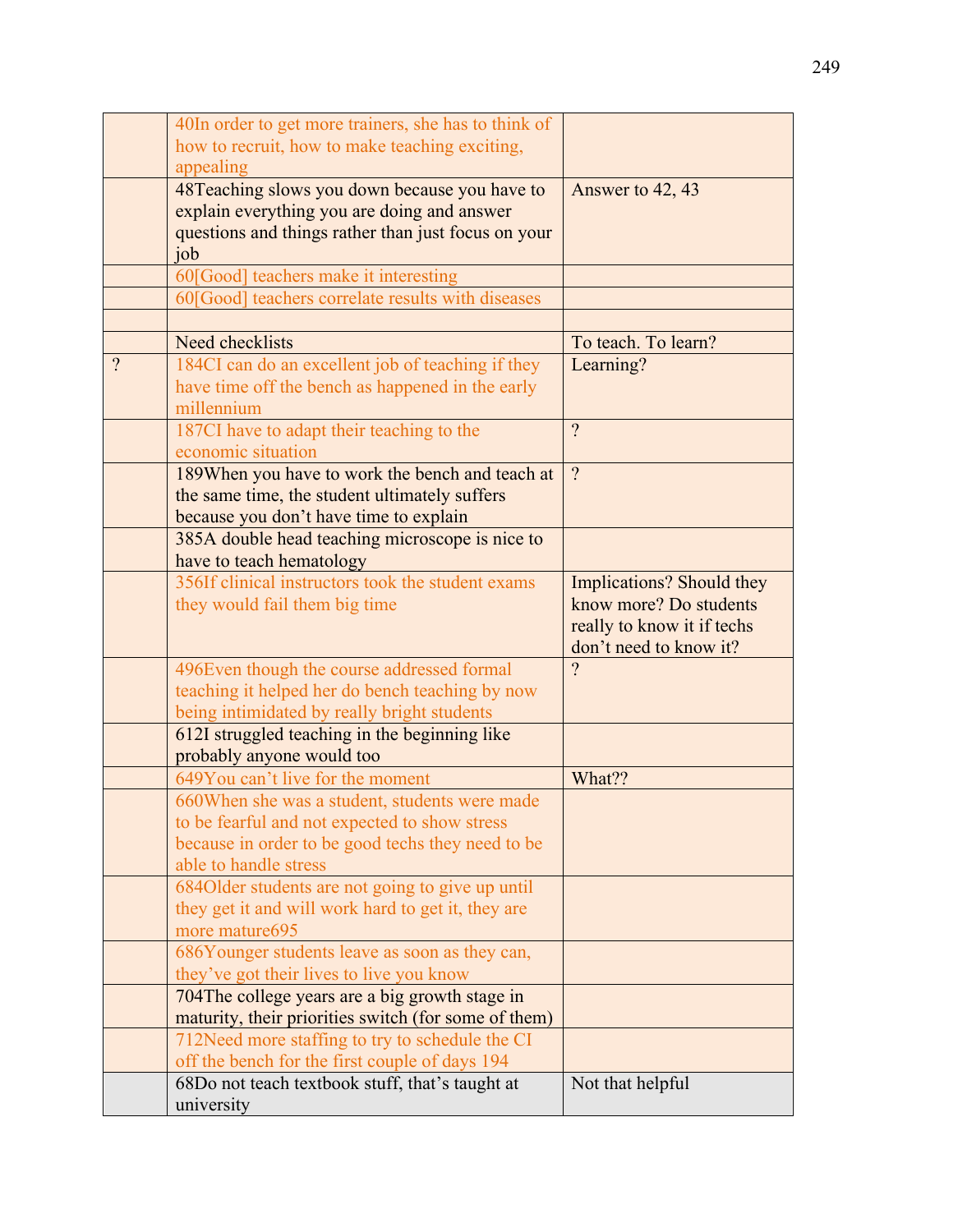|          | 40In order to get more trainers, she has to think of |                                  |
|----------|------------------------------------------------------|----------------------------------|
|          | how to recruit, how to make teaching exciting,       |                                  |
|          | appealing                                            |                                  |
|          | 48 Teaching slows you down because you have to       | Answer to 42, 43                 |
|          | explain everything you are doing and answer          |                                  |
|          | questions and things rather than just focus on your  |                                  |
|          | job                                                  |                                  |
|          | 60[Good] teachers make it interesting                |                                  |
|          | 60[Good] teachers correlate results with diseases    |                                  |
|          |                                                      |                                  |
|          | Need checklists                                      | To teach. To learn?              |
| $\gamma$ | 184CI can do an excellent job of teaching if they    | Learning?                        |
|          | have time off the bench as happened in the early     |                                  |
|          | millennium                                           |                                  |
|          | 187CI have to adapt their teaching to the            | $\overline{?}$                   |
|          | economic situation                                   |                                  |
|          | 189When you have to work the bench and teach at      | $\overline{?}$                   |
|          | the same time, the student ultimately suffers        |                                  |
|          | because you don't have time to explain               |                                  |
|          | 385A double head teaching microscope is nice to      |                                  |
|          | have to teach hematology                             |                                  |
|          | 356If clinical instructors took the student exams    | <b>Implications?</b> Should they |
|          | they would fail them big time                        | know more? Do students           |
|          |                                                      | really to know it if techs       |
|          |                                                      | don't need to know it?           |
|          | 496Even though the course addressed formal           | $\gamma$                         |
|          | teaching it helped her do bench teaching by now      |                                  |
|          | being intimidated by really bright students          |                                  |
|          | 612I struggled teaching in the beginning like        |                                  |
|          | probably anyone would too                            |                                  |
|          | 649You can't live for the moment                     | What??                           |
|          | 660 When she was a student, students were made       |                                  |
|          | to be fearful and not expected to show stress        |                                  |
|          | because in order to be good techs they need to be    |                                  |
|          | able to handle stress                                |                                  |
|          | 684 Older students are not going to give up until    |                                  |
|          | they get it and will work hard to get it, they are   |                                  |
|          | more mature695                                       |                                  |
|          | 686Younger students leave as soon as they can,       |                                  |
|          | they've got their lives to live you know             |                                  |
|          | 704The college years are a big growth stage in       |                                  |
|          | maturity, their priorities switch (for some of them) |                                  |
|          | 712Need more staffing to try to schedule the CI      |                                  |
|          | off the bench for the first couple of days 194       |                                  |
|          | 68Do not teach textbook stuff, that's taught at      | Not that helpful                 |
|          | university                                           |                                  |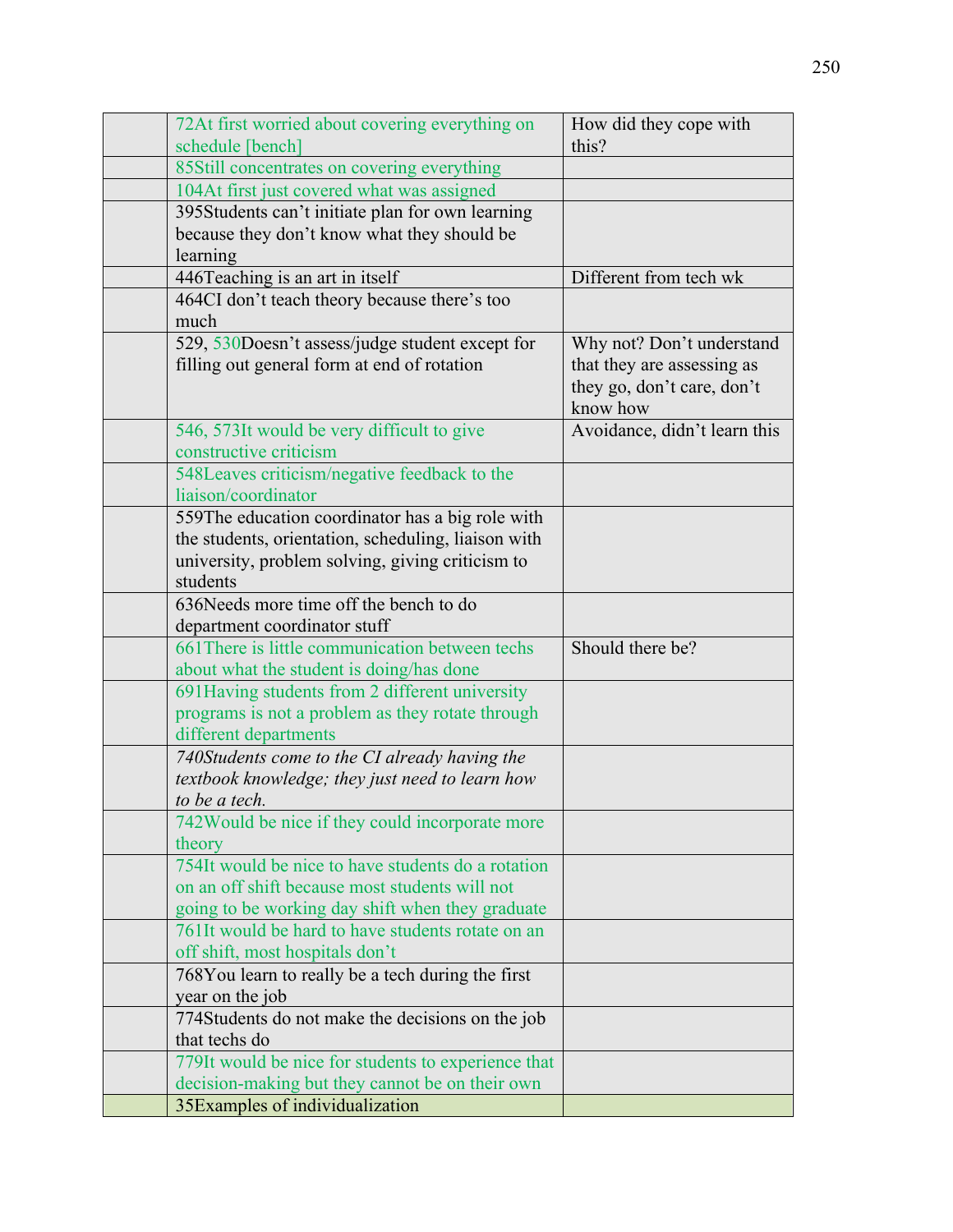| 72At first worried about covering everything on<br>schedule [bench]                            | How did they cope with<br>this?                                                                   |
|------------------------------------------------------------------------------------------------|---------------------------------------------------------------------------------------------------|
| 85Still concentrates on covering everything                                                    |                                                                                                   |
| 104At first just covered what was assigned                                                     |                                                                                                   |
| 395Students can't initiate plan for own learning                                               |                                                                                                   |
| because they don't know what they should be                                                    |                                                                                                   |
| learning                                                                                       |                                                                                                   |
| 446Teaching is an art in itself                                                                | Different from tech wk                                                                            |
| 464CI don't teach theory because there's too                                                   |                                                                                                   |
| much                                                                                           |                                                                                                   |
| 529, 530Doesn't assess/judge student except for<br>filling out general form at end of rotation | Why not? Don't understand<br>that they are assessing as<br>they go, don't care, don't<br>know how |
| 546, 573It would be very difficult to give<br>constructive criticism                           | Avoidance, didn't learn this                                                                      |
| 548Leaves criticism/negative feedback to the                                                   |                                                                                                   |
| liaison/coordinator                                                                            |                                                                                                   |
| 559The education coordinator has a big role with                                               |                                                                                                   |
| the students, orientation, scheduling, liaison with                                            |                                                                                                   |
| university, problem solving, giving criticism to                                               |                                                                                                   |
| students                                                                                       |                                                                                                   |
| 636Needs more time off the bench to do                                                         |                                                                                                   |
| department coordinator stuff                                                                   |                                                                                                   |
| 661 There is little communication between techs                                                | Should there be?                                                                                  |
| about what the student is doing/has done                                                       |                                                                                                   |
| 691 Having students from 2 different university                                                |                                                                                                   |
| programs is not a problem as they rotate through                                               |                                                                                                   |
| different departments                                                                          |                                                                                                   |
| 740Students come to the CI already having the                                                  |                                                                                                   |
| textbook knowledge; they just need to learn how                                                |                                                                                                   |
| to be a tech.                                                                                  |                                                                                                   |
| 742 Would be nice if they could incorporate more                                               |                                                                                                   |
| theory<br>754It would be nice to have students $\overline{d}$ a rotation                       |                                                                                                   |
| on an off shift because most students will not                                                 |                                                                                                   |
| going to be working day shift when they graduate                                               |                                                                                                   |
| 761It would be hard to have students rotate on an                                              |                                                                                                   |
| off shift, most hospitals don't                                                                |                                                                                                   |
| 768You learn to really be a tech during the first                                              |                                                                                                   |
| year on the job                                                                                |                                                                                                   |
| 774Students do not make the decisions on the job                                               |                                                                                                   |
| that techs do                                                                                  |                                                                                                   |
| 779It would be nice for students to experience that                                            |                                                                                                   |
| decision-making but they cannot be on their own                                                |                                                                                                   |
| 35Examples of individualization                                                                |                                                                                                   |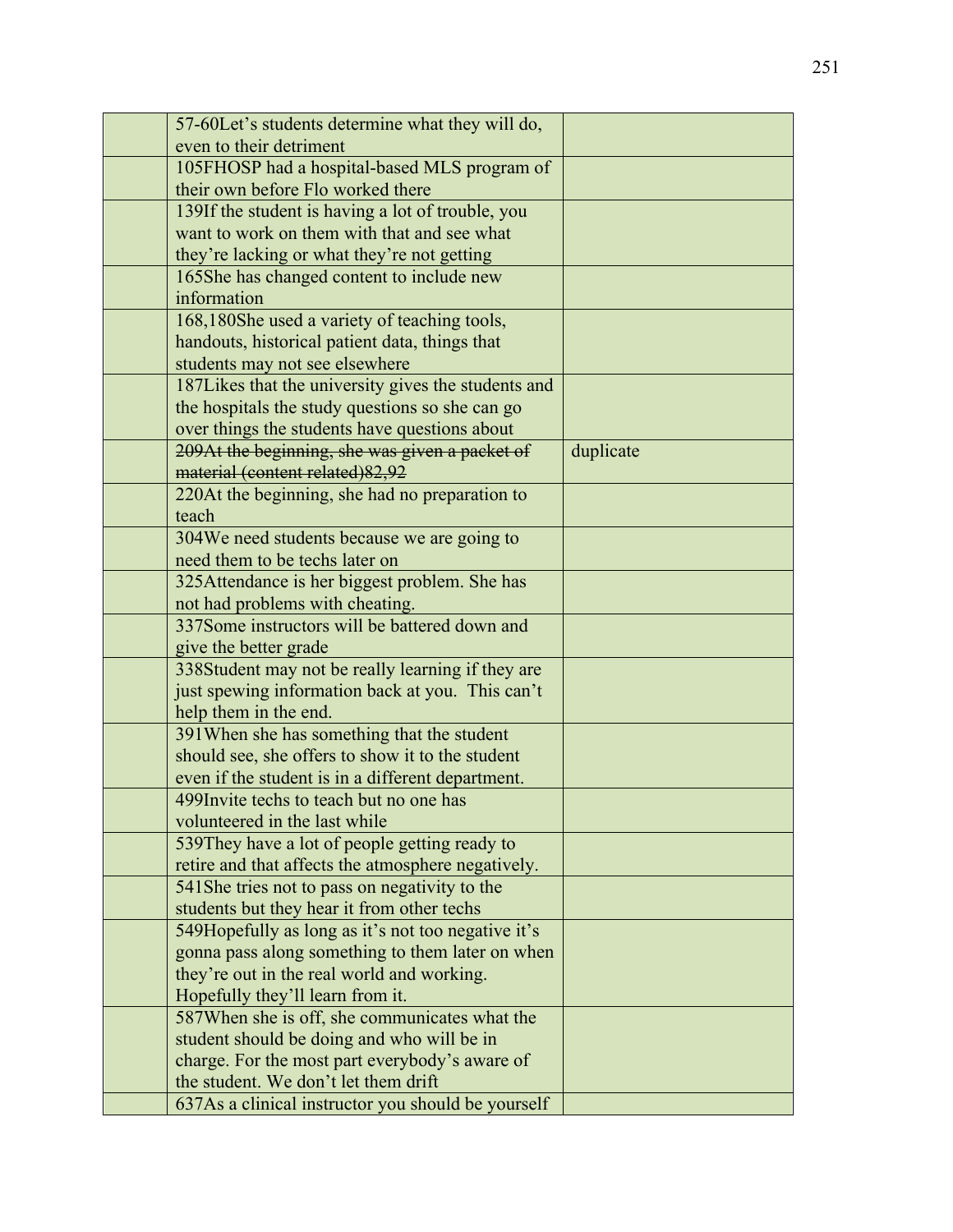| 57-60Let's students determine what they will do,                                                |           |
|-------------------------------------------------------------------------------------------------|-----------|
| even to their detriment                                                                         |           |
| 105FHOSP had a hospital-based MLS program of                                                    |           |
| their own before Flo worked there                                                               |           |
| 139If the student is having a lot of trouble, you                                               |           |
| want to work on them with that and see what                                                     |           |
| they're lacking or what they're not getting                                                     |           |
| 165She has changed content to include new                                                       |           |
| information                                                                                     |           |
| 168,180She used a variety of teaching tools,                                                    |           |
| handouts, historical patient data, things that                                                  |           |
| students may not see elsewhere                                                                  |           |
| 187Likes that the university gives the students and                                             |           |
| the hospitals the study questions so she can go                                                 |           |
| over things the students have questions about                                                   |           |
| 209At the beginning, she was given a packet of                                                  | duplicate |
| material (content related) 82,92                                                                |           |
| 220At the beginning, she had no preparation to                                                  |           |
| teach                                                                                           |           |
| 304We need students because we are going to                                                     |           |
| need them to be techs later on                                                                  |           |
| 325Attendance is her biggest problem. She has                                                   |           |
| not had problems with cheating.                                                                 |           |
| 337Some instructors will be battered down and                                                   |           |
| give the better grade                                                                           |           |
| 338Student may not be really learning if they are                                               |           |
| just spewing information back at you. This can't                                                |           |
| help them in the end.                                                                           |           |
| 391 When she has something that the student<br>should see, she offers to show it to the student |           |
| even if the student is in a different department.                                               |           |
| 499 Invite techs to teach but no one has                                                        |           |
| volunteered in the last while                                                                   |           |
| 539 They have a lot of people getting ready to                                                  |           |
| retire and that affects the atmosphere negatively.                                              |           |
| 541 She tries not to pass on negativity to the                                                  |           |
| students but they hear it from other techs                                                      |           |
| 549Hopefully as long as it's not too negative it's                                              |           |
| gonna pass along something to them later on when                                                |           |
| they're out in the real world and working.                                                      |           |
| Hopefully they'll learn from it.                                                                |           |
| 587 When she is off, she communicates what the                                                  |           |
| student should be doing and who will be in                                                      |           |
| charge. For the most part everybody's aware of                                                  |           |
| the student. We don't let them drift                                                            |           |
| 637As a clinical instructor you should be yourself                                              |           |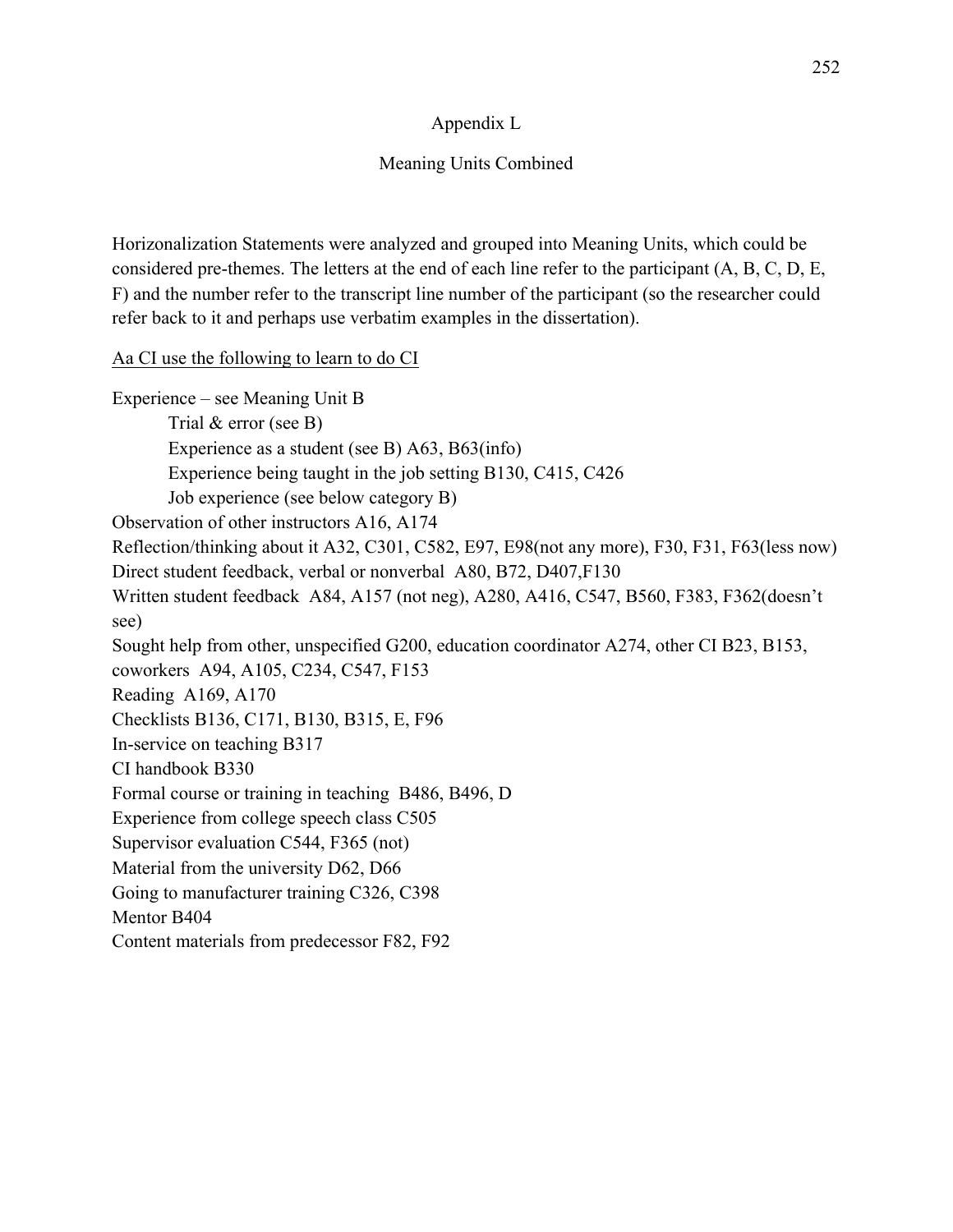# Appendix L

# Meaning Units Combined

Horizonalization Statements were analyzed and grouped into Meaning Units, which could be considered pre-themes. The letters at the end of each line refer to the participant (A, B, C, D, E, F) and the number refer to the transcript line number of the participant (so the researcher could refer back to it and perhaps use verbatim examples in the dissertation).

Aa CI use the following to learn to do CI

Experience – see Meaning Unit B Trial & error (see B) Experience as a student (see B) A63, B63(info) Experience being taught in the job setting B130, C415, C426 Job experience (see below category B) Observation of other instructors A16, A174 Reflection/thinking about it A32, C301, C582, E97, E98(not any more), F30, F31, F63(less now) Direct student feedback, verbal or nonverbal A80, B72, D407,F130 Written student feedback A84, A157 (not neg), A280, A416, C547, B560, F383, F362(doesn't see) Sought help from other, unspecified G200, education coordinator A274, other CI B23, B153, coworkers A94, A105, C234, C547, F153 Reading A169, A170 Checklists B136, C171, B130, B315, E, F96 In-service on teaching B317 CI handbook B330 Formal course or training in teaching B486, B496, D Experience from college speech class C505 Supervisor evaluation C544, F365 (not) Material from the university D62, D66 Going to manufacturer training C326, C398 Mentor B404 Content materials from predecessor F82, F92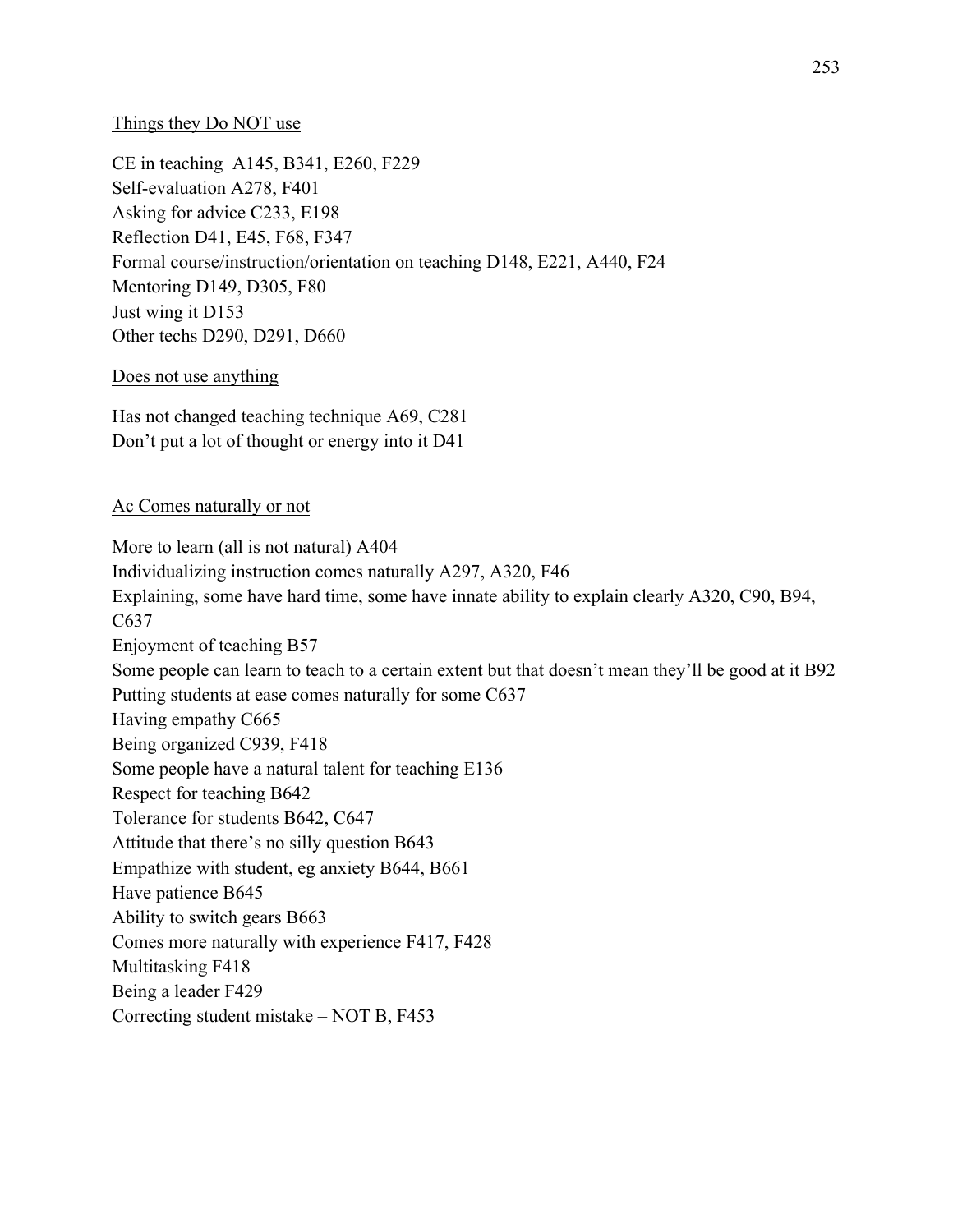## Things they Do NOT use

CE in teaching A145, B341, E260, F229 Self-evaluation A278, F401 Asking for advice C233, E198 Reflection D41, E45, F68, F347 Formal course/instruction/orientation on teaching D148, E221, A440, F24 Mentoring D149, D305, F80 Just wing it D153 Other techs D290, D291, D660

## Does not use anything

Has not changed teaching technique A69, C281 Don't put a lot of thought or energy into it D41

## Ac Comes naturally or not

More to learn (all is not natural) A404 Individualizing instruction comes naturally A297, A320, F46 Explaining, some have hard time, some have innate ability to explain clearly A320, C90, B94, C637 Enjoyment of teaching B57 Some people can learn to teach to a certain extent but that doesn't mean they'll be good at it B92 Putting students at ease comes naturally for some C637 Having empathy C665 Being organized C939, F418 Some people have a natural talent for teaching E136 Respect for teaching B642 Tolerance for students B642, C647 Attitude that there's no silly question B643 Empathize with student, eg anxiety B644, B661 Have patience B645 Ability to switch gears B663 Comes more naturally with experience F417, F428 Multitasking F418 Being a leader F429 Correcting student mistake – NOT B, F453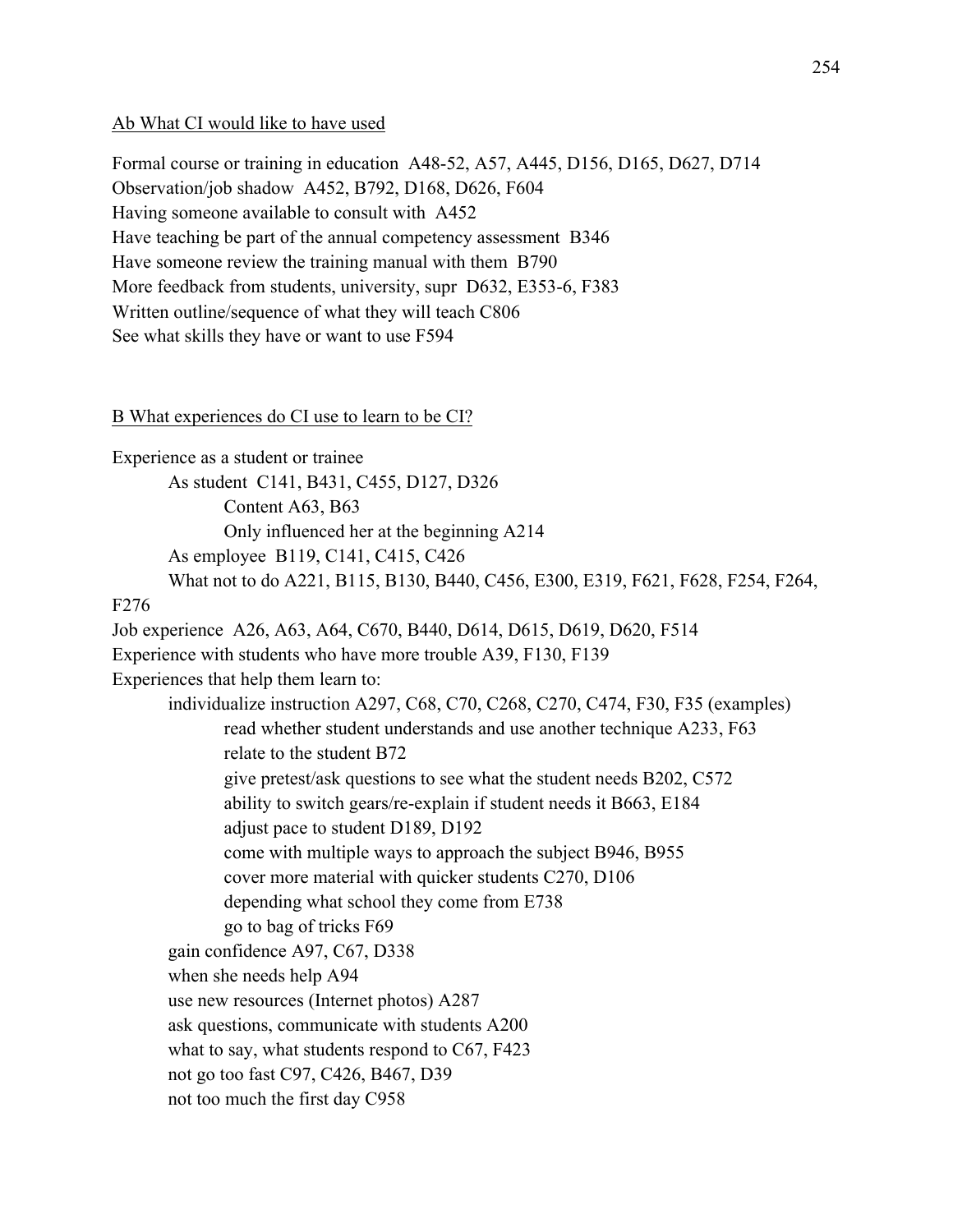### Ab What CI would like to have used

Formal course or training in education A48-52, A57, A445, D156, D165, D627, D714 Observation/job shadow A452, B792, D168, D626, F604 Having someone available to consult with A452 Have teaching be part of the annual competency assessment B346 Have someone review the training manual with them B790 More feedback from students, university, supr D632, E353-6, F383 Written outline/sequence of what they will teach C806 See what skills they have or want to use F594

## B What experiences do CI use to learn to be CI?

Experience as a student or trainee As student C141, B431, C455, D127, D326 Content A63, B63 Only influenced her at the beginning A214 As employee B119, C141, C415, C426 What not to do A221, B115, B130, B440, C456, E300, E319, F621, F628, F254, F264, F276 Job experience A26, A63, A64, C670, B440, D614, D615, D619, D620, F514 Experience with students who have more trouble A39, F130, F139 Experiences that help them learn to: individualize instruction A297, C68, C70, C268, C270, C474, F30, F35 (examples) read whether student understands and use another technique A233, F63 relate to the student B72 give pretest/ask questions to see what the student needs B202, C572 ability to switch gears/re-explain if student needs it B663, E184 adjust pace to student D189, D192 come with multiple ways to approach the subject B946, B955 cover more material with quicker students C270, D106 depending what school they come from E738 go to bag of tricks F69 gain confidence A97, C67, D338 when she needs help A94 use new resources (Internet photos) A287 ask questions, communicate with students A200 what to say, what students respond to C67, F423 not go too fast C97, C426, B467, D39 not too much the first day C958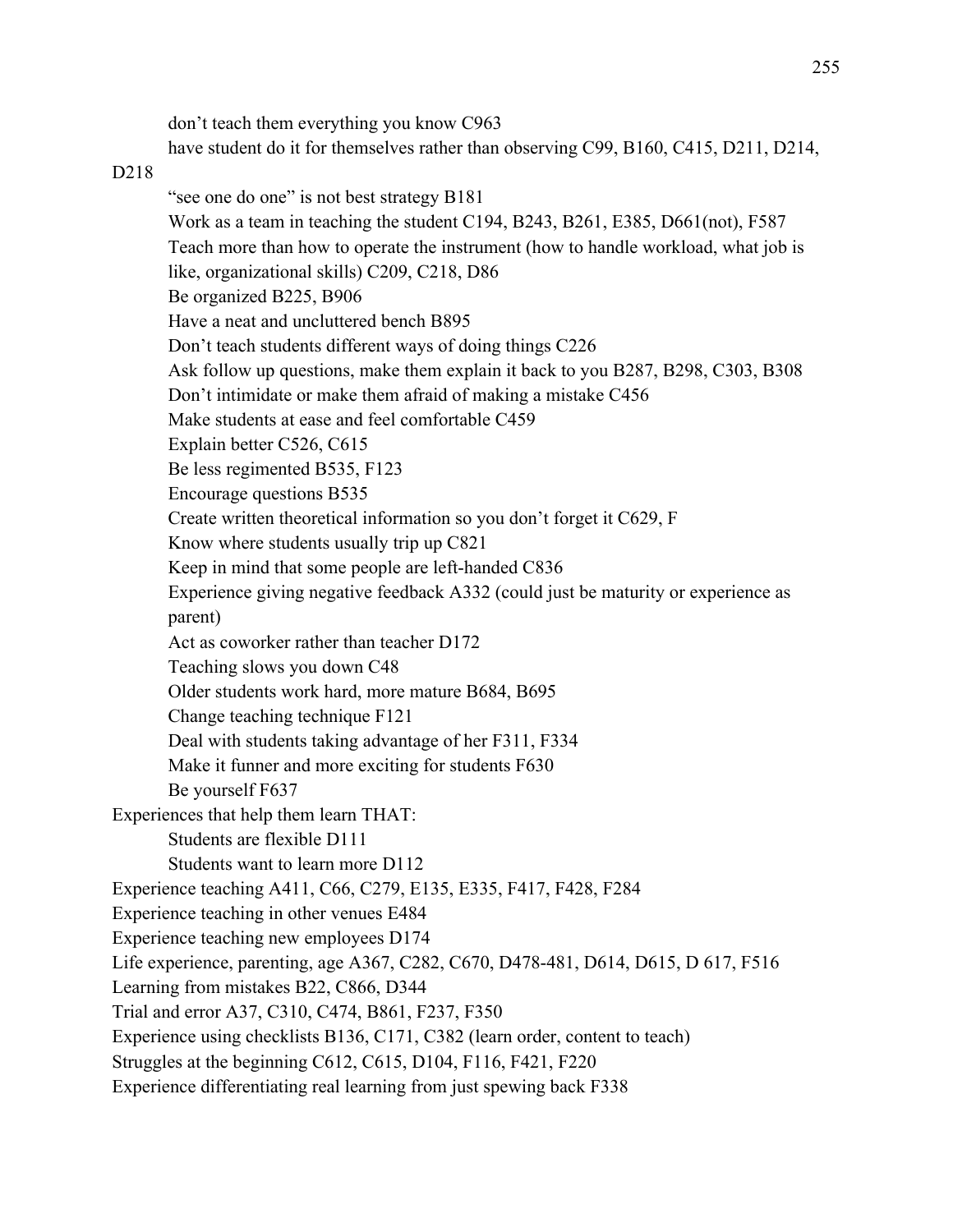don't teach them everything you know C963 have student do it for themselves rather than observing C99, B160, C415, D211, D214,

#### D218

"see one do one" is not best strategy B181 Work as a team in teaching the student C194, B243, B261, E385, D661(not), F587 Teach more than how to operate the instrument (how to handle workload, what job is like, organizational skills) C209, C218, D86 Be organized B225, B906 Have a neat and uncluttered bench B895 Don't teach students different ways of doing things C226 Ask follow up questions, make them explain it back to you B287, B298, C303, B308 Don't intimidate or make them afraid of making a mistake C456 Make students at ease and feel comfortable C459 Explain better C526, C615 Be less regimented B535, F123 Encourage questions B535 Create written theoretical information so you don't forget it C629, F Know where students usually trip up C821 Keep in mind that some people are left-handed C836 Experience giving negative feedback A332 (could just be maturity or experience as parent) Act as coworker rather than teacher D172 Teaching slows you down C48 Older students work hard, more mature B684, B695 Change teaching technique F121 Deal with students taking advantage of her F311, F334 Make it funner and more exciting for students F630 Be yourself F637 Experiences that help them learn THAT: Students are flexible D111 Students want to learn more D112 Experience teaching A411, C66, C279, E135, E335, F417, F428, F284 Experience teaching in other venues E484 Experience teaching new employees D174 Life experience, parenting, age A367, C282, C670, D478-481, D614, D615, D 617, F516 Learning from mistakes B22, C866, D344 Trial and error A37, C310, C474, B861, F237, F350 Experience using checklists B136, C171, C382 (learn order, content to teach) Struggles at the beginning C612, C615, D104, F116, F421, F220 Experience differentiating real learning from just spewing back F338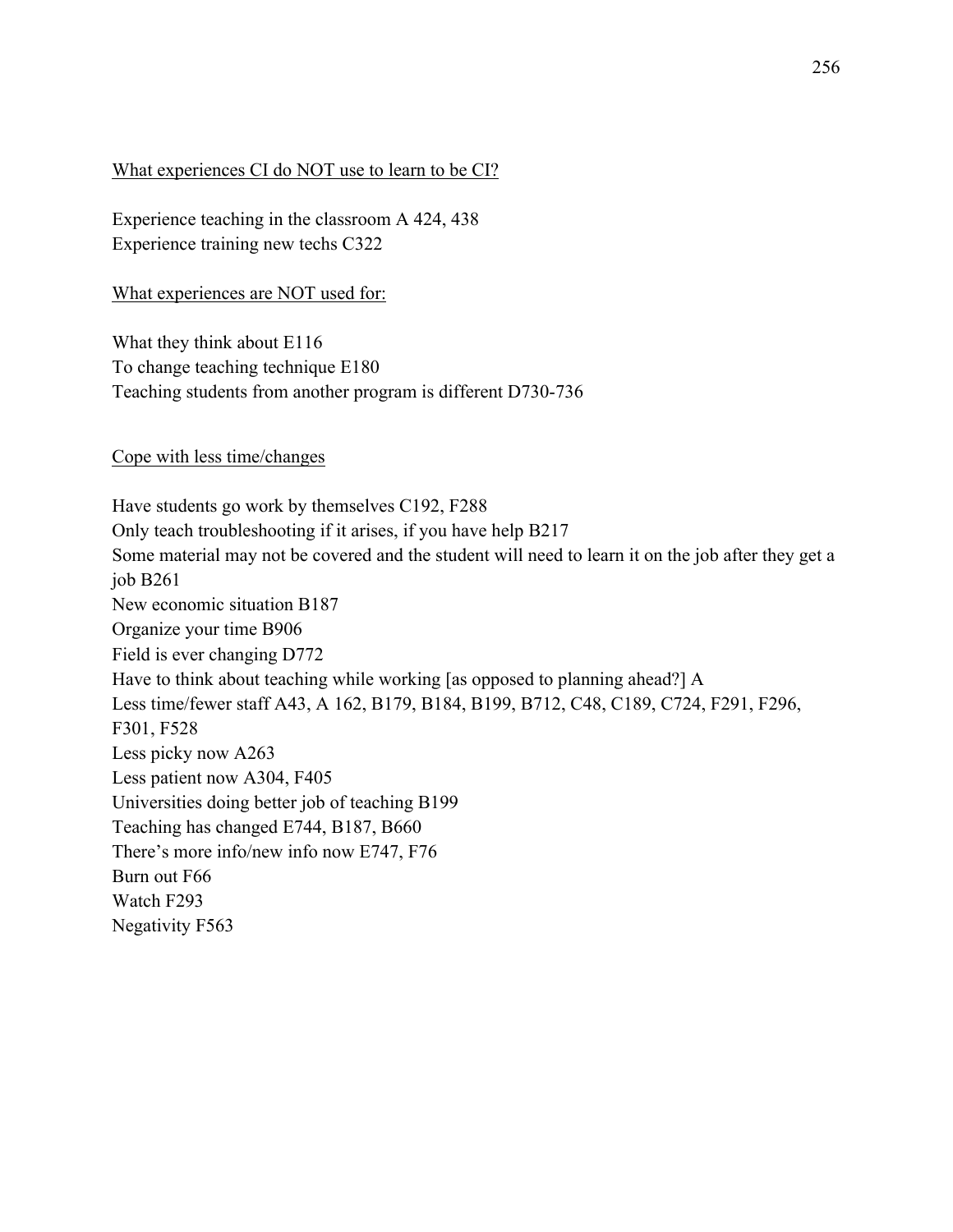### What experiences CI do NOT use to learn to be CI?

Experience teaching in the classroom A 424, 438 Experience training new techs C322

What experiences are NOT used for:

What they think about E116 To change teaching technique E180 Teaching students from another program is different D730-736

### Cope with less time/changes

Have students go work by themselves C192, F288 Only teach troubleshooting if it arises, if you have help B217 Some material may not be covered and the student will need to learn it on the job after they get a job B261 New economic situation B187 Organize your time B906 Field is ever changing D772 Have to think about teaching while working [as opposed to planning ahead?] A Less time/fewer staff A43, A 162, B179, B184, B199, B712, C48, C189, C724, F291, F296, F301, F528 Less picky now A263 Less patient now A304, F405 Universities doing better job of teaching B199 Teaching has changed E744, B187, B660 There's more info/new info now E747, F76 Burn out F66 Watch F293 Negativity F563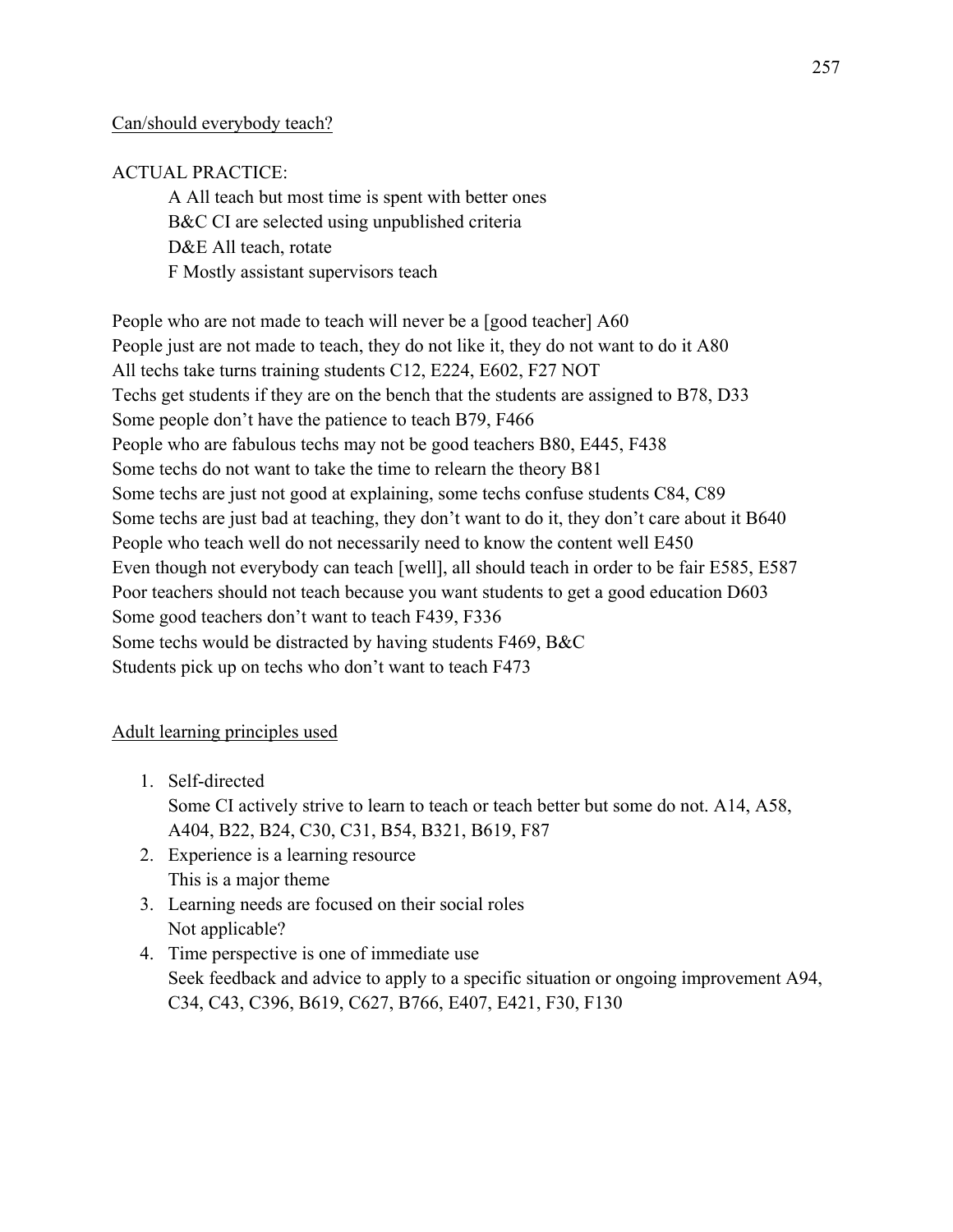## Can/should everybody teach?

# ACTUAL PRACTICE:

A All teach but most time is spent with better ones B&C CI are selected using unpublished criteria D&E All teach, rotate F Mostly assistant supervisors teach

People who are not made to teach will never be a [good teacher] A60 People just are not made to teach, they do not like it, they do not want to do it A80 All techs take turns training students C12, E224, E602, F27 NOT Techs get students if they are on the bench that the students are assigned to B78, D33 Some people don't have the patience to teach B79, F466 People who are fabulous techs may not be good teachers B80, E445, F438 Some techs do not want to take the time to relearn the theory B81 Some techs are just not good at explaining, some techs confuse students C84, C89 Some techs are just bad at teaching, they don't want to do it, they don't care about it B640 People who teach well do not necessarily need to know the content well E450 Even though not everybody can teach [well], all should teach in order to be fair E585, E587 Poor teachers should not teach because you want students to get a good education D603 Some good teachers don't want to teach F439, F336 Some techs would be distracted by having students F469, B&C Students pick up on techs who don't want to teach F473

# Adult learning principles used

1. Self-directed

Some CI actively strive to learn to teach or teach better but some do not. A14, A58, A404, B22, B24, C30, C31, B54, B321, B619, F87

- 2. Experience is a learning resource This is a major theme
- 3. Learning needs are focused on their social roles Not applicable?
- 4. Time perspective is one of immediate use Seek feedback and advice to apply to a specific situation or ongoing improvement A94, C34, C43, C396, B619, C627, B766, E407, E421, F30, F130